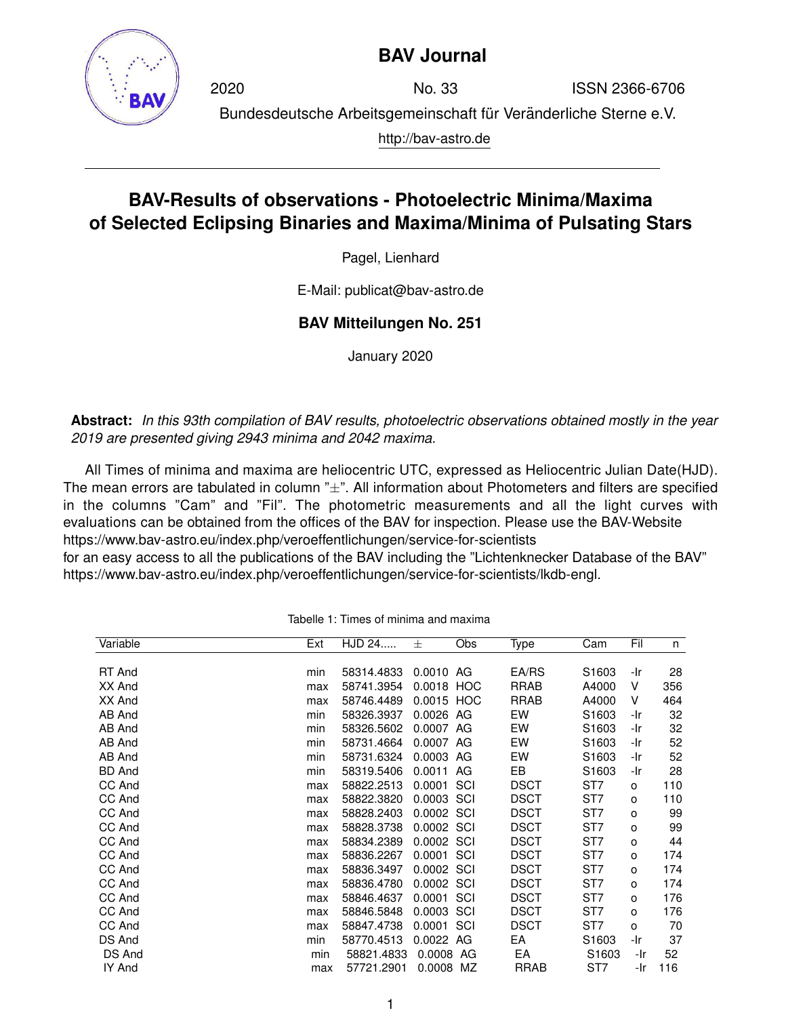

## **BAV Journal**

2020 No. 33 ISSN 2366-6706 Bundesdeutsche Arbeitsgemeinschaft für Veränderliche Sterne e.V. http://bav-astro.de

## **BAV-Results of observations - Photoelectric Minima/Maxima of Selected Eclipsing Binaries and Maxima/Minima of Pulsating Stars**

Pagel, Lienhard

E-Mail: publicat@bav-astro.de

## **BAV Mitteilungen No. 251**

January 2020

**Abstract:** *In this 93th compilation of BAV results, photoelectric observations obtained mostly in the year 2019 are presented giving 2943 minima and 2042 maxima.*

All Times of minima and maxima are heliocentric UTC, expressed as Heliocentric Julian Date(HJD). The mean errors are tabulated in column  $x + y$ . All information about Photometers and filters are specified in the columns "Cam" and "Fil". The photometric measurements and all the light curves with evaluations can be obtained from the offices of the BAV for inspection. Please use the BAV-Website https://www.bav-astro.eu/index.php/veroeffentlichungen/service-for-scientists

for an easy access to all the publications of the BAV including the "Lichtenknecker Database of the BAV" https://www.bav-astro.eu/index.php/veroeffentlichungen/service-for-scientists/lkdb-engl.

| Variable      | Ext | HJD 24     | 士          | Obs | Type        | Cam               | Fil | n   |
|---------------|-----|------------|------------|-----|-------------|-------------------|-----|-----|
|               |     |            |            |     |             |                   |     |     |
| RT And        | min | 58314.4833 | 0.0010 AG  |     | EA/RS       | S <sub>1603</sub> | -Ir | 28  |
| XX And        | max | 58741.3954 | 0.0018 HOC |     | <b>RRAB</b> | A4000             | v   | 356 |
| XX And        | max | 58746.4489 | 0.0015 HOC |     | <b>RRAB</b> | A4000             | V   | 464 |
| AB And        | min | 58326.3937 | 0.0026     | AG  | EW          | S <sub>1603</sub> | -Ir | 32  |
| AB And        | min | 58326.5602 | 0.0007     | AG  | EW          | S1603             | -Ir | 32  |
| AB And        | min | 58731.4664 | 0.0007     | AG  | EW          | S <sub>1603</sub> | -Ir | 52  |
| AB And        | min | 58731.6324 | 0.0003     | AG  | EW          | S1603             | -Ir | 52  |
| <b>BD</b> And | min | 58319.5406 | 0.0011     | AG  | EB          | S <sub>1603</sub> | -Ir | 28  |
| CC And        | max | 58822.2513 | 0.0001     | SCI | <b>DSCT</b> | ST7               | o   | 110 |
| CC And        | max | 58822.3820 | 0.0003     | SCI | <b>DSCT</b> | ST7               | o   | 110 |
| CC And        | max | 58828.2403 | 0.0002 SCI |     | <b>DSCT</b> | ST7               | o   | 99  |
| CC And        | max | 58828.3738 | 0.0002 SCI |     | <b>DSCT</b> | ST7               | o   | 99  |
| CC And        | max | 58834.2389 | 0.0002 SCI |     | <b>DSCT</b> | ST7               | o   | 44  |
| CC And        | max | 58836.2267 | 0.0001     | SCI | <b>DSCT</b> | ST7               | o   | 174 |
| CC And        | max | 58836.3497 | 0.0002 SCI |     | <b>DSCT</b> | ST7               | o   | 174 |
| CC And        | max | 58836.4780 | 0.0002     | SCI | <b>DSCT</b> | ST7               | o   | 174 |
| CC And        | max | 58846.4637 | 0.0001     | SCI | <b>DSCT</b> | ST7               | o   | 176 |
| CC And        | max | 58846.5848 | 0.0003     | SCI | <b>DSCT</b> | ST <sub>7</sub>   | o   | 176 |
| CC And        | max | 58847.4738 | 0.0001     | SCI | <b>DSCT</b> | ST7               | o   | 70  |
| DS And        | min | 58770.4513 | 0.0022     | AG  | EA          | S1603             | -Ir | 37  |
| DS And        | min | 58821.4833 | 0.0008     | AG  | EA          | S <sub>1603</sub> | -Ir | 52  |
| IY And        | max | 57721.2901 | 0.0008     | MZ  | <b>RRAB</b> | ST7               | -Ir | 116 |
|               |     |            |            |     |             |                   |     |     |

Tabelle 1: Times of minima and maxima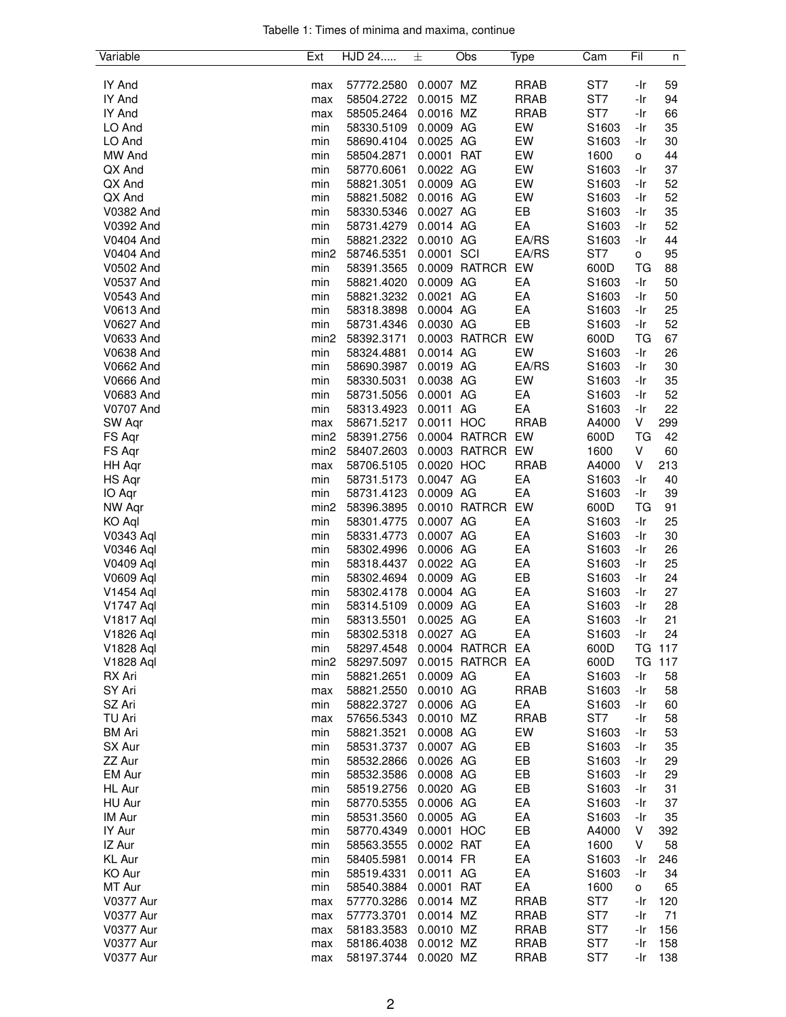| Tabelle 1: Times of minima and maxima, continue |  |  |  |
|-------------------------------------------------|--|--|--|
|                                                 |  |  |  |

| Variable              | Ext              | HJD 24                   | 士          | Obs              | Type        | Cam               | Fil            | n   |
|-----------------------|------------------|--------------------------|------------|------------------|-------------|-------------------|----------------|-----|
|                       |                  |                          |            |                  |             |                   |                |     |
| IY And                | max              | 57772.2580               | 0.0007 MZ  |                  | <b>RRAB</b> | ST7               | -Ir            | 59  |
| IY And                | max              | 58504.2722               | 0.0015 MZ  |                  | <b>RRAB</b> | ST7               | -Ir            | 94  |
| IY And                | max              | 58505.2464               | 0.0016 MZ  |                  | <b>RRAB</b> | ST7               | -Ir            | 66  |
| LO And                | min              | 58330.5109               | 0.0009 AG  |                  | EW          | S1603             | -Ir            | 35  |
| LO And                | min              | 58690.4104               | 0.0025 AG  |                  | EW          | S1603             | -Ir            | 30  |
| MW And                | min              | 58504.2871               | 0.0001 RAT |                  | EW          | 1600              | o              | 44  |
| QX And                | min              | 58770.6061               | 0.0022 AG  |                  | EW          | S1603             | -Ir            | 37  |
| QX And                | min              | 58821.3051               | 0.0009 AG  |                  | EW          | S <sub>1603</sub> | -Ir            | 52  |
| QX And                | min              | 58821.5082               | 0.0016 AG  |                  | EW          | S1603             | -Ir            | 52  |
| V0382 And             | min              | 58330.5346               | 0.0027 AG  |                  | EB          | S1603             | -Ir            | 35  |
| V0392 And             | min              | 58731.4279               | 0.0014 AG  |                  | EA          | S1603             | -Ir            | 52  |
| <b>V0404 And</b>      | min              | 58821.2322               | 0.0010 AG  |                  | EA/RS       | S1603             | -Ir            | 44  |
| <b>V0404 And</b>      | min <sub>2</sub> | 58746.5351               | 0.0001 SCI |                  | EA/RS       | ST7               | $\mathsf{o}\,$ | 95  |
| V0502 And             | min              | 58391.3565               |            | 0.0009 RATRCR    | EW          | 600D              | TG             | 88  |
|                       |                  |                          | 0.0009 AG  |                  | EA          |                   | -Ir            | 50  |
| <b>V0537 And</b>      | min              | 58821.4020<br>58821.3232 | 0.0021 AG  |                  | EA          | S1603             | -Ir            | 50  |
| V0543 And             | min              |                          |            |                  |             | S1603             |                |     |
| V0613 And             | min              | 58318.3898               | 0.0004 AG  |                  | EA          | S1603             | -Ir            | 25  |
| V0627 And             | min              | 58731.4346               | 0.0030 AG  |                  | EB          | S1603             | -Ir            | 52  |
| V0633 And             | min <sub>2</sub> | 58392.3171               |            | 0.0003 RATRCR    | EW          | 600D              | TG             | 67  |
| <b>V0638 And</b>      | min              | 58324.4881               | 0.0014 AG  |                  | EW          | S1603             | -Ir            | 26  |
| V0662 And             | min              | 58690.3987               | 0.0019 AG  |                  | EA/RS       | S1603             | -Ir            | 30  |
| <b>V0666 And</b>      | min              | 58330.5031               | 0.0038 AG  |                  | EW          | S1603             | -Ir            | 35  |
| V0683 And             | min              | 58731.5056               | 0.0001 AG  |                  | EA          | S1603             | -Ir            | 52  |
| <b>V0707 And</b>      | min              | 58313.4923               | 0.0011 AG  |                  | EA          | S1603             | -Ir            | 22  |
| SW Aqr                | max              | 58671.5217               | 0.0011 HOC |                  | <b>RRAB</b> | A4000             | V              | 299 |
| FS Aqr                | min <sub>2</sub> | 58391.2756               |            | 0.0004 RATRCR    | EW          | 600D              | <b>TG</b>      | 42  |
| FS Aqr                | min <sub>2</sub> | 58407.2603               |            | 0.0003 RATRCR EW |             | 1600              | V              | 60  |
| HH Aqr                | max              | 58706.5105               | 0.0020 HOC |                  | <b>RRAB</b> | A4000             | V              | 213 |
| HS Aqr                | min              | 58731.5173               | 0.0047 AG  |                  | EA          | S1603             | -Ir            | 40  |
| IO Aqr                | min              | 58731.4123               | 0.0009 AG  |                  | EA          | S1603             | -Ir            | 39  |
| NW Aqr                | min <sub>2</sub> | 58396.3895               |            | 0.0010 RATRCR    | EW          | 600D              | TG             | 91  |
| KO Aql                | min              | 58301.4775               | 0.0007 AG  |                  | EA          | S1603             | -Ir            | 25  |
| V0343 Aql             | min              | 58331.4773               | 0.0007 AG  |                  | EA          | S1603             | -Ir            | 30  |
| V0346 Aql             | min              | 58302.4996               | 0.0006 AG  |                  | EA          | S1603             | -Ir            | 26  |
| V0409 Aql             | min              | 58318.4437               | 0.0022 AG  |                  | EA          | S1603             | -Ir            | 25  |
| V0609 Aql             | min              | 58302.4694               | 0.0009 AG  |                  | EB          | S1603             | -Ir            | 24  |
| V1454 Aql             | min              | 58302.4178               | 0.0004 AG  |                  | EA          | S1603             | -Ir            | 27  |
| V1747 Aql             | min              | 58314.5109               | 0.0009 AG  |                  | EA          | S1603             | -Ir            | 28  |
|                       |                  |                          |            |                  | EA          |                   | -Ir            | 21  |
| V <sub>1817</sub> Aql | min              | 58313.5501               | 0.0025 AG  |                  |             | S1603             |                |     |
| V1826 Aql             | min              | 58302.5318               | 0.0027 AG  |                  | EA          | S1603             | -Ir            | 24  |
| V1828 Aql             | min              | 58297.4548               |            | 0.0004 RATRCR    | EA          | 600D              | ТG             | 117 |
| V1828 Aql             | min <sub>2</sub> | 58297.5097               |            | 0.0015 RATRCR EA |             | 600D              | ТG             | 117 |
| RX Ari                | min              | 58821.2651               | 0.0009 AG  |                  | EA          | S1603             | -Ir            | 58  |
| SY Ari                | max              | 58821.2550               | 0.0010 AG  |                  | <b>RRAB</b> | S1603             | -Ir            | 58  |
| SZ Ari                | min              | 58822.3727               | 0.0006 AG  |                  | EA          | S1603             | -Ir            | 60  |
| TU Ari                | max              | 57656.5343               | 0.0010 MZ  |                  | <b>RRAB</b> | ST <sub>7</sub>   | -Ir            | 58  |
| <b>BM Ari</b>         | min              | 58821.3521               | 0.0008 AG  |                  | EW          | S1603             | -Ir            | 53  |
| SX Aur                | min              | 58531.3737               | 0.0007 AG  |                  | EB          | S1603             | -Ir            | 35  |
| ZZ Aur                | min              | 58532.2866               | 0.0026 AG  |                  | EB          | S1603             | -Ir            | 29  |
| EM Aur                | min              | 58532.3586               | 0.0008 AG  |                  | EB          | S1603             | -Ir            | 29  |
| HL Aur                | min              | 58519.2756               | 0.0020 AG  |                  | EB          | S1603             | -Ir            | 31  |
| HU Aur                | min              | 58770.5355               | 0.0006 AG  |                  | EA          | S1603             | -Ir            | 37  |
| IM Aur                | min              | 58531.3560               | 0.0005 AG  |                  | EA          | S1603             | -Ir            | 35  |
| IY Aur                | min              | 58770.4349               | 0.0001 HOC |                  | EB          | A4000             | V              | 392 |
| IZ Aur                | min              | 58563.3555               | 0.0002 RAT |                  | EA          | 1600              | V              | 58  |
| KL Aur                | min              | 58405.5981               | 0.0014 FR  |                  | EA          | S1603             | -Ir            | 246 |
| KO Aur                | min              | 58519.4331               | 0.0011 AG  |                  | EA          | S <sub>1603</sub> | -Ir            | 34  |
| MT Aur                | min              | 58540.3884               | 0.0001 RAT |                  | EA          | 1600              | o              | 65  |
| <b>V0377 Aur</b>      | max              | 57770.3286               | 0.0014 MZ  |                  | <b>RRAB</b> | ST <sub>7</sub>   | -Ir            | 120 |
| <b>V0377 Aur</b>      |                  | 57773.3701               | 0.0014 MZ  |                  | <b>RRAB</b> | ST <sub>7</sub>   | -Ir            | 71  |
|                       | max              |                          |            |                  | <b>RRAB</b> | ST7               |                | 156 |
| <b>V0377 Aur</b>      | max              | 58183.3583               | 0.0010 MZ  |                  |             |                   | -Ir            |     |
| <b>V0377 Aur</b>      | max              | 58186.4038               | 0.0012 MZ  |                  | <b>RRAB</b> | ST <sub>7</sub>   | -Ir            | 158 |
| <b>V0377 Aur</b>      | max              | 58197.3744               | 0.0020 MZ  |                  | <b>RRAB</b> | ST7               | -Ir            | 138 |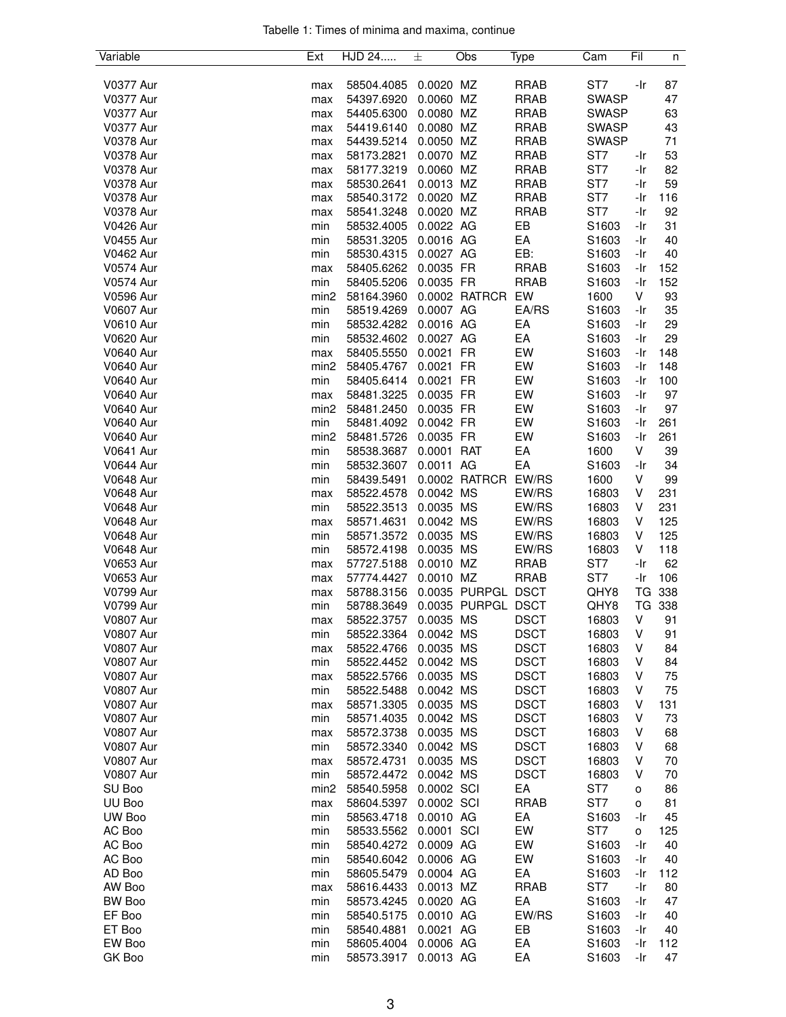| Tabelle 1: Times of minima and maxima, continue |  |  |  |
|-------------------------------------------------|--|--|--|
|                                                 |  |  |  |

| Variable                             | Ext              | HJD 24                   | 士                      | Obs                | Type           | Cam               | Fil    | n          |
|--------------------------------------|------------------|--------------------------|------------------------|--------------------|----------------|-------------------|--------|------------|
|                                      |                  |                          |                        |                    |                |                   |        |            |
| <b>V0377 Aur</b>                     | max              | 58504.4085               | 0.0020 MZ              |                    | <b>RRAB</b>    | ST <sub>7</sub>   | -Ir    | 87         |
| <b>V0377 Aur</b>                     | max              | 54397.6920               | 0.0060 MZ              |                    | <b>RRAB</b>    | <b>SWASP</b>      |        | 47         |
| <b>V0377 Aur</b>                     | max              | 54405.6300               | 0.0080 MZ              |                    | <b>RRAB</b>    | <b>SWASP</b>      |        | 63         |
| <b>V0377 Aur</b>                     | max              | 54419.6140               | 0.0080 MZ              |                    | <b>RRAB</b>    | <b>SWASP</b>      |        | 43         |
| <b>V0378 Aur</b>                     | max              | 54439.5214               | 0.0050 MZ              |                    | <b>RRAB</b>    | <b>SWASP</b>      |        | 71         |
| <b>V0378 Aur</b>                     | max              | 58173.2821               | 0.0070 MZ              |                    | <b>RRAB</b>    | ST <sub>7</sub>   | -Ir    | 53         |
| <b>V0378 Aur</b>                     | max              | 58177.3219               | 0.0060 MZ              |                    | <b>RRAB</b>    | ST <sub>7</sub>   | -Ir    | 82         |
| <b>V0378 Aur</b>                     | max              | 58530.2641               | 0.0013 MZ              |                    | <b>RRAB</b>    | ST7               | -Ir    | 59         |
| <b>V0378 Aur</b>                     | max              | 58540.3172               | 0.0020 MZ              |                    | <b>RRAB</b>    | ST7               | -Ir    | 116        |
| <b>V0378 Aur</b>                     | max              | 58541.3248               | 0.0020 MZ              |                    | <b>RRAB</b>    | ST7               | -Ir    | 92         |
| <b>V0426 Aur</b>                     | min              | 58532.4005               | 0.0022 AG              |                    | EB             | S1603             | -Ir    | 31         |
| <b>V0455 Aur</b>                     | min              | 58531.3205               | 0.0016 AG              |                    | EA             | S1603             | -Ir    | 40         |
| <b>V0462 Aur</b>                     | min              | 58530.4315               | 0.0027 AG              |                    | EB:            | S1603             | -Ir    | 40         |
| <b>V0574 Aur</b>                     | max              | 58405.6262               | 0.0035 FR              |                    | <b>RRAB</b>    | S1603             | -Ir    | 152        |
| <b>V0574 Aur</b>                     | min              | 58405.5206               | 0.0035 FR              |                    | <b>RRAB</b>    | S1603             | -Ir    | 152        |
| <b>V0596 Aur</b>                     | min <sub>2</sub> | 58164.3960               |                        | 0.0002 RATRCR      | EW             | 1600              | V      | 93         |
| <b>V0607 Aur</b>                     | min              | 58519.4269               | 0.0007 AG              |                    | EA/RS          | S1603             | -Ir    | 35         |
| <b>V0610 Aur</b>                     | min              | 58532.4282               | 0.0016 AG              |                    | EA             | S <sub>1603</sub> | -Ir    | 29         |
| <b>V0620 Aur</b>                     | min              | 58532.4602               | 0.0027 AG              |                    | EA             | S <sub>1603</sub> | -Ir    | 29         |
| <b>V0640 Aur</b>                     | max              | 58405.5550               | 0.0021 FR              |                    | EW             | S1603             | -Ir    | 148        |
| <b>V0640 Aur</b>                     | min <sub>2</sub> | 58405.4767               | 0.0021                 | <b>FR</b>          | EW             | S1603             | -Ir    | 148        |
| <b>V0640 Aur</b>                     | min              | 58405.6414               | 0.0021                 | <b>FR</b>          | EW             | S1603             | -Ir    | 100        |
| <b>V0640 Aur</b>                     | max              | 58481.3225               | 0.0035 FR              |                    | EW             | S1603             | -Ir    | 97         |
| <b>V0640 Aur</b>                     | min <sub>2</sub> | 58481.2450               | 0.0035 FR              |                    | EW             | S1603             | -Ir    | 97         |
| <b>V0640 Aur</b>                     | min              | 58481.4092               | 0.0042 FR              |                    | EW             | S1603             | -Ir    | 261        |
| <b>V0640 Aur</b>                     | min <sub>2</sub> | 58481.5726               | 0.0035 FR              |                    | EW             | S1603             | -Ir    | 261        |
| <b>V0641 Aur</b>                     | min              | 58538.3687               | 0.0001                 | <b>RAT</b>         | EA             | 1600              | V      | 39         |
| <b>V0644 Aur</b>                     | min              | 58532.3607               | 0.0011 AG              |                    | EA             | S1603             | -Ir    | 34         |
| <b>V0648 Aur</b>                     | min              | 58439.5491               |                        | 0.0002 RATRCR      | EW/RS          | 1600              | V      | 99         |
| <b>V0648 Aur</b>                     | max              | 58522.4578               | 0.0042 MS              |                    | EW/RS          | 16803             | V      | 231        |
| <b>V0648 Aur</b>                     | min              | 58522.3513               | 0.0035 MS              |                    | EW/RS          | 16803             | V<br>V | 231<br>125 |
| <b>V0648 Aur</b><br><b>V0648 Aur</b> | max              | 58571.4631<br>58571.3572 | 0.0042 MS<br>0.0035 MS |                    | EW/RS<br>EW/RS | 16803<br>16803    | V      | 125        |
| <b>V0648 Aur</b>                     | min<br>min       | 58572.4198               | 0.0035 MS              |                    | EW/RS          | 16803             | V      | 118        |
| <b>V0653 Aur</b>                     | max              | 57727.5188               | 0.0010 MZ              |                    | <b>RRAB</b>    | ST <sub>7</sub>   | -Ir    | 62         |
| <b>V0653 Aur</b>                     | max              | 57774.4427               | 0.0010 MZ              |                    | <b>RRAB</b>    | ST <sub>7</sub>   | -Ir    | 106        |
| <b>V0799 Aur</b>                     | max              | 58788.3156               |                        | 0.0035 PURPGL DSCT |                | QHY8              | TG     | 338        |
| V0799 Aur                            | min              | 58788.3649               |                        | 0.0035 PURPGL DSCT |                | QHY8              |        | TG 338     |
| <b>V0807 Aur</b>                     | max              | 58522.3757               | 0.0035 MS              |                    | <b>DSCT</b>    | 16803             | V      | 91         |
| <b>V0807 Aur</b>                     | min              | 58522.3364               | 0.0042 MS              |                    | <b>DSCT</b>    | 16803             | V      | 91         |
| <b>V0807 Aur</b>                     | max              | 58522.4766               | 0.0035 MS              |                    | <b>DSCT</b>    | 16803             | V      | 84         |
| <b>V0807 Aur</b>                     | min              | 58522.4452               | 0.0042 MS              |                    | <b>DSCT</b>    | 16803             | ٧      | 84         |
| <b>V0807 Aur</b>                     | max              | 58522.5766               | 0.0035 MS              |                    | <b>DSCT</b>    | 16803             | V      | 75         |
| <b>V0807 Aur</b>                     | min              | 58522.5488               | 0.0042 MS              |                    | <b>DSCT</b>    | 16803             | V      | 75         |
| <b>V0807 Aur</b>                     | max              | 58571.3305               | 0.0035 MS              |                    | <b>DSCT</b>    | 16803             | V      | 131        |
| <b>V0807 Aur</b>                     | min              | 58571.4035               | 0.0042 MS              |                    | <b>DSCT</b>    | 16803             | V      | 73         |
| <b>V0807 Aur</b>                     | max              | 58572.3738               | 0.0035 MS              |                    | <b>DSCT</b>    | 16803             | V      | 68         |
| <b>V0807 Aur</b>                     | min              | 58572.3340               | 0.0042 MS              |                    | <b>DSCT</b>    | 16803             | V      | 68         |
| <b>V0807 Aur</b>                     | max              | 58572.4731               | 0.0035 MS              |                    | <b>DSCT</b>    | 16803             | V      | 70         |
| <b>V0807 Aur</b>                     | min              | 58572.4472               | 0.0042 MS              |                    | <b>DSCT</b>    | 16803             | V      | 70         |
| SU Boo                               | min2             | 58540.5958               | 0.0002 SCI             |                    | EA             | ST <sub>7</sub>   | о      | 86         |
| UU Boo                               | max              | 58604.5397               | 0.0002 SCI             |                    | <b>RRAB</b>    | ST7               | o      | 81         |
| UW Boo                               | min              | 58563.4718               | 0.0010 AG              |                    | EA             | S1603             | -Ir    | 45         |
| AC Boo                               | min              | 58533.5562               | 0.0001 SCI             |                    | EW             | ST <sub>7</sub>   | о      | 125        |
| AC Boo                               | min              | 58540.4272               | 0.0009 AG              |                    | EW             | S1603             | -Ir    | 40         |
| AC Boo                               | min              | 58540.6042               | 0.0006 AG              |                    | EW             | S <sub>1603</sub> | -Ir    | 40         |
| AD Boo                               | min              | 58605.5479               | 0.0004 AG              |                    | EA             | S <sub>1603</sub> | -Ir    | 112        |
| AW Boo                               | max              | 58616.4433               | 0.0013 MZ              |                    | <b>RRAB</b>    | ST <sub>7</sub>   | -Ir    | 80         |
| BW Boo                               | min              | 58573.4245               | 0.0020 AG              |                    | EA             | S1603             | -Ir    | 47         |
| EF Boo                               | min              | 58540.5175               | 0.0010 AG              |                    | EW/RS          | S1603             | -Ir    | 40         |
| ET Boo                               | min              | 58540.4881               | 0.0021 AG              |                    | EB             | S1603             | -Ir    | 40         |
| EW Boo                               | min              | 58605.4004               | 0.0006 AG              |                    | EA             | S1603             | -Ir    | 112        |
| GK Boo                               | min              | 58573.3917               | 0.0013 AG              |                    | EA             | S1603             | -Ir    | 47         |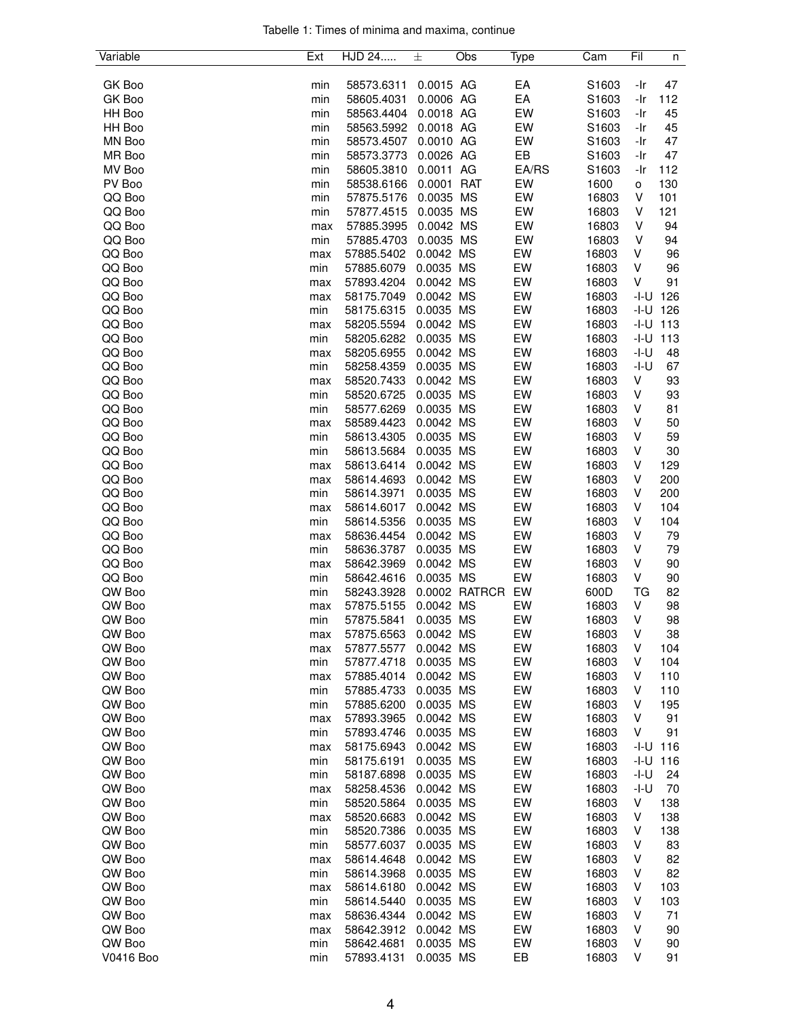|  |  |  | Tabelle 1: Times of minima and maxima, continue |  |
|--|--|--|-------------------------------------------------|--|
|  |  |  |                                                 |  |

| Variable  | Ext | HJD 24     | 士          | Obs           | Type  | Cam   | Fil    | n   |
|-----------|-----|------------|------------|---------------|-------|-------|--------|-----|
|           |     |            |            |               |       |       |        |     |
| GK Boo    | min | 58573.6311 | 0.0015 AG  |               | EA    | S1603 | -Ir    | 47  |
| GK Boo    | min | 58605.4031 | 0.0006 AG  |               | EA    | S1603 | -Ir    | 112 |
| HH Boo    | min | 58563.4404 | 0.0018 AG  |               | EW    | S1603 | -Ir    | 45  |
| HH Boo    | min | 58563.5992 | 0.0018 AG  |               | EW    | S1603 | -Ir    | 45  |
| MN Boo    | min | 58573.4507 | 0.0010 AG  |               | EW    | S1603 | -Ir    | 47  |
| MR Boo    | min | 58573.3773 | 0.0026 AG  |               | EB    | S1603 | -Ir    | 47  |
| MV Boo    | min | 58605.3810 | 0.0011 AG  |               | EA/RS | S1603 | -Ir    | 112 |
| PV Boo    | min | 58538.6166 | 0.0001 RAT |               | EW    | 1600  | о      | 130 |
| QQ Boo    | min | 57875.5176 | 0.0035 MS  |               | EW    | 16803 | ٧      | 101 |
| QQ Boo    | min | 57877.4515 | 0.0035 MS  |               | EW    | 16803 | ٧      | 121 |
| QQ Boo    |     | 57885.3995 | 0.0042 MS  |               | EW    | 16803 | V      | 94  |
|           | max |            | 0.0035 MS  |               | EW    | 16803 | V      | 94  |
| QQ Boo    | min | 57885.4703 |            |               |       |       |        |     |
| QQ Boo    | max | 57885.5402 | 0.0042 MS  |               | EW    | 16803 | v      | 96  |
| QQ Boo    | min | 57885.6079 | 0.0035 MS  |               | EW    | 16803 | ٧      | 96  |
| QQ Boo    | max | 57893.4204 | 0.0042 MS  |               | EW    | 16803 | V      | 91  |
| QQ Boo    | max | 58175.7049 | 0.0042 MS  |               | EW    | 16803 | -I-U   | 126 |
| QQ Boo    | min | 58175.6315 | 0.0035 MS  |               | EW    | 16803 | -I-U   | 126 |
| QQ Boo    | max | 58205.5594 | 0.0042 MS  |               | EW    | 16803 | -I-U   | 113 |
| QQ Boo    | min | 58205.6282 | 0.0035 MS  |               | EW    | 16803 | -I-U   | 113 |
| QQ Boo    | max | 58205.6955 | 0.0042 MS  |               | EW    | 16803 | $-I-U$ | 48  |
| QQ Boo    | min | 58258.4359 | 0.0035 MS  |               | EW    | 16803 | -I-U   | 67  |
| QQ Boo    | max | 58520.7433 | 0.0042 MS  |               | EW    | 16803 | V      | 93  |
| QQ Boo    | min | 58520.6725 | 0.0035 MS  |               | EW    | 16803 | ٧      | 93  |
| QQ Boo    | min | 58577.6269 | 0.0035 MS  |               | EW    | 16803 | V      | 81  |
| QQ Boo    | max | 58589.4423 | 0.0042 MS  |               | EW    | 16803 | ٧      | 50  |
| QQ Boo    | min | 58613.4305 | 0.0035 MS  |               | EW    | 16803 | V      | 59  |
| QQ Boo    | min | 58613.5684 | 0.0035 MS  |               | EW    | 16803 | V      | 30  |
|           |     |            | 0.0042 MS  |               | EW    |       | V      |     |
| QQ Boo    | max | 58613.6414 |            |               |       | 16803 |        | 129 |
| QQ Boo    | max | 58614.4693 | 0.0042 MS  |               | EW    | 16803 | V      | 200 |
| QQ Boo    | min | 58614.3971 | 0.0035 MS  |               | EW    | 16803 | v      | 200 |
| QQ Boo    | max | 58614.6017 | 0.0042 MS  |               | EW    | 16803 | v      | 104 |
| QQ Boo    | min | 58614.5356 | 0.0035 MS  |               | EW    | 16803 | V      | 104 |
| QQ Boo    | max | 58636.4454 | 0.0042 MS  |               | EW    | 16803 | V      | 79  |
| QQ Boo    | min | 58636.3787 | 0.0035 MS  |               | EW    | 16803 | V      | 79  |
| QQ Boo    | max | 58642.3969 | 0.0042 MS  |               | EW    | 16803 | V      | 90  |
| QQ Boo    | min | 58642.4616 | 0.0035 MS  |               | EW    | 16803 | V      | 90  |
| QW Boo    | min | 58243.3928 |            | 0.0002 RATRCR | EW    | 600D  | TG     | 82  |
| QW Boo    | max | 57875.5155 | 0.0042 MS  |               | EW    | 16803 | V      | 98  |
| QW Boo    | min | 57875.5841 | 0.0035 MS  |               | EW    | 16803 | V      | 98  |
| QW Boo    | max | 57875.6563 | 0.0042 MS  |               | EW    | 16803 | V      | 38  |
| QW Boo    | max | 57877.5577 | 0.0042 MS  |               | EW    | 16803 | V      | 104 |
| QW Boo    | min | 57877.4718 | 0.0035 MS  |               | EW    | 16803 | v      | 104 |
| QW Boo    | max | 57885.4014 | 0.0042 MS  |               | EW    | 16803 | ٧      | 110 |
| QW Boo    | min | 57885.4733 | 0.0035 MS  |               | EW    | 16803 | V      | 110 |
| QW Boo    | min | 57885.6200 | 0.0035 MS  |               | EW    | 16803 | V      | 195 |
| QW Boo    | max | 57893.3965 | 0.0042 MS  |               | EW    | 16803 | V      | 91  |
| QW Boo    | min | 57893.4746 | 0.0035 MS  |               | EW    | 16803 | V      | 91  |
| QW Boo    | max | 58175.6943 | 0.0042 MS  |               | EW    | 16803 | -I-U   | 116 |
| QW Boo    | min | 58175.6191 | 0.0035 MS  |               | EW    | 16803 | -I-U   | 116 |
|           |     |            |            |               | EW    |       |        |     |
| QW Boo    | min | 58187.6898 | 0.0035 MS  |               |       | 16803 | -I-U   | 24  |
| QW Boo    | max | 58258.4536 | 0.0042 MS  |               | EW    | 16803 | -I-U   | 70  |
| QW Boo    | min | 58520.5864 | 0.0035 MS  |               | EW    | 16803 | V      | 138 |
| QW Boo    | max | 58520.6683 | 0.0042 MS  |               | EW    | 16803 | ٧      | 138 |
| QW Boo    | min | 58520.7386 | 0.0035 MS  |               | EW    | 16803 | ٧      | 138 |
| QW Boo    | min | 58577.6037 | 0.0035 MS  |               | EW    | 16803 | V      | 83  |
| QW Boo    | max | 58614.4648 | 0.0042 MS  |               | EW    | 16803 | V      | 82  |
| QW Boo    | min | 58614.3968 | 0.0035 MS  |               | EW    | 16803 | V      | 82  |
| QW Boo    | max | 58614.6180 | 0.0042 MS  |               | EW    | 16803 | V      | 103 |
| QW Boo    | min | 58614.5440 | 0.0035 MS  |               | EW    | 16803 | ٧      | 103 |
| QW Boo    | max | 58636.4344 | 0.0042 MS  |               | EW    | 16803 | ٧      | 71  |
| QW Boo    | max | 58642.3912 | 0.0042 MS  |               | EW    | 16803 | V      | 90  |
| QW Boo    | min | 58642.4681 | 0.0035 MS  |               | EW    | 16803 | V      | 90  |
| V0416 Boo | min | 57893.4131 | 0.0035 MS  |               | EB    | 16803 | V      | 91  |
|           |     |            |            |               |       |       |        |     |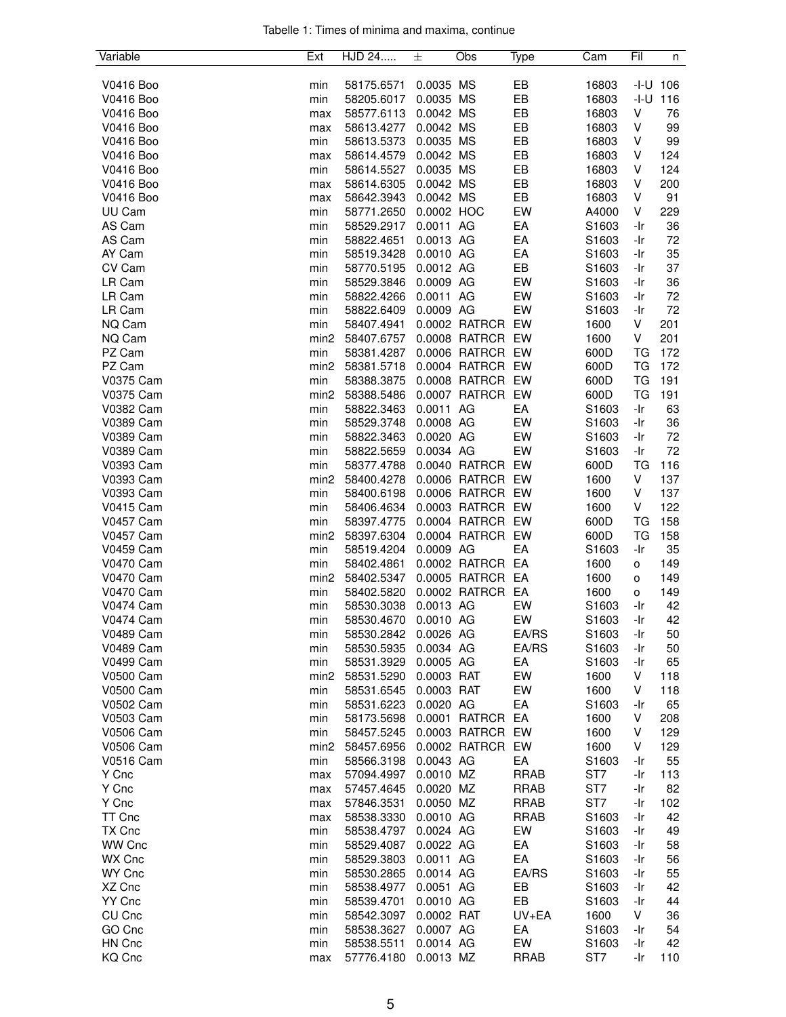| Tabelle 1: Times of minima and maxima, continue |  |  |  |
|-------------------------------------------------|--|--|--|
|                                                 |  |  |  |

| Variable         | Ext              | HJD 24     | 士          | Obs              | Type        | Cam               | Fil       | n            |
|------------------|------------------|------------|------------|------------------|-------------|-------------------|-----------|--------------|
|                  |                  |            |            |                  |             |                   |           |              |
| V0416 Boo        | min              | 58175.6571 | 0.0035 MS  |                  | EB          | 16803             |           | $-1 - U$ 106 |
| V0416 Boo        | min              | 58205.6017 | 0.0035     | <b>MS</b>        | EB          | 16803             |           | $-1 - U$ 116 |
| V0416 Boo        | max              | 58577.6113 | 0.0042 MS  |                  | EB          | 16803             | V         | 76           |
| V0416 Boo        | max              | 58613.4277 | 0.0042 MS  |                  | EB          | 16803             | V         | 99           |
| V0416 Boo        | min              | 58613.5373 | 0.0035 MS  |                  | EB          | 16803             | V         | 99           |
| V0416 Boo        |                  | 58614.4579 | 0.0042 MS  |                  | EB          | 16803             | V         | 124          |
|                  | max              |            |            |                  |             |                   |           |              |
| V0416 Boo        | min              | 58614.5527 | 0.0035 MS  |                  | EB          | 16803             | V         | 124          |
| V0416 Boo        | max              | 58614.6305 | 0.0042 MS  |                  | EB          | 16803             | V         | 200          |
| V0416 Boo        | max              | 58642.3943 | 0.0042 MS  |                  | EB          | 16803             | V         | 91           |
| UU Cam           | min              | 58771.2650 | 0.0002 HOC |                  | EW          | A4000             | V         | 229          |
| AS Cam           | min              | 58529.2917 | 0.0011 AG  |                  | EA          | S1603             | -Ir       | 36           |
| AS Cam           | min              | 58822.4651 | 0.0013 AG  |                  | EA          | S1603             | -Ir       | 72           |
| AY Cam           | min              | 58519.3428 | 0.0010 AG  |                  | EA          | S1603             | -Ir       | 35           |
| CV Cam           | min              | 58770.5195 | 0.0012 AG  |                  | EB          | S1603             | -Ir       | 37           |
| LR Cam           | min              | 58529.3846 | 0.0009 AG  |                  | EW          | S1603             | -Ir       | 36           |
| LR Cam           | min              | 58822.4266 | 0.0011 AG  |                  | EW          | S1603             | -Ir       | 72           |
| LR Cam           | min              | 58822.6409 | 0.0009 AG  |                  | EW          | S1603             | -Ir       | 72           |
| NQ Cam           | min              | 58407.4941 |            | 0.0002 RATRCR EW |             | 1600              | V         | 201          |
| NQ Cam           | min <sub>2</sub> | 58407.6757 |            | 0.0008 RATRCR EW |             | 1600              | V         | 201          |
| PZ Cam           | min              | 58381.4287 |            | 0.0006 RATRCR EW |             | 600D              | TG        | 172          |
| PZ Cam           | min <sub>2</sub> | 58381.5718 |            | 0.0004 RATRCR    | EW          | 600D              | TG        | 172          |
| V0375 Cam        | min              | 58388.3875 |            | 0.0008 RATRCR    | EW          | 600D              | <b>TG</b> | 191          |
| V0375 Cam        | min <sub>2</sub> | 58388.5486 |            | 0.0007 RATRCR    | EW          | 600D              | TG        | 191          |
| V0382 Cam        | min              | 58822.3463 | 0.0011 AG  |                  | EA          | S1603             | -Ir       | 63           |
| <b>V0389 Cam</b> |                  | 58529.3748 | 0.0008 AG  |                  | EW          |                   | -Ir       |              |
|                  | min              |            |            |                  |             | S1603             |           | 36           |
| V0389 Cam        | min              | 58822.3463 | 0.0020 AG  |                  | EW          | S1603             | -Ir       | 72           |
| V0389 Cam        | min              | 58822.5659 | 0.0034 AG  |                  | EW          | S1603             | -Ir       | 72           |
| V0393 Cam        | min              | 58377.4788 |            | 0.0040 RATRCR EW |             | 600D              | TG        | 116          |
| V0393 Cam        | min <sub>2</sub> | 58400.4278 |            | 0.0006 RATRCR EW |             | 1600              | V         | 137          |
| V0393 Cam        | min              | 58400.6198 |            | 0.0006 RATRCR EW |             | 1600              | V         | 137          |
| <b>V0415 Cam</b> | min              | 58406.4634 |            | 0.0003 RATRCR EW |             | 1600              | V         | 122          |
| <b>V0457 Cam</b> | min              | 58397.4775 |            | 0.0004 RATRCR    | EW          | 600D              | TG        | 158          |
| <b>V0457 Cam</b> | min <sub>2</sub> | 58397.6304 |            | 0.0004 RATRCR    | EW          | 600D              | TG        | 158          |
| <b>V0459 Cam</b> | min              | 58519.4204 | 0.0009 AG  |                  | EA          | S <sub>1603</sub> | -Ir       | 35           |
| <b>V0470 Cam</b> | min              | 58402.4861 |            | 0.0002 RATRCR EA |             | 1600              | o         | 149          |
| <b>V0470 Cam</b> | min <sub>2</sub> | 58402.5347 |            | 0.0005 RATRCR EA |             | 1600              | o         | 149          |
| V0470 Cam        | min              | 58402.5820 |            | 0.0002 RATRCR EA |             | 1600              | o         | 149          |
| <b>V0474 Cam</b> | min              | 58530.3038 | 0.0013 AG  |                  | EW          | S1603             | -Ir       | 42           |
| <b>V0474 Cam</b> | min              | 58530.4670 | 0.0010 AG  |                  | EW          | S1603             | -Ir       | 42           |
| <b>V0489 Cam</b> | min              | 58530.2842 | 0.0026 AG  |                  | EA/RS       | S1603             | -Ir       | 50           |
| <b>V0489 Cam</b> | min              | 58530.5935 | 0.0034 AG  |                  | EA/RS       | S1603             | -Ir       | 50           |
| V0499 Cam        | min              | 58531.3929 | 0.0005 AG  |                  | EA          | S1603             | -Ir       | 65           |
| V0500 Cam        | min <sub>2</sub> | 58531.5290 | 0.0003 RAT |                  | EW          | 1600              | V         | 118          |
| <b>V0500 Cam</b> | min              | 58531.6545 | 0.0003 RAT |                  | EW          | 1600              | V         | 118          |
| V0502 Cam        | min              | 58531.6223 | 0.0020 AG  |                  | EA          | S <sub>1603</sub> | -Ir       | 65           |
| V0503 Cam        | min              | 58173.5698 |            | 0.0001 RATRCR EA |             | 1600              | V         | 208          |
| <b>V0506 Cam</b> |                  |            |            |                  |             |                   |           |              |
|                  | min              | 58457.5245 |            | 0.0003 RATRCR EW |             | 1600              | V         | 129          |
| <b>V0506 Cam</b> | min <sub>2</sub> | 58457.6956 |            | 0.0002 RATRCR EW |             | 1600              | V         | 129          |
| <b>V0516 Cam</b> | min              | 58566.3198 | 0.0043 AG  |                  | EA          | S1603             | -Ir       | 55           |
| Y Cnc            | max              | 57094.4997 | 0.0010 MZ  |                  | <b>RRAB</b> | ST <sub>7</sub>   | -Ir       | 113          |
| Y Cnc            | max              | 57457.4645 | 0.0020 MZ  |                  | <b>RRAB</b> | ST7               | -Ir       | 82           |
| Y Cnc            | max              | 57846.3531 | 0.0050 MZ  |                  | <b>RRAB</b> | ST7               | -Ir       | 102          |
| TT Cnc           | max              | 58538.3330 | 0.0010 AG  |                  | <b>RRAB</b> | S1603             | -Ir       | 42           |
| TX Cnc           | min              | 58538.4797 | 0.0024 AG  |                  | EW          | S1603             | -Ir       | 49           |
| WW Cnc           | min              | 58529.4087 | 0.0022 AG  |                  | EA          | S1603             | -Ir       | 58           |
| WX Cnc           | min              | 58529.3803 | 0.0011 AG  |                  | EA          | S <sub>1603</sub> | -Ir       | 56           |
| WY Cnc           | min              | 58530.2865 | 0.0014 AG  |                  | EA/RS       | S1603             | -Ir       | 55           |
| XZ Cnc           | min              | 58538.4977 | 0.0051 AG  |                  | EB          | S1603             | -Ir       | 42           |
| YY Cnc           | min              | 58539.4701 | 0.0010 AG  |                  | EB          | S1603             | -Ir       | 44           |
| CU Cnc           | min              | 58542.3097 | 0.0002 RAT |                  | UV+EA       | 1600              | V         | 36           |
| GO Cnc           | min              | 58538.3627 | 0.0007 AG  |                  | EA          | S1603             | -Ir       | 54           |
| HN Cnc           | min              | 58538.5511 | 0.0014 AG  |                  | EW          | S1603             | -Ir       | 42           |
| KQ Cnc           | max              | 57776.4180 | 0.0013 MZ  |                  | <b>RRAB</b> | ST7               | -Ir       | 110          |
|                  |                  |            |            |                  |             |                   |           |              |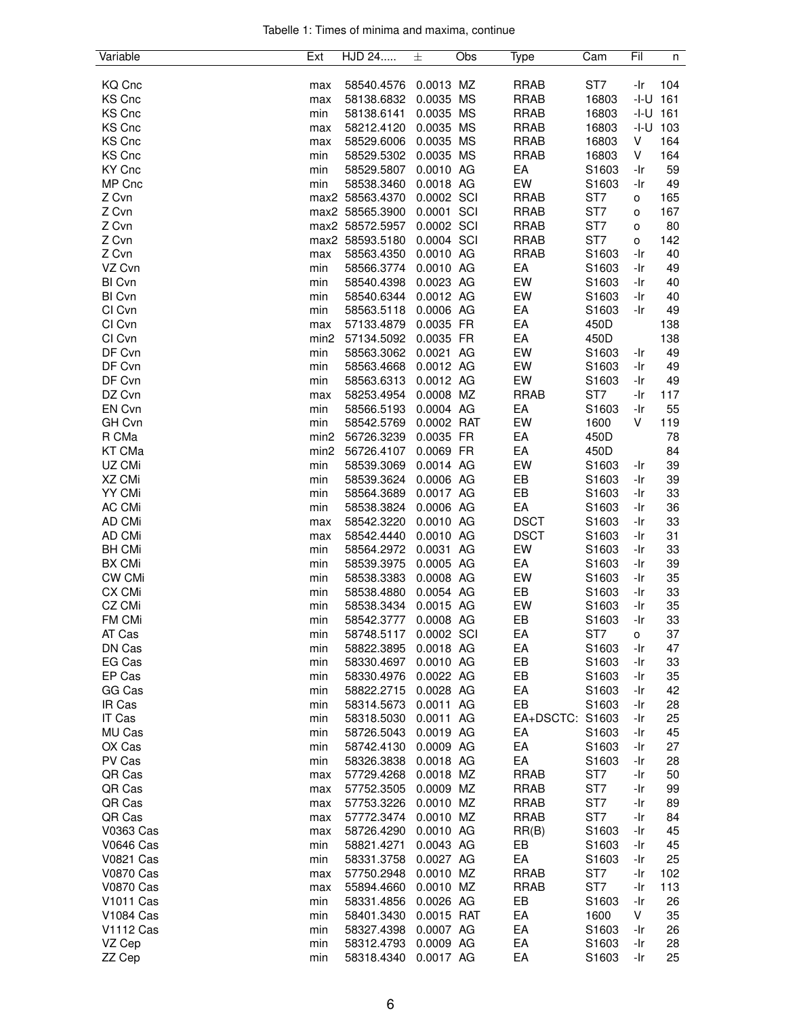| Tabelle 1: Times of minima and maxima, continue |  |  |  |
|-------------------------------------------------|--|--|--|
|                                                 |  |  |  |

| Variable         | Ext              | HJD 24          | 士          | Obs | Type            | Cam   | Fil            | n   |
|------------------|------------------|-----------------|------------|-----|-----------------|-------|----------------|-----|
|                  |                  |                 |            |     |                 |       |                |     |
| KQ Cnc           | max              | 58540.4576      | 0.0013 MZ  |     | <b>RRAB</b>     | ST7   | -Ir            | 104 |
| <b>KS Cnc</b>    | max              | 58138.6832      | 0.0035 MS  |     | <b>RRAB</b>     | 16803 | -I-U           | 161 |
| KS Cnc           | min              | 58138.6141      | 0.0035 MS  |     | <b>RRAB</b>     | 16803 | -I-U           | 161 |
| <b>KS Cnc</b>    | max              | 58212.4120      | 0.0035 MS  |     | <b>RRAB</b>     | 16803 | -I-U           | 103 |
| KS Cnc           | max              | 58529.6006      | 0.0035 MS  |     | <b>RRAB</b>     | 16803 | V              | 164 |
| KS Cnc           | min              | 58529.5302      | 0.0035 MS  |     | <b>RRAB</b>     | 16803 | V              | 164 |
| KY Cnc           | min              | 58529.5807      | 0.0010 AG  |     | EA              | S1603 | -Ir            | 59  |
| MP Cnc           | min              | 58538.3460      | 0.0018 AG  |     | EW              | S1603 | -Ir            | 49  |
| Z Cvn            |                  | max2 58563.4370 | 0.0002 SCI |     | <b>RRAB</b>     | ST7   | $\mathsf{o}\,$ | 165 |
| Z Cvn            |                  | max2 58565.3900 | 0.0001 SCI |     | <b>RRAB</b>     | ST7   | o              | 167 |
| Z Cvn            |                  | max2 58572.5957 | 0.0002 SCI |     | <b>RRAB</b>     | ST7   | o              | 80  |
| Z Cvn            |                  | max2 58593.5180 | 0.0004 SCI |     | <b>RRAB</b>     | ST7   | o              | 142 |
| Z Cvn            | max              | 58563.4350      | 0.0010 AG  |     | <b>RRAB</b>     | S1603 | -Ir            | 40  |
| VZ Cvn           | min              | 58566.3774      | 0.0010 AG  |     | EA              | S1603 | -Ir            | 49  |
| <b>BI Cvn</b>    | min              | 58540.4398      | 0.0023 AG  |     | EW              | S1603 | -Ir            | 40  |
| BI Cvn           | min              | 58540.6344      | 0.0012 AG  |     | EW              | S1603 | -Ir            | 40  |
| CI Cvn           | min              | 58563.5118      | 0.0006 AG  |     | EA              | S1603 | -Ir            | 49  |
| CI Cvn           | max              | 57133.4879      | 0.0035 FR  |     | EA              | 450D  |                | 138 |
| CI Cvn           | min2             | 57134.5092      | 0.0035 FR  |     | EA              | 450D  |                | 138 |
| DF Cvn           | min              | 58563.3062      | 0.0021 AG  |     | EW              | S1603 | -Ir            | 49  |
| DF Cvn           | min              | 58563.4668      | 0.0012 AG  |     | EW              | S1603 | -Ir            | 49  |
| DF Cvn           | min              | 58563.6313      | 0.0012 AG  |     | EW              | S1603 | -Ir            | 49  |
| DZ Cvn           | max              | 58253.4954      | 0.0008 MZ  |     | <b>RRAB</b>     | ST7   | -Ir            | 117 |
| EN Cvn           | min              | 58566.5193      | 0.0004 AG  |     | EA              | S1603 | -Ir            | 55  |
| GH Cvn           | min              | 58542.5769      | 0.0002 RAT |     | EW              | 1600  | V              | 119 |
| R CMa            | min <sub>2</sub> | 56726.3239      | 0.0035 FR  |     | EA              | 450D  |                | 78  |
| KT CMa           | min <sub>2</sub> | 56726.4107      | 0.0069 FR  |     | EA              | 450D  |                | 84  |
| UZ CMi           | min              | 58539.3069      | 0.0014 AG  |     | EW              | S1603 | -Ir            | 39  |
| XZ CMi           | min              | 58539.3624      | 0.0006 AG  |     | EB              | S1603 | -Ir            | 39  |
| YY CMi           | min              | 58564.3689      | 0.0017 AG  |     | EB              | S1603 | -Ir            | 33  |
| AC CMi           | min              | 58538.3824      | 0.0006 AG  |     | EA              | S1603 | -Ir            | 36  |
| AD CMi           | max              | 58542.3220      | 0.0010 AG  |     | <b>DSCT</b>     | S1603 | -Ir            | 33  |
| AD CMi           | max              | 58542.4440      | 0.0010 AG  |     | <b>DSCT</b>     | S1603 | -Ir            | 31  |
| <b>BH CMi</b>    | min              | 58564.2972      | 0.0031 AG  |     | EW              | S1603 | -Ir            | 33  |
| BX CMi           | min              | 58539.3975      | 0.0005 AG  |     | EA              | S1603 | -Ir            | 39  |
| CW CMi           | min              | 58538.3383      | 0.0008 AG  |     | EW              | S1603 | -Ir            | 35  |
| CX CMi           | min              | 58538.4880      | 0.0054 AG  |     | EB              | S1603 | -Ir            | 33  |
| CZ CMi           | min              | 58538.3434      | 0.0015 AG  |     | EW              | S1603 | -Ir            | 35  |
| FM CMi           | min              | 58542.3777      | 0.0008 AG  |     | EB              | S1603 | -Ir            | 33  |
| AT Cas           | min              | 58748.5117      | 0.0002 SCI |     | EA              | ST7   | o              | 37  |
| DN Cas           | min              | 58822.3895      | 0.0018 AG  |     | EA              | S1603 | -Ir            | 47  |
| EG Cas           | min              | 58330.4697      | 0.0010 AG  |     | EB              | S1603 | -Ir            | 33  |
| EP Cas           | min              | 58330.4976      | 0.0022 AG  |     | EB              | S1603 | -Ir            | 35  |
| GG Cas           | min              | 58822.2715      | 0.0028 AG  |     | EA              | S1603 | -Ir            | 42  |
| IR Cas           | min              | 58314.5673      | 0.0011 AG  |     | EB              | S1603 | -Ir            | 28  |
| IT Cas           | min              | 58318.5030      | 0.0011 AG  |     | EA+DSCTC: S1603 |       | -Ir            | 25  |
| MU Cas           | min              | 58726.5043      | 0.0019 AG  |     | EA              | S1603 | -Ir            | 45  |
| OX Cas           | min              | 58742.4130      | 0.0009 AG  |     | EA              | S1603 | -Ir            | 27  |
| PV Cas           | min              | 58326.3838      | 0.0018 AG  |     | EA              | S1603 | -Ir            | 28  |
| QR Cas           | max              | 57729.4268      | 0.0018 MZ  |     | <b>RRAB</b>     | ST7   | -Ir            | 50  |
| QR Cas           | max              | 57752.3505      | 0.0009 MZ  |     | <b>RRAB</b>     | ST7   | -Ir            | 99  |
| QR Cas           | max              | 57753.3226      | 0.0010 MZ  |     | <b>RRAB</b>     | ST7   | -Ir            | 89  |
| QR Cas           | max              | 57772.3474      | 0.0010 MZ  |     | <b>RRAB</b>     | ST7   | -Ir            | 84  |
| V0363 Cas        | max              | 58726.4290      | 0.0010 AG  |     | RR(B)           | S1603 | -Ir            | 45  |
| <b>V0646 Cas</b> | min              | 58821.4271      | 0.0043 AG  |     | EB              | S1603 | -Ir            | 45  |
| <b>V0821 Cas</b> | min              | 58331.3758      | 0.0027 AG  |     | EA              | S1603 | -Ir            | 25  |
| V0870 Cas        | max              | 57750.2948      | 0.0010 MZ  |     | <b>RRAB</b>     | ST7   | -Ir            | 102 |
| V0870 Cas        | max              | 55894.4660      | 0.0010 MZ  |     | <b>RRAB</b>     | ST7   | -Ir            | 113 |
| V1011 Cas        | min              | 58331.4856      | 0.0026 AG  |     | EB              | S1603 | -Ir            | 26  |
| V1084 Cas        | min              | 58401.3430      | 0.0015 RAT |     | EA              | 1600  | V              | 35  |
| V1112 Cas        | min              | 58327.4398      | 0.0007 AG  |     | EA              | S1603 | -Ir            | 26  |
| VZ Cep           | min              | 58312.4793      | 0.0009 AG  |     | EA              | S1603 | -Ir            | 28  |
| ZZ Cep           | min              | 58318.4340      | 0.0017 AG  |     | EA              | S1603 | -Ir            | 25  |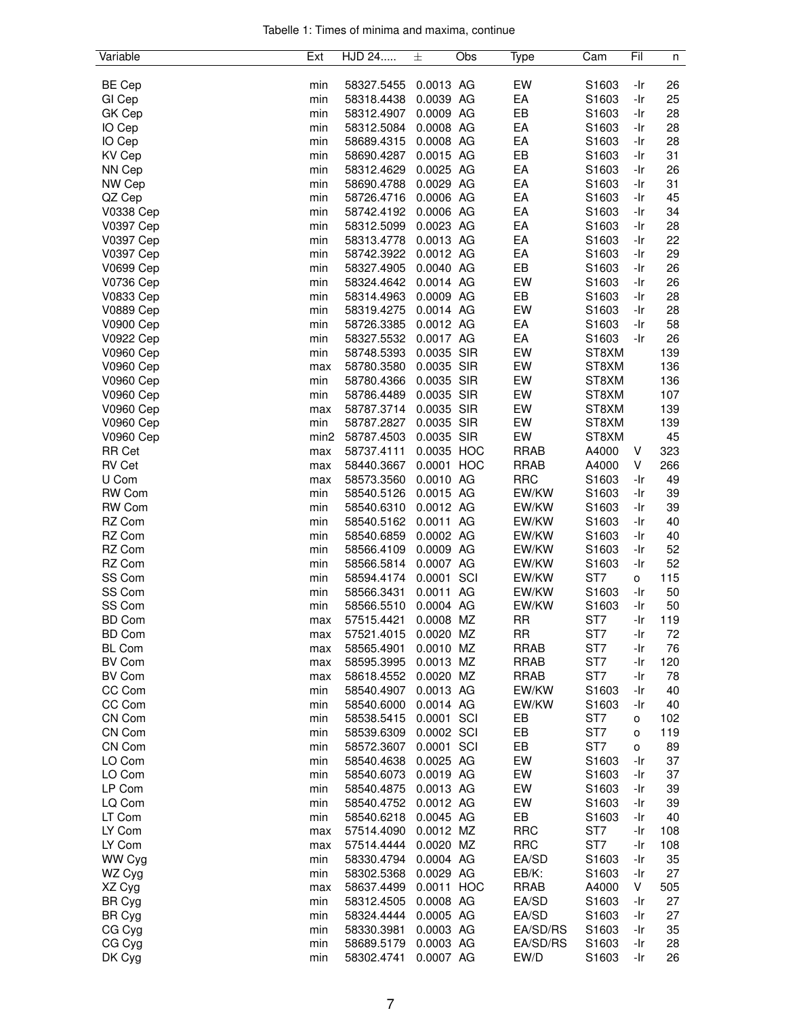|  |  |  | Tabelle 1: Times of minima and maxima, continue |  |
|--|--|--|-------------------------------------------------|--|
|  |  |  |                                                 |  |

| Variable         | Ext              | HJD 24     | 士          | Obs | Type        | Cam   | Fil | n   |
|------------------|------------------|------------|------------|-----|-------------|-------|-----|-----|
|                  |                  |            |            |     |             |       |     |     |
| <b>BE Cep</b>    | min              | 58327.5455 | 0.0013 AG  |     | EW          | S1603 | -Ir | 26  |
| GI Cep           | min              | 58318.4438 | 0.0039 AG  |     | EA          | S1603 | -Ir | 25  |
| GK Cep           | min              | 58312.4907 | 0.0009 AG  |     | EB          | S1603 | -Ir | 28  |
| IO Cep           | min              | 58312.5084 | 0.0008 AG  |     | EA          | S1603 | -Ir | 28  |
| IO Cep           | min              | 58689.4315 | 0.0008 AG  |     | EA          | S1603 | -Ir | 28  |
| <b>KV Cep</b>    | min              | 58690.4287 | 0.0015 AG  |     | EB          | S1603 | -Ir | 31  |
| NN Cep           | min              | 58312.4629 | 0.0025 AG  |     | EA          | S1603 | -Ir | 26  |
| NW Cep           | min              | 58690.4788 | 0.0029 AG  |     | EA          | S1603 | -Ir | 31  |
| QZ Cep           | min              | 58726.4716 | 0.0006 AG  |     | EA          | S1603 | -Ir | 45  |
| V0338 Cep        | min              | 58742.4192 | 0.0006 AG  |     | EA          | S1603 | -Ir | 34  |
| V0397 Cep        | min              | 58312.5099 | 0.0023 AG  |     | EA          | S1603 | -Ir | 28  |
| V0397 Cep        | min              | 58313.4778 | 0.0013 AG  |     | EA          | S1603 | -Ir | 22  |
| V0397 Cep        | min              | 58742.3922 | 0.0012 AG  |     | EA          | S1603 | -Ir | 29  |
|                  |                  |            |            |     |             |       |     |     |
| V0699 Cep        | min              | 58327.4905 | 0.0040 AG  |     | EB          | S1603 | -Ir | 26  |
| V0736 Cep        | min              | 58324.4642 | 0.0014 AG  |     | EW          | S1603 | -Ir | 26  |
| V0833 Cep        | min              | 58314.4963 | 0.0009 AG  |     | EB          | S1603 | -Ir | 28  |
| <b>V0889 Cep</b> | min              | 58319.4275 | 0.0014 AG  |     | EW          | S1603 | -Ir | 28  |
| V0900 Cep        | min              | 58726.3385 | 0.0012 AG  |     | EA          | S1603 | -Ir | 58  |
| <b>V0922 Cep</b> | min              | 58327.5532 | 0.0017 AG  |     | EA          | S1603 | -Ir | 26  |
| <b>V0960 Cep</b> | min              | 58748.5393 | 0.0035 SIR |     | EW          | ST8XM |     | 139 |
| V0960 Cep        | max              | 58780.3580 | 0.0035 SIR |     | EW          | ST8XM |     | 136 |
| <b>V0960 Cep</b> | min              | 58780.4366 | 0.0035 SIR |     | EW          | ST8XM |     | 136 |
| <b>V0960 Cep</b> | min              | 58786.4489 | 0.0035 SIR |     | EW          | ST8XM |     | 107 |
| <b>V0960 Cep</b> | max              | 58787.3714 | 0.0035 SIR |     | EW          | ST8XM |     | 139 |
| <b>V0960 Cep</b> | min              | 58787.2827 | 0.0035 SIR |     | EW          | ST8XM |     | 139 |
| V0960 Cep        | min <sub>2</sub> | 58787.4503 | 0.0035 SIR |     | EW          | ST8XM |     | 45  |
| <b>RR Cet</b>    | max              | 58737.4111 | 0.0035 HOC |     | <b>RRAB</b> | A4000 | V   | 323 |
| <b>RV Cet</b>    | max              | 58440.3667 | 0.0001 HOC |     | <b>RRAB</b> | A4000 | V   | 266 |
| U Com            | max              | 58573.3560 | 0.0010 AG  |     | <b>RRC</b>  | S1603 | -Ir | 49  |
| <b>RW Com</b>    | min              | 58540.5126 | 0.0015 AG  |     | EW/KW       | S1603 | -Ir | 39  |
|                  |                  |            | 0.0012 AG  |     |             |       | -Ir |     |
| <b>RW Com</b>    | min              | 58540.6310 |            |     | EW/KW       | S1603 |     | 39  |
| RZ Com           | min              | 58540.5162 | 0.0011 AG  |     | EW/KW       | S1603 | -Ir | 40  |
| RZ Com           | min              | 58540.6859 | 0.0002 AG  |     | EW/KW       | S1603 | -Ir | 40  |
| RZ Com           | min              | 58566.4109 | 0.0009 AG  |     | EW/KW       | S1603 | -Ir | 52  |
| RZ Com           | min              | 58566.5814 | 0.0007 AG  |     | EW/KW       | S1603 | -Ir | 52  |
| SS Com           | min              | 58594.4174 | 0.0001 SCI |     | EW/KW       | ST7   | 0   | 115 |
| SS Com           | min              | 58566.3431 | 0.0011 AG  |     | EW/KW       | S1603 | -Ir | 50  |
| SS Com           | min              | 58566.5510 | 0.0004 AG  |     | EW/KW       | S1603 | -Ir | 50  |
| <b>BD Com</b>    | max              | 57515.4421 | 0.0008 MZ  |     | <b>RR</b>   | ST7   | -Ir | 119 |
| <b>BD Com</b>    | max              | 57521.4015 | 0.0020 MZ  |     | <b>RR</b>   | ST7   | -Ir | 72  |
| <b>BL Com</b>    | max              | 58565.4901 | 0.0010 MZ  |     | <b>RRAB</b> | ST7   | -Ir | 76  |
| <b>BV Com</b>    | max              | 58595.3995 | 0.0013 MZ  |     | <b>RRAB</b> | ST7   | -Ir | 120 |
| <b>BV Com</b>    | max              | 58618.4552 | 0.0020 MZ  |     | <b>RRAB</b> | ST7   | -Ir | 78  |
| CC Com           | min              | 58540.4907 | 0.0013 AG  |     | EW/KW       | S1603 | -Ir | 40  |
| CC Com           | min              | 58540.6000 | 0.0014 AG  |     | EW/KW       | S1603 | -Ir | 40  |
| CN Com           | min              | 58538.5415 | 0.0001 SCI |     | EB          | ST7   | o   | 102 |
| CN Com           | min              | 58539.6309 | 0.0002 SCI |     | EB          | ST7   | o   | 119 |
| CN Com           | min              | 58572.3607 | 0.0001 SCI |     | EB          | ST7   | o   | 89  |
| LO Com           | min              | 58540.4638 | 0.0025 AG  |     | EW          | S1603 | -Ir | 37  |
| LO Com           | min              | 58540.6073 | 0.0019 AG  |     | EW          | S1603 | -Ir | 37  |
|                  |                  |            |            |     |             |       |     |     |
| LP Com           | min              | 58540.4875 | 0.0013 AG  |     | EW          | S1603 | -Ir | 39  |
| LQ Com           | min              | 58540.4752 | 0.0012 AG  |     | EW          | S1603 | -Ir | 39  |
| LT Com           | min              | 58540.6218 | 0.0045 AG  |     | EB          | S1603 | -Ir | 40  |
| LY Com           | max              | 57514.4090 | 0.0012 MZ  |     | <b>RRC</b>  | ST7   | -Ir | 108 |
| LY Com           | max              | 57514.4444 | 0.0020 MZ  |     | <b>RRC</b>  | ST7   | -Ir | 108 |
| WW Cyg           | min              | 58330.4794 | 0.0004 AG  |     | EA/SD       | S1603 | -Ir | 35  |
| WZ Cyg           | min              | 58302.5368 | 0.0029 AG  |     | EB/K:       | S1603 | -Ir | 27  |
| XZ Cyg           | max              | 58637.4499 | 0.0011 HOC |     | <b>RRAB</b> | A4000 | V   | 505 |
| <b>BR Cyg</b>    | min              | 58312.4505 | 0.0008 AG  |     | EA/SD       | S1603 | -Ir | 27  |
| <b>BR Cyg</b>    | min              | 58324.4444 | 0.0005 AG  |     | EA/SD       | S1603 | -Ir | 27  |
| CG Cyg           | min              | 58330.3981 | 0.0003 AG  |     | EA/SD/RS    | S1603 | -Ir | 35  |
| CG Cyg           | min              | 58689.5179 | 0.0003 AG  |     | EA/SD/RS    | S1603 | -Ir | 28  |
| DK Cyg           | min              | 58302.4741 | 0.0007 AG  |     | EW/D        | S1603 | -Ir | 26  |
|                  |                  |            |            |     |             |       |     |     |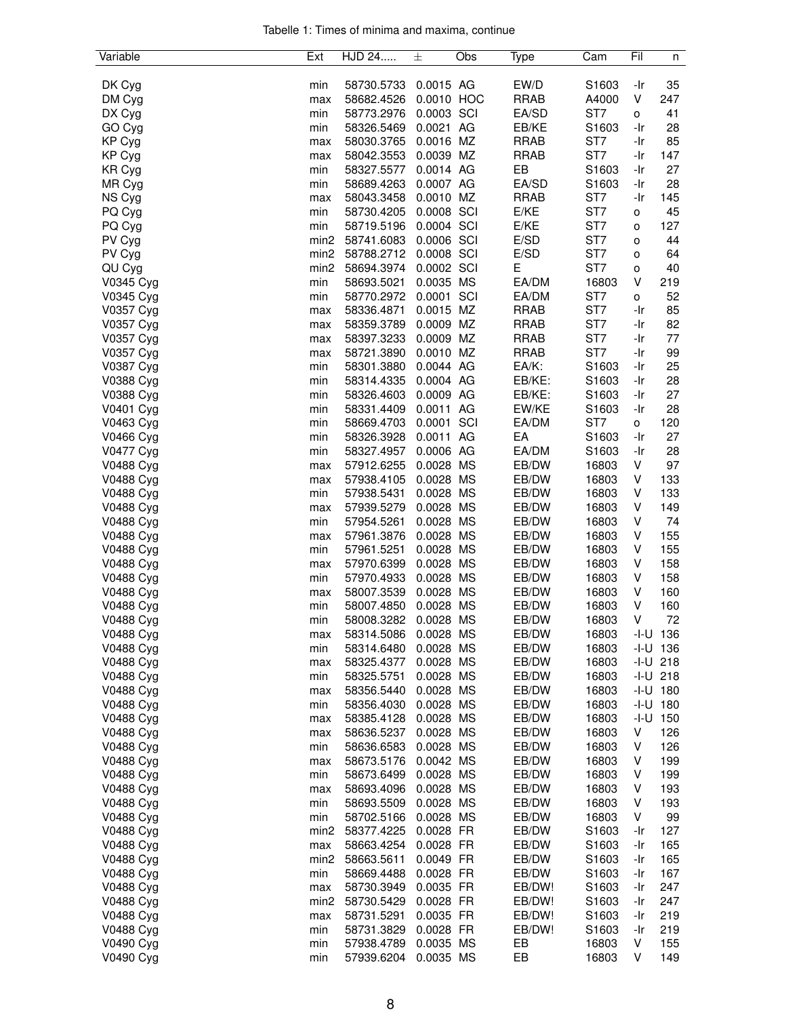|  |  |  | Tabelle 1: Times of minima and maxima, continue |  |
|--|--|--|-------------------------------------------------|--|
|  |  |  |                                                 |  |

| Variable  | Ext              | HJD 24     | 士          | Obs | Type        | Cam             | Fil  | n            |
|-----------|------------------|------------|------------|-----|-------------|-----------------|------|--------------|
|           |                  |            |            |     |             |                 |      |              |
| DK Cyg    | min              | 58730.5733 | 0.0015 AG  |     | EW/D        | S1603           | -Ir  | 35           |
| DM Cyg    | max              | 58682.4526 | 0.0010 HOC |     | <b>RRAB</b> | A4000           | V    | 247          |
| DX Cyg    | min              | 58773.2976 | 0.0003 SCI |     | EA/SD       | ST7             | o    | 41           |
| GO Cyg    | min              | 58326.5469 | 0.0021 AG  |     | EB/KE       | S1603           | -Ir  | 28           |
| KP Cyg    | max              | 58030.3765 | 0.0016 MZ  |     | <b>RRAB</b> | ST7             | -Ir  | 85           |
| KP Cyg    | max              | 58042.3553 | 0.0039 MZ  |     | <b>RRAB</b> | ST7             | -Ir  | 147          |
| KR Cyg    | min              | 58327.5577 | 0.0014 AG  |     | EB          | S1603           | -Ir  | 27           |
| MR Cyg    | min              | 58689.4263 | 0.0007 AG  |     | EA/SD       | S1603           | -Ir  | 28           |
| NS Cyg    | max              | 58043.3458 | 0.0010 MZ  |     | <b>RRAB</b> | ST7             | -Ir  | 145          |
| PQ Cyg    | min              | 58730.4205 | 0.0008 SCI |     | E/KE        | ST7             | o    | 45           |
| PQ Cyg    | min              | 58719.5196 | 0.0004 SCI |     | E/KE        | ST7             | o    | 127          |
| PV Cyg    | min2             | 58741.6083 | 0.0006 SCI |     | E/SD        | ST7             | o    | 44           |
| PV Cyg    | min2             | 58788.2712 | 0.0008 SCI |     | E/SD        | ST7             | o    | 64           |
| QU Cyg    | min <sub>2</sub> | 58694.3974 | 0.0002 SCI |     | E           | ST7             | o    | 40           |
| V0345 Cyg | min              | 58693.5021 | 0.0035 MS  |     | EA/DM       | 16803           | V    | 219          |
| V0345 Cyg | min              | 58770.2972 | 0.0001 SCI |     | EA/DM       | ST <sub>7</sub> | o    | 52           |
| V0357 Cyg | max              | 58336.4871 | 0.0015 MZ  |     | <b>RRAB</b> | ST7             | -Ir  | 85           |
| V0357 Cyg | max              | 58359.3789 | 0.0009 MZ  |     | <b>RRAB</b> | ST7             | -Ir  | 82           |
| V0357 Cyg | max              | 58397.3233 | 0.0009 MZ  |     | <b>RRAB</b> | ST7             | -Ir  | 77           |
| V0357 Cyg | max              | 58721.3890 | 0.0010 MZ  |     | <b>RRAB</b> | ST7             | -Ir  | 99           |
| V0387 Cyg | min              | 58301.3880 | 0.0044 AG  |     | EA/K:       | S1603           | -Ir  | 25           |
| V0388 Cyg | min              | 58314.4335 | 0.0004 AG  |     | EB/KE:      | S1603           | -Ir  | 28           |
| V0388 Cyg | min              | 58326.4603 | 0.0009 AG  |     | EB/KE:      | S1603           | -Ir  | 27           |
| V0401 Cyg | min              | 58331.4409 | 0.0011 AG  |     | EW/KE       | S1603           | -Ir  | 28           |
| V0463 Cyg | min              | 58669.4703 | 0.0001 SCI |     | EA/DM       | ST7             | 0    | 120          |
| V0466 Cyg | min              | 58326.3928 | 0.0011 AG  |     | EA          | S1603           | -Ir  | 27           |
| V0477 Cyg | min              | 58327.4957 | 0.0006 AG  |     | EA/DM       | S1603           | -Ir  | 28           |
| V0488 Cyg | max              | 57912.6255 | 0.0028 MS  |     | EB/DW       | 16803           | V    | 97           |
| V0488 Cyg | max              | 57938.4105 | 0.0028 MS  |     | EB/DW       | 16803           | V    | 133          |
| V0488 Cyg | min              | 57938.5431 | 0.0028 MS  |     | EB/DW       | 16803           | V    | 133          |
| V0488 Cyg | max              | 57939.5279 | 0.0028 MS  |     | EB/DW       | 16803           | V    | 149          |
| V0488 Cyg | min              | 57954.5261 | 0.0028 MS  |     | EB/DW       | 16803           | V    | 74           |
| V0488 Cyg | max              | 57961.3876 | 0.0028 MS  |     | EB/DW       | 16803           | V    | 155          |
| V0488 Cyg | min              | 57961.5251 | 0.0028 MS  |     | EB/DW       | 16803           | V    | 155          |
| V0488 Cyg | max              | 57970.6399 | 0.0028 MS  |     | EB/DW       | 16803           | V    | 158          |
| V0488 Cyg | min              | 57970.4933 | 0.0028 MS  |     | EB/DW       | 16803           | V    | 158          |
| V0488 Cyg | max              | 58007.3539 | 0.0028 MS  |     | EB/DW       | 16803           | V    | 160          |
| V0488 Cyg | min              | 58007.4850 | 0.0028 MS  |     | EB/DW       | 16803           | V    | 160          |
| V0488 Cyg | min              | 58008.3282 | 0.0028 MS  |     | EB/DW       | 16803           | V    | 72           |
| V0488 Cyg | max              | 58314.5086 | 0.0028 MS  |     | EB/DW       | 16803           |      | $-1 - U$ 136 |
| V0488 Cyg | min              | 58314.6480 | 0.0028 MS  |     | EB/DW       | 16803           |      | $-I-U$ 136   |
| V0488 Cyg | max              | 58325.4377 | 0.0028 MS  |     | EB/DW       | 16803           |      | $-1-U$ 218   |
| V0488 Cyg | min              | 58325.5751 | 0.0028 MS  |     | EB/DW       | 16803           |      | $-1-U$ 218   |
| V0488 Cyg | max              | 58356.5440 | 0.0028 MS  |     | EB/DW       | 16803           |      | $-I-U$ 180   |
| V0488 Cyg | min              | 58356.4030 | 0.0028 MS  |     | EB/DW       | 16803           |      | $-1 - U$ 180 |
| V0488 Cyg | max              | 58385.4128 | 0.0028 MS  |     | EB/DW       | 16803           | -I-U | 150          |
| V0488 Cyg | max              | 58636.5237 | 0.0028 MS  |     | EB/DW       | 16803           | V    | 126          |
| V0488 Cyg | min              | 58636.6583 | 0.0028 MS  |     | EB/DW       | 16803           | v    | 126          |
| V0488 Cyg | max              | 58673.5176 | 0.0042 MS  |     | EB/DW       | 16803           | v    | 199          |
| V0488 Cyg | min              | 58673.6499 | 0.0028 MS  |     | EB/DW       | 16803           | V    | 199          |
| V0488 Cyg | max              | 58693.4096 | 0.0028 MS  |     | EB/DW       | 16803           | V    | 193          |
| V0488 Cyg | min              | 58693.5509 | 0.0028 MS  |     | EB/DW       | 16803           | V    | 193          |
| V0488 Cyg | min              | 58702.5166 | 0.0028 MS  |     | EB/DW       | 16803           | V    | 99           |
| V0488 Cyg | min2             | 58377.4225 | 0.0028 FR  |     | EB/DW       | S1603           | -Ir  | 127          |
| V0488 Cyg | max              | 58663.4254 | 0.0028 FR  |     | EB/DW       | S1603           | -Ir  | 165          |
| V0488 Cyg | min2             | 58663.5611 | 0.0049 FR  |     | EB/DW       | S1603           | -Ir  | 165          |
| V0488 Cyg | min              | 58669.4488 | 0.0028 FR  |     | EB/DW       | S1603           | -Ir  | 167          |
| V0488 Cyg | max              | 58730.3949 | 0.0035 FR  |     | EB/DW!      | S1603           | -Ir  | 247          |
| V0488 Cyg | min2             | 58730.5429 | 0.0028 FR  |     | EB/DW!      | S1603           | -Ir  | 247          |
| V0488 Cyg | max              | 58731.5291 | 0.0035 FR  |     | EB/DW!      | S1603           | -Ir  | 219          |
| V0488 Cyg | min              | 58731.3829 | 0.0028 FR  |     | EB/DW!      | S1603           | -Ir  | 219          |
| V0490 Cyg | min              | 57938.4789 | 0.0035 MS  |     | EB          | 16803           | V    | 155          |
| V0490 Cyg | min              | 57939.6204 | 0.0035 MS  |     | EB          | 16803           | V    | 149          |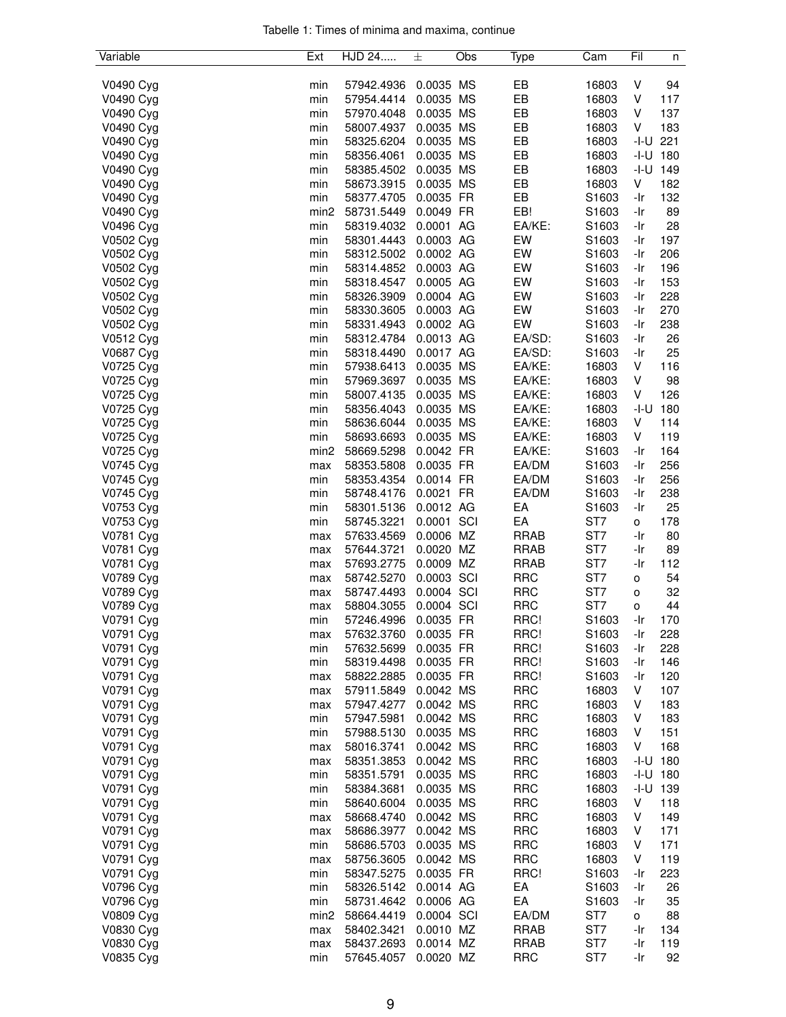| Tabelle 1: Times of minima and maxima, continue |  |  |  |
|-------------------------------------------------|--|--|--|
|                                                 |  |  |  |

| Variable  | Ext              | HJD 24     | 士          | Obs | Type        | Cam               | Fil    | n            |
|-----------|------------------|------------|------------|-----|-------------|-------------------|--------|--------------|
|           |                  |            |            |     |             |                   |        |              |
| V0490 Cyg | min              | 57942.4936 | 0.0035 MS  |     | EB          | 16803             | V      | 94           |
| V0490 Cyg | min              | 57954.4414 | 0.0035 MS  |     | EB          | 16803             | V      | 117          |
| V0490 Cyg | min              | 57970.4048 | 0.0035 MS  |     | EB          | 16803             | V      | 137          |
| V0490 Cyg | min              | 58007.4937 | 0.0035 MS  |     | EB          | 16803             | V      | 183          |
|           |                  |            |            |     |             | 16803             |        | 221          |
| V0490 Cyg | min              | 58325.6204 | 0.0035 MS  |     | EB          |                   | -I-U   |              |
| V0490 Cyg | min              | 58356.4061 | 0.0035 MS  |     | EB          | 16803             | -I-U   | 180          |
| V0490 Cyg | min              | 58385.4502 | 0.0035 MS  |     | EB          | 16803             | -I-U   | 149          |
| V0490 Cyg | min              | 58673.3915 | 0.0035 MS  |     | EB          | 16803             | V      | 182          |
| V0490 Cyg | min              | 58377.4705 | 0.0035 FR  |     | EB          | S1603             | -Ir    | 132          |
| V0490 Cyg | min <sub>2</sub> | 58731.5449 | 0.0049 FR  |     | EB!         | S1603             | -Ir    | 89           |
| V0496 Cyg | min              | 58319.4032 | 0.0001 AG  |     | EA/KE:      | S1603             | -Ir    | 28           |
| V0502 Cyg | min              | 58301.4443 | 0.0003 AG  |     | EW          | S1603             | -Ir    | 197          |
| V0502 Cyg | min              | 58312.5002 | 0.0002 AG  |     | EW          | S1603             | -Ir    | 206          |
|           |                  |            |            |     |             |                   |        |              |
| V0502 Cyg | min              | 58314.4852 | 0.0003 AG  |     | EW          | S1603             | -Ir    | 196          |
| V0502 Cyg | min              | 58318.4547 | 0.0005 AG  |     | EW          | S1603             | -Ir    | 153          |
| V0502 Cyg | min              | 58326.3909 | 0.0004 AG  |     | EW          | S1603             | -Ir    | 228          |
| V0502 Cyg | min              | 58330.3605 | 0.0003 AG  |     | EW          | S1603             | -Ir    | 270          |
| V0502 Cyg | min              | 58331.4943 | 0.0002 AG  |     | EW          | S <sub>1603</sub> | -Ir    | 238          |
| V0512 Cyg | min              | 58312.4784 | 0.0013 AG  |     | EA/SD:      | S1603             | -Ir    | 26           |
| V0687 Cyg | min              | 58318.4490 | 0.0017 AG  |     | EA/SD:      | S1603             | -Ir    | 25           |
|           |                  |            |            |     | EA/KE:      |                   |        |              |
| V0725 Cyg | min              | 57938.6413 | 0.0035 MS  |     |             | 16803             | V      | 116          |
| V0725 Cyg | min              | 57969.3697 | 0.0035 MS  |     | EA/KE:      | 16803             | V      | 98           |
| V0725 Cyg | min              | 58007.4135 | 0.0035 MS  |     | EA/KE:      | 16803             | V      | 126          |
| V0725 Cyg | min              | 58356.4043 | 0.0035 MS  |     | EA/KE:      | 16803             | -I-U   | 180          |
| V0725 Cyg | min              | 58636.6044 | 0.0035 MS  |     | EA/KE:      | 16803             | V      | 114          |
| V0725 Cyg | min              | 58693.6693 | 0.0035 MS  |     | EA/KE:      | 16803             | V      | 119          |
| V0725 Cyg | min <sub>2</sub> | 58669.5298 | 0.0042 FR  |     | EA/KE:      | S1603             | -Ir    | 164          |
| V0745 Cyg | max              | 58353.5808 | 0.0035 FR  |     | EA/DM       | S1603             | -Ir    | 256          |
|           |                  |            |            |     |             |                   |        |              |
| V0745 Cyg | min              | 58353.4354 | 0.0014 FR  |     | EA/DM       | S1603             | -Ir    | 256          |
| V0745 Cyg | min              | 58748.4176 | 0.0021 FR  |     | EA/DM       | S1603             | -Ir    | 238          |
| V0753 Cyg | min              | 58301.5136 | 0.0012 AG  |     | EA          | S1603             | -Ir    | 25           |
| V0753 Cyg | min              | 58745.3221 | 0.0001 SCI |     | EA          | ST7               | 0      | 178          |
| V0781 Cyg | max              | 57633.4569 | 0.0006 MZ  |     | <b>RRAB</b> | ST7               | -Ir    | 80           |
| V0781 Cyg | max              | 57644.3721 | 0.0020 MZ  |     | <b>RRAB</b> | ST7               | -Ir    | 89           |
| V0781 Cyg | max              | 57693.2775 | 0.0009 MZ  |     | <b>RRAB</b> | ST7               | -Ir    | 112          |
| V0789 Cyg | max              | 58742.5270 | 0.0003 SCI |     | <b>RRC</b>  | ST7               | o      | 54           |
|           |                  | 58747.4493 | 0.0004 SCI |     | <b>RRC</b>  | ST7               |        |              |
| V0789 Cyg | max              |            |            |     |             |                   | о      | 32           |
| V0789 Cyg | max              | 58804.3055 | 0.0004 SCI |     | <b>RRC</b>  | ST7               | o      | 44           |
| V0791 Cyg | min              | 57246.4996 | 0.0035 FR  |     | RRC!        | S1603             | -Ir    | 170          |
| V0791 Cyg | max              | 57632.3760 | 0.0035 FR  |     | RRC!        | S1603             | -Ir    | 228          |
| V0791 Cyg | min              | 57632.5699 | 0.0035 FR  |     | RRC!        | S1603             | -Ir    | 228          |
| V0791 Cyg | min              | 58319.4498 | 0.0035 FR  |     | RRC!        | S1603             | -Ir    | 146          |
| V0791 Cyg | max              | 58822.2885 | 0.0035 FR  |     | RRC!        | S1603             | -Ir    | 120          |
| V0791 Cyg | max              | 57911.5849 | 0.0042 MS  |     | <b>RRC</b>  | 16803             | V      | 107          |
| V0791 Cyg |                  | 57947.4277 | 0.0042 MS  |     | <b>RRC</b>  | 16803             | V      | 183          |
|           | max              |            |            |     |             |                   |        |              |
| V0791 Cyg | min              | 57947.5981 | 0.0042 MS  |     | <b>RRC</b>  | 16803             | V      | 183          |
| V0791 Cyg | min              | 57988.5130 | 0.0035 MS  |     | <b>RRC</b>  | 16803             | V      | 151          |
| V0791 Cyg | max              | 58016.3741 | 0.0042 MS  |     | <b>RRC</b>  | 16803             | V      | 168          |
| V0791 Cyg | max              | 58351.3853 | 0.0042 MS  |     | <b>RRC</b>  | 16803             |        | $-1 - U$ 180 |
| V0791 Cyg | min              | 58351.5791 | 0.0035 MS  |     | <b>RRC</b>  | 16803             |        | $-1 - U$ 180 |
| V0791 Cyg | min              | 58384.3681 | 0.0035 MS  |     | <b>RRC</b>  | 16803             | $-I-U$ | 139          |
| V0791 Cyg | min              | 58640.6004 | 0.0035 MS  |     | <b>RRC</b>  | 16803             | V      | 118          |
| V0791 Cyg |                  | 58668.4740 | 0.0042 MS  |     | <b>RRC</b>  | 16803             | V      | 149          |
|           | max              |            |            |     |             |                   |        |              |
| V0791 Cyg | max              | 58686.3977 | 0.0042 MS  |     | <b>RRC</b>  | 16803             | v      | 171          |
| V0791 Cyg | min              | 58686.5703 | 0.0035 MS  |     | <b>RRC</b>  | 16803             | V      | 171          |
| V0791 Cyg | max              | 58756.3605 | 0.0042 MS  |     | <b>RRC</b>  | 16803             | V      | 119          |
| V0791 Cyg | min              | 58347.5275 | 0.0035 FR  |     | RRC!        | S1603             | -Ir    | 223          |
| V0796 Cyg | min              | 58326.5142 | 0.0014 AG  |     | EA          | S1603             | -Ir    | 26           |
| V0796 Cyg | min              | 58731.4642 | 0.0006 AG  |     | EA          | S1603             | -Ir    | 35           |
| V0809 Cyg | min2             | 58664.4419 | 0.0004 SCI |     | EA/DM       | ST7               | 0      | 88           |
|           |                  |            | 0.0010 MZ  |     | <b>RRAB</b> | ST7               | -Ir    | 134          |
| V0830 Cyg | max              | 58402.3421 |            |     |             |                   |        |              |
| V0830 Cyg | max              | 58437.2693 | 0.0014 MZ  |     | <b>RRAB</b> | ST7               | -Ir    | 119          |
| V0835 Cyg | min              | 57645.4057 | 0.0020 MZ  |     | <b>RRC</b>  | ST7               | -Ir    | 92           |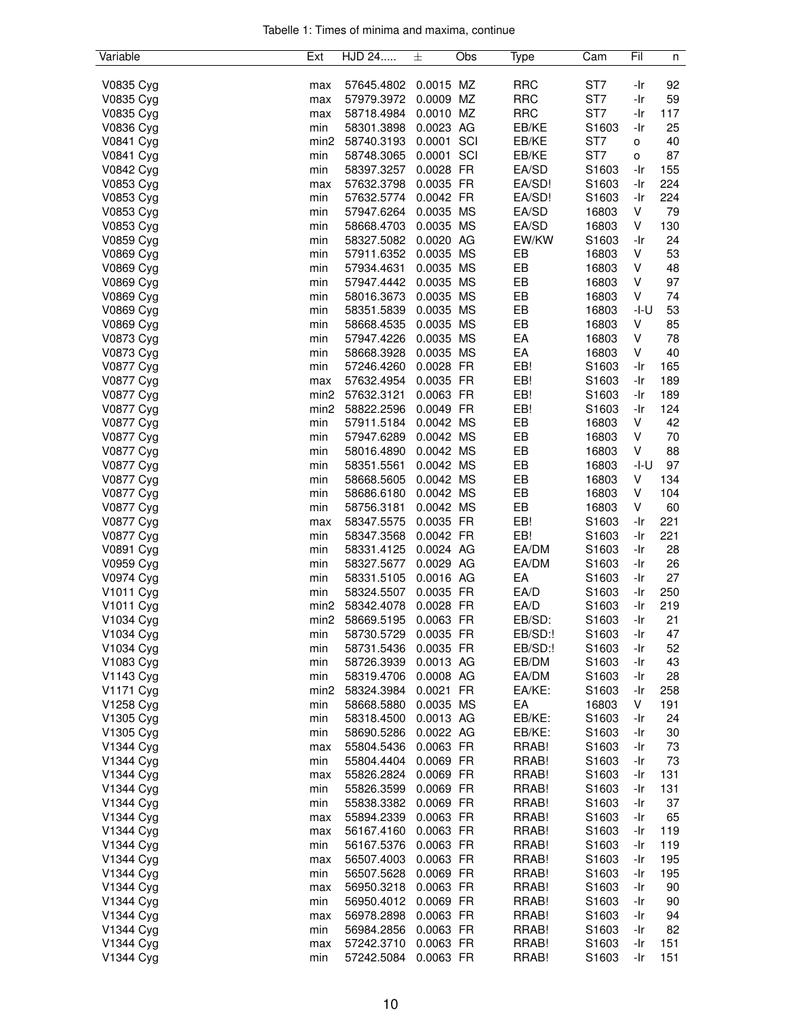| Tabelle 1: Times of minima and maxima, continue |  |  |  |
|-------------------------------------------------|--|--|--|
|                                                 |  |  |  |

| Variable  | Ext              | HJD 24     | 土          | Obs | Type              | Cam               | Fil  | n        |
|-----------|------------------|------------|------------|-----|-------------------|-------------------|------|----------|
|           |                  |            |            |     |                   |                   |      |          |
| V0835 Cyg | max              | 57645.4802 | 0.0015 MZ  |     | <b>RRC</b>        | ST7               | -Ir  | 92       |
| V0835 Cyg | max              | 57979.3972 | 0.0009 MZ  |     | <b>RRC</b>        | ST7               | -Ir  | 59       |
| V0835 Cyg | max              | 58718.4984 | 0.0010 MZ  |     | <b>RRC</b>        | ST7               | -Ir  | 117      |
| V0836 Cyg | min              | 58301.3898 | 0.0023 AG  |     | EB/KE             | S1603             | -Ir  | 25       |
| V0841 Cyg | min <sub>2</sub> | 58740.3193 | 0.0001     | SCI | EB/KE             | ST7               | o    | 40       |
| V0841 Cyg | min              | 58748.3065 | 0.0001 SCI |     | EB/KE             | ST7               | 0    | 87       |
| V0842 Cyg | min              | 58397.3257 | 0.0028 FR  |     | EA/SD             | S1603             | -Ir  | 155      |
| V0853 Cyg | max              | 57632.3798 | 0.0035 FR  |     | EA/SD!            | S1603             | -Ir  | 224      |
| V0853 Cyg | min              | 57632.5774 | 0.0042 FR  |     | EA/SD!            | S1603             | -Ir  | 224      |
| V0853 Cyg | min              | 57947.6264 | 0.0035 MS  |     | EA/SD             | 16803             | V    | 79       |
| V0853 Cyg | min              | 58668.4703 | 0.0035 MS  |     | EA/SD             | 16803             | V    | 130      |
| V0859 Cyg | min              | 58327.5082 | 0.0020 AG  |     | EW/KW             | S1603             | -Ir  | 24       |
| V0869 Cyg | min              | 57911.6352 | 0.0035 MS  |     | EB                | 16803             | V    | 53       |
|           |                  | 57934.4631 | 0.0035 MS  |     | EB                | 16803             | V    | 48       |
| V0869 Cyg | min              |            |            |     |                   |                   | V    |          |
| V0869 Cyg | min              | 57947.4442 | 0.0035 MS  |     | EB                | 16803             | V    | 97<br>74 |
| V0869 Cyg | min              | 58016.3673 | 0.0035 MS  |     | EB                | 16803             |      |          |
| V0869 Cyg | min              | 58351.5839 | 0.0035 MS  |     | EB                | 16803             | -I-U | 53       |
| V0869 Cyg | min              | 58668.4535 | 0.0035 MS  |     | EB                | 16803             | V    | 85       |
| V0873 Cyg | min              | 57947.4226 | 0.0035 MS  |     | EA                | 16803             | V    | 78       |
| V0873 Cyg | min              | 58668.3928 | 0.0035 MS  |     | EA                | 16803             | V    | 40       |
| V0877 Cyg | min              | 57246.4260 | 0.0028 FR  |     | EB!               | S1603             | -Ir  | 165      |
| V0877 Cyg | max              | 57632.4954 | 0.0035 FR  |     | EB!               | S1603             | -Ir  | 189      |
| V0877 Cyg | min <sub>2</sub> | 57632.3121 | 0.0063 FR  |     | EB!               | S1603             | -Ir  | 189      |
| V0877 Cyg | min <sub>2</sub> | 58822.2596 | 0.0049 FR  |     | EB!               | S1603             | -Ir  | 124      |
| V0877 Cyg | min              | 57911.5184 | 0.0042 MS  |     | EB                | 16803             | V    | 42       |
| V0877 Cyg | min              | 57947.6289 | 0.0042 MS  |     | EB                | 16803             | V    | 70       |
| V0877 Cyg | min              | 58016.4890 | 0.0042 MS  |     | EB                | 16803             | V    | 88       |
| V0877 Cyg | min              | 58351.5561 | 0.0042 MS  |     | EB                | 16803             | -I-U | 97       |
| V0877 Cyg | min              | 58668.5605 | 0.0042 MS  |     | EB                | 16803             | V    | 134      |
| V0877 Cyg | min              | 58686.6180 | 0.0042 MS  |     | EB                | 16803             | V    | 104      |
| V0877 Cyg | min              | 58756.3181 | 0.0042 MS  |     | EB                | 16803             | V    | 60       |
| V0877 Cyg | max              | 58347.5575 | 0.0035 FR  |     | EB!               | S1603             | -Ir  | 221      |
| V0877 Cyg | min              | 58347.3568 | 0.0042 FR  |     | EB!               | S1603             | -Ir  | 221      |
| V0891 Cyg | min              | 58331.4125 | 0.0024 AG  |     | EA/DM             | S1603             | -Ir  | 28       |
| V0959 Cyg | min              | 58327.5677 | 0.0029 AG  |     | EA/DM             | S1603             | -Ir  | 26       |
| V0974 Cyg | min              | 58331.5105 | 0.0016 AG  |     | EA                | S1603             | -Ir  | 27       |
|           |                  | 58324.5507 | 0.0035 FR  |     | EA/D              | S1603             | -Ir  | 250      |
| V1011 Cyg | min<br>min2      |            |            |     |                   |                   |      |          |
| V1011 Cyg |                  | 58342.4078 | 0.0028 FR  |     | EA/D              | S1603             | -Ir  | 219      |
| V1034 Cyg | min2             | 58669.5195 | 0.0063 FR  |     | EB/SD:<br>EB/SD:! | S1603             | -Ir  | 21       |
| V1034 Cyg | min              | 58730.5729 | 0.0035 FR  |     |                   | S1603             | -Ir  | 47       |
| V1034 Cyg | min              | 58731.5436 | 0.0035 FR  |     | EB/SD:!           | S <sub>1603</sub> | -Ir  | 52       |
| V1083 Cyg | min              | 58726.3939 | 0.0013 AG  |     | EB/DM             | S1603             | -Ir  | 43       |
| V1143 Cyg | min              | 58319.4706 | 0.0008 AG  |     | EA/DM             | S1603             | -Ir  | 28       |
| V1171 Cyg | min <sub>2</sub> | 58324.3984 | 0.0021 FR  |     | EA/KE:            | S <sub>1603</sub> | -Ir  | 258      |
| V1258 Cyg | min              | 58668.5880 | 0.0035 MS  |     | EA                | 16803             | V    | 191      |
| V1305 Cyg | min              | 58318.4500 | 0.0013 AG  |     | EB/KE:            | S1603             | -Ir  | 24       |
| V1305 Cyg | min              | 58690.5286 | 0.0022 AG  |     | EB/KE:            | S1603             | -Ir  | 30       |
| V1344 Cyg | max              | 55804.5436 | 0.0063 FR  |     | RRAB!             | S1603             | -Ir  | 73       |
| V1344 Cyg | min              | 55804.4404 | 0.0069 FR  |     | RRAB!             | S1603             | -Ir  | 73       |
| V1344 Cyg | max              | 55826.2824 | 0.0069 FR  |     | RRAB!             | S1603             | -Ir  | 131      |
| V1344 Cyg | min              | 55826.3599 | 0.0069 FR  |     | RRAB!             | S1603             | -Ir  | 131      |
| V1344 Cyg | min              | 55838.3382 | 0.0069 FR  |     | RRAB!             | S1603             | -Ir  | 37       |
| V1344 Cyg | max              | 55894.2339 | 0.0063 FR  |     | RRAB!             | S1603             | -Ir  | 65       |
| V1344 Cyg | max              | 56167.4160 | 0.0063 FR  |     | RRAB!             | S1603             | -Ir  | 119      |
| V1344 Cyg | min              | 56167.5376 | 0.0063 FR  |     | RRAB!             | S1603             | -Ir  | 119      |
| V1344 Cyg | max              | 56507.4003 | 0.0063 FR  |     | RRAB!             | S <sub>1603</sub> | -Ir  | 195      |
| V1344 Cyg | min              | 56507.5628 | 0.0069 FR  |     | RRAB!             | S1603             | -Ir  | 195      |
| V1344 Cyg | max              | 56950.3218 | 0.0063 FR  |     | RRAB!             | S1603             | -Ir  | 90       |
|           |                  |            |            |     |                   |                   |      |          |
| V1344 Cyg | min              | 56950.4012 | 0.0069 FR  |     | RRAB!             | S1603             | -Ir  | 90       |
| V1344 Cyg | max              | 56978.2898 | 0.0063 FR  |     | RRAB!             | S1603             | -Ir  | 94       |
| V1344 Cyg | min              | 56984.2856 | 0.0063 FR  |     | RRAB!             | S1603             | -Ir  | 82       |
| V1344 Cyg | max              | 57242.3710 | 0.0063 FR  |     | RRAB!             | S1603             | -Ir  | 151      |
| V1344 Cyg | min              | 57242.5084 | 0.0063 FR  |     | RRAB!             | S1603             | -Ir  | 151      |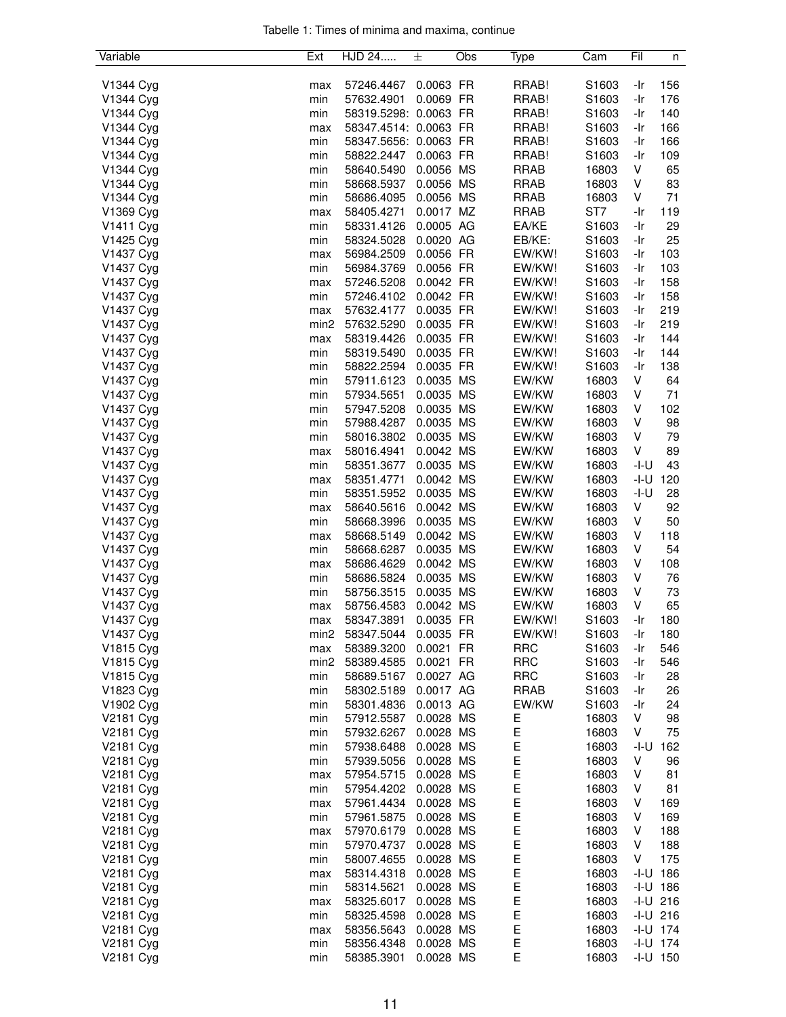| Tabelle 1: Times of minima and maxima, continue |  |  |  |
|-------------------------------------------------|--|--|--|
|                                                 |  |  |  |

| Variable  | Ext              | HJD 24                | 士         | Obs | Type        | Cam               | Fil  | n            |
|-----------|------------------|-----------------------|-----------|-----|-------------|-------------------|------|--------------|
|           |                  |                       |           |     |             |                   |      |              |
| V1344 Cyg | max              | 57246.4467            | 0.0063 FR |     | RRAB!       | S1603             | -Ir  | 156          |
| V1344 Cyg | min              | 57632.4901            | 0.0069 FR |     | RRAB!       | S1603             | -Ir  | 176          |
| V1344 Cyg | min              | 58319.5298: 0.0063 FR |           |     | RRAB!       | S1603             | -Ir  | 140          |
| V1344 Cyg | max              | 58347.4514: 0.0063 FR |           |     | RRAB!       | S1603             | -Ir  | 166          |
| V1344 Cyg | min              | 58347.5656: 0.0063 FR |           |     | RRAB!       | S1603             | -Ir  | 166          |
| V1344 Cyg | min              | 58822.2447            | 0.0063 FR |     | RRAB!       | S <sub>1603</sub> | -Ir  | 109          |
| V1344 Cyg | min              | 58640.5490            | 0.0056 MS |     | RRAB        | 16803             | V    | 65           |
| V1344 Cyg | min              | 58668.5937            | 0.0056 MS |     | <b>RRAB</b> | 16803             | V    | 83           |
| V1344 Cyg | min              | 58686.4095            | 0.0056 MS |     | <b>RRAB</b> | 16803             | V    | 71           |
| V1369 Cyg | max              | 58405.4271            | 0.0017 MZ |     | <b>RRAB</b> | ST7               | -Ir  | 119          |
| V1411 Cyg | min              | 58331.4126            | 0.0005 AG |     | EA/KE       | S1603             | -Ir  | 29           |
| V1425 Cyg | min              | 58324.5028            | 0.0020 AG |     | EB/KE:      | S1603             | -Ir  | 25           |
| V1437 Cyg | max              | 56984.2509            | 0.0056 FR |     | EW/KW!      | S1603             | -Ir  | 103          |
| V1437 Cyg | min              | 56984.3769            | 0.0056 FR |     | EW/KW!      | S1603             | -Ir  | 103          |
| V1437 Cyg |                  | 57246.5208            | 0.0042 FR |     | EW/KW!      | S1603             | -Ir  | 158          |
|           | max<br>min       | 57246.4102            | 0.0042 FR |     | EW/KW!      | S <sub>1603</sub> | -Ir  | 158          |
| V1437 Cyg |                  |                       |           |     |             |                   |      |              |
| V1437 Cyg | max              | 57632.4177            | 0.0035 FR |     | EW/KW!      | S1603             | -Ir  | 219          |
| V1437 Cyg | min <sub>2</sub> | 57632.5290            | 0.0035 FR |     | EW/KW!      | S1603             | -Ir  | 219          |
| V1437 Cyg | max              | 58319.4426            | 0.0035 FR |     | EW/KW!      | S1603             | -Ir  | 144          |
| V1437 Cyg | min              | 58319.5490            | 0.0035 FR |     | EW/KW!      | S1603             | -Ir  | 144          |
| V1437 Cyg | min              | 58822.2594            | 0.0035 FR |     | EW/KW!      | S1603             | -Ir  | 138          |
| V1437 Cyg | min              | 57911.6123            | 0.0035 MS |     | EW/KW       | 16803             | V    | 64           |
| V1437 Cyg | min              | 57934.5651            | 0.0035 MS |     | EW/KW       | 16803             | V    | 71           |
| V1437 Cyg | min              | 57947.5208            | 0.0035 MS |     | EW/KW       | 16803             | V    | 102          |
| V1437 Cyg | min              | 57988.4287            | 0.0035 MS |     | EW/KW       | 16803             | V    | 98           |
| V1437 Cyg | min              | 58016.3802            | 0.0035 MS |     | EW/KW       | 16803             | V    | 79           |
| V1437 Cyg | max              | 58016.4941            | 0.0042 MS |     | EW/KW       | 16803             | V    | 89           |
| V1437 Cyg | min              | 58351.3677            | 0.0035 MS |     | EW/KW       | 16803             | -I-U | 43           |
| V1437 Cyg | max              | 58351.4771            | 0.0042 MS |     | EW/KW       | 16803             | -I-U | 120          |
| V1437 Cyg | min              | 58351.5952            | 0.0035 MS |     | EW/KW       | 16803             | -I-U | 28           |
| V1437 Cyg | max              | 58640.5616            | 0.0042 MS |     | EW/KW       | 16803             | V    | 92           |
| V1437 Cyg | min              | 58668.3996            | 0.0035 MS |     | EW/KW       | 16803             | V    | 50           |
| V1437 Cyg | max              | 58668.5149            | 0.0042 MS |     | EW/KW       | 16803             | V    | 118          |
| V1437 Cyg | min              | 58668.6287            | 0.0035 MS |     | EW/KW       | 16803             | V    | 54           |
| V1437 Cyg | max              | 58686.4629            | 0.0042 MS |     | EW/KW       | 16803             | V    | 108          |
| V1437 Cyg | min              | 58686.5824            | 0.0035 MS |     | EW/KW       | 16803             | ٧    | 76           |
| V1437 Cyg | min              | 58756.3515            | 0.0035 MS |     | EW/KW       | 16803             | V    | 73           |
| V1437 Cyg |                  |                       | 0.0042 MS |     | EW/KW       |                   | V    | 65           |
|           | max              | 58756.4583            | 0.0035 FR |     |             | 16803             |      |              |
| V1437 Cyg | max              | 58347.3891            |           |     | EW/KW!      | S1603             | -Ir  | 180          |
| V1437 Cyg | min2             | 58347.5044            | 0.0035 FR |     | EW/KW!      | S1603             | -Ir  | 180          |
| V1815 Cyg | max              | 58389.3200            | 0.0021 FR |     | <b>RRC</b>  | S1603             | -Ir  | 546          |
| V1815 Cyg | min2             | 58389.4585            | 0.0021 FR |     | <b>RRC</b>  | S1603             | -Ir  | 546          |
| V1815 Cyg | min              | 58689.5167            | 0.0027 AG |     | <b>RRC</b>  | S1603             | -Ir  | 28           |
| V1823 Cyg | min              | 58302.5189            | 0.0017 AG |     | <b>RRAB</b> | S1603             | -Ir  | 26           |
| V1902 Cyg | min              | 58301.4836            | 0.0013 AG |     | EW/KW       | S1603             | -Ir  | 24           |
| V2181 Cyg | min              | 57912.5587            | 0.0028 MS |     | Е           | 16803             | V    | 98           |
| V2181 Cyg | min              | 57932.6267            | 0.0028 MS |     | E           | 16803             | V    | 75           |
| V2181 Cyg | min              | 57938.6488            | 0.0028 MS |     | E           | 16803             | -I-U | 162          |
| V2181 Cyg | min              | 57939.5056            | 0.0028 MS |     | E           | 16803             | V    | 96           |
| V2181 Cyg | max              | 57954.5715            | 0.0028 MS |     | E           | 16803             | V    | 81           |
| V2181 Cyg | min              | 57954.4202            | 0.0028    | MS  | E           | 16803             | V    | 81           |
| V2181 Cyg | max              | 57961.4434            | 0.0028 MS |     | Ε           | 16803             | V    | 169          |
| V2181 Cyg | min              | 57961.5875            | 0.0028 MS |     | E           | 16803             | V    | 169          |
| V2181 Cyg | max              | 57970.6179            | 0.0028 MS |     | E           | 16803             | V    | 188          |
| V2181 Cyg | min              | 57970.4737            | 0.0028 MS |     | E           | 16803             | V    | 188          |
| V2181 Cyg | min              | 58007.4655            | 0.0028 MS |     | E           | 16803             | V    | 175          |
| V2181 Cyg | max              | 58314.4318            | 0.0028 MS |     | Ε           | 16803             |      | $-I-U$ 186   |
| V2181 Cyg | min              | 58314.5621            | 0.0028 MS |     | Е           | 16803             |      | $-1 - U$ 186 |
| V2181 Cyg |                  | 58325.6017            | 0.0028 MS |     | E           | 16803             |      | $-1 - U$ 216 |
|           | max              |                       |           |     | E           |                   |      | $-1 - U$ 216 |
| V2181 Cyg | min              | 58325.4598            | 0.0028 MS |     |             | 16803             |      |              |
| V2181 Cyg | max              | 58356.5643            | 0.0028 MS |     | E           | 16803             |      | $-1 - U$ 174 |
| V2181 Cyg | min              | 58356.4348            | 0.0028 MS |     | E           | 16803             |      | $-1-U$ 174   |
| V2181 Cyg | min              | 58385.3901            | 0.0028 MS |     | E           | 16803             |      | $-I-U$ 150   |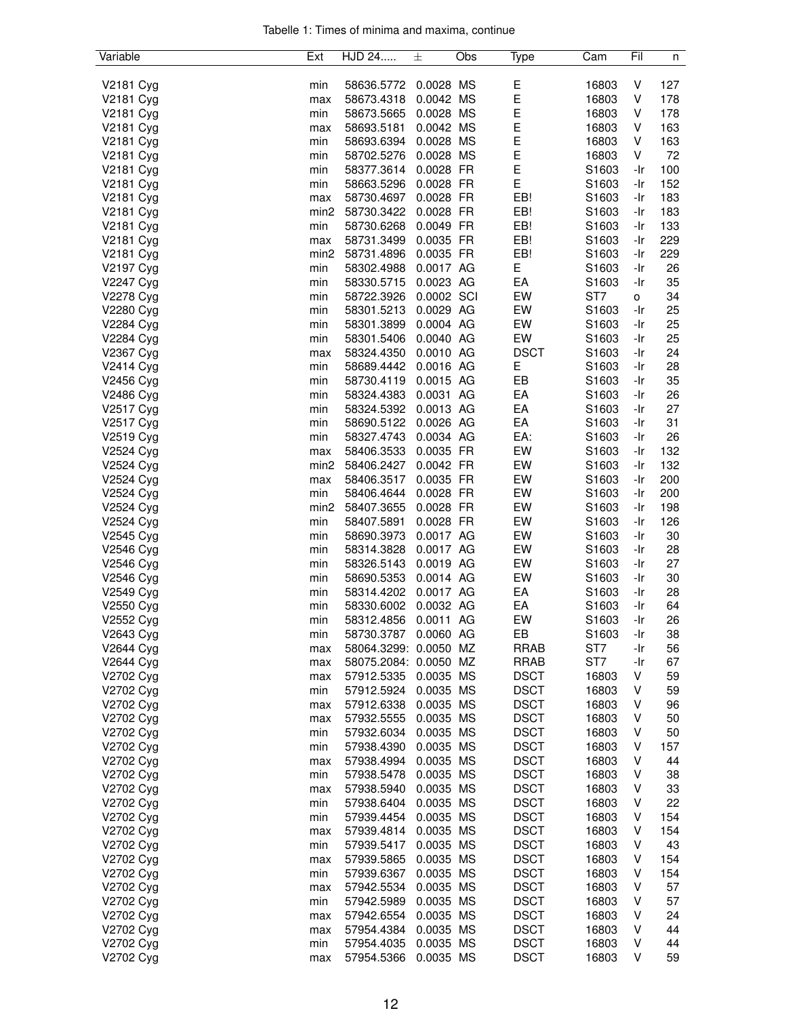|  |  |  | Tabelle 1: Times of minima and maxima, continue |  |
|--|--|--|-------------------------------------------------|--|
|  |  |  |                                                 |  |

| Variable  | Ext              | HJD 24                | 士          | Obs | Type        | Cam               | Fil | n   |
|-----------|------------------|-----------------------|------------|-----|-------------|-------------------|-----|-----|
|           |                  |                       |            |     |             |                   |     |     |
| V2181 Cyg | min              | 58636.5772            | 0.0028 MS  |     | Е           | 16803             | V   | 127 |
| V2181 Cyg | max              | 58673.4318            | 0.0042 MS  |     | E           | 16803             | V   | 178 |
| V2181 Cyg | min              | 58673.5665            | 0.0028 MS  |     | E           | 16803             | V   | 178 |
| V2181 Cyg | max              | 58693.5181            | 0.0042 MS  |     | E           | 16803             | V   | 163 |
| V2181 Cyg | min              | 58693.6394            | 0.0028 MS  |     | E           | 16803             | V   | 163 |
| V2181 Cyg | min              | 58702.5276            | 0.0028 MS  |     | Ε           | 16803             | V   | 72  |
| V2181 Cyg | min              | 58377.3614            | 0.0028 FR  |     | E           | S1603             | -Ir | 100 |
| V2181 Cyg | min              | 58663.5296            | 0.0028 FR  |     | E           | S1603             | -Ir | 152 |
| V2181 Cyg | max              | 58730.4697            | 0.0028 FR  |     | EB!         | S1603             | -Ir | 183 |
| V2181 Cyg | min <sub>2</sub> | 58730.3422            | 0.0028 FR  |     | EB!         | S1603             | -Ir | 183 |
| V2181 Cyg | min              | 58730.6268            | 0.0049 FR  |     | EB!         | S1603             | -Ir | 133 |
| V2181 Cyg | max              | 58731.3499            | 0.0035 FR  |     | EB!         | S1603             | -Ir | 229 |
| V2181 Cyg | min <sub>2</sub> | 58731.4896            | 0.0035 FR  |     | EB!         | S1603             | -Ir | 229 |
| V2197 Cyg | min              | 58302.4988            | 0.0017 AG  |     | Е           | S1603             | -Ir | 26  |
| V2247 Cyg | min              | 58330.5715            | 0.0023 AG  |     | EA          | S1603             | -Ir | 35  |
| V2278 Cyg | min              | 58722.3926            | 0.0002 SCI |     | EW          | ST7               | o   | 34  |
| V2280 Cyg | min              | 58301.5213            | 0.0029 AG  |     | EW          | S1603             | -Ir | 25  |
| V2284 Cyg | min              | 58301.3899            | 0.0004 AG  |     | EW          | S1603             | -Ir | 25  |
| V2284 Cyg | min              | 58301.5406            | 0.0040 AG  |     | EW          | S <sub>1603</sub> | -Ir | 25  |
| V2367 Cyg | max              | 58324.4350            | 0.0010 AG  |     | <b>DSCT</b> | S1603             | -Ir | 24  |
| V2414 Cyg | min              | 58689.4442            | 0.0016 AG  |     | Е           | S1603             | -Ir | 28  |
| V2456 Cyg | min              | 58730.4119            | 0.0015 AG  |     | EB          | S1603             | -Ir | 35  |
| V2486 Cyg | min              | 58324.4383            | 0.0031 AG  |     | EA          | S1603             | -Ir | 26  |
| V2517 Cyg | min              | 58324.5392            | 0.0013 AG  |     | EA          | S1603             | -Ir | 27  |
| V2517 Cyg | min              | 58690.5122            | 0.0026 AG  |     | EA          | S1603             | -Ir | 31  |
| V2519 Cyg | min              | 58327.4743            | 0.0034 AG  |     | EA:         | S1603             | -Ir | 26  |
| V2524 Cyg | max              | 58406.3533            | 0.0035 FR  |     | EW          | S1603             | -Ir | 132 |
| V2524 Cyg | min <sub>2</sub> | 58406.2427            | 0.0042 FR  |     | EW          | S <sub>1603</sub> | -Ir | 132 |
| V2524 Cyg |                  | 58406.3517            | 0.0035 FR  |     | EW          | S1603             | -Ir | 200 |
| V2524 Cyg | max<br>min       | 58406.4644            | 0.0028 FR  |     | EW          | S1603             | -Ir | 200 |
|           | min <sub>2</sub> |                       |            |     | EW          |                   |     |     |
| V2524 Cyg |                  | 58407.3655            | 0.0028 FR  |     |             | S1603             | -Ir | 198 |
| V2524 Cyg | min              | 58407.5891            | 0.0028 FR  |     | EW          | S1603             | -Ir | 126 |
| V2545 Cyg | min              | 58690.3973            | 0.0017 AG  |     | EW          | S1603             | -Ir | 30  |
| V2546 Cyg | min              | 58314.3828            | 0.0017 AG  |     | EW          | S1603             | -Ir | 28  |
| V2546 Cyg | min              | 58326.5143            | 0.0019 AG  |     | EW          | S1603             | -Ir | 27  |
| V2546 Cyg | min              | 58690.5353            | 0.0014 AG  |     | EW          | S1603             | -Ir | 30  |
| V2549 Cyg | min              | 58314.4202            | 0.0017 AG  |     | EA          | S1603             | -Ir | 28  |
| V2550 Cyg | min              | 58330.6002            | 0.0032 AG  |     | EA          | S1603             | -Ir | 64  |
| V2552 Cyg | min              | 58312.4856            | 0.0011 AG  |     | EW          | S1603             | -Ir | 26  |
| V2643 Cyg | min              | 58730.3787            | 0.0060 AG  |     | EB          | S1603             | -Ir | 38  |
| V2644 Cyg | max              | 58064.3299: 0.0050 MZ |            |     | <b>RRAB</b> | ST <sub>7</sub>   | -Ir | 56  |
| V2644 Cyg | max              | 58075.2084: 0.0050 MZ |            |     | <b>RRAB</b> | ST7               | -Ir | 67  |
| V2702 Cyg | max              | 57912.5335            | 0.0035 MS  |     | <b>DSCT</b> | 16803             | V   | 59  |
| V2702 Cyg | min              | 57912.5924            | 0.0035 MS  |     | <b>DSCT</b> | 16803             | ٧   | 59  |
| V2702 Cyg | max              | 57912.6338            | 0.0035 MS  |     | <b>DSCT</b> | 16803             | ٧   | 96  |
| V2702 Cyg | max              | 57932.5555            | 0.0035 MS  |     | <b>DSCT</b> | 16803             | V   | 50  |
| V2702 Cyg | min              | 57932.6034            | 0.0035 MS  |     | <b>DSCT</b> | 16803             | v   | 50  |
| V2702 Cyg | min              | 57938.4390            | 0.0035 MS  |     | <b>DSCT</b> | 16803             | v   | 157 |
| V2702 Cyg | max              | 57938.4994            | 0.0035 MS  |     | <b>DSCT</b> | 16803             | V   | 44  |
| V2702 Cyg | min              | 57938.5478            | 0.0035 MS  |     | <b>DSCT</b> | 16803             | V   | 38  |
| V2702 Cyg | max              | 57938.5940            | 0.0035 MS  |     | <b>DSCT</b> | 16803             | ٧   | 33  |
| V2702 Cyg | min              | 57938.6404            | 0.0035 MS  |     | <b>DSCT</b> | 16803             | V   | 22  |
| V2702 Cyg | min              | 57939.4454            | 0.0035 MS  |     | <b>DSCT</b> | 16803             | ٧   | 154 |
| V2702 Cyg | max              | 57939.4814            | 0.0035 MS  |     | <b>DSCT</b> | 16803             | ٧   | 154 |
| V2702 Cyg | min              | 57939.5417            | 0.0035 MS  |     | <b>DSCT</b> | 16803             | ٧   | 43  |
| V2702 Cyg | max              | 57939.5865            | 0.0035 MS  |     | <b>DSCT</b> | 16803             | ٧   | 154 |
| V2702 Cyg | min              | 57939.6367            | 0.0035 MS  |     | <b>DSCT</b> | 16803             | V   | 154 |
| V2702 Cyg | max              | 57942.5534            | 0.0035 MS  |     | <b>DSCT</b> | 16803             | v   | 57  |
| V2702 Cyg | min              | 57942.5989            | 0.0035 MS  |     | <b>DSCT</b> | 16803             | v   | 57  |
| V2702 Cyg | max              | 57942.6554            | 0.0035 MS  |     | <b>DSCT</b> | 16803             | ٧   | 24  |
| V2702 Cyg | max              | 57954.4384            | 0.0035 MS  |     | <b>DSCT</b> | 16803             | ٧   | 44  |
| V2702 Cyg | min              | 57954.4035            | 0.0035 MS  |     | <b>DSCT</b> | 16803             | V   | 44  |
| V2702 Cyg | max              | 57954.5366            | 0.0035 MS  |     | <b>DSCT</b> | 16803             | V   | 59  |
|           |                  |                       |            |     |             |                   |     |     |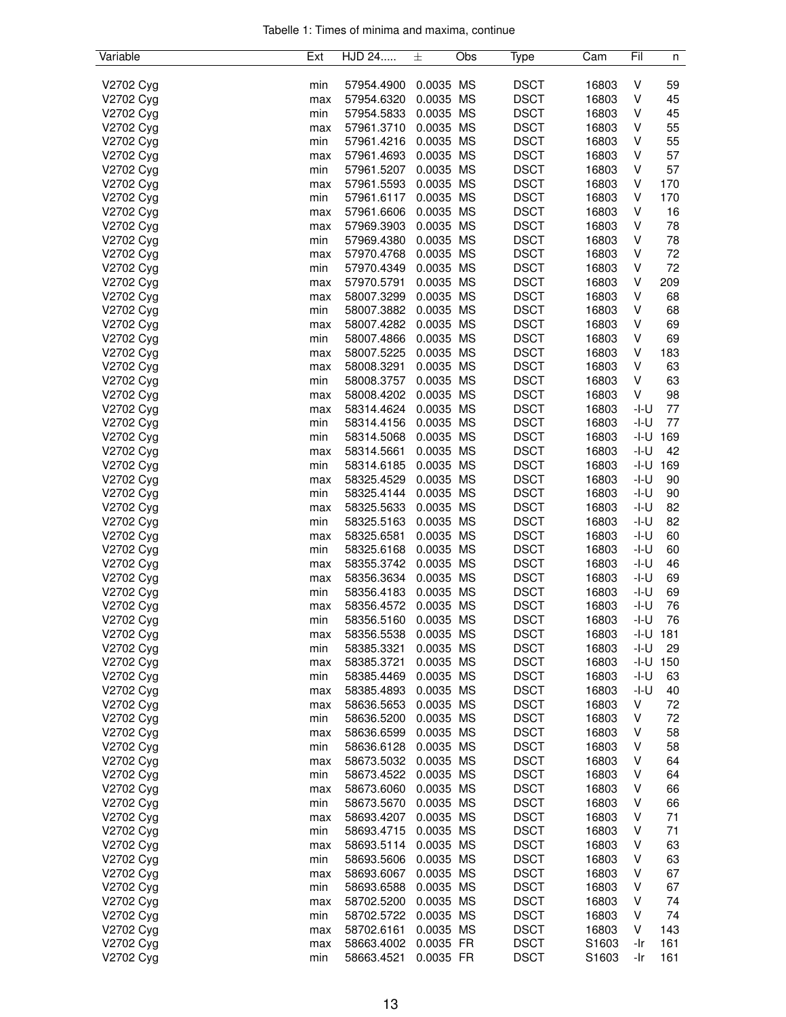|  |  |  | Tabelle 1: Times of minima and maxima, continue |  |
|--|--|--|-------------------------------------------------|--|
|  |  |  |                                                 |  |

| Variable  | Ext | HJD 24     | 士         | Obs | Type        | Cam   | Fil    | n          |
|-----------|-----|------------|-----------|-----|-------------|-------|--------|------------|
|           |     |            |           |     |             |       |        |            |
| V2702 Cyg | min | 57954.4900 | 0.0035 MS |     | <b>DSCT</b> | 16803 | V      | 59         |
| V2702 Cyg | max | 57954.6320 | 0.0035 MS |     | <b>DSCT</b> | 16803 | ٧      | 45         |
| V2702 Cyg | min | 57954.5833 | 0.0035 MS |     | <b>DSCT</b> | 16803 | V      | 45         |
| V2702 Cyg | max | 57961.3710 | 0.0035 MS |     | <b>DSCT</b> | 16803 | ٧      | 55         |
| V2702 Cyg | min | 57961.4216 | 0.0035 MS |     | <b>DSCT</b> | 16803 | V      | 55         |
| V2702 Cyg | max | 57961.4693 | 0.0035 MS |     | <b>DSCT</b> | 16803 | V      | 57         |
| V2702 Cyg | min | 57961.5207 | 0.0035 MS |     | <b>DSCT</b> | 16803 | V      | 57         |
| V2702 Cyg | max | 57961.5593 | 0.0035 MS |     | <b>DSCT</b> | 16803 | V      | 170        |
| V2702 Cyg | min | 57961.6117 | 0.0035 MS |     | <b>DSCT</b> | 16803 | V      | 170        |
| V2702 Cyg | max | 57961.6606 | 0.0035 MS |     | <b>DSCT</b> | 16803 | V      | 16         |
| V2702 Cyg | max | 57969.3903 | 0.0035 MS |     | <b>DSCT</b> | 16803 | V      | 78         |
| V2702 Cyg | min | 57969.4380 | 0.0035 MS |     | <b>DSCT</b> | 16803 | V      | 78         |
| V2702 Cyg | max | 57970.4768 | 0.0035 MS |     | <b>DSCT</b> | 16803 | ٧      | 72         |
| V2702 Cyg | min | 57970.4349 | 0.0035 MS |     | <b>DSCT</b> | 16803 | ٧      | 72         |
| V2702 Cyg | max | 57970.5791 | 0.0035 MS |     | <b>DSCT</b> | 16803 | V      | 209        |
| V2702 Cyg | max | 58007.3299 | 0.0035 MS |     | <b>DSCT</b> | 16803 | V      | 68         |
| V2702 Cyg | min | 58007.3882 | 0.0035 MS |     | <b>DSCT</b> | 16803 | V      | 68         |
| V2702 Cyg | max | 58007.4282 | 0.0035 MS |     | <b>DSCT</b> | 16803 | V      | 69         |
| V2702 Cyg | min | 58007.4866 | 0.0035 MS |     | <b>DSCT</b> | 16803 | V      | 69         |
| V2702 Cyg | max | 58007.5225 | 0.0035 MS |     | <b>DSCT</b> | 16803 | V      | 183        |
| V2702 Cyg | max | 58008.3291 | 0.0035 MS |     | <b>DSCT</b> | 16803 | V      | 63         |
| V2702 Cyg | min | 58008.3757 | 0.0035 MS |     | <b>DSCT</b> | 16803 | V      | 63         |
| V2702 Cyg | max | 58008.4202 | 0.0035 MS |     | <b>DSCT</b> | 16803 | V      | 98         |
| V2702 Cyg | max | 58314.4624 | 0.0035 MS |     | <b>DSCT</b> | 16803 | -I-U   | 77         |
| V2702 Cyg | min | 58314.4156 | 0.0035 MS |     | <b>DSCT</b> | 16803 | -I-U   | 77         |
| V2702 Cyg | min | 58314.5068 | 0.0035 MS |     | <b>DSCT</b> | 16803 | $-I-U$ | 169        |
| V2702 Cyg | max | 58314.5661 | 0.0035 MS |     | <b>DSCT</b> | 16803 | -I-U   | 42         |
| V2702 Cyg | min | 58314.6185 | 0.0035 MS |     | <b>DSCT</b> | 16803 | -I-U   | 169        |
| V2702 Cyg | max | 58325.4529 | 0.0035 MS |     | <b>DSCT</b> | 16803 | -I-U   | 90         |
| V2702 Cyg | min | 58325.4144 | 0.0035 MS |     | <b>DSCT</b> | 16803 | -I-U   | 90         |
| V2702 Cyg | max | 58325.5633 | 0.0035 MS |     | <b>DSCT</b> | 16803 | -I-U   | 82         |
| V2702 Cyg | min | 58325.5163 | 0.0035 MS |     | <b>DSCT</b> | 16803 | $-I-U$ | 82         |
| V2702 Cyg | max | 58325.6581 | 0.0035 MS |     | <b>DSCT</b> | 16803 | $-I-U$ | 60         |
| V2702 Cyg | min | 58325.6168 | 0.0035    | MS  | <b>DSCT</b> | 16803 | -I-U   | 60         |
| V2702 Cyg | max | 58355.3742 | 0.0035 MS |     | <b>DSCT</b> | 16803 | -I-U   | 46         |
| V2702 Cyg | max | 58356.3634 | 0.0035 MS |     | <b>DSCT</b> | 16803 | -I-U   | 69         |
| V2702 Cyg | min | 58356.4183 | 0.0035 MS |     | <b>DSCT</b> | 16803 | -I-U   | 69         |
| V2702 Cyg | max | 58356.4572 | 0.0035 MS |     | <b>DSCT</b> | 16803 | -I-U   | 76         |
| V2702 Cyg | min | 58356.5160 | 0.0035 MS |     | <b>DSCT</b> | 16803 | -I-U   | 76         |
| V2702 Cyg | max | 58356.5538 | 0.0035 MS |     | <b>DSCT</b> | 16803 |        | $-I-U$ 181 |
| V2702 Cyg | min | 58385.3321 | 0.0035 MS |     | <b>DSCT</b> | 16803 | -I-U   | 29         |
| V2702 Cyg | max | 58385.3721 | 0.0035 MS |     | <b>DSCT</b> | 16803 | -I-U   | 150        |
| V2702 Cyg | min | 58385.4469 | 0.0035 MS |     | <b>DSCT</b> | 16803 | -I-U   | 63         |
| V2702 Cyg | max | 58385.4893 | 0.0035 MS |     | <b>DSCT</b> | 16803 | -I-U   | 40         |
| V2702 Cyg | max | 58636.5653 | 0.0035 MS |     | <b>DSCT</b> | 16803 | V      | 72         |
| V2702 Cyg | min | 58636.5200 | 0.0035 MS |     | <b>DSCT</b> | 16803 | V      | 72         |
| V2702 Cyg | max | 58636.6599 | 0.0035 MS |     | <b>DSCT</b> | 16803 | V      | 58         |
| V2702 Cyg | min | 58636.6128 | 0.0035 MS |     | <b>DSCT</b> | 16803 | v      | 58         |
| V2702 Cyg | max | 58673.5032 | 0.0035 MS |     | <b>DSCT</b> | 16803 | V      | 64         |
| V2702 Cyg | min | 58673.4522 | 0.0035 MS |     | <b>DSCT</b> | 16803 | V      | 64         |
| V2702 Cyg | max | 58673.6060 | 0.0035 MS |     | <b>DSCT</b> | 16803 | V      | 66         |
| V2702 Cyg | min | 58673.5670 | 0.0035 MS |     | <b>DSCT</b> | 16803 | V      | 66         |
| V2702 Cyg | max | 58693.4207 | 0.0035 MS |     | <b>DSCT</b> | 16803 | v      | 71         |
| V2702 Cyg | min | 58693.4715 | 0.0035 MS |     | <b>DSCT</b> | 16803 | ٧      | 71         |
| V2702 Cyg | max | 58693.5114 | 0.0035 MS |     | <b>DSCT</b> | 16803 | V      | 63         |
| V2702 Cyg | min | 58693.5606 | 0.0035 MS |     | <b>DSCT</b> | 16803 | V      | 63         |
| V2702 Cyg | max | 58693.6067 | 0.0035 MS |     | <b>DSCT</b> | 16803 | V      | 67         |
| V2702 Cyg | min | 58693.6588 | 0.0035 MS |     | <b>DSCT</b> | 16803 | V      | 67         |
| V2702 Cyg | max | 58702.5200 | 0.0035 MS |     | <b>DSCT</b> | 16803 | v      | 74         |
| V2702 Cyg | min | 58702.5722 | 0.0035 MS |     | <b>DSCT</b> | 16803 | ٧      | 74         |
| V2702 Cyg | max | 58702.6161 | 0.0035 MS |     | <b>DSCT</b> | 16803 | V      | 143        |
| V2702 Cyg | max | 58663.4002 | 0.0035 FR |     | <b>DSCT</b> | S1603 | -Ir    | 161        |
| V2702 Cyg | min | 58663.4521 | 0.0035 FR |     | <b>DSCT</b> | S1603 | -Ir    | 161        |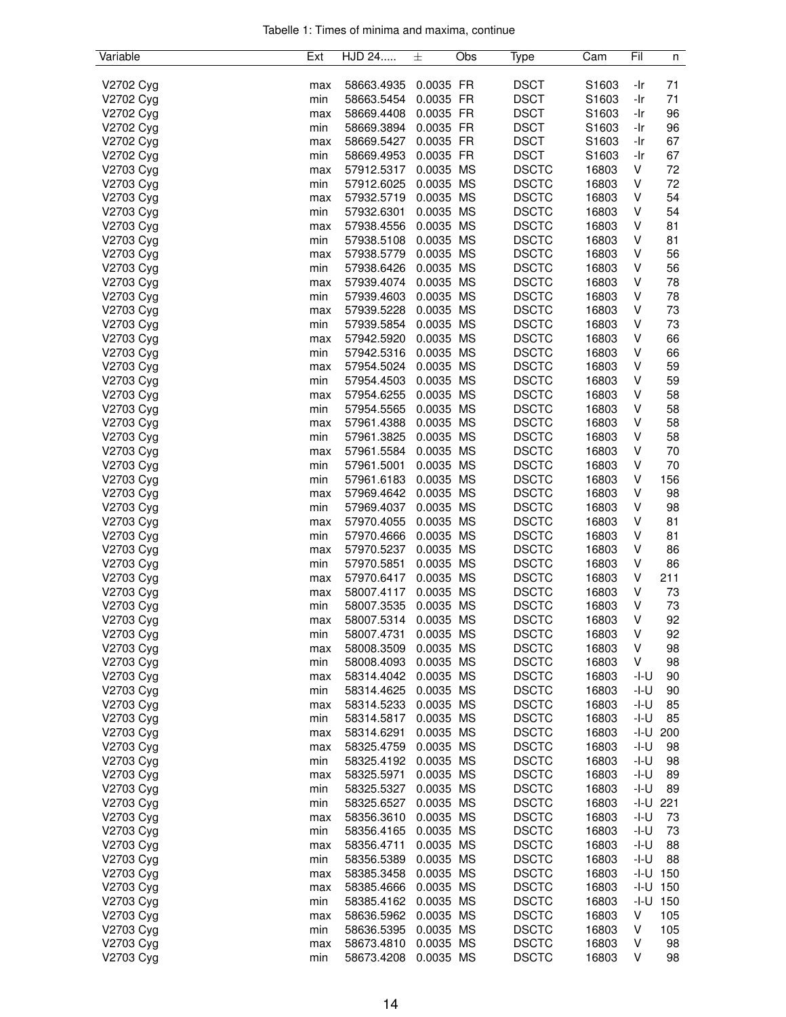|  |  |  | Tabelle 1: Times of minima and maxima, continue |  |
|--|--|--|-------------------------------------------------|--|
|  |  |  |                                                 |  |

| Variable  | Ext | HJD 24     | 士         | Obs       | Type         | Cam   | Fil    | n            |
|-----------|-----|------------|-----------|-----------|--------------|-------|--------|--------------|
|           |     |            |           |           |              |       |        |              |
| V2702 Cyg | max | 58663.4935 | 0.0035 FR |           | <b>DSCT</b>  | S1603 | -Ir    | 71           |
| V2702 Cyg | min | 58663.5454 | 0.0035 FR |           | <b>DSCT</b>  | S1603 | -Ir    | 71           |
| V2702 Cyg | max | 58669.4408 | 0.0035 FR |           | <b>DSCT</b>  | S1603 | -Ir    | 96           |
| V2702 Cyg | min | 58669.3894 | 0.0035 FR |           | <b>DSCT</b>  | S1603 | -Ir    | 96           |
| V2702 Cyg | max | 58669.5427 | 0.0035 FR |           | <b>DSCT</b>  | S1603 | -Ir    | 67           |
| V2702 Cyg | min | 58669.4953 | 0.0035 FR |           | <b>DSCT</b>  | S1603 | -Ir    | 67           |
| V2703 Cyg | max | 57912.5317 | 0.0035 MS |           | <b>DSCTC</b> | 16803 | V      | 72           |
| V2703 Cyg | min | 57912.6025 | 0.0035 MS |           | <b>DSCTC</b> | 16803 | ٧      | 72           |
| V2703 Cyg | max | 57932.5719 | 0.0035 MS |           | <b>DSCTC</b> | 16803 | V      | 54           |
| V2703 Cyg | min | 57932.6301 | 0.0035 MS |           | <b>DSCTC</b> | 16803 | V      | 54           |
| V2703 Cyg | max | 57938.4556 | 0.0035    | <b>MS</b> | <b>DSCTC</b> | 16803 | V      | 81           |
| V2703 Cyg | min | 57938.5108 | 0.0035 MS |           | <b>DSCTC</b> | 16803 | V      | 81           |
| V2703 Cyg |     | 57938.5779 | 0.0035 MS |           | <b>DSCTC</b> | 16803 | ٧      | 56           |
|           | max |            |           |           |              |       |        |              |
| V2703 Cyg | min | 57938.6426 | 0.0035 MS |           | <b>DSCTC</b> | 16803 | ٧      | 56           |
| V2703 Cyg | max | 57939.4074 | 0.0035 MS |           | <b>DSCTC</b> | 16803 | V      | 78           |
| V2703 Cyg | min | 57939.4603 | 0.0035 MS |           | <b>DSCTC</b> | 16803 | V      | 78           |
| V2703 Cyg | max | 57939.5228 | 0.0035 MS |           | <b>DSCTC</b> | 16803 | V      | 73           |
| V2703 Cyg | min | 57939.5854 | 0.0035 MS |           | <b>DSCTC</b> | 16803 | V      | 73           |
| V2703 Cyg | max | 57942.5920 | 0.0035 MS |           | <b>DSCTC</b> | 16803 | ٧      | 66           |
| V2703 Cyg | min | 57942.5316 | 0.0035 MS |           | <b>DSCTC</b> | 16803 | V      | 66           |
| V2703 Cyg | max | 57954.5024 | 0.0035 MS |           | <b>DSCTC</b> | 16803 | V      | 59           |
| V2703 Cyg | min | 57954.4503 | 0.0035    | MS        | <b>DSCTC</b> | 16803 | V      | 59           |
| V2703 Cyg | max | 57954.6255 | 0.0035    | <b>MS</b> | <b>DSCTC</b> | 16803 | V      | 58           |
| V2703 Cyg | min | 57954.5565 | 0.0035 MS |           | <b>DSCTC</b> | 16803 | V      | 58           |
| V2703 Cyg | max | 57961.4388 | 0.0035 MS |           | <b>DSCTC</b> | 16803 | ٧      | 58           |
| V2703 Cyg | min | 57961.3825 | 0.0035 MS |           | <b>DSCTC</b> | 16803 | V      | 58           |
| V2703 Cyg | max | 57961.5584 | 0.0035 MS |           | <b>DSCTC</b> | 16803 | V      | 70           |
|           |     | 57961.5001 |           |           |              |       |        |              |
| V2703 Cyg | min |            | 0.0035 MS |           | <b>DSCTC</b> | 16803 | V      | 70           |
| V2703 Cyg | min | 57961.6183 | 0.0035 MS |           | <b>DSCTC</b> | 16803 | V      | 156          |
| V2703 Cyg | max | 57969.4642 | 0.0035 MS |           | <b>DSCTC</b> | 16803 | V      | 98           |
| V2703 Cyg | min | 57969.4037 | 0.0035 MS |           | <b>DSCTC</b> | 16803 | ٧      | 98           |
| V2703 Cyg | max | 57970.4055 | 0.0035 MS |           | <b>DSCTC</b> | 16803 | V      | 81           |
| V2703 Cyg | min | 57970.4666 | 0.0035 MS |           | <b>DSCTC</b> | 16803 | V      | 81           |
| V2703 Cyg | max | 57970.5237 | 0.0035    | <b>MS</b> | <b>DSCTC</b> | 16803 | V      | 86           |
| V2703 Cyg | min | 57970.5851 | 0.0035 MS |           | <b>DSCTC</b> | 16803 | V      | 86           |
| V2703 Cyg | max | 57970.6417 | 0.0035 MS |           | <b>DSCTC</b> | 16803 | V      | 211          |
| V2703 Cyg | max | 58007.4117 | 0.0035 MS |           | <b>DSCTC</b> | 16803 | ٧      | 73           |
| V2703 Cyg | min | 58007.3535 | 0.0035 MS |           | <b>DSCTC</b> | 16803 | V      | 73           |
| V2703 Cyg | max | 58007.5314 | 0.0035 MS |           | <b>DSCTC</b> | 16803 | V      | 92           |
| V2703 Cyg | min | 58007.4731 | 0.0035 MS |           | <b>DSCTC</b> | 16803 | V      | 92           |
| V2703 Cyg | max | 58008.3509 | 0.0035 MS |           | <b>DSCTC</b> | 16803 | V      | 98           |
| V2703 Cyg |     |            | 0.0035 MS |           | <b>DSCTC</b> | 16803 | V      |              |
|           | min | 58008.4093 |           |           |              |       |        | 98           |
| V2703 Cyg | max | 58314.4042 | 0.0035 MS |           | <b>DSCTC</b> | 16803 | -I-U   | 90           |
| V2703 Cyg | min | 58314.4625 | 0.0035 MS |           | <b>DSCTC</b> | 16803 | -I-U   | 90           |
| V2703 Cyg | max | 58314.5233 | 0.0035 MS |           | <b>DSCTC</b> | 16803 | -I-U   | 85           |
| V2703 Cyg | min | 58314.5817 | 0.0035 MS |           | <b>DSCTC</b> | 16803 | -I-U   | 85           |
| V2703 Cyg | max | 58314.6291 | 0.0035 MS |           | <b>DSCTC</b> | 16803 | -I-U   | 200          |
| V2703 Cyg | max | 58325.4759 | 0.0035 MS |           | <b>DSCTC</b> | 16803 | -l-U   | 98           |
| V2703 Cyg | min | 58325.4192 | 0.0035 MS |           | <b>DSCTC</b> | 16803 | -I-U   | 98           |
| V2703 Cyg | max | 58325.5971 | 0.0035 MS |           | <b>DSCTC</b> | 16803 | -I-U   | 89           |
| V2703 Cyg | min | 58325.5327 | 0.0035 MS |           | <b>DSCTC</b> | 16803 | $-I-U$ | 89           |
| V2703 Cyg | min | 58325.6527 | 0.0035 MS |           | <b>DSCTC</b> | 16803 | -I-U   | 221          |
| V2703 Cyg | max | 58356.3610 | 0.0035 MS |           | <b>DSCTC</b> | 16803 | -I-U   | 73           |
| V2703 Cyg | min | 58356.4165 | 0.0035 MS |           | <b>DSCTC</b> | 16803 | -I-U   | 73           |
| V2703 Cyg | max | 58356.4711 | 0.0035 MS |           | <b>DSCTC</b> | 16803 | -I-U   | 88           |
|           |     |            | 0.0035 MS |           | <b>DSCTC</b> | 16803 | -I-U   | 88           |
| V2703 Cyg | min | 58356.5389 |           |           |              |       |        |              |
| V2703 Cyg | max | 58385.3458 | 0.0035 MS |           | <b>DSCTC</b> | 16803 |        | $-1 - U$ 150 |
| V2703 Cyg | max | 58385.4666 | 0.0035 MS |           | <b>DSCTC</b> | 16803 | -I-U   | 150          |
| V2703 Cyg | min | 58385.4162 | 0.0035 MS |           | <b>DSCTC</b> | 16803 | -I-U   | 150          |
| V2703 Cyg | max | 58636.5962 | 0.0035 MS |           | <b>DSCTC</b> | 16803 | v      | 105          |
| V2703 Cyg | min | 58636.5395 | 0.0035 MS |           | <b>DSCTC</b> | 16803 | V      | 105          |
| V2703 Cyg | max | 58673.4810 | 0.0035 MS |           | <b>DSCTC</b> | 16803 | V      | 98           |
| V2703 Cyg | min | 58673.4208 | 0.0035 MS |           | <b>DSCTC</b> | 16803 | V      | 98           |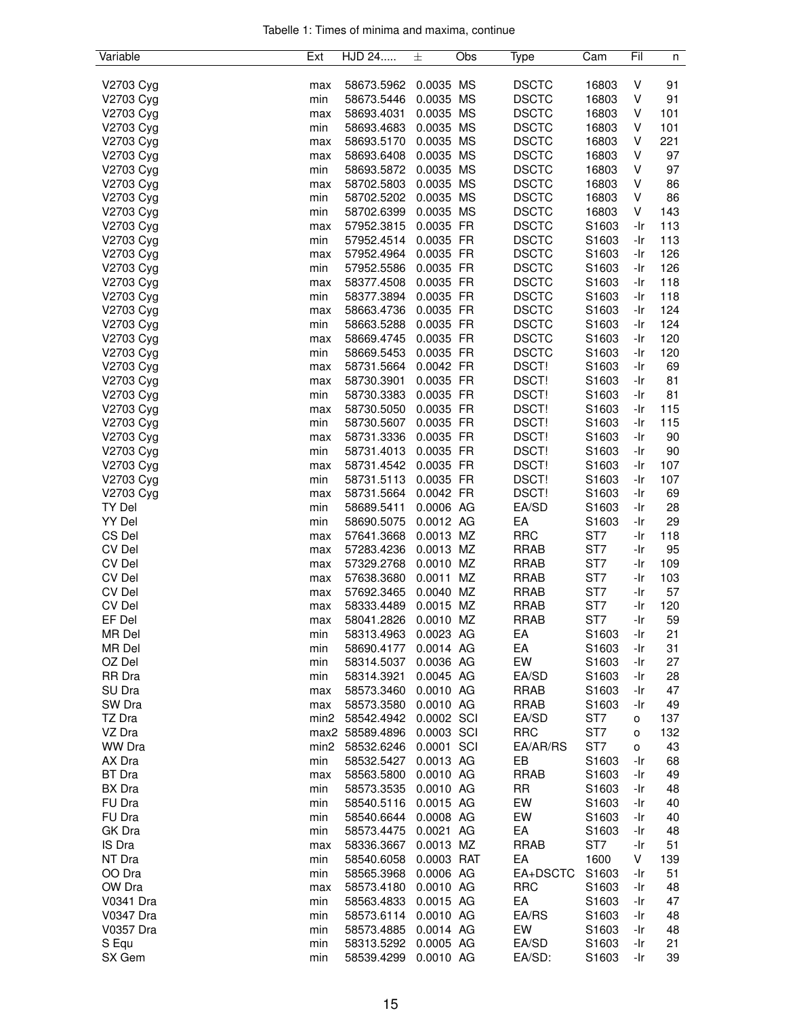|  |  |  | Tabelle 1: Times of minima and maxima, continue |  |
|--|--|--|-------------------------------------------------|--|
|  |  |  |                                                 |  |

| Variable      | Ext              | HJD 24          | 士          | Obs | Type         | Cam             | Fil | n   |
|---------------|------------------|-----------------|------------|-----|--------------|-----------------|-----|-----|
|               |                  |                 |            |     |              |                 |     |     |
| V2703 Cyg     | max              | 58673.5962      | 0.0035 MS  |     | <b>DSCTC</b> | 16803           | V   | 91  |
| V2703 Cyg     | min              | 58673.5446      | 0.0035     | MS  | <b>DSCTC</b> | 16803           | ٧   | 91  |
| V2703 Cyg     | max              | 58693.4031      | 0.0035 MS  |     | <b>DSCTC</b> | 16803           | V   | 101 |
| V2703 Cyg     | min              | 58693.4683      | 0.0035 MS  |     | <b>DSCTC</b> | 16803           | V   | 101 |
| V2703 Cyg     | max              | 58693.5170      | 0.0035 MS  |     | <b>DSCTC</b> | 16803           | V   | 221 |
| V2703 Cyg     | max              | 58693.6408      | 0.0035 MS  |     | <b>DSCTC</b> | 16803           | V   | 97  |
| V2703 Cyg     | min              | 58693.5872      | 0.0035 MS  |     | <b>DSCTC</b> | 16803           | V   | 97  |
| V2703 Cyg     | max              | 58702.5803      | 0.0035 MS  |     | <b>DSCTC</b> | 16803           | ٧   | 86  |
| V2703 Cyg     | min              | 58702.5202      | 0.0035 MS  |     | <b>DSCTC</b> | 16803           | V   | 86  |
| V2703 Cyg     | min              | 58702.6399      | 0.0035 MS  |     | <b>DSCTC</b> | 16803           | V   | 143 |
| V2703 Cyg     | max              | 57952.3815      | 0.0035 FR  |     | <b>DSCTC</b> | S1603           | -Ir | 113 |
| V2703 Cyg     | min              | 57952.4514      | 0.0035 FR  |     | <b>DSCTC</b> | S1603           | -Ir | 113 |
| V2703 Cyg     | max              | 57952.4964      | 0.0035 FR  |     | <b>DSCTC</b> | S1603           | -Ir | 126 |
| V2703 Cyg     | min              | 57952.5586      | 0.0035 FR  |     | <b>DSCTC</b> | S1603           | -Ir | 126 |
| V2703 Cyg     | max              | 58377.4508      | 0.0035 FR  |     | <b>DSCTC</b> | S1603           | -Ir | 118 |
| V2703 Cyg     | min              | 58377.3894      | 0.0035 FR  |     | <b>DSCTC</b> | S1603           | -Ir | 118 |
| V2703 Cyg     | max              | 58663.4736      | 0.0035 FR  |     | <b>DSCTC</b> | S1603           | -Ir | 124 |
| V2703 Cyg     | min              | 58663.5288      | 0.0035 FR  |     | <b>DSCTC</b> | S1603           | -Ir | 124 |
| V2703 Cyg     | max              | 58669.4745      | 0.0035 FR  |     | <b>DSCTC</b> | S1603           | -Ir | 120 |
| V2703 Cyg     | min              | 58669.5453      | 0.0035 FR  |     | <b>DSCTC</b> | S1603           | -Ir | 120 |
| V2703 Cyg     | max              | 58731.5664      | 0.0042 FR  |     | DSCT!        | S1603           | -Ir | 69  |
| V2703 Cyg     | max              | 58730.3901      | 0.0035 FR  |     | DSCT!        | S1603           | -Ir | 81  |
| V2703 Cyg     | min              | 58730.3383      | 0.0035 FR  |     | DSCT!        | S1603           | -Ir | 81  |
| V2703 Cyg     | max              | 58730.5050      | 0.0035 FR  |     | DSCT!        | S1603           | -Ir | 115 |
| V2703 Cyg     | min              | 58730.5607      | 0.0035 FR  |     | DSCT!        | S1603           | -Ir | 115 |
| V2703 Cyg     | max              | 58731.3336      | 0.0035 FR  |     | DSCT!        | S1603           | -Ir | 90  |
| V2703 Cyg     | min              | 58731.4013      | 0.0035 FR  |     | DSCT!        | S1603           | -Ir | 90  |
| V2703 Cyg     | max              | 58731.4542      | 0.0035 FR  |     | DSCT!        | S1603           | -Ir | 107 |
| V2703 Cyg     | min              | 58731.5113      | 0.0035 FR  |     | DSCT!        | S1603           | -Ir | 107 |
| V2703 Cyg     | max              | 58731.5664      | 0.0042 FR  |     | DSCT!        | S1603           | -Ir | 69  |
| TY Del        | min              | 58689.5411      | 0.0006 AG  |     | EA/SD        | S1603           | -Ir | 28  |
| YY Del        | min              | 58690.5075      | 0.0012 AG  |     | EA           | S1603           | -Ir | 29  |
| CS Del        | max              | 57641.3668      | 0.0013 MZ  |     | <b>RRC</b>   | ST7             | -Ir | 118 |
| <b>CV Del</b> | max              | 57283.4236      | 0.0013 MZ  |     | <b>RRAB</b>  | ST7             | -Ir | 95  |
| <b>CV Del</b> | max              | 57329.2768      | 0.0010 MZ  |     | <b>RRAB</b>  | ST7             | -Ir | 109 |
| CV Del        | max              | 57638.3680      | 0.0011 MZ  |     | <b>RRAB</b>  | ST7             | -Ir | 103 |
| <b>CV Del</b> | max              | 57692.3465      | 0.0040 MZ  |     | <b>RRAB</b>  | ST7             | -Ir | 57  |
| <b>CV Del</b> | max              | 58333.4489      | 0.0015 MZ  |     | <b>RRAB</b>  | ST7             | -Ir | 120 |
| EF Del        | max              | 58041.2826      | 0.0010 MZ  |     | <b>RRAB</b>  | ST <sub>7</sub> | -Ir | 59  |
| MR Del        | min              | 58313.4963      | 0.0023 AG  |     | EA           | S1603           | -Ir | 21  |
| MR Del        | min              | 58690.4177      | 0.0014 AG  |     | EA           | S1603           | -Ir | 31  |
| OZ Del        | min              | 58314.5037      | 0.0036 AG  |     | EW           | S1603           | -Ir | 27  |
| RR Dra        | min              | 58314.3921      | 0.0045 AG  |     | EA/SD        | S1603           | -Ir | 28  |
| SU Dra        | max              | 58573.3460      | 0.0010 AG  |     | <b>RRAB</b>  | S1603           | -Ir | 47  |
| SW Dra        | max              | 58573.3580      | 0.0010 AG  |     | <b>RRAB</b>  | S1603           | -Ir | 49  |
| TZ Dra        | min <sub>2</sub> | 58542.4942      | 0.0002 SCI |     | EA/SD        | ST7             | o   | 137 |
| VZ Dra        |                  | max2 58589.4896 | 0.0003 SCI |     | <b>RRC</b>   | ST7             | o   | 132 |
| WW Dra        | min <sub>2</sub> | 58532.6246      | 0.0001 SCI |     | EA/AR/RS     | ST7             | о   | 43  |
| AX Dra        | min              | 58532.5427      | 0.0013 AG  |     | EB           | S1603           | -Ir | 68  |
| <b>BT</b> Dra | max              | 58563.5800      | 0.0010 AG  |     | <b>RRAB</b>  | S1603           | -Ir | 49  |
| BX Dra        | min              | 58573.3535      | 0.0010 AG  |     | <b>RR</b>    | S1603           | -Ir | 48  |
| FU Dra        | min              | 58540.5116      | 0.0015 AG  |     | EW           | S1603           | -Ir | 40  |
| FU Dra        | min              | 58540.6644      | 0.0008 AG  |     | EW           | S1603           | -Ir | 40  |
| GK Dra        | min              | 58573.4475      | 0.0021 AG  |     | EA           | S1603           | -Ir | 48  |
| IS Dra        | max              | 58336.3667      | 0.0013 MZ  |     | <b>RRAB</b>  | ST7             | -Ir | 51  |
| NT Dra        | min              | 58540.6058      | 0.0003 RAT |     | EA           | 1600            | V   | 139 |
| OO Dra        | min              | 58565.3968      | 0.0006 AG  |     | EA+DSCTC     | S1603           | -Ir | 51  |
| OW Dra        | max              | 58573.4180      | 0.0010 AG  |     | <b>RRC</b>   | S1603           | -Ir | 48  |
| V0341 Dra     | min              | 58563.4833      | 0.0015 AG  |     | EA           | S1603           | -Ir | 47  |
| V0347 Dra     | min              | 58573.6114      | 0.0010 AG  |     | EA/RS        | S1603           | -Ir | 48  |
| V0357 Dra     | min              | 58573.4885      | 0.0014 AG  |     | EW           | S1603           | -Ir | 48  |
| S Equ         | min              | 58313.5292      | 0.0005 AG  |     | EA/SD        | S1603           | -Ir | 21  |
| SX Gem        | min              | 58539.4299      | 0.0010 AG  |     | EA/SD:       | S1603           | -Ir | 39  |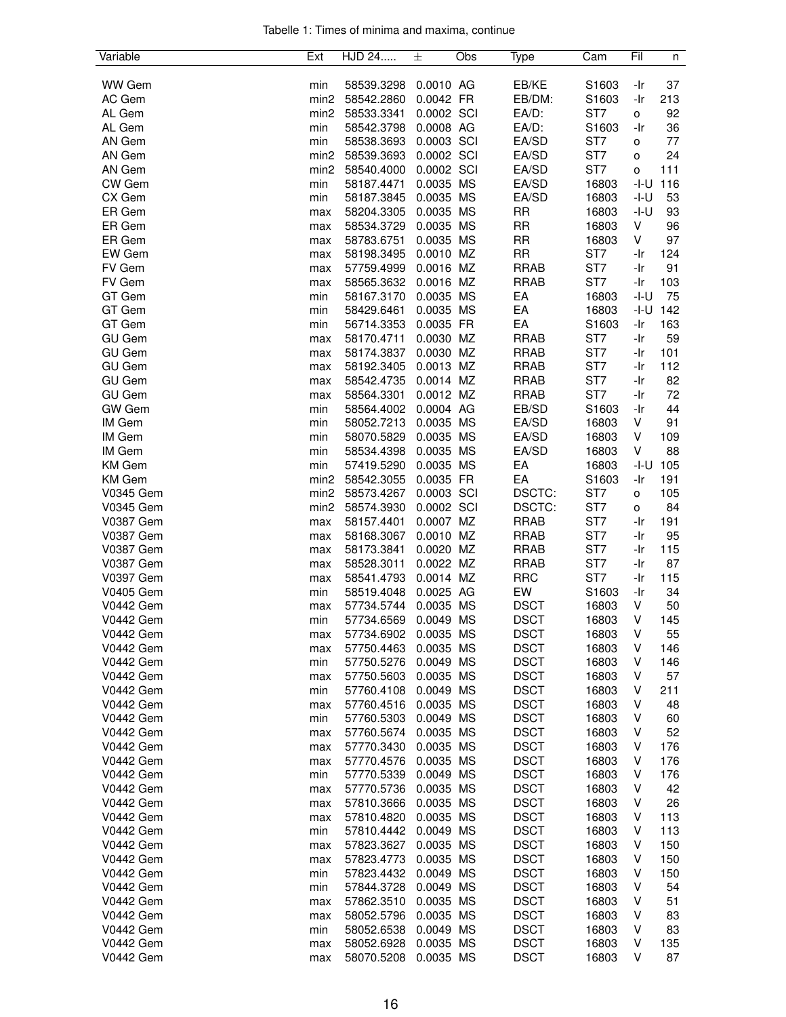|  |  |  | Tabelle 1: Times of minima and maxima, continue |  |
|--|--|--|-------------------------------------------------|--|
|  |  |  |                                                 |  |

| Variable         | Ext              | HJD 24     | 士          | Obs | Type        | Cam             | Fil  | n   |
|------------------|------------------|------------|------------|-----|-------------|-----------------|------|-----|
|                  |                  |            |            |     |             |                 |      |     |
| <b>WW Gem</b>    | min              | 58539.3298 | 0.0010 AG  |     | EB/KE       | S1603           | -Ir  | 37  |
| AC Gem           | min <sub>2</sub> | 58542.2860 | 0.0042 FR  |     | EB/DM:      | S1603           | -Ir  | 213 |
| AL Gem           | min <sub>2</sub> | 58533.3341 | 0.0002 SCI |     | EA/D:       | ST7             | o    | 92  |
| AL Gem           | min              | 58542.3798 | 0.0008 AG  |     | EA/D:       | S1603           | -Ir  | 36  |
| AN Gem           | min              | 58538.3693 | 0.0003 SCI |     | EA/SD       | ST7             | o    | 77  |
| AN Gem           | min <sub>2</sub> | 58539.3693 | 0.0002 SCI |     | EA/SD       | ST7             | o    | 24  |
| AN Gem           | min <sub>2</sub> | 58540.4000 | 0.0002 SCI |     | EA/SD       | ST7             | o    | 111 |
| CW Gem           | min              | 58187.4471 | 0.0035 MS  |     | EA/SD       | 16803           | -I-U | 116 |
| CX Gem           | min              | 58187.3845 | 0.0035 MS  |     | EA/SD       | 16803           | -I-U | 53  |
| ER Gem           | max              | 58204.3305 | 0.0035 MS  |     | <b>RR</b>   | 16803           | -I-U | 93  |
| ER Gem           | max              | 58534.3729 | 0.0035 MS  |     | <b>RR</b>   | 16803           | V    | 96  |
| ER Gem           | max              | 58783.6751 | 0.0035 MS  |     | <b>RR</b>   | 16803           | V    | 97  |
| EW Gem           | max              | 58198.3495 | 0.0010 MZ  |     | <b>RR</b>   | ST7             | -Ir  | 124 |
| FV Gem           | max              | 57759.4999 | 0.0016 MZ  |     | <b>RRAB</b> | ST7             | -Ir  | 91  |
| FV Gem           | max              | 58565.3632 | 0.0016 MZ  |     | <b>RRAB</b> | ST7             | -Ir  | 103 |
| GT Gem           | min              | 58167.3170 | 0.0035 MS  |     | EA          | 16803           | -I-U | 75  |
| GT Gem           | min              | 58429.6461 | 0.0035 MS  |     | EA          | 16803           | -I-U | 142 |
| GT Gem           | min              | 56714.3353 | 0.0035 FR  |     | EA          | S1603           | -Ir  | 163 |
| <b>GU Gem</b>    | max              | 58170.4711 | 0.0030 MZ  |     | <b>RRAB</b> | ST <sub>7</sub> | -Ir  | 59  |
| <b>GU Gem</b>    | max              | 58174.3837 | 0.0030 MZ  |     | <b>RRAB</b> | ST7             | -Ir  | 101 |
| <b>GU Gem</b>    | max              | 58192.3405 | 0.0013 MZ  |     | <b>RRAB</b> | ST7             | -Ir  | 112 |
| <b>GU Gem</b>    | max              | 58542.4735 | 0.0014 MZ  |     | <b>RRAB</b> | ST7             | -Ir  | 82  |
| <b>GU Gem</b>    | max              | 58564.3301 | 0.0012 MZ  |     | <b>RRAB</b> | ST7             | -Ir  | 72  |
| <b>GW</b> Gem    | min              | 58564.4002 | 0.0004 AG  |     | EB/SD       | S1603           | -Ir  | 44  |
| IM Gem           | min              | 58052.7213 | 0.0035 MS  |     | EA/SD       | 16803           | V    | 91  |
| IM Gem           | min              | 58070.5829 | 0.0035 MS  |     | EA/SD       | 16803           | V    | 109 |
| IM Gem           | min              | 58534.4398 | 0.0035 MS  |     | EA/SD       | 16803           | V    | 88  |
| <b>KM</b> Gem    | min              | 57419.5290 | 0.0035 MS  |     | EA          | 16803           | -I-U | 105 |
| <b>KM</b> Gem    | min <sub>2</sub> | 58542.3055 | 0.0035 FR  |     | EA          | S1603           | -Ir  | 191 |
| V0345 Gem        | min <sub>2</sub> | 58573.4267 | 0.0003 SCI |     | DSCTC:      | ST <sub>7</sub> | o    | 105 |
| V0345 Gem        | min <sub>2</sub> | 58574.3930 | 0.0002 SCI |     | DSCTC:      | ST7             | o    | 84  |
| <b>V0387 Gem</b> | max              | 58157.4401 | 0.0007 MZ  |     | <b>RRAB</b> | ST7             | -Ir  | 191 |
| <b>V0387 Gem</b> | max              | 58168.3067 | 0.0010 MZ  |     | <b>RRAB</b> | ST7             | -Ir  | 95  |
| V0387 Gem        | max              | 58173.3841 | 0.0020 MZ  |     | <b>RRAB</b> | ST7             | -Ir  | 115 |
| <b>V0387 Gem</b> | max              | 58528.3011 | 0.0022 MZ  |     | <b>RRAB</b> | ST7             | -Ir  | 87  |
| V0397 Gem        | max              | 58541.4793 | 0.0014 MZ  |     | <b>RRC</b>  | ST7             | -Ir  | 115 |
| V0405 Gem        | min              | 58519.4048 | 0.0025 AG  |     | EW          | S1603           | -Ir  | 34  |
| <b>V0442 Gem</b> | max              | 57734.5744 | 0.0035 MS  |     | <b>DSCT</b> | 16803           | V    | 50  |
| <b>V0442 Gem</b> | min              | 57734.6569 | 0.0049 MS  |     | <b>DSCT</b> | 16803           | V    | 145 |
| <b>V0442 Gem</b> | max              | 57734.6902 | 0.0035 MS  |     | <b>DSCT</b> | 16803           | V    | 55  |
| <b>V0442 Gem</b> | max              | 57750.4463 | 0.0035 MS  |     | <b>DSCT</b> | 16803           | V    | 146 |
| <b>V0442 Gem</b> | min              | 57750.5276 | 0.0049 MS  |     | <b>DSCT</b> | 16803           | v    | 146 |
| <b>V0442 Gem</b> | max              | 57750.5603 | 0.0035 MS  |     | <b>DSCT</b> | 16803           | ٧    | 57  |
| <b>V0442 Gem</b> | min              | 57760.4108 | 0.0049 MS  |     | <b>DSCT</b> | 16803           | V    | 211 |
| <b>V0442 Gem</b> | max              | 57760.4516 | 0.0035 MS  |     | <b>DSCT</b> | 16803           | V    | 48  |
| <b>V0442 Gem</b> | min              | 57760.5303 | 0.0049 MS  |     | <b>DSCT</b> | 16803           | V    | 60  |
| <b>V0442 Gem</b> | max              | 57760.5674 | 0.0035 MS  |     | <b>DSCT</b> | 16803           | V    | 52  |
| <b>V0442 Gem</b> | max              | 57770.3430 | 0.0035 MS  |     | <b>DSCT</b> | 16803           | v    | 176 |
| <b>V0442 Gem</b> | max              | 57770.4576 | 0.0035 MS  |     | <b>DSCT</b> | 16803           | V    | 176 |
| <b>V0442 Gem</b> | min              | 57770.5339 | 0.0049 MS  |     | <b>DSCT</b> | 16803           | V    | 176 |
| <b>V0442 Gem</b> | max              | 57770.5736 | 0.0035 MS  |     | <b>DSCT</b> | 16803           | V    | 42  |
| <b>V0442 Gem</b> | max              | 57810.3666 | 0.0035 MS  |     | <b>DSCT</b> | 16803           | V    | 26  |
| <b>V0442 Gem</b> | max              | 57810.4820 | 0.0035 MS  |     | <b>DSCT</b> | 16803           | v    | 113 |
| <b>V0442 Gem</b> | min              | 57810.4442 | 0.0049 MS  |     | <b>DSCT</b> | 16803           | ٧    | 113 |
| <b>V0442 Gem</b> | max              | 57823.3627 | 0.0035 MS  |     | <b>DSCT</b> | 16803           | V    | 150 |
| <b>V0442 Gem</b> | max              | 57823.4773 | 0.0035 MS  |     | <b>DSCT</b> | 16803           | V    | 150 |
| <b>V0442 Gem</b> | min              | 57823.4432 | 0.0049 MS  |     | <b>DSCT</b> | 16803           | V    | 150 |
| <b>V0442 Gem</b> | min              | 57844.3728 | 0.0049 MS  |     | <b>DSCT</b> | 16803           | V    | 54  |
| <b>V0442 Gem</b> | max              | 57862.3510 | 0.0035 MS  |     | <b>DSCT</b> | 16803           | v    | 51  |
| <b>V0442 Gem</b> | max              | 58052.5796 | 0.0035 MS  |     | <b>DSCT</b> | 16803           | v    | 83  |
| <b>V0442 Gem</b> | min              | 58052.6538 | 0.0049 MS  |     | <b>DSCT</b> | 16803           | V    | 83  |
| <b>V0442 Gem</b> | max              | 58052.6928 | 0.0035 MS  |     | <b>DSCT</b> | 16803           | V    | 135 |
| <b>V0442 Gem</b> | max              | 58070.5208 | 0.0035 MS  |     | <b>DSCT</b> | 16803           | V    | 87  |
|                  |                  |            |            |     |             |                 |      |     |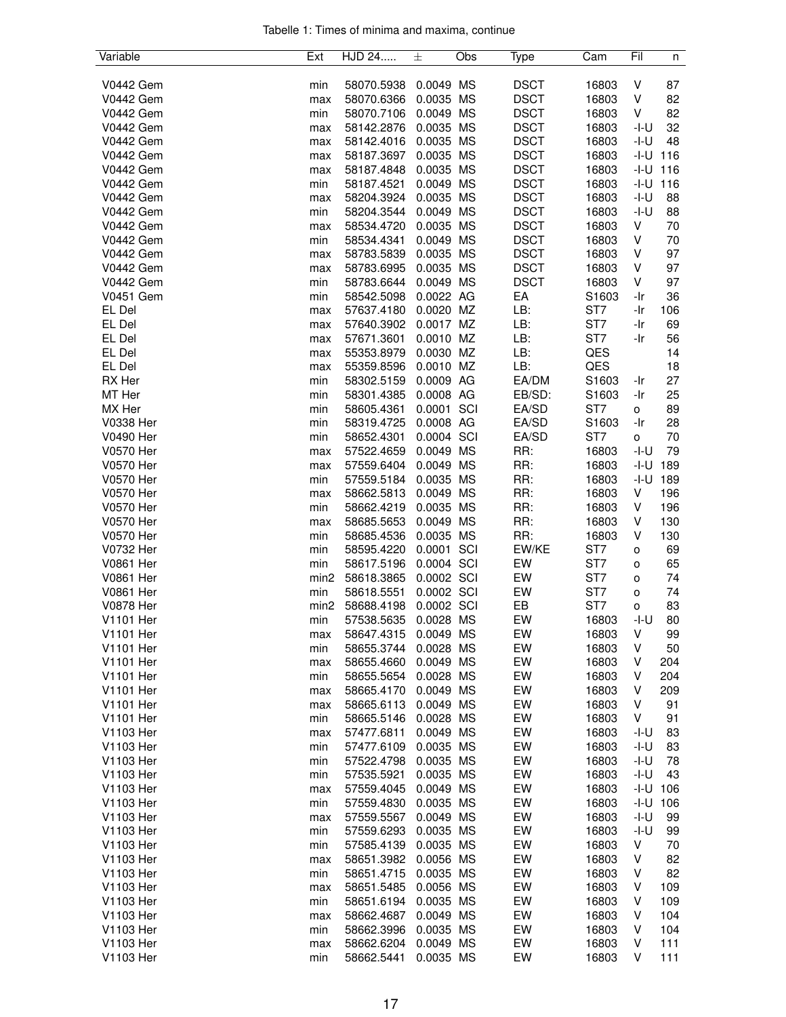|  |  |  | Tabelle 1: Times of minima and maxima, continue |  |
|--|--|--|-------------------------------------------------|--|
|  |  |  |                                                 |  |

| Variable         | Ext              | HJD 24     | 士          | Obs | Type        | Cam             | Fil    | n   |
|------------------|------------------|------------|------------|-----|-------------|-----------------|--------|-----|
|                  |                  |            |            |     |             |                 |        |     |
| <b>V0442 Gem</b> | min              | 58070.5938 | 0.0049 MS  |     | <b>DSCT</b> | 16803           | V      | 87  |
| <b>V0442 Gem</b> | max              | 58070.6366 | 0.0035 MS  |     | <b>DSCT</b> | 16803           | V      | 82  |
| <b>V0442 Gem</b> | min              | 58070.7106 | 0.0049 MS  |     | <b>DSCT</b> | 16803           | V      | 82  |
| <b>V0442 Gem</b> | max              | 58142.2876 | 0.0035 MS  |     | <b>DSCT</b> | 16803           | -I-U   | 32  |
| <b>V0442 Gem</b> | max              | 58142.4016 | 0.0035 MS  |     | <b>DSCT</b> | 16803           | -I-U   | 48  |
| <b>V0442 Gem</b> | max              | 58187.3697 | 0.0035 MS  |     | <b>DSCT</b> | 16803           | -I-U   | 116 |
| <b>V0442 Gem</b> | max              | 58187.4848 | 0.0035 MS  |     | <b>DSCT</b> | 16803           | -I-U   | 116 |
| <b>V0442 Gem</b> | min              | 58187.4521 | 0.0049 MS  |     | <b>DSCT</b> | 16803           | -I-U   | 116 |
| <b>V0442 Gem</b> | max              | 58204.3924 | 0.0035 MS  |     | <b>DSCT</b> | 16803           | $-I-U$ | 88  |
| <b>V0442 Gem</b> | min              | 58204.3544 | 0.0049 MS  |     | <b>DSCT</b> | 16803           | -I-U   | 88  |
| <b>V0442 Gem</b> | max              | 58534.4720 | 0.0035 MS  |     | <b>DSCT</b> | 16803           | V      | 70  |
| <b>V0442 Gem</b> | min              | 58534.4341 | 0.0049 MS  |     | <b>DSCT</b> | 16803           | V      | 70  |
| <b>V0442 Gem</b> |                  | 58783.5839 | 0.0035 MS  |     | <b>DSCT</b> | 16803           | V      | 97  |
|                  | max              |            |            |     |             |                 |        |     |
| <b>V0442 Gem</b> | max              | 58783.6995 | 0.0035 MS  |     | <b>DSCT</b> | 16803           | V      | 97  |
| <b>V0442 Gem</b> | min              | 58783.6644 | 0.0049 MS  |     | <b>DSCT</b> | 16803           | V      | 97  |
| <b>V0451 Gem</b> | min              | 58542.5098 | 0.0022 AG  |     | EA          | S1603           | -Ir    | 36  |
| EL Del           | max              | 57637.4180 | 0.0020 MZ  |     | LB:         | ST <sub>7</sub> | -Ir    | 106 |
| EL Del           | max              | 57640.3902 | 0.0017 MZ  |     | LB:         | ST <sub>7</sub> | -Ir    | 69  |
| EL Del           | max              | 57671.3601 | 0.0010 MZ  |     | LB:         | ST7             | -Ir    | 56  |
| EL Del           | max              | 55353.8979 | 0.0030 MZ  |     | LB:         | QES             |        | 14  |
| EL Del           | max              | 55359.8596 | 0.0010 MZ  |     | LB:         | QES             |        | 18  |
| RX Her           | min              | 58302.5159 | 0.0009 AG  |     | EA/DM       | S1603           | -Ir    | 27  |
| MT Her           | min              | 58301.4385 | 0.0008 AG  |     | EB/SD:      | S1603           | -Ir    | 25  |
| MX Her           | min              | 58605.4361 | 0.0001 SCI |     | EA/SD       | ST <sub>7</sub> | o      | 89  |
| V0338 Her        | min              | 58319.4725 | 0.0008 AG  |     | EA/SD       | S1603           | -Ir    | 28  |
| V0490 Her        | min              | 58652.4301 | 0.0004 SCI |     | EA/SD       | ST7             | o      | 70  |
| V0570 Her        | max              | 57522.4659 | 0.0049 MS  |     | RR:         | 16803           | -I-U   | 79  |
| V0570 Her        | max              | 57559.6404 | 0.0049 MS  |     | RR:         | 16803           | -I-U   | 189 |
| <b>V0570 Her</b> | min              | 57559.5184 | 0.0035 MS  |     | RR:         | 16803           | -I-U   | 189 |
|                  |                  |            | 0.0049 MS  |     |             |                 |        |     |
| V0570 Her        | max              | 58662.5813 |            |     | RR:         | 16803           | V      | 196 |
| V0570 Her        | min              | 58662.4219 | 0.0035 MS  |     | RR:         | 16803           | V      | 196 |
| V0570 Her        | max              | 58685.5653 | 0.0049 MS  |     | RR:         | 16803           | V      | 130 |
| V0570 Her        | min              | 58685.4536 | 0.0035 MS  |     | RR:         | 16803           | V      | 130 |
| V0732 Her        | min              | 58595.4220 | 0.0001 SCI |     | EW/KE       | ST7             | o      | 69  |
| V0861 Her        | min              | 58617.5196 | 0.0004 SCI |     | EW          | ST7             | o      | 65  |
| V0861 Her        | min <sub>2</sub> | 58618.3865 | 0.0002 SCI |     | EW          | ST <sub>7</sub> | o      | 74  |
| <b>V0861 Her</b> | min              | 58618.5551 | 0.0002 SCI |     | EW          | ST7             | o      | 74  |
| V0878 Her        | min <sub>2</sub> | 58688.4198 | 0.0002 SCI |     | EB          | ST7             | o      | 83  |
| V1101 Her        | min              | 57538.5635 | 0.0028 MS  |     | EW          | 16803           | -I-U   | 80  |
| V1101 Her        | max              | 58647.4315 | 0.0049 MS  |     | EW          | 16803           | V      | 99  |
| V1101 Her        | min              | 58655.3744 | 0.0028 MS  |     | EW          | 16803           | V      | 50  |
| <b>V1101 Her</b> | max              | 58655.4660 | 0.0049 MS  |     | EW          | 16803           | V      | 204 |
| V1101 Her        | min              | 58655.5654 | 0.0028 MS  |     | EW          | 16803           | V      | 204 |
| <b>V1101 Her</b> | max              | 58665.4170 | 0.0049 MS  |     | EW          | 16803           | V      | 209 |
| <b>V1101 Her</b> | max              | 58665.6113 | 0.0049 MS  |     | EW          | 16803           | V      | 91  |
| <b>V1101 Her</b> | min              | 58665.5146 | 0.0028 MS  |     | EW          | 16803           | V      | 91  |
| V1103 Her        | max              | 57477.6811 | 0.0049 MS  |     | EW          | 16803           | -I-U   | 83  |
| V1103 Her        | min              | 57477.6109 | 0.0035 MS  |     | EW          | 16803           | -I-U   | 83  |
|                  |                  |            |            |     | EW          | 16803           | -I-U   |     |
| V1103 Her        | min              | 57522.4798 | 0.0035 MS  |     |             |                 |        | 78  |
| V1103 Her        | min              | 57535.5921 | 0.0035 MS  |     | EW          | 16803           | -I-U   | 43  |
| V1103 Her        | max              | 57559.4045 | 0.0049 MS  |     | EW          | 16803           | -I-U   | 106 |
| V1103 Her        | min              | 57559.4830 | 0.0035 MS  |     | EW          | 16803           | -I-U   | 106 |
| V1103 Her        | max              | 57559.5567 | 0.0049 MS  |     | EW          | 16803           | $-I-U$ | 99  |
| V1103 Her        | min              | 57559.6293 | 0.0035 MS  |     | EW          | 16803           | $-I-U$ | 99  |
| V1103 Her        | min              | 57585.4139 | 0.0035 MS  |     | EW          | 16803           | V      | 70  |
| V1103 Her        | max              | 58651.3982 | 0.0056 MS  |     | EW          | 16803           | V      | 82  |
| V1103 Her        | min              | 58651.4715 | 0.0035 MS  |     | EW          | 16803           | V      | 82  |
| V1103 Her        | max              | 58651.5485 | 0.0056 MS  |     | EW          | 16803           | V      | 109 |
| V1103 Her        | min              | 58651.6194 | 0.0035 MS  |     | EW          | 16803           | V      | 109 |
| V1103 Her        | max              | 58662.4687 | 0.0049 MS  |     | EW          | 16803           | V      | 104 |
| V1103 Her        | min              | 58662.3996 | 0.0035 MS  |     | EW          | 16803           | V      | 104 |
| V1103 Her        | max              | 58662.6204 | 0.0049 MS  |     | EW          | 16803           | V      | 111 |
| V1103 Her        | min              | 58662.5441 | 0.0035 MS  |     | EW          | 16803           | V      | 111 |
|                  |                  |            |            |     |             |                 |        |     |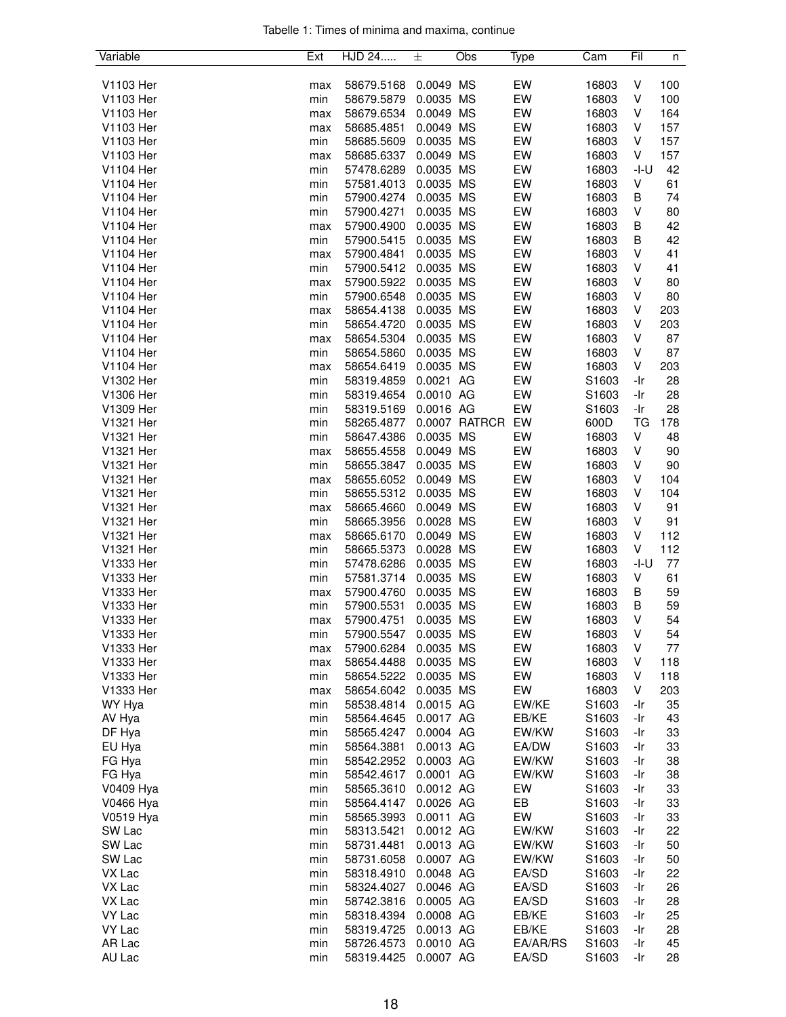|  |  |  | Tabelle 1: Times of minima and maxima, continue |  |
|--|--|--|-------------------------------------------------|--|
|  |  |  |                                                 |  |

| Variable  | Ext        | HJD 24     | 士         | Obs           | Type     | Cam               | Fil     | n   |
|-----------|------------|------------|-----------|---------------|----------|-------------------|---------|-----|
|           |            |            |           |               |          |                   |         |     |
| V1103 Her | max        | 58679.5168 | 0.0049 MS |               | EW       | 16803             | V       | 100 |
| V1103 Her | min        | 58679.5879 | 0.0035    | <b>MS</b>     | EW       | 16803             | V       | 100 |
| V1103 Her | max        | 58679.6534 | 0.0049    | MS            | EW       | 16803             | V       | 164 |
| V1103 Her | max        | 58685.4851 | 0.0049    | MS            | EW       | 16803             | V       | 157 |
| V1103 Her | min        | 58685.5609 | 0.0035 MS |               | EW       | 16803             | V       | 157 |
| V1103 Her | max        | 58685.6337 | 0.0049 MS |               | EW       | 16803             | V       | 157 |
| V1104 Her | min        | 57478.6289 | 0.0035 MS |               | EW       | 16803             | -I-U    | 42  |
| V1104 Her | min        | 57581.4013 | 0.0035 MS |               | EW       | 16803             | V       | 61  |
| V1104 Her | min        | 57900.4274 | 0.0035 MS |               | EW       | 16803             | В       | 74  |
| V1104 Her | min        | 57900.4271 | 0.0035 MS |               | EW       | 16803             | V       | 80  |
| V1104 Her | max        | 57900.4900 | 0.0035 MS |               | EW       | 16803             | B       | 42  |
| V1104 Her | min        | 57900.5415 | 0.0035 MS |               | EW       | 16803             | В       | 42  |
| V1104 Her | max        | 57900.4841 | 0.0035 MS |               | EW       | 16803             | V       | 41  |
| V1104 Her | min        | 57900.5412 | 0.0035 MS |               | EW       | 16803             | V       | 41  |
| V1104 Her |            | 57900.5922 | 0.0035 MS |               | EW       | 16803             | V       | 80  |
| V1104 Her | max        |            | 0.0035 MS |               | EW       | 16803             | V       | 80  |
| V1104 Her | min        | 57900.6548 | 0.0035 MS |               |          |                   |         |     |
|           | max        | 58654.4138 |           |               | EW       | 16803             | V       | 203 |
| V1104 Her | min        | 58654.4720 | 0.0035 MS |               | EW       | 16803             | V       | 203 |
| V1104 Her | max        | 58654.5304 | 0.0035 MS |               | EW       | 16803             | V       | 87  |
| V1104 Her | min        | 58654.5860 | 0.0035 MS |               | EW       | 16803             | V       | 87  |
| V1104 Her | max        | 58654.6419 | 0.0035 MS |               | EW       | 16803             | V       | 203 |
| V1302 Her | min        | 58319.4859 | 0.0021 AG |               | EW       | S1603             | -Ir     | 28  |
| V1306 Her | min        | 58319.4654 | 0.0010 AG |               | EW       | S1603             | -Ir     | 28  |
| V1309 Her | min        | 58319.5169 | 0.0016 AG |               | EW       | S1603             | -Ir     | 28  |
| V1321 Her | min        | 58265.4877 |           | 0.0007 RATRCR | EW       | 600D              | TG      | 178 |
| V1321 Her | min        | 58647.4386 | 0.0035 MS |               | EW       | 16803             | V       | 48  |
| V1321 Her | max        | 58655.4558 | 0.0049 MS |               | EW       | 16803             | $\sf V$ | 90  |
| V1321 Her | min        | 58655.3847 | 0.0035 MS |               | EW       | 16803             | V       | 90  |
| V1321 Her | max        | 58655.6052 | 0.0049 MS |               | EW       | 16803             | V       | 104 |
| V1321 Her | min        | 58655.5312 | 0.0035    | МS            | EW       | 16803             | V       | 104 |
| V1321 Her | max        | 58665.4660 | 0.0049 MS |               | EW       | 16803             | V       | 91  |
| V1321 Her | min        | 58665.3956 | 0.0028    | <b>MS</b>     | EW       | 16803             | V       | 91  |
| V1321 Her | max        | 58665.6170 | 0.0049    | <b>MS</b>     | EW       | 16803             | V       | 112 |
| V1321 Her | min        | 58665.5373 | 0.0028 MS |               | EW       | 16803             | V       | 112 |
| V1333 Her | min        | 57478.6286 | 0.0035 MS |               | EW       | 16803             | -I-U    | 77  |
| V1333 Her | min        | 57581.3714 | 0.0035 MS |               | EW       | 16803             | V       | 61  |
| V1333 Her | max        | 57900.4760 | 0.0035 MS |               | EW       | 16803             | В       | 59  |
| V1333 Her | min        | 57900.5531 | 0.0035 MS |               | EW       | 16803             | B       | 59  |
| V1333 Her | max        | 57900.4751 | 0.0035 MS |               | EW       | 16803             | V       | 54  |
| V1333 Her | min        | 57900.5547 | 0.0035 MS |               | EW       | 16803             | V       | 54  |
| V1333 Her | max        | 57900.6284 | 0.0035 MS |               | EW       | 16803             | V       | 77  |
| V1333 Her |            | 58654.4488 | 0.0035 MS |               | EW       | 16803             | V       | 118 |
| V1333 Her | max<br>min | 58654.5222 | 0.0035 MS |               | EW       | 16803             | V       | 118 |
| V1333 Her |            | 58654.6042 | 0.0035 MS |               | EW       | 16803             | V       | 203 |
|           | max        |            |           |               |          |                   |         |     |
| WY Hya    | min        | 58538.4814 | 0.0015 AG |               | EW/KE    | S <sub>1603</sub> | -Ir     | 35  |
| AV Hya    | min        | 58564.4645 | 0.0017 AG |               | EB/KE    | S1603             | -Ir     | 43  |
| DF Hya    | min        | 58565.4247 | 0.0004 AG |               | EW/KW    | S1603             | -Ir     | 33  |
| EU Hya    | min        | 58564.3881 | 0.0013 AG |               | EA/DW    | S1603             | -Ir     | 33  |
| FG Hya    | min        | 58542.2952 | 0.0003 AG |               | EW/KW    | S1603             | -Ir     | 38  |
| FG Hya    | min        | 58542.4617 | 0.0001 AG |               | EW/KW    | S1603             | -Ir     | 38  |
| V0409 Hya | min        | 58565.3610 | 0.0012 AG |               | EW       | S1603             | -Ir     | 33  |
| V0466 Hya | min        | 58564.4147 | 0.0026 AG |               | EB       | S1603             | -Ir     | 33  |
| V0519 Hya | min        | 58565.3993 | 0.0011 AG |               | EW       | S1603             | -Ir     | 33  |
| SW Lac    | min        | 58313.5421 | 0.0012 AG |               | EW/KW    | S1603             | -Ir     | 22  |
| SW Lac    | min        | 58731.4481 | 0.0013 AG |               | EW/KW    | S1603             | -Ir     | 50  |
| SW Lac    | min        | 58731.6058 | 0.0007 AG |               | EW/KW    | S1603             | -Ir     | 50  |
| VX Lac    | min        | 58318.4910 | 0.0048 AG |               | EA/SD    | S1603             | -Ir     | 22  |
| VX Lac    | min        | 58324.4027 | 0.0046 AG |               | EA/SD    | S1603             | -Ir     | 26  |
| VX Lac    | min        | 58742.3816 | 0.0005 AG |               | EA/SD    | S1603             | -Ir     | 28  |
| VY Lac    | min        | 58318.4394 | 0.0008 AG |               | EB/KE    | S1603             | -Ir     | 25  |
| VY Lac    | min        | 58319.4725 | 0.0013 AG |               | EB/KE    | S1603             | -Ir     | 28  |
| AR Lac    | min        | 58726.4573 | 0.0010 AG |               | EA/AR/RS | S1603             | -Ir     | 45  |
| AU Lac    | min        | 58319.4425 | 0.0007 AG |               | EA/SD    | S1603             | -Ir     | 28  |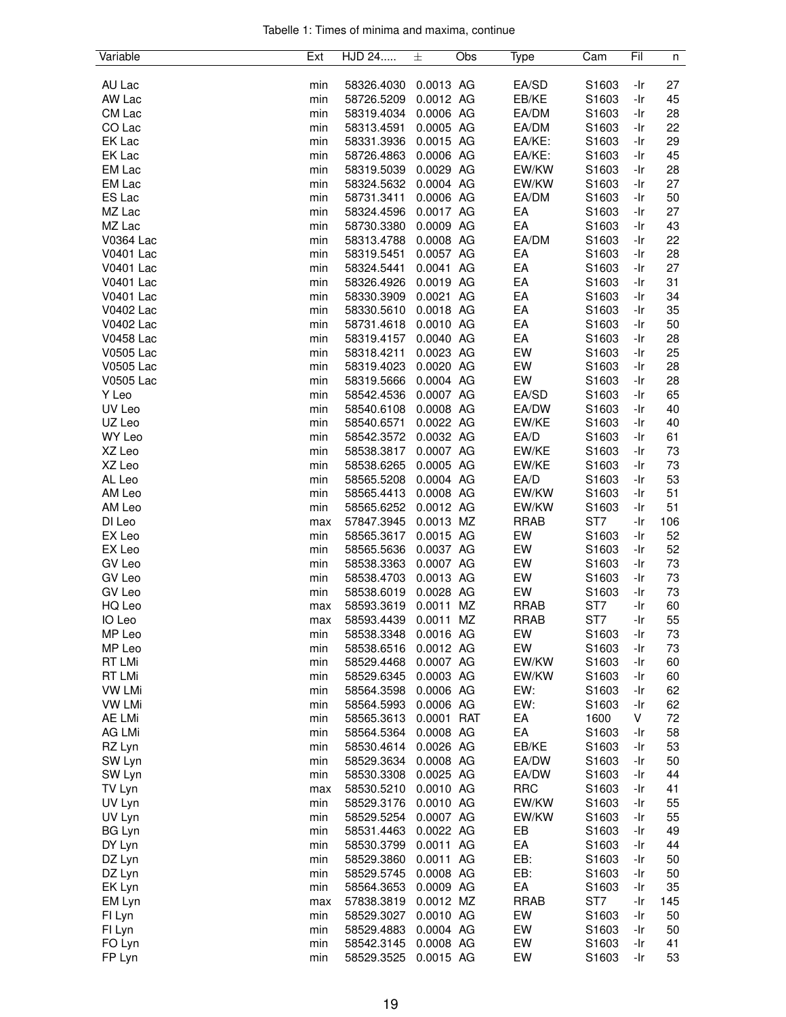|  |  |  | Tabelle 1: Times of minima and maxima, continue |  |
|--|--|--|-------------------------------------------------|--|
|  |  |  |                                                 |  |

| Variable      | Ext | HJD 24               | 士           | Obs | Type        | Cam             | Fil | n   |
|---------------|-----|----------------------|-------------|-----|-------------|-----------------|-----|-----|
|               |     |                      |             |     |             |                 |     |     |
| AU Lac        | min | 58326.4030           | 0.0013 AG   |     | EA/SD       | S1603           | -Ir | 27  |
| AW Lac        | min | 58726.5209           | 0.0012 AG   |     | EB/KE       | S1603           | -Ir | 45  |
| CM Lac        | min | 58319.4034           | 0.0006 AG   |     | EA/DM       | S1603           | -Ir | 28  |
| CO Lac        | min | 58313.4591           | 0.0005 AG   |     | EA/DM       | S1603           | -Ir | 22  |
| EK Lac        | min | 58331.3936           | 0.0015 AG   |     | EA/KE:      | S1603           | -Ir | 29  |
| EK Lac        | min | 58726.4863           | 0.0006 AG   |     | EA/KE:      | S1603           | -Ir | 45  |
| EM Lac        | min | 58319.5039           | 0.0029 AG   |     | EW/KW       | S1603           | -Ir | 28  |
| EM Lac        | min | 58324.5632           | 0.0004 AG   |     | EW/KW       | S1603           | -Ir | 27  |
| ES Lac        | min | 58731.3411           | 0.0006 AG   |     | EA/DM       | S1603           | -Ir | 50  |
| MZ Lac        | min | 58324.4596           | 0.0017 AG   |     | EA          | S1603           | -Ir | 27  |
| MZ Lac        | min | 58730.3380           | 0.0009 AG   |     | EA          | S1603           | -Ir | 43  |
| V0364 Lac     | min | 58313.4788           | 0.0008 AG   |     | EA/DM       | S1603           | -Ir | 22  |
| V0401 Lac     | min | 58319.5451           | 0.0057 AG   |     | EA          | S1603           | -Ir | 28  |
| V0401 Lac     | min | 58324.5441           | 0.0041 AG   |     | EA          | S1603           | -Ir | 27  |
| V0401 Lac     | min | 58326.4926           | 0.0019 AG   |     | EA          | S1603           | -Ir | 31  |
| V0401 Lac     | min | 58330.3909           | 0.0021 AG   |     | EA          | S1603           | -Ir | 34  |
| V0402 Lac     | min | 58330.5610           | 0.0018 AG   |     | EA          | S1603           | -Ir | 35  |
| V0402 Lac     | min | 58731.4618           | 0.0010 AG   |     | EA          | S1603           | -Ir | 50  |
| V0458 Lac     | min | 58319.4157           | 0.0040 AG   |     | EA          | S1603           | -Ir | 28  |
| V0505 Lac     | min | 58318.4211           | 0.0023 AG   |     | EW          | S1603           | -Ir | 25  |
| V0505 Lac     | min | 58319.4023           | 0.0020 AG   |     | EW          | S1603           | -Ir | 28  |
| V0505 Lac     | min | 58319.5666           | 0.0004 AG   |     | EW          | S1603           | -Ir | 28  |
| Y Leo         | min | 58542.4536           | 0.0007 AG   |     | EA/SD       | S1603           | -Ir | 65  |
| UV Leo        | min | 58540.6108           | 0.0008 AG   |     | EA/DW       | S1603           | -Ir | 40  |
| UZ Leo        | min | 58540.6571           | 0.0022 AG   |     | EW/KE       | S1603           | -Ir | 40  |
| WY Leo        | min | 58542.3572           | 0.0032 AG   |     | EA/D        | S1603           | -Ir | 61  |
| XZ Leo        | min | 58538.3817           | 0.0007 AG   |     | EW/KE       | S1603           | -Ir | 73  |
| XZ Leo        | min | 58538.6265           | 0.0005 AG   |     | EW/KE       | S1603           | -Ir | 73  |
| AL Leo        | min | 58565.5208           | 0.0004 AG   |     | EA/D        | S1603           | -Ir | 53  |
| AM Leo        | min | 58565.4413           | 0.0008 AG   |     | EW/KW       | S1603           | -Ir | 51  |
| AM Leo        | min | 58565.6252           | 0.0012 AG   |     | EW/KW       | S1603           | -Ir | 51  |
| DI Leo        | max | 57847.3945           | 0.0013 MZ   |     | <b>RRAB</b> | ST7             | -Ir | 106 |
| EX Leo        | min | 58565.3617           | 0.0015 AG   |     | EW          | S1603           | -Ir | 52  |
| EX Leo        | min | 58565.5636           | 0.0037 AG   |     | EW          | S1603           | -Ir | 52  |
| GV Leo        | min | 58538.3363           | 0.0007 AG   |     | EW          | S1603           | -Ir | 73  |
| GV Leo        | min | 58538.4703           | 0.0013 AG   |     | EW          | S1603           | -Ir | 73  |
| GV Leo        | min | 58538.6019           | 0.0028 AG   |     | EW          | S1603           | -Ir | 73  |
| HQ Leo        | max | 58593.3619           | 0.0011      | ΜZ  | <b>RRAB</b> | ST7             | -Ir | 60  |
| IO Leo        | max | 58593.4439           | 0.0011      | ΜZ  | <b>RRAB</b> | ST <sub>7</sub> | -Ir | 55  |
| MP Leo        | min | 58538.3348           | $0.0016$ AG |     | EW          | S1603           | -Ir | 73  |
| MP Leo        | min | 58538.6516           | 0.0012 AG   |     | EW          | S1603           | -Ir | 73  |
| RT LMi        | min | 58529.4468           | 0.0007 AG   |     | EW/KW       | S1603           | -Ir | 60  |
| RT LMi        | min | 58529.6345           | 0.0003 AG   |     | EW/KW       | S1603           | -Ir | 60  |
| <b>VW LMi</b> | min | 58564.3598           | 0.0006 AG   |     | EW:         | S1603           | -Ir | 62  |
| <b>VW LMi</b> | min | 58564.5993           | 0.0006 AG   |     | EW:         | S1603           | -Ir | 62  |
| AE LMi        | min | 58565.3613           | 0.0001 RAT  |     | EA          | 1600            | V   | 72  |
| AG LMi        | min | 58564.5364           | 0.0008 AG   |     | EA          | S1603           | -Ir | 58  |
| RZ Lyn        | min | 58530.4614           | 0.0026 AG   |     | EB/KE       | S1603           | -Ir | 53  |
| SW Lyn        | min | 58529.3634           | 0.0008 AG   |     | EA/DW       | S1603           | -Ir | 50  |
| SW Lyn        | min | 58530.3308           | 0.0025 AG   |     | EA/DW       | S1603           | -Ir | 44  |
| TV Lyn        | max | 58530.5210           | 0.0010 AG   |     | <b>RRC</b>  | S1603           | -Ir | 41  |
| UV Lyn        | min | 58529.3176           | 0.0010 AG   |     | EW/KW       | S1603           | -Ir | 55  |
| UV Lyn        | min | 58529.5254           | 0.0007 AG   |     | EW/KW       | S1603           | -Ir | 55  |
| <b>BG Lyn</b> | min | 58531.4463           | 0.0022 AG   |     | EB          | S1603           | -Ir | 49  |
| DY Lyn        | min | 58530.3799           | 0.0011 AG   |     | EA          | S1603           | -Ir | 44  |
| DZ Lyn        | min | 58529.3860           | 0.0011 AG   |     | EB:         | S1603           | -Ir | 50  |
| DZ Lyn        | min | 58529.5745           | 0.0008 AG   |     | EB:         | S1603           | -Ir | 50  |
| EK Lyn        | min | 58564.3653           | 0.0009 AG   |     | EA          | S1603           | -Ir | 35  |
| EM Lyn        | max | 57838.3819           | 0.0012 MZ   |     | <b>RRAB</b> | ST7             | -Ir | 145 |
| FI Lyn        | min | 58529.3027           | 0.0010 AG   |     | EW          | S1603           | -Ir | 50  |
| FI Lyn        | min | 58529.4883           | 0.0004 AG   |     | EW          | S1603           | -Ir | 50  |
| FO Lyn        | min | 58542.3145           | 0.0008 AG   |     | EW          | S1603           | -Ir | 41  |
| FP Lyn        | min | 58529.3525 0.0015 AG |             |     | EW          | S1603           | -Ir | 53  |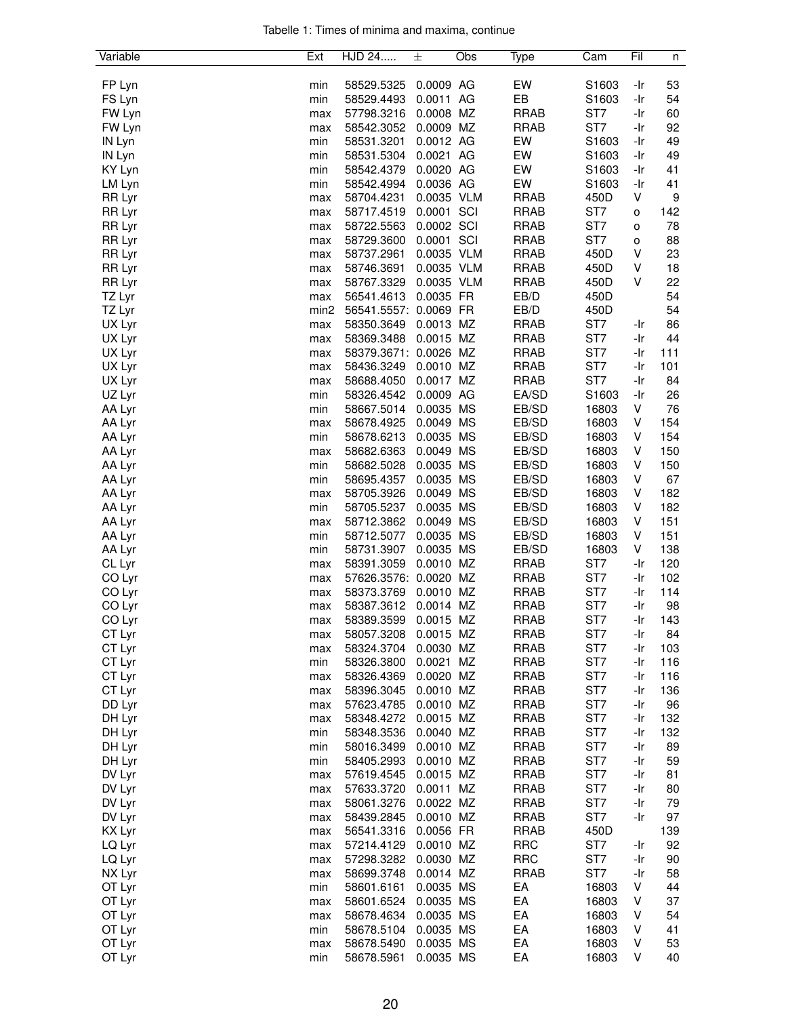| Tabelle 1: Times of minima and maxima, continue |  |  |  |
|-------------------------------------------------|--|--|--|
|                                                 |  |  |  |

| Variable | Ext  | HJD 24                | 士          | Obs | Type        | Cam   | Fil | n                |
|----------|------|-----------------------|------------|-----|-------------|-------|-----|------------------|
|          |      |                       |            |     |             |       |     |                  |
| FP Lyn   | min  | 58529.5325            | 0.0009 AG  |     | EW          | S1603 | -Ir | 53               |
| FS Lyn   | min  | 58529.4493            | 0.0011 AG  |     | EB          | S1603 | -Ir | 54               |
| FW Lyn   | max  | 57798.3216            | 0.0008 MZ  |     | <b>RRAB</b> | ST7   | -Ir | 60               |
| FW Lyn   | max  | 58542.3052            | 0.0009 MZ  |     | <b>RRAB</b> | ST7   | -Ir | 92               |
| IN Lyn   | min  | 58531.3201            | 0.0012 AG  |     | EW          | S1603 | -Ir | 49               |
| IN Lyn   | min  | 58531.5304            | 0.0021 AG  |     | EW          | S1603 | -Ir | 49               |
| KY Lyn   | min  | 58542.4379            | 0.0020 AG  |     | EW          | S1603 | -Ir | 41               |
| LM Lyn   | min  | 58542.4994            | 0.0036 AG  |     | EW          | S1603 | -Ir | 41               |
| RR Lyr   | max  | 58704.4231            | 0.0035 VLM |     | <b>RRAB</b> | 450D  | V   | $\boldsymbol{9}$ |
| RR Lyr   | max  | 58717.4519            | 0.0001 SCI |     | <b>RRAB</b> | ST7   | o   | 142              |
| RR Lyr   | max  | 58722.5563            | 0.0002 SCI |     | <b>RRAB</b> | ST7   | o   | 78               |
| RR Lyr   | max  | 58729.3600            | 0.0001 SCI |     | <b>RRAB</b> | ST7   | o   | 88               |
| RR Lyr   | max  | 58737.2961            | 0.0035 VLM |     | <b>RRAB</b> | 450D  | V   | 23               |
| RR Lyr   | max  | 58746.3691            | 0.0035 VLM |     | <b>RRAB</b> | 450D  | V   | 18               |
| RR Lyr   | max  | 58767.3329            | 0.0035 VLM |     | <b>RRAB</b> | 450D  | V   | 22               |
| TZ Lyr   | max  | 56541.4613            | 0.0035 FR  |     | EB/D        | 450D  |     | 54               |
| TZ Lyr   | min2 | 56541.5557: 0.0069 FR |            |     | EB/D        | 450D  |     | 54               |
| UX Lyr   |      | 58350.3649            | 0.0013 MZ  |     | <b>RRAB</b> | ST7   | -Ir | 86               |
|          | max  |                       |            |     |             | ST7   |     |                  |
| UX Lyr   | max  | 58369.3488            | 0.0015 MZ  |     | <b>RRAB</b> |       | -Ir | 44               |
| UX Lyr   | max  | 58379.3671: 0.0026 MZ |            |     | <b>RRAB</b> | ST7   | -Ir | 111              |
| UX Lyr   | max  | 58436.3249            | 0.0010 MZ  |     | <b>RRAB</b> | ST7   | -Ir | 101              |
| UX Lyr   | max  | 58688.4050            | 0.0017 MZ  |     | <b>RRAB</b> | ST7   | -Ir | 84               |
| UZ Lyr   | min  | 58326.4542            | 0.0009 AG  |     | EA/SD       | S1603 | -Ir | 26               |
| AA Lyr   | min  | 58667.5014            | 0.0035 MS  |     | EB/SD       | 16803 | V   | 76               |
| AA Lyr   | max  | 58678.4925            | 0.0049 MS  |     | EB/SD       | 16803 | V   | 154              |
| AA Lyr   | min  | 58678.6213            | 0.0035 MS  |     | EB/SD       | 16803 | V   | 154              |
| AA Lyr   | max  | 58682.6363            | 0.0049 MS  |     | EB/SD       | 16803 | V   | 150              |
| AA Lyr   | min  | 58682.5028            | 0.0035 MS  |     | EB/SD       | 16803 | V   | 150              |
| AA Lyr   | min  | 58695.4357            | 0.0035 MS  |     | EB/SD       | 16803 | V   | 67               |
| AA Lyr   | max  | 58705.3926            | 0.0049 MS  |     | EB/SD       | 16803 | V   | 182              |
| AA Lyr   | min  | 58705.5237            | 0.0035 MS  |     | EB/SD       | 16803 | V   | 182              |
| AA Lyr   | max  | 58712.3862            | 0.0049 MS  |     | EB/SD       | 16803 | V   | 151              |
| AA Lyr   | min  | 58712.5077            | 0.0035 MS  |     | EB/SD       | 16803 | V   | 151              |
| AA Lyr   | min  | 58731.3907            | 0.0035 MS  |     | EB/SD       | 16803 | V   | 138              |
| CL Lyr   | max  | 58391.3059            | 0.0010 MZ  |     | <b>RRAB</b> | ST7   | -Ir | 120              |
| CO Lyr   | max  | 57626.3576: 0.0020 MZ |            |     | <b>RRAB</b> | ST7   | -Ir | 102              |
| CO Lyr   | max  | 58373.3769            | 0.0010 MZ  |     | <b>RRAB</b> | ST7   | -Ir | 114              |
| CO Lyr   | max  | 58387.3612            | 0.0014 MZ  |     | <b>RRAB</b> | ST7   | -Ir | 98               |
| CO Lyr   | max  | 58389.3599            | 0.0015 MZ  |     | <b>RRAB</b> | ST7   | -Ir | 143              |
| CT Lyr   |      | 58057.3208            | 0.0015 MZ  |     | <b>RRAB</b> | ST7   | -Ir | 84               |
|          | max  |                       | 0.0030 MZ  |     | <b>RRAB</b> | ST7   |     |                  |
| CT Lyr   | max  | 58324.3704            |            |     |             | ST7   | -Ir | 103              |
| CT Lyr   | min  | 58326.3800            | 0.0021 MZ  |     | <b>RRAB</b> |       | -Ir | 116              |
| CT Lyr   | max  | 58326.4369            | 0.0020 MZ  |     | <b>RRAB</b> | ST7   | -Ir | 116              |
| CT Lyr   | max  | 58396.3045            | 0.0010 MZ  |     | RRAB        | ST7   | -Ir | 136              |
| DD Lyr   | max  | 57623.4785            | 0.0010 MZ  |     | <b>RRAB</b> | ST7   | -Ir | 96               |
| DH Lyr   | max  | 58348.4272            | 0.0015 MZ  |     | <b>RRAB</b> | ST7   | -Ir | 132              |
| DH Lyr   | min  | 58348.3536            | 0.0040 MZ  |     | <b>RRAB</b> | ST7   | -Ir | 132              |
| DH Lyr   | min  | 58016.3499            | 0.0010 MZ  |     | <b>RRAB</b> | ST7   | -Ir | 89               |
| DH Lyr   | min  | 58405.2993            | 0.0010 MZ  |     | <b>RRAB</b> | ST7   | -Ir | 59               |
| DV Lyr   | max  | 57619.4545            | 0.0015 MZ  |     | <b>RRAB</b> | ST7   | -Ir | 81               |
| DV Lyr   | max  | 57633.3720            | 0.0011 MZ  |     | <b>RRAB</b> | ST7   | -Ir | 80               |
| DV Lyr   | max  | 58061.3276            | 0.0022 MZ  |     | <b>RRAB</b> | ST7   | -Ir | 79               |
| DV Lyr   | max  | 58439.2845            | 0.0010 MZ  |     | <b>RRAB</b> | ST7   | -Ir | 97               |
| KX Lyr   | max  | 56541.3316            | 0.0056 FR  |     | <b>RRAB</b> | 450D  |     | 139              |
| LQ Lyr   | max  | 57214.4129            | 0.0010 MZ  |     | <b>RRC</b>  | ST7   | -Ir | 92               |
| LQ Lyr   | max  | 57298.3282            | 0.0030 MZ  |     | <b>RRC</b>  | ST7   | -Ir | 90               |
| NX Lyr   | max  | 58699.3748            | 0.0014 MZ  |     | <b>RRAB</b> | ST7   | -Ir | 58               |
| OT Lyr   | min  | 58601.6161            | 0.0035 MS  |     | EA          | 16803 | V   | 44               |
| OT Lyr   | max  | 58601.6524            | 0.0035 MS  |     | EA          | 16803 | v   | 37               |
| OT Lyr   | max  | 58678.4634            | 0.0035 MS  |     | EA          | 16803 | V   | 54               |
| OT Lyr   | min  | 58678.5104            | 0.0035 MS  |     | EA          | 16803 | V   | 41               |
| OT Lyr   |      |                       | 0.0035 MS  |     | EA          |       | V   | 53               |
|          | max  | 58678.5490            |            |     |             | 16803 |     |                  |
| OT Lyr   | min  | 58678.5961            | 0.0035 MS  |     | EA          | 16803 | V   | 40               |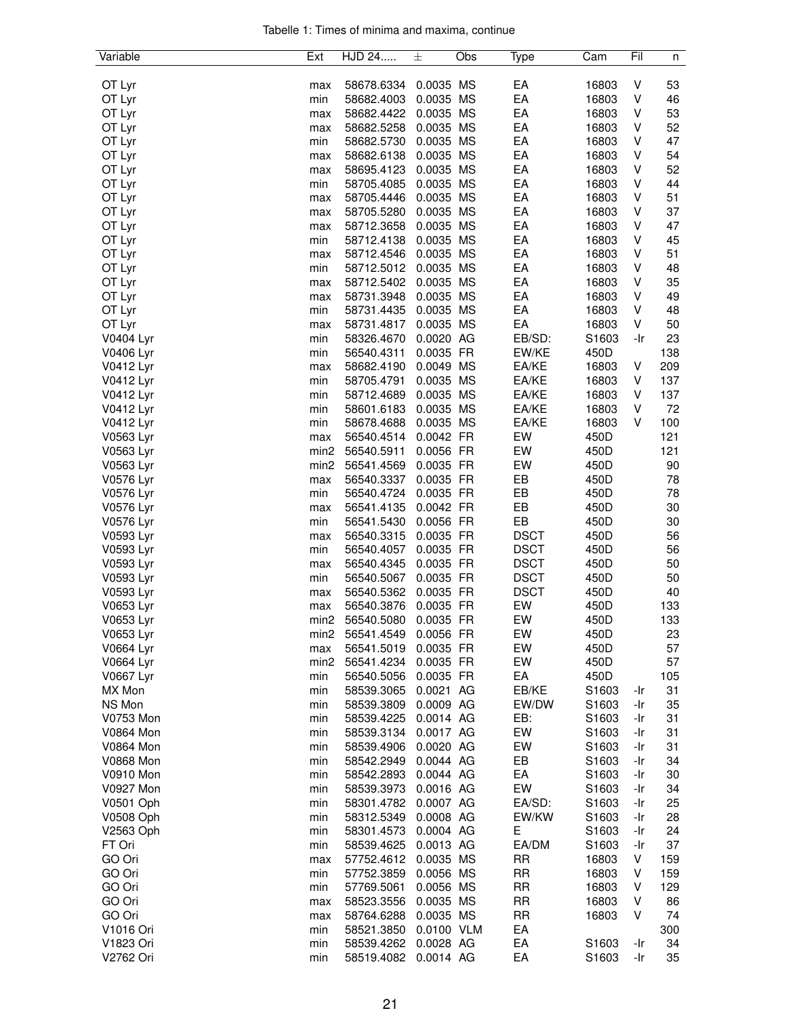| Tabelle 1: Times of minima and maxima, continue |  |  |  |
|-------------------------------------------------|--|--|--|
|                                                 |  |  |  |

| Variable         | Ext              | HJD 24     | 土          | Obs       | Type        | Cam   | Fil | n   |
|------------------|------------------|------------|------------|-----------|-------------|-------|-----|-----|
|                  |                  |            |            |           |             |       |     |     |
| OT Lyr           | max              | 58678.6334 | 0.0035 MS  |           | EA          | 16803 | V   | 53  |
| OT Lyr           | min              | 58682.4003 | 0.0035 MS  |           | EA          | 16803 | V   | 46  |
| OT Lyr           | max              | 58682.4422 | 0.0035 MS  |           | EA          | 16803 | ٧   | 53  |
| OT Lyr           | max              | 58682.5258 | 0.0035 MS  |           | EA          | 16803 | V   | 52  |
| OT Lyr           | min              | 58682.5730 | 0.0035 MS  |           | EA          | 16803 | V   | 47  |
| OT Lyr           | max              | 58682.6138 | 0.0035 MS  |           | EA          | 16803 | V   | 54  |
| OT Lyr           | max              | 58695.4123 | 0.0035 MS  |           | EA          | 16803 | ٧   | 52  |
| OT Lyr           | min              | 58705.4085 | 0.0035 MS  |           | EA          | 16803 | V   | 44  |
| OT Lyr           | max              | 58705.4446 | 0.0035 MS  |           | EA          | 16803 | V   | 51  |
| OT Lyr           | max              | 58705.5280 | 0.0035 MS  |           | EA          | 16803 | V   | 37  |
| OT Lyr           | max              | 58712.3658 | 0.0035 MS  |           | EA          | 16803 | V   | 47  |
| OT Lyr           | min              | 58712.4138 | 0.0035 MS  |           | EA          | 16803 | v   | 45  |
| OT Lyr           | max              | 58712.4546 | 0.0035 MS  |           | EA          | 16803 | ٧   | 51  |
| OT Lyr           | min              | 58712.5012 | 0.0035 MS  |           | EA          | 16803 | V   | 48  |
| OT Lyr           | max              | 58712.5402 | 0.0035 MS  |           | EA          | 16803 | V   | 35  |
| OT Lyr           | max              | 58731.3948 | 0.0035 MS  |           | EA          | 16803 | V   | 49  |
| OT Lyr           | min              | 58731.4435 | 0.0035 MS  |           | EA          | 16803 | V   | 48  |
| OT Lyr           | max              | 58731.4817 | 0.0035 MS  |           | EA          | 16803 | V   | 50  |
| V0404 Lyr        | min              | 58326.4670 | 0.0020 AG  |           | EB/SD:      | S1603 | -Ir | 23  |
| V0406 Lyr        | min              | 56540.4311 | 0.0035 FR  |           | EW/KE       | 450D  |     | 138 |
| V0412 Lyr        | max              | 58682.4190 | 0.0049     | <b>MS</b> | EA/KE       | 16803 | V   | 209 |
| V0412 Lyr        | min              | 58705.4791 | 0.0035     | MS        | EA/KE       | 16803 | V   | 137 |
| V0412 Lyr        | min              | 58712.4689 | 0.0035 MS  |           | EA/KE       | 16803 | V   | 137 |
| V0412 Lyr        | min              | 58601.6183 | 0.0035 MS  |           | EA/KE       | 16803 | V   | 72  |
| V0412 Lyr        | min              | 58678.4688 | 0.0035 MS  |           | EA/KE       | 16803 | V   | 100 |
| V0563 Lyr        | max              | 56540.4514 | 0.0042 FR  |           | EW          | 450D  |     | 121 |
| V0563 Lyr        | min2             | 56540.5911 | 0.0056 FR  |           | EW          | 450D  |     | 121 |
| V0563 Lyr        | min <sub>2</sub> | 56541.4569 | 0.0035 FR  |           | EW          | 450D  |     | 90  |
| V0576 Lyr        | max              | 56540.3337 | 0.0035 FR  |           | EB          | 450D  |     | 78  |
| V0576 Lyr        | min              | 56540.4724 | 0.0035 FR  |           | EB          | 450D  |     | 78  |
| V0576 Lyr        | max              | 56541.4135 | 0.0042 FR  |           | EB          | 450D  |     | 30  |
| V0576 Lyr        | min              | 56541.5430 | 0.0056 FR  |           | EB          | 450D  |     | 30  |
| V0593 Lyr        | max              | 56540.3315 | 0.0035 FR  |           | <b>DSCT</b> | 450D  |     | 56  |
| V0593 Lyr        | min              | 56540.4057 | 0.0035 FR  |           | <b>DSCT</b> | 450D  |     | 56  |
| V0593 Lyr        | max              | 56540.4345 | 0.0035 FR  |           | <b>DSCT</b> | 450D  |     | 50  |
| V0593 Lyr        | min              | 56540.5067 | 0.0035 FR  |           | <b>DSCT</b> | 450D  |     | 50  |
| V0593 Lyr        | max              | 56540.5362 | 0.0035 FR  |           | <b>DSCT</b> | 450D  |     | 40  |
| V0653 Lyr        | max              | 56540.3876 | 0.0035 FR  |           | EW          | 450D  |     | 133 |
| V0653 Lyr        | min <sub>2</sub> | 56540.5080 | 0.0035 FR  |           | EW          | 450D  |     | 133 |
| V0653 Lyr        | min <sub>2</sub> | 56541.4549 | 0.0056 FR  |           | EW          | 450D  |     | 23  |
| V0664 Lyr        | max              | 56541.5019 | 0.0035 FR  |           | EW          | 450D  |     | 57  |
| V0664 Lyr        | min2             | 56541.4234 | 0.0035 FR  |           | EW          | 450D  |     | 57  |
| V0667 Lyr        | min              | 56540.5056 | 0.0035 FR  |           | EA          | 450D  |     | 105 |
| MX Mon           | min              | 58539.3065 | 0.0021 AG  |           | EB/KE       | S1603 | -Ir | 31  |
| NS Mon           | min              | 58539.3809 | 0.0009 AG  |           | EW/DW       | S1603 | -Ir | 35  |
| <b>V0753 Mon</b> | min              | 58539.4225 | 0.0014 AG  |           | EB:         | S1603 | -Ir | 31  |
| <b>V0864 Mon</b> | min              | 58539.3134 | 0.0017 AG  |           | EW          | S1603 | -Ir | 31  |
| <b>V0864 Mon</b> | min              | 58539.4906 | 0.0020 AG  |           | EW          | S1603 | -Ir | 31  |
| <b>V0868 Mon</b> | min              | 58542.2949 | 0.0044 AG  |           | EB          | S1603 | -Ir | 34  |
| V0910 Mon        | min              | 58542.2893 | 0.0044 AG  |           | EA          | S1603 | -Ir | 30  |
| V0927 Mon        | min              | 58539.3973 | 0.0016 AG  |           | EW          | S1603 | -Ir | 34  |
| V0501 Oph        | min              | 58301.4782 | 0.0007 AG  |           | EA/SD:      | S1603 | -Ir | 25  |
| V0508 Oph        | min              | 58312.5349 | 0.0008 AG  |           | EW/KW       | S1603 | -Ir | 28  |
| V2563 Oph        | min              | 58301.4573 | 0.0004 AG  |           | Е           | S1603 | -Ir | 24  |
| FT Ori           | min              | 58539.4625 | 0.0013 AG  |           | EA/DM       | S1603 | -Ir | 37  |
| GO Ori           | max              | 57752.4612 | 0.0035 MS  |           | <b>RR</b>   | 16803 | V   | 159 |
| GO Ori           | min              | 57752.3859 | 0.0056 MS  |           | <b>RR</b>   | 16803 | V   | 159 |
| GO Ori           | min              | 57769.5061 | 0.0056 MS  |           | <b>RR</b>   | 16803 | V   | 129 |
| GO Ori           | max              | 58523.3556 | 0.0035 MS  |           | <b>RR</b>   | 16803 | V   | 86  |
| GO Ori           | max              | 58764.6288 | 0.0035 MS  |           | <b>RR</b>   | 16803 | V   | 74  |
| V1016 Ori        | min              | 58521.3850 | 0.0100 VLM |           | EA          |       |     | 300 |
| V1823 Ori        | min              | 58539.4262 | 0.0028 AG  |           | EA          | S1603 | -Ir | 34  |
| V2762 Ori        | min              | 58519.4082 | 0.0014 AG  |           | EA          | S1603 | -Ir | 35  |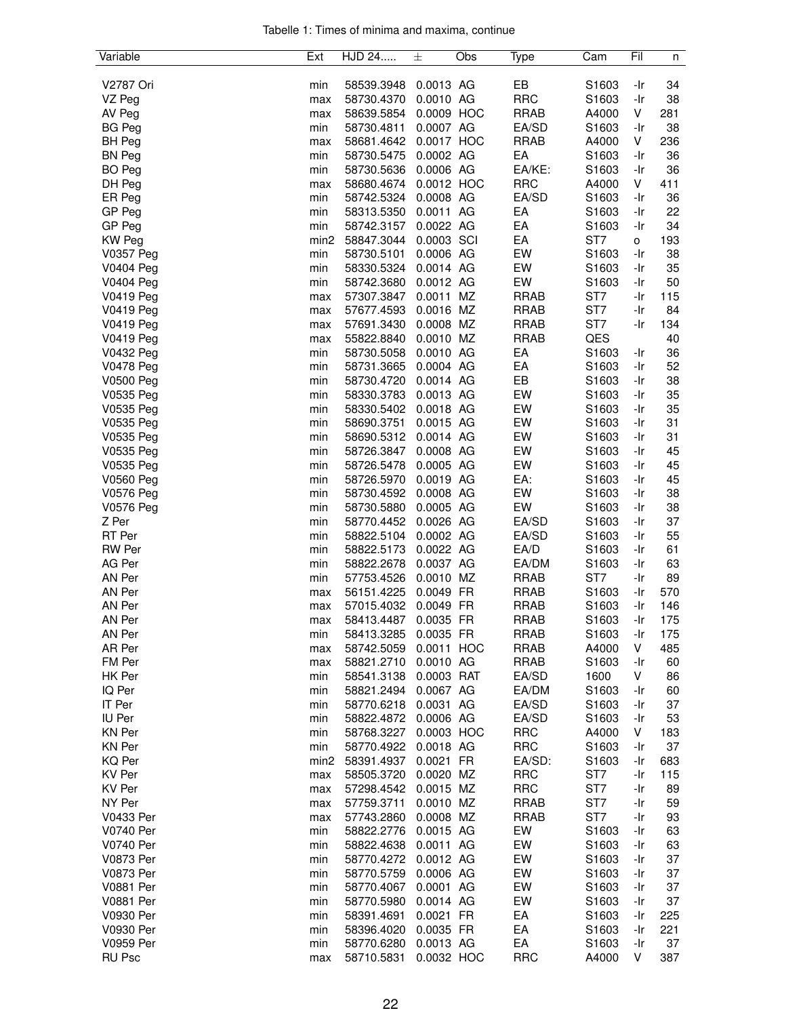|  |  |  | Tabelle 1: Times of minima and maxima, continue |  |
|--|--|--|-------------------------------------------------|--|
|  |  |  |                                                 |  |

| Variable                      | Ext              | HJD 24                   | 士                      | Obs | Type                       | Cam               | Fil        | n        |
|-------------------------------|------------------|--------------------------|------------------------|-----|----------------------------|-------------------|------------|----------|
|                               |                  |                          |                        |     |                            |                   |            |          |
| V2787 Ori                     | min              | 58539.3948               | 0.0013 AG              |     | EB                         | S1603             | -Ir        | 34       |
| VZ Peg                        | max              | 58730.4370               | 0.0010 AG              |     | <b>RRC</b>                 | S1603             | -Ir        | 38       |
| AV Peg                        | max              | 58639.5854               | 0.0009 HOC             |     | <b>RRAB</b>                | A4000             | V          | 281      |
| <b>BG Peg</b>                 | min              | 58730.4811               | 0.0007 AG              |     | EA/SD                      | S <sub>1603</sub> | -Ir        | 38       |
| <b>BH</b> Peg                 | max              | 58681.4642               | 0.0017 HOC             |     | <b>RRAB</b>                | A4000             | V          | 236      |
| <b>BN Peg</b>                 | min              | 58730.5475               | 0.0002 AG              |     | EA                         | S <sub>1603</sub> | -Ir        | 36       |
| <b>BO</b> Peg                 | min              | 58730.5636               | 0.0006 AG              |     | EA/KE:                     | S <sub>1603</sub> | -Ir        | 36       |
| DH Peg                        | max              | 58680.4674               | 0.0012 HOC             |     | <b>RRC</b>                 | A4000             | V          | 411      |
| ER Peg                        | min              | 58742.5324               | 0.0008 AG              |     | EA/SD                      | S1603             | -Ir        | 36       |
| GP Peg                        | min              | 58313.5350               | 0.0011 AG              |     | EA                         | S <sub>1603</sub> | -Ir        | 22       |
| GP Peg                        | min              | 58742.3157               | 0.0022 AG              |     | EA                         | S1603             | -Ir        | 34       |
| <b>KW Peg</b>                 | min2             | 58847.3044               | 0.0003 SCI             |     | EA                         | ST7               | o          | 193      |
| <b>V0357 Peg</b>              | min              | 58730.5101               | 0.0006 AG              |     | EW                         | S1603             | -Ir        | 38       |
| V0404 Peg                     | min              | 58330.5324               | 0.0014 AG              |     | EW                         | S1603             | -Ir        | 35       |
| V0404 Peg                     | min              | 58742.3680               | 0.0012 AG              |     | EW                         | S <sub>1603</sub> | -Ir        | 50       |
| V0419 Peg                     | max              | 57307.3847               | 0.0011 MZ<br>0.0016 MZ |     | <b>RRAB</b>                | ST <sub>7</sub>   | -Ir        | 115      |
| <b>V0419 Peg</b>              | max              | 57677.4593               | 0.0008 MZ              |     | <b>RRAB</b><br><b>RRAB</b> | ST7<br>ST7        | -Ir<br>-Ir | 84       |
| <b>V0419 Peg</b>              | max              | 57691.3430               |                        |     |                            | QES               |            | 134      |
| <b>V0419 Peg</b>              | max<br>min       | 55822.8840               | 0.0010 MZ<br>0.0010 AG |     | <b>RRAB</b><br>EA          | S1603             |            | 40       |
| V0432 Peg<br><b>V0478 Peg</b> | min              | 58730.5058<br>58731.3665 | 0.0004 AG              |     | EA                         | S1603             | -Ir<br>-Ir | 36<br>52 |
| V0500 Peg                     | min              | 58730.4720               | 0.0014 AG              |     | EB                         | S1603             | -Ir        | 38       |
| V0535 Peg                     | min              | 58330.3783               | 0.0013 AG              |     | EW                         | S1603             | -Ir        | 35       |
| V0535 Peg                     | min              | 58330.5402               | 0.0018 AG              |     | EW                         | S1603             | -Ir        | 35       |
| V0535 Peg                     | min              | 58690.3751               | 0.0015 AG              |     | EW                         | S1603             | -Ir        | 31       |
| V0535 Peg                     | min              | 58690.5312               | 0.0014 AG              |     | EW                         | S1603             | -Ir        | 31       |
| V0535 Peg                     | min              | 58726.3847               | 0.0008 AG              |     | EW                         | S1603             | -Ir        | 45       |
| V0535 Peg                     | min              | 58726.5478               | 0.0005 AG              |     | EW                         | S1603             | -Ir        | 45       |
| V0560 Peg                     | min              | 58726.5970               | 0.0019 AG              |     | EA:                        | S1603             | -Ir        | 45       |
| <b>V0576 Peg</b>              | min              | 58730.4592               | 0.0008 AG              |     | EW                         | S <sub>1603</sub> | -Ir        | 38       |
| V0576 Peg                     | min              | 58730.5880               | 0.0005 AG              |     | EW                         | S1603             | -Ir        | 38       |
| Z Per                         | min              | 58770.4452               | 0.0026 AG              |     | EA/SD                      | S1603             | -Ir        | 37       |
| RT Per                        | min              | 58822.5104               | 0.0002 AG              |     | EA/SD                      | S1603             | -Ir        | 55       |
| <b>RW</b> Per                 | min              | 58822.5173               | 0.0022 AG              |     | EA/D                       | S1603             | -Ir        | 61       |
| AG Per                        | min              | 58822.2678               | 0.0037 AG              |     | EA/DM                      | S1603             | -Ir        | 63       |
| AN Per                        | min              | 57753.4526               | 0.0010 MZ              |     | <b>RRAB</b>                | ST7               | -Ir        | 89       |
| AN Per                        | max              | 56151.4225               | 0.0049 FR              |     | <b>RRAB</b>                | S1603             | -Ir        | 570      |
| AN Per                        | max              | 57015.4032               | 0.0049 FR              |     | <b>RRAB</b>                | S1603             | -Ir        | 146      |
| AN Per                        | max              | 58413.4487               | 0.0035 FR              |     | <b>RRAB</b>                | S1603             | -Ir        | 175      |
| AN Per                        | min              | 58413.3285               | 0.0035 FR              |     | <b>RRAB</b>                | S1603             | -Ir        | 175      |
| AR Per                        | max              | 58742.5059               | 0.0011 HOC             |     | <b>RRAB</b>                | A4000             | V          | 485      |
| FM Per                        | max              | 58821.2710               | 0.0010 AG              |     | <b>RRAB</b>                | S1603             | -Ir        | 60       |
| HK Per                        | min              | 58541.3138               | 0.0003 RAT             |     | EA/SD                      | 1600              | V          | 86       |
| IQ Per                        | min              | 58821.2494               | 0.0067 AG              |     | EA/DM                      | S1603             | -Ir        | 60       |
| IT Per                        | min              | 58770.6218               | 0.0031 AG              |     | EA/SD                      | S1603             | -Ir        | 37       |
| IU Per                        | min              | 58822.4872               | 0.0006 AG              |     | EA/SD                      | S <sub>1603</sub> | -Ir        | 53       |
| <b>KN Per</b>                 | min              | 58768.3227               | 0.0003 HOC             |     | <b>RRC</b>                 | A4000             | V          | 183      |
| KN Per                        | min              | 58770.4922               | 0.0018 AG              |     | <b>RRC</b>                 | S1603             | -Ir        | 37       |
| KQ Per                        | min <sub>2</sub> | 58391.4937               | 0.0021 FR              |     | EA/SD:                     | S1603             | -Ir        | 683      |
| <b>KV Per</b>                 | max              | 58505.3720               | 0.0020 MZ              |     | <b>RRC</b>                 | ST7               | -Ir        | 115      |
| KV Per                        | max              | 57298.4542               | 0.0015 MZ              |     | <b>RRC</b>                 | ST7               | -Ir        | 89       |
| NY Per                        | max              | 57759.3711               | 0.0010 MZ              |     | <b>RRAB</b>                | ST7<br>ST7        | -Ir        | 59       |
| V0433 Per<br>V0740 Per        | max              | 57743.2860               | 0.0008 MZ<br>0.0015 AG |     | <b>RRAB</b><br>EW          | S1603             | -Ir<br>-Ir | 93<br>63 |
| V0740 Per                     | min              | 58822.2776               |                        |     | EW                         | S <sub>1603</sub> | -Ir        | 63       |
| V0873 Per                     | min<br>min       | 58822.4638<br>58770.4272 | 0.0011 AG<br>0.0012 AG |     | EW                         | S <sub>1603</sub> | -Ir        | 37       |
| <b>V0873 Per</b>              | min              | 58770.5759               | 0.0006 AG              |     | EW                         | S1603             | -Ir        | 37       |
| <b>V0881 Per</b>              | min              | 58770.4067               | 0.0001 AG              |     | EW                         | S1603             | -Ir        | 37       |
| <b>V0881 Per</b>              | min              | 58770.5980               | 0.0014 AG              |     | EW                         | S <sub>1603</sub> | -Ir        | 37       |
| V0930 Per                     | min              | 58391.4691               | 0.0021 FR              |     | EA                         | S1603             | -Ir        | 225      |
| V0930 Per                     | min              | 58396.4020               | 0.0035 FR              |     | EA                         | S1603             | -Ir        | 221      |
| V0959 Per                     | min              | 58770.6280               | 0.0013 AG              |     | EA                         | S1603             | -Ir        | 37       |
| <b>RU Psc</b>                 | max              | 58710.5831               | 0.0032 HOC             |     | <b>RRC</b>                 | A4000             | V          | 387      |
|                               |                  |                          |                        |     |                            |                   |            |          |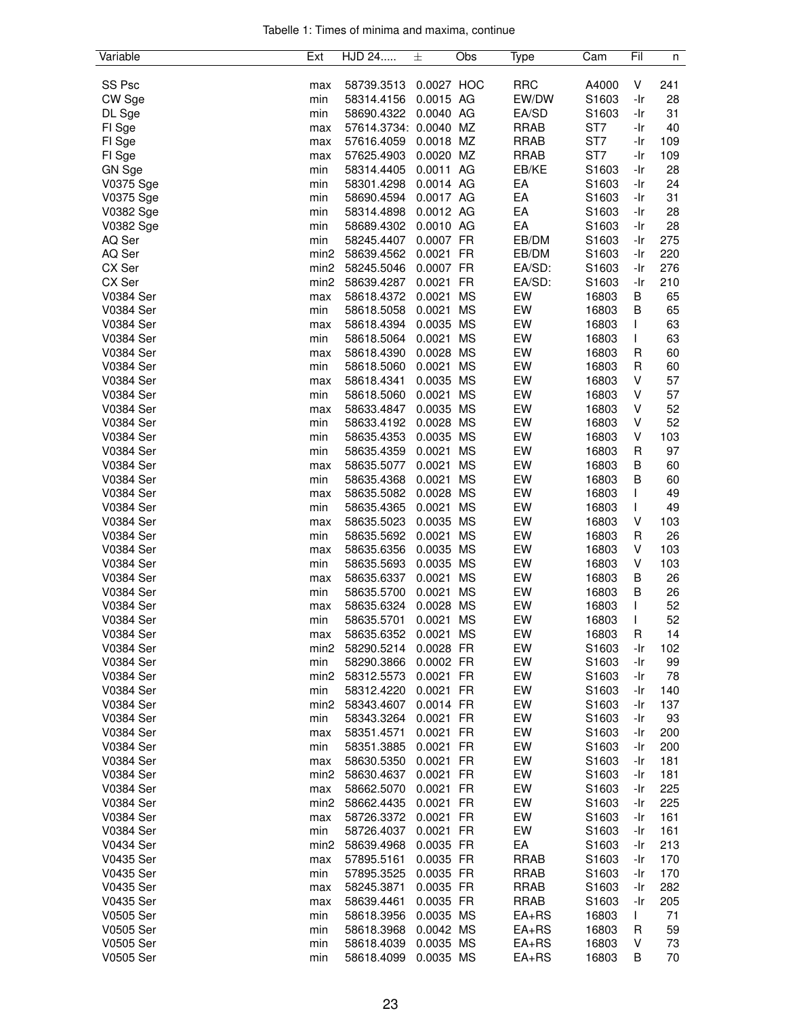|  |  |  | Tabelle 1: Times of minima and maxima, continue |  |
|--|--|--|-------------------------------------------------|--|
|  |  |  |                                                 |  |

| Variable         | Ext              | HJD 24                | 士          | Obs       | Type        | Cam               | Fil         | n   |
|------------------|------------------|-----------------------|------------|-----------|-------------|-------------------|-------------|-----|
|                  |                  |                       |            |           |             |                   |             |     |
| SS Psc           | max              | 58739.3513            | 0.0027 HOC |           | <b>RRC</b>  | A4000             | V           | 241 |
| CW Sge           | min              | 58314.4156            | 0.0015 AG  |           | EW/DW       | S1603             | -Ir         | 28  |
| DL Sge           | min              | 58690.4322            | 0.0040 AG  |           | EA/SD       | S1603             | -Ir         | 31  |
| FI Sge           | max              | 57614.3734: 0.0040 MZ |            |           | <b>RRAB</b> | ST7               | -Ir         | 40  |
| FI Sge           | max              | 57616.4059            | 0.0018 MZ  |           | <b>RRAB</b> | ST7               | -Ir         | 109 |
| FI Sge           | max              | 57625.4903            | 0.0020 MZ  |           | <b>RRAB</b> | ST7               | -Ir         | 109 |
| GN Sge           | min              | 58314.4405            | 0.0011 AG  |           | EB/KE       | S1603             | -Ir         | 28  |
| V0375 Sge        | min              | 58301.4298            | 0.0014 AG  |           | EA          | S1603             | -Ir         | 24  |
| V0375 Sge        | min              | 58690.4594            | 0.0017 AG  |           | EA          | S1603             | -Ir         | 31  |
| V0382 Sge        | min              | 58314.4898            | 0.0012 AG  |           | EA          | S1603             | -Ir         | 28  |
| V0382 Sge        | min              | 58689.4302            | 0.0010 AG  |           | EA          | S1603             | -Ir         | 28  |
| AQ Ser           | min              | 58245.4407            | 0.0007 FR  |           | EB/DM       | S1603             | -Ir         | 275 |
| AQ Ser           | min <sub>2</sub> | 58639.4562            | 0.0021 FR  |           | EB/DM       | S1603             | -Ir         | 220 |
| CX Ser           | min <sub>2</sub> | 58245.5046            | 0.0007 FR  |           | EA/SD:      | S1603             | -Ir         | 276 |
| CX Ser           | min2             | 58639.4287            | 0.0021     | <b>FR</b> | EA/SD:      | S1603             | -Ir         | 210 |
| V0384 Ser        | max              | 58618.4372            | 0.0021     | <b>MS</b> | EW          | 16803             | В           | 65  |
| V0384 Ser        | min              | 58618.5058            | 0.0021     | <b>MS</b> | EW          | 16803             | B           | 65  |
| V0384 Ser        | max              | 58618.4394            | 0.0035 MS  |           | EW          | 16803             | L           | 63  |
| V0384 Ser        | min              | 58618.5064            | 0.0021     | <b>MS</b> | EW          | 16803             | L           | 63  |
| V0384 Ser        | max              | 58618.4390            | 0.0028 MS  |           | EW          | 16803             | R           | 60  |
| V0384 Ser        | min              | 58618.5060            | 0.0021     | <b>MS</b> | EW          | 16803             | R           | 60  |
| V0384 Ser        | max              | 58618.4341            | 0.0035 MS  |           | EW          | 16803             | V           | 57  |
| V0384 Ser        | min              | 58618.5060            | 0.0021     | <b>MS</b> | EW          | 16803             | V           | 57  |
| V0384 Ser        | max              | 58633.4847            | 0.0035 MS  |           | EW          | 16803             | V           | 52  |
| V0384 Ser        | min              | 58633.4192            | 0.0028 MS  |           | EW          | 16803             | V           | 52  |
| V0384 Ser        | min              | 58635.4353            | 0.0035 MS  |           | EW          | 16803             | V           | 103 |
| V0384 Ser        | min              | 58635.4359            | 0.0021     | <b>MS</b> | EW          | 16803             | $\mathsf R$ | 97  |
| V0384 Ser        | max              | 58635.5077            | 0.0021     | <b>MS</b> | EW          | 16803             | B           | 60  |
| V0384 Ser        | min              | 58635.4368            | 0.0021     | <b>MS</b> | EW          | 16803             | В           | 60  |
| V0384 Ser        | max              | 58635.5082            | 0.0028 MS  |           | EW          | 16803             | L           | 49  |
| V0384 Ser        | min              | 58635.4365            | 0.0021     | <b>MS</b> | EW          | 16803             | L           | 49  |
| V0384 Ser        | max              | 58635.5023            | 0.0035 MS  |           | EW          | 16803             | V           | 103 |
| V0384 Ser        | min              | 58635.5692            | 0.0021     | <b>MS</b> | EW          | 16803             | $\mathsf R$ | 26  |
| V0384 Ser        | max              | 58635.6356            | 0.0035 MS  |           | EW          | 16803             | V           | 103 |
| V0384 Ser        | min              | 58635.5693            | 0.0035 MS  |           | EW          | 16803             | V           | 103 |
| V0384 Ser        | max              | 58635.6337            | 0.0021     | <b>MS</b> | EW          | 16803             | В           | 26  |
| V0384 Ser        | min              | 58635.5700            | 0.0021     | <b>MS</b> | EW          | 16803             | B           | 26  |
| V0384 Ser        | max              | 58635.6324            | 0.0028 MS  |           | EW          | 16803             | T           | 52  |
| V0384 Ser        | min              | 58635.5701            | 0.0021     | <b>MS</b> | EW          | 16803             | T           | 52  |
| V0384 Ser        | max              | 58635.6352            | 0.0021 MS  |           | EW          | 16803             | R           | 14  |
| V0384 Ser        | min2             | 58290.5214            | 0.0028 FR  |           | EW          | S1603             | -Ir         | 102 |
| V0384 Ser        | min              | 58290.3866            | 0.0002 FR  |           | EW          | S1603             | -Ir         | 99  |
| V0384 Ser        | min <sub>2</sub> | 58312.5573            | 0.0021 FR  |           | EW          | S1603             | -Ir         | 78  |
| V0384 Ser        | min              | 58312.4220            | 0.0021 FR  |           | EW          | S1603             | -Ir         | 140 |
| V0384 Ser        | min <sub>2</sub> | 58343.4607            | 0.0014 FR  |           | EW          | S1603             | -Ir         | 137 |
| V0384 Ser        | min              | 58343.3264            | 0.0021 FR  |           | EW          | S1603             | -Ir         | 93  |
| V0384 Ser        | max              | 58351.4571            | 0.0021 FR  |           | EW          | S <sub>1603</sub> | -Ir         | 200 |
| V0384 Ser        | min              | 58351.3885            | 0.0021 FR  |           | EW          | S <sub>1603</sub> | -Ir         | 200 |
| V0384 Ser        | max              | 58630.5350            | 0.0021 FR  |           | EW          | S1603             | -Ir         | 181 |
| V0384 Ser        | min2             | 58630.4637            | 0.0021 FR  |           | EW          | S1603             | -Ir         | 181 |
| V0384 Ser        | max              | 58662.5070            | 0.0021 FR  |           | EW          | S1603             | -Ir         | 225 |
| V0384 Ser        | min <sub>2</sub> | 58662.4435            | 0.0021 FR  |           | EW          | S1603             | -Ir         | 225 |
| V0384 Ser        | max              | 58726.3372            | 0.0021 FR  |           | EW          | S1603             | -Ir         | 161 |
| V0384 Ser        | min              | 58726.4037            | 0.0021 FR  |           | EW          | S <sub>1603</sub> | -Ir         | 161 |
| <b>V0434 Ser</b> | min <sub>2</sub> | 58639.4968            | 0.0035 FR  |           | EA          | S1603             | -Ir         | 213 |
| V0435 Ser        | max              | 57895.5161            | 0.0035 FR  |           | <b>RRAB</b> | S1603             | -Ir         | 170 |
| V0435 Ser        | min              | 57895.3525            | 0.0035 FR  |           | <b>RRAB</b> | S <sub>1603</sub> | -Ir         | 170 |
| V0435 Ser        | max              | 58245.3871            | 0.0035 FR  |           | <b>RRAB</b> | S1603             | -Ir         | 282 |
| V0435 Ser        | max              | 58639.4461            | 0.0035 FR  |           | <b>RRAB</b> | S1603             | -Ir         | 205 |
| V0505 Ser        | min              | 58618.3956            | 0.0035 MS  |           | $EA+RS$     | 16803             | L           | 71  |
| V0505 Ser        | min              | 58618.3968            | 0.0042 MS  |           | $EA+RS$     | 16803             | R           | 59  |
| V0505 Ser        | min              | 58618.4039            | 0.0035 MS  |           | $EA+RS$     | 16803             | V           | 73  |
| V0505 Ser        | min              | 58618.4099            | 0.0035 MS  |           | $EA+RS$     | 16803             | B           | 70  |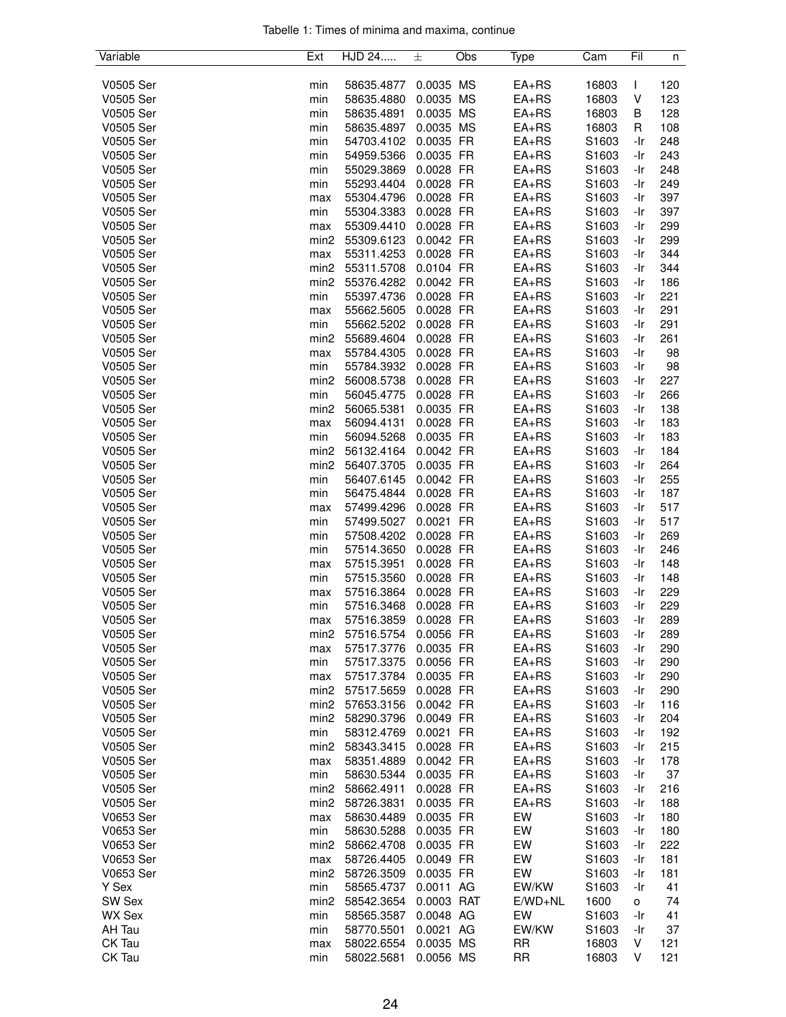|  |  |  | Tabelle 1: Times of minima and maxima, continue |  |
|--|--|--|-------------------------------------------------|--|
|  |  |  |                                                 |  |

| 0.0035 MS<br>V0505 Ser<br>58635.4877<br>$EA+RS$<br>16803<br>L<br>120<br>min<br>0.0035 MS<br>$EA+RS$<br>V<br>V0505 Ser<br>58635.4880<br>16803<br>123<br>min<br>V0505 Ser<br>58635.4891<br>0.0035 MS<br>$EA+RS$<br>16803<br>128<br>min<br>В<br>V0505 Ser<br>0.0035 MS<br>$EA+RS$<br>16803<br>108<br>min<br>58635.4897<br>R<br>V0505 Ser<br>54703.4102<br>0.0035 FR<br>$EA+RS$<br>S1603<br>248<br>min<br>-Ir<br>V0505 Ser<br>0.0035 FR<br>$EA+RS$<br>S1603<br>243<br>54959.5366<br>-Ir<br>min<br>0.0028 FR<br>S1603<br>V0505 Ser<br>55029.3869<br>$EA+RS$<br>248<br>min<br>-Ir<br>0.0028 FR<br>S1603<br>V0505 Ser<br>min<br>55293.4404<br>$EA+RS$<br>-Ir<br>249<br>0.0028 FR<br>$EA+RS$<br>S1603<br>V0505 Ser<br>55304.4796<br>-Ir<br>397<br>max<br>V0505 Ser<br>55304.3383<br>0.0028 FR<br>$EA+RS$<br>S1603<br>397<br>min<br>-Ir<br>V0505 Ser<br>55309.4410<br>0.0028 FR<br>$EA+RS$<br>S1603<br>299<br>-Ir<br>max<br>0.0042 FR<br>$EA+RS$<br>S1603<br>299<br>V0505 Ser<br>min <sub>2</sub><br>55309.6123<br>-Ir<br>V0505 Ser<br>55311.4253<br>0.0028 FR<br>$EA+RS$<br>S1603<br>344<br>max<br>-Ir<br>V0505 Ser<br>$EA+RS$<br>S1603<br>344<br>min <sub>2</sub><br>55311.5708<br>0.0104 FR<br>-Ir<br>V0505 Ser<br>55376.4282<br>0.0042 FR<br>$EA+RS$<br>S1603<br>min <sub>2</sub><br>-Ir<br>186<br>V0505 Ser<br>55397.4736<br>0.0028 FR<br>$EA+RS$<br>S1603<br>221<br>min<br>-Ir<br>0.0028 FR<br>S1603<br>291<br>V0505 Ser<br>55662.5605<br>$EA+RS$<br>-Ir<br>max<br>0.0028 FR<br>S1603<br>V0505 Ser<br>min<br>55662.5202<br>$EA+RS$<br>291<br>-Ir<br>V0505 Ser<br>55689.4604<br>0.0028 FR<br>$EA+RS$<br>261<br>min <sub>2</sub><br>S1603<br>-Ir<br>V0505 Ser<br>0.0028 FR<br>$EA+RS$<br>S1603<br>55784.4305<br>-Ir<br>98<br>max<br>V0505 Ser<br>0.0028 FR<br>$EA+RS$<br>S1603<br>98<br>min<br>55784.3932<br>-Ir<br>56008.5738<br>0.0028 FR<br>$EA+RS$<br>S1603<br>V0505 Ser<br>min <sub>2</sub><br>-Ir<br>227<br>V0505 Ser<br>56045.4775<br>0.0028 FR<br>$EA+RS$<br>S1603<br>266<br>min<br>-Ir<br>V0505 Ser<br>56065.5381<br>0.0035 FR<br>$EA+RS$<br>S1603<br>min <sub>2</sub><br>138<br>-Ir<br>$EA+RS$<br>V0505 Ser<br>56094.4131<br>0.0028 FR<br>S1603<br>183<br>max<br>-Ir<br>V0505 Ser<br>S1603<br>min<br>56094.5268<br>0.0035 FR<br>$EA+RS$<br>-Ir<br>183<br>0.0042 FR<br>$EA+RS$<br>S1603<br>V0505 Ser<br>min <sub>2</sub><br>56132.4164<br>-Ir<br>184<br>V0505 Ser<br>56407.3705<br>0.0035 FR<br>$EA+RS$<br>S1603<br>264<br>min <sub>2</sub><br>-Ir<br>V0505 Ser<br>0.0042 FR<br>$EA+RS$<br>S1603<br>255<br>min<br>56407.6145<br>-Ir<br>0.0028 FR<br>S1603<br>V0505 Ser<br>min<br>56475.4844<br>$EA+RS$<br>187<br>-Ir<br>S1603<br>V0505 Ser<br>57499.4296<br>0.0028 FR<br>$EA+RS$<br>517<br>max<br>-Ir<br>V0505 Ser<br>57499.5027<br>0.0021 FR<br>$EA+RS$<br>S1603<br>517<br>min<br>-Ir<br>V0505 Ser<br>57508.4202<br>0.0028 FR<br>$EA+RS$<br>S1603<br>269<br>min<br>-Ir<br>57514.3650<br>0.0028 FR<br>$EA+RS$<br>S1603<br>V0505 Ser<br>min<br>-Ir<br>246<br>0.0028 FR<br>$EA+RS$<br>S1603<br>V0505 Ser<br>57515.3951<br>148<br>-Ir<br>max<br>57515.3560<br>V0505 Ser<br>min<br>0.0028 FR<br>$EA+RS$<br>S1603<br>148<br>-Ir<br>V0505 Ser<br>57516.3864<br>0.0028 FR<br>S1603<br>229<br>$EA+RS$<br>-Ir<br>max<br>0.0028 FR<br>S1603<br>-Ir<br>V0505 Ser<br>min<br>57516.3468<br>$EA+RS$<br>229<br>V0505 Ser<br>57516.3859<br>0.0028 FR<br>-Ir<br>289<br>$EA+RS$<br>S1603<br>max<br>$EA+RS$<br>V0505 Ser<br>57516.5754<br>S1603<br>0.0056 FR<br>-Ir<br>289<br>min2<br>$EA+RS$<br>S1603<br>V0505 Ser<br>57517.3776<br>0.0035 FR<br>290<br>-Ir<br>max<br>V0505 Ser<br>0.0056 FR<br>290<br>min<br>57517.3375<br>$EA+RS$<br>S1603<br>-Ir<br>S1603<br>290<br>V0505 Ser<br>57517.3784<br>0.0035 FR<br>$EA+RS$<br>-Ir<br>max<br>S1603<br>V0505 Ser<br>min2<br>57517.5659<br>0.0028 FR<br>$EA+RS$<br>-Ir<br>290<br>V0505 Ser<br>57653.3156<br>0.0042 FR<br>S1603<br>116<br>min2<br>$EA+RS$<br>-Ir<br>0.0049 FR<br>S1603<br>204<br>V0505 Ser<br>min2<br>58290.3796<br>$EA+RS$<br>-Ir<br>S1603<br>V0505 Ser<br>min<br>58312.4769<br>0.0021 FR<br>$EA+RS$<br>192<br>-Ir<br>V0505 Ser<br>min <sub>2</sub><br>58343.3415<br>0.0028 FR<br>$EA+RS$<br>S1603<br>215<br>-Ir<br>S1603<br>V0505 Ser<br>58351.4889<br>0.0042 FR<br>$EA+RS$<br>-Ir<br>178<br>max<br>V0505 Ser<br>58630.5344<br>0.0035 FR<br>$EA+RS$<br>S1603<br>-Ir<br>37<br>min<br>58662.4911<br>0.0028 FR<br>S1603<br>216<br>V0505 Ser<br>min2<br>$EA+RS$<br>-Ir<br>S1603<br>V0505 Ser<br>min <sub>2</sub><br>58726.3831<br>0.0035 FR<br>$EA+RS$<br>188<br>-Ir<br>EW<br>S1603<br>V0653 Ser<br>58630.4489<br>0.0035 FR<br>180<br>max<br>-Ir<br>V0653 Ser<br>EW<br>58630.5288<br>0.0035 FR<br>S1603<br>180<br>min<br>-Ir<br>0.0035 FR<br>EW<br>S1603<br>222<br>V0653 Ser<br>min <sub>2</sub><br>58662.4708<br>-Ir<br>V0653 Ser<br>0.0049 FR<br>EW<br>S1603<br>58726.4405<br>-Ir<br>181<br>max<br>EW<br>S1603<br>V0653 Ser<br>min2<br>58726.3509<br>0.0035 FR<br>-Ir<br>181<br>EW/KW<br>Y Sex<br>min<br>58565.4737<br>0.0011 AG<br>S1603<br>41<br>-Ir<br>0.0003 RAT<br>1600<br>SW Sex<br>min <sub>2</sub><br>58542.3654<br>$E/WD+NL$<br>74<br>0<br>EW<br><b>WX Sex</b><br>58565.3587<br>0.0048 AG<br>S1603<br>-Ir<br>41<br>min<br>0.0021 AG<br>EW/KW<br>AH Tau<br>min<br>58770.5501<br>S1603<br>-Ir<br>37<br>CK Tau<br><b>RR</b><br>V<br>121<br>58022.6554<br>0.0035 MS<br>16803<br>max<br><b>RR</b><br>CK Tau<br>58022.5681<br>0.0056 MS<br>16803<br>V<br>121<br>min | Variable | Ext | HJD 24 | 士 | Obs | Type | Cam | Fil | n |
|------------------------------------------------------------------------------------------------------------------------------------------------------------------------------------------------------------------------------------------------------------------------------------------------------------------------------------------------------------------------------------------------------------------------------------------------------------------------------------------------------------------------------------------------------------------------------------------------------------------------------------------------------------------------------------------------------------------------------------------------------------------------------------------------------------------------------------------------------------------------------------------------------------------------------------------------------------------------------------------------------------------------------------------------------------------------------------------------------------------------------------------------------------------------------------------------------------------------------------------------------------------------------------------------------------------------------------------------------------------------------------------------------------------------------------------------------------------------------------------------------------------------------------------------------------------------------------------------------------------------------------------------------------------------------------------------------------------------------------------------------------------------------------------------------------------------------------------------------------------------------------------------------------------------------------------------------------------------------------------------------------------------------------------------------------------------------------------------------------------------------------------------------------------------------------------------------------------------------------------------------------------------------------------------------------------------------------------------------------------------------------------------------------------------------------------------------------------------------------------------------------------------------------------------------------------------------------------------------------------------------------------------------------------------------------------------------------------------------------------------------------------------------------------------------------------------------------------------------------------------------------------------------------------------------------------------------------------------------------------------------------------------------------------------------------------------------------------------------------------------------------------------------------------------------------------------------------------------------------------------------------------------------------------------------------------------------------------------------------------------------------------------------------------------------------------------------------------------------------------------------------------------------------------------------------------------------------------------------------------------------------------------------------------------------------------------------------------------------------------------------------------------------------------------------------------------------------------------------------------------------------------------------------------------------------------------------------------------------------------------------------------------------------------------------------------------------------------------------------------------------------------------------------------------------------------------------------------------------------------------------------------------------------------------------------------------------------------------------------------------------------------------------------------------------------------------------------------------------------------------------------------------------------------------------------------------------------------------------------------------------------------------------------------------------------------------------------------------------------------------------------------------------------------------------------------------------------------------------------------------------------------------------------------------------------------------------------------------------------------------------------------------------------------------------------------------------------------------------------------------------------------------------------------------------------------------------------------------------------------------------------------------------------------------------------------------------------------------------------------------------------------------------------------|----------|-----|--------|---|-----|------|-----|-----|---|
|                                                                                                                                                                                                                                                                                                                                                                                                                                                                                                                                                                                                                                                                                                                                                                                                                                                                                                                                                                                                                                                                                                                                                                                                                                                                                                                                                                                                                                                                                                                                                                                                                                                                                                                                                                                                                                                                                                                                                                                                                                                                                                                                                                                                                                                                                                                                                                                                                                                                                                                                                                                                                                                                                                                                                                                                                                                                                                                                                                                                                                                                                                                                                                                                                                                                                                                                                                                                                                                                                                                                                                                                                                                                                                                                                                                                                                                                                                                                                                                                                                                                                                                                                                                                                                                                                                                                                                                                                                                                                                                                                                                                                                                                                                                                                                                                                                                                                                                                                                                                                                                                                                                                                                                                                                                                                                                                                                                                                  |          |     |        |   |     |      |     |     |   |
|                                                                                                                                                                                                                                                                                                                                                                                                                                                                                                                                                                                                                                                                                                                                                                                                                                                                                                                                                                                                                                                                                                                                                                                                                                                                                                                                                                                                                                                                                                                                                                                                                                                                                                                                                                                                                                                                                                                                                                                                                                                                                                                                                                                                                                                                                                                                                                                                                                                                                                                                                                                                                                                                                                                                                                                                                                                                                                                                                                                                                                                                                                                                                                                                                                                                                                                                                                                                                                                                                                                                                                                                                                                                                                                                                                                                                                                                                                                                                                                                                                                                                                                                                                                                                                                                                                                                                                                                                                                                                                                                                                                                                                                                                                                                                                                                                                                                                                                                                                                                                                                                                                                                                                                                                                                                                                                                                                                                                  |          |     |        |   |     |      |     |     |   |
|                                                                                                                                                                                                                                                                                                                                                                                                                                                                                                                                                                                                                                                                                                                                                                                                                                                                                                                                                                                                                                                                                                                                                                                                                                                                                                                                                                                                                                                                                                                                                                                                                                                                                                                                                                                                                                                                                                                                                                                                                                                                                                                                                                                                                                                                                                                                                                                                                                                                                                                                                                                                                                                                                                                                                                                                                                                                                                                                                                                                                                                                                                                                                                                                                                                                                                                                                                                                                                                                                                                                                                                                                                                                                                                                                                                                                                                                                                                                                                                                                                                                                                                                                                                                                                                                                                                                                                                                                                                                                                                                                                                                                                                                                                                                                                                                                                                                                                                                                                                                                                                                                                                                                                                                                                                                                                                                                                                                                  |          |     |        |   |     |      |     |     |   |
|                                                                                                                                                                                                                                                                                                                                                                                                                                                                                                                                                                                                                                                                                                                                                                                                                                                                                                                                                                                                                                                                                                                                                                                                                                                                                                                                                                                                                                                                                                                                                                                                                                                                                                                                                                                                                                                                                                                                                                                                                                                                                                                                                                                                                                                                                                                                                                                                                                                                                                                                                                                                                                                                                                                                                                                                                                                                                                                                                                                                                                                                                                                                                                                                                                                                                                                                                                                                                                                                                                                                                                                                                                                                                                                                                                                                                                                                                                                                                                                                                                                                                                                                                                                                                                                                                                                                                                                                                                                                                                                                                                                                                                                                                                                                                                                                                                                                                                                                                                                                                                                                                                                                                                                                                                                                                                                                                                                                                  |          |     |        |   |     |      |     |     |   |
|                                                                                                                                                                                                                                                                                                                                                                                                                                                                                                                                                                                                                                                                                                                                                                                                                                                                                                                                                                                                                                                                                                                                                                                                                                                                                                                                                                                                                                                                                                                                                                                                                                                                                                                                                                                                                                                                                                                                                                                                                                                                                                                                                                                                                                                                                                                                                                                                                                                                                                                                                                                                                                                                                                                                                                                                                                                                                                                                                                                                                                                                                                                                                                                                                                                                                                                                                                                                                                                                                                                                                                                                                                                                                                                                                                                                                                                                                                                                                                                                                                                                                                                                                                                                                                                                                                                                                                                                                                                                                                                                                                                                                                                                                                                                                                                                                                                                                                                                                                                                                                                                                                                                                                                                                                                                                                                                                                                                                  |          |     |        |   |     |      |     |     |   |
|                                                                                                                                                                                                                                                                                                                                                                                                                                                                                                                                                                                                                                                                                                                                                                                                                                                                                                                                                                                                                                                                                                                                                                                                                                                                                                                                                                                                                                                                                                                                                                                                                                                                                                                                                                                                                                                                                                                                                                                                                                                                                                                                                                                                                                                                                                                                                                                                                                                                                                                                                                                                                                                                                                                                                                                                                                                                                                                                                                                                                                                                                                                                                                                                                                                                                                                                                                                                                                                                                                                                                                                                                                                                                                                                                                                                                                                                                                                                                                                                                                                                                                                                                                                                                                                                                                                                                                                                                                                                                                                                                                                                                                                                                                                                                                                                                                                                                                                                                                                                                                                                                                                                                                                                                                                                                                                                                                                                                  |          |     |        |   |     |      |     |     |   |
|                                                                                                                                                                                                                                                                                                                                                                                                                                                                                                                                                                                                                                                                                                                                                                                                                                                                                                                                                                                                                                                                                                                                                                                                                                                                                                                                                                                                                                                                                                                                                                                                                                                                                                                                                                                                                                                                                                                                                                                                                                                                                                                                                                                                                                                                                                                                                                                                                                                                                                                                                                                                                                                                                                                                                                                                                                                                                                                                                                                                                                                                                                                                                                                                                                                                                                                                                                                                                                                                                                                                                                                                                                                                                                                                                                                                                                                                                                                                                                                                                                                                                                                                                                                                                                                                                                                                                                                                                                                                                                                                                                                                                                                                                                                                                                                                                                                                                                                                                                                                                                                                                                                                                                                                                                                                                                                                                                                                                  |          |     |        |   |     |      |     |     |   |
|                                                                                                                                                                                                                                                                                                                                                                                                                                                                                                                                                                                                                                                                                                                                                                                                                                                                                                                                                                                                                                                                                                                                                                                                                                                                                                                                                                                                                                                                                                                                                                                                                                                                                                                                                                                                                                                                                                                                                                                                                                                                                                                                                                                                                                                                                                                                                                                                                                                                                                                                                                                                                                                                                                                                                                                                                                                                                                                                                                                                                                                                                                                                                                                                                                                                                                                                                                                                                                                                                                                                                                                                                                                                                                                                                                                                                                                                                                                                                                                                                                                                                                                                                                                                                                                                                                                                                                                                                                                                                                                                                                                                                                                                                                                                                                                                                                                                                                                                                                                                                                                                                                                                                                                                                                                                                                                                                                                                                  |          |     |        |   |     |      |     |     |   |
|                                                                                                                                                                                                                                                                                                                                                                                                                                                                                                                                                                                                                                                                                                                                                                                                                                                                                                                                                                                                                                                                                                                                                                                                                                                                                                                                                                                                                                                                                                                                                                                                                                                                                                                                                                                                                                                                                                                                                                                                                                                                                                                                                                                                                                                                                                                                                                                                                                                                                                                                                                                                                                                                                                                                                                                                                                                                                                                                                                                                                                                                                                                                                                                                                                                                                                                                                                                                                                                                                                                                                                                                                                                                                                                                                                                                                                                                                                                                                                                                                                                                                                                                                                                                                                                                                                                                                                                                                                                                                                                                                                                                                                                                                                                                                                                                                                                                                                                                                                                                                                                                                                                                                                                                                                                                                                                                                                                                                  |          |     |        |   |     |      |     |     |   |
|                                                                                                                                                                                                                                                                                                                                                                                                                                                                                                                                                                                                                                                                                                                                                                                                                                                                                                                                                                                                                                                                                                                                                                                                                                                                                                                                                                                                                                                                                                                                                                                                                                                                                                                                                                                                                                                                                                                                                                                                                                                                                                                                                                                                                                                                                                                                                                                                                                                                                                                                                                                                                                                                                                                                                                                                                                                                                                                                                                                                                                                                                                                                                                                                                                                                                                                                                                                                                                                                                                                                                                                                                                                                                                                                                                                                                                                                                                                                                                                                                                                                                                                                                                                                                                                                                                                                                                                                                                                                                                                                                                                                                                                                                                                                                                                                                                                                                                                                                                                                                                                                                                                                                                                                                                                                                                                                                                                                                  |          |     |        |   |     |      |     |     |   |
|                                                                                                                                                                                                                                                                                                                                                                                                                                                                                                                                                                                                                                                                                                                                                                                                                                                                                                                                                                                                                                                                                                                                                                                                                                                                                                                                                                                                                                                                                                                                                                                                                                                                                                                                                                                                                                                                                                                                                                                                                                                                                                                                                                                                                                                                                                                                                                                                                                                                                                                                                                                                                                                                                                                                                                                                                                                                                                                                                                                                                                                                                                                                                                                                                                                                                                                                                                                                                                                                                                                                                                                                                                                                                                                                                                                                                                                                                                                                                                                                                                                                                                                                                                                                                                                                                                                                                                                                                                                                                                                                                                                                                                                                                                                                                                                                                                                                                                                                                                                                                                                                                                                                                                                                                                                                                                                                                                                                                  |          |     |        |   |     |      |     |     |   |
|                                                                                                                                                                                                                                                                                                                                                                                                                                                                                                                                                                                                                                                                                                                                                                                                                                                                                                                                                                                                                                                                                                                                                                                                                                                                                                                                                                                                                                                                                                                                                                                                                                                                                                                                                                                                                                                                                                                                                                                                                                                                                                                                                                                                                                                                                                                                                                                                                                                                                                                                                                                                                                                                                                                                                                                                                                                                                                                                                                                                                                                                                                                                                                                                                                                                                                                                                                                                                                                                                                                                                                                                                                                                                                                                                                                                                                                                                                                                                                                                                                                                                                                                                                                                                                                                                                                                                                                                                                                                                                                                                                                                                                                                                                                                                                                                                                                                                                                                                                                                                                                                                                                                                                                                                                                                                                                                                                                                                  |          |     |        |   |     |      |     |     |   |
|                                                                                                                                                                                                                                                                                                                                                                                                                                                                                                                                                                                                                                                                                                                                                                                                                                                                                                                                                                                                                                                                                                                                                                                                                                                                                                                                                                                                                                                                                                                                                                                                                                                                                                                                                                                                                                                                                                                                                                                                                                                                                                                                                                                                                                                                                                                                                                                                                                                                                                                                                                                                                                                                                                                                                                                                                                                                                                                                                                                                                                                                                                                                                                                                                                                                                                                                                                                                                                                                                                                                                                                                                                                                                                                                                                                                                                                                                                                                                                                                                                                                                                                                                                                                                                                                                                                                                                                                                                                                                                                                                                                                                                                                                                                                                                                                                                                                                                                                                                                                                                                                                                                                                                                                                                                                                                                                                                                                                  |          |     |        |   |     |      |     |     |   |
|                                                                                                                                                                                                                                                                                                                                                                                                                                                                                                                                                                                                                                                                                                                                                                                                                                                                                                                                                                                                                                                                                                                                                                                                                                                                                                                                                                                                                                                                                                                                                                                                                                                                                                                                                                                                                                                                                                                                                                                                                                                                                                                                                                                                                                                                                                                                                                                                                                                                                                                                                                                                                                                                                                                                                                                                                                                                                                                                                                                                                                                                                                                                                                                                                                                                                                                                                                                                                                                                                                                                                                                                                                                                                                                                                                                                                                                                                                                                                                                                                                                                                                                                                                                                                                                                                                                                                                                                                                                                                                                                                                                                                                                                                                                                                                                                                                                                                                                                                                                                                                                                                                                                                                                                                                                                                                                                                                                                                  |          |     |        |   |     |      |     |     |   |
|                                                                                                                                                                                                                                                                                                                                                                                                                                                                                                                                                                                                                                                                                                                                                                                                                                                                                                                                                                                                                                                                                                                                                                                                                                                                                                                                                                                                                                                                                                                                                                                                                                                                                                                                                                                                                                                                                                                                                                                                                                                                                                                                                                                                                                                                                                                                                                                                                                                                                                                                                                                                                                                                                                                                                                                                                                                                                                                                                                                                                                                                                                                                                                                                                                                                                                                                                                                                                                                                                                                                                                                                                                                                                                                                                                                                                                                                                                                                                                                                                                                                                                                                                                                                                                                                                                                                                                                                                                                                                                                                                                                                                                                                                                                                                                                                                                                                                                                                                                                                                                                                                                                                                                                                                                                                                                                                                                                                                  |          |     |        |   |     |      |     |     |   |
|                                                                                                                                                                                                                                                                                                                                                                                                                                                                                                                                                                                                                                                                                                                                                                                                                                                                                                                                                                                                                                                                                                                                                                                                                                                                                                                                                                                                                                                                                                                                                                                                                                                                                                                                                                                                                                                                                                                                                                                                                                                                                                                                                                                                                                                                                                                                                                                                                                                                                                                                                                                                                                                                                                                                                                                                                                                                                                                                                                                                                                                                                                                                                                                                                                                                                                                                                                                                                                                                                                                                                                                                                                                                                                                                                                                                                                                                                                                                                                                                                                                                                                                                                                                                                                                                                                                                                                                                                                                                                                                                                                                                                                                                                                                                                                                                                                                                                                                                                                                                                                                                                                                                                                                                                                                                                                                                                                                                                  |          |     |        |   |     |      |     |     |   |
|                                                                                                                                                                                                                                                                                                                                                                                                                                                                                                                                                                                                                                                                                                                                                                                                                                                                                                                                                                                                                                                                                                                                                                                                                                                                                                                                                                                                                                                                                                                                                                                                                                                                                                                                                                                                                                                                                                                                                                                                                                                                                                                                                                                                                                                                                                                                                                                                                                                                                                                                                                                                                                                                                                                                                                                                                                                                                                                                                                                                                                                                                                                                                                                                                                                                                                                                                                                                                                                                                                                                                                                                                                                                                                                                                                                                                                                                                                                                                                                                                                                                                                                                                                                                                                                                                                                                                                                                                                                                                                                                                                                                                                                                                                                                                                                                                                                                                                                                                                                                                                                                                                                                                                                                                                                                                                                                                                                                                  |          |     |        |   |     |      |     |     |   |
|                                                                                                                                                                                                                                                                                                                                                                                                                                                                                                                                                                                                                                                                                                                                                                                                                                                                                                                                                                                                                                                                                                                                                                                                                                                                                                                                                                                                                                                                                                                                                                                                                                                                                                                                                                                                                                                                                                                                                                                                                                                                                                                                                                                                                                                                                                                                                                                                                                                                                                                                                                                                                                                                                                                                                                                                                                                                                                                                                                                                                                                                                                                                                                                                                                                                                                                                                                                                                                                                                                                                                                                                                                                                                                                                                                                                                                                                                                                                                                                                                                                                                                                                                                                                                                                                                                                                                                                                                                                                                                                                                                                                                                                                                                                                                                                                                                                                                                                                                                                                                                                                                                                                                                                                                                                                                                                                                                                                                  |          |     |        |   |     |      |     |     |   |
|                                                                                                                                                                                                                                                                                                                                                                                                                                                                                                                                                                                                                                                                                                                                                                                                                                                                                                                                                                                                                                                                                                                                                                                                                                                                                                                                                                                                                                                                                                                                                                                                                                                                                                                                                                                                                                                                                                                                                                                                                                                                                                                                                                                                                                                                                                                                                                                                                                                                                                                                                                                                                                                                                                                                                                                                                                                                                                                                                                                                                                                                                                                                                                                                                                                                                                                                                                                                                                                                                                                                                                                                                                                                                                                                                                                                                                                                                                                                                                                                                                                                                                                                                                                                                                                                                                                                                                                                                                                                                                                                                                                                                                                                                                                                                                                                                                                                                                                                                                                                                                                                                                                                                                                                                                                                                                                                                                                                                  |          |     |        |   |     |      |     |     |   |
|                                                                                                                                                                                                                                                                                                                                                                                                                                                                                                                                                                                                                                                                                                                                                                                                                                                                                                                                                                                                                                                                                                                                                                                                                                                                                                                                                                                                                                                                                                                                                                                                                                                                                                                                                                                                                                                                                                                                                                                                                                                                                                                                                                                                                                                                                                                                                                                                                                                                                                                                                                                                                                                                                                                                                                                                                                                                                                                                                                                                                                                                                                                                                                                                                                                                                                                                                                                                                                                                                                                                                                                                                                                                                                                                                                                                                                                                                                                                                                                                                                                                                                                                                                                                                                                                                                                                                                                                                                                                                                                                                                                                                                                                                                                                                                                                                                                                                                                                                                                                                                                                                                                                                                                                                                                                                                                                                                                                                  |          |     |        |   |     |      |     |     |   |
|                                                                                                                                                                                                                                                                                                                                                                                                                                                                                                                                                                                                                                                                                                                                                                                                                                                                                                                                                                                                                                                                                                                                                                                                                                                                                                                                                                                                                                                                                                                                                                                                                                                                                                                                                                                                                                                                                                                                                                                                                                                                                                                                                                                                                                                                                                                                                                                                                                                                                                                                                                                                                                                                                                                                                                                                                                                                                                                                                                                                                                                                                                                                                                                                                                                                                                                                                                                                                                                                                                                                                                                                                                                                                                                                                                                                                                                                                                                                                                                                                                                                                                                                                                                                                                                                                                                                                                                                                                                                                                                                                                                                                                                                                                                                                                                                                                                                                                                                                                                                                                                                                                                                                                                                                                                                                                                                                                                                                  |          |     |        |   |     |      |     |     |   |
|                                                                                                                                                                                                                                                                                                                                                                                                                                                                                                                                                                                                                                                                                                                                                                                                                                                                                                                                                                                                                                                                                                                                                                                                                                                                                                                                                                                                                                                                                                                                                                                                                                                                                                                                                                                                                                                                                                                                                                                                                                                                                                                                                                                                                                                                                                                                                                                                                                                                                                                                                                                                                                                                                                                                                                                                                                                                                                                                                                                                                                                                                                                                                                                                                                                                                                                                                                                                                                                                                                                                                                                                                                                                                                                                                                                                                                                                                                                                                                                                                                                                                                                                                                                                                                                                                                                                                                                                                                                                                                                                                                                                                                                                                                                                                                                                                                                                                                                                                                                                                                                                                                                                                                                                                                                                                                                                                                                                                  |          |     |        |   |     |      |     |     |   |
|                                                                                                                                                                                                                                                                                                                                                                                                                                                                                                                                                                                                                                                                                                                                                                                                                                                                                                                                                                                                                                                                                                                                                                                                                                                                                                                                                                                                                                                                                                                                                                                                                                                                                                                                                                                                                                                                                                                                                                                                                                                                                                                                                                                                                                                                                                                                                                                                                                                                                                                                                                                                                                                                                                                                                                                                                                                                                                                                                                                                                                                                                                                                                                                                                                                                                                                                                                                                                                                                                                                                                                                                                                                                                                                                                                                                                                                                                                                                                                                                                                                                                                                                                                                                                                                                                                                                                                                                                                                                                                                                                                                                                                                                                                                                                                                                                                                                                                                                                                                                                                                                                                                                                                                                                                                                                                                                                                                                                  |          |     |        |   |     |      |     |     |   |
|                                                                                                                                                                                                                                                                                                                                                                                                                                                                                                                                                                                                                                                                                                                                                                                                                                                                                                                                                                                                                                                                                                                                                                                                                                                                                                                                                                                                                                                                                                                                                                                                                                                                                                                                                                                                                                                                                                                                                                                                                                                                                                                                                                                                                                                                                                                                                                                                                                                                                                                                                                                                                                                                                                                                                                                                                                                                                                                                                                                                                                                                                                                                                                                                                                                                                                                                                                                                                                                                                                                                                                                                                                                                                                                                                                                                                                                                                                                                                                                                                                                                                                                                                                                                                                                                                                                                                                                                                                                                                                                                                                                                                                                                                                                                                                                                                                                                                                                                                                                                                                                                                                                                                                                                                                                                                                                                                                                                                  |          |     |        |   |     |      |     |     |   |
|                                                                                                                                                                                                                                                                                                                                                                                                                                                                                                                                                                                                                                                                                                                                                                                                                                                                                                                                                                                                                                                                                                                                                                                                                                                                                                                                                                                                                                                                                                                                                                                                                                                                                                                                                                                                                                                                                                                                                                                                                                                                                                                                                                                                                                                                                                                                                                                                                                                                                                                                                                                                                                                                                                                                                                                                                                                                                                                                                                                                                                                                                                                                                                                                                                                                                                                                                                                                                                                                                                                                                                                                                                                                                                                                                                                                                                                                                                                                                                                                                                                                                                                                                                                                                                                                                                                                                                                                                                                                                                                                                                                                                                                                                                                                                                                                                                                                                                                                                                                                                                                                                                                                                                                                                                                                                                                                                                                                                  |          |     |        |   |     |      |     |     |   |
|                                                                                                                                                                                                                                                                                                                                                                                                                                                                                                                                                                                                                                                                                                                                                                                                                                                                                                                                                                                                                                                                                                                                                                                                                                                                                                                                                                                                                                                                                                                                                                                                                                                                                                                                                                                                                                                                                                                                                                                                                                                                                                                                                                                                                                                                                                                                                                                                                                                                                                                                                                                                                                                                                                                                                                                                                                                                                                                                                                                                                                                                                                                                                                                                                                                                                                                                                                                                                                                                                                                                                                                                                                                                                                                                                                                                                                                                                                                                                                                                                                                                                                                                                                                                                                                                                                                                                                                                                                                                                                                                                                                                                                                                                                                                                                                                                                                                                                                                                                                                                                                                                                                                                                                                                                                                                                                                                                                                                  |          |     |        |   |     |      |     |     |   |
|                                                                                                                                                                                                                                                                                                                                                                                                                                                                                                                                                                                                                                                                                                                                                                                                                                                                                                                                                                                                                                                                                                                                                                                                                                                                                                                                                                                                                                                                                                                                                                                                                                                                                                                                                                                                                                                                                                                                                                                                                                                                                                                                                                                                                                                                                                                                                                                                                                                                                                                                                                                                                                                                                                                                                                                                                                                                                                                                                                                                                                                                                                                                                                                                                                                                                                                                                                                                                                                                                                                                                                                                                                                                                                                                                                                                                                                                                                                                                                                                                                                                                                                                                                                                                                                                                                                                                                                                                                                                                                                                                                                                                                                                                                                                                                                                                                                                                                                                                                                                                                                                                                                                                                                                                                                                                                                                                                                                                  |          |     |        |   |     |      |     |     |   |
|                                                                                                                                                                                                                                                                                                                                                                                                                                                                                                                                                                                                                                                                                                                                                                                                                                                                                                                                                                                                                                                                                                                                                                                                                                                                                                                                                                                                                                                                                                                                                                                                                                                                                                                                                                                                                                                                                                                                                                                                                                                                                                                                                                                                                                                                                                                                                                                                                                                                                                                                                                                                                                                                                                                                                                                                                                                                                                                                                                                                                                                                                                                                                                                                                                                                                                                                                                                                                                                                                                                                                                                                                                                                                                                                                                                                                                                                                                                                                                                                                                                                                                                                                                                                                                                                                                                                                                                                                                                                                                                                                                                                                                                                                                                                                                                                                                                                                                                                                                                                                                                                                                                                                                                                                                                                                                                                                                                                                  |          |     |        |   |     |      |     |     |   |
|                                                                                                                                                                                                                                                                                                                                                                                                                                                                                                                                                                                                                                                                                                                                                                                                                                                                                                                                                                                                                                                                                                                                                                                                                                                                                                                                                                                                                                                                                                                                                                                                                                                                                                                                                                                                                                                                                                                                                                                                                                                                                                                                                                                                                                                                                                                                                                                                                                                                                                                                                                                                                                                                                                                                                                                                                                                                                                                                                                                                                                                                                                                                                                                                                                                                                                                                                                                                                                                                                                                                                                                                                                                                                                                                                                                                                                                                                                                                                                                                                                                                                                                                                                                                                                                                                                                                                                                                                                                                                                                                                                                                                                                                                                                                                                                                                                                                                                                                                                                                                                                                                                                                                                                                                                                                                                                                                                                                                  |          |     |        |   |     |      |     |     |   |
|                                                                                                                                                                                                                                                                                                                                                                                                                                                                                                                                                                                                                                                                                                                                                                                                                                                                                                                                                                                                                                                                                                                                                                                                                                                                                                                                                                                                                                                                                                                                                                                                                                                                                                                                                                                                                                                                                                                                                                                                                                                                                                                                                                                                                                                                                                                                                                                                                                                                                                                                                                                                                                                                                                                                                                                                                                                                                                                                                                                                                                                                                                                                                                                                                                                                                                                                                                                                                                                                                                                                                                                                                                                                                                                                                                                                                                                                                                                                                                                                                                                                                                                                                                                                                                                                                                                                                                                                                                                                                                                                                                                                                                                                                                                                                                                                                                                                                                                                                                                                                                                                                                                                                                                                                                                                                                                                                                                                                  |          |     |        |   |     |      |     |     |   |
|                                                                                                                                                                                                                                                                                                                                                                                                                                                                                                                                                                                                                                                                                                                                                                                                                                                                                                                                                                                                                                                                                                                                                                                                                                                                                                                                                                                                                                                                                                                                                                                                                                                                                                                                                                                                                                                                                                                                                                                                                                                                                                                                                                                                                                                                                                                                                                                                                                                                                                                                                                                                                                                                                                                                                                                                                                                                                                                                                                                                                                                                                                                                                                                                                                                                                                                                                                                                                                                                                                                                                                                                                                                                                                                                                                                                                                                                                                                                                                                                                                                                                                                                                                                                                                                                                                                                                                                                                                                                                                                                                                                                                                                                                                                                                                                                                                                                                                                                                                                                                                                                                                                                                                                                                                                                                                                                                                                                                  |          |     |        |   |     |      |     |     |   |
|                                                                                                                                                                                                                                                                                                                                                                                                                                                                                                                                                                                                                                                                                                                                                                                                                                                                                                                                                                                                                                                                                                                                                                                                                                                                                                                                                                                                                                                                                                                                                                                                                                                                                                                                                                                                                                                                                                                                                                                                                                                                                                                                                                                                                                                                                                                                                                                                                                                                                                                                                                                                                                                                                                                                                                                                                                                                                                                                                                                                                                                                                                                                                                                                                                                                                                                                                                                                                                                                                                                                                                                                                                                                                                                                                                                                                                                                                                                                                                                                                                                                                                                                                                                                                                                                                                                                                                                                                                                                                                                                                                                                                                                                                                                                                                                                                                                                                                                                                                                                                                                                                                                                                                                                                                                                                                                                                                                                                  |          |     |        |   |     |      |     |     |   |
|                                                                                                                                                                                                                                                                                                                                                                                                                                                                                                                                                                                                                                                                                                                                                                                                                                                                                                                                                                                                                                                                                                                                                                                                                                                                                                                                                                                                                                                                                                                                                                                                                                                                                                                                                                                                                                                                                                                                                                                                                                                                                                                                                                                                                                                                                                                                                                                                                                                                                                                                                                                                                                                                                                                                                                                                                                                                                                                                                                                                                                                                                                                                                                                                                                                                                                                                                                                                                                                                                                                                                                                                                                                                                                                                                                                                                                                                                                                                                                                                                                                                                                                                                                                                                                                                                                                                                                                                                                                                                                                                                                                                                                                                                                                                                                                                                                                                                                                                                                                                                                                                                                                                                                                                                                                                                                                                                                                                                  |          |     |        |   |     |      |     |     |   |
|                                                                                                                                                                                                                                                                                                                                                                                                                                                                                                                                                                                                                                                                                                                                                                                                                                                                                                                                                                                                                                                                                                                                                                                                                                                                                                                                                                                                                                                                                                                                                                                                                                                                                                                                                                                                                                                                                                                                                                                                                                                                                                                                                                                                                                                                                                                                                                                                                                                                                                                                                                                                                                                                                                                                                                                                                                                                                                                                                                                                                                                                                                                                                                                                                                                                                                                                                                                                                                                                                                                                                                                                                                                                                                                                                                                                                                                                                                                                                                                                                                                                                                                                                                                                                                                                                                                                                                                                                                                                                                                                                                                                                                                                                                                                                                                                                                                                                                                                                                                                                                                                                                                                                                                                                                                                                                                                                                                                                  |          |     |        |   |     |      |     |     |   |
|                                                                                                                                                                                                                                                                                                                                                                                                                                                                                                                                                                                                                                                                                                                                                                                                                                                                                                                                                                                                                                                                                                                                                                                                                                                                                                                                                                                                                                                                                                                                                                                                                                                                                                                                                                                                                                                                                                                                                                                                                                                                                                                                                                                                                                                                                                                                                                                                                                                                                                                                                                                                                                                                                                                                                                                                                                                                                                                                                                                                                                                                                                                                                                                                                                                                                                                                                                                                                                                                                                                                                                                                                                                                                                                                                                                                                                                                                                                                                                                                                                                                                                                                                                                                                                                                                                                                                                                                                                                                                                                                                                                                                                                                                                                                                                                                                                                                                                                                                                                                                                                                                                                                                                                                                                                                                                                                                                                                                  |          |     |        |   |     |      |     |     |   |
|                                                                                                                                                                                                                                                                                                                                                                                                                                                                                                                                                                                                                                                                                                                                                                                                                                                                                                                                                                                                                                                                                                                                                                                                                                                                                                                                                                                                                                                                                                                                                                                                                                                                                                                                                                                                                                                                                                                                                                                                                                                                                                                                                                                                                                                                                                                                                                                                                                                                                                                                                                                                                                                                                                                                                                                                                                                                                                                                                                                                                                                                                                                                                                                                                                                                                                                                                                                                                                                                                                                                                                                                                                                                                                                                                                                                                                                                                                                                                                                                                                                                                                                                                                                                                                                                                                                                                                                                                                                                                                                                                                                                                                                                                                                                                                                                                                                                                                                                                                                                                                                                                                                                                                                                                                                                                                                                                                                                                  |          |     |        |   |     |      |     |     |   |
|                                                                                                                                                                                                                                                                                                                                                                                                                                                                                                                                                                                                                                                                                                                                                                                                                                                                                                                                                                                                                                                                                                                                                                                                                                                                                                                                                                                                                                                                                                                                                                                                                                                                                                                                                                                                                                                                                                                                                                                                                                                                                                                                                                                                                                                                                                                                                                                                                                                                                                                                                                                                                                                                                                                                                                                                                                                                                                                                                                                                                                                                                                                                                                                                                                                                                                                                                                                                                                                                                                                                                                                                                                                                                                                                                                                                                                                                                                                                                                                                                                                                                                                                                                                                                                                                                                                                                                                                                                                                                                                                                                                                                                                                                                                                                                                                                                                                                                                                                                                                                                                                                                                                                                                                                                                                                                                                                                                                                  |          |     |        |   |     |      |     |     |   |
|                                                                                                                                                                                                                                                                                                                                                                                                                                                                                                                                                                                                                                                                                                                                                                                                                                                                                                                                                                                                                                                                                                                                                                                                                                                                                                                                                                                                                                                                                                                                                                                                                                                                                                                                                                                                                                                                                                                                                                                                                                                                                                                                                                                                                                                                                                                                                                                                                                                                                                                                                                                                                                                                                                                                                                                                                                                                                                                                                                                                                                                                                                                                                                                                                                                                                                                                                                                                                                                                                                                                                                                                                                                                                                                                                                                                                                                                                                                                                                                                                                                                                                                                                                                                                                                                                                                                                                                                                                                                                                                                                                                                                                                                                                                                                                                                                                                                                                                                                                                                                                                                                                                                                                                                                                                                                                                                                                                                                  |          |     |        |   |     |      |     |     |   |
|                                                                                                                                                                                                                                                                                                                                                                                                                                                                                                                                                                                                                                                                                                                                                                                                                                                                                                                                                                                                                                                                                                                                                                                                                                                                                                                                                                                                                                                                                                                                                                                                                                                                                                                                                                                                                                                                                                                                                                                                                                                                                                                                                                                                                                                                                                                                                                                                                                                                                                                                                                                                                                                                                                                                                                                                                                                                                                                                                                                                                                                                                                                                                                                                                                                                                                                                                                                                                                                                                                                                                                                                                                                                                                                                                                                                                                                                                                                                                                                                                                                                                                                                                                                                                                                                                                                                                                                                                                                                                                                                                                                                                                                                                                                                                                                                                                                                                                                                                                                                                                                                                                                                                                                                                                                                                                                                                                                                                  |          |     |        |   |     |      |     |     |   |
|                                                                                                                                                                                                                                                                                                                                                                                                                                                                                                                                                                                                                                                                                                                                                                                                                                                                                                                                                                                                                                                                                                                                                                                                                                                                                                                                                                                                                                                                                                                                                                                                                                                                                                                                                                                                                                                                                                                                                                                                                                                                                                                                                                                                                                                                                                                                                                                                                                                                                                                                                                                                                                                                                                                                                                                                                                                                                                                                                                                                                                                                                                                                                                                                                                                                                                                                                                                                                                                                                                                                                                                                                                                                                                                                                                                                                                                                                                                                                                                                                                                                                                                                                                                                                                                                                                                                                                                                                                                                                                                                                                                                                                                                                                                                                                                                                                                                                                                                                                                                                                                                                                                                                                                                                                                                                                                                                                                                                  |          |     |        |   |     |      |     |     |   |
|                                                                                                                                                                                                                                                                                                                                                                                                                                                                                                                                                                                                                                                                                                                                                                                                                                                                                                                                                                                                                                                                                                                                                                                                                                                                                                                                                                                                                                                                                                                                                                                                                                                                                                                                                                                                                                                                                                                                                                                                                                                                                                                                                                                                                                                                                                                                                                                                                                                                                                                                                                                                                                                                                                                                                                                                                                                                                                                                                                                                                                                                                                                                                                                                                                                                                                                                                                                                                                                                                                                                                                                                                                                                                                                                                                                                                                                                                                                                                                                                                                                                                                                                                                                                                                                                                                                                                                                                                                                                                                                                                                                                                                                                                                                                                                                                                                                                                                                                                                                                                                                                                                                                                                                                                                                                                                                                                                                                                  |          |     |        |   |     |      |     |     |   |
|                                                                                                                                                                                                                                                                                                                                                                                                                                                                                                                                                                                                                                                                                                                                                                                                                                                                                                                                                                                                                                                                                                                                                                                                                                                                                                                                                                                                                                                                                                                                                                                                                                                                                                                                                                                                                                                                                                                                                                                                                                                                                                                                                                                                                                                                                                                                                                                                                                                                                                                                                                                                                                                                                                                                                                                                                                                                                                                                                                                                                                                                                                                                                                                                                                                                                                                                                                                                                                                                                                                                                                                                                                                                                                                                                                                                                                                                                                                                                                                                                                                                                                                                                                                                                                                                                                                                                                                                                                                                                                                                                                                                                                                                                                                                                                                                                                                                                                                                                                                                                                                                                                                                                                                                                                                                                                                                                                                                                  |          |     |        |   |     |      |     |     |   |
|                                                                                                                                                                                                                                                                                                                                                                                                                                                                                                                                                                                                                                                                                                                                                                                                                                                                                                                                                                                                                                                                                                                                                                                                                                                                                                                                                                                                                                                                                                                                                                                                                                                                                                                                                                                                                                                                                                                                                                                                                                                                                                                                                                                                                                                                                                                                                                                                                                                                                                                                                                                                                                                                                                                                                                                                                                                                                                                                                                                                                                                                                                                                                                                                                                                                                                                                                                                                                                                                                                                                                                                                                                                                                                                                                                                                                                                                                                                                                                                                                                                                                                                                                                                                                                                                                                                                                                                                                                                                                                                                                                                                                                                                                                                                                                                                                                                                                                                                                                                                                                                                                                                                                                                                                                                                                                                                                                                                                  |          |     |        |   |     |      |     |     |   |
|                                                                                                                                                                                                                                                                                                                                                                                                                                                                                                                                                                                                                                                                                                                                                                                                                                                                                                                                                                                                                                                                                                                                                                                                                                                                                                                                                                                                                                                                                                                                                                                                                                                                                                                                                                                                                                                                                                                                                                                                                                                                                                                                                                                                                                                                                                                                                                                                                                                                                                                                                                                                                                                                                                                                                                                                                                                                                                                                                                                                                                                                                                                                                                                                                                                                                                                                                                                                                                                                                                                                                                                                                                                                                                                                                                                                                                                                                                                                                                                                                                                                                                                                                                                                                                                                                                                                                                                                                                                                                                                                                                                                                                                                                                                                                                                                                                                                                                                                                                                                                                                                                                                                                                                                                                                                                                                                                                                                                  |          |     |        |   |     |      |     |     |   |
|                                                                                                                                                                                                                                                                                                                                                                                                                                                                                                                                                                                                                                                                                                                                                                                                                                                                                                                                                                                                                                                                                                                                                                                                                                                                                                                                                                                                                                                                                                                                                                                                                                                                                                                                                                                                                                                                                                                                                                                                                                                                                                                                                                                                                                                                                                                                                                                                                                                                                                                                                                                                                                                                                                                                                                                                                                                                                                                                                                                                                                                                                                                                                                                                                                                                                                                                                                                                                                                                                                                                                                                                                                                                                                                                                                                                                                                                                                                                                                                                                                                                                                                                                                                                                                                                                                                                                                                                                                                                                                                                                                                                                                                                                                                                                                                                                                                                                                                                                                                                                                                                                                                                                                                                                                                                                                                                                                                                                  |          |     |        |   |     |      |     |     |   |
|                                                                                                                                                                                                                                                                                                                                                                                                                                                                                                                                                                                                                                                                                                                                                                                                                                                                                                                                                                                                                                                                                                                                                                                                                                                                                                                                                                                                                                                                                                                                                                                                                                                                                                                                                                                                                                                                                                                                                                                                                                                                                                                                                                                                                                                                                                                                                                                                                                                                                                                                                                                                                                                                                                                                                                                                                                                                                                                                                                                                                                                                                                                                                                                                                                                                                                                                                                                                                                                                                                                                                                                                                                                                                                                                                                                                                                                                                                                                                                                                                                                                                                                                                                                                                                                                                                                                                                                                                                                                                                                                                                                                                                                                                                                                                                                                                                                                                                                                                                                                                                                                                                                                                                                                                                                                                                                                                                                                                  |          |     |        |   |     |      |     |     |   |
|                                                                                                                                                                                                                                                                                                                                                                                                                                                                                                                                                                                                                                                                                                                                                                                                                                                                                                                                                                                                                                                                                                                                                                                                                                                                                                                                                                                                                                                                                                                                                                                                                                                                                                                                                                                                                                                                                                                                                                                                                                                                                                                                                                                                                                                                                                                                                                                                                                                                                                                                                                                                                                                                                                                                                                                                                                                                                                                                                                                                                                                                                                                                                                                                                                                                                                                                                                                                                                                                                                                                                                                                                                                                                                                                                                                                                                                                                                                                                                                                                                                                                                                                                                                                                                                                                                                                                                                                                                                                                                                                                                                                                                                                                                                                                                                                                                                                                                                                                                                                                                                                                                                                                                                                                                                                                                                                                                                                                  |          |     |        |   |     |      |     |     |   |
|                                                                                                                                                                                                                                                                                                                                                                                                                                                                                                                                                                                                                                                                                                                                                                                                                                                                                                                                                                                                                                                                                                                                                                                                                                                                                                                                                                                                                                                                                                                                                                                                                                                                                                                                                                                                                                                                                                                                                                                                                                                                                                                                                                                                                                                                                                                                                                                                                                                                                                                                                                                                                                                                                                                                                                                                                                                                                                                                                                                                                                                                                                                                                                                                                                                                                                                                                                                                                                                                                                                                                                                                                                                                                                                                                                                                                                                                                                                                                                                                                                                                                                                                                                                                                                                                                                                                                                                                                                                                                                                                                                                                                                                                                                                                                                                                                                                                                                                                                                                                                                                                                                                                                                                                                                                                                                                                                                                                                  |          |     |        |   |     |      |     |     |   |
|                                                                                                                                                                                                                                                                                                                                                                                                                                                                                                                                                                                                                                                                                                                                                                                                                                                                                                                                                                                                                                                                                                                                                                                                                                                                                                                                                                                                                                                                                                                                                                                                                                                                                                                                                                                                                                                                                                                                                                                                                                                                                                                                                                                                                                                                                                                                                                                                                                                                                                                                                                                                                                                                                                                                                                                                                                                                                                                                                                                                                                                                                                                                                                                                                                                                                                                                                                                                                                                                                                                                                                                                                                                                                                                                                                                                                                                                                                                                                                                                                                                                                                                                                                                                                                                                                                                                                                                                                                                                                                                                                                                                                                                                                                                                                                                                                                                                                                                                                                                                                                                                                                                                                                                                                                                                                                                                                                                                                  |          |     |        |   |     |      |     |     |   |
|                                                                                                                                                                                                                                                                                                                                                                                                                                                                                                                                                                                                                                                                                                                                                                                                                                                                                                                                                                                                                                                                                                                                                                                                                                                                                                                                                                                                                                                                                                                                                                                                                                                                                                                                                                                                                                                                                                                                                                                                                                                                                                                                                                                                                                                                                                                                                                                                                                                                                                                                                                                                                                                                                                                                                                                                                                                                                                                                                                                                                                                                                                                                                                                                                                                                                                                                                                                                                                                                                                                                                                                                                                                                                                                                                                                                                                                                                                                                                                                                                                                                                                                                                                                                                                                                                                                                                                                                                                                                                                                                                                                                                                                                                                                                                                                                                                                                                                                                                                                                                                                                                                                                                                                                                                                                                                                                                                                                                  |          |     |        |   |     |      |     |     |   |
|                                                                                                                                                                                                                                                                                                                                                                                                                                                                                                                                                                                                                                                                                                                                                                                                                                                                                                                                                                                                                                                                                                                                                                                                                                                                                                                                                                                                                                                                                                                                                                                                                                                                                                                                                                                                                                                                                                                                                                                                                                                                                                                                                                                                                                                                                                                                                                                                                                                                                                                                                                                                                                                                                                                                                                                                                                                                                                                                                                                                                                                                                                                                                                                                                                                                                                                                                                                                                                                                                                                                                                                                                                                                                                                                                                                                                                                                                                                                                                                                                                                                                                                                                                                                                                                                                                                                                                                                                                                                                                                                                                                                                                                                                                                                                                                                                                                                                                                                                                                                                                                                                                                                                                                                                                                                                                                                                                                                                  |          |     |        |   |     |      |     |     |   |
|                                                                                                                                                                                                                                                                                                                                                                                                                                                                                                                                                                                                                                                                                                                                                                                                                                                                                                                                                                                                                                                                                                                                                                                                                                                                                                                                                                                                                                                                                                                                                                                                                                                                                                                                                                                                                                                                                                                                                                                                                                                                                                                                                                                                                                                                                                                                                                                                                                                                                                                                                                                                                                                                                                                                                                                                                                                                                                                                                                                                                                                                                                                                                                                                                                                                                                                                                                                                                                                                                                                                                                                                                                                                                                                                                                                                                                                                                                                                                                                                                                                                                                                                                                                                                                                                                                                                                                                                                                                                                                                                                                                                                                                                                                                                                                                                                                                                                                                                                                                                                                                                                                                                                                                                                                                                                                                                                                                                                  |          |     |        |   |     |      |     |     |   |
|                                                                                                                                                                                                                                                                                                                                                                                                                                                                                                                                                                                                                                                                                                                                                                                                                                                                                                                                                                                                                                                                                                                                                                                                                                                                                                                                                                                                                                                                                                                                                                                                                                                                                                                                                                                                                                                                                                                                                                                                                                                                                                                                                                                                                                                                                                                                                                                                                                                                                                                                                                                                                                                                                                                                                                                                                                                                                                                                                                                                                                                                                                                                                                                                                                                                                                                                                                                                                                                                                                                                                                                                                                                                                                                                                                                                                                                                                                                                                                                                                                                                                                                                                                                                                                                                                                                                                                                                                                                                                                                                                                                                                                                                                                                                                                                                                                                                                                                                                                                                                                                                                                                                                                                                                                                                                                                                                                                                                  |          |     |        |   |     |      |     |     |   |
|                                                                                                                                                                                                                                                                                                                                                                                                                                                                                                                                                                                                                                                                                                                                                                                                                                                                                                                                                                                                                                                                                                                                                                                                                                                                                                                                                                                                                                                                                                                                                                                                                                                                                                                                                                                                                                                                                                                                                                                                                                                                                                                                                                                                                                                                                                                                                                                                                                                                                                                                                                                                                                                                                                                                                                                                                                                                                                                                                                                                                                                                                                                                                                                                                                                                                                                                                                                                                                                                                                                                                                                                                                                                                                                                                                                                                                                                                                                                                                                                                                                                                                                                                                                                                                                                                                                                                                                                                                                                                                                                                                                                                                                                                                                                                                                                                                                                                                                                                                                                                                                                                                                                                                                                                                                                                                                                                                                                                  |          |     |        |   |     |      |     |     |   |
|                                                                                                                                                                                                                                                                                                                                                                                                                                                                                                                                                                                                                                                                                                                                                                                                                                                                                                                                                                                                                                                                                                                                                                                                                                                                                                                                                                                                                                                                                                                                                                                                                                                                                                                                                                                                                                                                                                                                                                                                                                                                                                                                                                                                                                                                                                                                                                                                                                                                                                                                                                                                                                                                                                                                                                                                                                                                                                                                                                                                                                                                                                                                                                                                                                                                                                                                                                                                                                                                                                                                                                                                                                                                                                                                                                                                                                                                                                                                                                                                                                                                                                                                                                                                                                                                                                                                                                                                                                                                                                                                                                                                                                                                                                                                                                                                                                                                                                                                                                                                                                                                                                                                                                                                                                                                                                                                                                                                                  |          |     |        |   |     |      |     |     |   |
|                                                                                                                                                                                                                                                                                                                                                                                                                                                                                                                                                                                                                                                                                                                                                                                                                                                                                                                                                                                                                                                                                                                                                                                                                                                                                                                                                                                                                                                                                                                                                                                                                                                                                                                                                                                                                                                                                                                                                                                                                                                                                                                                                                                                                                                                                                                                                                                                                                                                                                                                                                                                                                                                                                                                                                                                                                                                                                                                                                                                                                                                                                                                                                                                                                                                                                                                                                                                                                                                                                                                                                                                                                                                                                                                                                                                                                                                                                                                                                                                                                                                                                                                                                                                                                                                                                                                                                                                                                                                                                                                                                                                                                                                                                                                                                                                                                                                                                                                                                                                                                                                                                                                                                                                                                                                                                                                                                                                                  |          |     |        |   |     |      |     |     |   |
|                                                                                                                                                                                                                                                                                                                                                                                                                                                                                                                                                                                                                                                                                                                                                                                                                                                                                                                                                                                                                                                                                                                                                                                                                                                                                                                                                                                                                                                                                                                                                                                                                                                                                                                                                                                                                                                                                                                                                                                                                                                                                                                                                                                                                                                                                                                                                                                                                                                                                                                                                                                                                                                                                                                                                                                                                                                                                                                                                                                                                                                                                                                                                                                                                                                                                                                                                                                                                                                                                                                                                                                                                                                                                                                                                                                                                                                                                                                                                                                                                                                                                                                                                                                                                                                                                                                                                                                                                                                                                                                                                                                                                                                                                                                                                                                                                                                                                                                                                                                                                                                                                                                                                                                                                                                                                                                                                                                                                  |          |     |        |   |     |      |     |     |   |
|                                                                                                                                                                                                                                                                                                                                                                                                                                                                                                                                                                                                                                                                                                                                                                                                                                                                                                                                                                                                                                                                                                                                                                                                                                                                                                                                                                                                                                                                                                                                                                                                                                                                                                                                                                                                                                                                                                                                                                                                                                                                                                                                                                                                                                                                                                                                                                                                                                                                                                                                                                                                                                                                                                                                                                                                                                                                                                                                                                                                                                                                                                                                                                                                                                                                                                                                                                                                                                                                                                                                                                                                                                                                                                                                                                                                                                                                                                                                                                                                                                                                                                                                                                                                                                                                                                                                                                                                                                                                                                                                                                                                                                                                                                                                                                                                                                                                                                                                                                                                                                                                                                                                                                                                                                                                                                                                                                                                                  |          |     |        |   |     |      |     |     |   |
|                                                                                                                                                                                                                                                                                                                                                                                                                                                                                                                                                                                                                                                                                                                                                                                                                                                                                                                                                                                                                                                                                                                                                                                                                                                                                                                                                                                                                                                                                                                                                                                                                                                                                                                                                                                                                                                                                                                                                                                                                                                                                                                                                                                                                                                                                                                                                                                                                                                                                                                                                                                                                                                                                                                                                                                                                                                                                                                                                                                                                                                                                                                                                                                                                                                                                                                                                                                                                                                                                                                                                                                                                                                                                                                                                                                                                                                                                                                                                                                                                                                                                                                                                                                                                                                                                                                                                                                                                                                                                                                                                                                                                                                                                                                                                                                                                                                                                                                                                                                                                                                                                                                                                                                                                                                                                                                                                                                                                  |          |     |        |   |     |      |     |     |   |
|                                                                                                                                                                                                                                                                                                                                                                                                                                                                                                                                                                                                                                                                                                                                                                                                                                                                                                                                                                                                                                                                                                                                                                                                                                                                                                                                                                                                                                                                                                                                                                                                                                                                                                                                                                                                                                                                                                                                                                                                                                                                                                                                                                                                                                                                                                                                                                                                                                                                                                                                                                                                                                                                                                                                                                                                                                                                                                                                                                                                                                                                                                                                                                                                                                                                                                                                                                                                                                                                                                                                                                                                                                                                                                                                                                                                                                                                                                                                                                                                                                                                                                                                                                                                                                                                                                                                                                                                                                                                                                                                                                                                                                                                                                                                                                                                                                                                                                                                                                                                                                                                                                                                                                                                                                                                                                                                                                                                                  |          |     |        |   |     |      |     |     |   |
|                                                                                                                                                                                                                                                                                                                                                                                                                                                                                                                                                                                                                                                                                                                                                                                                                                                                                                                                                                                                                                                                                                                                                                                                                                                                                                                                                                                                                                                                                                                                                                                                                                                                                                                                                                                                                                                                                                                                                                                                                                                                                                                                                                                                                                                                                                                                                                                                                                                                                                                                                                                                                                                                                                                                                                                                                                                                                                                                                                                                                                                                                                                                                                                                                                                                                                                                                                                                                                                                                                                                                                                                                                                                                                                                                                                                                                                                                                                                                                                                                                                                                                                                                                                                                                                                                                                                                                                                                                                                                                                                                                                                                                                                                                                                                                                                                                                                                                                                                                                                                                                                                                                                                                                                                                                                                                                                                                                                                  |          |     |        |   |     |      |     |     |   |
|                                                                                                                                                                                                                                                                                                                                                                                                                                                                                                                                                                                                                                                                                                                                                                                                                                                                                                                                                                                                                                                                                                                                                                                                                                                                                                                                                                                                                                                                                                                                                                                                                                                                                                                                                                                                                                                                                                                                                                                                                                                                                                                                                                                                                                                                                                                                                                                                                                                                                                                                                                                                                                                                                                                                                                                                                                                                                                                                                                                                                                                                                                                                                                                                                                                                                                                                                                                                                                                                                                                                                                                                                                                                                                                                                                                                                                                                                                                                                                                                                                                                                                                                                                                                                                                                                                                                                                                                                                                                                                                                                                                                                                                                                                                                                                                                                                                                                                                                                                                                                                                                                                                                                                                                                                                                                                                                                                                                                  |          |     |        |   |     |      |     |     |   |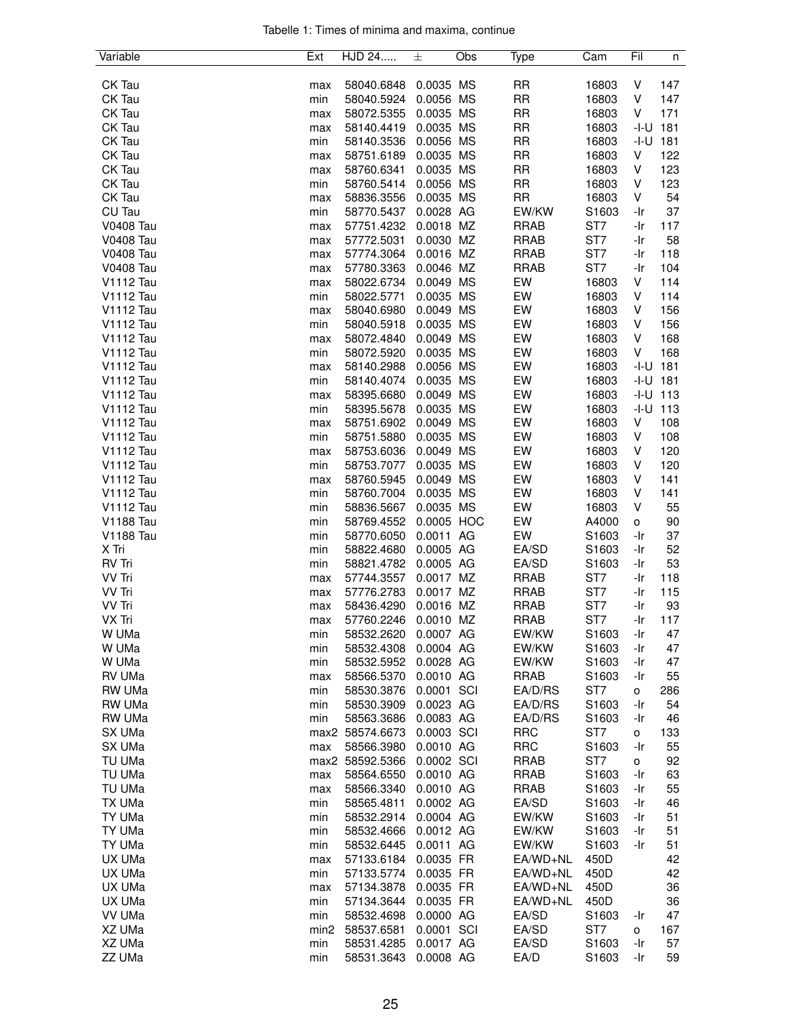| Tabelle 1: Times of minima and maxima, continue |  |  |  |
|-------------------------------------------------|--|--|--|
|                                                 |  |  |  |

| Variable                             | Ext        | HJD 24                   | 士                       | Obs | Type        | Cam            | Fil      | n        |
|--------------------------------------|------------|--------------------------|-------------------------|-----|-------------|----------------|----------|----------|
|                                      |            |                          |                         |     |             |                |          |          |
| CK Tau                               | max        | 58040.6848               | 0.0035 MS               |     | <b>RR</b>   | 16803          | V        | 147      |
| CK Tau                               | min        | 58040.5924               | 0.0056 MS               |     | <b>RR</b>   | 16803          | V        | 147      |
| CK Tau                               | max        | 58072.5355               | 0.0035 MS               |     | <b>RR</b>   | 16803          | V        | 171      |
| CK Tau                               | max        | 58140.4419               | 0.0035 MS               |     | <b>RR</b>   | 16803          | -I-U     | 181      |
| CK Tau                               | min        | 58140.3536               | 0.0056 MS               |     | <b>RR</b>   | 16803          | -I-U     | 181      |
| CK Tau                               | max        | 58751.6189               | 0.0035 MS               |     | <b>RR</b>   | 16803          | V        | 122      |
| CK Tau                               | max        | 58760.6341               | 0.0035 MS               |     | <b>RR</b>   | 16803          | V        | 123      |
| CK Tau                               | min        | 58760.5414               | 0.0056 MS               |     | <b>RR</b>   | 16803          | V        | 123      |
| CK Tau                               | max        | 58836.3556               | 0.0035 MS               |     | RR          | 16803          | V        | 54       |
| CU Tau                               | min        | 58770.5437               | 0.0028 AG               |     | EW/KW       | S1603          | -Ir      | 37       |
| <b>V0408 Tau</b>                     | max        | 57751.4232               | 0.0018 MZ               |     | <b>RRAB</b> | ST7            | -Ir      | 117      |
| <b>V0408 Tau</b>                     | max        | 57772.5031               | 0.0030 MZ               |     | <b>RRAB</b> | ST7            | -Ir      | 58       |
| <b>V0408 Tau</b>                     | max        | 57774.3064               | 0.0016 MZ               |     | <b>RRAB</b> | ST7            | -Ir      | 118      |
| <b>V0408 Tau</b>                     | max        | 57780.3363               | 0.0046 MZ               |     | <b>RRAB</b> | ST7            | -Ir      | 104      |
| V1112 Tau                            | max        | 58022.6734               | 0.0049 MS               |     | EW          | 16803          | V        | 114      |
| <b>V1112 Tau</b>                     | min        | 58022.5771               | 0.0035 MS               |     | EW          | 16803          | V        | 114      |
| V1112 Tau                            | max        | 58040.6980               | 0.0049 MS               |     | EW          | 16803          | V        | 156      |
| V1112 Tau                            | min        | 58040.5918               | 0.0035 MS               |     | EW          | 16803          | V        | 156      |
| V1112 Tau                            | max        | 58072.4840               | 0.0049 MS               |     | EW          | 16803          | V        | 168      |
| V1112 Tau                            | min        | 58072.5920               | 0.0035 MS               |     | EW          | 16803          | V        | 168      |
| <b>V1112 Tau</b>                     | max        | 58140.2988               | 0.0056 MS               |     | EW          | 16803          | -I-U     | 181      |
| V1112 Tau                            | min        | 58140.4074               | 0.0035 MS               |     | EW          | 16803          | -I-U     | 181      |
| V1112 Tau                            | max        | 58395.6680               | 0.0049 MS               |     | EW          | 16803          | $-I-U$   | 113      |
| V1112 Tau                            | min        | 58395.5678               | 0.0035 MS               |     | EW          | 16803          | -I-U     | 113      |
| V1112 Tau                            | max        | 58751.6902               | 0.0049 MS               |     | EW          | 16803          | v        | 108      |
| V1112 Tau                            | min        | 58751.5880               | 0.0035 MS               |     | EW          | 16803          | V        | 108      |
| <b>V1112 Tau</b>                     | max        | 58753.6036               | 0.0049 MS               |     | EW          | 16803          | V        | 120      |
| V1112 Tau                            | min        | 58753.7077               | 0.0035 MS               |     | EW          | 16803          | V        | 120      |
| <b>V1112 Tau</b>                     | max        | 58760.5945               | 0.0049 MS               |     | EW          | 16803          | V        | 141      |
| V1112 Tau                            | min        | 58760.7004               | 0.0035 MS               |     | EW          | 16803          | V<br>V   | 141      |
| V1112 Tau                            | min        | 58836.5667               | 0.0035 MS               |     | EW          | 16803          |          | 55       |
| <b>V1188 Tau</b><br><b>V1188 Tau</b> | min        | 58769.4552<br>58770.6050 | 0.0005 HOC<br>0.0011 AG |     | EW<br>EW    | A4000<br>S1603 | o<br>-Ir | 90<br>37 |
| X Tri                                | min<br>min | 58822.4680               | 0.0005 AG               |     | EA/SD       | S1603          | -Ir      | 52       |
| RV Tri                               | min        | 58821.4782               | 0.0005 AG               |     | EA/SD       | S1603          | -Ir      | 53       |
| VV Tri                               | max        | 57744.3557               | 0.0017 MZ               |     | <b>RRAB</b> | ST7            | -Ir      | 118      |
| VV Tri                               | max        | 57776.2783               | 0.0017 MZ               |     | <b>RRAB</b> | ST7            | -Ir      | 115      |
| VV Tri                               | max        | 58436.4290               | 0.0016 MZ               |     | <b>RRAB</b> | ST7            | -Ir      | 93       |
| VX Tri                               | max        | 57760.2246               | 0.0010 MZ               |     | <b>RRAB</b> | ST7            | -Ir      | 117      |
| W UMa                                | min        | 58532.2620               | 0.0007 AG               |     | EW/KW       | S1603          | -Ir      | 47       |
| W UMa                                | min        | 58532.4308               | 0.0004 AG               |     | EW/KW       | S1603          | -Ir      | 47       |
| W UMa                                | min        | 58532.5952               | 0.0028 AG               |     | EW/KW       | S1603          | -Ir      | 47       |
| RV UMa                               | max        | 58566.5370               | 0.0010 AG               |     | RRAB        | S1603          | -Ir      | 55       |
| RW UMa                               | min        | 58530.3876               | 0.0001 SCI              |     | EA/D/RS     | ST7            | о        | 286      |
| RW UMa                               | min        | 58530.3909               | 0.0023 AG               |     | EA/D/RS     | S1603          | -Ir      | 54       |
| RW UMa                               | min        | 58563.3686               | 0.0083 AG               |     | EA/D/RS     | S1603          | -Ir      | 46       |
| SX UMa                               |            | max2 58574.6673          | 0.0003 SCI              |     | <b>RRC</b>  | ST7            | 0        | 133      |
| SX UMa                               | max        | 58566.3980               | 0.0010 AG               |     | <b>RRC</b>  | S1603          | -Ir      | 55       |
| TU UMa                               |            | max2 58592.5366          | 0.0002 SCI              |     | <b>RRAB</b> | ST7            | 0        | 92       |
| TU UMa                               | max        | 58564.6550               | 0.0010 AG               |     | <b>RRAB</b> | S1603          | -Ir      | 63       |
| TU UMa                               | max        | 58566.3340               | 0.0010 AG               |     | <b>RRAB</b> | S1603          | -Ir      | 55       |
| TX UMa                               | min        | 58565.4811               | 0.0002 AG               |     | EA/SD       | S1603          | -Ir      | 46       |
| TY UMa                               | min        | 58532.2914               | 0.0004 AG               |     | EW/KW       | S1603          | -Ir      | 51       |
| TY UMa                               | min        | 58532.4666               | 0.0012 AG               |     | EW/KW       | S1603          | -Ir      | 51       |
| TY UMa                               | min        | 58532.6445               | 0.0011 AG               |     | EW/KW       | S1603          | -Ir      | 51       |
| UX UMa                               | max        | 57133.6184               | 0.0035 FR               |     | EA/WD+NL    | 450D           |          | 42       |
| UX UMa                               | min        | 57133.5774               | 0.0035 FR               |     | EA/WD+NL    | 450D           |          | 42       |
| UX UMa                               | max        | 57134.3878               | 0.0035 FR               |     | EA/WD+NL    | 450D           |          | 36       |
| UX UMa                               | min        | 57134.3644               | 0.0035 FR               |     | EA/WD+NL    | 450D           |          | 36       |
| VV UMa                               | min        | 58532.4698               | 0.0000 AG               |     | EA/SD       | S1603          | -Ir      | 47       |
| XZ UMa                               | min2       | 58537.6581               | 0.0001 SCI              |     | EA/SD       | ST7            | о        | 167      |
| XZ UMa                               | min        | 58531.4285               | 0.0017 AG               |     | EA/SD       | S1603          | -Ir      | 57       |
| ZZ UMa                               | min        | 58531.3643               | 0.0008 AG               |     | EA/D        | S1603          | -Ir      | 59       |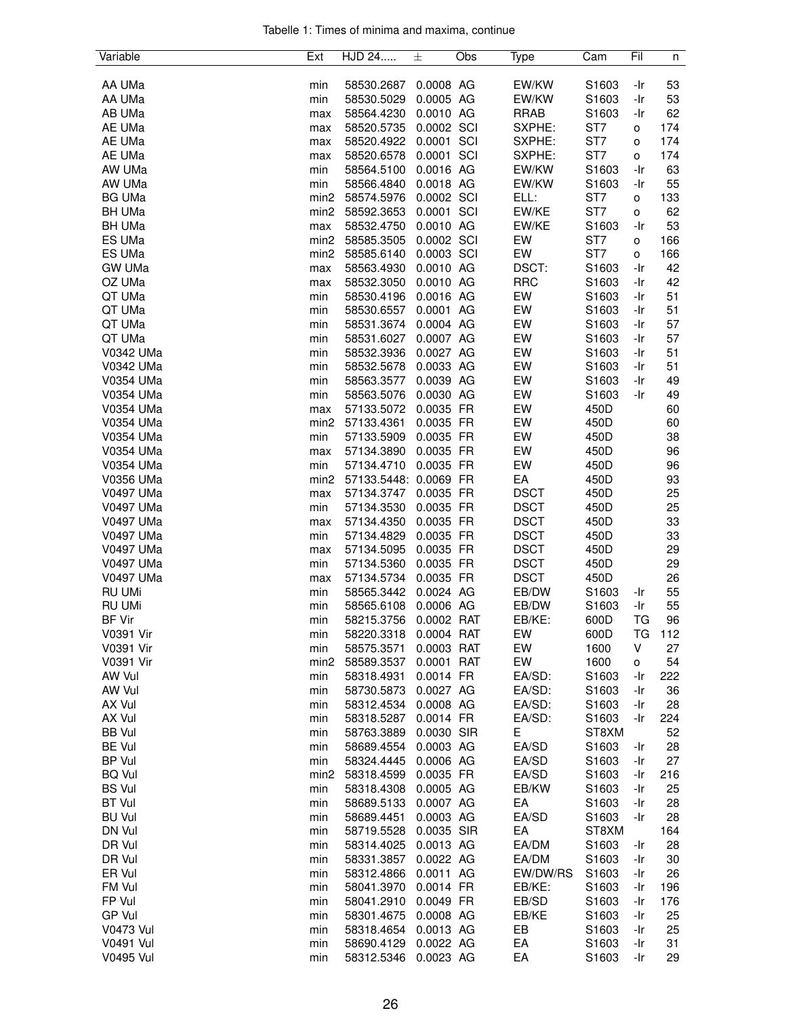|  |  |  | Tabelle 1: Times of minima and maxima, continue |  |
|--|--|--|-------------------------------------------------|--|
|  |  |  |                                                 |  |

| Variable         | Ext              | HJD 24                | 士          | Obs | Type        | Cam               | Fil       | n   |
|------------------|------------------|-----------------------|------------|-----|-------------|-------------------|-----------|-----|
|                  |                  |                       |            |     |             |                   |           |     |
| AA UMa           | min              | 58530.2687            | 0.0008 AG  |     | EW/KW       | S1603             | -Ir       | 53  |
| AA UMa           | min              | 58530.5029            | 0.0005 AG  |     | EW/KW       | S1603             | -Ir       | 53  |
| AB UMa           | max              | 58564.4230            | 0.0010 AG  |     | <b>RRAB</b> | S1603             | -Ir       | 62  |
| AE UMa           | max              | 58520.5735            | 0.0002 SCI |     | SXPHE:      | ST <sub>7</sub>   | o         | 174 |
| AE UMa           | max              | 58520.4922            | 0.0001 SCI |     | SXPHE:      | ST7               | o         | 174 |
| AE UMa           | max              | 58520.6578            | 0.0001 SCI |     | SXPHE:      | ST7               | o         | 174 |
| AW UMa           | min              | 58564.5100            | 0.0016 AG  |     | EW/KW       | S1603             | -Ir       | 63  |
| AW UMa           | min              | 58566.4840            | 0.0018 AG  |     | EW/KW       | S1603             | -Ir       | 55  |
| <b>BG UMa</b>    | min <sub>2</sub> | 58574.5976            | 0.0002 SCI |     | ELL:        | ST7               | 0         | 133 |
| <b>BH UMa</b>    | min <sub>2</sub> | 58592.3653            | 0.0001 SCI |     | EW/KE       | ST7               | o         | 62  |
| <b>BH UMa</b>    | max              | 58532.4750            | 0.0010 AG  |     | EW/KE       | S1603             | -Ir       | 53  |
| ES UMa           | min <sub>2</sub> |                       | 0.0002 SCI |     | EW          | ST <sub>7</sub>   |           |     |
| ES UMa           |                  | 58585.3505            | 0.0003 SCI |     | EW          | ST7               | o         | 166 |
|                  | min <sub>2</sub> | 58585.6140            |            |     |             |                   | o         | 166 |
| <b>GW UMa</b>    | max              | 58563.4930            | 0.0010 AG  |     | DSCT:       | S1603             | -Ir       | 42  |
| OZ UMa           | max              | 58532.3050            | 0.0010 AG  |     | <b>RRC</b>  | S1603             | -Ir       | 42  |
| QT UMa           | min              | 58530.4196            | 0.0016 AG  |     | EW          | S1603             | -Ir       | 51  |
| QT UMa           | min              | 58530.6557            | 0.0001 AG  |     | EW          | S1603             | -Ir       | 51  |
| QT UMa           | min              | 58531.3674            | 0.0004 AG  |     | EW          | S1603             | -Ir       | 57  |
| QT UMa           | min              | 58531.6027            | 0.0007 AG  |     | EW          | S1603             | -Ir       | 57  |
| V0342 UMa        | min              | 58532.3936            | 0.0027 AG  |     | EW          | S1603             | -Ir       | 51  |
| V0342 UMa        | min              | 58532.5678            | 0.0033 AG  |     | EW          | S1603             | -Ir       | 51  |
| V0354 UMa        | min              | 58563.3577            | 0.0039 AG  |     | EW          | S1603             | -Ir       | 49  |
| V0354 UMa        | min              | 58563.5076            | 0.0030 AG  |     | EW          | S1603             | -Ir       | 49  |
| V0354 UMa        | max              | 57133.5072            | 0.0035 FR  |     | EW          | 450D              |           | 60  |
| V0354 UMa        | min <sub>2</sub> | 57133.4361            | 0.0035 FR  |     | EW          | 450D              |           | 60  |
| V0354 UMa        | min              | 57133.5909            | 0.0035 FR  |     | EW          | 450D              |           | 38  |
| V0354 UMa        | max              | 57134.3890            | 0.0035 FR  |     | EW          | 450D              |           | 96  |
| V0354 UMa        | min              | 57134.4710            | 0.0035 FR  |     | EW          | 450D              |           | 96  |
| V0356 UMa        | min <sub>2</sub> | 57133.5448: 0.0069 FR |            |     | EA          | 450D              |           | 93  |
| V0497 UMa        |                  | 57134.3747            |            |     | <b>DSCT</b> | 450D              |           | 25  |
| V0497 UMa        | max              |                       | 0.0035 FR  |     | <b>DSCT</b> |                   |           | 25  |
|                  | min              | 57134.3530            | 0.0035 FR  |     |             | 450D              |           |     |
| V0497 UMa        | max              | 57134.4350            | 0.0035 FR  |     | <b>DSCT</b> | 450D              |           | 33  |
| V0497 UMa        | min              | 57134.4829            | 0.0035 FR  |     | <b>DSCT</b> | 450D              |           | 33  |
| V0497 UMa        | max              | 57134.5095            | 0.0035 FR  |     | <b>DSCT</b> | 450D              |           | 29  |
| <b>V0497 UMa</b> | min              | 57134.5360            | 0.0035 FR  |     | <b>DSCT</b> | 450D              |           | 29  |
| V0497 UMa        | max              | 57134.5734            | 0.0035 FR  |     | <b>DSCT</b> | 450D              |           | 26  |
| RU UMi           | min              | 58565.3442            | 0.0024 AG  |     | EB/DW       | S1603             | -Ir       | 55  |
| <b>RU UMi</b>    | min              | 58565.6108            | 0.0006 AG  |     | EB/DW       | S1603             | -Ir       | 55  |
| <b>BF Vir</b>    | min              | 58215.3756            | 0.0002 RAT |     | EB/KE:      | 600D              | <b>TG</b> | 96  |
| V0391 Vir        | min              | 58220.3318            | 0.0004 RAT |     | EW          | 600D              | ТG        | 112 |
| V0391 Vir        | min              | 58575.3571            | 0.0003 RAT |     | EW          | 1600              | V         | 27  |
| V0391 Vir        | min <sub>2</sub> | 58589.3537            | 0.0001 RAT |     | EW          | 1600              | o         | 54  |
| AW Vul           | min              | 58318.4931            | 0.0014 FR  |     | EA/SD:      | S1603             | -Ir       | 222 |
| AW Vul           | min              | 58730.5873            | 0.0027 AG  |     | EA/SD:      | S1603             | -Ir       | 36  |
| AX Vul           | min              | 58312.4534            | 0.0008 AG  |     | EA/SD:      | S1603             | -Ir       | 28  |
| AX Vul           | min              | 58318.5287            | 0.0014 FR  |     | EA/SD:      | S1603             | -Ir       | 224 |
| <b>BB</b> Vul    | min              | 58763.3889            | 0.0030 SIR |     | Е           | ST8XM             |           | 52  |
| <b>BE Vul</b>    | min              | 58689.4554            | 0.0003 AG  |     | EA/SD       | S1603             | -Ir       | 28  |
| <b>BP Vul</b>    | min              | 58324.4445            | 0.0006 AG  |     | EA/SD       | S1603             | -Ir       | 27  |
| <b>BQ Vul</b>    |                  |                       | 0.0035 FR  |     | EA/SD       | S1603             | -Ir       | 216 |
|                  | min <sub>2</sub> | 58318.4599            |            |     |             |                   |           |     |
| <b>BS Vul</b>    | min              | 58318.4308            | 0.0005 AG  |     | EB/KW       | S1603             | -Ir       | 25  |
| <b>BT Vul</b>    | min              | 58689.5133            | 0.0007 AG  |     | EA          | S1603             | -Ir       | 28  |
| <b>BU Vul</b>    | min              | 58689.4451            | 0.0003 AG  |     | EA/SD       | S1603             | -Ir       | 28  |
| DN Vul           | min              | 58719.5528            | 0.0035 SIR |     | EA          | ST8XM             |           | 164 |
| DR Vul           | min              | 58314.4025            | 0.0013 AG  |     | EA/DM       | S1603             | -Ir       | 28  |
| DR Vul           | min              | 58331.3857            | 0.0022 AG  |     | EA/DM       | S1603             | -Ir       | 30  |
| ER Vul           | min              | 58312.4866            | 0.0011 AG  |     | EW/DW/RS    | S1603             | -Ir       | 26  |
| FM Vul           | min              | 58041.3970            | 0.0014 FR  |     | EB/KE:      | S1603             | -Ir       | 196 |
| FP Vul           | min              | 58041.2910            | 0.0049 FR  |     | EB/SD       | S <sub>1603</sub> | -Ir       | 176 |
| GP Vul           | min              | 58301.4675            | 0.0008 AG  |     | EB/KE       | S1603             | -Ir       | 25  |
| <b>V0473 Vul</b> | min              | 58318.4654            | 0.0013 AG  |     | EB          | S1603             | -Ir       | 25  |
| V0491 Vul        | min              | 58690.4129            | 0.0022 AG  |     | EA          | S1603             | -Ir       | 31  |
| V0495 Vul        | min              | 58312.5346            | 0.0023 AG  |     | EA          | S1603             | -Ir       | 29  |
|                  |                  |                       |            |     |             |                   |           |     |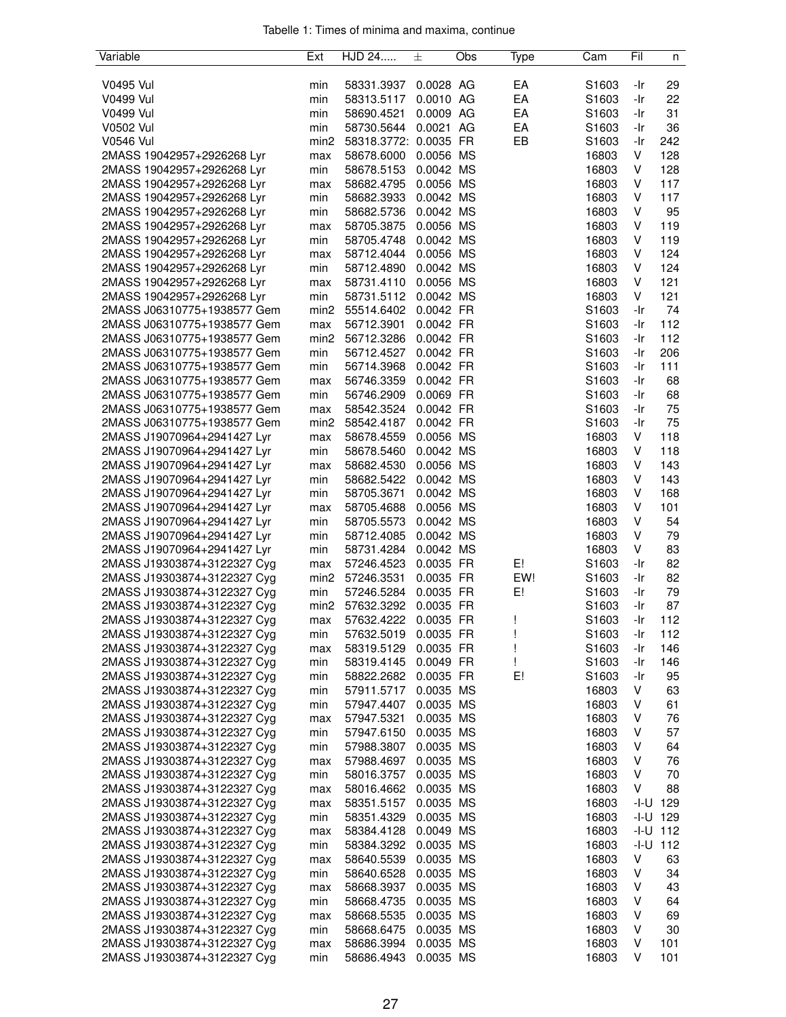| Variable                    | Ext              | HJD 24                | 土         | Obs | Type | Cam               | Fil          | n            |
|-----------------------------|------------------|-----------------------|-----------|-----|------|-------------------|--------------|--------------|
|                             |                  |                       |           |     |      |                   |              |              |
| V0495 Vul                   | min              | 58331.3937            | 0.0028 AG |     | EA   | S <sub>1603</sub> | -Ir          | 29           |
| V0499 Vul                   | min              | 58313.5117            | 0.0010 AG |     | EA   | S1603             | -Ir          | 22           |
| V0499 Vul                   | min              | 58690.4521            | 0.0009 AG |     | EA   | S <sub>1603</sub> | -Ir          | 31           |
| V0502 Vul                   | min              | 58730.5644 0.0021 AG  |           |     | EA   | S1603             | -Ir          | 36           |
| <b>V0546 Vul</b>            | min <sub>2</sub> | 58318.3772: 0.0035 FR |           |     | EB   | S <sub>1603</sub> | -Ir          | 242          |
| 2MASS 19042957+2926268 Lyr  | max              | 58678.6000            | 0.0056 MS |     |      | 16803             | V            | 128          |
| 2MASS 19042957+2926268 Lyr  | min              | 58678.5153            | 0.0042 MS |     |      | 16803             | V            | 128          |
| 2MASS 19042957+2926268 Lyr  | max              | 58682.4795            | 0.0056 MS |     |      | 16803             | V            | 117          |
| 2MASS 19042957+2926268 Lyr  | min              | 58682.3933            | 0.0042 MS |     |      | 16803             | V            | 117          |
| 2MASS 19042957+2926268 Lyr  | min              | 58682.5736            | 0.0042 MS |     |      | 16803             | V            | 95           |
| 2MASS 19042957+2926268 Lyr  |                  | 58705.3875            | 0.0056 MS |     |      | 16803             | V            | 119          |
|                             | max              |                       |           |     |      |                   |              |              |
| 2MASS 19042957+2926268 Lyr  | min              | 58705.4748            | 0.0042 MS |     |      | 16803             | V            | 119          |
| 2MASS 19042957+2926268 Lyr  | max              | 58712.4044            | 0.0056 MS |     |      | 16803             | V            | 124          |
| 2MASS 19042957+2926268 Lyr  | min              | 58712.4890            | 0.0042 MS |     |      | 16803             | V            | 124          |
| 2MASS 19042957+2926268 Lyr  | max              | 58731.4110 0.0056 MS  |           |     |      | 16803             | V            | 121          |
| 2MASS 19042957+2926268 Lyr  | min              | 58731.5112            | 0.0042 MS |     |      | 16803             | V            | 121          |
| 2MASS J06310775+1938577 Gem | min2             | 55514.6402            | 0.0042 FR |     |      | S1603             | -Ir          | 74           |
| 2MASS J06310775+1938577 Gem | max              | 56712.3901            | 0.0042 FR |     |      | S1603             | -Ir          | 112          |
| 2MASS J06310775+1938577 Gem | min2             | 56712.3286            | 0.0042 FR |     |      | S1603             | -Ir          | 112          |
| 2MASS J06310775+1938577 Gem | min              | 56712.4527            | 0.0042 FR |     |      | S1603             | -Ir          | 206          |
| 2MASS J06310775+1938577 Gem | min              | 56714.3968            | 0.0042 FR |     |      | S <sub>1603</sub> | -Ir          | 111          |
| 2MASS J06310775+1938577 Gem | max              | 56746.3359            | 0.0042 FR |     |      | S1603             | -Ir          | 68           |
| 2MASS J06310775+1938577 Gem | min              | 56746.2909            | 0.0069 FR |     |      | S <sub>1603</sub> | -Ir          | 68           |
| 2MASS J06310775+1938577 Gem | max              | 58542.3524            | 0.0042 FR |     |      | S <sub>1603</sub> | -Ir          | 75           |
| 2MASS J06310775+1938577 Gem | min2             | 58542.4187            | 0.0042 FR |     |      | S1603             | -Ir          | 75           |
| 2MASS J19070964+2941427 Lyr | max              | 58678.4559            | 0.0056 MS |     |      | 16803             | V            | 118          |
| 2MASS J19070964+2941427 Lyr | min              | 58678.5460            | 0.0042 MS |     |      | 16803             | V            | 118          |
| 2MASS J19070964+2941427 Lyr | max              | 58682.4530            | 0.0056 MS |     |      | 16803             | V            | 143          |
| 2MASS J19070964+2941427 Lyr | min              | 58682.5422            | 0.0042 MS |     |      | 16803             | V            | 143          |
| 2MASS J19070964+2941427 Lyr | min              | 58705.3671            | 0.0042 MS |     |      | 16803             | V            | 168          |
|                             |                  |                       |           |     |      |                   | V            | 101          |
| 2MASS J19070964+2941427 Lyr | max              | 58705.4688            | 0.0056 MS |     |      | 16803             |              |              |
| 2MASS J19070964+2941427 Lyr | min              | 58705.5573            | 0.0042 MS |     |      | 16803             | V            | 54           |
| 2MASS J19070964+2941427 Lyr | min              | 58712.4085            | 0.0042 MS |     |      | 16803             | V            | 79           |
| 2MASS J19070964+2941427 Lyr | min              | 58731.4284            | 0.0042 MS |     |      | 16803             | V            | 83           |
| 2MASS J19303874+3122327 Cyg | max              | 57246.4523            | 0.0035 FR |     | E!   | S <sub>1603</sub> | -Ir          | 82           |
| 2MASS J19303874+3122327 Cyg | min <sub>2</sub> | 57246.3531            | 0.0035 FR |     | EW!  | S1603             | -Ir          | 82           |
| 2MASS J19303874+3122327 Cyg | min              | 57246.5284            | 0.0035 FR |     | E!   | S1603             | -Ir          | 79           |
| 2MASS J19303874+3122327 Cyg | min2             | 57632.3292            | 0.0035 FR |     |      | S1603             | -Ir          | 87           |
| 2MASS J19303874+3122327 Cyg | max              | 57632.4222            | 0.0035 FR |     | Ţ    | S1603             | -Ir          | 112          |
| 2MASS J19303874+3122327 Cyg | min              | 57632.5019            | 0.0035 FR |     |      | S <sub>1603</sub> | -Ir          | 112          |
| 2MASS J19303874+3122327 Cyg | max              | 58319.5129            | 0.0035 FR |     |      | S1603             | -Ir          | 146          |
| 2MASS J19303874+3122327 Cyg | min              | 58319.4145            | 0.0049 FR |     |      | S1603             | -Ir          | 146          |
| 2MASS J19303874+3122327 Cyg | min              | 58822.2682            | 0.0035 FR |     | E!   | S1603             | -Ir          | 95           |
| 2MASS J19303874+3122327 Cyg | min              | 57911.5717            | 0.0035 MS |     |      | 16803             | V            | 63           |
| 2MASS J19303874+3122327 Cyg | min              | 57947.4407            | 0.0035 MS |     |      | 16803             | V            | 61           |
| 2MASS J19303874+3122327 Cyg | max              | 57947.5321            | 0.0035 MS |     |      | 16803             | V            | 76           |
| 2MASS J19303874+3122327 Cyg | min              | 57947.6150            | 0.0035 MS |     |      | 16803             | V            | 57           |
| 2MASS J19303874+3122327 Cyg | min              | 57988.3807            | 0.0035 MS |     |      | 16803             | V            | 64           |
| 2MASS J19303874+3122327 Cyg | max              | 57988.4697            | 0.0035 MS |     |      | 16803             | V            | 76           |
| 2MASS J19303874+3122327 Cyg | min              | 58016.3757            | 0.0035 MS |     |      | 16803             | V            | 70           |
| 2MASS J19303874+3122327 Cyg | max              | 58016.4662            | 0.0035 MS |     |      | 16803             | V            | 88           |
| 2MASS J19303874+3122327 Cyg | max              | 58351.5157            | 0.0035 MS |     |      | 16803             | $-1 - U$ 129 |              |
| 2MASS J19303874+3122327 Cyg | min              | 58351.4329            | 0.0035 MS |     |      | 16803             | $-1 - U$ 129 |              |
| 2MASS J19303874+3122327 Cyg | max              | 58384.4128            | 0.0049 MS |     |      | 16803             |              | $-1 - U$ 112 |
| 2MASS J19303874+3122327 Cyg |                  | 58384.3292            | 0.0035 MS |     |      | 16803             |              | $-1 - U$ 112 |
|                             | min              |                       |           |     |      |                   | V            |              |
| 2MASS J19303874+3122327 Cyg | max              | 58640.5539            | 0.0035 MS |     |      | 16803             |              | 63           |
| 2MASS J19303874+3122327 Cyg | min              | 58640.6528            | 0.0035 MS |     |      | 16803             | V            | 34           |
| 2MASS J19303874+3122327 Cyg | max              | 58668.3937            | 0.0035 MS |     |      | 16803             | V            | 43           |
| 2MASS J19303874+3122327 Cyg | min              | 58668.4735            | 0.0035 MS |     |      | 16803             | V            | 64           |
| 2MASS J19303874+3122327 Cyg | max              | 58668.5535            | 0.0035 MS |     |      | 16803             | V            | 69           |
| 2MASS J19303874+3122327 Cyg | min              | 58668.6475            | 0.0035 MS |     |      | 16803             | V            | 30           |
| 2MASS J19303874+3122327 Cyg | max              | 58686.3994            | 0.0035 MS |     |      | 16803             | V            | 101          |
| 2MASS J19303874+3122327 Cyg | min              | 58686.4943            | 0.0035 MS |     |      | 16803             | V            | 101          |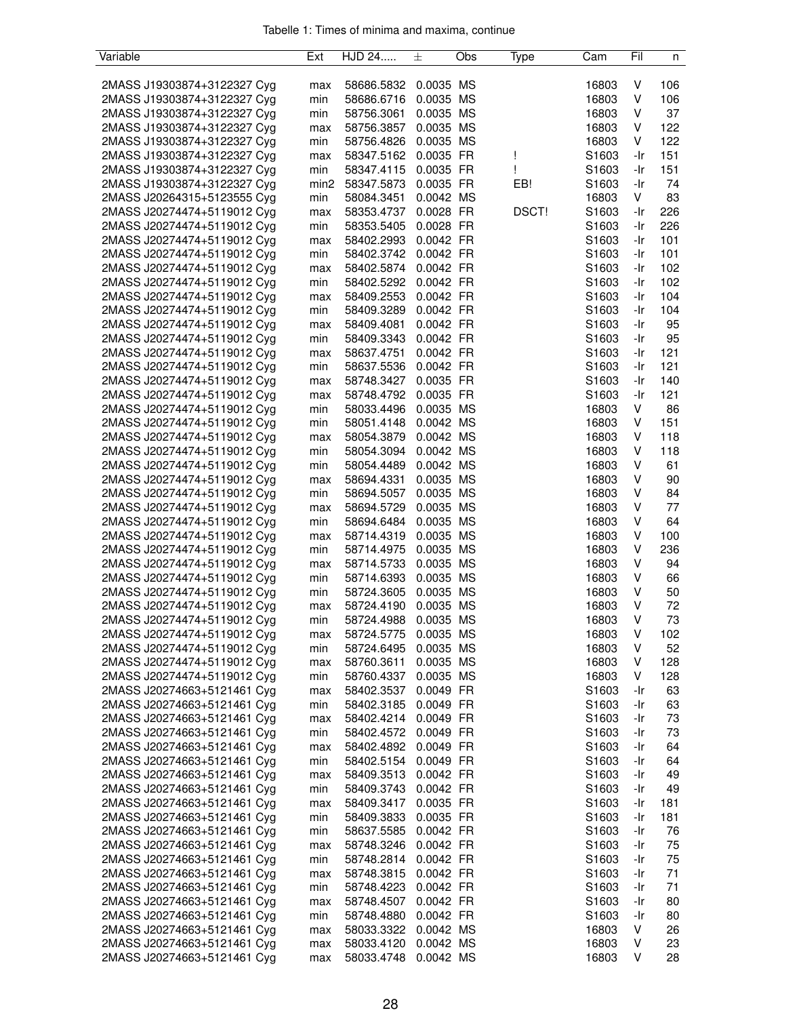| Variable                    | Ext              | HJD 24               | 土                      | Obs | Type         | Cam               | Fil | n        |
|-----------------------------|------------------|----------------------|------------------------|-----|--------------|-------------------|-----|----------|
|                             |                  |                      |                        |     |              |                   |     |          |
| 2MASS J19303874+3122327 Cyg | max              | 58686.5832           | 0.0035 MS              |     |              | 16803             | v   | 106      |
| 2MASS J19303874+3122327 Cyg | min              | 58686.6716           | 0.0035 MS              |     |              | 16803             | V   | 106      |
| 2MASS J19303874+3122327 Cyg | min              | 58756.3061           | 0.0035 MS              |     |              | 16803             | ٧   | 37       |
| 2MASS J19303874+3122327 Cyg | max              | 58756.3857           | 0.0035 MS              |     |              | 16803             | V   | 122      |
| 2MASS J19303874+3122327 Cyg | min              | 58756.4826           | 0.0035 MS              |     |              | 16803             | V   | 122      |
| 2MASS J19303874+3122327 Cyg | max              | 58347.5162           | 0.0035 FR              |     | Ţ            | S1603             | -Ir | 151      |
| 2MASS J19303874+3122327 Cyg | min              | 58347.4115           | 0.0035 FR              |     | ı            | S1603             | -Ir | 151      |
| 2MASS J19303874+3122327 Cyg | min <sub>2</sub> | 58347.5873           | 0.0035 FR              |     | EB!          | S1603             | -Ir | 74       |
| 2MASS J20264315+5123555 Cyg | min              | 58084.3451           | 0.0042 MS              |     |              | 16803             | V   | 83       |
| 2MASS J20274474+5119012 Cyg | max              | 58353.4737           | 0.0028 FR              |     | <b>DSCT!</b> | S <sub>1603</sub> | -Ir | 226      |
| 2MASS J20274474+5119012 Cyg | min              | 58353.5405           | 0.0028 FR              |     |              | S1603             | -Ir | 226      |
| 2MASS J20274474+5119012 Cyg | max              | 58402.2993           | 0.0042 FR              |     |              | S1603             | -Ir | 101      |
| 2MASS J20274474+5119012 Cyg | min              | 58402.3742           | 0.0042 FR              |     |              | S1603             | -Ir | 101      |
| 2MASS J20274474+5119012 Cyg | max              | 58402.5874           | 0.0042 FR              |     |              | S1603             | -Ir | 102      |
| 2MASS J20274474+5119012 Cyg | min              | 58402.5292           | 0.0042 FR              |     |              | S <sub>1603</sub> | -Ir | 102      |
| 2MASS J20274474+5119012 Cyg | max              | 58409.2553           | 0.0042 FR              |     |              | S <sub>1603</sub> | -Ir | 104      |
| 2MASS J20274474+5119012 Cyg | min              | 58409.3289           | 0.0042 FR              |     |              | S1603             | -Ir | 104      |
| 2MASS J20274474+5119012 Cyg | max              | 58409.4081           | 0.0042 FR              |     |              | S1603             | -Ir | 95       |
| 2MASS J20274474+5119012 Cyg | min              | 58409.3343           | 0.0042 FR              |     |              | S1603             | -Ir | 95       |
| 2MASS J20274474+5119012 Cyg | max              | 58637.4751           | 0.0042 FR              |     |              | S1603             | -Ir | 121      |
| 2MASS J20274474+5119012 Cyg | min              | 58637.5536           | 0.0042 FR              |     |              | S1603             | -Ir | 121      |
| 2MASS J20274474+5119012 Cyg |                  |                      |                        |     |              |                   |     | 140      |
|                             | max              | 58748.3427           | 0.0035 FR<br>0.0035 FR |     |              | S1603             | -Ir |          |
| 2MASS J20274474+5119012 Cyg | max              | 58748.4792           |                        |     |              | S <sub>1603</sub> | -Ir | 121      |
| 2MASS J20274474+5119012 Cyg | min              | 58033.4496           | 0.0035 MS              |     |              | 16803             | V   | 86       |
| 2MASS J20274474+5119012 Cyg | min              | 58051.4148           | 0.0042 MS              |     |              | 16803             | V   | 151      |
| 2MASS J20274474+5119012 Cyg | max              | 58054.3879           | 0.0042 MS              |     |              | 16803             | V   | 118      |
| 2MASS J20274474+5119012 Cyg | min              | 58054.3094           | 0.0042 MS              |     |              | 16803             | V   | 118      |
| 2MASS J20274474+5119012 Cyg | min              | 58054.4489           | 0.0042 MS              |     |              | 16803             | V   | 61       |
| 2MASS J20274474+5119012 Cyg | max              | 58694.4331           | 0.0035 MS              |     |              | 16803             | v   | 90       |
| 2MASS J20274474+5119012 Cyg | min              | 58694.5057           | 0.0035 MS              |     |              | 16803             | v   | 84       |
| 2MASS J20274474+5119012 Cyg | max              | 58694.5729           | 0.0035 MS              |     |              | 16803             | ٧   | 77       |
| 2MASS J20274474+5119012 Cyg | min              | 58694.6484           | 0.0035 MS              |     |              | 16803             | V   | 64       |
| 2MASS J20274474+5119012 Cyg | max              | 58714.4319           | 0.0035 MS              |     |              | 16803             | V   | 100      |
| 2MASS J20274474+5119012 Cyg | min              | 58714.4975           | 0.0035 MS              |     |              | 16803             | V   | 236      |
| 2MASS J20274474+5119012 Cyg | max              | 58714.5733           | 0.0035 MS              |     |              | 16803             | ٧   | 94       |
| 2MASS J20274474+5119012 Cyg | min              | 58714.6393           | 0.0035 MS              |     |              | 16803             | ٧   | 66       |
| 2MASS J20274474+5119012 Cyg | min              | 58724.3605           | 0.0035 MS              |     |              | 16803             | V   | 50       |
| 2MASS J20274474+5119012 Cyg | max              | 58724.4190           | 0.0035 MS              |     |              | 16803             | ٧   | 72       |
| 2MASS J20274474+5119012 Cyg | min              | 58724.4988           | 0.0035 MS              |     |              | 16803             | V   | 73       |
| 2MASS J20274474+5119012 Cyg | max              | 58724.5775           | 0.0035 MS              |     |              | 16803             | V   | 102      |
| 2MASS J20274474+5119012 Cyg | min              | 58724.6495           | 0.0035 MS              |     |              | 16803             | V   | 52       |
| 2MASS J20274474+5119012 Cyg | max              | 58760.3611           | 0.0035 MS              |     |              | 16803             | ٧   | 128      |
| 2MASS J20274474+5119012 Cyg | min              | 58760.4337           | 0.0035 MS              |     |              | 16803             | V   | 128      |
| 2MASS J20274663+5121461 Cyg | max              | 58402.3537           | 0.0049 FR              |     |              | S <sub>1603</sub> | -Ir | 63       |
| 2MASS J20274663+5121461 Cyg | min              | 58402.3185           | 0.0049 FR              |     |              | S <sub>1603</sub> | -Ir | 63       |
| 2MASS J20274663+5121461 Cyg | max              | 58402.4214           | 0.0049 FR              |     |              | S1603             | -Ir | 73       |
| 2MASS J20274663+5121461 Cyg | min              | 58402.4572           | 0.0049 FR              |     |              | S1603             | -Ir | 73       |
| 2MASS J20274663+5121461 Cyg | max              | 58402.4892           | 0.0049 FR              |     |              | S1603             | -Ir | 64       |
| 2MASS J20274663+5121461 Cyg | min              | 58402.5154           | 0.0049 FR              |     |              | S1603             | -Ir | 64       |
| 2MASS J20274663+5121461 Cyg | max              | 58409.3513           | 0.0042 FR              |     |              | S1603             | -Ir | 49       |
| 2MASS J20274663+5121461 Cyg | min              | 58409.3743           | 0.0042 FR              |     |              | S1603             | -Ir | 49       |
| 2MASS J20274663+5121461 Cyg | max              | 58409.3417           | 0.0035 FR              |     |              | S1603             | -Ir | 181      |
| 2MASS J20274663+5121461 Cyg | min              | 58409.3833           | 0.0035 FR              |     |              | S1603             | -Ir | 181      |
| 2MASS J20274663+5121461 Cyg | min              | 58637.5585           | 0.0042 FR              |     |              | S1603             | -Ir | 76       |
| 2MASS J20274663+5121461 Cyg | max              | 58748.3246           | 0.0042 FR              |     |              | S <sub>1603</sub> | -Ir | 75       |
| 2MASS J20274663+5121461 Cyg | min              | 58748.2814 0.0042 FR |                        |     |              | S1603             | -Ir | 75       |
| 2MASS J20274663+5121461 Cyg | max              | 58748.3815           | 0.0042 FR              |     |              | S1603             | -Ir | 71       |
| 2MASS J20274663+5121461 Cyg | min              | 58748.4223           | 0.0042 FR              |     |              | S1603             | -Ir | 71       |
| 2MASS J20274663+5121461 Cyg |                  | 58748.4507           | 0.0042 FR              |     |              | S <sub>1603</sub> | -Ir | 80       |
|                             | max              |                      | 0.0042 FR              |     |              |                   | -Ir |          |
| 2MASS J20274663+5121461 Cyg | min              | 58748.4880           |                        |     |              | S1603             | V   | 80<br>26 |
| 2MASS J20274663+5121461 Cyg | max              | 58033.3322           | 0.0042 MS              |     |              | 16803             |     |          |
| 2MASS J20274663+5121461 Cyg | max              | 58033.4120           | 0.0042 MS              |     |              | 16803             | v   | 23       |
| 2MASS J20274663+5121461 Cyg | max              | 58033.4748           | 0.0042 MS              |     |              | 16803             | V   | 28       |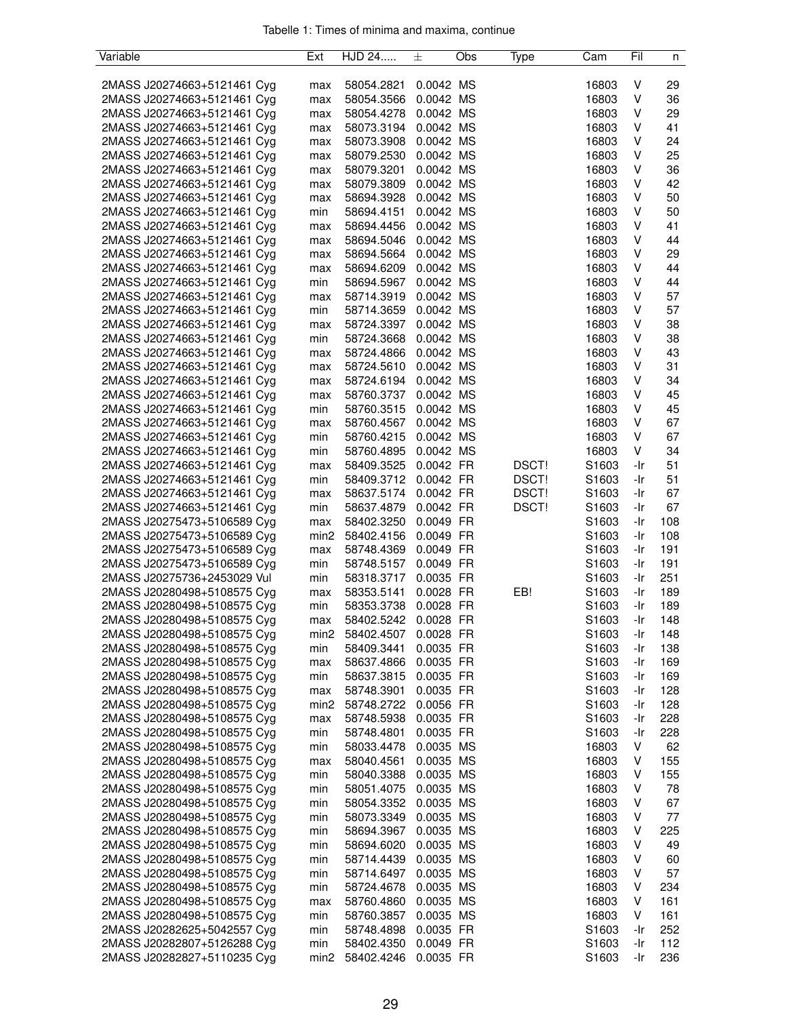| Variable                                                   | Ext              | HJD 24               | 士           | Obs | Type  | Cam               | Fil | n   |
|------------------------------------------------------------|------------------|----------------------|-------------|-----|-------|-------------------|-----|-----|
|                                                            |                  |                      |             |     |       |                   |     |     |
| 2MASS J20274663+5121461 Cyg                                | max              | 58054.2821           | 0.0042 MS   |     |       | 16803             | v   | 29  |
| 2MASS J20274663+5121461 Cyg                                | max              | 58054.3566           | 0.0042 MS   |     |       | 16803             | ٧   | 36  |
| 2MASS J20274663+5121461 Cyg                                | max              | 58054.4278           | 0.0042 MS   |     |       | 16803             | ٧   | 29  |
| 2MASS J20274663+5121461 Cyg                                | max              | 58073.3194           | 0.0042 MS   |     |       | 16803             | ٧   | 41  |
| 2MASS J20274663+5121461 Cyg                                | max              | 58073.3908           | 0.0042 MS   |     |       | 16803             | ٧   | 24  |
| 2MASS J20274663+5121461 Cyg                                | max              | 58079.2530           | 0.0042 MS   |     |       | 16803             | v   | 25  |
| 2MASS J20274663+5121461 Cyg                                | max              | 58079.3201           | 0.0042 MS   |     |       | 16803             | ٧   | 36  |
| 2MASS J20274663+5121461 Cyg                                | max              | 58079.3809           | 0.0042 MS   |     |       | 16803             | ٧   | 42  |
| 2MASS J20274663+5121461 Cyg                                | max              | 58694.3928           | 0.0042 MS   |     |       | 16803             | ٧   | 50  |
| 2MASS J20274663+5121461 Cyg                                | min              | 58694.4151           | 0.0042 MS   |     |       | 16803             | ٧   | 50  |
| 2MASS J20274663+5121461 Cyg                                | max              | 58694.4456           | 0.0042 MS   |     |       | 16803             | v   | 41  |
| 2MASS J20274663+5121461 Cyg                                | max              | 58694.5046           | 0.0042 MS   |     |       | 16803             | v   | 44  |
| 2MASS J20274663+5121461 Cyg                                | max              | 58694.5664           | 0.0042 MS   |     |       | 16803             | ٧   | 29  |
| 2MASS J20274663+5121461 Cyg                                | max              | 58694.6209           | 0.0042 MS   |     |       | 16803             | ٧   | 44  |
| 2MASS J20274663+5121461 Cyg                                | min              | 58694.5967           | 0.0042 MS   |     |       | 16803             | ٧   | 44  |
| 2MASS J20274663+5121461 Cyg                                | max              | 58714.3919           | 0.0042 MS   |     |       | 16803             | ٧   | 57  |
| 2MASS J20274663+5121461 Cyg                                | min              | 58714.3659           | 0.0042 MS   |     |       | 16803             | v   | 57  |
| 2MASS J20274663+5121461 Cyg                                | max              | 58724.3397           | 0.0042 MS   |     |       | 16803             | v   | 38  |
| 2MASS J20274663+5121461 Cyg                                | min              | 58724.3668           | 0.0042 MS   |     |       | 16803             | ٧   | 38  |
| 2MASS J20274663+5121461 Cyg                                | max              | 58724.4866           | 0.0042 MS   |     |       | 16803             | ٧   | 43  |
| 2MASS J20274663+5121461 Cyg                                | max              | 58724.5610           | 0.0042 MS   |     |       | 16803             | ٧   | 31  |
| 2MASS J20274663+5121461 Cyg                                | max              | 58724.6194           | 0.0042 MS   |     |       | 16803             | ٧   | 34  |
| 2MASS J20274663+5121461 Cyg                                | max              | 58760.3737           | 0.0042 MS   |     |       | 16803             | ٧   | 45  |
| 2MASS J20274663+5121461 Cyg                                | min              | 58760.3515           | 0.0042 MS   |     |       | 16803             | ٧   | 45  |
| 2MASS J20274663+5121461 Cyg                                | max              | 58760.4567           | 0.0042 MS   |     |       | 16803             | V   | 67  |
| 2MASS J20274663+5121461 Cyg                                | min              | 58760.4215           | 0.0042 MS   |     |       | 16803             | ٧   | 67  |
| 2MASS J20274663+5121461 Cyg                                | min              | 58760.4895 0.0042 MS |             |     |       | 16803             | V   | 34  |
| 2MASS J20274663+5121461 Cyg                                | max              | 58409.3525           | 0.0042 FR   |     | DSCT! | S1603             | -Ir | 51  |
| 2MASS J20274663+5121461 Cyg                                | min              | 58409.3712           | 0.0042 FR   |     | DSCT! | S1603             | -Ir | 51  |
| 2MASS J20274663+5121461 Cyg                                | max              | 58637.5174           | 0.0042 FR   |     | DSCT! | S1603             | -Ir | 67  |
| 2MASS J20274663+5121461 Cyg                                | min              | 58637.4879           | 0.0042 FR   |     | DSCT! | S1603             | -Ir | 67  |
| 2MASS J20275473+5106589 Cyg                                | max              | 58402.3250           | 0.0049 FR   |     |       | S1603             | -Ir | 108 |
| 2MASS J20275473+5106589 Cyg                                | min <sub>2</sub> | 58402.4156           | 0.0049 FR   |     |       | S <sub>1603</sub> | -Ir | 108 |
| 2MASS J20275473+5106589 Cyg                                | max              | 58748.4369           | 0.0049 FR   |     |       | S1603             | -Ir | 191 |
| 2MASS J20275473+5106589 Cyg                                | min              | 58748.5157           | 0.0049 FR   |     |       | S1603             | -Ir | 191 |
| 2MASS J20275736+2453029 Vul                                | min              | 58318.3717           | 0.0035 FR   |     |       | S1603             | -Ir | 251 |
| 2MASS J20280498+5108575 Cyg                                | max              | 58353.5141           | 0.0028 FR   |     | EB!   | S1603             | -Ir | 189 |
| 2MASS J20280498+5108575 Cyg                                | min              | 58353.3738           | 0.0028 FR   |     |       | S1603             | -Ir | 189 |
| 2MASS J20280498+5108575 Cyg                                | max              | 58402.5242           | 0.0028 FR   |     |       | S1603             | -Ir | 148 |
| 2MASS J20280498+5108575 Cyg                                | min2             | 58402.4507           | $0.0028$ FR |     |       | S <sub>1603</sub> | -Ir | 148 |
| 2MASS J20280498+5108575 Cyg                                | min              | 58409.3441           | 0.0035 FR   |     |       | S1603             | -Ir | 138 |
| 2MASS J20280498+5108575 Cyg                                | max              | 58637.4866           | 0.0035 FR   |     |       | S1603             | -Ir | 169 |
| 2MASS J20280498+5108575 Cyg                                | min              | 58637.3815           | 0.0035 FR   |     |       | S1603             | -Ir | 169 |
| 2MASS J20280498+5108575 Cyg                                | max              | 58748.3901           | 0.0035 FR   |     |       | S <sub>1603</sub> | -Ir | 128 |
| 2MASS J20280498+5108575 Cyg                                | min <sub>2</sub> | 58748.2722           | 0.0056 FR   |     |       | S1603             | -Ir | 128 |
| 2MASS J20280498+5108575 Cyg                                | max              | 58748.5938           | 0.0035 FR   |     |       | S <sub>1603</sub> | -Ir | 228 |
| 2MASS J20280498+5108575 Cyg                                | min              | 58748.4801           | 0.0035 FR   |     |       | S <sub>1603</sub> | -Ir | 228 |
| 2MASS J20280498+5108575 Cyg                                | min              | 58033.4478           | 0.0035 MS   |     |       | 16803             | V   | 62  |
| 2MASS J20280498+5108575 Cyg                                | max              | 58040.4561           | 0.0035 MS   |     |       | 16803             | V   | 155 |
| 2MASS J20280498+5108575 Cyg                                | min              | 58040.3388           | 0.0035 MS   |     |       | 16803             | v   | 155 |
| 2MASS J20280498+5108575 Cyg                                | min              | 58051.4075           | 0.0035 MS   |     |       | 16803             | v   | 78  |
| 2MASS J20280498+5108575 Cyg                                | min              | 58054.3352           | 0.0035 MS   |     |       | 16803             | v   | 67  |
| 2MASS J20280498+5108575 Cyg                                | min              | 58073.3349           | 0.0035 MS   |     |       | 16803             | v   | 77  |
| 2MASS J20280498+5108575 Cyg                                | min              | 58694.3967           | 0.0035 MS   |     |       | 16803             | ٧   | 225 |
| 2MASS J20280498+5108575 Cyg                                | min              | 58694.6020           | 0.0035 MS   |     |       | 16803             | ٧   | 49  |
| 2MASS J20280498+5108575 Cyg                                | min              | 58714.4439           | 0.0035 MS   |     |       | 16803             | v   | 60  |
| 2MASS J20280498+5108575 Cyg                                | min              | 58714.6497           | 0.0035 MS   |     |       | 16803             | V   | 57  |
| 2MASS J20280498+5108575 Cyg                                | min              | 58724.4678           | 0.0035 MS   |     |       | 16803             | V   | 234 |
| 2MASS J20280498+5108575 Cyg                                |                  | 58760.4860           | 0.0035 MS   |     |       | 16803             | v   | 161 |
| 2MASS J20280498+5108575 Cyg                                | max<br>min       | 58760.3857           | 0.0035 MS   |     |       | 16803             | V   | 161 |
| 2MASS J20282625+5042557 Cyg                                |                  | 58748.4898           | 0.0035 FR   |     |       | S1603             | -Ir | 252 |
|                                                            | min<br>min       | 58402.4350           | 0.0049 FR   |     |       | S1603             | -Ir | 112 |
| 2MASS J20282807+5126288 Cyg<br>2MASS J20282827+5110235 Cyg | min2             | 58402.4246           | 0.0035 FR   |     |       | S1603             | -Ir | 236 |
|                                                            |                  |                      |             |     |       |                   |     |     |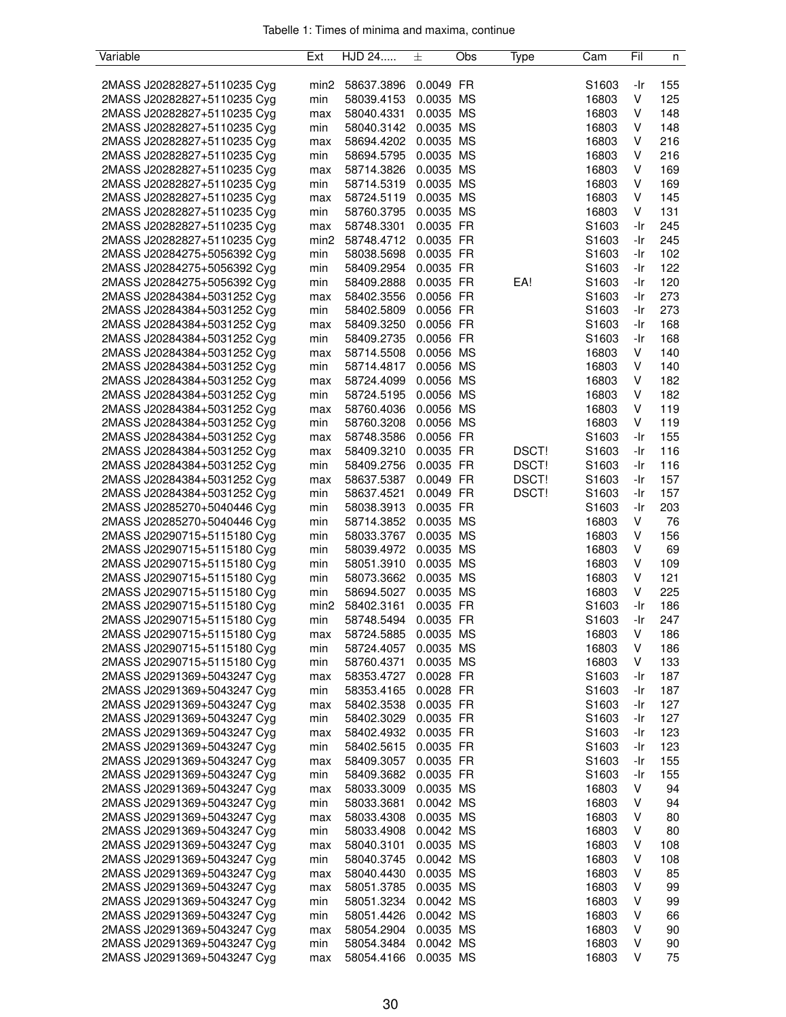| Variable                    | Ext              | HJD 24     | 土         | Obs | Type  | Cam               | Fil | n   |
|-----------------------------|------------------|------------|-----------|-----|-------|-------------------|-----|-----|
|                             |                  |            |           |     |       |                   |     |     |
| 2MASS J20282827+5110235 Cyg | min <sub>2</sub> | 58637.3896 | 0.0049 FR |     |       | S1603             | -Ir | 155 |
| 2MASS J20282827+5110235 Cyg | min              | 58039.4153 | 0.0035 MS |     |       | 16803             | V   | 125 |
| 2MASS J20282827+5110235 Cyg | max              | 58040.4331 | 0.0035 MS |     |       | 16803             | V   | 148 |
| 2MASS J20282827+5110235 Cyg | min              | 58040.3142 | 0.0035 MS |     |       | 16803             | V   | 148 |
| 2MASS J20282827+5110235 Cyg | max              | 58694.4202 | 0.0035 MS |     |       | 16803             | V   | 216 |
| 2MASS J20282827+5110235 Cyg | min              | 58694.5795 | 0.0035 MS |     |       | 16803             | v   | 216 |
| 2MASS J20282827+5110235 Cyg | max              | 58714.3826 | 0.0035 MS |     |       | 16803             | V   | 169 |
| 2MASS J20282827+5110235 Cyg | min              | 58714.5319 | 0.0035 MS |     |       | 16803             | V   | 169 |
| 2MASS J20282827+5110235 Cyg | max              | 58724.5119 | 0.0035 MS |     |       | 16803             | V   | 145 |
| 2MASS J20282827+5110235 Cyg | min              | 58760.3795 | 0.0035 MS |     |       | 16803             | V   | 131 |
| 2MASS J20282827+5110235 Cyg | max              | 58748.3301 | 0.0035 FR |     |       | S1603             | -Ir | 245 |
| 2MASS J20282827+5110235 Cyg | min <sub>2</sub> | 58748.4712 | 0.0035 FR |     |       | S1603             | -Ir | 245 |
| 2MASS J20284275+5056392 Cyg | min              | 58038.5698 | 0.0035 FR |     |       | S1603             | -Ir | 102 |
| 2MASS J20284275+5056392 Cyg | min              | 58409.2954 | 0.0035 FR |     |       | S1603             | -Ir | 122 |
| 2MASS J20284275+5056392 Cyg | min              | 58409.2888 | 0.0035 FR |     | EA!   | S <sub>1603</sub> | -Ir | 120 |
| 2MASS J20284384+5031252 Cyg | max              | 58402.3556 | 0.0056 FR |     |       | S1603             | -Ir | 273 |
| 2MASS J20284384+5031252 Cyg | min              | 58402.5809 | 0.0056 FR |     |       | S1603             | -Ir | 273 |
| 2MASS J20284384+5031252 Cyg | max              | 58409.3250 | 0.0056 FR |     |       | S1603             | -Ir | 168 |
| 2MASS J20284384+5031252 Cyg | min              | 58409.2735 | 0.0056 FR |     |       | S1603             | -Ir | 168 |
| 2MASS J20284384+5031252 Cyg |                  | 58714.5508 | 0.0056 MS |     |       | 16803             | V   | 140 |
| 2MASS J20284384+5031252 Cyg | max<br>min       | 58714.4817 | 0.0056 MS |     |       | 16803             | V   | 140 |
| 2MASS J20284384+5031252 Cyg |                  |            | 0.0056 MS |     |       |                   | V   | 182 |
|                             | max              | 58724.4099 |           |     |       | 16803             |     |     |
| 2MASS J20284384+5031252 Cyg | min              | 58724.5195 | 0.0056 MS |     |       | 16803             | V   | 182 |
| 2MASS J20284384+5031252 Cyg | max              | 58760.4036 | 0.0056 MS |     |       | 16803             | V   | 119 |
| 2MASS J20284384+5031252 Cyg | min              | 58760.3208 | 0.0056 MS |     |       | 16803             | V   | 119 |
| 2MASS J20284384+5031252 Cyg | max              | 58748.3586 | 0.0056 FR |     |       | S1603             | -Ir | 155 |
| 2MASS J20284384+5031252 Cyg | max              | 58409.3210 | 0.0035 FR |     | DSCT! | S1603             | -Ir | 116 |
| 2MASS J20284384+5031252 Cyg | min              | 58409.2756 | 0.0035 FR |     | DSCT! | S1603             | -Ir | 116 |
| 2MASS J20284384+5031252 Cyg | max              | 58637.5387 | 0.0049 FR |     | DSCT! | S1603             | -Ir | 157 |
| 2MASS J20284384+5031252 Cyg | min              | 58637.4521 | 0.0049 FR |     | DSCT! | S1603             | -Ir | 157 |
| 2MASS J20285270+5040446 Cyg | min              | 58038.3913 | 0.0035 FR |     |       | S1603             | -Ir | 203 |
| 2MASS J20285270+5040446 Cyg | min              | 58714.3852 | 0.0035 MS |     |       | 16803             | V   | 76  |
| 2MASS J20290715+5115180 Cyg | min              | 58033.3767 | 0.0035 MS |     |       | 16803             | V   | 156 |
| 2MASS J20290715+5115180 Cyg | min              | 58039.4972 | 0.0035 MS |     |       | 16803             | V   | 69  |
| 2MASS J20290715+5115180 Cyg | min              | 58051.3910 | 0.0035 MS |     |       | 16803             | v   | 109 |
| 2MASS J20290715+5115180 Cyg | min              | 58073.3662 | 0.0035 MS |     |       | 16803             | V   | 121 |
| 2MASS J20290715+5115180 Cyg | min              | 58694.5027 | 0.0035 MS |     |       | 16803             | V   | 225 |
| 2MASS J20290715+5115180 Cyg | min <sub>2</sub> | 58402.3161 | 0.0035 FR |     |       | S1603             | -Ir | 186 |
| 2MASS J20290715+5115180 Cyg | min              | 58748.5494 | 0.0035 FR |     |       | S1603             | -Ir | 247 |
| 2MASS J20290715+5115180 Cyg | max              | 58724.5885 | 0.0035 MS |     |       | 16803             | ٧   | 186 |
| 2MASS J20290715+5115180 Cyg | min              | 58724.4057 | 0.0035 MS |     |       | 16803             | V   | 186 |
| 2MASS J20290715+5115180 Cyg | min              | 58760.4371 | 0.0035 MS |     |       | 16803             | V   | 133 |
| 2MASS J20291369+5043247 Cyg | max              | 58353.4727 | 0.0028 FR |     |       | S1603             | -Ir | 187 |
| 2MASS J20291369+5043247 Cyg | min              | 58353.4165 | 0.0028 FR |     |       | S <sub>1603</sub> | -Ir | 187 |
| 2MASS J20291369+5043247 Cyg | max              | 58402.3538 | 0.0035 FR |     |       | S <sub>1603</sub> | -Ir | 127 |
| 2MASS J20291369+5043247 Cyg | min              | 58402.3029 | 0.0035 FR |     |       | S1603             | -Ir | 127 |
| 2MASS J20291369+5043247 Cyg | max              | 58402.4932 | 0.0035 FR |     |       | S1603             | -Ir | 123 |
| 2MASS J20291369+5043247 Cyg | min              | 58402.5615 | 0.0035 FR |     |       | S1603             | -Ir | 123 |
| 2MASS J20291369+5043247 Cyg | max              | 58409.3057 | 0.0035 FR |     |       | S1603             | -Ir | 155 |
| 2MASS J20291369+5043247 Cyg | min              | 58409.3682 | 0.0035 FR |     |       | S1603             | -Ir | 155 |
| 2MASS J20291369+5043247 Cyg | max              | 58033.3009 | 0.0035 MS |     |       | 16803             | V   | 94  |
| 2MASS J20291369+5043247 Cyg | min              | 58033.3681 | 0.0042 MS |     |       | 16803             | V   | 94  |
| 2MASS J20291369+5043247 Cyg | max              | 58033.4308 | 0.0035 MS |     |       | 16803             | v   | 80  |
| 2MASS J20291369+5043247 Cyg | min              | 58033.4908 | 0.0042 MS |     |       | 16803             | V   | 80  |
| 2MASS J20291369+5043247 Cyg | max              | 58040.3101 | 0.0035 MS |     |       | 16803             | V   | 108 |
| 2MASS J20291369+5043247 Cyg |                  | 58040.3745 | 0.0042 MS |     |       | 16803             | V   | 108 |
| 2MASS J20291369+5043247 Cyg | min              | 58040.4430 | 0.0035 MS |     |       | 16803             | V   | 85  |
| 2MASS J20291369+5043247 Cyg | max              |            | 0.0035 MS |     |       | 16803             | V   | 99  |
|                             | max              | 58051.3785 |           |     |       |                   |     |     |
| 2MASS J20291369+5043247 Cyg | min              | 58051.3234 | 0.0042 MS |     |       | 16803             | v   | 99  |
| 2MASS J20291369+5043247 Cyg | min              | 58051.4426 | 0.0042 MS |     |       | 16803             | v   | 66  |
| 2MASS J20291369+5043247 Cyg | max              | 58054.2904 | 0.0035 MS |     |       | 16803             | ٧   | 90  |
| 2MASS J20291369+5043247 Cyg | min              | 58054.3484 | 0.0042 MS |     |       | 16803             | ٧   | 90  |
| 2MASS J20291369+5043247 Cyg | max              | 58054.4166 | 0.0035 MS |     |       | 16803             | V   | 75  |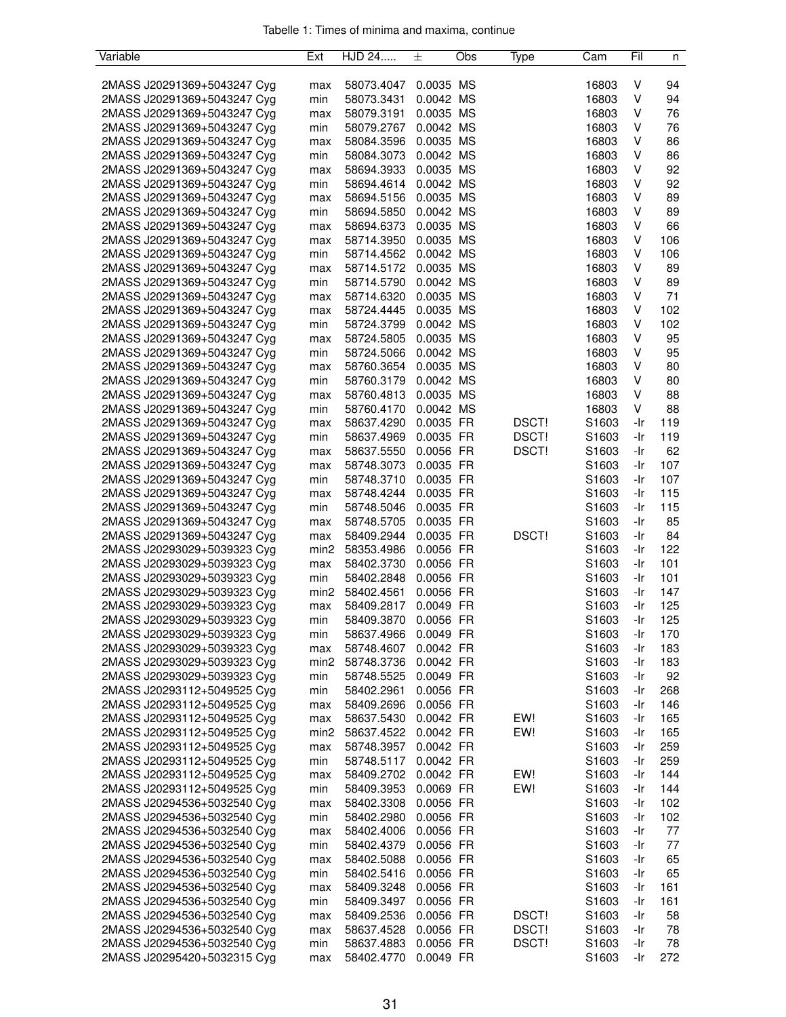| Variable                    | Ext              | HJD 24     | 土         | Obs | Type         | Cam               | Fil | n   |
|-----------------------------|------------------|------------|-----------|-----|--------------|-------------------|-----|-----|
|                             |                  |            |           |     |              |                   |     |     |
| 2MASS J20291369+5043247 Cyg | max              | 58073.4047 | 0.0035 MS |     |              | 16803             | v   | 94  |
| 2MASS J20291369+5043247 Cyg | min              | 58073.3431 | 0.0042 MS |     |              | 16803             | ٧   | 94  |
| 2MASS J20291369+5043247 Cyg | max              | 58079.3191 | 0.0035 MS |     |              | 16803             | ٧   | 76  |
| 2MASS J20291369+5043247 Cyg | min              | 58079.2767 | 0.0042 MS |     |              | 16803             | ٧   | 76  |
| 2MASS J20291369+5043247 Cyg | max              | 58084.3596 | 0.0035 MS |     |              | 16803             | V   | 86  |
| 2MASS J20291369+5043247 Cyg | min              | 58084.3073 | 0.0042 MS |     |              | 16803             | v   | 86  |
| 2MASS J20291369+5043247 Cyg | max              | 58694.3933 | 0.0035 MS |     |              | 16803             | ٧   | 92  |
| 2MASS J20291369+5043247 Cyg | min              | 58694.4614 | 0.0042 MS |     |              | 16803             | ٧   | 92  |
| 2MASS J20291369+5043247 Cyg | max              | 58694.5156 | 0.0035 MS |     |              | 16803             | ٧   | 89  |
| 2MASS J20291369+5043247 Cyg | min              | 58694.5850 | 0.0042 MS |     |              | 16803             | ٧   | 89  |
| 2MASS J20291369+5043247 Cyg | max              | 58694.6373 | 0.0035 MS |     |              | 16803             | v   | 66  |
| 2MASS J20291369+5043247 Cyg |                  | 58714.3950 | 0.0035 MS |     |              | 16803             | v   | 106 |
|                             | max              |            |           |     |              |                   | ٧   |     |
| 2MASS J20291369+5043247 Cyg | min              | 58714.4562 | 0.0042 MS |     |              | 16803             |     | 106 |
| 2MASS J20291369+5043247 Cyg | max              | 58714.5172 | 0.0035 MS |     |              | 16803             | ٧   | 89  |
| 2MASS J20291369+5043247 Cyg | min              | 58714.5790 | 0.0042 MS |     |              | 16803             | ٧   | 89  |
| 2MASS J20291369+5043247 Cyg | max              | 58714.6320 | 0.0035 MS |     |              | 16803             | V   | 71  |
| 2MASS J20291369+5043247 Cyg | max              | 58724.4445 | 0.0035 MS |     |              | 16803             | V   | 102 |
| 2MASS J20291369+5043247 Cyg | min              | 58724.3799 | 0.0042 MS |     |              | 16803             | v   | 102 |
| 2MASS J20291369+5043247 Cyg | max              | 58724.5805 | 0.0035 MS |     |              | 16803             | ٧   | 95  |
| 2MASS J20291369+5043247 Cyg | min              | 58724.5066 | 0.0042 MS |     |              | 16803             | ٧   | 95  |
| 2MASS J20291369+5043247 Cyg | max              | 58760.3654 | 0.0035 MS |     |              | 16803             | ٧   | 80  |
| 2MASS J20291369+5043247 Cyg | min              | 58760.3179 | 0.0042 MS |     |              | 16803             | V   | 80  |
| 2MASS J20291369+5043247 Cyg | max              | 58760.4813 | 0.0035 MS |     |              | 16803             | V   | 88  |
| 2MASS J20291369+5043247 Cyg | min              | 58760.4170 | 0.0042 MS |     |              | 16803             | v   | 88  |
| 2MASS J20291369+5043247 Cyg | max              | 58637.4290 | 0.0035 FR |     | DSCT!        | S1603             | -Ir | 119 |
| 2MASS J20291369+5043247 Cyg | min              | 58637.4969 | 0.0035 FR |     | DSCT!        | S <sub>1603</sub> | -Ir | 119 |
| 2MASS J20291369+5043247 Cyg | max              | 58637.5550 | 0.0056 FR |     | DSCT!        | S1603             | -Ir | 62  |
| 2MASS J20291369+5043247 Cyg | max              | 58748.3073 | 0.0035 FR |     |              | S1603             | -Ir | 107 |
| 2MASS J20291369+5043247 Cyg | min              | 58748.3710 | 0.0035 FR |     |              | S <sub>1603</sub> | -Ir | 107 |
| 2MASS J20291369+5043247 Cyg | max              | 58748.4244 | 0.0035 FR |     |              | S1603             | -Ir | 115 |
| 2MASS J20291369+5043247 Cyg | min              | 58748.5046 | 0.0035 FR |     |              | S1603             | -Ir | 115 |
| 2MASS J20291369+5043247 Cyg | max              | 58748.5705 | 0.0035 FR |     |              | S1603             | -Ir | 85  |
| 2MASS J20291369+5043247 Cyg |                  | 58409.2944 | 0.0035 FR |     | <b>DSCT!</b> | S <sub>1603</sub> | -Ir | 84  |
|                             | max              |            | 0.0056 FR |     |              |                   |     | 122 |
| 2MASS J20293029+5039323 Cyg | min <sub>2</sub> | 58353.4986 |           |     |              | S1603             | -Ir |     |
| 2MASS J20293029+5039323 Cyg | max              | 58402.3730 | 0.0056 FR |     |              | S1603             | -Ir | 101 |
| 2MASS J20293029+5039323 Cyg | min              | 58402.2848 | 0.0056 FR |     |              | S1603             | -Ir | 101 |
| 2MASS J20293029+5039323 Cyg | min2             | 58402.4561 | 0.0056 FR |     |              | S1603             | -Ir | 147 |
| 2MASS J20293029+5039323 Cyg | max              | 58409.2817 | 0.0049 FR |     |              | S1603             | -Ir | 125 |
| 2MASS J20293029+5039323 Cyg | min              | 58409.3870 | 0.0056 FR |     |              | S <sub>1603</sub> | -Ir | 125 |
| 2MASS J20293029+5039323 Cyg | min              | 58637.4966 | 0.0049 FR |     |              | S <sub>1603</sub> | -Ir | 170 |
| 2MASS J20293029+5039323 Cyg | max              | 58748.4607 | 0.0042 FR |     |              | S1603             | -Ir | 183 |
| 2MASS J20293029+5039323 Cyg | min2             | 58748.3736 | 0.0042 FR |     |              | S1603             | -Ir | 183 |
| 2MASS J20293029+5039323 Cyg | min              | 58748.5525 | 0.0049 FR |     |              | S1603             | -Ir | 92  |
| 2MASS J20293112+5049525 Cyg | min              | 58402.2961 | 0.0056 FR |     |              | S <sub>1603</sub> | -Ir | 268 |
| 2MASS J20293112+5049525 Cyg | max              | 58409.2696 | 0.0056 FR |     |              | S <sub>1603</sub> | -Ir | 146 |
| 2MASS J20293112+5049525 Cyg | max              | 58637.5430 | 0.0042 FR |     | EW!          | S1603             | -Ir | 165 |
| 2MASS J20293112+5049525 Cyg | min <sub>2</sub> | 58637.4522 | 0.0042 FR |     | EW!          | S <sub>1603</sub> | -Ir | 165 |
| 2MASS J20293112+5049525 Cyg | max              | 58748.3957 | 0.0042 FR |     |              | S1603             | -Ir | 259 |
| 2MASS J20293112+5049525 Cyg | min              | 58748.5117 | 0.0042 FR |     |              | S1603             | -Ir | 259 |
| 2MASS J20293112+5049525 Cyg | max              | 58409.2702 | 0.0042 FR |     | EW!          | S1603             | -Ir | 144 |
| 2MASS J20293112+5049525 Cyg | min              | 58409.3953 | 0.0069 FR |     | EW!          | S1603             | -Ir | 144 |
| 2MASS J20294536+5032540 Cyg | max              | 58402.3308 | 0.0056 FR |     |              | S1603             | -Ir | 102 |
| 2MASS J20294536+5032540 Cyg | min              | 58402.2980 | 0.0056 FR |     |              | S <sub>1603</sub> | -Ir | 102 |
| 2MASS J20294536+5032540 Cyg | max              | 58402.4006 | 0.0056 FR |     |              | S1603             | -Ir | 77  |
| 2MASS J20294536+5032540 Cyg | min              | 58402.4379 | 0.0056 FR |     |              | S1603             | -Ir | 77  |
|                             |                  |            |           |     |              |                   |     |     |
| 2MASS J20294536+5032540 Cyg | max              | 58402.5088 | 0.0056 FR |     |              | S <sub>1603</sub> | -Ir | 65  |
| 2MASS J20294536+5032540 Cyg | min              | 58402.5416 | 0.0056 FR |     |              | S <sub>1603</sub> | -Ir | 65  |
| 2MASS J20294536+5032540 Cyg | max              | 58409.3248 | 0.0056 FR |     |              | S1603             | -Ir | 161 |
| 2MASS J20294536+5032540 Cyg | min              | 58409.3497 | 0.0056 FR |     |              | S1603             | -Ir | 161 |
| 2MASS J20294536+5032540 Cyg | max              | 58409.2536 | 0.0056 FR |     | DSCT!        | S1603             | -Ir | 58  |
| 2MASS J20294536+5032540 Cyg | max              | 58637.4528 | 0.0056 FR |     | DSCT!        | S1603             | -Ir | 78  |
| 2MASS J20294536+5032540 Cyg | min              | 58637.4883 | 0.0056 FR |     | DSCT!        | S1603             | -Ir | 78  |
| 2MASS J20295420+5032315 Cyg | max              | 58402.4770 | 0.0049 FR |     |              | S1603             | -Ir | 272 |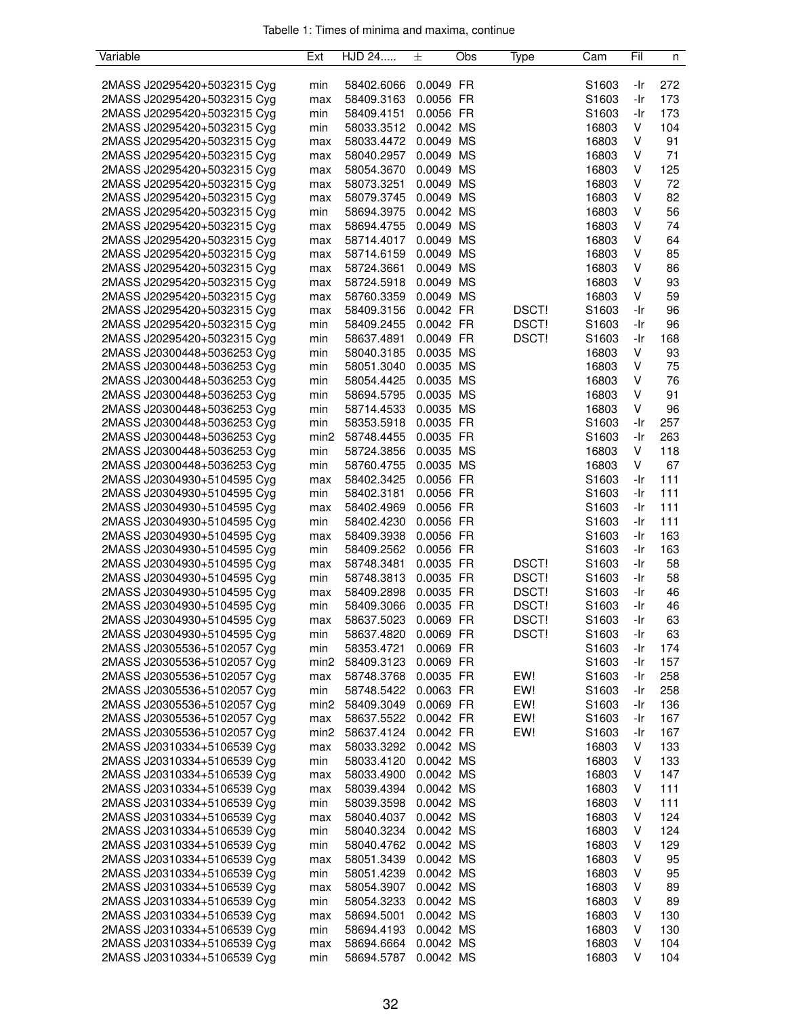| Variable                    | Ext              | HJD 24     | 土         | Obs | Type  | Cam               | Fil | n   |
|-----------------------------|------------------|------------|-----------|-----|-------|-------------------|-----|-----|
|                             |                  |            |           |     |       |                   |     |     |
| 2MASS J20295420+5032315 Cyg | min              | 58402.6066 | 0.0049 FR |     |       | S1603             | -Ir | 272 |
| 2MASS J20295420+5032315 Cyg | max              | 58409.3163 | 0.0056 FR |     |       | S1603             | -Ir | 173 |
| 2MASS J20295420+5032315 Cyg | min              | 58409.4151 | 0.0056 FR |     |       | S <sub>1603</sub> | -Ir | 173 |
| 2MASS J20295420+5032315 Cyg | min              | 58033.3512 | 0.0042 MS |     |       | 16803             | V   | 104 |
| 2MASS J20295420+5032315 Cyg | max              | 58033.4472 | 0.0049 MS |     |       | 16803             | V   | 91  |
| 2MASS J20295420+5032315 Cyg | max              | 58040.2957 | 0.0049 MS |     |       | 16803             | v   | 71  |
| 2MASS J20295420+5032315 Cyg | max              | 58054.3670 | 0.0049 MS |     |       | 16803             | V   | 125 |
| 2MASS J20295420+5032315 Cyg | max              | 58073.3251 | 0.0049 MS |     |       | 16803             | V   | 72  |
| 2MASS J20295420+5032315 Cyg | max              | 58079.3745 | 0.0049 MS |     |       | 16803             | ٧   | 82  |
| 2MASS J20295420+5032315 Cyg | min              | 58694.3975 | 0.0042 MS |     |       | 16803             | ٧   | 56  |
| 2MASS J20295420+5032315 Cyg | max              | 58694.4755 | 0.0049 MS |     |       | 16803             | ٧   | 74  |
| 2MASS J20295420+5032315 Cyg | max              | 58714.4017 | 0.0049 MS |     |       | 16803             | ٧   | 64  |
| 2MASS J20295420+5032315 Cyg | max              | 58714.6159 | 0.0049 MS |     |       | 16803             | ٧   | 85  |
| 2MASS J20295420+5032315 Cyg | max              | 58724.3661 | 0.0049 MS |     |       | 16803             | ٧   | 86  |
| 2MASS J20295420+5032315 Cyg | max              | 58724.5918 | 0.0049 MS |     |       | 16803             | ٧   | 93  |
| 2MASS J20295420+5032315 Cyg | max              | 58760.3359 | 0.0049 MS |     |       | 16803             | V   | 59  |
| 2MASS J20295420+5032315 Cyg | max              | 58409.3156 | 0.0042 FR |     | DSCT! | S1603             | -Ir | 96  |
| 2MASS J20295420+5032315 Cyg | min              | 58409.2455 | 0.0042 FR |     | DSCT! | S1603             | -Ir | 96  |
| 2MASS J20295420+5032315 Cyg | min              | 58637.4891 | 0.0049 FR |     | DSCT! | S1603             | -Ir | 168 |
| 2MASS J20300448+5036253 Cyg | min              | 58040.3185 | 0.0035 MS |     |       | 16803             | V   | 93  |
| 2MASS J20300448+5036253 Cyg |                  |            | 0.0035 MS |     |       |                   | ٧   | 75  |
|                             | min              | 58051.3040 |           |     |       | 16803             |     |     |
| 2MASS J20300448+5036253 Cyg | min              | 58054.4425 | 0.0035 MS |     |       | 16803             | V   | 76  |
| 2MASS J20300448+5036253 Cyg | min              | 58694.5795 | 0.0035 MS |     |       | 16803             | V   | 91  |
| 2MASS J20300448+5036253 Cyg | min              | 58714.4533 | 0.0035 MS |     |       | 16803             | V   | 96  |
| 2MASS J20300448+5036253 Cyg | min              | 58353.5918 | 0.0035 FR |     |       | S1603             | -Ir | 257 |
| 2MASS J20300448+5036253 Cyg | min2             | 58748.4455 | 0.0035 FR |     |       | S <sub>1603</sub> | -Ir | 263 |
| 2MASS J20300448+5036253 Cyg | min              | 58724.3856 | 0.0035 MS |     |       | 16803             | V   | 118 |
| 2MASS J20300448+5036253 Cyg | min              | 58760.4755 | 0.0035 MS |     |       | 16803             | V   | 67  |
| 2MASS J20304930+5104595 Cyg | max              | 58402.3425 | 0.0056 FR |     |       | S1603             | -Ir | 111 |
| 2MASS J20304930+5104595 Cyg | min              | 58402.3181 | 0.0056 FR |     |       | S <sub>1603</sub> | -Ir | 111 |
| 2MASS J20304930+5104595 Cyg | max              | 58402.4969 | 0.0056 FR |     |       | S1603             | -Ir | 111 |
| 2MASS J20304930+5104595 Cyg | min              | 58402.4230 | 0.0056 FR |     |       | S1603             | -Ir | 111 |
| 2MASS J20304930+5104595 Cyg | max              | 58409.3938 | 0.0056 FR |     |       | S <sub>1603</sub> | -Ir | 163 |
| 2MASS J20304930+5104595 Cyg | min              | 58409.2562 | 0.0056 FR |     |       | S1603             | -Ir | 163 |
| 2MASS J20304930+5104595 Cyg | max              | 58748.3481 | 0.0035 FR |     | DSCT! | S1603             | -Ir | 58  |
| 2MASS J20304930+5104595 Cyg | min              | 58748.3813 | 0.0035 FR |     | DSCT! | S1603             | -Ir | 58  |
| 2MASS J20304930+5104595 Cyg | max              | 58409.2898 | 0.0035 FR |     | DSCT! | S1603             | -Ir | 46  |
| 2MASS J20304930+5104595 Cyg | min              | 58409.3066 | 0.0035 FR |     | DSCT! | S1603             | -Ir | 46  |
| 2MASS J20304930+5104595 Cyg | max              | 58637.5023 | 0.0069 FR |     | DSCT! | S1603             | -Ir | 63  |
| 2MASS J20304930+5104595 Cyg | min              | 58637.4820 | 0.0069 FR |     | DSCT! | S1603             | -Ir | 63  |
| 2MASS J20305536+5102057 Cyg | min              | 58353.4721 | 0.0069 FR |     |       | S1603             | -Ir | 174 |
| 2MASS J20305536+5102057 Cyg | min <sub>2</sub> | 58409.3123 | 0.0069 FR |     |       | S1603             | -Ir | 157 |
| 2MASS J20305536+5102057 Cyg | max              | 58748.3768 | 0.0035 FR |     | EW!   | S1603             | -Ir | 258 |
| 2MASS J20305536+5102057 Cyg | min              | 58748.5422 | 0.0063 FR |     | EW!   | S <sub>1603</sub> | -Ir | 258 |
| 2MASS J20305536+5102057 Cyg | min <sub>2</sub> | 58409.3049 | 0.0069 FR |     | EW!   | S1603             | -Ir | 136 |
| 2MASS J20305536+5102057 Cyg | max              | 58637.5522 | 0.0042 FR |     | EW!   | S <sub>1603</sub> | -Ir | 167 |
| 2MASS J20305536+5102057 Cyg | min <sub>2</sub> | 58637.4124 | 0.0042 FR |     | EW!   | S1603             | -Ir | 167 |
| 2MASS J20310334+5106539 Cyg | max              | 58033.3292 | 0.0042 MS |     |       | 16803             | V   | 133 |
| 2MASS J20310334+5106539 Cyg | min              | 58033.4120 | 0.0042 MS |     |       | 16803             | V   | 133 |
| 2MASS J20310334+5106539 Cyg | max              | 58033.4900 | 0.0042 MS |     |       | 16803             | ٧   | 147 |
| 2MASS J20310334+5106539 Cyg | max              | 58039.4394 | 0.0042 MS |     |       | 16803             | V   | 111 |
| 2MASS J20310334+5106539 Cyg | min              | 58039.3598 | 0.0042 MS |     |       | 16803             | v   | 111 |
| 2MASS J20310334+5106539 Cyg | max              | 58040.4037 | 0.0042 MS |     |       | 16803             | v   | 124 |
| 2MASS J20310334+5106539 Cyg | min              | 58040.3234 | 0.0042 MS |     |       | 16803             | V   | 124 |
| 2MASS J20310334+5106539 Cyg | min              | 58040.4762 | 0.0042 MS |     |       | 16803             | V   | 129 |
| 2MASS J20310334+5106539 Cyg |                  | 58051.3439 | 0.0042 MS |     |       | 16803             | ٧   | 95  |
| 2MASS J20310334+5106539 Cyg | max              | 58051.4239 | 0.0042 MS |     |       | 16803             | V   | 95  |
| 2MASS J20310334+5106539 Cyg | min              | 58054.3907 | 0.0042 MS |     |       | 16803             | v   | 89  |
|                             | max              |            |           |     |       | 16803             | v   |     |
| 2MASS J20310334+5106539 Cyg | min              | 58054.3233 | 0.0042 MS |     |       |                   |     | 89  |
| 2MASS J20310334+5106539 Cyg | max              | 58694.5001 | 0.0042 MS |     |       | 16803             | v   | 130 |
| 2MASS J20310334+5106539 Cyg | min              | 58694.4193 | 0.0042 MS |     |       | 16803             | V   | 130 |
| 2MASS J20310334+5106539 Cyg | max              | 58694.6664 | 0.0042 MS |     |       | 16803             | V   | 104 |
| 2MASS J20310334+5106539 Cyg | min              | 58694.5787 | 0.0042 MS |     |       | 16803             | V   | 104 |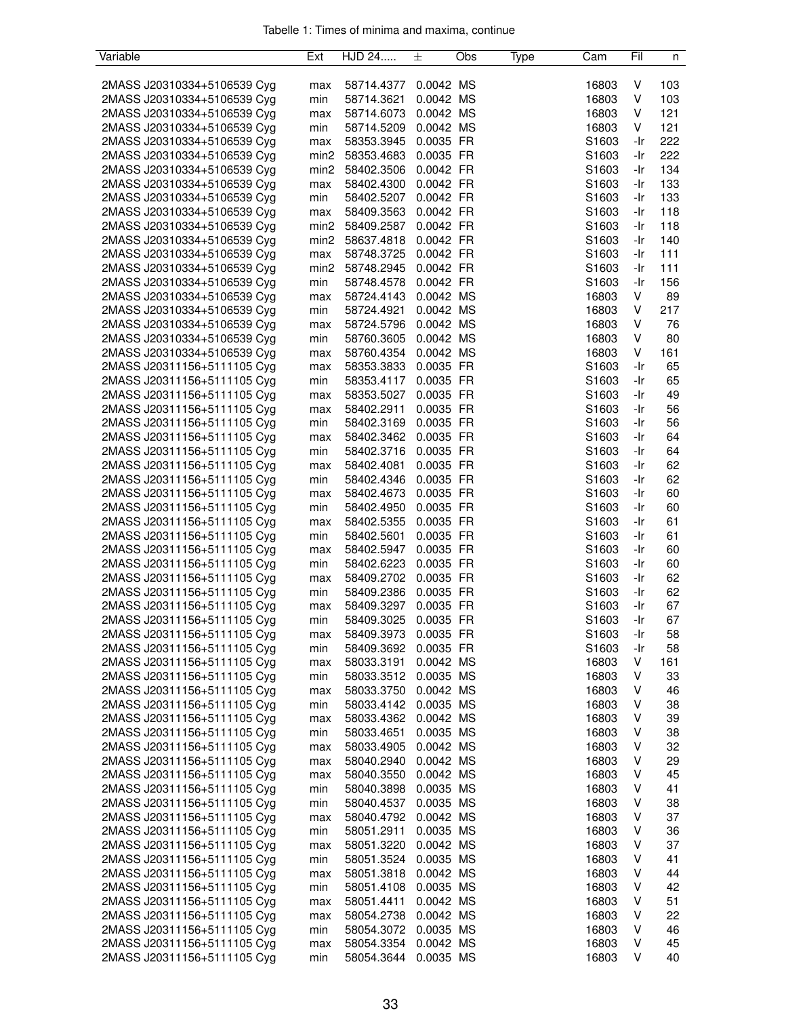| Variable                    | Ext              | HJD 24     | 土         | Obs | Type | Cam               | Fil | n        |
|-----------------------------|------------------|------------|-----------|-----|------|-------------------|-----|----------|
|                             |                  |            |           |     |      |                   |     |          |
| 2MASS J20310334+5106539 Cyg | max              | 58714.4377 | 0.0042 MS |     |      | 16803             | v   | 103      |
| 2MASS J20310334+5106539 Cyg | min              | 58714.3621 | 0.0042 MS |     |      | 16803             | V   | 103      |
| 2MASS J20310334+5106539 Cyg | max              | 58714.6073 | 0.0042 MS |     |      | 16803             | V   | 121      |
| 2MASS J20310334+5106539 Cyg | min              | 58714.5209 | 0.0042 MS |     |      | 16803             | V   | 121      |
| 2MASS J20310334+5106539 Cyg | max              | 58353.3945 | 0.0035 FR |     |      | S1603             | -Ir | 222      |
| 2MASS J20310334+5106539 Cyg | min <sub>2</sub> | 58353.4683 | 0.0035 FR |     |      | S1603             | -Ir | 222      |
| 2MASS J20310334+5106539 Cyg | min <sub>2</sub> | 58402.3506 | 0.0042 FR |     |      | S1603             | -Ir | 134      |
| 2MASS J20310334+5106539 Cyg | max              | 58402.4300 | 0.0042 FR |     |      | S1603             | -Ir | 133      |
| 2MASS J20310334+5106539 Cyg | min              | 58402.5207 | 0.0042 FR |     |      | S1603             | -Ir | 133      |
| 2MASS J20310334+5106539 Cyg | max              | 58409.3563 | 0.0042 FR |     |      | S1603             | -Ir | 118      |
| 2MASS J20310334+5106539 Cyg | min2             | 58409.2587 | 0.0042 FR |     |      | S1603             | -Ir | 118      |
| 2MASS J20310334+5106539 Cyg | min <sub>2</sub> | 58637.4818 | 0.0042 FR |     |      | S1603             | -Ir | 140      |
|                             |                  | 58748.3725 |           |     |      |                   |     |          |
| 2MASS J20310334+5106539 Cyg | max              |            | 0.0042 FR |     |      | S1603             | -Ir | 111      |
| 2MASS J20310334+5106539 Cyg | min2             | 58748.2945 | 0.0042 FR |     |      | S1603             | -Ir | 111      |
| 2MASS J20310334+5106539 Cyg | min              | 58748.4578 | 0.0042 FR |     |      | S <sub>1603</sub> | -Ir | 156      |
| 2MASS J20310334+5106539 Cyg | max              | 58724.4143 | 0.0042 MS |     |      | 16803             | V   | 89       |
| 2MASS J20310334+5106539 Cyg | min              | 58724.4921 | 0.0042 MS |     |      | 16803             | V   | 217      |
| 2MASS J20310334+5106539 Cyg | max              | 58724.5796 | 0.0042 MS |     |      | 16803             | V   | 76       |
| 2MASS J20310334+5106539 Cyg | min              | 58760.3605 | 0.0042 MS |     |      | 16803             | V   | 80       |
| 2MASS J20310334+5106539 Cyg | max              | 58760.4354 | 0.0042 MS |     |      | 16803             | V   | 161      |
| 2MASS J20311156+5111105 Cyg | max              | 58353.3833 | 0.0035 FR |     |      | S1603             | -Ir | 65       |
| 2MASS J20311156+5111105 Cyg | min              | 58353.4117 | 0.0035 FR |     |      | S1603             | -Ir | 65       |
| 2MASS J20311156+5111105 Cyg | max              | 58353.5027 | 0.0035 FR |     |      | S1603             | -Ir | 49       |
| 2MASS J20311156+5111105 Cyg | max              | 58402.2911 | 0.0035 FR |     |      | S1603             | -Ir | 56       |
| 2MASS J20311156+5111105 Cyg | min              | 58402.3169 | 0.0035 FR |     |      | S1603             | -Ir | 56       |
| 2MASS J20311156+5111105 Cyg | max              | 58402.3462 | 0.0035 FR |     |      | S <sub>1603</sub> | -Ir | 64       |
| 2MASS J20311156+5111105 Cyg | min              | 58402.3716 | 0.0035 FR |     |      | S1603             | -Ir | 64       |
| 2MASS J20311156+5111105 Cyg | max              | 58402.4081 | 0.0035 FR |     |      | S1603             | -Ir | 62       |
| 2MASS J20311156+5111105 Cyg | min              | 58402.4346 | 0.0035 FR |     |      | S1603             | -Ir | 62       |
| 2MASS J20311156+5111105 Cyg | max              | 58402.4673 | 0.0035 FR |     |      | S1603             | -Ir | 60       |
| 2MASS J20311156+5111105 Cyg | min              | 58402.4950 | 0.0035 FR |     |      | S1603             | -Ir | 60       |
| 2MASS J20311156+5111105 Cyg | max              | 58402.5355 | 0.0035 FR |     |      | S1603             | -Ir | 61       |
| 2MASS J20311156+5111105 Cyg | min              | 58402.5601 | 0.0035 FR |     |      | S <sub>1603</sub> | -Ir | 61       |
| 2MASS J20311156+5111105 Cyg |                  | 58402.5947 | 0.0035 FR |     |      | S1603             | -Ir | 60       |
| 2MASS J20311156+5111105 Cyg | max              |            |           |     |      |                   |     |          |
|                             | min              | 58402.6223 | 0.0035 FR |     |      | S1603             | -Ir | 60<br>62 |
| 2MASS J20311156+5111105 Cyg | max              | 58409.2702 | 0.0035 FR |     |      | S1603             | -Ir |          |
| 2MASS J20311156+5111105 Cyg | min              | 58409.2386 | 0.0035 FR |     |      | S1603             | -Ir | 62       |
| 2MASS J20311156+5111105 Cyg | max              | 58409.3297 | 0.0035 FR |     |      | S1603             | -Ir | 67       |
| 2MASS J20311156+5111105 Cyg | min              | 58409.3025 | 0.0035 FR |     |      | S1603             | -Ir | 67       |
| 2MASS J20311156+5111105 Cyg | max              | 58409.3973 | 0.0035 FR |     |      | S1603             | -Ir | 58       |
| 2MASS J20311156+5111105 Cyg | min              | 58409.3692 | 0.0035 FR |     |      | S1603             | -Ir | 58       |
| 2MASS J20311156+5111105 Cyg | max              | 58033.3191 | 0.0042 MS |     |      | 16803             | V   | 161      |
| 2MASS J20311156+5111105 Cyg | min              | 58033.3512 | 0.0035 MS |     |      | 16803             | V   | 33       |
| 2MASS J20311156+5111105 Cyg | max              | 58033.3750 | 0.0042 MS |     |      | 16803             | ٧   | 46       |
| 2MASS J20311156+5111105 Cyg | min              | 58033.4142 | 0.0035 MS |     |      | 16803             | v   | 38       |
| 2MASS J20311156+5111105 Cyg | max              | 58033.4362 | 0.0042 MS |     |      | 16803             | V   | 39       |
| 2MASS J20311156+5111105 Cyg | min              | 58033.4651 | 0.0035 MS |     |      | 16803             | v   | 38       |
| 2MASS J20311156+5111105 Cyg | max              | 58033.4905 | 0.0042 MS |     |      | 16803             | v   | 32       |
| 2MASS J20311156+5111105 Cyg | max              | 58040.2940 | 0.0042 MS |     |      | 16803             | V   | 29       |
| 2MASS J20311156+5111105 Cyg | max              | 58040.3550 | 0.0042 MS |     |      | 16803             | ٧   | 45       |
| 2MASS J20311156+5111105 Cyg | min              | 58040.3898 | 0.0035 MS |     |      | 16803             | V   | 41       |
| 2MASS J20311156+5111105 Cyg | min              | 58040.4537 | 0.0035 MS |     |      | 16803             | ٧   | 38       |
| 2MASS J20311156+5111105 Cyg | max              | 58040.4792 | 0.0042 MS |     |      | 16803             | ٧   | 37       |
| 2MASS J20311156+5111105 Cyg | min              | 58051.2911 | 0.0035 MS |     |      | 16803             | ٧   | 36       |
| 2MASS J20311156+5111105 Cyg | max              | 58051.3220 | 0.0042 MS |     |      | 16803             | ٧   | 37       |
| 2MASS J20311156+5111105 Cyg | min              | 58051.3524 | 0.0035 MS |     |      | 16803             | V   | 41       |
|                             |                  |            |           |     |      |                   |     |          |
| 2MASS J20311156+5111105 Cyg | max              | 58051.3818 | 0.0042 MS |     |      | 16803             | v   | 44       |
| 2MASS J20311156+5111105 Cyg | min              | 58051.4108 | 0.0035 MS |     |      | 16803             | v   | 42       |
| 2MASS J20311156+5111105 Cyg | max              | 58051.4411 | 0.0042 MS |     |      | 16803             | ٧   | 51       |
| 2MASS J20311156+5111105 Cyg | max              | 58054.2738 | 0.0042 MS |     |      | 16803             | v   | 22       |
| 2MASS J20311156+5111105 Cyg | min              | 58054.3072 | 0.0035 MS |     |      | 16803             | ٧   | 46       |
| 2MASS J20311156+5111105 Cyg | max              | 58054.3354 | 0.0042 MS |     |      | 16803             | ٧   | 45       |
| 2MASS J20311156+5111105 Cyg | min              | 58054.3644 | 0.0035 MS |     |      | 16803             | V   | 40       |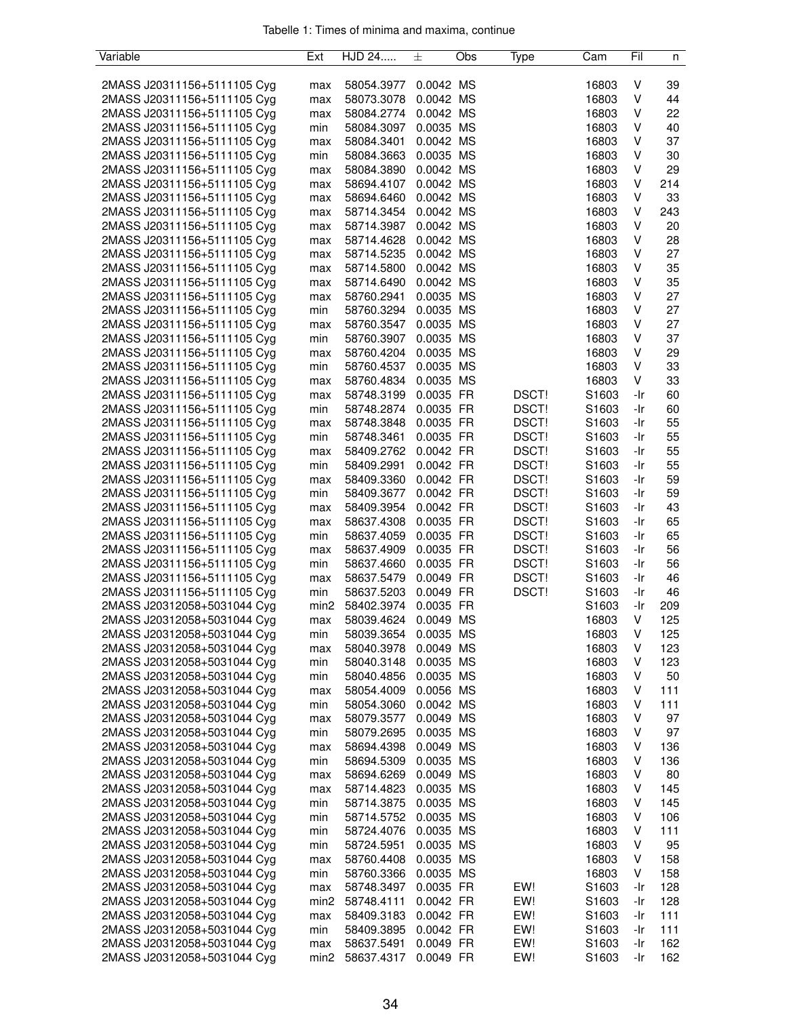| Variable                    | Ext              | HJD 24     | 土         | Obs | Type  | Cam               | Fil | n   |
|-----------------------------|------------------|------------|-----------|-----|-------|-------------------|-----|-----|
|                             |                  |            |           |     |       |                   |     |     |
| 2MASS J20311156+5111105 Cyg | max              | 58054.3977 | 0.0042 MS |     |       | 16803             | ٧   | 39  |
| 2MASS J20311156+5111105 Cyg | max              | 58073.3078 | 0.0042 MS |     |       | 16803             | ٧   | 44  |
| 2MASS J20311156+5111105 Cyg | max              | 58084.2774 | 0.0042 MS |     |       | 16803             | ٧   | 22  |
| 2MASS J20311156+5111105 Cyg | min              | 58084.3097 | 0.0035 MS |     |       | 16803             | ٧   | 40  |
| 2MASS J20311156+5111105 Cyg | max              | 58084.3401 | 0.0042 MS |     |       | 16803             | ٧   | 37  |
| 2MASS J20311156+5111105 Cyg | min              | 58084.3663 | 0.0035 MS |     |       | 16803             | ٧   | 30  |
| 2MASS J20311156+5111105 Cyg | max              | 58084.3890 | 0.0042 MS |     |       | 16803             | ٧   | 29  |
| 2MASS J20311156+5111105 Cyg |                  | 58694.4107 | 0.0042 MS |     |       | 16803             | ٧   | 214 |
|                             | max              |            |           |     |       |                   |     |     |
| 2MASS J20311156+5111105 Cyg | max              | 58694.6460 | 0.0042 MS |     |       | 16803             | ٧   | 33  |
| 2MASS J20311156+5111105 Cyg | max              | 58714.3454 | 0.0042 MS |     |       | 16803             | V   | 243 |
| 2MASS J20311156+5111105 Cyg | max              | 58714.3987 | 0.0042 MS |     |       | 16803             | ٧   | 20  |
| 2MASS J20311156+5111105 Cyg | max              | 58714.4628 | 0.0042 MS |     |       | 16803             | v   | 28  |
| 2MASS J20311156+5111105 Cyg | max              | 58714.5235 | 0.0042 MS |     |       | 16803             | ٧   | 27  |
| 2MASS J20311156+5111105 Cyg | max              | 58714.5800 | 0.0042 MS |     |       | 16803             | ٧   | 35  |
| 2MASS J20311156+5111105 Cyg | max              | 58714.6490 | 0.0042 MS |     |       | 16803             | ٧   | 35  |
| 2MASS J20311156+5111105 Cyg | max              | 58760.2941 | 0.0035 MS |     |       | 16803             | ٧   | 27  |
| 2MASS J20311156+5111105 Cyg | min              | 58760.3294 | 0.0035 MS |     |       | 16803             | ٧   | 27  |
| 2MASS J20311156+5111105 Cyg | max              | 58760.3547 | 0.0035 MS |     |       | 16803             | v   | 27  |
| 2MASS J20311156+5111105 Cyg | min              | 58760.3907 | 0.0035 MS |     |       | 16803             | ٧   | 37  |
| 2MASS J20311156+5111105 Cyg | max              | 58760.4204 | 0.0035 MS |     |       | 16803             | V   | 29  |
| 2MASS J20311156+5111105 Cyg | min              | 58760.4537 | 0.0035 MS |     |       | 16803             | V   | 33  |
| 2MASS J20311156+5111105 Cyg | max              | 58760.4834 | 0.0035 MS |     |       | 16803             | V   | 33  |
| 2MASS J20311156+5111105 Cyg | max              | 58748.3199 | 0.0035 FR |     | DSCT! | S1603             | -Ir | 60  |
| 2MASS J20311156+5111105 Cyg | min              | 58748.2874 | 0.0035 FR |     | DSCT! | S <sub>1603</sub> | -Ir | 60  |
| 2MASS J20311156+5111105 Cyg | max              | 58748.3848 | 0.0035 FR |     | DSCT! | S1603             | -Ir | 55  |
| 2MASS J20311156+5111105 Cyg | min              | 58748.3461 | 0.0035 FR |     | DSCT! | S1603             | -Ir | 55  |
|                             |                  |            | 0.0042 FR |     | DSCT! |                   |     | 55  |
| 2MASS J20311156+5111105 Cyg | max              | 58409.2762 |           |     |       | S1603             | -Ir |     |
| 2MASS J20311156+5111105 Cyg | min              | 58409.2991 | 0.0042 FR |     | DSCT! | S1603             | -Ir | 55  |
| 2MASS J20311156+5111105 Cyg | max              | 58409.3360 | 0.0042 FR |     | DSCT! | S1603             | -Ir | 59  |
| 2MASS J20311156+5111105 Cyg | min              | 58409.3677 | 0.0042 FR |     | DSCT! | S1603             | -Ir | 59  |
| 2MASS J20311156+5111105 Cyg | max              | 58409.3954 | 0.0042 FR |     | DSCT! | S1603             | -Ir | 43  |
| 2MASS J20311156+5111105 Cyg | max              | 58637.4308 | 0.0035 FR |     | DSCT! | S1603             | -Ir | 65  |
| 2MASS J20311156+5111105 Cyg | min              | 58637.4059 | 0.0035 FR |     | DSCT! | S <sub>1603</sub> | -Ir | 65  |
| 2MASS J20311156+5111105 Cyg | max              | 58637.4909 | 0.0035 FR |     | DSCT! | S1603             | -Ir | 56  |
| 2MASS J20311156+5111105 Cyg | min              | 58637.4660 | 0.0035 FR |     | DSCT! | S1603             | -Ir | 56  |
| 2MASS J20311156+5111105 Cyg | max              | 58637.5479 | 0.0049 FR |     | DSCT! | S1603             | -Ir | 46  |
| 2MASS J20311156+5111105 Cyg | min              | 58637.5203 | 0.0049 FR |     | DSCT! | S1603             | -Ir | 46  |
| 2MASS J20312058+5031044 Cyg | min <sub>2</sub> | 58402.3974 | 0.0035 FR |     |       | S1603             | -Ir | 209 |
| 2MASS J20312058+5031044 Cyg | max              | 58039.4624 | 0.0049 MS |     |       | 16803             | V   | 125 |
| 2MASS J20312058+5031044 Cyg | min              | 58039.3654 | 0.0035 MS |     |       | 16803             | V   | 125 |
| 2MASS J20312058+5031044 Cyg | max              | 58040.3978 | 0.0049 MS |     |       | 16803             | V   | 123 |
| 2MASS J20312058+5031044 Cyg | min              | 58040.3148 | 0.0035 MS |     |       | 16803             | v   | 123 |
| 2MASS J20312058+5031044 Cyg | min              | 58040.4856 | 0.0035 MS |     |       | 16803             | v   | 50  |
| 2MASS J20312058+5031044 Cyg | max              | 58054.4009 | 0.0056 MS |     |       | 16803             | ٧   | 111 |
| 2MASS J20312058+5031044 Cyg | min              | 58054.3060 | 0.0042 MS |     |       | 16803             | V   | 111 |
| 2MASS J20312058+5031044 Cyg | max              | 58079.3577 | 0.0049 MS |     |       | 16803             | v   | 97  |
| 2MASS J20312058+5031044 Cyg | min              | 58079.2695 | 0.0035 MS |     |       | 16803             | v   | 97  |
| 2MASS J20312058+5031044 Cyg | max              | 58694.4398 | 0.0049 MS |     |       | 16803             | v   | 136 |
| 2MASS J20312058+5031044 Cyg | min              | 58694.5309 | 0.0035 MS |     |       | 16803             | V   | 136 |
| 2MASS J20312058+5031044 Cyg | max              | 58694.6269 | 0.0049 MS |     |       | 16803             | ٧   | 80  |
| 2MASS J20312058+5031044 Cyg | max              | 58714.4823 | 0.0035 MS |     |       | 16803             | V   | 145 |
| 2MASS J20312058+5031044 Cyg | min              | 58714.3875 | 0.0035 MS |     |       | 16803             | v   | 145 |
| 2MASS J20312058+5031044 Cyg | min              | 58714.5752 | 0.0035 MS |     |       | 16803             | v   | 106 |
| 2MASS J20312058+5031044 Cyg | min              | 58724.4076 | 0.0035 MS |     |       | 16803             | ٧   | 111 |
|                             |                  |            |           |     |       |                   | ٧   |     |
| 2MASS J20312058+5031044 Cyg | min              | 58724.5951 | 0.0035 MS |     |       | 16803             |     | 95  |
| 2MASS J20312058+5031044 Cyg | max              | 58760.4408 | 0.0035 MS |     |       | 16803             | ٧   | 158 |
| 2MASS J20312058+5031044 Cyg | min              | 58760.3366 | 0.0035 MS |     |       | 16803             | V   | 158 |
| 2MASS J20312058+5031044 Cyg | max              | 58748.3497 | 0.0035 FR |     | EW!   | S1603             | -Ir | 128 |
| 2MASS J20312058+5031044 Cyg | min <sub>2</sub> | 58748.4111 | 0.0042 FR |     | EW!   | S1603             | -Ir | 128 |
| 2MASS J20312058+5031044 Cyg | max              | 58409.3183 | 0.0042 FR |     | EW!   | S1603             | -Ir | 111 |
| 2MASS J20312058+5031044 Cyg | min              | 58409.3895 | 0.0042 FR |     | EW!   | S1603             | -Ir | 111 |
| 2MASS J20312058+5031044 Cyg | max              | 58637.5491 | 0.0049 FR |     | EW!   | S1603             | -Ir | 162 |
| 2MASS J20312058+5031044 Cyg | min <sub>2</sub> | 58637.4317 | 0.0049 FR |     | EW!   | S1603             | -Ir | 162 |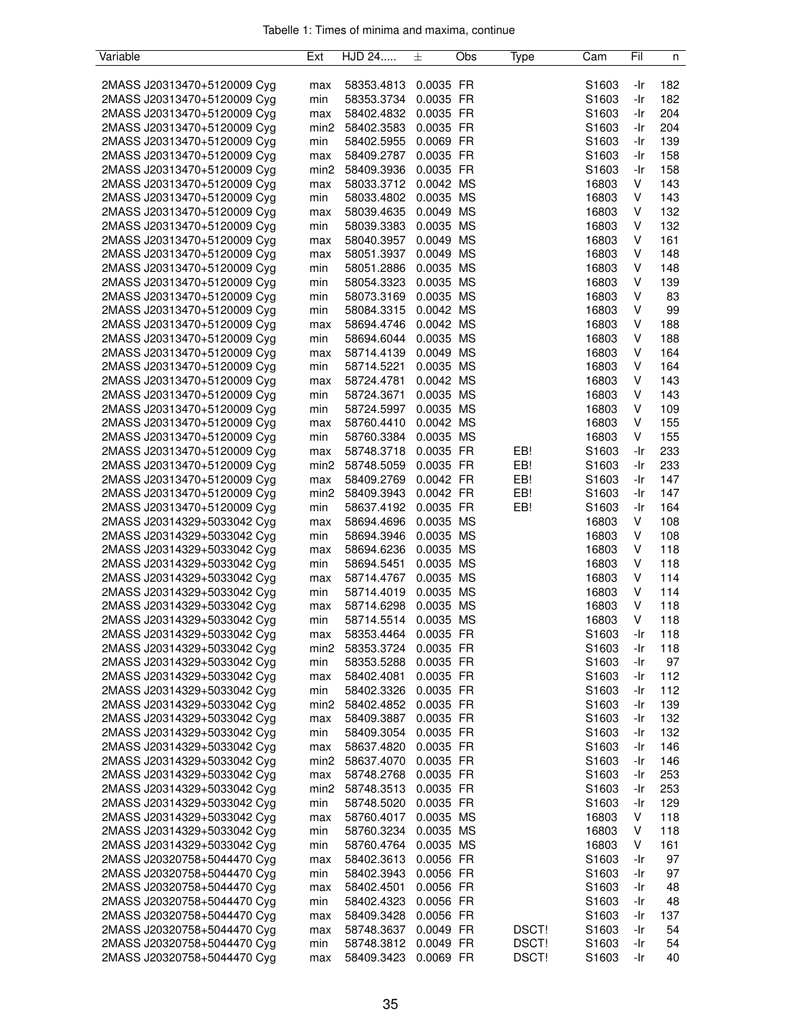| Variable                    | Ext              | HJD 24                   | 土         | Obs | Type  | Cam               | Fil | n   |
|-----------------------------|------------------|--------------------------|-----------|-----|-------|-------------------|-----|-----|
|                             |                  |                          |           |     |       |                   |     |     |
| 2MASS J20313470+5120009 Cyg | max              | 58353.4813               | 0.0035 FR |     |       | S1603             | -Ir | 182 |
| 2MASS J20313470+5120009 Cyg | min              | 58353.3734               | 0.0035 FR |     |       | S1603             | -Ir | 182 |
| 2MASS J20313470+5120009 Cyg | max              | 58402.4832               | 0.0035 FR |     |       | S1603             | -Ir | 204 |
| 2MASS J20313470+5120009 Cyg | min <sub>2</sub> | 58402.3583               | 0.0035 FR |     |       | S1603             | -Ir | 204 |
| 2MASS J20313470+5120009 Cyg | min              | 58402.5955               | 0.0069 FR |     |       | S1603             | -Ir | 139 |
| 2MASS J20313470+5120009 Cyg | max              | 58409.2787               | 0.0035 FR |     |       | S1603             | -Ir | 158 |
| 2MASS J20313470+5120009 Cyg | min <sub>2</sub> | 58409.3936               | 0.0035 FR |     |       | S1603             | -Ir | 158 |
| 2MASS J20313470+5120009 Cyg | max              | 58033.3712               | 0.0042 MS |     |       | 16803             | V   | 143 |
| 2MASS J20313470+5120009 Cyg | min              | 58033.4802               | 0.0035 MS |     |       | 16803             | V   | 143 |
|                             |                  |                          |           |     |       |                   |     |     |
| 2MASS J20313470+5120009 Cyg | max              | 58039.4635               | 0.0049 MS |     |       | 16803             | V   | 132 |
| 2MASS J20313470+5120009 Cyg | min              | 58039.3383               | 0.0035 MS |     |       | 16803             | V   | 132 |
| 2MASS J20313470+5120009 Cyg | max              | 58040.3957               | 0.0049 MS |     |       | 16803             | v   | 161 |
| 2MASS J20313470+5120009 Cyg | max              | 58051.3937               | 0.0049 MS |     |       | 16803             | ٧   | 148 |
| 2MASS J20313470+5120009 Cyg | min              | 58051.2886               | 0.0035 MS |     |       | 16803             | V   | 148 |
| 2MASS J20313470+5120009 Cyg | min              | 58054.3323               | 0.0035 MS |     |       | 16803             | ٧   | 139 |
| 2MASS J20313470+5120009 Cyg | min              | 58073.3169               | 0.0035 MS |     |       | 16803             | V   | 83  |
| 2MASS J20313470+5120009 Cyg | min              | 58084.3315               | 0.0042 MS |     |       | 16803             | V   | 99  |
| 2MASS J20313470+5120009 Cyg | max              | 58694.4746               | 0.0042 MS |     |       | 16803             | V   | 188 |
| 2MASS J20313470+5120009 Cyg | min              | 58694.6044               | 0.0035 MS |     |       | 16803             | V   | 188 |
| 2MASS J20313470+5120009 Cyg | max              | 58714.4139               | 0.0049 MS |     |       | 16803             | V   | 164 |
| 2MASS J20313470+5120009 Cyg | min              | 58714.5221               | 0.0035 MS |     |       | 16803             | V   | 164 |
| 2MASS J20313470+5120009 Cyg | max              | 58724.4781               | 0.0042 MS |     |       | 16803             | V   | 143 |
| 2MASS J20313470+5120009 Cyg | min              | 58724.3671               | 0.0035 MS |     |       | 16803             | V   | 143 |
| 2MASS J20313470+5120009 Cyg | min              | 58724.5997               | 0.0035 MS |     |       | 16803             | v   | 109 |
| 2MASS J20313470+5120009 Cyg | max              | 58760.4410               | 0.0042 MS |     |       | 16803             | V   | 155 |
| 2MASS J20313470+5120009 Cyg | min              | 58760.3384               | 0.0035 MS |     |       | 16803             | V   | 155 |
| 2MASS J20313470+5120009 Cyg | max              | 58748.3718               | 0.0035 FR |     | EB!   | S1603             | -Ir | 233 |
| 2MASS J20313470+5120009 Cyg | min <sub>2</sub> | 58748.5059               | 0.0035 FR |     | EB!   | S1603             | -Ir | 233 |
| 2MASS J20313470+5120009 Cyg | max              | 58409.2769               | 0.0042 FR |     | EB!   | S1603             | -Ir | 147 |
| 2MASS J20313470+5120009 Cyg | min <sub>2</sub> | 58409.3943               | 0.0042 FR |     | EB!   | S <sub>1603</sub> | -Ir | 147 |
| 2MASS J20313470+5120009 Cyg | min              | 58637.4192               | 0.0035 FR |     | EB!   | S1603             | -Ir | 164 |
| 2MASS J20314329+5033042 Cyg |                  | 58694.4696               | 0.0035 MS |     |       | 16803             | V   | 108 |
|                             | max              |                          | 0.0035 MS |     |       | 16803             | V   | 108 |
| 2MASS J20314329+5033042 Cyg | min              | 58694.3946<br>58694.6236 | 0.0035 MS |     |       |                   | V   | 118 |
| 2MASS J20314329+5033042 Cyg | max              |                          | 0.0035 MS |     |       | 16803             |     |     |
| 2MASS J20314329+5033042 Cyg | min              | 58694.5451               |           |     |       | 16803             | v   | 118 |
| 2MASS J20314329+5033042 Cyg | max              | 58714.4767               | 0.0035 MS |     |       | 16803             | V   | 114 |
| 2MASS J20314329+5033042 Cyg | min              | 58714.4019               | 0.0035 MS |     |       | 16803             | V   | 114 |
| 2MASS J20314329+5033042 Cyg | max              | 58714.6298               | 0.0035 MS |     |       | 16803             | V   | 118 |
| 2MASS J20314329+5033042 Cyg | min              | 58714.5514               | 0.0035 MS |     |       | 16803             | V   | 118 |
| 2MASS J20314329+5033042 Cyg | max              | 58353.4464               | 0.0035 FR |     |       | S1603             | -Ir | 118 |
| 2MASS J20314329+5033042 Cyg | min <sub>2</sub> | 58353.3724               | 0.0035 FR |     |       | S1603             | -Ir | 118 |
| 2MASS J20314329+5033042 Cyg | min              | 58353.5288               | 0.0035 FR |     |       | S1603             | -Ir | 97  |
| 2MASS J20314329+5033042 Cyg | max              | 58402.4081               | 0.0035 FR |     |       | S1603             | -Ir | 112 |
| 2MASS J20314329+5033042 Cyg | min              | 58402.3326               | 0.0035 FR |     |       | S <sub>1603</sub> | -Ir | 112 |
| 2MASS J20314329+5033042 Cyg | min <sub>2</sub> | 58402.4852               | 0.0035 FR |     |       | S1603             | -Ir | 139 |
| 2MASS J20314329+5033042 Cyg | max              | 58409.3887               | 0.0035 FR |     |       | S1603             | -Ir | 132 |
| 2MASS J20314329+5033042 Cyg | min              | 58409.3054               | 0.0035 FR |     |       | S1603             | -Ir | 132 |
| 2MASS J20314329+5033042 Cyg | max              | 58637.4820               | 0.0035 FR |     |       | S1603             | -Ir | 146 |
| 2MASS J20314329+5033042 Cyg | min <sub>2</sub> | 58637.4070               | 0.0035 FR |     |       | S1603             | -Ir | 146 |
| 2MASS J20314329+5033042 Cyg | max              | 58748.2768               | 0.0035 FR |     |       | S1603             | -Ir | 253 |
| 2MASS J20314329+5033042 Cyg | min <sub>2</sub> | 58748.3513               | 0.0035 FR |     |       | S1603             | -Ir | 253 |
| 2MASS J20314329+5033042 Cyg | min              | 58748.5020               | 0.0035 FR |     |       | S1603             | -Ir | 129 |
| 2MASS J20314329+5033042 Cyg | max              | 58760.4017               | 0.0035 MS |     |       | 16803             | V   | 118 |
| 2MASS J20314329+5033042 Cyg | min              | 58760.3234               | 0.0035 MS |     |       | 16803             | V   | 118 |
| 2MASS J20314329+5033042 Cyg | min              | 58760.4764               | 0.0035 MS |     |       | 16803             | V   | 161 |
| 2MASS J20320758+5044470 Cyg | max              | 58402.3613               | 0.0056 FR |     |       | S <sub>1603</sub> | -Ir | 97  |
| 2MASS J20320758+5044470 Cyg | min              | 58402.3943               | 0.0056 FR |     |       | S1603             | -Ir | 97  |
| 2MASS J20320758+5044470 Cyg | max              | 58402.4501               | 0.0056 FR |     |       | S1603             | -Ir | 48  |
| 2MASS J20320758+5044470 Cyg | min              | 58402.4323               | 0.0056 FR |     |       | S1603             | -Ir | 48  |
| 2MASS J20320758+5044470 Cyg | max              | 58409.3428               | 0.0056 FR |     |       | S1603             | -Ir | 137 |
| 2MASS J20320758+5044470 Cyg | max              | 58748.3637               | 0.0049 FR |     | DSCT! | S1603             | -Ir | 54  |
| 2MASS J20320758+5044470 Cyg | min              | 58748.3812               | 0.0049 FR |     | DSCT! | S1603             | -Ir | 54  |
| 2MASS J20320758+5044470 Cyg | max              | 58409.3423               | 0.0069 FR |     | DSCT! | S1603             | -Ir | 40  |
|                             |                  |                          |           |     |       |                   |     |     |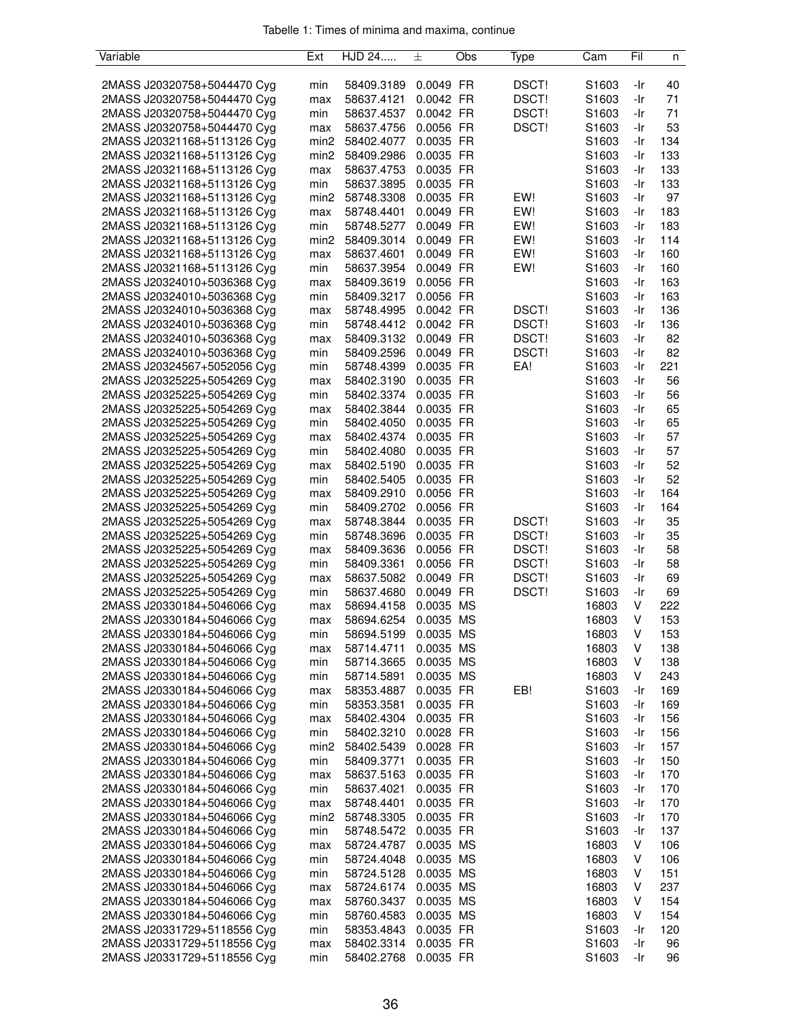| Variable                    | Ext              | HJD 24     | 士         | Obs | Type  | Cam   | Fil | n   |
|-----------------------------|------------------|------------|-----------|-----|-------|-------|-----|-----|
|                             |                  |            |           |     |       |       |     |     |
| 2MASS J20320758+5044470 Cyg | min              | 58409.3189 | 0.0049 FR |     | DSCT! | S1603 | -Ir | 40  |
| 2MASS J20320758+5044470 Cyg | max              | 58637.4121 | 0.0042 FR |     | DSCT! | S1603 | -Ir | 71  |
| 2MASS J20320758+5044470 Cyg | min              | 58637.4537 | 0.0042 FR |     | DSCT! | S1603 | -Ir | 71  |
| 2MASS J20320758+5044470 Cyg | max              | 58637.4756 | 0.0056 FR |     | DSCT! | S1603 | -Ir | 53  |
| 2MASS J20321168+5113126 Cyg | min2             | 58402.4077 | 0.0035 FR |     |       | S1603 | -Ir | 134 |
| 2MASS J20321168+5113126 Cyg | min <sub>2</sub> | 58409.2986 | 0.0035 FR |     |       | S1603 | -Ir | 133 |
| 2MASS J20321168+5113126 Cyg | max              | 58637.4753 | 0.0035 FR |     |       | S1603 | -Ir | 133 |
| 2MASS J20321168+5113126 Cyg | min              | 58637.3895 | 0.0035 FR |     |       | S1603 | -Ir | 133 |
| 2MASS J20321168+5113126 Cyg | min2             | 58748.3308 | 0.0035 FR |     | EW!   | S1603 | -Ir | 97  |
| 2MASS J20321168+5113126 Cyg | max              | 58748.4401 | 0.0049 FR |     | EW!   | S1603 | -Ir | 183 |
| 2MASS J20321168+5113126 Cyg | min              | 58748.5277 | 0.0049 FR |     | EW!   | S1603 | -Ir | 183 |
| 2MASS J20321168+5113126 Cyg | min2             | 58409.3014 | 0.0049 FR |     | EW!   | S1603 | -Ir | 114 |
| 2MASS J20321168+5113126 Cyg | max              | 58637.4601 | 0.0049 FR |     | EW!   | S1603 | -Ir | 160 |
| 2MASS J20321168+5113126 Cyg | min              | 58637.3954 | 0.0049 FR |     | EW!   | S1603 | -Ir | 160 |
| 2MASS J20324010+5036368 Cyg | max              | 58409.3619 | 0.0056 FR |     |       | S1603 | -Ir | 163 |
| 2MASS J20324010+5036368 Cyg | min              | 58409.3217 | 0.0056 FR |     |       | S1603 | -Ir | 163 |
| 2MASS J20324010+5036368 Cyg | max              | 58748.4995 | 0.0042 FR |     | DSCT! | S1603 | -Ir | 136 |
| 2MASS J20324010+5036368 Cyg | min              | 58748.4412 | 0.0042 FR |     | DSCT! | S1603 | -Ir | 136 |
| 2MASS J20324010+5036368 Cyg | max              | 58409.3132 | 0.0049 FR |     | DSCT! | S1603 | -Ir | 82  |
| 2MASS J20324010+5036368 Cyg | min              | 58409.2596 | 0.0049 FR |     | DSCT! | S1603 | -Ir | 82  |
| 2MASS J20324567+5052056 Cyg | min              | 58748.4399 | 0.0035 FR |     | EA!   | S1603 | -Ir | 221 |
|                             |                  |            | 0.0035 FR |     |       |       |     |     |
| 2MASS J20325225+5054269 Cyg | max              | 58402.3190 |           |     |       | S1603 | -Ir | 56  |
| 2MASS J20325225+5054269 Cyg | min              | 58402.3374 | 0.0035 FR |     |       | S1603 | -Ir | 56  |
| 2MASS J20325225+5054269 Cyg | max              | 58402.3844 | 0.0035 FR |     |       | S1603 | -Ir | 65  |
| 2MASS J20325225+5054269 Cyg | min              | 58402.4050 | 0.0035 FR |     |       | S1603 | -Ir | 65  |
| 2MASS J20325225+5054269 Cyg | max              | 58402.4374 | 0.0035 FR |     |       | S1603 | -Ir | 57  |
| 2MASS J20325225+5054269 Cyg | min              | 58402.4080 | 0.0035 FR |     |       | S1603 | -Ir | 57  |
| 2MASS J20325225+5054269 Cyg | max              | 58402.5190 | 0.0035 FR |     |       | S1603 | -Ir | 52  |
| 2MASS J20325225+5054269 Cyg | min              | 58402.5405 | 0.0035 FR |     |       | S1603 | -Ir | 52  |
| 2MASS J20325225+5054269 Cyg | max              | 58409.2910 | 0.0056 FR |     |       | S1603 | -Ir | 164 |
| 2MASS J20325225+5054269 Cyg | min              | 58409.2702 | 0.0056 FR |     |       | S1603 | -Ir | 164 |
| 2MASS J20325225+5054269 Cyg | max              | 58748.3844 | 0.0035 FR |     | DSCT! | S1603 | -Ir | 35  |
| 2MASS J20325225+5054269 Cyg | min              | 58748.3696 | 0.0035 FR |     | DSCT! | S1603 | -Ir | 35  |
| 2MASS J20325225+5054269 Cyg | max              | 58409.3636 | 0.0056 FR |     | DSCT! | S1603 | -Ir | 58  |
| 2MASS J20325225+5054269 Cyg | min              | 58409.3361 | 0.0056 FR |     | DSCT! | S1603 | -Ir | 58  |
| 2MASS J20325225+5054269 Cyg | max              | 58637.5082 | 0.0049 FR |     | DSCT! | S1603 | -Ir | 69  |
| 2MASS J20325225+5054269 Cyg | min              | 58637.4680 | 0.0049 FR |     | DSCT! | S1603 | -Ir | 69  |
| 2MASS J20330184+5046066 Cyg | max              | 58694.4158 | 0.0035    | MS  |       | 16803 | V   | 222 |
| 2MASS J20330184+5046066 Cyg | max              | 58694.6254 | 0.0035 MS |     |       | 16803 | V   | 153 |
| 2MASS J20330184+5046066 Cyg | mın              | 58694.5199 | 0.0035 MS |     |       | 16803 | V   | 153 |
| 2MASS J20330184+5046066 Cyg | max              | 58714.4711 | 0.0035 MS |     |       | 16803 | V   | 138 |
| 2MASS J20330184+5046066 Cyg | min              | 58714.3665 | 0.0035 MS |     |       | 16803 | V   | 138 |
| 2MASS J20330184+5046066 Cyg | min              | 58714.5891 | 0.0035 MS |     |       | 16803 | V   | 243 |
| 2MASS J20330184+5046066 Cyg | max              | 58353.4887 | 0.0035 FR |     | EB!   | S1603 | -Ir | 169 |
| 2MASS J20330184+5046066 Cyg | min              | 58353.3581 | 0.0035 FR |     |       | S1603 | -Ir | 169 |
| 2MASS J20330184+5046066 Cyg | max              | 58402.4304 | 0.0035 FR |     |       | S1603 | -Ir | 156 |
| 2MASS J20330184+5046066 Cyg | min              | 58402.3210 | 0.0028 FR |     |       | S1603 | -Ir | 156 |
| 2MASS J20330184+5046066 Cyg | min2             | 58402.5439 | 0.0028 FR |     |       | S1603 | -Ir | 157 |
| 2MASS J20330184+5046066 Cyg | min              | 58409.3771 | 0.0035 FR |     |       | S1603 | -Ir | 150 |
| 2MASS J20330184+5046066 Cyg | max              | 58637.5163 | 0.0035 FR |     |       | S1603 | -Ir | 170 |
| 2MASS J20330184+5046066 Cyg | min              | 58637.4021 | 0.0035 FR |     |       | S1603 | -Ir | 170 |
| 2MASS J20330184+5046066 Cyg | max              | 58748.4401 | 0.0035 FR |     |       | S1603 | -Ir | 170 |
| 2MASS J20330184+5046066 Cyg | min <sub>2</sub> | 58748.3305 | 0.0035 FR |     |       | S1603 | -Ir | 170 |
| 2MASS J20330184+5046066 Cyg | min              | 58748.5472 | 0.0035 FR |     |       | S1603 | -Ir | 137 |
|                             |                  |            |           |     |       |       | V   |     |
| 2MASS J20330184+5046066 Cyg | max              | 58724.4787 | 0.0035 MS |     |       | 16803 |     | 106 |
| 2MASS J20330184+5046066 Cyg | min              | 58724.4048 | 0.0035 MS |     |       | 16803 | V   | 106 |
| 2MASS J20330184+5046066 Cyg | min              | 58724.5128 | 0.0035 MS |     |       | 16803 | V   | 151 |
| 2MASS J20330184+5046066 Cyg | max              | 58724.6174 | 0.0035 MS |     |       | 16803 | V   | 237 |
| 2MASS J20330184+5046066 Cyg | max              | 58760.3437 | 0.0035 MS |     |       | 16803 | V   | 154 |
| 2MASS J20330184+5046066 Cyg | min              | 58760.4583 | 0.0035 MS |     |       | 16803 | V   | 154 |
| 2MASS J20331729+5118556 Cyg | min              | 58353.4843 | 0.0035 FR |     |       | S1603 | -Ir | 120 |
| 2MASS J20331729+5118556 Cyg | max              | 58402.3314 | 0.0035 FR |     |       | S1603 | -Ir | 96  |
| 2MASS J20331729+5118556 Cyg | min              | 58402.2768 | 0.0035 FR |     |       | S1603 | -Ir | 96  |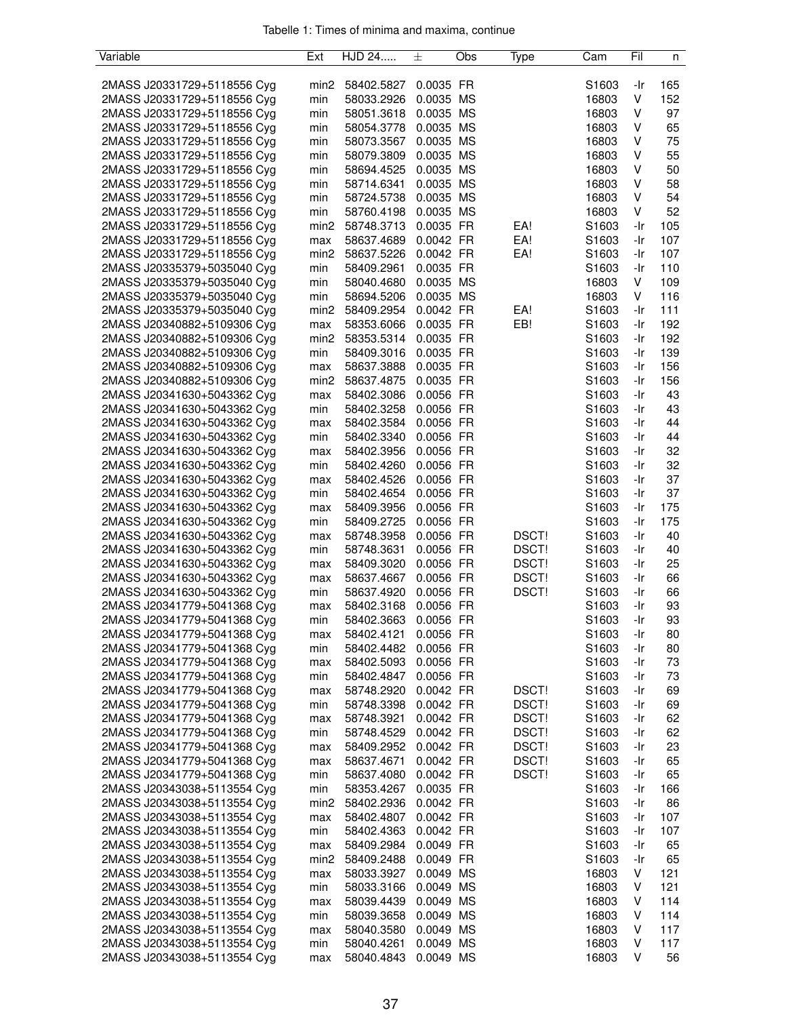| Variable                    | Ext              | HJD 24     | 土         | Obs | Type  | Cam               | Fil | n   |
|-----------------------------|------------------|------------|-----------|-----|-------|-------------------|-----|-----|
|                             |                  |            |           |     |       |                   |     |     |
| 2MASS J20331729+5118556 Cyg | min <sub>2</sub> | 58402.5827 | 0.0035 FR |     |       | S1603             | -Ir | 165 |
| 2MASS J20331729+5118556 Cyg | min              | 58033.2926 | 0.0035 MS |     |       | 16803             | V   | 152 |
| 2MASS J20331729+5118556 Cyg | min              | 58051.3618 | 0.0035 MS |     |       | 16803             | ٧   | 97  |
| 2MASS J20331729+5118556 Cyg | min              | 58054.3778 | 0.0035 MS |     |       | 16803             | ٧   | 65  |
| 2MASS J20331729+5118556 Cyg | min              | 58073.3567 | 0.0035 MS |     |       | 16803             | ٧   | 75  |
| 2MASS J20331729+5118556 Cyg | min              | 58079.3809 | 0.0035 MS |     |       | 16803             | ٧   | 55  |
| 2MASS J20331729+5118556 Cyg | min              | 58694.4525 | 0.0035 MS |     |       | 16803             | ٧   | 50  |
| 2MASS J20331729+5118556 Cyg | min              | 58714.6341 | 0.0035 MS |     |       | 16803             | ٧   | 58  |
| 2MASS J20331729+5118556 Cyg | min              | 58724.5738 | 0.0035 MS |     |       | 16803             | ٧   | 54  |
| 2MASS J20331729+5118556 Cyg | min              | 58760.4198 | 0.0035 MS |     |       | 16803             | V   | 52  |
| 2MASS J20331729+5118556 Cyg | min2             | 58748.3713 | 0.0035 FR |     | EA!   | S1603             | -Ir | 105 |
| 2MASS J20331729+5118556 Cyg | max              | 58637.4689 | 0.0042 FR |     | EA!   | S1603             | -Ir | 107 |
| 2MASS J20331729+5118556 Cyg | min <sub>2</sub> | 58637.5226 | 0.0042 FR |     | EA!   | S1603             | -Ir | 107 |
| 2MASS J20335379+5035040 Cyg | min              | 58409.2961 | 0.0035 FR |     |       | S1603             | -Ir | 110 |
| 2MASS J20335379+5035040 Cyg | min              | 58040.4680 | 0.0035 MS |     |       | 16803             | V   | 109 |
| 2MASS J20335379+5035040 Cyg | min              | 58694.5206 | 0.0035 MS |     |       | 16803             | V   | 116 |
| 2MASS J20335379+5035040 Cyg | min2             | 58409.2954 | 0.0042 FR |     | EA!   | S1603             | -Ir | 111 |
| 2MASS J20340882+5109306 Cyg | max              | 58353.6066 | 0.0035 FR |     | EB!   | S1603             | -Ir | 192 |
| 2MASS J20340882+5109306 Cyg | min <sub>2</sub> |            | 0.0035 FR |     |       |                   | -Ir | 192 |
|                             |                  | 58353.5314 | 0.0035 FR |     |       | S1603             |     |     |
| 2MASS J20340882+5109306 Cyg | min              | 58409.3016 |           |     |       | S1603             | -Ir | 139 |
| 2MASS J20340882+5109306 Cyg | max              | 58637.3888 | 0.0035 FR |     |       | S1603             | -Ir | 156 |
| 2MASS J20340882+5109306 Cyg | min <sub>2</sub> | 58637.4875 | 0.0035 FR |     |       | S1603             | -Ir | 156 |
| 2MASS J20341630+5043362 Cyg | max              | 58402.3086 | 0.0056 FR |     |       | S1603             | -Ir | 43  |
| 2MASS J20341630+5043362 Cyg | min              | 58402.3258 | 0.0056 FR |     |       | S1603             | -Ir | 43  |
| 2MASS J20341630+5043362 Cyg | max              | 58402.3584 | 0.0056 FR |     |       | S1603             | -Ir | 44  |
| 2MASS J20341630+5043362 Cyg | min              | 58402.3340 | 0.0056 FR |     |       | S1603             | -Ir | 44  |
| 2MASS J20341630+5043362 Cyg | max              | 58402.3956 | 0.0056 FR |     |       | S1603             | -Ir | 32  |
| 2MASS J20341630+5043362 Cyg | min              | 58402.4260 | 0.0056 FR |     |       | S1603             | -Ir | 32  |
| 2MASS J20341630+5043362 Cyg | max              | 58402.4526 | 0.0056 FR |     |       | S1603             | -Ir | 37  |
| 2MASS J20341630+5043362 Cyg | min              | 58402.4654 | 0.0056 FR |     |       | S1603             | -Ir | 37  |
| 2MASS J20341630+5043362 Cyg | max              | 58409.3956 | 0.0056 FR |     |       | S1603             | -Ir | 175 |
| 2MASS J20341630+5043362 Cyg | min              | 58409.2725 | 0.0056 FR |     |       | S1603             | -Ir | 175 |
| 2MASS J20341630+5043362 Cyg | max              | 58748.3958 | 0.0056 FR |     | DSCT! | S <sub>1603</sub> | -Ir | 40  |
| 2MASS J20341630+5043362 Cyg | min              | 58748.3631 | 0.0056 FR |     | DSCT! | S1603             | -Ir | 40  |
| 2MASS J20341630+5043362 Cyg | max              | 58409.3020 | 0.0056 FR |     | DSCT! | S1603             | -Ir | 25  |
| 2MASS J20341630+5043362 Cyg | max              | 58637.4667 | 0.0056 FR |     | DSCT! | S1603             | -Ir | 66  |
| 2MASS J20341630+5043362 Cyg | min              | 58637.4920 | 0.0056 FR |     | DSCT! | S1603             | -Ir | 66  |
| 2MASS J20341779+5041368 Cyg | max              | 58402.3168 | 0.0056 FR |     |       | S1603             | -Ir | 93  |
| 2MASS J20341779+5041368 Cyg | min              | 58402.3663 | 0.0056 FR |     |       | S1603             | -Ir | 93  |
| 2MASS J20341779+5041368 Cyg | max              | 58402.4121 | 0.0056 FR |     |       | S1603             | -Ir | 80  |
| 2MASS J20341779+5041368 Cyg | min              | 58402.4482 | 0.0056 FR |     |       | S1603             | -Ir | 80  |
| 2MASS J20341779+5041368 Cyg | max              | 58402.5093 | 0.0056 FR |     |       | S1603             | -Ir | 73  |
| 2MASS J20341779+5041368 Cyg | min              | 58402.4847 | 0.0056 FR |     |       | S1603             | -Ir | 73  |
| 2MASS J20341779+5041368 Cyg |                  | 58748.2920 | 0.0042 FR |     | DSCT! | S <sub>1603</sub> | -Ir | 69  |
|                             | max              |            |           |     |       |                   |     |     |
| 2MASS J20341779+5041368 Cyg | min              | 58748.3398 | 0.0042 FR |     | DSCT! | S1603             | -Ir | 69  |
| 2MASS J20341779+5041368 Cyg | max              | 58748.3921 | 0.0042 FR |     | DSCT! | S1603             | -Ir | 62  |
| 2MASS J20341779+5041368 Cyg | min              | 58748.4529 | 0.0042 FR |     | DSCT! | S1603             | -Ir | 62  |
| 2MASS J20341779+5041368 Cyg | max              | 58409.2952 | 0.0042 FR |     | DSCT! | S1603             | -Ir | 23  |
| 2MASS J20341779+5041368 Cyg | max              | 58637.4671 | 0.0042 FR |     | DSCT! | S1603             | -Ir | 65  |
| 2MASS J20341779+5041368 Cyg | min              | 58637.4080 | 0.0042 FR |     | DSCT! | S1603             | -Ir | 65  |
| 2MASS J20343038+5113554 Cyg | min              | 58353.4267 | 0.0035 FR |     |       | S1603             | -Ir | 166 |
| 2MASS J20343038+5113554 Cyg | min <sub>2</sub> | 58402.2936 | 0.0042 FR |     |       | S1603             | -Ir | 86  |
| 2MASS J20343038+5113554 Cyg | max              | 58402.4807 | 0.0042 FR |     |       | S1603             | -Ir | 107 |
| 2MASS J20343038+5113554 Cyg | min              | 58402.4363 | 0.0042 FR |     |       | S1603             | -Ir | 107 |
| 2MASS J20343038+5113554 Cyg | max              | 58409.2984 | 0.0049 FR |     |       | S1603             | -Ir | 65  |
| 2MASS J20343038+5113554 Cyg | min <sub>2</sub> | 58409.2488 | 0.0049 FR |     |       | S <sub>1603</sub> | -Ir | 65  |
| 2MASS J20343038+5113554 Cyg | max              | 58033.3927 | 0.0049 MS |     |       | 16803             | V   | 121 |
| 2MASS J20343038+5113554 Cyg | min              | 58033.3166 | 0.0049 MS |     |       | 16803             | V   | 121 |
| 2MASS J20343038+5113554 Cyg | max              | 58039.4439 | 0.0049 MS |     |       | 16803             | v   | 114 |
| 2MASS J20343038+5113554 Cyg | min              | 58039.3658 | 0.0049 MS |     |       | 16803             | V   | 114 |
| 2MASS J20343038+5113554 Cyg | max              | 58040.3580 | 0.0049 MS |     |       | 16803             | ٧   | 117 |
| 2MASS J20343038+5113554 Cyg | min              | 58040.4261 | 0.0049 MS |     |       | 16803             | V   | 117 |
| 2MASS J20343038+5113554 Cyg | max              | 58040.4843 | 0.0049 MS |     |       | 16803             | V   | 56  |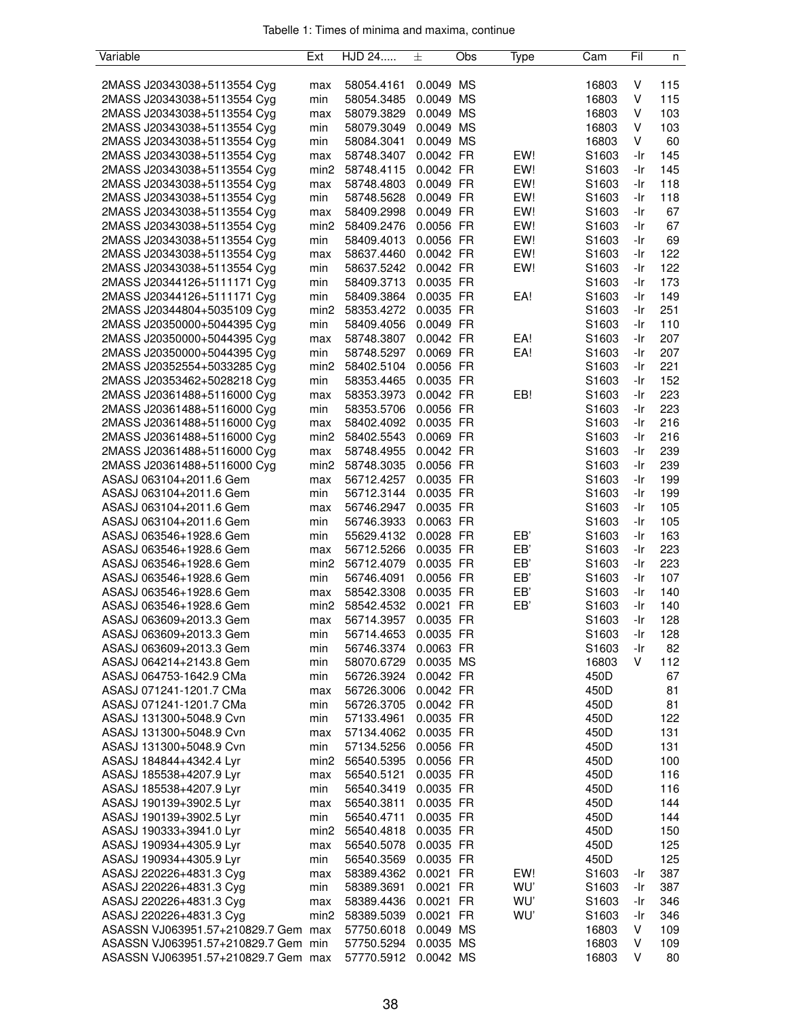| Variable                            | Ext                     | HJD 24                   | 土         | Obs       | Type | Cam               | Fil | n   |
|-------------------------------------|-------------------------|--------------------------|-----------|-----------|------|-------------------|-----|-----|
|                                     |                         |                          |           |           |      |                   |     |     |
| 2MASS J20343038+5113554 Cyg         | max                     | 58054.4161               | 0.0049 MS |           |      | 16803             | V   | 115 |
| 2MASS J20343038+5113554 Cyg         | min                     | 58054.3485               | 0.0049 MS |           |      | 16803             | V   | 115 |
| 2MASS J20343038+5113554 Cyg         | max                     | 58079.3829               | 0.0049 MS |           |      | 16803             | V   | 103 |
| 2MASS J20343038+5113554 Cyg         | min                     | 58079.3049               | 0.0049 MS |           |      | 16803             | V   | 103 |
| 2MASS J20343038+5113554 Cyg         | min                     | 58084.3041               | 0.0049 MS |           |      | 16803             | V   | 60  |
| 2MASS J20343038+5113554 Cyg         | max                     | 58748.3407               | 0.0042 FR |           | EW!  | S1603             | -Ir | 145 |
| 2MASS J20343038+5113554 Cyg         | min <sub>2</sub>        | 58748.4115               | 0.0042 FR |           | EW!  | S <sub>1603</sub> | -Ir | 145 |
| 2MASS J20343038+5113554 Cyg         | max                     | 58748.4803               | 0.0049 FR |           | EW!  | S1603             | -Ir | 118 |
| 2MASS J20343038+5113554 Cyg         | min                     | 58748.5628               | 0.0049 FR |           | EW!  | S1603             | -Ir | 118 |
| 2MASS J20343038+5113554 Cyg         | max                     | 58409.2998               | 0.0049 FR |           | EW!  | S1603             | -Ir | 67  |
| 2MASS J20343038+5113554 Cyg         | min <sub>2</sub>        | 58409.2476               | 0.0056 FR |           | EW!  | S1603             | -Ir | 67  |
| 2MASS J20343038+5113554 Cyg         | min                     | 58409.4013               | 0.0056 FR |           | EW!  | S1603             | -Ir | 69  |
| 2MASS J20343038+5113554 Cyg         | max                     | 58637.4460               | 0.0042 FR |           | EW!  | S1603             | -Ir | 122 |
| 2MASS J20343038+5113554 Cyg         | min                     | 58637.5242               | 0.0042 FR |           | EW!  | S1603             | -Ir | 122 |
| 2MASS J20344126+5111171 Cyg         | min                     | 58409.3713               | 0.0035 FR |           |      | S1603             | -Ir | 173 |
| 2MASS J20344126+5111171 Cyg         | min                     | 58409.3864               | 0.0035 FR |           | EA!  | S1603             | -Ir | 149 |
| 2MASS J20344804+5035109 Cyg         | min <sub>2</sub>        | 58353.4272               | 0.0035 FR |           |      | S <sub>1603</sub> | -Ir | 251 |
| 2MASS J20350000+5044395 Cyg         | min                     | 58409.4056               | 0.0049 FR |           |      | S1603             | -Ir | 110 |
| 2MASS J20350000+5044395 Cyg         | max                     | 58748.3807               | 0.0042 FR |           | EA!  | S1603             | -Ir | 207 |
| 2MASS J20350000+5044395 Cyg         | min                     | 58748.5297               | 0.0069 FR |           | EA!  | S1603             | -Ir | 207 |
| 2MASS J20352554+5033285 Cyg         | min <sub>2</sub>        | 58402.5104               | 0.0056 FR |           |      | S1603             | -Ir | 221 |
| 2MASS J20353462+5028218 Cyg         | min                     | 58353.4465               | 0.0035 FR |           |      | S1603             | -Ir | 152 |
| 2MASS J20361488+5116000 Cyg         | max                     | 58353.3973               | 0.0042 FR |           | EB!  | S1603             | -Ir | 223 |
| 2MASS J20361488+5116000 Cyg         | min                     | 58353.5706               | 0.0056 FR |           |      | S1603             | -Ir | 223 |
| 2MASS J20361488+5116000 Cyg         | max                     | 58402.4092               | 0.0035 FR |           |      | S1603             | -Ir | 216 |
| 2MASS J20361488+5116000 Cyg         | min <sub>2</sub>        | 58402.5543               | 0.0069 FR |           |      | S1603             | -Ir | 216 |
| 2MASS J20361488+5116000 Cyg         | max                     | 58748.4955               | 0.0042 FR |           |      | S1603             | -Ir | 239 |
| 2MASS J20361488+5116000 Cyg         | min <sub>2</sub>        | 58748.3035               | 0.0056 FR |           |      | S1603             | -Ir | 239 |
| ASASJ 063104+2011.6 Gem             | max                     | 56712.4257               | 0.0035 FR |           |      | S1603             | -Ir | 199 |
| ASASJ 063104+2011.6 Gem             | min                     | 56712.3144               | 0.0035 FR |           |      | S1603             | -Ir | 199 |
| ASASJ 063104+2011.6 Gem             | max                     | 56746.2947               | 0.0035 FR |           |      | S1603             | -Ir | 105 |
| ASASJ 063104+2011.6 Gem             | min                     | 56746.3933               | 0.0063 FR |           |      | S1603             | -Ir | 105 |
| ASASJ 063546+1928.6 Gem             | min                     | 55629.4132               | 0.0028 FR |           | EB'  | S1603             | -Ir | 163 |
| ASASJ 063546+1928.6 Gem             | max                     | 56712.5266               | 0.0035 FR |           | EB'  | S1603             | -Ir | 223 |
| ASASJ 063546+1928.6 Gem             | min <sub>2</sub>        | 56712.4079               | 0.0035 FR |           | EB'  | S1603             | -Ir | 223 |
| ASASJ 063546+1928.6 Gem             | min                     | 56746.4091               | 0.0056 FR |           | EB'  | S1603             | -Ir | 107 |
| ASASJ 063546+1928.6 Gem             |                         |                          | 0.0035 FR |           | EB'  | S1603             | -Ir | 140 |
| ASASJ 063546+1928.6 Gem             | max<br>min <sub>2</sub> | 58542.3308<br>58542.4532 | 0.0021    | <b>FR</b> | EB'  | S1603             | -Ir | 140 |
| ASASJ 063609+2013.3 Gem             |                         | 56714.3957               | 0.0035 FR |           |      | S1603             | -Ir | 128 |
| ASASJ 063609+2013.3 Gem             | max                     |                          |           |           |      |                   |     |     |
|                                     | min                     | 56714.4653               | 0.0035 FR |           |      | S1603             | -Ir | 128 |
| ASASJ 063609+2013.3 Gem             | min                     | 56746.3374               | 0.0063 FR |           |      | S1603             | -Ir | 82  |
| ASASJ 064214+2143.8 Gem             | min                     | 58070.6729               | 0.0035 MS |           |      | 16803             | V   | 112 |
| ASASJ 064753-1642.9 CMa             | min                     | 56726.3924               | 0.0042 FR |           |      | 450D              |     | 67  |
| ASASJ 071241-1201.7 CMa             | max                     | 56726.3006               | 0.0042 FR |           |      | 450D              |     | 81  |
| ASASJ 071241-1201.7 CMa             | min                     | 56726.3705               | 0.0042 FR |           |      | 450D              |     | 81  |
| ASASJ 131300+5048.9 Cvn             | min                     | 57133.4961               | 0.0035 FR |           |      | 450D              |     | 122 |
| ASASJ 131300+5048.9 Cvn             | max                     | 57134.4062               | 0.0035 FR |           |      | 450D              |     | 131 |
| ASASJ 131300+5048.9 Cvn             | min                     | 57134.5256               | 0.0056 FR |           |      | 450D              |     | 131 |
| ASASJ 184844+4342.4 Lyr             | min <sub>2</sub>        | 56540.5395               | 0.0056 FR |           |      | 450D              |     | 100 |
| ASASJ 185538+4207.9 Lyr             | max                     | 56540.5121               | 0.0035 FR |           |      | 450D              |     | 116 |
| ASASJ 185538+4207.9 Lyr             | min                     | 56540.3419               | 0.0035 FR |           |      | 450D              |     | 116 |
| ASASJ 190139+3902.5 Lyr             | max                     | 56540.3811               | 0.0035 FR |           |      | 450D              |     | 144 |
| ASASJ 190139+3902.5 Lyr             | min                     | 56540.4711               | 0.0035 FR |           |      | 450D              |     | 144 |
| ASASJ 190333+3941.0 Lyr             | min <sub>2</sub>        | 56540.4818               | 0.0035 FR |           |      | 450D              |     | 150 |
| ASASJ 190934+4305.9 Lyr             | max                     | 56540.5078               | 0.0035 FR |           |      | 450D              |     | 125 |
| ASASJ 190934+4305.9 Lyr             | min                     | 56540.3569               | 0.0035 FR |           |      | 450D              |     | 125 |
| ASASJ 220226+4831.3 Cyg             | max                     | 58389.4362               | 0.0021 FR |           | EW!  | S1603             | -Ir | 387 |
| ASASJ 220226+4831.3 Cyg             | min                     | 58389.3691               | 0.0021 FR |           | WU'  | S1603             | -Ir | 387 |
| ASASJ 220226+4831.3 Cyg             | max                     | 58389.4436               | 0.0021 FR |           | WU'  | S1603             | -Ir | 346 |
| ASASJ 220226+4831.3 Cyg             | min <sub>2</sub>        | 58389.5039               | 0.0021 FR |           | WU'  | S1603             | -Ir | 346 |
| ASASSN VJ063951.57+210829.7 Gem max |                         | 57750.6018               | 0.0049 MS |           |      | 16803             | V   | 109 |
| ASASSN VJ063951.57+210829.7 Gem min |                         | 57750.5294               | 0.0035 MS |           |      | 16803             | V   | 109 |
| ASASSN VJ063951.57+210829.7 Gem max |                         | 57770.5912               | 0.0042 MS |           |      | 16803             | V   | 80  |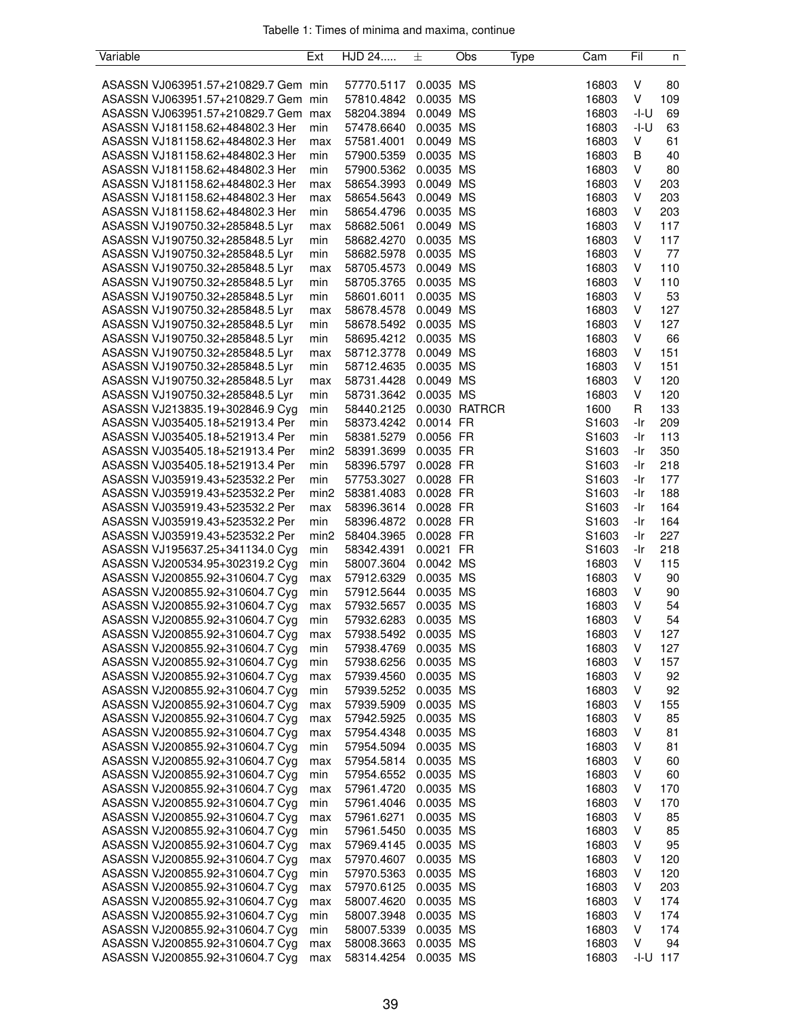| Tabelle 1: Times of minima and maxima, continue |  |  |  |
|-------------------------------------------------|--|--|--|
|                                                 |  |  |  |

| Variable                            | Ext              | HJD 24               | 土         | Obs           | Type | Cam               | Fil          | n   |
|-------------------------------------|------------------|----------------------|-----------|---------------|------|-------------------|--------------|-----|
|                                     |                  |                      |           |               |      |                   |              |     |
| ASASSN VJ063951.57+210829.7 Gem min |                  | 57770.5117           | 0.0035 MS |               |      | 16803             | V            | 80  |
| ASASSN VJ063951.57+210829.7 Gem min |                  | 57810.4842           | 0.0035 MS |               |      | 16803             | V            | 109 |
| ASASSN VJ063951.57+210829.7 Gem     | max              | 58204.3894           | 0.0049 MS |               |      | 16803             | $-I-U$       | 69  |
| ASASSN VJ181158.62+484802.3 Her     | min              | 57478.6640           | 0.0035 MS |               |      | 16803             | -I-U         | 63  |
| ASASSN VJ181158.62+484802.3 Her     | max              | 57581.4001           | 0.0049 MS |               |      | 16803             | V            | 61  |
| ASASSN VJ181158.62+484802.3 Her     | min              | 57900.5359           | 0.0035 MS |               |      | 16803             | В            | 40  |
| ASASSN VJ181158.62+484802.3 Her     | min              | 57900.5362           | 0.0035 MS |               |      | 16803             | V            | 80  |
| ASASSN VJ181158.62+484802.3 Her     | max              | 58654.3993           | 0.0049 MS |               |      | 16803             | V            | 203 |
| ASASSN VJ181158.62+484802.3 Her     | max              | 58654.5643           | 0.0049 MS |               |      | 16803             | V            | 203 |
| ASASSN VJ181158.62+484802.3 Her     | min              | 58654.4796           | 0.0035 MS |               |      | 16803             | V            | 203 |
| ASASSN VJ190750.32+285848.5 Lyr     | max              | 58682.5061           | 0.0049 MS |               |      | 16803             | V            | 117 |
| ASASSN VJ190750.32+285848.5 Lyr     |                  |                      | 0.0035 MS |               |      |                   | V            | 117 |
|                                     | min              | 58682.4270           |           |               |      | 16803             | V            | 77  |
| ASASSN VJ190750.32+285848.5 Lyr     | min              | 58682.5978           | 0.0035 MS |               |      | 16803             |              |     |
| ASASSN VJ190750.32+285848.5 Lyr     | max              | 58705.4573           | 0.0049 MS |               |      | 16803             | V            | 110 |
| ASASSN VJ190750.32+285848.5 Lyr     | min              | 58705.3765           | 0.0035 MS |               |      | 16803             | V            | 110 |
| ASASSN VJ190750.32+285848.5 Lyr     | min              | 58601.6011           | 0.0035 MS |               |      | 16803             | V            | 53  |
| ASASSN VJ190750.32+285848.5 Lyr     | max              | 58678.4578           | 0.0049 MS |               |      | 16803             | V            | 127 |
| ASASSN VJ190750.32+285848.5 Lyr     | min              | 58678.5492           | 0.0035 MS |               |      | 16803             | V            | 127 |
| ASASSN VJ190750.32+285848.5 Lyr     | min              | 58695.4212           | 0.0035 MS |               |      | 16803             | V            | 66  |
| ASASSN VJ190750.32+285848.5 Lyr     | max              | 58712.3778           | 0.0049 MS |               |      | 16803             | V            | 151 |
| ASASSN VJ190750.32+285848.5 Lyr     | min              | 58712.4635           | 0.0035 MS |               |      | 16803             | V            | 151 |
| ASASSN VJ190750.32+285848.5 Lyr     | max              | 58731.4428           | 0.0049 MS |               |      | 16803             | V            | 120 |
| ASASSN VJ190750.32+285848.5 Lyr     | min              | 58731.3642           | 0.0035 MS |               |      | 16803             | V            | 120 |
| ASASSN VJ213835.19+302846.9 Cyg     | min              | 58440.2125           |           | 0.0030 RATRCR |      | 1600              | R            | 133 |
| ASASSN VJ035405.18+521913.4 Per     | min              | 58373.4242 0.0014 FR |           |               |      | S1603             | -Ir          | 209 |
| ASASSN VJ035405.18+521913.4 Per     | min              | 58381.5279           | 0.0056 FR |               |      | S <sub>1603</sub> | -Ir          | 113 |
| ASASSN VJ035405.18+521913.4 Per     | min <sub>2</sub> | 58391.3699 0.0035 FR |           |               |      | S <sub>1603</sub> | -Ir          | 350 |
| ASASSN VJ035405.18+521913.4 Per     | min              | 58396.5797           | 0.0028 FR |               |      | S1603             | -Ir          | 218 |
| ASASSN VJ035919.43+523532.2 Per     | min              | 57753.3027           | 0.0028 FR |               |      | S <sub>1603</sub> | -Ir          | 177 |
| ASASSN VJ035919.43+523532.2 Per     | min <sub>2</sub> | 58381.4083           | 0.0028 FR |               |      | S1603             | -Ir          | 188 |
| ASASSN VJ035919.43+523532.2 Per     | max              | 58396.3614           | 0.0028 FR |               |      | S <sub>1603</sub> | -Ir          | 164 |
| ASASSN VJ035919.43+523532.2 Per     | min              | 58396.4872           | 0.0028 FR |               |      | S1603             | -Ir          | 164 |
| ASASSN VJ035919.43+523532.2 Per     | min <sub>2</sub> | 58404.3965           | 0.0028 FR |               |      | S <sub>1603</sub> | -Ir          | 227 |
| ASASSN VJ195637.25+341134.0 Cyg     |                  |                      | 0.0021 FR |               |      | S1603             | -Ir          | 218 |
|                                     | min              | 58342.4391           | 0.0042 MS |               |      |                   | V            |     |
| ASASSN VJ200534.95+302319.2 Cyg     | min              | 58007.3604           |           |               |      | 16803             |              | 115 |
| ASASSN VJ200855.92+310604.7 Cyg     | max              | 57912.6329           | 0.0035 MS |               |      | 16803             | V            | 90  |
| ASASSN VJ200855.92+310604.7 Cyg     | min              | 57912.5644 0.0035 MS |           |               |      | 16803             | V            | 90  |
| ASASSN VJ200855.92+310604.7 Cyg     | max              | 57932.5657           | 0.0035 MS |               |      | 16803             | V            | 54  |
| ASASSN VJ200855.92+310604.7 Cyg     | min              | 57932.6283           | 0.0035 MS |               |      | 16803             | V            | 54  |
| ASASSN VJ200855.92+310604.7 Cyg     | max              | 57938.5492           | 0.0035 MS |               |      | 16803             | V            | 127 |
| ASASSN VJ200855.92+310604.7 Cyg     | min              | 57938.4769           | 0.0035 MS |               |      | 16803             | V            | 127 |
| ASASSN VJ200855.92+310604.7 Cyg     | min              | 57938.6256           | 0.0035 MS |               |      | 16803             | V            | 157 |
| ASASSN VJ200855.92+310604.7 Cyg     | max              | 57939.4560           | 0.0035 MS |               |      | 16803             | V            | 92  |
| ASASSN VJ200855.92+310604.7 Cyg     | min              | 57939.5252           | 0.0035 MS |               |      | 16803             | V            | 92  |
| ASASSN VJ200855.92+310604.7 Cyg     | max              | 57939.5909           | 0.0035 MS |               |      | 16803             | V            | 155 |
| ASASSN VJ200855.92+310604.7 Cyg     | max              | 57942.5925           | 0.0035 MS |               |      | 16803             | V            | 85  |
| ASASSN VJ200855.92+310604.7 Cyg     | max              | 57954.4348           | 0.0035 MS |               |      | 16803             | V            | 81  |
| ASASSN VJ200855.92+310604.7 Cyg     | min              | 57954.5094           | 0.0035 MS |               |      | 16803             | V            | 81  |
| ASASSN VJ200855.92+310604.7 Cyg     | max              | 57954.5814           | 0.0035 MS |               |      | 16803             | V            | 60  |
| ASASSN VJ200855.92+310604.7 Cyg     | min              | 57954.6552           | 0.0035 MS |               |      | 16803             | V            | 60  |
| ASASSN VJ200855.92+310604.7 Cyg     | max              | 57961.4720           | 0.0035 MS |               |      | 16803             | V            | 170 |
| ASASSN VJ200855.92+310604.7 Cyg     | min              | 57961.4046           | 0.0035 MS |               |      | 16803             | V            | 170 |
| ASASSN VJ200855.92+310604.7 Cyg     | max              | 57961.6271           | 0.0035 MS |               |      | 16803             | V            | 85  |
| ASASSN VJ200855.92+310604.7 Cyg     | min              | 57961.5450           | 0.0035 MS |               |      | 16803             | V            | 85  |
| ASASSN VJ200855.92+310604.7 Cyg     |                  | 57969.4145           | 0.0035 MS |               |      | 16803             | V            | 95  |
|                                     | max              |                      |           |               |      |                   |              |     |
| ASASSN VJ200855.92+310604.7 Cyg     | max              | 57970.4607           | 0.0035 MS |               |      | 16803             | V            | 120 |
| ASASSN VJ200855.92+310604.7 Cyg     | min              | 57970.5363           | 0.0035 MS |               |      | 16803             | V            | 120 |
| ASASSN VJ200855.92+310604.7 Cyg     | max              | 57970.6125           | 0.0035 MS |               |      | 16803             | V            | 203 |
| ASASSN VJ200855.92+310604.7 Cyg     | max              | 58007.4620           | 0.0035 MS |               |      | 16803             | V            | 174 |
| ASASSN VJ200855.92+310604.7 Cyg     | min              | 58007.3948           | 0.0035 MS |               |      | 16803             | V            | 174 |
| ASASSN VJ200855.92+310604.7 Cyg     | min              | 58007.5339           | 0.0035 MS |               |      | 16803             | V            | 174 |
| ASASSN VJ200855.92+310604.7 Cyg     | max              | 58008.3663           | 0.0035 MS |               |      | 16803             | V            | 94  |
| ASASSN VJ200855.92+310604.7 Cyg     | max              | 58314.4254           | 0.0035 MS |               |      | 16803             | $-1 - U$ 117 |     |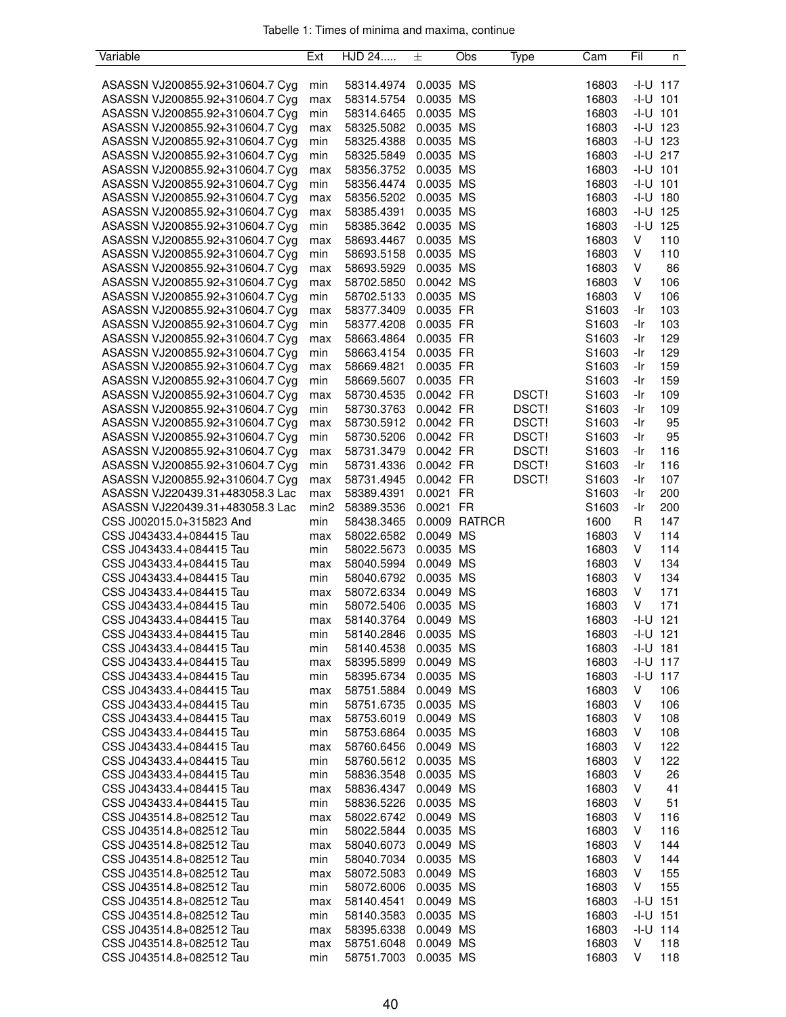|  |  |  | Tabelle 1: Times of minima and maxima, continue |  |
|--|--|--|-------------------------------------------------|--|
|  |  |  |                                                 |  |

| Variable                                             | Ext              | HJD 24     | 土         | Obs           | Type  | Cam   | Fil          | n            |
|------------------------------------------------------|------------------|------------|-----------|---------------|-------|-------|--------------|--------------|
|                                                      |                  |            |           |               |       |       |              |              |
| ASASSN VJ200855.92+310604.7 Cyg                      | min              | 58314.4974 | 0.0035 MS |               |       | 16803 | $-1 - U$ 117 |              |
| ASASSN VJ200855.92+310604.7 Cyg                      | max              | 58314.5754 | 0.0035 MS |               |       | 16803 | $-I-U$ 101   |              |
| ASASSN VJ200855.92+310604.7 Cyg                      | min              | 58314.6465 | 0.0035 MS |               |       | 16803 | $-1 - U$ 101 |              |
| ASASSN VJ200855.92+310604.7 Cyg                      | max              | 58325.5082 | 0.0035 MS |               |       | 16803 | $-1 - U$ 123 |              |
| ASASSN VJ200855.92+310604.7 Cyg                      | min              | 58325.4388 | 0.0035 MS |               |       | 16803 | $-I-U$ 123   |              |
| ASASSN VJ200855.92+310604.7 Cyg                      | min              | 58325.5849 | 0.0035 MS |               |       | 16803 | $-1 - U$ 217 |              |
| ASASSN VJ200855.92+310604.7 Cyg                      | max              | 58356.3752 | 0.0035 MS |               |       | 16803 | $-1 - U$ 101 |              |
| ASASSN VJ200855.92+310604.7 Cyg                      | min              | 58356.4474 | 0.0035 MS |               |       | 16803 | $-1 - U$ 101 |              |
| ASASSN VJ200855.92+310604.7 Cyg                      | max              | 58356.5202 | 0.0035 MS |               |       | 16803 | $-I-U$ 180   |              |
| ASASSN VJ200855.92+310604.7 Cyg                      | max              | 58385.4391 | 0.0035 MS |               |       | 16803 | $-1 - U$ 125 |              |
| ASASSN VJ200855.92+310604.7 Cyg                      | min              | 58385.3642 | 0.0035 MS |               |       | 16803 |              | $-1 - U$ 125 |
| ASASSN VJ200855.92+310604.7 Cyg                      | max              | 58693.4467 | 0.0035 MS |               |       | 16803 | V            | 110          |
| ASASSN VJ200855.92+310604.7 Cyg                      | min              | 58693.5158 | 0.0035 MS |               |       | 16803 | V            | 110          |
| ASASSN VJ200855.92+310604.7 Cyg                      | max              | 58693.5929 | 0.0035 MS |               |       | 16803 | V            | 86           |
| ASASSN VJ200855.92+310604.7 Cyg                      | max              | 58702.5850 | 0.0042 MS |               |       | 16803 | V            | 106          |
| ASASSN VJ200855.92+310604.7 Cyg                      | min              | 58702.5133 | 0.0035 MS |               |       | 16803 | V            | 106          |
|                                                      |                  |            |           |               |       | S1603 |              |              |
| ASASSN VJ200855.92+310604.7 Cyg                      | max              | 58377.3409 | 0.0035 FR |               |       |       | -Ir          | 103          |
| ASASSN VJ200855.92+310604.7 Cyg                      | min              | 58377.4208 | 0.0035 FR |               |       | S1603 | -Ir          | 103          |
| ASASSN VJ200855.92+310604.7 Cyg                      | max              | 58663.4864 | 0.0035 FR |               |       | S1603 | -Ir          | 129          |
| ASASSN VJ200855.92+310604.7 Cyg                      | min              | 58663.4154 | 0.0035 FR |               |       | S1603 | -Ir          | 129          |
| ASASSN VJ200855.92+310604.7 Cyg                      | max              | 58669.4821 | 0.0035 FR |               |       | S1603 | -Ir          | 159          |
| ASASSN VJ200855.92+310604.7 Cyg                      | min              | 58669.5607 | 0.0035 FR |               |       | S1603 | -Ir          | 159          |
| ASASSN VJ200855.92+310604.7 Cyg                      | max              | 58730.4535 | 0.0042 FR |               | DSCT! | S1603 | -Ir          | 109          |
| ASASSN VJ200855.92+310604.7 Cyg                      | min              | 58730.3763 | 0.0042 FR |               | DSCT! | S1603 | -Ir          | 109          |
| ASASSN VJ200855.92+310604.7 Cyg                      | max              | 58730.5912 | 0.0042 FR |               | DSCT! | S1603 | -Ir          | 95           |
| ASASSN VJ200855.92+310604.7 Cyg                      | min              | 58730.5206 | 0.0042 FR |               | DSCT! | S1603 | -Ir          | 95           |
| ASASSN VJ200855.92+310604.7 Cyg                      | max              | 58731.3479 | 0.0042 FR |               | DSCT! | S1603 | -Ir          | 116          |
| ASASSN VJ200855.92+310604.7 Cyg                      | min              | 58731.4336 | 0.0042 FR |               | DSCT! | S1603 | -Ir          | 116          |
| ASASSN VJ200855.92+310604.7 Cyg                      | max              | 58731.4945 | 0.0042 FR |               | DSCT! | S1603 | -Ir          | 107          |
| ASASSN VJ220439.31+483058.3 Lac                      | max              | 58389.4391 | 0.0021 FR |               |       | S1603 | -Ir          | 200          |
| ASASSN VJ220439.31+483058.3 Lac                      | min <sub>2</sub> | 58389.3536 | 0.0021 FR |               |       | S1603 | -Ir          | 200          |
| CSS J002015.0+315823 And                             | min              | 58438.3465 |           | 0.0009 RATRCR |       | 1600  | R            | 147          |
| CSS J043433.4+084415 Tau                             | max              | 58022.6582 | 0.0049 MS |               |       | 16803 | V            | 114          |
| CSS J043433.4+084415 Tau                             | min              | 58022.5673 | 0.0035 MS |               |       | 16803 | V            | 114          |
| CSS J043433.4+084415 Tau                             | max              | 58040.5994 | 0.0049 MS |               |       | 16803 | V            | 134          |
| CSS J043433.4+084415 Tau                             | min              | 58040.6792 | 0.0035 MS |               |       | 16803 | V            | 134          |
| CSS J043433.4+084415 Tau                             | max              | 58072.6334 | 0.0049 MS |               |       | 16803 | V            | 171          |
| CSS J043433.4+084415 Tau                             | min              | 58072.5406 | 0.0035 MS |               |       | 16803 | V            | 171          |
| CSS J043433.4+084415 Tau                             | max              | 58140.3764 | 0.0049 MS |               |       | 16803 | $-1 - U$ 121 |              |
| CSS J043433.4+084415 Tau                             | min              | 58140.2846 | 0.0035 MS |               |       | 16803 | $-1 - U$ 121 |              |
| CSS J043433.4+084415 Tau                             | min              | 58140.4538 | 0.0035 MS |               |       | 16803 | $-1 - U$ 181 |              |
| CSS J043433.4+084415 Tau                             | max              | 58395.5899 | 0.0049 MS |               |       | 16803 |              | $-1 - U$ 117 |
| CSS J043433.4+084415 Tau                             | min              | 58395.6734 | 0.0035 MS |               |       | 16803 |              | $-1 - U$ 117 |
| CSS J043433.4+084415 Tau                             | max              | 58751.5884 | 0.0049 MS |               |       | 16803 | V            | 106          |
| CSS J043433.4+084415 Tau                             | min              | 58751.6735 | 0.0035 MS |               |       | 16803 | V            | 106          |
| CSS J043433.4+084415 Tau                             | max              | 58753.6019 | 0.0049 MS |               |       | 16803 | V            | 108          |
| CSS J043433.4+084415 Tau                             | min              | 58753.6864 | 0.0035 MS |               |       | 16803 | V            | 108          |
| CSS J043433.4+084415 Tau                             | max              | 58760.6456 | 0.0049 MS |               |       | 16803 | V            | 122          |
| CSS J043433.4+084415 Tau                             | min              | 58760.5612 | 0.0035 MS |               |       | 16803 | V            | 122          |
|                                                      |                  |            |           |               |       |       |              |              |
| CSS J043433.4+084415 Tau<br>CSS J043433.4+084415 Tau | min              | 58836.3548 | 0.0035 MS |               |       | 16803 | V            | 26           |
|                                                      | max              | 58836.4347 | 0.0049 MS |               |       | 16803 | V            | 41           |
| CSS J043433.4+084415 Tau                             | min              | 58836.5226 | 0.0035 MS |               |       | 16803 | V            | 51           |
| CSS J043514.8+082512 Tau                             | max              | 58022.6742 | 0.0049 MS |               |       | 16803 | V            | 116          |
| CSS J043514.8+082512 Tau                             | min              | 58022.5844 | 0.0035 MS |               |       | 16803 | V            | 116          |
| CSS J043514.8+082512 Tau                             | max              | 58040.6073 | 0.0049 MS |               |       | 16803 | V            | 144          |
| CSS J043514.8+082512 Tau                             | min              | 58040.7034 | 0.0035 MS |               |       | 16803 | V            | 144          |
| CSS J043514.8+082512 Tau                             | max              | 58072.5083 | 0.0049 MS |               |       | 16803 | V            | 155          |
| CSS J043514.8+082512 Tau                             | min              | 58072.6006 | 0.0035 MS |               |       | 16803 | V            | 155          |
| CSS J043514.8+082512 Tau                             | max              | 58140.4541 | 0.0049 MS |               |       | 16803 | $-1 - U$ 151 |              |
| CSS J043514.8+082512 Tau                             | min              | 58140.3583 | 0.0035 MS |               |       | 16803 | $-1 - U$ 151 |              |
| CSS J043514.8+082512 Tau                             | max              | 58395.6338 | 0.0049 MS |               |       | 16803 |              | $-1 - U$ 114 |
| CSS J043514.8+082512 Tau                             | max              | 58751.6048 | 0.0049 MS |               |       | 16803 | V            | 118          |
| CSS J043514.8+082512 Tau                             | min              | 58751.7003 | 0.0035 MS |               |       | 16803 | V            | 118          |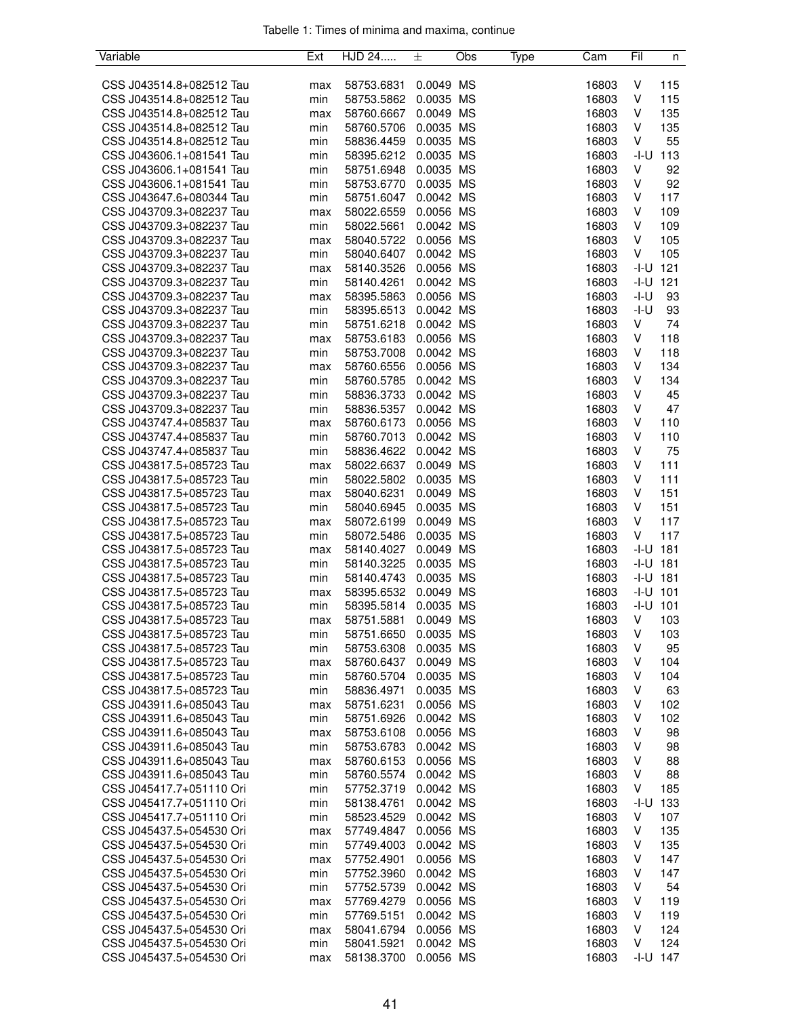| Tabelle 1: Times of minima and maxima, continue |  |  |  |
|-------------------------------------------------|--|--|--|
|                                                 |  |  |  |

| Variable                 | Ext | HJD 24                   | 土         | Obs | Type | Cam   | Fil          | n          |
|--------------------------|-----|--------------------------|-----------|-----|------|-------|--------------|------------|
|                          |     |                          |           |     |      |       |              |            |
| CSS J043514.8+082512 Tau | max | 58753.6831               | 0.0049 MS |     |      | 16803 | V            | 115        |
| CSS J043514.8+082512 Tau | min | 58753.5862               | 0.0035 MS |     |      | 16803 | V            | 115        |
| CSS J043514.8+082512 Tau | max | 58760.6667               | 0.0049 MS |     |      | 16803 | V            | 135        |
| CSS J043514.8+082512 Tau | min | 58760.5706               | 0.0035 MS |     |      | 16803 | V            | 135        |
| CSS J043514.8+082512 Tau | min | 58836.4459               | 0.0035 MS |     |      | 16803 | V            | 55         |
| CSS J043606.1+081541 Tau | min | 58395.6212               | 0.0035 MS |     |      | 16803 | -I-U         | 113        |
| CSS J043606.1+081541 Tau | min | 58751.6948               | 0.0035 MS |     |      | 16803 | V            | 92         |
| CSS J043606.1+081541 Tau | min | 58753.6770               | 0.0035 MS |     |      | 16803 | V            | 92         |
| CSS J043647.6+080344 Tau | min | 58751.6047               | 0.0042 MS |     |      | 16803 | V            | 117        |
| CSS J043709.3+082237 Tau | max | 58022.6559               | 0.0056 MS |     |      | 16803 | V            | 109        |
| CSS J043709.3+082237 Tau | min | 58022.5661               | 0.0042 MS |     |      | 16803 | V            | 109        |
| CSS J043709.3+082237 Tau | max | 58040.5722               | 0.0056 MS |     |      | 16803 | V            | 105        |
| CSS J043709.3+082237 Tau | min | 58040.6407               | 0.0042 MS |     |      | 16803 | V            | 105        |
| CSS J043709.3+082237 Tau | max | 58140.3526               | 0.0056 MS |     |      | 16803 | $-1 - U$ 121 |            |
| CSS J043709.3+082237 Tau | min | 58140.4261               | 0.0042 MS |     |      | 16803 | $-1 - U$ 121 |            |
| CSS J043709.3+082237 Tau | max | 58395.5863               | 0.0056 MS |     |      | 16803 | -I-U         | 93         |
| CSS J043709.3+082237 Tau | min | 58395.6513               | 0.0042 MS |     |      | 16803 | -I-U         | 93         |
| CSS J043709.3+082237 Tau | min | 58751.6218               | 0.0042 MS |     |      | 16803 | V            | 74         |
| CSS J043709.3+082237 Tau | max | 58753.6183               | 0.0056 MS |     |      | 16803 | V            | 118        |
| CSS J043709.3+082237 Tau | min | 58753.7008               | 0.0042 MS |     |      | 16803 | V            | 118        |
| CSS J043709.3+082237 Tau | max | 58760.6556               | 0.0056 MS |     |      | 16803 | V            | 134        |
| CSS J043709.3+082237 Tau | min | 58760.5785               | 0.0042 MS |     |      | 16803 | V            | 134        |
| CSS J043709.3+082237 Tau | min | 58836.3733               | 0.0042 MS |     |      | 16803 | V            | 45         |
| CSS J043709.3+082237 Tau | min | 58836.5357               | 0.0042 MS |     |      | 16803 | V            | 47         |
| CSS J043747.4+085837 Tau | max | 58760.6173               | 0.0056 MS |     |      | 16803 | V            | 110        |
| CSS J043747.4+085837 Tau | min | 58760.7013               | 0.0042 MS |     |      | 16803 | V            | 110        |
| CSS J043747.4+085837 Tau | min | 58836.4622               | 0.0042 MS |     |      | 16803 | V            | 75         |
| CSS J043817.5+085723 Tau | max | 58022.6637               | 0.0049 MS |     |      | 16803 | V            | 111        |
| CSS J043817.5+085723 Tau | min | 58022.5802               | 0.0035 MS |     |      | 16803 | V            | 111        |
| CSS J043817.5+085723 Tau | max | 58040.6231               | 0.0049 MS |     |      | 16803 | V            | 151        |
| CSS J043817.5+085723 Tau | min | 58040.6945               | 0.0035 MS |     |      | 16803 | V            | 151        |
| CSS J043817.5+085723 Tau | max | 58072.6199               | 0.0049 MS |     |      | 16803 | V            | 117        |
| CSS J043817.5+085723 Tau | min | 58072.5486               | 0.0035 MS |     |      | 16803 | V            | 117        |
| CSS J043817.5+085723 Tau | max | 58140.4027               | 0.0049 MS |     |      | 16803 | $-I-U$ 181   |            |
| CSS J043817.5+085723 Tau | min | 58140.3225               | 0.0035 MS |     |      | 16803 | $-I-U$ 181   |            |
| CSS J043817.5+085723 Tau | min | 58140.4743               | 0.0035 MS |     |      | 16803 | $-I-U$ 181   |            |
| CSS J043817.5+085723 Tau |     |                          | 0.0049 MS |     |      | 16803 | $-1 - U$ 101 |            |
| CSS J043817.5+085723 Tau | max | 58395.6532<br>58395.5814 | 0.0035 MS |     |      | 16803 | $-1 - U$ 101 |            |
| CSS J043817.5+085723 Tau | min | 58751.5881               | 0.0049 MS |     |      | 16803 | V            | 103        |
| CSS J043817.5+085723 Tau | max | 58751.6650               |           |     |      |       | V            |            |
|                          | min |                          | 0.0035 MS |     |      | 16803 |              | 103        |
| CSS J043817.5+085723 Tau | min | 58753.6308               | 0.0035 MS |     |      | 16803 | V            | 95         |
| CSS J043817.5+085723 Tau | max | 58760.6437               | 0.0049 MS |     |      | 16803 | V            | 104        |
| CSS J043817.5+085723 Tau | min | 58760.5704               | 0.0035 MS |     |      | 16803 | V<br>V       | 104        |
| CSS J043817.5+085723 Tau | min | 58836.4971               | 0.0035 MS |     |      | 16803 |              | 63         |
| CSS J043911.6+085043 Tau | max | 58751.6231               | 0.0056 MS |     |      | 16803 | V            | 102        |
| CSS J043911.6+085043 Tau | min | 58751.6926               | 0.0042 MS |     |      | 16803 | V            | 102        |
| CSS J043911.6+085043 Tau | max | 58753.6108               | 0.0056 MS |     |      | 16803 | V            | 98         |
| CSS J043911.6+085043 Tau | min | 58753.6783               | 0.0042 MS |     |      | 16803 | V            | 98         |
| CSS J043911.6+085043 Tau | max | 58760.6153               | 0.0056 MS |     |      | 16803 | V            | 88         |
| CSS J043911.6+085043 Tau | min | 58760.5574               | 0.0042 MS |     |      | 16803 | V            | 88         |
| CSS J045417.7+051110 Ori | min | 57752.3719               | 0.0042 MS |     |      | 16803 | V            | 185        |
| CSS J045417.7+051110 Ori | min | 58138.4761               | 0.0042 MS |     |      | 16803 | -I-U         | 133        |
| CSS J045417.7+051110 Ori | min | 58523.4529               | 0.0042 MS |     |      | 16803 | V            | 107        |
| CSS J045437.5+054530 Ori | max | 57749.4847               | 0.0056 MS |     |      | 16803 | V            | 135        |
| CSS J045437.5+054530 Ori | min | 57749.4003               | 0.0042 MS |     |      | 16803 | V            | 135        |
| CSS J045437.5+054530 Ori | max | 57752.4901               | 0.0056 MS |     |      | 16803 | V            | 147        |
| CSS J045437.5+054530 Ori | min | 57752.3960               | 0.0042 MS |     |      | 16803 | V            | 147        |
| CSS J045437.5+054530 Ori | min | 57752.5739               | 0.0042 MS |     |      | 16803 | V            | 54         |
| CSS J045437.5+054530 Ori | max | 57769.4279               | 0.0056 MS |     |      | 16803 | V            | 119        |
| CSS J045437.5+054530 Ori | min | 57769.5151               | 0.0042 MS |     |      | 16803 | V            | 119        |
| CSS J045437.5+054530 Ori | max | 58041.6794               | 0.0056 MS |     |      | 16803 | V            | 124        |
| CSS J045437.5+054530 Ori | min | 58041.5921               | 0.0042 MS |     |      | 16803 | V            | 124        |
| CSS J045437.5+054530 Ori | max | 58138.3700               | 0.0056 MS |     |      | 16803 |              | $-I-U$ 147 |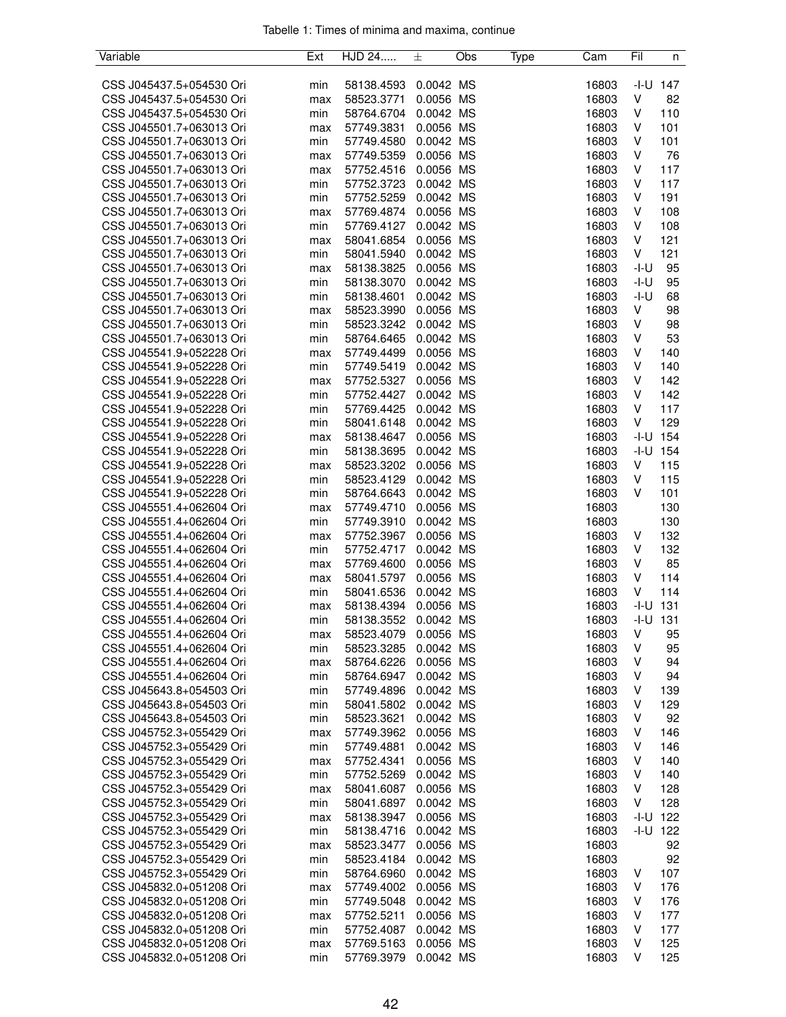| Variable                 | Ext | HJD 24     | 士         | Obs | Type | Cam   | Fil          | n            |
|--------------------------|-----|------------|-----------|-----|------|-------|--------------|--------------|
|                          |     |            |           |     |      |       |              |              |
| CSS J045437.5+054530 Ori | min | 58138.4593 | 0.0042 MS |     |      | 16803 |              | $-1 - U$ 147 |
| CSS J045437.5+054530 Ori | max | 58523.3771 | 0.0056 MS |     |      | 16803 | V            | 82           |
| CSS J045437.5+054530 Ori | min | 58764.6704 | 0.0042 MS |     |      | 16803 | V            | 110          |
| CSS J045501.7+063013 Ori | max | 57749.3831 | 0.0056 MS |     |      | 16803 | V            | 101          |
| CSS J045501.7+063013 Ori | min | 57749.4580 | 0.0042 MS |     |      | 16803 | V            | 101          |
| CSS J045501.7+063013 Ori | max | 57749.5359 | 0.0056 MS |     |      | 16803 | V            | 76           |
| CSS J045501.7+063013 Ori | max | 57752.4516 | 0.0056 MS |     |      | 16803 | V            | 117          |
| CSS J045501.7+063013 Ori | min | 57752.3723 | 0.0042 MS |     |      | 16803 | V            | 117          |
| CSS J045501.7+063013 Ori | min | 57752.5259 | 0.0042 MS |     |      | 16803 | V            | 191          |
| CSS J045501.7+063013 Ori | max | 57769.4874 | 0.0056 MS |     |      | 16803 | V            | 108          |
| CSS J045501.7+063013 Ori | min | 57769.4127 | 0.0042 MS |     |      | 16803 | V            | 108          |
| CSS J045501.7+063013 Ori |     |            | 0.0056 MS |     |      | 16803 | V            | 121          |
|                          | max | 58041.6854 |           |     |      |       |              |              |
| CSS J045501.7+063013 Ori | min | 58041.5940 | 0.0042 MS |     |      | 16803 | V            | 121          |
| CSS J045501.7+063013 Ori | max | 58138.3825 | 0.0056 MS |     |      | 16803 | $-I-U$       | 95           |
| CSS J045501.7+063013 Ori | min | 58138.3070 | 0.0042 MS |     |      | 16803 | -I-U         | 95           |
| CSS J045501.7+063013 Ori | min | 58138.4601 | 0.0042 MS |     |      | 16803 | -I-U         | 68           |
| CSS J045501.7+063013 Ori | max | 58523.3990 | 0.0056 MS |     |      | 16803 | V            | 98           |
| CSS J045501.7+063013 Ori | min | 58523.3242 | 0.0042 MS |     |      | 16803 | V            | 98           |
| CSS J045501.7+063013 Ori | min | 58764.6465 | 0.0042 MS |     |      | 16803 | V            | 53           |
| CSS J045541.9+052228 Ori | max | 57749.4499 | 0.0056 MS |     |      | 16803 | V            | 140          |
| CSS J045541.9+052228 Ori | min | 57749.5419 | 0.0042 MS |     |      | 16803 | V            | 140          |
| CSS J045541.9+052228 Ori | max | 57752.5327 | 0.0056 MS |     |      | 16803 | V            | 142          |
| CSS J045541.9+052228 Ori | min | 57752.4427 | 0.0042 MS |     |      | 16803 | V            | 142          |
| CSS J045541.9+052228 Ori | min | 57769.4425 | 0.0042 MS |     |      | 16803 | V            | 117          |
| CSS J045541.9+052228 Ori | min | 58041.6148 | 0.0042 MS |     |      | 16803 | V            | 129          |
| CSS J045541.9+052228 Ori | max | 58138.4647 | 0.0056 MS |     |      | 16803 | -I-U         | 154          |
| CSS J045541.9+052228 Ori | min | 58138.3695 | 0.0042 MS |     |      | 16803 | -I-U         | 154          |
| CSS J045541.9+052228 Ori | max | 58523.3202 | 0.0056 MS |     |      | 16803 | V            | 115          |
| CSS J045541.9+052228 Ori | min | 58523.4129 | 0.0042 MS |     |      | 16803 | V            | 115          |
| CSS J045541.9+052228 Ori | min | 58764.6643 | 0.0042 MS |     |      | 16803 | v            | 101          |
|                          |     |            | 0.0056 MS |     |      | 16803 |              | 130          |
| CSS J045551.4+062604 Ori | max | 57749.4710 |           |     |      |       |              |              |
| CSS J045551.4+062604 Ori | min | 57749.3910 | 0.0042 MS |     |      | 16803 |              | 130          |
| CSS J045551.4+062604 Ori | max | 57752.3967 | 0.0056 MS |     |      | 16803 | V            | 132          |
| CSS J045551.4+062604 Ori | min | 57752.4717 | 0.0042 MS |     |      | 16803 | V            | 132          |
| CSS J045551.4+062604 Ori | max | 57769.4600 | 0.0056 MS |     |      | 16803 | V            | 85           |
| CSS J045551.4+062604 Ori | max | 58041.5797 | 0.0056 MS |     |      | 16803 | V            | 114          |
| CSS J045551.4+062604 Ori | min | 58041.6536 | 0.0042 MS |     |      | 16803 | V            | 114          |
| CSS J045551.4+062604 Ori | max | 58138.4394 | 0.0056 MS |     |      | 16803 | $-I-U$       | 131          |
| CSS J045551.4+062604 Ori | min | 58138.3552 | 0.0042 MS |     |      | 16803 | $-1 - U$ 131 |              |
| CSS J045551.4+062604 Ori | max | 58523.4079 | 0.0056 MS |     |      | 16803 | V            | 95           |
| CSS J045551.4+062604 Ori | min | 58523.3285 | 0.0042 MS |     |      | 16803 | ٧            | 95           |
| CSS J045551.4+062604 Ori | max | 58764.6226 | 0.0056 MS |     |      | 16803 | ٧            | 94           |
| CSS J045551.4+062604 Ori | min | 58764.6947 | 0.0042 MS |     |      | 16803 | ٧            | 94           |
| CSS J045643.8+054503 Ori | min | 57749.4896 | 0.0042 MS |     |      | 16803 | V            | 139          |
| CSS J045643.8+054503 Ori | min | 58041.5802 | 0.0042 MS |     |      | 16803 | ٧            | 129          |
| CSS J045643.8+054503 Ori | min | 58523.3621 | 0.0042 MS |     |      | 16803 | v            | 92           |
| CSS J045752.3+055429 Ori | max | 57749.3962 | 0.0056 MS |     |      | 16803 | v            | 146          |
| CSS J045752.3+055429 Ori | min | 57749.4881 | 0.0042 MS |     |      | 16803 | V            | 146          |
| CSS J045752.3+055429 Ori | max | 57752.4341 | 0.0056 MS |     |      | 16803 | V            | 140          |
| CSS J045752.3+055429 Ori | min | 57752.5269 | 0.0042 MS |     |      | 16803 | V            | 140          |
| CSS J045752.3+055429 Ori | max | 58041.6087 | 0.0056 MS |     |      | 16803 | V            | 128          |
| CSS J045752.3+055429 Ori | min | 58041.6897 | 0.0042 MS |     |      | 16803 | V            | 128          |
| CSS J045752.3+055429 Ori | max | 58138.3947 | 0.0056 MS |     |      | 16803 | -I-U         | 122          |
| CSS J045752.3+055429 Ori | min | 58138.4716 | 0.0042 MS |     |      | 16803 | -I-U         | 122          |
| CSS J045752.3+055429 Ori | max | 58523.3477 | 0.0056 MS |     |      | 16803 |              | 92           |
| CSS J045752.3+055429 Ori |     |            |           |     |      | 16803 |              | 92           |
| CSS J045752.3+055429 Ori | min | 58523.4184 | 0.0042 MS |     |      |       | V            | 107          |
|                          | min | 58764.6960 | 0.0042 MS |     |      | 16803 |              |              |
| CSS J045832.0+051208 Ori | max | 57749.4002 | 0.0056 MS |     |      | 16803 | V            | 176          |
| CSS J045832.0+051208 Ori | min | 57749.5048 | 0.0042 MS |     |      | 16803 | V            | 176          |
| CSS J045832.0+051208 Ori | max | 57752.5211 | 0.0056 MS |     |      | 16803 | V            | 177          |
| CSS J045832.0+051208 Ori | min | 57752.4087 | 0.0042 MS |     |      | 16803 | V            | 177          |
| CSS J045832.0+051208 Ori | max | 57769.5163 | 0.0056 MS |     |      | 16803 | V            | 125          |
| CSS J045832.0+051208 Ori | min | 57769.3979 | 0.0042 MS |     |      | 16803 | V            | 125          |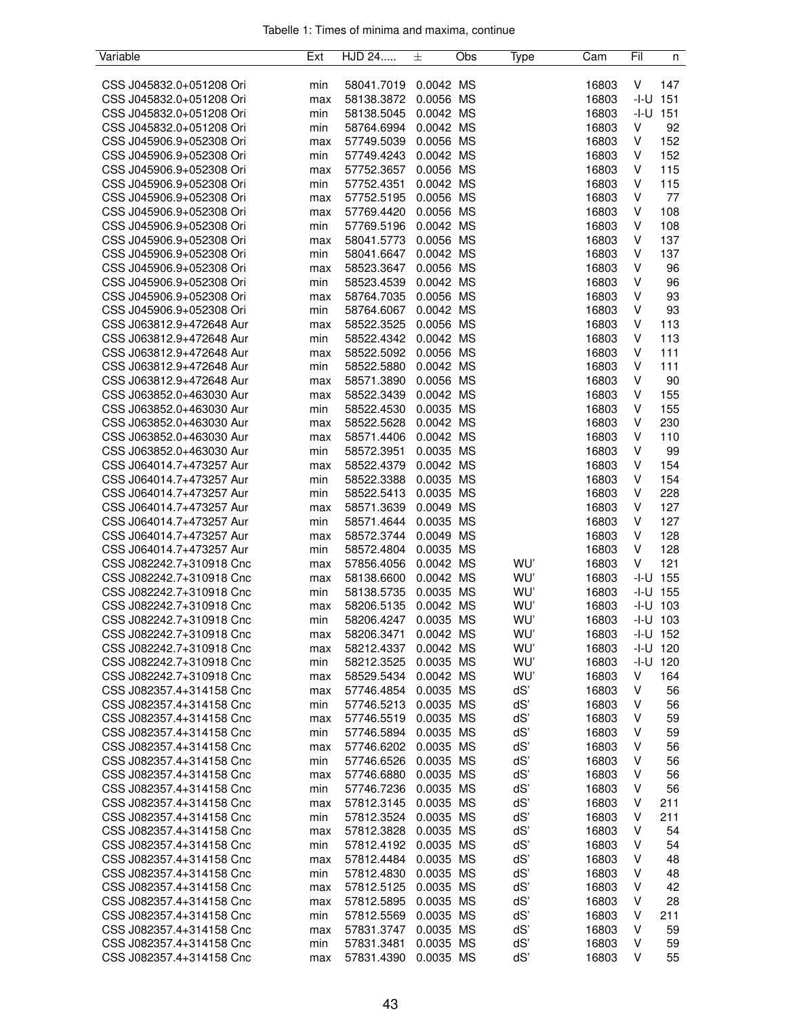| Variable                                             | Ext | HJD 24     | 士         | Obs | Type | Cam   | Fil    | n            |
|------------------------------------------------------|-----|------------|-----------|-----|------|-------|--------|--------------|
|                                                      |     |            |           |     |      |       |        |              |
| CSS J045832.0+051208 Ori                             | min | 58041.7019 | 0.0042 MS |     |      | 16803 | V      | 147          |
| CSS J045832.0+051208 Ori                             | max | 58138.3872 | 0.0056 MS |     |      | 16803 | $-I-U$ | 151          |
| CSS J045832.0+051208 Ori                             | min | 58138.5045 | 0.0042 MS |     |      | 16803 | -I-U   | 151          |
| CSS J045832.0+051208 Ori                             | min | 58764.6994 | 0.0042 MS |     |      | 16803 | V      | 92           |
| CSS J045906.9+052308 Ori                             | max | 57749.5039 | 0.0056 MS |     |      | 16803 | V      | 152          |
| CSS J045906.9+052308 Ori                             | min | 57749.4243 | 0.0042 MS |     |      | 16803 | V      | 152          |
| CSS J045906.9+052308 Ori                             | max | 57752.3657 | 0.0056 MS |     |      | 16803 | V      | 115          |
| CSS J045906.9+052308 Ori                             | min | 57752.4351 | 0.0042 MS |     |      | 16803 | V      | 115          |
| CSS J045906.9+052308 Ori                             | max | 57752.5195 | 0.0056 MS |     |      | 16803 | V      | 77           |
| CSS J045906.9+052308 Ori                             | max | 57769.4420 | 0.0056 MS |     |      | 16803 | V      | 108          |
| CSS J045906.9+052308 Ori                             | min | 57769.5196 | 0.0042 MS |     |      | 16803 | V      | 108          |
| CSS J045906.9+052308 Ori                             | max | 58041.5773 | 0.0056 MS |     |      | 16803 | V      | 137          |
| CSS J045906.9+052308 Ori                             | min | 58041.6647 | 0.0042 MS |     |      | 16803 | V      | 137          |
| CSS J045906.9+052308 Ori                             | max | 58523.3647 | 0.0056 MS |     |      | 16803 | V      | 96           |
| CSS J045906.9+052308 Ori                             | min | 58523.4539 | 0.0042 MS |     |      | 16803 | ٧      | 96           |
| CSS J045906.9+052308 Ori                             | max | 58764.7035 | 0.0056 MS |     |      | 16803 | V      | 93           |
| CSS J045906.9+052308 Ori                             | min | 58764.6067 | 0.0042 MS |     |      | 16803 | V      | 93           |
| CSS J063812.9+472648 Aur                             | max | 58522.3525 | 0.0056 MS |     |      | 16803 | V      | 113          |
| CSS J063812.9+472648 Aur                             | min | 58522.4342 | 0.0042 MS |     |      | 16803 | V      | 113          |
| CSS J063812.9+472648 Aur                             | max | 58522.5092 | 0.0056 MS |     |      | 16803 | V      | 111          |
| CSS J063812.9+472648 Aur                             | min | 58522.5880 | 0.0042 MS |     |      | 16803 | V      | 111          |
| CSS J063812.9+472648 Aur                             | max | 58571.3890 | 0.0056 MS |     |      | 16803 | V      | 90           |
| CSS J063852.0+463030 Aur                             | max | 58522.3439 | 0.0042 MS |     |      | 16803 | V      | 155          |
| CSS J063852.0+463030 Aur                             |     |            | 0.0035 MS |     |      | 16803 | V      | 155          |
|                                                      | min | 58522.4530 | 0.0042 MS |     |      | 16803 | V      | 230          |
| CSS J063852.0+463030 Aur<br>CSS J063852.0+463030 Aur | max | 58522.5628 | 0.0042 MS |     |      | 16803 | V      | 110          |
| CSS J063852.0+463030 Aur                             | max | 58571.4406 | 0.0035 MS |     |      | 16803 | V      | 99           |
|                                                      | min | 58572.3951 |           |     |      |       | V      |              |
| CSS J064014.7+473257 Aur                             | max | 58522.4379 | 0.0042 MS |     |      | 16803 |        | 154          |
| CSS J064014.7+473257 Aur                             | min | 58522.3388 | 0.0035 MS |     |      | 16803 | V      | 154          |
| CSS J064014.7+473257 Aur                             | min | 58522.5413 | 0.0035 MS |     |      | 16803 | V      | 228          |
| CSS J064014.7+473257 Aur                             | max | 58571.3639 | 0.0049 MS |     |      | 16803 | V      | 127          |
| CSS J064014.7+473257 Aur                             | min | 58571.4644 | 0.0035 MS |     |      | 16803 | V      | 127          |
| CSS J064014.7+473257 Aur                             | max | 58572.3744 | 0.0049 MS |     |      | 16803 | V      | 128          |
| CSS J064014.7+473257 Aur                             | min | 58572.4804 | 0.0035 MS |     |      | 16803 | V      | 128          |
| CSS J082242.7+310918 Cnc                             | max | 57856.4056 | 0.0042 MS |     | WU'  | 16803 | V      | 121          |
| CSS J082242.7+310918 Cnc                             | max | 58138.6600 | 0.0042 MS |     | WU'  | 16803 | -I-U   | 155          |
| CSS J082242.7+310918 Cnc                             | min | 58138.5735 | 0.0035 MS |     | WU'  | 16803 | $-I-U$ | 155          |
| CSS J082242.7+310918 Cnc                             | max | 58206.5135 | 0.0042 MS |     | WU'  | 16803 | -I-U   | 103          |
| CSS J082242.7+310918 Cnc                             | min | 58206.4247 | 0.0035 MS |     | WU'  | 16803 |        | $-1 - U$ 103 |
| CSS J082242.7+310918 Cnc                             | max | 58206.3471 | 0.0042 MS |     | WU'  | 16803 |        | -I-U 152     |
| CSS J082242.7+310918 Cnc                             | max | 58212.4337 | 0.0042 MS |     | WU'  | 16803 |        | $-1 - U$ 120 |
| CSS J082242.7+310918 Cnc                             | min | 58212.3525 | 0.0035 MS |     | WU'  | 16803 | -I-U   | 120          |
| CSS J082242.7+310918 Cnc                             | max | 58529.5434 | 0.0042 MS |     | WU'  | 16803 | V      | 164          |
| CSS J082357.4+314158 Cnc                             | max | 57746.4854 | 0.0035 MS |     | dS'  | 16803 | ٧      | 56           |
| CSS J082357.4+314158 Cnc                             | min | 57746.5213 | 0.0035 MS |     | dS'  | 16803 | ٧      | 56           |
| CSS J082357.4+314158 Cnc                             | max | 57746.5519 | 0.0035 MS |     | dS'  | 16803 | v      | 59           |
| CSS J082357.4+314158 Cnc                             | min | 57746.5894 | 0.0035 MS |     | dS'  | 16803 | v      | 59           |
| CSS J082357.4+314158 Cnc                             | max | 57746.6202 | 0.0035 MS |     | dS'  | 16803 | v      | 56           |
| CSS J082357.4+314158 Cnc                             | min | 57746.6526 | 0.0035 MS |     | dS'  | 16803 | ٧      | 56           |
| CSS J082357.4+314158 Cnc                             | max | 57746.6880 | 0.0035 MS |     | dS'  | 16803 | ٧      | 56           |
| CSS J082357.4+314158 Cnc                             | min | 57746.7236 | 0.0035 MS |     | dS'  | 16803 | v      | 56           |
| CSS J082357.4+314158 Cnc                             | max | 57812.3145 | 0.0035 MS |     | dS'  | 16803 | v      | 211          |
| CSS J082357.4+314158 Cnc                             | min | 57812.3524 | 0.0035 MS |     | dS'  | 16803 | ٧      | 211          |
| CSS J082357.4+314158 Cnc                             | max | 57812.3828 | 0.0035 MS |     | dS'  | 16803 | V      | 54           |
| CSS J082357.4+314158 Cnc                             | min | 57812.4192 | 0.0035 MS |     | dS'  | 16803 | ٧      | 54           |
| CSS J082357.4+314158 Cnc                             | max | 57812.4484 | 0.0035 MS |     | dS'  | 16803 | ٧      | 48           |
| CSS J082357.4+314158 Cnc                             | min | 57812.4830 | 0.0035 MS |     | dS'  | 16803 | v      | 48           |
| CSS J082357.4+314158 Cnc                             | max | 57812.5125 | 0.0035 MS |     | dS'  | 16803 | v      | 42           |
| CSS J082357.4+314158 Cnc                             | max | 57812.5895 | 0.0035 MS |     | dS'  | 16803 | V      | 28           |
| CSS J082357.4+314158 Cnc                             | min | 57812.5569 | 0.0035 MS |     | dS'  | 16803 | ٧      | 211          |
| CSS J082357.4+314158 Cnc                             | max | 57831.3747 | 0.0035 MS |     | dS'  | 16803 | ٧      | 59           |
| CSS J082357.4+314158 Cnc                             | min | 57831.3481 | 0.0035 MS |     | dS'  | 16803 | ٧      | 59           |
| CSS J082357.4+314158 Cnc                             | max | 57831.4390 | 0.0035 MS |     | dS'  | 16803 | V      | 55           |
|                                                      |     |            |           |     |      |       |        |              |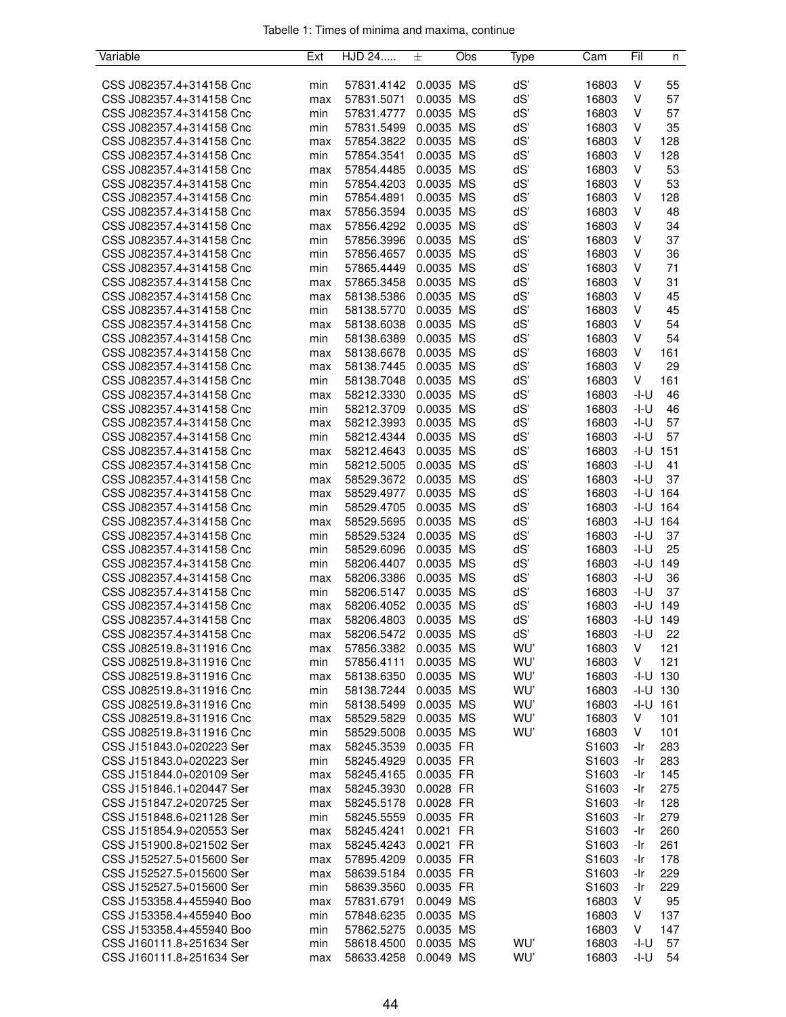|  |  |  | Tabelle 1: Times of minima and maxima, continue |  |
|--|--|--|-------------------------------------------------|--|
|  |  |  |                                                 |  |

| Variable                 | Ext        | HJD 24     | 土         | Obs | Type | Cam               | Fil    | n            |
|--------------------------|------------|------------|-----------|-----|------|-------------------|--------|--------------|
|                          |            |            |           |     |      |                   |        |              |
| CSS J082357.4+314158 Cnc | min        | 57831.4142 | 0.0035 MS |     | dS'  | 16803             | V      | 55           |
| CSS J082357.4+314158 Cnc | max        | 57831.5071 | 0.0035 MS |     | dS'  | 16803             | V      | 57           |
| CSS J082357.4+314158 Cnc | min        | 57831.4777 | 0.0035 MS |     | dS'  | 16803             | V      | 57           |
| CSS J082357.4+314158 Cnc | min        | 57831.5499 | 0.0035 MS |     | dS'  | 16803             | V      | 35           |
| CSS J082357.4+314158 Cnc | max        | 57854.3822 | 0.0035 MS |     | dS'  | 16803             | V      | 128          |
| CSS J082357.4+314158 Cnc | min        | 57854.3541 | 0.0035 MS |     | dS'  | 16803             | V      | 128          |
| CSS J082357.4+314158 Cnc | max        | 57854.4485 | 0.0035 MS |     | dS'  | 16803             | V      | 53           |
| CSS J082357.4+314158 Cnc | min        | 57854.4203 | 0.0035 MS |     | dS'  | 16803             | V      | 53           |
| CSS J082357.4+314158 Cnc | min        | 57854.4891 | 0.0035 MS |     | dS'  | 16803             | V      | 128          |
| CSS J082357.4+314158 Cnc | max        | 57856.3594 | 0.0035 MS |     | dS'  | 16803             | V      | 48           |
| CSS J082357.4+314158 Cnc | max        | 57856.4292 | 0.0035 MS |     | dS'  | 16803             | V      | 34           |
| CSS J082357.4+314158 Cnc | min        | 57856.3996 | 0.0035 MS |     | dS'  | 16803             | V      | 37           |
| CSS J082357.4+314158 Cnc | min        | 57856.4657 | 0.0035 MS |     | dS'  | 16803             | V      | 36           |
| CSS J082357.4+314158 Cnc | min        | 57865.4449 | 0.0035 MS |     | dS'  | 16803             | V      | 71           |
| CSS J082357.4+314158 Cnc | max        | 57865.3458 | 0.0035 MS |     | dS'  | 16803             | V      | 31           |
| CSS J082357.4+314158 Cnc | max        | 58138.5386 | 0.0035 MS |     | dS'  | 16803             | V      | 45           |
| CSS J082357.4+314158 Cnc | min        | 58138.5770 | 0.0035 MS |     | dS'  | 16803             | V      | 45           |
| CSS J082357.4+314158 Cnc | max        | 58138.6038 | 0.0035 MS |     | dS'  | 16803             | V      | 54           |
| CSS J082357.4+314158 Cnc | min        | 58138.6389 | 0.0035 MS |     | dS'  | 16803             | V      | 54           |
| CSS J082357.4+314158 Cnc | max        | 58138.6678 | 0.0035 MS |     | dS'  | 16803             | V      | 161          |
| CSS J082357.4+314158 Cnc |            | 58138.7445 | 0.0035 MS |     | dS'  | 16803             | V      | 29           |
|                          | max        |            |           |     |      |                   | V      |              |
| CSS J082357.4+314158 Cnc | min        | 58138.7048 | 0.0035 MS |     | dS'  | 16803             |        | 161          |
| CSS J082357.4+314158 Cnc | max        | 58212.3330 | 0.0035 MS |     | dS'  | 16803             | $-I-U$ | 46           |
| CSS J082357.4+314158 Cnc | min        | 58212.3709 | 0.0035 MS |     | dS'  | 16803             | -I-U   | 46           |
| CSS J082357.4+314158 Cnc | max        | 58212.3993 | 0.0035 MS |     | dS'  | 16803             | -I-U   | 57           |
| CSS J082357.4+314158 Cnc | min        | 58212.4344 | 0.0035 MS |     | dS'  | 16803             | -I-U   | 57           |
| CSS J082357.4+314158 Cnc | max        | 58212.4643 | 0.0035 MS |     | dS'  | 16803             | -I-U   | 151          |
| CSS J082357.4+314158 Cnc | min        | 58212.5005 | 0.0035 MS |     | dS'  | 16803             | -I-U   | 41           |
| CSS J082357.4+314158 Cnc | max        | 58529.3672 | 0.0035 MS |     | dS'  | 16803             | $-I-U$ | 37           |
| CSS J082357.4+314158 Cnc | max        | 58529.4977 | 0.0035 MS |     | dS'  | 16803             |        | $-1 - U$ 164 |
| CSS J082357.4+314158 Cnc | min        | 58529.4705 | 0.0035 MS |     | dS'  | 16803             |        | $-1-U$ 164   |
| CSS J082357.4+314158 Cnc | max        | 58529.5695 | 0.0035 MS |     | dS'  | 16803             |        | $-1 - U$ 164 |
| CSS J082357.4+314158 Cnc | min        | 58529.5324 | 0.0035 MS |     | dS'  | 16803             | $-I-U$ | 37           |
| CSS J082357.4+314158 Cnc | min        | 58529.6096 | 0.0035 MS |     | dS'  | 16803             | $-I-U$ | 25           |
| CSS J082357.4+314158 Cnc | min        | 58206.4407 | 0.0035 MS |     | dS'  | 16803             |        | $-1-U$ 149   |
| CSS J082357.4+314158 Cnc | max        | 58206.3386 | 0.0035 MS |     | dS'  | 16803             | -I-U   | 36           |
| CSS J082357.4+314158 Cnc | min        | 58206.5147 | 0.0035 MS |     | dS'  | 16803             | $-I-U$ | 37           |
| CSS J082357.4+314158 Cnc | max        | 58206.4052 | 0.0035    | MS  | dS'  | 16803             | -I-U   | 149          |
| CSS J082357.4+314158 Cnc | max        | 58206.4803 | 0.0035 MS |     | dS'  | 16803             |        | $-1 - U$ 149 |
| CSS J082357.4+314158 Cnc | max        | 58206.5472 | 0.0035 MS |     | dS'  | 16803             | $-I-U$ | 22           |
| CSS J082519.8+311916 Cnc | max        | 57856.3382 | 0.0035 MS |     | WU'  | 16803             | V      | 121          |
| CSS J082519.8+311916 Cnc | min        | 57856.4111 | 0.0035 MS |     | WU'  | 16803             | V      | 121          |
| CSS J082519.8+311916 Cnc | max        | 58138.6350 | 0.0035 MS |     | WU'  | 16803             |        | $-1 - U$ 130 |
| CSS J082519.8+311916 Cnc | min        | 58138.7244 | 0.0035 MS |     | WU'  | 16803             |        | $-1 - U$ 130 |
| CSS J082519.8+311916 Cnc | min        | 58138.5499 | 0.0035 MS |     | WU'  | 16803             | -I-U   | 161          |
| CSS J082519.8+311916 Cnc | max        | 58529.5829 | 0.0035 MS |     | WU'  | 16803             | V      | 101          |
| CSS J082519.8+311916 Cnc | min        | 58529.5008 | 0.0035 MS |     | WU'  | 16803             | V      | 101          |
| CSS J151843.0+020223 Ser | max        | 58245.3539 | 0.0035 FR |     |      | S1603             | -Ir    | 283          |
| CSS J151843.0+020223 Ser | min        | 58245.4929 | 0.0035 FR |     |      | S <sub>1603</sub> | -Ir    | 283          |
| CSS J151844.0+020109 Ser | max        | 58245.4165 | 0.0035 FR |     |      | S <sub>1603</sub> | -Ir    | 145          |
| CSS J151846.1+020447 Ser | max        | 58245.3930 | 0.0028 FR |     |      | S1603             | -Ir    | 275          |
| CSS J151847.2+020725 Ser | max        | 58245.5178 | 0.0028 FR |     |      | S <sub>1603</sub> | -Ir    | 128          |
| CSS J151848.6+021128 Ser | min        | 58245.5559 | 0.0035 FR |     |      | S <sub>1603</sub> | -Ir    | 279          |
| CSS J151854.9+020553 Ser | max        | 58245.4241 | 0.0021 FR |     |      | S1603             | -Ir    | 260          |
| CSS J151900.8+021502 Ser | max        | 58245.4243 | 0.0021 FR |     |      | S <sub>1603</sub> | -Ir    | 261          |
| CSS J152527.5+015600 Ser | max        | 57895.4209 | 0.0035 FR |     |      | S <sub>1603</sub> | -Ir    | 178          |
| CSS J152527.5+015600 Ser |            | 58639.5184 | 0.0035 FR |     |      | S1603             | -Ir    | 229          |
| CSS J152527.5+015600 Ser | max<br>min | 58639.3560 | 0.0035 FR |     |      | S1603             | -Ir    | 229          |
| CSS J153358.4+455940 Boo |            |            | 0.0049 MS |     |      | 16803             | V      | 95           |
|                          | max        | 57831.6791 |           |     |      |                   |        |              |
| CSS J153358.4+455940 Boo | min        | 57848.6235 | 0.0035 MS |     |      | 16803             | V<br>V | 137          |
| CSS J153358.4+455940 Boo | min        | 57862.5275 | 0.0035 MS |     |      | 16803             |        | 147          |
| CSS J160111.8+251634 Ser | min        | 58618.4500 | 0.0035 MS |     | WU'  | 16803             | -I-U   | 57           |
| CSS J160111.8+251634 Ser | max        | 58633.4258 | 0.0049 MS |     | WU'  | 16803             | -I-U   | 54           |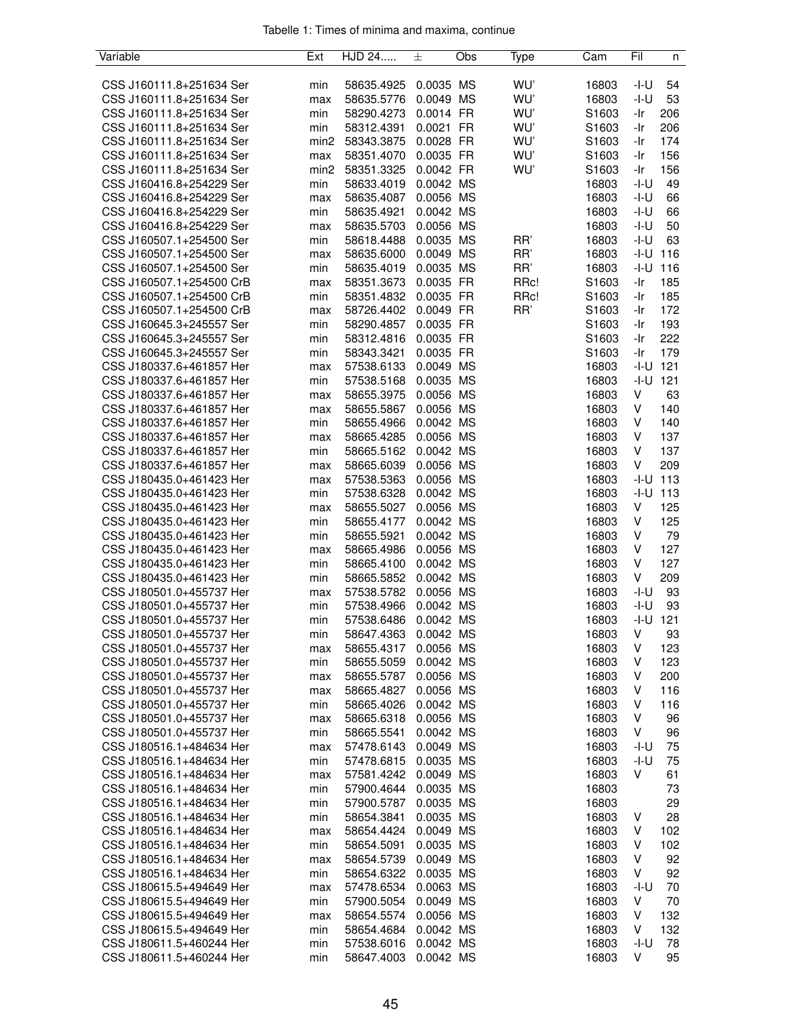| Tabelle 1: Times of minima and maxima, continue |  |  |  |
|-------------------------------------------------|--|--|--|
|                                                 |  |  |  |

| Variable                 | Ext              | HJD 24     | 士         | Obs | Type | Cam               | Fil    | n            |
|--------------------------|------------------|------------|-----------|-----|------|-------------------|--------|--------------|
|                          |                  |            |           |     |      |                   |        |              |
| CSS J160111.8+251634 Ser | min              | 58635.4925 | 0.0035 MS |     | WU'  | 16803             | -I-U   | 54           |
| CSS J160111.8+251634 Ser | max              | 58635.5776 | 0.0049 MS |     | WU'  | 16803             | -I-U   | 53           |
| CSS J160111.8+251634 Ser | min              | 58290.4273 | 0.0014 FR |     | WU'  | S1603             | -Ir    | 206          |
| CSS J160111.8+251634 Ser | min              | 58312.4391 | 0.0021 FR |     | WU'  | S1603             | -Ir    | 206          |
| CSS J160111.8+251634 Ser | min <sub>2</sub> | 58343.3875 | 0.0028 FR |     | WU'  | S <sub>1603</sub> | -Ir    | 174          |
|                          |                  |            |           |     | WU'  |                   |        |              |
| CSS J160111.8+251634 Ser | max              | 58351.4070 | 0.0035 FR |     |      | S <sub>1603</sub> | -Ir    | 156          |
| CSS J160111.8+251634 Ser | min <sub>2</sub> | 58351.3325 | 0.0042 FR |     | WU'  | S <sub>1603</sub> | -Ir    | 156          |
| CSS J160416.8+254229 Ser | min              | 58633.4019 | 0.0042 MS |     |      | 16803             | -I-U   | 49           |
| CSS J160416.8+254229 Ser | max              | 58635.4087 | 0.0056 MS |     |      | 16803             | -I-U   | 66           |
| CSS J160416.8+254229 Ser | min              | 58635.4921 | 0.0042 MS |     |      | 16803             | -I-U   | 66           |
| CSS J160416.8+254229 Ser | max              | 58635.5703 | 0.0056 MS |     |      | 16803             | -I-U   | 50           |
| CSS J160507.1+254500 Ser | min              | 58618.4488 | 0.0035 MS |     | RR'  | 16803             | -I-U   | 63           |
| CSS J160507.1+254500 Ser | max              | 58635.6000 | 0.0049 MS |     | RR'  | 16803             | -I-U   | 116          |
| CSS J160507.1+254500 Ser | min              | 58635.4019 | 0.0035 MS |     | RR'  | 16803             | $-I-U$ | 116          |
| CSS J160507.1+254500 CrB | max              | 58351.3673 | 0.0035 FR |     | RRc! | S <sub>1603</sub> | -Ir    | 185          |
| CSS J160507.1+254500 CrB | min              | 58351.4832 | 0.0035 FR |     | RRc! | S <sub>1603</sub> | -Ir    | 185          |
| CSS J160507.1+254500 CrB | max              | 58726.4402 | 0.0049 FR |     | RR'  | S1603             | -Ir    | 172          |
| CSS J160645.3+245557 Ser | min              | 58290.4857 | 0.0035 FR |     |      | S <sub>1603</sub> | -Ir    | 193          |
| CSS J160645.3+245557 Ser |                  | 58312.4816 | 0.0035 FR |     |      | S1603             | -Ir    | 222          |
|                          | min              |            |           |     |      |                   |        |              |
| CSS J160645.3+245557 Ser | min              | 58343.3421 | 0.0035 FR |     |      | S1603             | -Ir    | 179          |
| CSS J180337.6+461857 Her | max              | 57538.6133 | 0.0049 MS |     |      | 16803             | -I-U   | 121          |
| CSS J180337.6+461857 Her | min              | 57538.5168 | 0.0035 MS |     |      | 16803             | -I-U   | 121          |
| CSS J180337.6+461857 Her | max              | 58655.3975 | 0.0056 MS |     |      | 16803             | V      | 63           |
| CSS J180337.6+461857 Her | max              | 58655.5867 | 0.0056 MS |     |      | 16803             | V      | 140          |
| CSS J180337.6+461857 Her | min              | 58655.4966 | 0.0042 MS |     |      | 16803             | V      | 140          |
| CSS J180337.6+461857 Her | max              | 58665.4285 | 0.0056 MS |     |      | 16803             | V      | 137          |
| CSS J180337.6+461857 Her | min              | 58665.5162 | 0.0042 MS |     |      | 16803             | V      | 137          |
| CSS J180337.6+461857 Her | max              | 58665.6039 | 0.0056 MS |     |      | 16803             | V      | 209          |
| CSS J180435.0+461423 Her | max              | 57538.5363 | 0.0056 MS |     |      | 16803             | -I-U   | 113          |
| CSS J180435.0+461423 Her | min              | 57538.6328 | 0.0042 MS |     |      | 16803             | -I-U   | 113          |
| CSS J180435.0+461423 Her |                  | 58655.5027 | 0.0056 MS |     |      | 16803             | V      | 125          |
|                          | max              |            |           |     |      |                   | V      |              |
| CSS J180435.0+461423 Her | min              | 58655.4177 | 0.0042 MS |     |      | 16803             |        | 125          |
| CSS J180435.0+461423 Her | min              | 58655.5921 | 0.0042 MS |     |      | 16803             | V      | 79           |
| CSS J180435.0+461423 Her | max              | 58665.4986 | 0.0056 MS |     |      | 16803             | V      | 127          |
| CSS J180435.0+461423 Her | min              | 58665.4100 | 0.0042 MS |     |      | 16803             | V      | 127          |
| CSS J180435.0+461423 Her | min              | 58665.5852 | 0.0042 MS |     |      | 16803             | V      | 209          |
| CSS J180501.0+455737 Her | max              | 57538.5782 | 0.0056 MS |     |      | 16803             | -I-U   | 93           |
| CSS J180501.0+455737 Her | min              | 57538.4966 | 0.0042 MS |     |      | 16803             | -I-U   | 93           |
| CSS J180501.0+455737 Her | min              | 57538.6486 | 0.0042 MS |     |      | 16803             |        | $-1 - U$ 121 |
| CSS J180501.0+455737 Her | min              | 58647.4363 | 0.0042 MS |     |      | 16803             | V      | 93           |
| CSS J180501.0+455737 Her | max              | 58655.4317 | 0.0056 MS |     |      | 16803             | V      | 123          |
| CSS J180501.0+455737 Her | min              | 58655.5059 | 0.0042 MS |     |      | 16803             | V      | 123          |
| CSS J180501.0+455737 Her | max              | 58655.5787 | 0.0056 MS |     |      | 16803             | V      | 200          |
| CSS J180501.0+455737 Her | max              | 58665.4827 | 0.0056 MS |     |      | 16803             | V      | 116          |
| CSS J180501.0+455737 Her | min              | 58665.4026 | 0.0042 MS |     |      | 16803             | V      | 116          |
| CSS J180501.0+455737 Her |                  | 58665.6318 | 0.0056 MS |     |      | 16803             | V      | 96           |
|                          | max              |            |           |     |      |                   |        |              |
| CSS J180501.0+455737 Her | min              | 58665.5541 | 0.0042 MS |     |      | 16803             | V      | 96           |
| CSS J180516.1+484634 Her | max              | 57478.6143 | 0.0049 MS |     |      | 16803             | -I-U   | 75           |
| CSS J180516.1+484634 Her | min              | 57478.6815 | 0.0035 MS |     |      | 16803             | -I-U   | 75           |
| CSS J180516.1+484634 Her | max              | 57581.4242 | 0.0049 MS |     |      | 16803             | V      | 61           |
| CSS J180516.1+484634 Her | min              | 57900.4644 | 0.0035 MS |     |      | 16803             |        | 73           |
| CSS J180516.1+484634 Her | min              | 57900.5787 | 0.0035 MS |     |      | 16803             |        | 29           |
| CSS J180516.1+484634 Her | min              | 58654.3841 | 0.0035 MS |     |      | 16803             | V      | 28           |
| CSS J180516.1+484634 Her | max              | 58654.4424 | 0.0049 MS |     |      | 16803             | V      | 102          |
| CSS J180516.1+484634 Her | min              | 58654.5091 | 0.0035 MS |     |      | 16803             | V      | 102          |
| CSS J180516.1+484634 Her | max              | 58654.5739 | 0.0049 MS |     |      | 16803             | V      | 92           |
| CSS J180516.1+484634 Her | min              | 58654.6322 | 0.0035 MS |     |      | 16803             | V      | 92           |
| CSS J180615.5+494649 Her | max              | 57478.6534 | 0.0063 MS |     |      | 16803             | -I-U   | 70           |
| CSS J180615.5+494649 Her | min              | 57900.5054 | 0.0049 MS |     |      | 16803             | V      | 70           |
| CSS J180615.5+494649 Her |                  |            | 0.0056 MS |     |      | 16803             | V      | 132          |
|                          | max              | 58654.5574 |           |     |      |                   |        |              |
| CSS J180615.5+494649 Her | min              | 58654.4684 | 0.0042 MS |     |      | 16803             | V      | 132          |
| CSS J180611.5+460244 Her | min              | 57538.6016 | 0.0042 MS |     |      | 16803             | -I-U   | 78           |
| CSS J180611.5+460244 Her | min              | 58647.4003 | 0.0042 MS |     |      | 16803             | V      | 95           |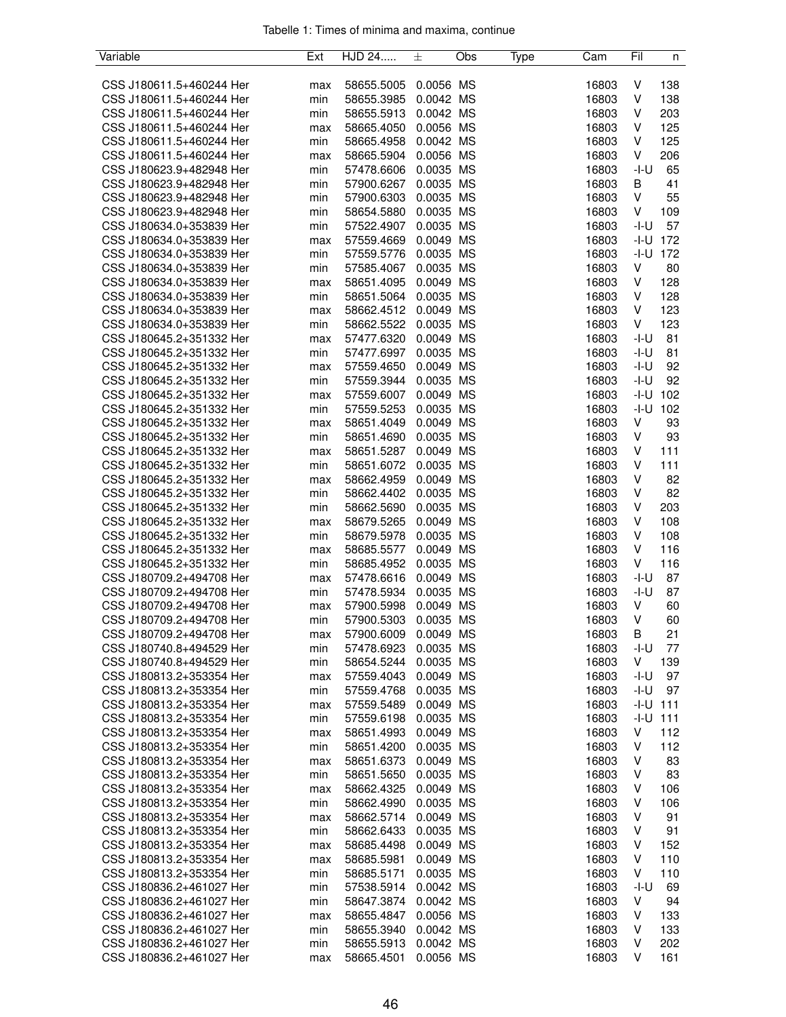| Tabelle 1: Times of minima and maxima, continue |  |  |  |
|-------------------------------------------------|--|--|--|
|                                                 |  |  |  |

| Variable                                             | Ext | HJD 24     | 土         | Obs | Type | Cam   | Fil    | n            |
|------------------------------------------------------|-----|------------|-----------|-----|------|-------|--------|--------------|
|                                                      |     |            |           |     |      |       |        |              |
| CSS J180611.5+460244 Her                             | max | 58655.5005 | 0.0056 MS |     |      | 16803 | V      | 138          |
| CSS J180611.5+460244 Her                             | min | 58655.3985 | 0.0042 MS |     |      | 16803 | V      | 138          |
| CSS J180611.5+460244 Her                             | min | 58655.5913 | 0.0042 MS |     |      | 16803 | V      | 203          |
| CSS J180611.5+460244 Her                             | max | 58665.4050 | 0.0056 MS |     |      | 16803 | V      | 125          |
| CSS J180611.5+460244 Her                             | min | 58665.4958 | 0.0042 MS |     |      | 16803 | V      | 125          |
| CSS J180611.5+460244 Her                             | max | 58665.5904 | 0.0056 MS |     |      | 16803 | V      | 206          |
| CSS J180623.9+482948 Her                             | min | 57478.6606 | 0.0035 MS |     |      | 16803 | -I-U   | 65           |
| CSS J180623.9+482948 Her                             | min | 57900.6267 | 0.0035 MS |     |      | 16803 | B      | 41           |
| CSS J180623.9+482948 Her                             | min | 57900.6303 | 0.0035 MS |     |      | 16803 | V      | 55           |
| CSS J180623.9+482948 Her                             | min | 58654.5880 | 0.0035 MS |     |      | 16803 | V      | 109          |
| CSS J180634.0+353839 Her                             | min | 57522.4907 | 0.0035 MS |     |      | 16803 | $-I-U$ | 57           |
| CSS J180634.0+353839 Her                             | max | 57559.4669 | 0.0049 MS |     |      | 16803 |        | $-1 - U$ 172 |
| CSS J180634.0+353839 Her                             | min | 57559.5776 | 0.0035 MS |     |      | 16803 |        | $-1 - U$ 172 |
| CSS J180634.0+353839 Her                             | min | 57585.4067 | 0.0035 MS |     |      | 16803 | V      | 80           |
| CSS J180634.0+353839 Her                             | max | 58651.4095 | 0.0049 MS |     |      | 16803 | V      | 128          |
| CSS J180634.0+353839 Her                             | min | 58651.5064 | 0.0035 MS |     |      | 16803 | V      | 128          |
| CSS J180634.0+353839 Her                             | max | 58662.4512 | 0.0049 MS |     |      | 16803 | V      | 123          |
| CSS J180634.0+353839 Her                             | min | 58662.5522 | 0.0035 MS |     |      | 16803 | V      | 123          |
| CSS J180645.2+351332 Her                             | max | 57477.6320 | 0.0049 MS |     |      | 16803 | -I-U   | 81           |
| CSS J180645.2+351332 Her                             | min | 57477.6997 | 0.0035 MS |     |      | 16803 | -I-U   | 81           |
| CSS J180645.2+351332 Her                             | max | 57559.4650 | 0.0049 MS |     |      | 16803 | $-I-U$ | 92           |
| CSS J180645.2+351332 Her                             | min | 57559.3944 | 0.0035 MS |     |      | 16803 | -I-U   | 92           |
| CSS J180645.2+351332 Her                             | max | 57559.6007 | 0.0049 MS |     |      | 16803 | -I-U   | 102          |
| CSS J180645.2+351332 Her                             | min | 57559.5253 | 0.0035 MS |     |      | 16803 | -I-U   | 102          |
|                                                      |     |            | 0.0049 MS |     |      | 16803 | V      | 93           |
| CSS J180645.2+351332 Her<br>CSS J180645.2+351332 Her | max | 58651.4049 | 0.0035 MS |     |      | 16803 | V      | 93           |
|                                                      | min | 58651.4690 | 0.0049 MS |     |      |       |        |              |
| CSS J180645.2+351332 Her                             | max | 58651.5287 |           |     |      | 16803 | V      | 111          |
| CSS J180645.2+351332 Her                             | min | 58651.6072 | 0.0035 MS |     |      | 16803 | V      | 111          |
| CSS J180645.2+351332 Her                             | max | 58662.4959 | 0.0049 MS |     |      | 16803 | V      | 82           |
| CSS J180645.2+351332 Her                             | min | 58662.4402 | 0.0035 MS |     |      | 16803 | V      | 82           |
| CSS J180645.2+351332 Her                             | min | 58662.5690 | 0.0035 MS |     |      | 16803 | V      | 203          |
| CSS J180645.2+351332 Her                             | max | 58679.5265 | 0.0049 MS |     |      | 16803 | V      | 108          |
| CSS J180645.2+351332 Her                             | min | 58679.5978 | 0.0035 MS |     |      | 16803 | V      | 108          |
| CSS J180645.2+351332 Her                             | max | 58685.5577 | 0.0049 MS |     |      | 16803 | V      | 116          |
| CSS J180645.2+351332 Her                             | min | 58685.4952 | 0.0035 MS |     |      | 16803 | V      | 116          |
| CSS J180709.2+494708 Her                             | max | 57478.6616 | 0.0049 MS |     |      | 16803 | -I-U   | 87           |
| CSS J180709.2+494708 Her                             | min | 57478.5934 | 0.0035 MS |     |      | 16803 | $-I-U$ | 87           |
| CSS J180709.2+494708 Her                             | max | 57900.5998 | 0.0049 MS |     |      | 16803 | V      | 60           |
| CSS J180709.2+494708 Her                             | min | 57900.5303 | 0.0035 MS |     |      | 16803 | V      | 60           |
| CSS J180709.2+494708 Her                             | max | 57900.6009 | 0.0049 MS |     |      | 16803 | B      | 21           |
| CSS J180740.8+494529 Her                             | min | 57478.6923 | 0.0035 MS |     |      | 16803 | -I-U   | 77           |
| CSS J180740.8+494529 Her                             | min | 58654.5244 | 0.0035 MS |     |      | 16803 | V      | 139          |
| CSS J180813.2+353354 Her                             | max | 57559.4043 | 0.0049 MS |     |      | 16803 | $-I-U$ | 97           |
| CSS J180813.2+353354 Her                             | min | 57559.4768 | 0.0035 MS |     |      | 16803 | -I-U   | 97           |
| CSS J180813.2+353354 Her                             | max | 57559.5489 | 0.0049 MS |     |      | 16803 |        | $-1 - U$ 111 |
| CSS J180813.2+353354 Her                             | min | 57559.6198 | 0.0035 MS |     |      | 16803 |        | $-1 - U$ 111 |
| CSS J180813.2+353354 Her                             | max | 58651.4993 | 0.0049 MS |     |      | 16803 | V      | 112          |
| CSS J180813.2+353354 Her                             | min | 58651.4200 | 0.0035 MS |     |      | 16803 | V      | 112          |
| CSS J180813.2+353354 Her                             | max | 58651.6373 | 0.0049 MS |     |      | 16803 | V      | 83           |
| CSS J180813.2+353354 Her                             | min | 58651.5650 | 0.0035 MS |     |      | 16803 | V      | 83           |
| CSS J180813.2+353354 Her                             | max | 58662.4325 | 0.0049 MS |     |      | 16803 | V      | 106          |
| CSS J180813.2+353354 Her                             | min | 58662.4990 | 0.0035 MS |     |      | 16803 | V      | 106          |
| CSS J180813.2+353354 Her                             | max | 58662.5714 | 0.0049 MS |     |      | 16803 | V      | 91           |
| CSS J180813.2+353354 Her                             | min | 58662.6433 | 0.0035 MS |     |      | 16803 | V      | 91           |
| CSS J180813.2+353354 Her                             | max | 58685.4498 | 0.0049 MS |     |      | 16803 | V      | 152          |
| CSS J180813.2+353354 Her                             | max | 58685.5981 | 0.0049 MS |     |      | 16803 | V      | 110          |
| CSS J180813.2+353354 Her                             | min | 58685.5171 | 0.0035 MS |     |      | 16803 | V      | 110          |
| CSS J180836.2+461027 Her                             | min | 57538.5914 | 0.0042 MS |     |      | 16803 | -I-U   | 69           |
| CSS J180836.2+461027 Her                             | min | 58647.3874 | 0.0042 MS |     |      | 16803 | V      | 94           |
| CSS J180836.2+461027 Her                             | max | 58655.4847 | 0.0056 MS |     |      | 16803 | V      | 133          |
| CSS J180836.2+461027 Her                             | min | 58655.3940 | 0.0042 MS |     |      | 16803 | V      | 133          |
| CSS J180836.2+461027 Her                             | min | 58655.5913 | 0.0042 MS |     |      | 16803 | V      | 202          |
| CSS J180836.2+461027 Her                             | max | 58665.4501 | 0.0056 MS |     |      | 16803 | V      | 161          |
|                                                      |     |            |           |     |      |       |        |              |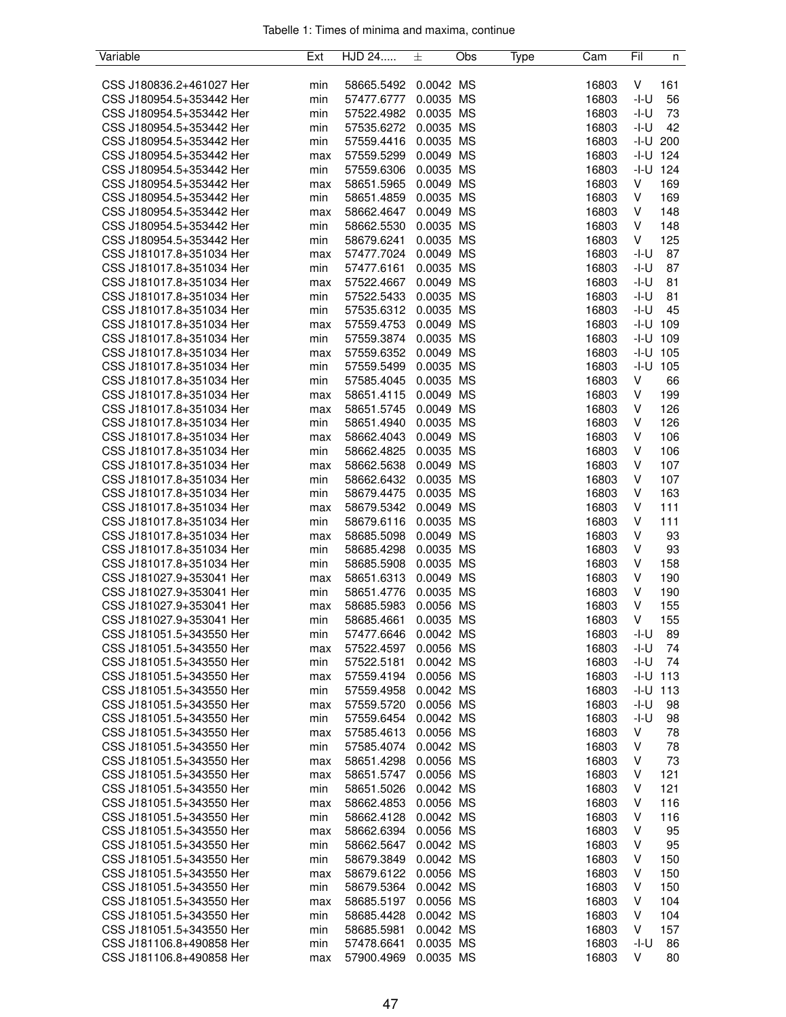| Tabelle 1: Times of minima and maxima, continue |  |  |  |
|-------------------------------------------------|--|--|--|
|                                                 |  |  |  |

| Variable                 | Ext | HJD 24     | 土         | Obs | Type | Cam   | Fil          | n            |
|--------------------------|-----|------------|-----------|-----|------|-------|--------------|--------------|
|                          |     |            |           |     |      |       |              |              |
| CSS J180836.2+461027 Her | min | 58665.5492 | 0.0042 MS |     |      | 16803 | V            | 161          |
| CSS J180954.5+353442 Her | min | 57477.6777 | 0.0035 MS |     |      | 16803 | $-I-U$       | 56           |
| CSS J180954.5+353442 Her | min | 57522.4982 | 0.0035 MS |     |      | 16803 | -I-U         | 73           |
| CSS J180954.5+353442 Her | min | 57535.6272 | 0.0035 MS |     |      | 16803 | -I-U         | 42           |
| CSS J180954.5+353442 Her | min | 57559.4416 | 0.0035 MS |     |      | 16803 |              | $-1 - U$ 200 |
| CSS J180954.5+353442 Her | max | 57559.5299 | 0.0049 MS |     |      | 16803 |              | $-1 - U$ 124 |
| CSS J180954.5+353442 Her | min | 57559.6306 | 0.0035 MS |     |      | 16803 |              | $-1 - U$ 124 |
| CSS J180954.5+353442 Her | max | 58651.5965 | 0.0049 MS |     |      | 16803 | V            | 169          |
| CSS J180954.5+353442 Her | min | 58651.4859 | 0.0035 MS |     |      | 16803 | $\mathsf V$  | 169          |
| CSS J180954.5+353442 Her | max | 58662.4647 | 0.0049 MS |     |      | 16803 | V            | 148          |
| CSS J180954.5+353442 Her | min | 58662.5530 | 0.0035 MS |     |      | 16803 | V            | 148          |
| CSS J180954.5+353442 Her | min | 58679.6241 | 0.0035 MS |     |      | 16803 | V            | 125          |
| CSS J181017.8+351034 Her | max | 57477.7024 | 0.0049 MS |     |      | 16803 | -I-U         | 87           |
| CSS J181017.8+351034 Her | min | 57477.6161 | 0.0035 MS |     |      | 16803 | $-I-U$       | 87           |
| CSS J181017.8+351034 Her | max | 57522.4667 | 0.0049 MS |     |      | 16803 | $-I-U$       | 81           |
| CSS J181017.8+351034 Her | min | 57522.5433 | 0.0035 MS |     |      | 16803 | -I-U         | 81           |
| CSS J181017.8+351034 Her | min | 57535.6312 | 0.0035 MS |     |      | 16803 | -I-U         | 45           |
| CSS J181017.8+351034 Her | max | 57559.4753 | 0.0049 MS |     |      | 16803 |              | $-1 - U$ 109 |
| CSS J181017.8+351034 Her | min | 57559.3874 | 0.0035 MS |     |      | 16803 |              | $-I-U$ 109   |
| CSS J181017.8+351034 Her | max | 57559.6352 | 0.0049 MS |     |      | 16803 | $-I-U$       | 105          |
| CSS J181017.8+351034 Her | min | 57559.5499 | 0.0035 MS |     |      | 16803 |              | $-I-U$ 105   |
| CSS J181017.8+351034 Her | min | 57585.4045 | 0.0035 MS |     |      | 16803 | V            | 66           |
|                          |     |            |           |     |      |       | V            |              |
| CSS J181017.8+351034 Her | max | 58651.4115 | 0.0049 MS |     |      | 16803 |              | 199          |
| CSS J181017.8+351034 Her | max | 58651.5745 | 0.0049 MS |     |      | 16803 | V            | 126          |
| CSS J181017.8+351034 Her | min | 58651.4940 | 0.0035 MS |     |      | 16803 | V            | 126          |
| CSS J181017.8+351034 Her | max | 58662.4043 | 0.0049 MS |     |      | 16803 | V            | 106          |
| CSS J181017.8+351034 Her | min | 58662.4825 | 0.0035 MS |     |      | 16803 | V            | 106          |
| CSS J181017.8+351034 Her | max | 58662.5638 | 0.0049 MS |     |      | 16803 | V            | 107          |
| CSS J181017.8+351034 Her | min | 58662.6432 | 0.0035 MS |     |      | 16803 | V            | 107          |
| CSS J181017.8+351034 Her | min | 58679.4475 | 0.0035 MS |     |      | 16803 | V            | 163          |
| CSS J181017.8+351034 Her | max | 58679.5342 | 0.0049 MS |     |      | 16803 | V            | 111          |
| CSS J181017.8+351034 Her | min | 58679.6116 | 0.0035 MS |     |      | 16803 | V            | 111          |
| CSS J181017.8+351034 Her | max | 58685.5098 | 0.0049 MS |     |      | 16803 | V            | 93           |
| CSS J181017.8+351034 Her | min | 58685.4298 | 0.0035 MS |     |      | 16803 | V            | 93           |
| CSS J181017.8+351034 Her | min | 58685.5908 | 0.0035 MS |     |      | 16803 | V            | 158          |
| CSS J181027.9+353041 Her | max | 58651.6313 | 0.0049 MS |     |      | 16803 | V            | 190          |
| CSS J181027.9+353041 Her | min | 58651.4776 | 0.0035 MS |     |      | 16803 | V            | 190          |
| CSS J181027.9+353041 Her | max | 58685.5983 | 0.0056 MS |     |      | 16803 | V            | 155          |
| CSS J181027.9+353041 Her | min | 58685.4661 | 0.0035 MS |     |      | 16803 | V            | 155          |
| CSS J181051.5+343550 Her | min | 57477.6646 | 0.0042 MS |     |      | 16803 | $-I-U$       | 89           |
| CSS J181051.5+343550 Her | max | 57522.4597 | 0.0056 MS |     |      | 16803 | -I-U         | 74           |
| CSS J181051.5+343550 Her | min | 57522.5181 | 0.0042 MS |     |      | 16803 | -I-U         | 74           |
| CSS J181051.5+343550 Her | max | 57559.4194 | 0.0056 MS |     |      | 16803 | $-1 - U$ 113 |              |
| CSS J181051.5+343550 Her | min | 57559.4958 | 0.0042 MS |     |      | 16803 | -I-U         | 113          |
| CSS J181051.5+343550 Her | max | 57559.5720 | 0.0056 MS |     |      | 16803 | -I-U         | 98           |
| CSS J181051.5+343550 Her | min | 57559.6454 | 0.0042 MS |     |      | 16803 | -I-U         | 98           |
| CSS J181051.5+343550 Her | max | 57585.4613 | 0.0056 MS |     |      | 16803 | V            | 78           |
| CSS J181051.5+343550 Her | min | 57585.4074 | 0.0042 MS |     |      | 16803 | V            | 78           |
| CSS J181051.5+343550 Her | max | 58651.4298 | 0.0056 MS |     |      | 16803 | V            | 73           |
| CSS J181051.5+343550 Her | max | 58651.5747 | 0.0056 MS |     |      | 16803 | V            | 121          |
| CSS J181051.5+343550 Her | min | 58651.5026 | 0.0042 MS |     |      | 16803 | V            | 121          |
| CSS J181051.5+343550 Her | max | 58662.4853 | 0.0056 MS |     |      | 16803 | V            | 116          |
| CSS J181051.5+343550 Her | min | 58662.4128 | 0.0042 MS |     |      | 16803 | V            | 116          |
| CSS J181051.5+343550 Her | max | 58662.6394 | 0.0056 MS |     |      | 16803 | V            | 95           |
| CSS J181051.5+343550 Her | min | 58662.5647 | 0.0042 MS |     |      | 16803 | V            | 95           |
| CSS J181051.5+343550 Her | min | 58679.3849 | 0.0042 MS |     |      | 16803 | V            | 150          |
| CSS J181051.5+343550 Her | max | 58679.6122 | 0.0056 MS |     |      | 16803 | V            | 150          |
| CSS J181051.5+343550 Her | min | 58679.5364 | 0.0042 MS |     |      | 16803 | V            | 150          |
| CSS J181051.5+343550 Her | max | 58685.5197 | 0.0056 MS |     |      | 16803 | V            | 104          |
| CSS J181051.5+343550 Her | min | 58685.4428 | 0.0042 MS |     |      | 16803 | V            | 104          |
| CSS J181051.5+343550 Her | min | 58685.5981 | 0.0042 MS |     |      | 16803 | V            | 157          |
| CSS J181106.8+490858 Her | min | 57478.6641 | 0.0035 MS |     |      | 16803 | -I-U         | 86           |
| CSS J181106.8+490858 Her |     | 57900.4969 | 0.0035 MS |     |      | 16803 | V            | 80           |
|                          | max |            |           |     |      |       |              |              |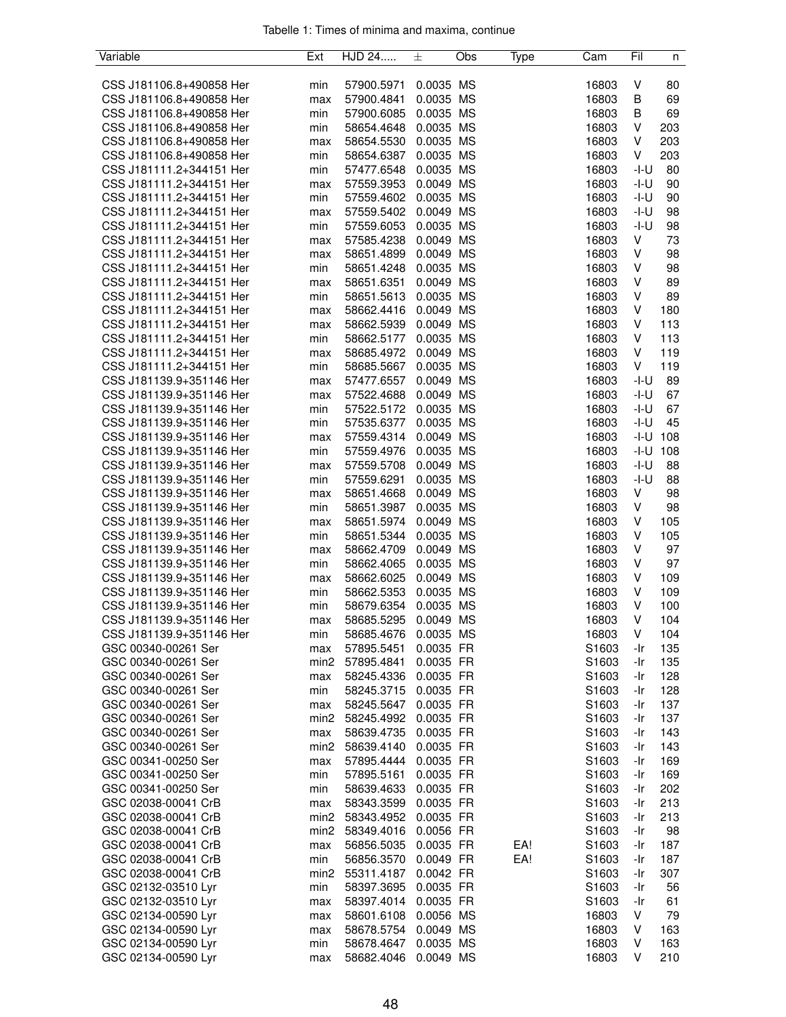|  |  |  | Tabelle 1: Times of minima and maxima, continue |  |
|--|--|--|-------------------------------------------------|--|
|  |  |  |                                                 |  |

| Variable                                             | Ext              | HJD 24                   | 土         | Obs | Type | Cam               | Fil    | n   |
|------------------------------------------------------|------------------|--------------------------|-----------|-----|------|-------------------|--------|-----|
|                                                      |                  |                          |           |     |      |                   |        |     |
| CSS J181106.8+490858 Her                             | min              | 57900.5971               | 0.0035 MS |     |      | 16803             | V      | 80  |
| CSS J181106.8+490858 Her                             | max              | 57900.4841               | 0.0035 MS |     |      | 16803             | B      | 69  |
| CSS J181106.8+490858 Her                             | min              | 57900.6085               | 0.0035 MS |     |      | 16803             | В      | 69  |
| CSS J181106.8+490858 Her                             | min              | 58654.4648               | 0.0035 MS |     |      | 16803             | V      | 203 |
| CSS J181106.8+490858 Her                             | max              | 58654.5530               | 0.0035 MS |     |      | 16803             | V      | 203 |
| CSS J181106.8+490858 Her                             | min              | 58654.6387               | 0.0035 MS |     |      | 16803             | V      | 203 |
| CSS J181111.2+344151 Her                             | min              | 57477.6548               | 0.0035 MS |     |      | 16803             | -I-U   | 80  |
| CSS J181111.2+344151 Her                             | max              | 57559.3953               | 0.0049 MS |     |      | 16803             | $-I-U$ | 90  |
| CSS J181111.2+344151 Her                             | min              | 57559.4602               | 0.0035 MS |     |      | 16803             | -I-U   | 90  |
| CSS J181111.2+344151 Her                             | max              | 57559.5402               | 0.0049 MS |     |      | 16803             | $-I-U$ | 98  |
| CSS J181111.2+344151 Her                             | min              | 57559.6053               | 0.0035 MS |     |      | 16803             | $-I-U$ | 98  |
| CSS J181111.2+344151 Her                             |                  |                          | 0.0049 MS |     |      | 16803             | V      | 73  |
|                                                      | max              | 57585.4238               |           |     |      |                   |        |     |
| CSS J181111.2+344151 Her                             | max              | 58651.4899               | 0.0049 MS |     |      | 16803             | V      | 98  |
| CSS J181111.2+344151 Her                             | min              | 58651.4248               | 0.0035 MS |     |      | 16803             | V      | 98  |
| CSS J181111.2+344151 Her                             | max              | 58651.6351               | 0.0049 MS |     |      | 16803             | V      | 89  |
| CSS J181111.2+344151 Her                             | min              | 58651.5613               | 0.0035 MS |     |      | 16803             | V      | 89  |
| CSS J181111.2+344151 Her                             | max              | 58662.4416               | 0.0049 MS |     |      | 16803             | V      | 180 |
| CSS J181111.2+344151 Her                             | max              | 58662.5939               | 0.0049 MS |     |      | 16803             | V      | 113 |
| CSS J181111.2+344151 Her                             | min              | 58662.5177               | 0.0035 MS |     |      | 16803             | V      | 113 |
| CSS J181111.2+344151 Her                             | max              | 58685.4972               | 0.0049 MS |     |      | 16803             | V      | 119 |
| CSS J181111.2+344151 Her                             | min              | 58685.5667               | 0.0035 MS |     |      | 16803             | V      | 119 |
| CSS J181139.9+351146 Her                             | max              | 57477.6557               | 0.0049 MS |     |      | 16803             | -I-U   | 89  |
| CSS J181139.9+351146 Her                             | max              | 57522.4688               | 0.0049 MS |     |      | 16803             | -I-U   | 67  |
| CSS J181139.9+351146 Her                             | min              | 57522.5172               | 0.0035 MS |     |      | 16803             | -I-U   | 67  |
| CSS J181139.9+351146 Her                             | min              | 57535.6377               | 0.0035 MS |     |      | 16803             | -I-U   | 45  |
| CSS J181139.9+351146 Her                             | max              | 57559.4314               | 0.0049 MS |     |      | 16803             | -I-U   | 108 |
| CSS J181139.9+351146 Her                             | min              | 57559.4976               | 0.0035 MS |     |      | 16803             | -I-U   | 108 |
| CSS J181139.9+351146 Her                             | max              | 57559.5708               | 0.0049 MS |     |      | 16803             | -I-U   | 88  |
| CSS J181139.9+351146 Her                             | min              | 57559.6291               | 0.0035 MS |     |      | 16803             | -I-U   | 88  |
| CSS J181139.9+351146 Her                             | max              | 58651.4668               | 0.0049 MS |     |      | 16803             | V      | 98  |
| CSS J181139.9+351146 Her                             | min              | 58651.3987               | 0.0035 MS |     |      | 16803             | V      | 98  |
| CSS J181139.9+351146 Her                             | max              | 58651.5974               | 0.0049 MS |     |      | 16803             | V      | 105 |
| CSS J181139.9+351146 Her                             | min              | 58651.5344               | 0.0035 MS |     |      | 16803             | V      | 105 |
| CSS J181139.9+351146 Her                             | max              | 58662.4709               | 0.0049 MS |     |      | 16803             | V      | 97  |
| CSS J181139.9+351146 Her                             | min              | 58662.4065               | 0.0035 MS |     |      | 16803             | V      | 97  |
| CSS J181139.9+351146 Her                             | max              | 58662.6025               | 0.0049 MS |     |      | 16803             | V      | 109 |
| CSS J181139.9+351146 Her                             | min              | 58662.5353               | 0.0035 MS |     |      | 16803             | V      | 109 |
| CSS J181139.9+351146 Her                             | min              | 58679.6354               | 0.0035 MS |     |      | 16803             | V      | 100 |
|                                                      |                  |                          | 0.0049 MS |     |      | 16803             | V      | 104 |
| CSS J181139.9+351146 Her<br>CSS J181139.9+351146 Her | max              | 58685.5295<br>58685.4676 |           |     |      | 16803             | V      | 104 |
|                                                      | min              |                          | 0.0035 MS |     |      |                   |        |     |
| GSC 00340-00261 Ser                                  | max              | 57895.5451               | 0.0035 FR |     |      | S1603             | -Ir    | 135 |
| GSC 00340-00261 Ser                                  | min <sub>2</sub> | 57895.4841               | 0.0035 FR |     |      | S1603             | -Ir    | 135 |
| GSC 00340-00261 Ser                                  | max              | 58245.4336               | 0.0035 FR |     |      | S1603             | -Ir    | 128 |
| GSC 00340-00261 Ser                                  | min              | 58245.3715               | 0.0035 FR |     |      | S1603             | -Ir    | 128 |
| GSC 00340-00261 Ser                                  | max              | 58245.5647               | 0.0035 FR |     |      | S1603             | -Ir    | 137 |
| GSC 00340-00261 Ser                                  | min <sub>2</sub> | 58245.4992               | 0.0035 FR |     |      | S1603             | -Ir    | 137 |
| GSC 00340-00261 Ser                                  | max              | 58639.4735               | 0.0035 FR |     |      | S <sub>1603</sub> | -Ir    | 143 |
| GSC 00340-00261 Ser                                  | min <sub>2</sub> | 58639.4140               | 0.0035 FR |     |      | S1603             | -Ir    | 143 |
| GSC 00341-00250 Ser                                  | max              | 57895.4444               | 0.0035 FR |     |      | S1603             | -Ir    | 169 |
| GSC 00341-00250 Ser                                  | min              | 57895.5161               | 0.0035 FR |     |      | S1603             | -Ir    | 169 |
| GSC 00341-00250 Ser                                  | min              | 58639.4633               | 0.0035 FR |     |      | S1603             | -Ir    | 202 |
| GSC 02038-00041 CrB                                  | max              | 58343.3599               | 0.0035 FR |     |      | S <sub>1603</sub> | -Ir    | 213 |
| GSC 02038-00041 CrB                                  | min <sub>2</sub> | 58343.4952               | 0.0035 FR |     |      | S1603             | -Ir    | 213 |
| GSC 02038-00041 CrB                                  | min <sub>2</sub> | 58349.4016               | 0.0056 FR |     |      | S1603             | -Ir    | 98  |
| GSC 02038-00041 CrB                                  | max              | 56856.5035               | 0.0035 FR |     | EA!  | S <sub>1603</sub> | -Ir    | 187 |
| GSC 02038-00041 CrB                                  | min              | 56856.3570               | 0.0049 FR |     | EA!  | S <sub>1603</sub> | -Ir    | 187 |
| GSC 02038-00041 CrB                                  | min <sub>2</sub> | 55311.4187               | 0.0042 FR |     |      | S1603             | -Ir    | 307 |
| GSC 02132-03510 Lyr                                  | min              | 58397.3695               | 0.0035 FR |     |      | S1603             | -Ir    | 56  |
| GSC 02132-03510 Lyr                                  | max              | 58397.4014               | 0.0035 FR |     |      | S <sub>1603</sub> | -Ir    | 61  |
| GSC 02134-00590 Lyr                                  | max              | 58601.6108               | 0.0056 MS |     |      | 16803             | V      | 79  |
| GSC 02134-00590 Lyr                                  | max              | 58678.5754               | 0.0049 MS |     |      | 16803             | V      | 163 |
| GSC 02134-00590 Lyr                                  | min              | 58678.4647               | 0.0035 MS |     |      | 16803             | V      | 163 |
| GSC 02134-00590 Lyr                                  | max              | 58682.4046               | 0.0049 MS |     |      | 16803             | V      | 210 |
|                                                      |                  |                          |           |     |      |                   |        |     |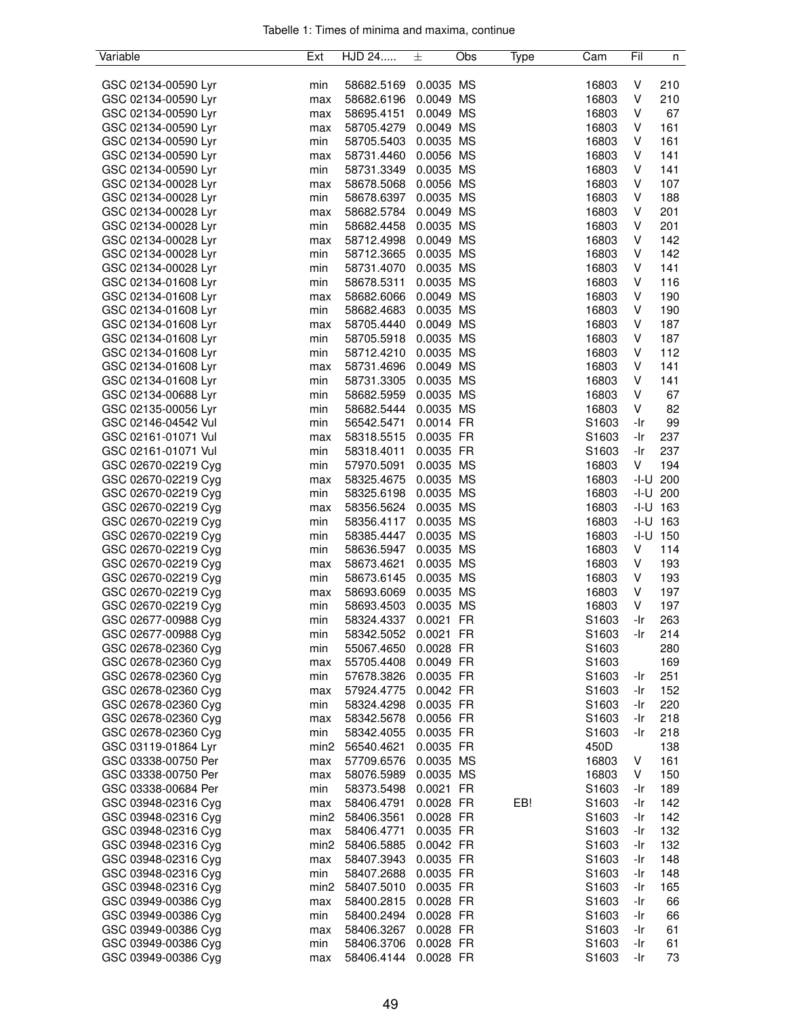| Variable            | Ext              | HJD 24     | 士           | Obs | Type | Cam               | Fil     | n            |
|---------------------|------------------|------------|-------------|-----|------|-------------------|---------|--------------|
|                     |                  |            |             |     |      |                   |         |              |
| GSC 02134-00590 Lyr | min              | 58682.5169 | 0.0035 MS   |     |      | 16803             | V       | 210          |
| GSC 02134-00590 Lyr | max              | 58682.6196 | 0.0049 MS   |     |      | 16803             | V       | 210          |
| GSC 02134-00590 Lyr | max              | 58695.4151 | 0.0049 MS   |     |      | 16803             | V       | 67           |
| GSC 02134-00590 Lyr | max              | 58705.4279 | 0.0049 MS   |     |      | 16803             | V       | 161          |
| GSC 02134-00590 Lyr | min              | 58705.5403 | 0.0035 MS   |     |      | 16803             | V       | 161          |
| GSC 02134-00590 Lyr | max              | 58731.4460 | 0.0056 MS   |     |      | 16803             | V       | 141          |
| GSC 02134-00590 Lyr | min              | 58731.3349 | 0.0035 MS   |     |      | 16803             | V       | 141          |
| GSC 02134-00028 Lyr | max              | 58678.5068 | 0.0056 MS   |     |      | 16803             | V       | 107          |
| GSC 02134-00028 Lyr |                  |            | 0.0035 MS   |     |      |                   | V       | 188          |
|                     | min              | 58678.6397 |             |     |      | 16803             |         |              |
| GSC 02134-00028 Lyr | max              | 58682.5784 | 0.0049 MS   |     |      | 16803             | $\sf V$ | 201          |
| GSC 02134-00028 Lyr | min              | 58682.4458 | 0.0035 MS   |     |      | 16803             | V       | 201          |
| GSC 02134-00028 Lyr | max              | 58712.4998 | 0.0049 MS   |     |      | 16803             | V       | 142          |
| GSC 02134-00028 Lyr | min              | 58712.3665 | 0.0035 MS   |     |      | 16803             | V       | 142          |
| GSC 02134-00028 Lyr | min              | 58731.4070 | 0.0035 MS   |     |      | 16803             | V       | 141          |
| GSC 02134-01608 Lyr | min              | 58678.5311 | 0.0035 MS   |     |      | 16803             | V       | 116          |
| GSC 02134-01608 Lyr | max              | 58682.6066 | 0.0049 MS   |     |      | 16803             | V       | 190          |
| GSC 02134-01608 Lyr | min              | 58682.4683 | 0.0035 MS   |     |      | 16803             | V       | 190          |
| GSC 02134-01608 Lyr | max              | 58705.4440 | 0.0049 MS   |     |      | 16803             | V       | 187          |
| GSC 02134-01608 Lyr | min              | 58705.5918 | 0.0035 MS   |     |      | 16803             | V       | 187          |
| GSC 02134-01608 Lyr | min              | 58712.4210 | 0.0035 MS   |     |      | 16803             | V       | 112          |
| GSC 02134-01608 Lyr | max              | 58731.4696 | 0.0049 MS   |     |      | 16803             | V       | 141          |
| GSC 02134-01608 Lyr | min              | 58731.3305 | 0.0035 MS   |     |      | 16803             | V       | 141          |
| GSC 02134-00688 Lyr | min              | 58682.5959 | 0.0035 MS   |     |      | 16803             | V       | 67           |
| GSC 02135-00056 Lyr | min              | 58682.5444 | 0.0035 MS   |     |      | 16803             | V       | 82           |
| GSC 02146-04542 Vul | min              | 56542.5471 | 0.0014 FR   |     |      | S1603             | -Ir     | 99           |
| GSC 02161-01071 Vul | max              | 58318.5515 | 0.0035 FR   |     |      | S1603             | -Ir     | 237          |
| GSC 02161-01071 Vul | min              | 58318.4011 | 0.0035 FR   |     |      | S1603             | -Ir     | 237          |
| GSC 02670-02219 Cyg | min              | 57970.5091 | 0.0035 MS   |     |      | 16803             | V       | 194          |
| GSC 02670-02219 Cyg | max              | 58325.4675 | 0.0035 MS   |     |      | 16803             |         | $-I-U$ 200   |
| GSC 02670-02219 Cyg | min              | 58325.6198 | 0.0035 MS   |     |      | 16803             |         | $-1 - U$ 200 |
| GSC 02670-02219 Cyg | max              | 58356.5624 | 0.0035 MS   |     |      | 16803             |         | $-1 - U$ 163 |
| GSC 02670-02219 Cyg | min              | 58356.4117 | 0.0035 MS   |     |      | 16803             |         | $-1 - U$ 163 |
| GSC 02670-02219 Cyg | min              | 58385.4447 | 0.0035 MS   |     |      | 16803             |         | $-1 - U$ 150 |
| GSC 02670-02219 Cyg | min              | 58636.5947 | 0.0035 MS   |     |      | 16803             | V       | 114          |
| GSC 02670-02219 Cyg |                  |            | 0.0035 MS   |     |      |                   | V       | 193          |
|                     | max              | 58673.4621 |             |     |      | 16803             | V       |              |
| GSC 02670-02219 Cyg | min              | 58673.6145 | 0.0035 MS   |     |      | 16803             |         | 193          |
| GSC 02670-02219 Cyg | max              | 58693.6069 | 0.0035 MS   |     |      | 16803             | V       | 197          |
| GSC 02670-02219 Cyg | min              | 58693.4503 | 0.0035 MS   |     |      | 16803             | $\sf V$ | 197          |
| GSC 02677-00988 Cyg | min              | 58324.4337 | 0.0021 FR   |     |      | S <sub>1603</sub> | -Ir     | 263          |
| GSC 02677-00988 Cyg | min              | 58342.5052 | $0.0021$ FR |     |      | S1603             | -Ir     | 214          |
| GSC 02678-02360 Cyg | min              | 55067.4650 | 0.0028 FR   |     |      | S1603             |         | 280          |
| GSC 02678-02360 Cyg | max              | 55705.4408 | 0.0049 FR   |     |      | S1603             |         | 169          |
| GSC 02678-02360 Cyg | min              | 57678.3826 | 0.0035 FR   |     |      | S <sub>1603</sub> | -Ir     | 251          |
| GSC 02678-02360 Cyg | max              | 57924.4775 | 0.0042 FR   |     |      | S1603             | -Ir     | 152          |
| GSC 02678-02360 Cyg | min              | 58324.4298 | 0.0035 FR   |     |      | S <sub>1603</sub> | -Ir     | 220          |
| GSC 02678-02360 Cyg | max              | 58342.5678 | 0.0056 FR   |     |      | S1603             | -Ir     | 218          |
| GSC 02678-02360 Cyg | min              | 58342.4055 | 0.0035 FR   |     |      | S1603             | -Ir     | 218          |
| GSC 03119-01864 Lyr | min <sub>2</sub> | 56540.4621 | 0.0035 FR   |     |      | 450D              |         | 138          |
| GSC 03338-00750 Per | max              | 57709.6576 | 0.0035 MS   |     |      | 16803             | V       | 161          |
| GSC 03338-00750 Per | max              | 58076.5989 | 0.0035 MS   |     |      | 16803             | V       | 150          |
| GSC 03338-00684 Per | min              | 58373.5498 | 0.0021 FR   |     |      | S <sub>1603</sub> | -Ir     | 189          |
| GSC 03948-02316 Cyg | max              | 58406.4791 | 0.0028 FR   |     | EB!  | S <sub>1603</sub> | -Ir     | 142          |
| GSC 03948-02316 Cyg | min <sub>2</sub> | 58406.3561 | 0.0028 FR   |     |      | S1603             | -Ir     | 142          |
| GSC 03948-02316 Cyg | max              | 58406.4771 | 0.0035 FR   |     |      | S1603             | -Ir     | 132          |
| GSC 03948-02316 Cyg | min <sub>2</sub> | 58406.5885 | 0.0042 FR   |     |      | S1603             | -Ir     | 132          |
| GSC 03948-02316 Cyg | max              | 58407.3943 | 0.0035 FR   |     |      | S1603             | -Ir     | 148          |
| GSC 03948-02316 Cyg | min              | 58407.2688 | 0.0035 FR   |     |      | S1603             | -Ir     | 148          |
| GSC 03948-02316 Cyg | min <sub>2</sub> | 58407.5010 | 0.0035 FR   |     |      | S1603             | -Ir     | 165          |
| GSC 03949-00386 Cyg | max              | 58400.2815 | 0.0028 FR   |     |      | S1603             | -Ir     | 66           |
| GSC 03949-00386 Cyg | min              | 58400.2494 | 0.0028 FR   |     |      | S1603             | -Ir     | 66           |
| GSC 03949-00386 Cyg | max              | 58406.3267 | 0.0028 FR   |     |      | S1603             | -Ir     | 61           |
| GSC 03949-00386 Cyg | min              | 58406.3706 | 0.0028 FR   |     |      | S1603             | -Ir     | 61           |
| GSC 03949-00386 Cyg | max              | 58406.4144 | 0.0028 FR   |     |      | S1603             | -Ir     | 73           |
|                     |                  |            |             |     |      |                   |         |              |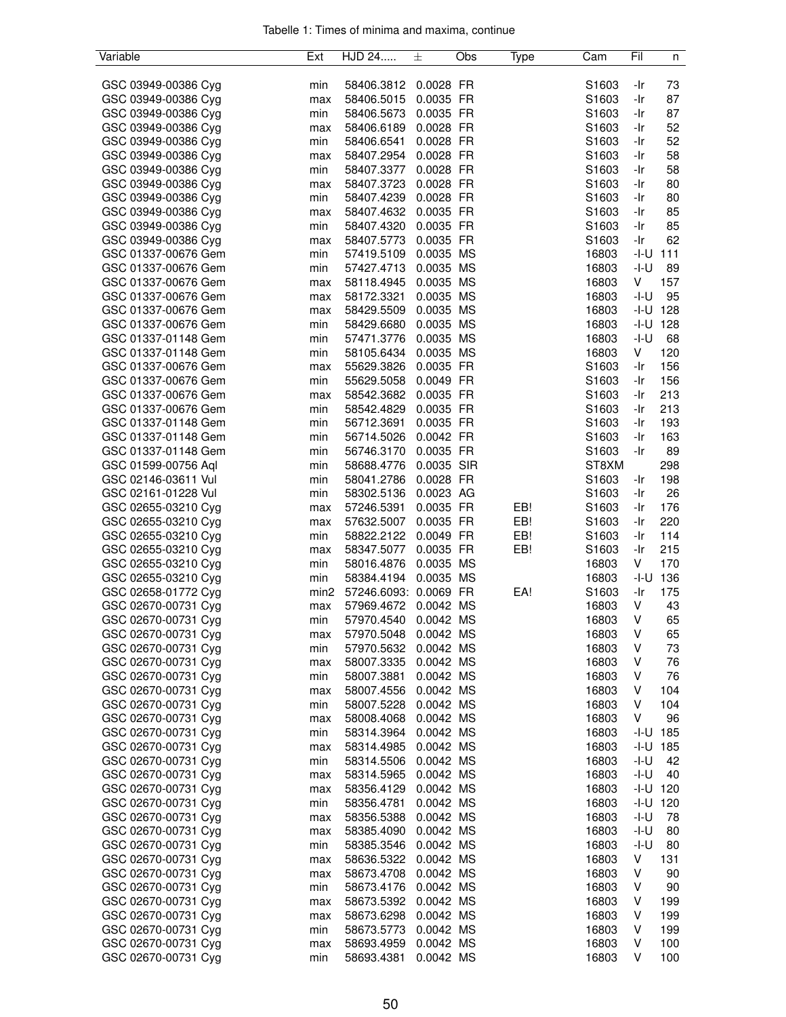| Variable            | Ext              | HJD 24                | 士          | Obs | Type | Cam   | Fil    | n            |
|---------------------|------------------|-----------------------|------------|-----|------|-------|--------|--------------|
|                     |                  |                       |            |     |      |       |        |              |
| GSC 03949-00386 Cyg | min              | 58406.3812            | 0.0028 FR  |     |      | S1603 | -Ir    | 73           |
| GSC 03949-00386 Cyg | max              | 58406.5015            | 0.0035 FR  |     |      | S1603 | -Ir    | 87           |
| GSC 03949-00386 Cyg | min              | 58406.5673            | 0.0035 FR  |     |      | S1603 | -Ir    | 87           |
| GSC 03949-00386 Cyg | max              | 58406.6189            | 0.0028 FR  |     |      | S1603 | -Ir    | 52           |
| GSC 03949-00386 Cyg | min              | 58406.6541            | 0.0028 FR  |     |      | S1603 | -Ir    | 52           |
| GSC 03949-00386 Cyg | max              | 58407.2954            | 0.0028 FR  |     |      | S1603 | -Ir    | 58           |
| GSC 03949-00386 Cyg | min              | 58407.3377            | 0.0028 FR  |     |      | S1603 | -Ir    | 58           |
| GSC 03949-00386 Cyg | max              | 58407.3723            | 0.0028 FR  |     |      | S1603 | -Ir    | 80           |
| GSC 03949-00386 Cyg | min              | 58407.4239            | 0.0028 FR  |     |      | S1603 | -Ir    | 80           |
| GSC 03949-00386 Cyg | max              | 58407.4632            | 0.0035 FR  |     |      | S1603 | -Ir    | 85           |
| GSC 03949-00386 Cyg | min              | 58407.4320            | 0.0035 FR  |     |      | S1603 | -Ir    | 85           |
| GSC 03949-00386 Cyg | max              | 58407.5773            | 0.0035 FR  |     |      | S1603 | -Ir    | 62           |
| GSC 01337-00676 Gem | min              | 57419.5109            | 0.0035 MS  |     |      | 16803 | -I-U   | 111          |
| GSC 01337-00676 Gem | min              | 57427.4713            | 0.0035 MS  |     |      | 16803 | $-I-U$ | 89           |
| GSC 01337-00676 Gem | max              | 58118.4945            | 0.0035 MS  |     |      | 16803 | V      | 157          |
| GSC 01337-00676 Gem | max              | 58172.3321            | 0.0035 MS  |     |      | 16803 | $-I-U$ | 95           |
| GSC 01337-00676 Gem | max              | 58429.5509            | 0.0035 MS  |     |      | 16803 | -I-U   | 128          |
| GSC 01337-00676 Gem | min              | 58429.6680            | 0.0035 MS  |     |      | 16803 | -I-U   | 128          |
| GSC 01337-01148 Gem | min              | 57471.3776            | 0.0035 MS  |     |      | 16803 | $-I-U$ | 68           |
| GSC 01337-01148 Gem | min              | 58105.6434            | 0.0035 MS  |     |      | 16803 | V      | 120          |
| GSC 01337-00676 Gem | max              | 55629.3826            | 0.0035 FR  |     |      | S1603 | -Ir    | 156          |
| GSC 01337-00676 Gem | min              | 55629.5058            | 0.0049 FR  |     |      | S1603 | -Ir    | 156          |
| GSC 01337-00676 Gem |                  |                       | 0.0035 FR  |     |      | S1603 | -Ir    | 213          |
| GSC 01337-00676 Gem | max              | 58542.3682            | 0.0035 FR  |     |      |       | -Ir    | 213          |
|                     | min              | 58542.4829            |            |     |      | S1603 |        |              |
| GSC 01337-01148 Gem | min              | 56712.3691            | 0.0035 FR  |     |      | S1603 | -Ir    | 193          |
| GSC 01337-01148 Gem | min              | 56714.5026            | 0.0042 FR  |     |      | S1603 | -Ir    | 163          |
| GSC 01337-01148 Gem | min              | 56746.3170            | 0.0035 FR  |     |      | S1603 | -Ir    | 89           |
| GSC 01599-00756 Aql | min              | 58688.4776            | 0.0035 SIR |     |      | ST8XM |        | 298          |
| GSC 02146-03611 Vul | min              | 58041.2786            | 0.0028 FR  |     |      | S1603 | -Ir    | 198          |
| GSC 02161-01228 Vul | min              | 58302.5136            | 0.0023 AG  |     |      | S1603 | -Ir    | 26           |
| GSC 02655-03210 Cyg | max              | 57246.5391            | 0.0035 FR  |     | EB!  | S1603 | -Ir    | 176          |
| GSC 02655-03210 Cyg | max              | 57632.5007            | 0.0035 FR  |     | EB!  | S1603 | -Ir    | 220          |
| GSC 02655-03210 Cyg | min              | 58822.2122            | 0.0049 FR  |     | EB!  | S1603 | -Ir    | 114          |
| GSC 02655-03210 Cyg | max              | 58347.5077            | 0.0035 FR  |     | EB!  | S1603 | -Ir    | 215          |
| GSC 02655-03210 Cyg | min              | 58016.4876            | 0.0035 MS  |     |      | 16803 | V      | 170          |
| GSC 02655-03210 Cyg | min              | 58384.4194            | 0.0035 MS  |     |      | 16803 | -I-U   | 136          |
| GSC 02658-01772 Cyg | min <sub>2</sub> | 57246.6093: 0.0069 FR |            |     | EA!  | S1603 | -Ir    | 175          |
| GSC 02670-00731 Cyg | max              | 57969.4672            | 0.0042 MS  |     |      | 16803 | V      | 43           |
| GSC 02670-00731 Cyg | min              | 57970.4540            | 0.0042 MS  |     |      | 16803 | V      | 65           |
| GSC 02670-00731 Cyg | max              | 57970.5048            | 0.0042 MS  |     |      | 16803 | V      | 65           |
| GSC 02670-00731 Cyg | min              | 57970.5632            | 0.0042 MS  |     |      | 16803 | V      | 73           |
| GSC 02670-00731 Cyg | max              | 58007.3335            | 0.0042 MS  |     |      | 16803 | V      | 76           |
| GSC 02670-00731 Cyg | min              | 58007.3881            | 0.0042 MS  |     |      | 16803 | V      | 76           |
| GSC 02670-00731 Cyg | max              | 58007.4556            | 0.0042 MS  |     |      | 16803 | V      | 104          |
| GSC 02670-00731 Cyg | min              | 58007.5228            | 0.0042 MS  |     |      | 16803 | V      | 104          |
| GSC 02670-00731 Cyg | max              | 58008.4068            | 0.0042 MS  |     |      | 16803 | V      | 96           |
| GSC 02670-00731 Cyg | min              | 58314.3964            | 0.0042 MS  |     |      | 16803 |        | $-1 - U$ 185 |
| GSC 02670-00731 Cyg | max              | 58314.4985            | 0.0042 MS  |     |      | 16803 | -I-U   | 185          |
| GSC 02670-00731 Cyg | min              | 58314.5506            | 0.0042 MS  |     |      | 16803 | -I-U   | 42           |
| GSC 02670-00731 Cyg | max              | 58314.5965            | 0.0042 MS  |     |      | 16803 | $-I-U$ | 40           |
| GSC 02670-00731 Cyg | max              | 58356.4129            | 0.0042 MS  |     |      | 16803 | -I-U   | 120          |
| GSC 02670-00731 Cyg | min              | 58356.4781            | 0.0042 MS  |     |      | 16803 | -I-U   | 120          |
| GSC 02670-00731 Cyg | max              | 58356.5388            | 0.0042 MS  |     |      | 16803 | -I-U   | 78           |
| GSC 02670-00731 Cyg | max              | 58385.4090            | 0.0042 MS  |     |      | 16803 | -I-U   | 80           |
| GSC 02670-00731 Cyg | min              | 58385.3546            | 0.0042 MS  |     |      | 16803 | -I-U   | 80           |
| GSC 02670-00731 Cyg | max              | 58636.5322            | 0.0042 MS  |     |      | 16803 | V      | 131          |
| GSC 02670-00731 Cyg | max              | 58673.4708            | 0.0042 MS  |     |      | 16803 | V      | 90           |
| GSC 02670-00731 Cyg | min              | 58673.4176            | 0.0042 MS  |     |      | 16803 | V      | 90           |
| GSC 02670-00731 Cyg | max              | 58673.5392            | 0.0042 MS  |     |      | 16803 | V      | 199          |
| GSC 02670-00731 Cyg | max              | 58673.6298            | 0.0042 MS  |     |      | 16803 | V      | 199          |
| GSC 02670-00731 Cyg | min              | 58673.5773            | 0.0042 MS  |     |      | 16803 | V      | 199          |
| GSC 02670-00731 Cyg | max              | 58693.4959            | 0.0042 MS  |     |      | 16803 | V      | 100          |
| GSC 02670-00731 Cyg | min              | 58693.4381            | 0.0042 MS  |     |      | 16803 | V      | 100          |
|                     |                  |                       |            |     |      |       |        |              |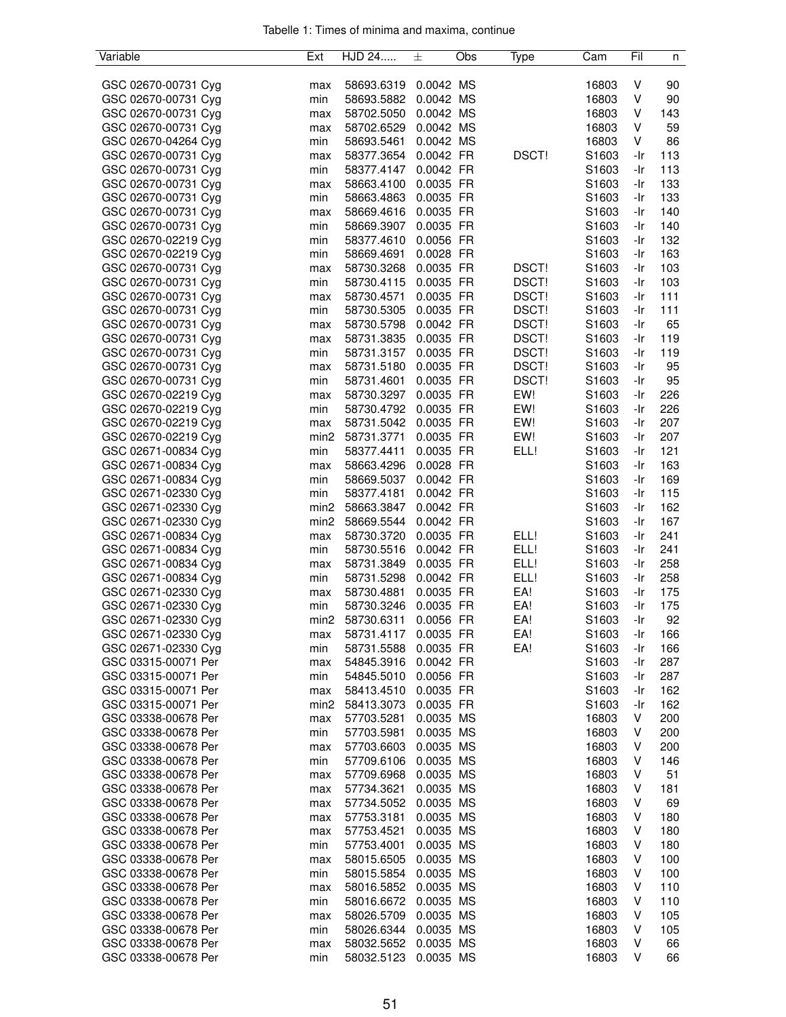| Variable            | Ext              | HJD 24     | 土         | Obs | Type         | Cam               | Fil | n   |
|---------------------|------------------|------------|-----------|-----|--------------|-------------------|-----|-----|
|                     |                  |            |           |     |              |                   |     |     |
| GSC 02670-00731 Cyg | max              | 58693.6319 | 0.0042 MS |     |              | 16803             | V   | 90  |
| GSC 02670-00731 Cyg | min              | 58693.5882 | 0.0042 MS |     |              | 16803             | V   | 90  |
| GSC 02670-00731 Cyg | max              | 58702.5050 | 0.0042 MS |     |              | 16803             | V   | 143 |
| GSC 02670-00731 Cyg | max              | 58702.6529 | 0.0042 MS |     |              | 16803             | V   | 59  |
| GSC 02670-04264 Cyg | min              | 58693.5461 | 0.0042 MS |     |              | 16803             | V   | 86  |
| GSC 02670-00731 Cyg | max              | 58377.3654 | 0.0042 FR |     | DSCT!        | S1603             | -Ir | 113 |
| GSC 02670-00731 Cyg | min              | 58377.4147 | 0.0042 FR |     |              | S1603             | -Ir | 113 |
| GSC 02670-00731 Cyg | max              | 58663.4100 | 0.0035 FR |     |              | S1603             | -Ir | 133 |
| GSC 02670-00731 Cyg | min              | 58663.4863 | 0.0035 FR |     |              | S1603             | -Ir | 133 |
| GSC 02670-00731 Cyg | max              | 58669.4616 | 0.0035 FR |     |              | S1603             | -Ir | 140 |
| GSC 02670-00731 Cyg | min              | 58669.3907 | 0.0035 FR |     |              | S1603             | -Ir | 140 |
| GSC 02670-02219 Cyg | min              | 58377.4610 | 0.0056 FR |     |              | S1603             | -Ir | 132 |
| GSC 02670-02219 Cyg | min              | 58669.4691 | 0.0028 FR |     |              | S1603             | -Ir | 163 |
| GSC 02670-00731 Cyg | max              | 58730.3268 | 0.0035 FR |     | DSCT!        | S1603             | -Ir | 103 |
| GSC 02670-00731 Cyg | min              | 58730.4115 | 0.0035 FR |     | DSCT!        | S1603             | -Ir | 103 |
| GSC 02670-00731 Cyg | max              | 58730.4571 | 0.0035 FR |     | DSCT!        | S1603             | -Ir | 111 |
| GSC 02670-00731 Cyg | min              | 58730.5305 | 0.0035 FR |     | DSCT!        | S1603             | -Ir | 111 |
| GSC 02670-00731 Cyg |                  | 58730.5798 | 0.0042 FR |     | DSCT!        | S1603             | -Ir | 65  |
|                     | max              |            |           |     |              |                   |     |     |
| GSC 02670-00731 Cyg | max              | 58731.3835 | 0.0035 FR |     | DSCT!        | S1603             | -Ir | 119 |
| GSC 02670-00731 Cyg | min              | 58731.3157 | 0.0035 FR |     | DSCT!        | S1603             | -Ir | 119 |
| GSC 02670-00731 Cyg | max              | 58731.5180 | 0.0035 FR |     | <b>DSCT!</b> | S1603             | -Ir | 95  |
| GSC 02670-00731 Cyg | min              | 58731.4601 | 0.0035 FR |     | DSCT!        | S1603             | -Ir | 95  |
| GSC 02670-02219 Cyg | max              | 58730.3297 | 0.0035 FR |     | EW!          | S1603             | -Ir | 226 |
| GSC 02670-02219 Cyg | min              | 58730.4792 | 0.0035 FR |     | EW!          | S <sub>1603</sub> | -Ir | 226 |
| GSC 02670-02219 Cyg | max              | 58731.5042 | 0.0035 FR |     | EW!          | S1603             | -Ir | 207 |
| GSC 02670-02219 Cyg | min <sub>2</sub> | 58731.3771 | 0.0035 FR |     | EW!          | S1603             | -Ir | 207 |
| GSC 02671-00834 Cyg | min              | 58377.4411 | 0.0035 FR |     | ELL!         | S1603             | -Ir | 121 |
| GSC 02671-00834 Cyg | max              | 58663.4296 | 0.0028 FR |     |              | S1603             | -Ir | 163 |
| GSC 02671-00834 Cyg | min              | 58669.5037 | 0.0042 FR |     |              | S1603             | -Ir | 169 |
| GSC 02671-02330 Cyg | min              | 58377.4181 | 0.0042 FR |     |              | S1603             | -Ir | 115 |
| GSC 02671-02330 Cyg | min <sub>2</sub> | 58663.3847 | 0.0042 FR |     |              | S1603             | -Ir | 162 |
| GSC 02671-02330 Cyg | min <sub>2</sub> | 58669.5544 | 0.0042 FR |     |              | S1603             | -Ir | 167 |
| GSC 02671-00834 Cyg | max              | 58730.3720 | 0.0035 FR |     | ELL!         | S1603             | -Ir | 241 |
| GSC 02671-00834 Cyg | min              | 58730.5516 | 0.0042 FR |     | ELL!         | S1603             | -Ir | 241 |
| GSC 02671-00834 Cyg | max              | 58731.3849 | 0.0035 FR |     | ELL!         | S1603             | -Ir | 258 |
| GSC 02671-00834 Cyg | min              | 58731.5298 | 0.0042 FR |     | ELL!         | S1603             | -Ir | 258 |
| GSC 02671-02330 Cyg | max              | 58730.4881 | 0.0035 FR |     | EA!          | S1603             | -Ir | 175 |
| GSC 02671-02330 Cyg | min              | 58730.3246 | 0.0035 FR |     | EA!          | S1603             | -Ir | 175 |
| GSC 02671-02330 Cyg | min2             | 58730.6311 | 0.0056 FR |     | EA!          | S1603             | -Ir | 92  |
| GSC 02671-02330 Cyg | max              | 58731.4117 | 0.0035 FR |     | EA!          | S1603             | -Ir | 166 |
| GSC 02671-02330 Cyg | min              | 58731.5588 | 0.0035 FR |     | EA!          | S1603             | -Ir | 166 |
| GSC 03315-00071 Per | max              | 54845.3916 | 0.0042 FR |     |              | S1603             | -Ir | 287 |
| GSC 03315-00071 Per | min              | 54845.5010 | 0.0056 FR |     |              | S1603             | -Ir | 287 |
| GSC 03315-00071 Per | max              | 58413.4510 | 0.0035 FR |     |              | S1603             | -Ir | 162 |
| GSC 03315-00071 Per | min <sub>2</sub> | 58413.3073 | 0.0035 FR |     |              | S1603             | -Ir | 162 |
|                     |                  |            |           |     |              |                   |     |     |
| GSC 03338-00678 Per | max              | 57703.5281 | 0.0035 MS |     |              | 16803             | V   | 200 |
| GSC 03338-00678 Per | min              | 57703.5981 | 0.0035 MS |     |              | 16803             | V   | 200 |
| GSC 03338-00678 Per | max              | 57703.6603 | 0.0035 MS |     |              | 16803             | V   | 200 |
| GSC 03338-00678 Per | min              | 57709.6106 | 0.0035 MS |     |              | 16803             | V   | 146 |
| GSC 03338-00678 Per | max              | 57709.6968 | 0.0035 MS |     |              | 16803             | V   | 51  |
| GSC 03338-00678 Per | max              | 57734.3621 | 0.0035 MS |     |              | 16803             | V   | 181 |
| GSC 03338-00678 Per | max              | 57734.5052 | 0.0035 MS |     |              | 16803             | V   | 69  |
| GSC 03338-00678 Per | max              | 57753.3181 | 0.0035 MS |     |              | 16803             | v   | 180 |
| GSC 03338-00678 Per | max              | 57753.4521 | 0.0035 MS |     |              | 16803             | V   | 180 |
| GSC 03338-00678 Per | min              | 57753.4001 | 0.0035 MS |     |              | 16803             | V   | 180 |
| GSC 03338-00678 Per | max              | 58015.6505 | 0.0035 MS |     |              | 16803             | V   | 100 |
| GSC 03338-00678 Per | min              | 58015.5854 | 0.0035 MS |     |              | 16803             | V   | 100 |
| GSC 03338-00678 Per | max              | 58016.5852 | 0.0035 MS |     |              | 16803             | V   | 110 |
| GSC 03338-00678 Per | min              | 58016.6672 | 0.0035 MS |     |              | 16803             | V   | 110 |
| GSC 03338-00678 Per | max              | 58026.5709 | 0.0035 MS |     |              | 16803             | V   | 105 |
| GSC 03338-00678 Per | min              | 58026.6344 | 0.0035 MS |     |              | 16803             | V   | 105 |
| GSC 03338-00678 Per | max              | 58032.5652 | 0.0035 MS |     |              | 16803             | V   | 66  |
| GSC 03338-00678 Per | min              | 58032.5123 | 0.0035 MS |     |              | 16803             | V   | 66  |
|                     |                  |            |           |     |              |                   |     |     |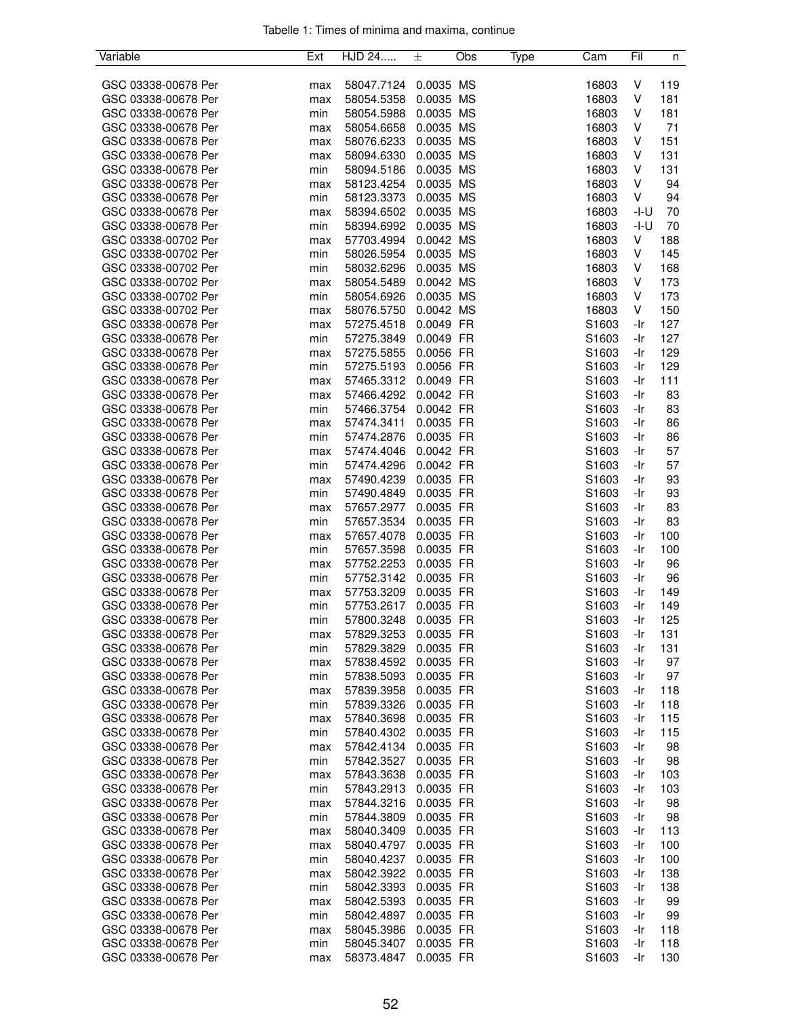| Variable            | Ext | HJD 24     | 土         | Obs | Type | Cam               | Fil    | n   |
|---------------------|-----|------------|-----------|-----|------|-------------------|--------|-----|
|                     |     |            |           |     |      |                   |        |     |
| GSC 03338-00678 Per | max | 58047.7124 | 0.0035 MS |     |      | 16803             | V      | 119 |
| GSC 03338-00678 Per | max | 58054.5358 | 0.0035 MS |     |      | 16803             | V      | 181 |
| GSC 03338-00678 Per | min | 58054.5988 | 0.0035 MS |     |      | 16803             | V      | 181 |
| GSC 03338-00678 Per | max | 58054.6658 | 0.0035 MS |     |      | 16803             | V      | 71  |
| GSC 03338-00678 Per | max | 58076.6233 | 0.0035 MS |     |      | 16803             | V      | 151 |
| GSC 03338-00678 Per | max | 58094.6330 | 0.0035 MS |     |      | 16803             | V      | 131 |
| GSC 03338-00678 Per | min | 58094.5186 | 0.0035 MS |     |      | 16803             | V      | 131 |
| GSC 03338-00678 Per | max | 58123.4254 | 0.0035 MS |     |      | 16803             | V      | 94  |
| GSC 03338-00678 Per | min | 58123.3373 | 0.0035 MS |     |      | 16803             | V      | 94  |
| GSC 03338-00678 Per | max | 58394.6502 | 0.0035 MS |     |      | 16803             | -I-U   | 70  |
| GSC 03338-00678 Per | min | 58394.6992 | 0.0035 MS |     |      | 16803             | $-I-U$ | 70  |
| GSC 03338-00702 Per | max | 57703.4994 | 0.0042 MS |     |      | 16803             | V      | 188 |
| GSC 03338-00702 Per | min | 58026.5954 | 0.0035 MS |     |      | 16803             | V      | 145 |
| GSC 03338-00702 Per | min | 58032.6296 | 0.0035 MS |     |      | 16803             | V      | 168 |
| GSC 03338-00702 Per | max | 58054.5489 | 0.0042 MS |     |      | 16803             | V      | 173 |
| GSC 03338-00702 Per | min | 58054.6926 | 0.0035 MS |     |      | 16803             | V      | 173 |
| GSC 03338-00702 Per | max | 58076.5750 | 0.0042 MS |     |      | 16803             | V      | 150 |
| GSC 03338-00678 Per | max | 57275.4518 | 0.0049 FR |     |      | S1603             | -Ir    | 127 |
| GSC 03338-00678 Per | min | 57275.3849 | 0.0049 FR |     |      | S1603             | -Ir    | 127 |
| GSC 03338-00678 Per | max | 57275.5855 | 0.0056 FR |     |      | S1603             | -Ir    | 129 |
| GSC 03338-00678 Per |     |            |           |     |      |                   | -Ir    |     |
|                     | min | 57275.5193 | 0.0056 FR |     |      | S1603             |        | 129 |
| GSC 03338-00678 Per | max | 57465.3312 | 0.0049 FR |     |      | S1603             | -Ir    | 111 |
| GSC 03338-00678 Per | max | 57466.4292 | 0.0042 FR |     |      | S1603             | -Ir    | 83  |
| GSC 03338-00678 Per | min | 57466.3754 | 0.0042 FR |     |      | S1603             | -Ir    | 83  |
| GSC 03338-00678 Per | max | 57474.3411 | 0.0035 FR |     |      | S1603             | -Ir    | 86  |
| GSC 03338-00678 Per | min | 57474.2876 | 0.0035 FR |     |      | S1603             | -Ir    | 86  |
| GSC 03338-00678 Per | max | 57474.4046 | 0.0042 FR |     |      | S1603             | -Ir    | 57  |
| GSC 03338-00678 Per | min | 57474.4296 | 0.0042 FR |     |      | S1603             | -Ir    | 57  |
| GSC 03338-00678 Per | max | 57490.4239 | 0.0035 FR |     |      | S1603             | -Ir    | 93  |
| GSC 03338-00678 Per | min | 57490.4849 | 0.0035 FR |     |      | S1603             | -Ir    | 93  |
| GSC 03338-00678 Per | max | 57657.2977 | 0.0035 FR |     |      | S1603             | -Ir    | 83  |
| GSC 03338-00678 Per | min | 57657.3534 | 0.0035 FR |     |      | S1603             | -Ir    | 83  |
| GSC 03338-00678 Per | max | 57657.4078 | 0.0035 FR |     |      | S1603             | -Ir    | 100 |
| GSC 03338-00678 Per | min | 57657.3598 | 0.0035 FR |     |      | S1603             | -Ir    | 100 |
| GSC 03338-00678 Per | max | 57752.2253 | 0.0035 FR |     |      | S1603             | -Ir    | 96  |
| GSC 03338-00678 Per | min | 57752.3142 | 0.0035 FR |     |      | S1603             | -Ir    | 96  |
| GSC 03338-00678 Per | max | 57753.3209 | 0.0035 FR |     |      | S1603             | -Ir    | 149 |
| GSC 03338-00678 Per | min | 57753.2617 | 0.0035 FR |     |      | S1603             | -Ir    | 149 |
| GSC 03338-00678 Per | min | 57800.3248 | 0.0035 FR |     |      | S1603             | -Ir    | 125 |
| GSC 03338-00678 Per | max | 57829.3253 | 0.0035 FR |     |      | S1603             | -Ir    | 131 |
| GSC 03338-00678 Per | min | 57829.3829 | 0.0035 FR |     |      | S1603             | -Ir    | 131 |
| GSC 03338-00678 Per | max | 57838.4592 | 0.0035 FR |     |      | S1603             | -Ir    | 97  |
| GSC 03338-00678 Per | min | 57838.5093 | 0.0035 FR |     |      | S1603             | -Ir    | 97  |
| GSC 03338-00678 Per | max | 57839.3958 | 0.0035 FR |     |      | S1603             | -Ir    | 118 |
| GSC 03338-00678 Per | min | 57839.3326 | 0.0035 FR |     |      | S <sub>1603</sub> | -Ir    | 118 |
| GSC 03338-00678 Per | max | 57840.3698 | 0.0035 FR |     |      | S1603             | -Ir    | 115 |
| GSC 03338-00678 Per | min | 57840.4302 | 0.0035 FR |     |      | S <sub>1603</sub> | -Ir    | 115 |
| GSC 03338-00678 Per |     | 57842.4134 | 0.0035 FR |     |      | S1603             | -Ir    | 98  |
| GSC 03338-00678 Per | max | 57842.3527 | 0.0035 FR |     |      | S1603             | -Ir    | 98  |
|                     | min |            |           |     |      |                   |        |     |
| GSC 03338-00678 Per | max | 57843.3638 | 0.0035 FR |     |      | S1603             | -Ir    | 103 |
| GSC 03338-00678 Per | min | 57843.2913 | 0.0035 FR |     |      | S1603             | -Ir    | 103 |
| GSC 03338-00678 Per | max | 57844.3216 | 0.0035 FR |     |      | S1603             | -Ir    | 98  |
| GSC 03338-00678 Per | min | 57844.3809 | 0.0035 FR |     |      | S <sub>1603</sub> | -Ir    | 98  |
| GSC 03338-00678 Per | max | 58040.3409 | 0.0035 FR |     |      | S1603             | -Ir    | 113 |
| GSC 03338-00678 Per | max | 58040.4797 | 0.0035 FR |     |      | S1603             | -Ir    | 100 |
| GSC 03338-00678 Per | min | 58040.4237 | 0.0035 FR |     |      | S <sub>1603</sub> | -Ir    | 100 |
| GSC 03338-00678 Per | max | 58042.3922 | 0.0035 FR |     |      | S1603             | -Ir    | 138 |
| GSC 03338-00678 Per | min | 58042.3393 | 0.0035 FR |     |      | S1603             | -Ir    | 138 |
| GSC 03338-00678 Per | max | 58042.5393 | 0.0035 FR |     |      | S1603             | -Ir    | 99  |
| GSC 03338-00678 Per | min | 58042.4897 | 0.0035 FR |     |      | S1603             | -Ir    | 99  |
| GSC 03338-00678 Per | max | 58045.3986 | 0.0035 FR |     |      | S1603             | -Ir    | 118 |
| GSC 03338-00678 Per | min | 58045.3407 | 0.0035 FR |     |      | S1603             | -Ir    | 118 |
| GSC 03338-00678 Per | max | 58373.4847 | 0.0035 FR |     |      | S1603             | -Ir    | 130 |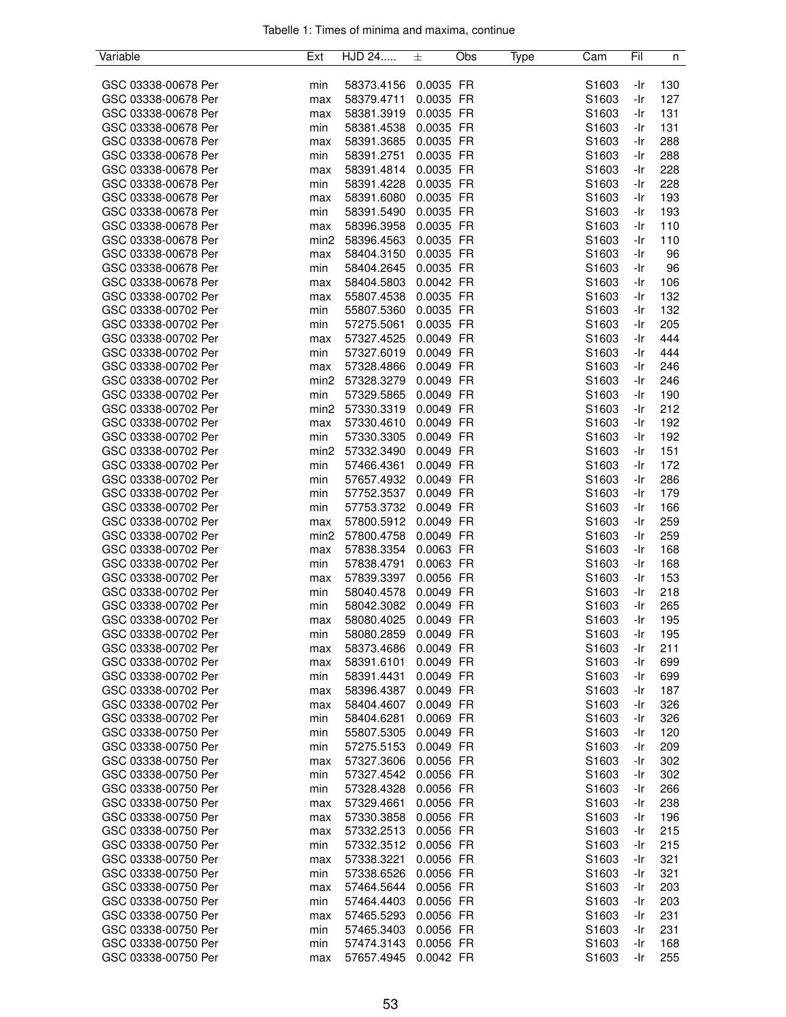| Variable            | Ext              | HJD 24                   | 土           | Obs | Type | Cam               | Fil | n   |
|---------------------|------------------|--------------------------|-------------|-----|------|-------------------|-----|-----|
|                     |                  |                          |             |     |      |                   |     |     |
| GSC 03338-00678 Per | min              | 58373.4156               | 0.0035 FR   |     |      | S1603             | -Ir | 130 |
| GSC 03338-00678 Per | max              | 58379.4711               | 0.0035 FR   |     |      | S1603             | -Ir | 127 |
| GSC 03338-00678 Per | max              | 58381.3919               | 0.0035 FR   |     |      | S1603             | -Ir | 131 |
| GSC 03338-00678 Per | min              | 58381.4538               | 0.0035 FR   |     |      | S1603             | -Ir | 131 |
| GSC 03338-00678 Per | max              | 58391.3685               | 0.0035 FR   |     |      | S1603             | -Ir | 288 |
| GSC 03338-00678 Per | min              | 58391.2751               | 0.0035 FR   |     |      | S1603             | -Ir | 288 |
| GSC 03338-00678 Per | max              | 58391.4814               | 0.0035 FR   |     |      | S1603             | -Ir | 228 |
| GSC 03338-00678 Per | min              | 58391.4228               | 0.0035 FR   |     |      | S1603             | -Ir | 228 |
| GSC 03338-00678 Per | max              | 58391.6080               | 0.0035 FR   |     |      | S1603             | -Ir | 193 |
| GSC 03338-00678 Per | min              | 58391.5490               | 0.0035 FR   |     |      | S1603             | -Ir | 193 |
| GSC 03338-00678 Per | max              | 58396.3958               | 0.0035 FR   |     |      | S1603             | -Ir | 110 |
| GSC 03338-00678 Per | min <sub>2</sub> | 58396.4563               | 0.0035 FR   |     |      | S1603             | -Ir | 110 |
| GSC 03338-00678 Per | max              | 58404.3150               | 0.0035 FR   |     |      | S1603             | -Ir | 96  |
| GSC 03338-00678 Per | min              | 58404.2645               | 0.0035 FR   |     |      | S1603             | -Ir | 96  |
| GSC 03338-00678 Per | max              | 58404.5803               | 0.0042 FR   |     |      | S1603             | -Ir | 106 |
| GSC 03338-00702 Per | max              | 55807.4538               | 0.0035 FR   |     |      | S1603             | -Ir | 132 |
| GSC 03338-00702 Per | min              | 55807.5360               | 0.0035 FR   |     |      | S1603             | -Ir | 132 |
| GSC 03338-00702 Per | min              | 57275.5061               | 0.0035 FR   |     |      | S <sub>1603</sub> | -Ir | 205 |
| GSC 03338-00702 Per | max              | 57327.4525               | 0.0049 FR   |     |      | S1603             | -Ir | 444 |
| GSC 03338-00702 Per | min              | 57327.6019               | 0.0049 FR   |     |      | S1603             | -Ir | 444 |
| GSC 03338-00702 Per | max              | 57328.4866               | 0.0049 FR   |     |      | S1603             | -Ir | 246 |
| GSC 03338-00702 Per | min <sub>2</sub> | 57328.3279               | 0.0049 FR   |     |      | S1603             | -Ir | 246 |
| GSC 03338-00702 Per | min              | 57329.5865               | 0.0049 FR   |     |      | S1603             | -Ir | 190 |
| GSC 03338-00702 Per | min <sub>2</sub> |                          | 0.0049 FR   |     |      | S1603             | -Ir | 212 |
| GSC 03338-00702 Per |                  | 57330.3319<br>57330.4610 | 0.0049 FR   |     |      | S1603             | -Ir | 192 |
|                     | max              |                          |             |     |      |                   |     |     |
| GSC 03338-00702 Per | min              | 57330.3305               | 0.0049 FR   |     |      | S1603             | -Ir | 192 |
| GSC 03338-00702 Per | min <sub>2</sub> | 57332.3490               | 0.0049 FR   |     |      | S1603             | -Ir | 151 |
| GSC 03338-00702 Per | min              | 57466.4361               | 0.0049 FR   |     |      | S1603             | -Ir | 172 |
| GSC 03338-00702 Per | min              | 57657.4932               | 0.0049 FR   |     |      | S1603             | -Ir | 286 |
| GSC 03338-00702 Per | min              | 57752.3537               | 0.0049 FR   |     |      | S1603             | -Ir | 179 |
| GSC 03338-00702 Per | min              | 57753.3732               | 0.0049 FR   |     |      | S1603             | -Ir | 166 |
| GSC 03338-00702 Per | max              | 57800.5912               | 0.0049 FR   |     |      | S1603             | -Ir | 259 |
| GSC 03338-00702 Per | min <sub>2</sub> | 57800.4758               | 0.0049 FR   |     |      | S1603             | -Ir | 259 |
| GSC 03338-00702 Per | max              | 57838.3354               | 0.0063 FR   |     |      | S1603             | -Ir | 168 |
| GSC 03338-00702 Per | min              | 57838.4791               | 0.0063 FR   |     |      | S1603             | -Ir | 168 |
| GSC 03338-00702 Per | max              | 57839.3397               | 0.0056 FR   |     |      | S1603             | -Ir | 153 |
| GSC 03338-00702 Per | min              | 58040.4578               | 0.0049 FR   |     |      | S1603             | -Ir | 218 |
| GSC 03338-00702 Per | min              | 58042.3082               | 0.0049 FR   |     |      | S1603             | -Ir | 265 |
| GSC 03338-00702 Per | max              | 58080.4025               | 0.0049 FR   |     |      | S1603             | -Ir | 195 |
| GSC 03338-00702 Per | min              | 58080.2859               | $0.0049$ FR |     |      | S1603             | -Ir | 195 |
| GSC 03338-00702 Per | max              | 58373.4686               | 0.0049 FR   |     |      | S1603             | -Ir | 211 |
| GSC 03338-00702 Per | max              | 58391.6101               | 0.0049 FR   |     |      | S1603             | -Ir | 699 |
| GSC 03338-00702 Per | min              | 58391.4431               | 0.0049 FR   |     |      | S1603             | -Ir | 699 |
| GSC 03338-00702 Per | max              | 58396.4387               | 0.0049 FR   |     |      | S1603             | -Ir | 187 |
| GSC 03338-00702 Per | max              | 58404.4607               | 0.0049 FR   |     |      | S1603             | -Ir | 326 |
| GSC 03338-00702 Per | min              | 58404.6281               | 0.0069 FR   |     |      | S1603             | -Ir | 326 |
| GSC 03338-00750 Per | min              | 55807.5305               | 0.0049 FR   |     |      | S <sub>1603</sub> | -Ir | 120 |
| GSC 03338-00750 Per | min              | 57275.5153               | 0.0049 FR   |     |      | S1603             | -Ir | 209 |
| GSC 03338-00750 Per | max              | 57327.3606               | 0.0056 FR   |     |      | S1603             | -Ir | 302 |
| GSC 03338-00750 Per | min              | 57327.4542               | 0.0056 FR   |     |      | S1603             | -Ir | 302 |
| GSC 03338-00750 Per | min              | 57328.4328               | 0.0056 FR   |     |      | S1603             | -Ir | 266 |
| GSC 03338-00750 Per | max              | 57329.4661               | 0.0056 FR   |     |      | S1603             | -Ir | 238 |
| GSC 03338-00750 Per | max              | 57330.3858               | 0.0056 FR   |     |      | S <sub>1603</sub> | -Ir | 196 |
| GSC 03338-00750 Per | max              | 57332.2513               | 0.0056 FR   |     |      | S1603             | -Ir | 215 |
| GSC 03338-00750 Per | min              | 57332.3512               | 0.0056 FR   |     |      | S1603             | -Ir | 215 |
| GSC 03338-00750 Per | max              | 57338.3221               | 0.0056 FR   |     |      | S <sub>1603</sub> | -Ir | 321 |
| GSC 03338-00750 Per | min              | 57338.6526               | 0.0056 FR   |     |      | S1603             | -Ir | 321 |
| GSC 03338-00750 Per | max              | 57464.5644               | 0.0056 FR   |     |      | S1603             | -Ir | 203 |
| GSC 03338-00750 Per | min              | 57464.4403               | 0.0056 FR   |     |      | S1603             | -Ir | 203 |
| GSC 03338-00750 Per | max              | 57465.5293               | 0.0056 FR   |     |      | S1603             | -Ir | 231 |
| GSC 03338-00750 Per | min              | 57465.3403               | 0.0056 FR   |     |      | S1603             | -Ir | 231 |
| GSC 03338-00750 Per | min              | 57474.3143               | 0.0056 FR   |     |      | S1603             | -Ir | 168 |
| GSC 03338-00750 Per | max              | 57657.4945               | 0.0042 FR   |     |      | S1603             | -Ir | 255 |
|                     |                  |                          |             |     |      |                   |     |     |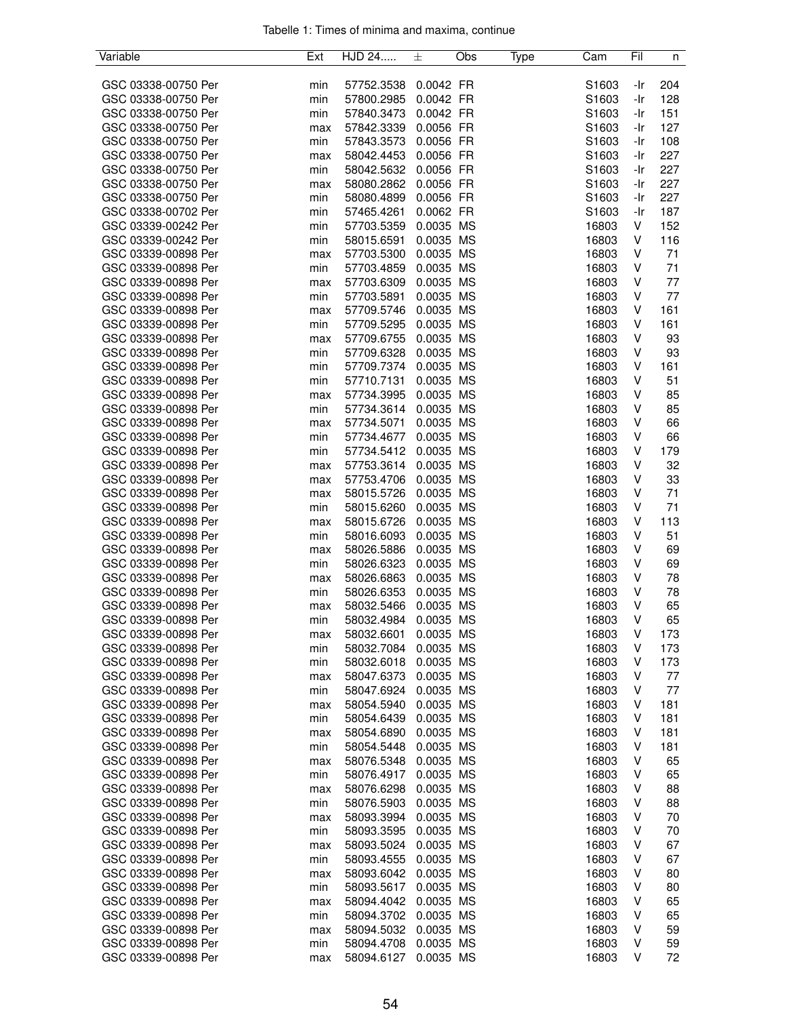| Variable            | Ext | HJD 24     | 土         | Obs | Type | Cam   | Fil | n         |
|---------------------|-----|------------|-----------|-----|------|-------|-----|-----------|
|                     |     |            |           |     |      |       |     |           |
| GSC 03338-00750 Per | min | 57752.3538 | 0.0042 FR |     |      | S1603 | -Ir | 204       |
| GSC 03338-00750 Per | min | 57800.2985 | 0.0042 FR |     |      | S1603 | -Ir | 128       |
| GSC 03338-00750 Per | min | 57840.3473 | 0.0042 FR |     |      | S1603 | -Ir | 151       |
| GSC 03338-00750 Per | max | 57842.3339 | 0.0056 FR |     |      | S1603 | -Ir | 127       |
| GSC 03338-00750 Per | min | 57843.3573 | 0.0056 FR |     |      | S1603 | -Ir | 108       |
| GSC 03338-00750 Per | max | 58042.4453 | 0.0056 FR |     |      | S1603 | -Ir | 227       |
| GSC 03338-00750 Per | min | 58042.5632 | 0.0056 FR |     |      | S1603 | -Ir | 227       |
| GSC 03338-00750 Per | max | 58080.2862 | 0.0056 FR |     |      | S1603 | -Ir | 227       |
| GSC 03338-00750 Per | min | 58080.4899 | 0.0056 FR |     |      | S1603 | -Ir | 227       |
| GSC 03338-00702 Per | min | 57465.4261 | 0.0062 FR |     |      | S1603 | -Ir | 187       |
| GSC 03339-00242 Per | min | 57703.5359 | 0.0035 MS |     |      | 16803 | V   | 152       |
| GSC 03339-00242 Per | min | 58015.6591 | 0.0035 MS |     |      | 16803 | V   | 116       |
| GSC 03339-00898 Per | max | 57703.5300 | 0.0035 MS |     |      | 16803 | V   | 71        |
| GSC 03339-00898 Per | min | 57703.4859 | 0.0035 MS |     |      | 16803 | V   | 71        |
| GSC 03339-00898 Per | max | 57703.6309 | 0.0035 MS |     |      | 16803 | V   | 77        |
| GSC 03339-00898 Per | min | 57703.5891 | 0.0035 MS |     |      | 16803 | V   | 77        |
| GSC 03339-00898 Per | max | 57709.5746 | 0.0035 MS |     |      | 16803 | V   | 161       |
| GSC 03339-00898 Per | min | 57709.5295 | 0.0035 MS |     |      |       | V   | 161       |
|                     |     |            |           |     |      | 16803 |     |           |
| GSC 03339-00898 Per | max | 57709.6755 | 0.0035 MS |     |      | 16803 | V   | 93        |
| GSC 03339-00898 Per | min | 57709.6328 | 0.0035 MS |     |      | 16803 | V   | 93        |
| GSC 03339-00898 Per | min | 57709.7374 | 0.0035 MS |     |      | 16803 | V   | 161       |
| GSC 03339-00898 Per | min | 57710.7131 | 0.0035 MS |     |      | 16803 | V   | 51        |
| GSC 03339-00898 Per | max | 57734.3995 | 0.0035 MS |     |      | 16803 | V   | 85        |
| GSC 03339-00898 Per | min | 57734.3614 | 0.0035 MS |     |      | 16803 | ٧   | 85        |
| GSC 03339-00898 Per | max | 57734.5071 | 0.0035 MS |     |      | 16803 | V   | 66        |
| GSC 03339-00898 Per | min | 57734.4677 | 0.0035 MS |     |      | 16803 | V   | 66        |
| GSC 03339-00898 Per | min | 57734.5412 | 0.0035 MS |     |      | 16803 | V   | 179       |
| GSC 03339-00898 Per | max | 57753.3614 | 0.0035 MS |     |      | 16803 | V   | 32        |
| GSC 03339-00898 Per | max | 57753.4706 | 0.0035 MS |     |      | 16803 | V   | 33        |
| GSC 03339-00898 Per | max | 58015.5726 | 0.0035 MS |     |      | 16803 | V   | 71        |
| GSC 03339-00898 Per | min | 58015.6260 | 0.0035 MS |     |      | 16803 | V   | 71        |
| GSC 03339-00898 Per | max | 58015.6726 | 0.0035 MS |     |      | 16803 | V   | 113       |
| GSC 03339-00898 Per | min | 58016.6093 | 0.0035 MS |     |      | 16803 | V   | 51        |
| GSC 03339-00898 Per | max | 58026.5886 | 0.0035 MS |     |      | 16803 | V   | 69        |
| GSC 03339-00898 Per | min | 58026.6323 | 0.0035 MS |     |      | 16803 | ٧   | 69        |
| GSC 03339-00898 Per | max | 58026.6863 | 0.0035 MS |     |      | 16803 | V   | 78        |
| GSC 03339-00898 Per | min | 58026.6353 | 0.0035 MS |     |      | 16803 | V   | 78        |
| GSC 03339-00898 Per | max | 58032.5466 | 0.0035 MS |     |      | 16803 | V   | 65        |
| GSC 03339-00898 Per | min | 58032.4984 | 0.0035 MS |     |      | 16803 | V   | 65        |
| GSC 03339-00898 Per | max | 58032.6601 | 0.0035 MS |     |      | 16803 | V   | 173       |
| GSC 03339-00898 Per | min | 58032.7084 | 0.0035 MS |     |      | 16803 | V   | 173       |
| GSC 03339-00898 Per |     | 58032.6018 | 0.0035 MS |     |      | 16803 | V   |           |
| GSC 03339-00898 Per | min | 58047.6373 |           |     |      | 16803 | V   | 173<br>77 |
|                     | max |            | 0.0035 MS |     |      |       |     |           |
| GSC 03339-00898 Per | min | 58047.6924 | 0.0035 MS |     |      | 16803 | V   | 77        |
| GSC 03339-00898 Per | max | 58054.5940 | 0.0035 MS |     |      | 16803 | V   | 181       |
| GSC 03339-00898 Per | min | 58054.6439 | 0.0035 MS |     |      | 16803 | V   | 181       |
| GSC 03339-00898 Per | max | 58054.6890 | 0.0035 MS |     |      | 16803 | V   | 181       |
| GSC 03339-00898 Per | min | 58054.5448 | 0.0035 MS |     |      | 16803 | V   | 181       |
| GSC 03339-00898 Per | max | 58076.5348 | 0.0035 MS |     |      | 16803 | V   | 65        |
| GSC 03339-00898 Per | min | 58076.4917 | 0.0035 MS |     |      | 16803 | V   | 65        |
| GSC 03339-00898 Per | max | 58076.6298 | 0.0035 MS |     |      | 16803 | V   | 88        |
| GSC 03339-00898 Per | min | 58076.5903 | 0.0035 MS |     |      | 16803 | V   | 88        |
| GSC 03339-00898 Per | max | 58093.3994 | 0.0035 MS |     |      | 16803 | ٧   | 70        |
| GSC 03339-00898 Per | min | 58093.3595 | 0.0035 MS |     |      | 16803 | V   | 70        |
| GSC 03339-00898 Per | max | 58093.5024 | 0.0035 MS |     |      | 16803 | V   | 67        |
| GSC 03339-00898 Per | min | 58093.4555 | 0.0035 MS |     |      | 16803 | V   | 67        |
| GSC 03339-00898 Per | max | 58093.6042 | 0.0035 MS |     |      | 16803 | V   | 80        |
| GSC 03339-00898 Per | min | 58093.5617 | 0.0035 MS |     |      | 16803 | V   | 80        |
| GSC 03339-00898 Per | max | 58094.4042 | 0.0035 MS |     |      | 16803 | V   | 65        |
| GSC 03339-00898 Per | min | 58094.3702 | 0.0035 MS |     |      | 16803 | V   | 65        |
| GSC 03339-00898 Per | max | 58094.5032 | 0.0035 MS |     |      | 16803 | V   | 59        |
| GSC 03339-00898 Per | min | 58094.4708 | 0.0035 MS |     |      | 16803 | V   | 59        |
| GSC 03339-00898 Per | max | 58094.6127 | 0.0035 MS |     |      | 16803 | V   | 72        |
|                     |     |            |           |     |      |       |     |           |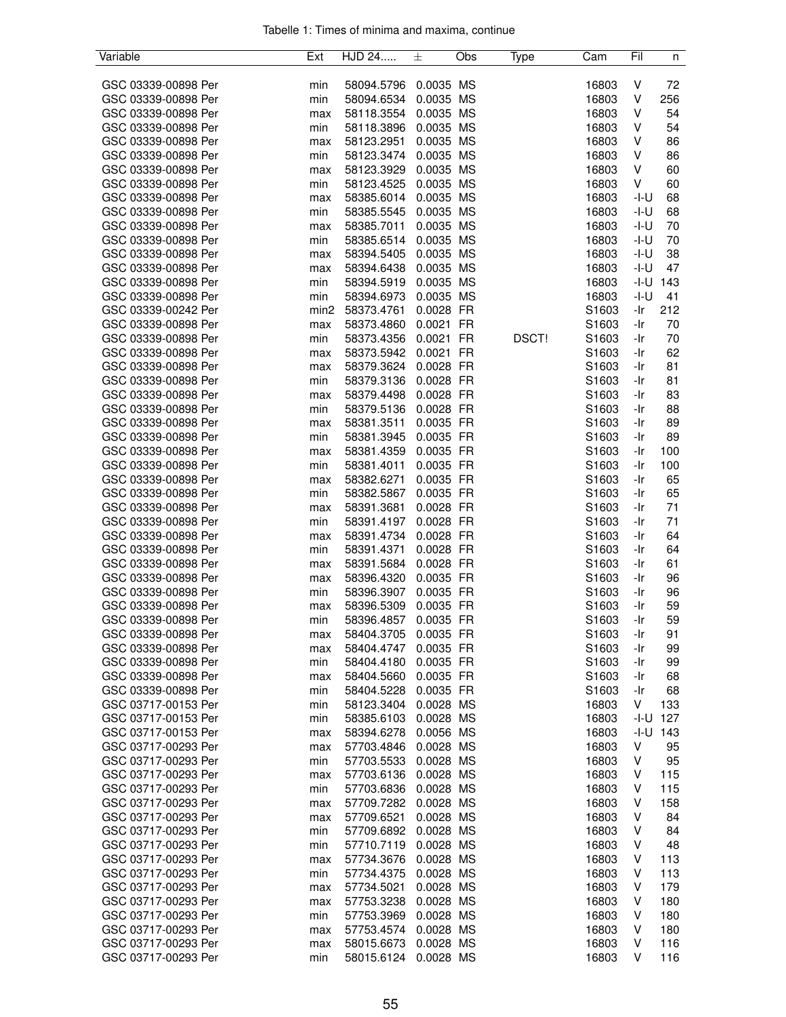| Variable            | Ext              | HJD 24     | 士         | Obs | Type         | Cam               | Fil    | n   |
|---------------------|------------------|------------|-----------|-----|--------------|-------------------|--------|-----|
|                     |                  |            |           |     |              |                   |        |     |
| GSC 03339-00898 Per | min              | 58094.5796 | 0.0035 MS |     |              | 16803             | V      | 72  |
| GSC 03339-00898 Per | min              | 58094.6534 | 0.0035 MS |     |              | 16803             | V      | 256 |
| GSC 03339-00898 Per | max              | 58118.3554 | 0.0035 MS |     |              | 16803             | V      | 54  |
| GSC 03339-00898 Per | min              | 58118.3896 | 0.0035 MS |     |              | 16803             | V      | 54  |
| GSC 03339-00898 Per | max              | 58123.2951 | 0.0035 MS |     |              | 16803             | V      | 86  |
| GSC 03339-00898 Per | min              | 58123.3474 | 0.0035 MS |     |              | 16803             | V      | 86  |
| GSC 03339-00898 Per | max              | 58123.3929 | 0.0035 MS |     |              | 16803             | V      | 60  |
| GSC 03339-00898 Per | min              | 58123.4525 | 0.0035 MS |     |              | 16803             | V      | 60  |
| GSC 03339-00898 Per |                  |            | 0.0035 MS |     |              | 16803             | -I-U   | 68  |
|                     | max              | 58385.6014 |           |     |              |                   |        |     |
| GSC 03339-00898 Per | min              | 58385.5545 | 0.0035 MS |     |              | 16803             | -I-U   | 68  |
| GSC 03339-00898 Per | max              | 58385.7011 | 0.0035 MS |     |              | 16803             | -I-U   | 70  |
| GSC 03339-00898 Per | min              | 58385.6514 | 0.0035 MS |     |              | 16803             | -I-U   | 70  |
| GSC 03339-00898 Per | max              | 58394.5405 | 0.0035 MS |     |              | 16803             | -I-U   | 38  |
| GSC 03339-00898 Per | max              | 58394.6438 | 0.0035 MS |     |              | 16803             | $-I-U$ | 47  |
| GSC 03339-00898 Per | min              | 58394.5919 | 0.0035 MS |     |              | 16803             | -I-U   | 143 |
| GSC 03339-00898 Per | min              | 58394.6973 | 0.0035 MS |     |              | 16803             | $-I-U$ | 41  |
| GSC 03339-00242 Per | min <sub>2</sub> | 58373.4761 | 0.0028 FR |     |              | S1603             | -Ir    | 212 |
| GSC 03339-00898 Per | max              | 58373.4860 | 0.0021 FR |     |              | S1603             | -Ir    | 70  |
| GSC 03339-00898 Per | min              | 58373.4356 | 0.0021 FR |     | <b>DSCT!</b> | S1603             | -Ir    | 70  |
| GSC 03339-00898 Per | max              | 58373.5942 | 0.0021 FR |     |              | S1603             | -Ir    | 62  |
| GSC 03339-00898 Per | max              | 58379.3624 | 0.0028 FR |     |              | S1603             | -Ir    | 81  |
| GSC 03339-00898 Per | min              | 58379.3136 | 0.0028 FR |     |              | S1603             | -Ir    | 81  |
| GSC 03339-00898 Per | max              | 58379.4498 | 0.0028 FR |     |              | S1603             | -Ir    | 83  |
| GSC 03339-00898 Per | min              | 58379.5136 | 0.0028 FR |     |              | S1603             | -Ir    | 88  |
| GSC 03339-00898 Per | max              | 58381.3511 | 0.0035 FR |     |              | S1603             | -Ir    | 89  |
| GSC 03339-00898 Per | min              | 58381.3945 | 0.0035 FR |     |              | S1603             | -Ir    | 89  |
| GSC 03339-00898 Per |                  | 58381.4359 | 0.0035 FR |     |              | S <sub>1603</sub> | -Ir    | 100 |
|                     | max              |            |           |     |              |                   |        |     |
| GSC 03339-00898 Per | min              | 58381.4011 | 0.0035 FR |     |              | S1603             | -Ir    | 100 |
| GSC 03339-00898 Per | max              | 58382.6271 | 0.0035 FR |     |              | S1603             | -Ir    | 65  |
| GSC 03339-00898 Per | min              | 58382.5867 | 0.0035 FR |     |              | S <sub>1603</sub> | -Ir    | 65  |
| GSC 03339-00898 Per | max              | 58391.3681 | 0.0028 FR |     |              | S1603             | -Ir    | 71  |
| GSC 03339-00898 Per | min              | 58391.4197 | 0.0028 FR |     |              | S1603             | -Ir    | 71  |
| GSC 03339-00898 Per | max              | 58391.4734 | 0.0028 FR |     |              | S1603             | -Ir    | 64  |
| GSC 03339-00898 Per | min              | 58391.4371 | 0.0028 FR |     |              | S1603             | -Ir    | 64  |
| GSC 03339-00898 Per | max              | 58391.5684 | 0.0028 FR |     |              | S1603             | -Ir    | 61  |
| GSC 03339-00898 Per | max              | 58396.4320 | 0.0035 FR |     |              | S1603             | $-$ Ir | 96  |
| GSC 03339-00898 Per | min              | 58396.3907 | 0.0035 FR |     |              | S1603             | -Ir    | 96  |
| GSC 03339-00898 Per | max              | 58396.5309 | 0.0035 FR |     |              | S1603             | -Ir    | 59  |
| GSC 03339-00898 Per | min              | 58396.4857 | 0.0035 FR |     |              | S1603             | -Ir    | 59  |
| GSC 03339-00898 Per | max              | 58404.3705 | 0.0035 FR |     |              | S1603             | -Ir    | 91  |
| GSC 03339-00898 Per | max              | 58404.4747 | 0.0035 FR |     |              | S1603             | -Ir    | 99  |
| GSC 03339-00898 Per | min              | 58404.4180 | 0.0035 FR |     |              | S <sub>1603</sub> | -Ir    | 99  |
| GSC 03339-00898 Per | max              | 58404.5660 | 0.0035 FR |     |              | S1603             | -Ir    | 68  |
| GSC 03339-00898 Per | min              | 58404.5228 | 0.0035 FR |     |              | S <sub>1603</sub> | -Ir    | 68  |
| GSC 03717-00153 Per | min              | 58123.3404 | 0.0028 MS |     |              | 16803             | V      | 133 |
| GSC 03717-00153 Per | min              | 58385.6103 | 0.0028 MS |     |              | 16803             | -I-U   | 127 |
| GSC 03717-00153 Per | max              | 58394.6278 | 0.0056 MS |     |              | 16803             | -I-U   | 143 |
| GSC 03717-00293 Per | max              | 57703.4846 | 0.0028 MS |     |              | 16803             | V      | 95  |
| GSC 03717-00293 Per | min              | 57703.5533 | 0.0028 MS |     |              | 16803             | V      | 95  |
| GSC 03717-00293 Per | max              | 57703.6136 | 0.0028 MS |     |              | 16803             | V      | 115 |
| GSC 03717-00293 Per | min              | 57703.6836 | 0.0028 MS |     |              | 16803             | V      | 115 |
| GSC 03717-00293 Per | max              | 57709.7282 | 0.0028 MS |     |              | 16803             | V      | 158 |
| GSC 03717-00293 Per | max              | 57709.6521 | 0.0028 MS |     |              | 16803             | v      | 84  |
| GSC 03717-00293 Per | min              | 57709.6892 | 0.0028 MS |     |              | 16803             | V      | 84  |
| GSC 03717-00293 Per | min              |            | 0.0028 MS |     |              | 16803             | V      | 48  |
|                     |                  | 57710.7119 |           |     |              |                   |        |     |
| GSC 03717-00293 Per | max              | 57734.3676 | 0.0028 MS |     |              | 16803             | V      | 113 |
| GSC 03717-00293 Per | min              | 57734.4375 | 0.0028 MS |     |              | 16803             | V      | 113 |
| GSC 03717-00293 Per | max              | 57734.5021 | 0.0028 MS |     |              | 16803             | V      | 179 |
| GSC 03717-00293 Per | max              | 57753.3238 | 0.0028 MS |     |              | 16803             | V      | 180 |
| GSC 03717-00293 Per | min              | 57753.3969 | 0.0028 MS |     |              | 16803             | V      | 180 |
| GSC 03717-00293 Per | max              | 57753.4574 | 0.0028 MS |     |              | 16803             | V      | 180 |
| GSC 03717-00293 Per | max              | 58015.6673 | 0.0028 MS |     |              | 16803             | V      | 116 |
| GSC 03717-00293 Per | min              | 58015.6124 | 0.0028 MS |     |              | 16803             | V      | 116 |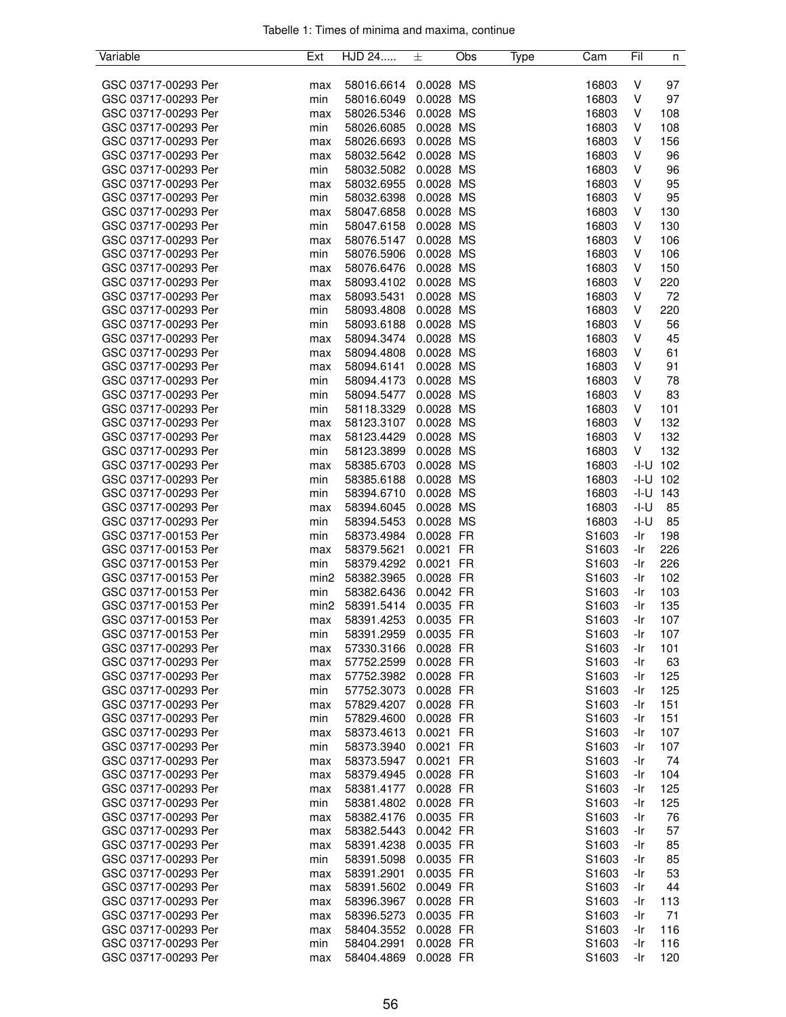| Variable            | Ext              | HJD 24     | 土         | Obs | Type | Cam               | Fil    | n          |
|---------------------|------------------|------------|-----------|-----|------|-------------------|--------|------------|
|                     |                  |            |           |     |      |                   |        |            |
| GSC 03717-00293 Per | max              | 58016.6614 | 0.0028 MS |     |      | 16803             | V      | 97         |
| GSC 03717-00293 Per | min              | 58016.6049 | 0.0028 MS |     |      | 16803             | V      | 97         |
| GSC 03717-00293 Per | max              | 58026.5346 | 0.0028 MS |     |      | 16803             | V      | 108        |
| GSC 03717-00293 Per | min              | 58026.6085 | 0.0028 MS |     |      | 16803             | V      | 108        |
| GSC 03717-00293 Per | max              | 58026.6693 | 0.0028 MS |     |      | 16803             | V      | 156        |
| GSC 03717-00293 Per | max              | 58032.5642 | 0.0028 MS |     |      | 16803             | V      | 96         |
| GSC 03717-00293 Per | min              | 58032.5082 | 0.0028 MS |     |      | 16803             | V      | 96         |
| GSC 03717-00293 Per | max              | 58032.6955 | 0.0028 MS |     |      | 16803             | V      | 95         |
| GSC 03717-00293 Per | min              | 58032.6398 | 0.0028 MS |     |      | 16803             | V      | 95         |
| GSC 03717-00293 Per | max              | 58047.6858 | 0.0028 MS |     |      | 16803             | V      | 130        |
| GSC 03717-00293 Per | min              | 58047.6158 | 0.0028 MS |     |      | 16803             | V      | 130        |
| GSC 03717-00293 Per | max              | 58076.5147 | 0.0028 MS |     |      | 16803             | V      | 106        |
| GSC 03717-00293 Per | min              | 58076.5906 | 0.0028 MS |     |      | 16803             | V      | 106        |
| GSC 03717-00293 Per | max              | 58076.6476 | 0.0028 MS |     |      | 16803             | V      | 150        |
| GSC 03717-00293 Per | max              | 58093.4102 | 0.0028 MS |     |      | 16803             | V      | 220        |
| GSC 03717-00293 Per | max              | 58093.5431 | 0.0028 MS |     |      | 16803             | V      | 72         |
| GSC 03717-00293 Per | min              | 58093.4808 | 0.0028 MS |     |      | 16803             | V      | 220        |
| GSC 03717-00293 Per | min              | 58093.6188 | 0.0028 MS |     |      | 16803             | V      | 56         |
| GSC 03717-00293 Per |                  |            |           |     |      |                   |        |            |
|                     | max              | 58094.3474 | 0.0028 MS |     |      | 16803             | V      | 45         |
| GSC 03717-00293 Per | max              | 58094.4808 | 0.0028 MS |     |      | 16803             | V      | 61         |
| GSC 03717-00293 Per | max              | 58094.6141 | 0.0028 MS |     |      | 16803             | V      | 91         |
| GSC 03717-00293 Per | min              | 58094.4173 | 0.0028 MS |     |      | 16803             | V      | 78         |
| GSC 03717-00293 Per | min              | 58094.5477 | 0.0028 MS |     |      | 16803             | V      | 83         |
| GSC 03717-00293 Per | min              | 58118.3329 | 0.0028 MS |     |      | 16803             | V      | 101        |
| GSC 03717-00293 Per | max              | 58123.3107 | 0.0028 MS |     |      | 16803             | V      | 132        |
| GSC 03717-00293 Per | max              | 58123.4429 | 0.0028 MS |     |      | 16803             | V      | 132        |
| GSC 03717-00293 Per | min              | 58123.3899 | 0.0028 MS |     |      | 16803             | V      | 132        |
| GSC 03717-00293 Per | max              | 58385.6703 | 0.0028 MS |     |      | 16803             | -I-U   | 102        |
| GSC 03717-00293 Per | min              | 58385.6188 | 0.0028 MS |     |      | 16803             | -I-U   | 102        |
| GSC 03717-00293 Per | min              | 58394.6710 | 0.0028 MS |     |      | 16803             |        | $-1-U$ 143 |
| GSC 03717-00293 Per | max              | 58394.6045 | 0.0028 MS |     |      | 16803             | $-I-U$ | 85         |
| GSC 03717-00293 Per | min              | 58394.5453 | 0.0028 MS |     |      | 16803             | $-I-U$ | 85         |
| GSC 03717-00153 Per | min              | 58373.4984 | 0.0028 FR |     |      | S1603             | -Ir    | 198        |
| GSC 03717-00153 Per | max              | 58379.5621 | 0.0021 FR |     |      | S1603             | -Ir    | 226        |
| GSC 03717-00153 Per | min              | 58379.4292 | 0.0021 FR |     |      | S1603             | -Ir    | 226        |
| GSC 03717-00153 Per | min <sub>2</sub> | 58382.3965 | 0.0028 FR |     |      | S1603             | -Ir    | 102        |
| GSC 03717-00153 Per | min              | 58382.6436 | 0.0042 FR |     |      | S1603             | -Ir    | 103        |
| GSC 03717-00153 Per | min <sub>2</sub> | 58391.5414 | 0.0035 FR |     |      | S1603             | -Ir    | 135        |
| GSC 03717-00153 Per | max              | 58391.4253 | 0.0035 FR |     |      | S1603             | -Ir    | 107        |
| GSC 03717-00153 Per | min              | 58391.2959 | 0.0035 FR |     |      | S1603             | -Ir    | 107        |
| GSC 03717-00293 Per | max              | 57330.3166 | 0.0028 FR |     |      | S1603             | -Ir    | 101        |
| GSC 03717-00293 Per | max              | 57752.2599 | 0.0028 FR |     |      | S1603             | -Ir    | 63         |
| GSC 03717-00293 Per | max              | 57752.3982 | 0.0028 FR |     |      | S1603             | -Ir    | 125        |
| GSC 03717-00293 Per | min              | 57752.3073 | 0.0028 FR |     |      | S1603             | -Ir    | 125        |
| GSC 03717-00293 Per |                  | 57829.4207 | 0.0028 FR |     |      | S1603             | -Ir    | 151        |
| GSC 03717-00293 Per | max              |            |           |     |      |                   |        |            |
|                     | min              | 57829.4600 | 0.0028 FR |     |      | S1603             | -Ir    | 151        |
| GSC 03717-00293 Per | max              | 58373.4613 | 0.0021 FR |     |      | S <sub>1603</sub> | -Ir    | 107        |
| GSC 03717-00293 Per | min              | 58373.3940 | 0.0021 FR |     |      | S1603             | -Ir    | 107        |
| GSC 03717-00293 Per | max              | 58373.5947 | 0.0021 FR |     |      | S1603             | -Ir    | 74         |
| GSC 03717-00293 Per | max              | 58379.4945 | 0.0028 FR |     |      | S1603             | -Ir    | 104        |
| GSC 03717-00293 Per | max              | 58381.4177 | 0.0028 FR |     |      | S1603             | -Ir    | 125        |
| GSC 03717-00293 Per | min              | 58381.4802 | 0.0028 FR |     |      | S1603             | -Ir    | 125        |
| GSC 03717-00293 Per | max              | 58382.4176 | 0.0035 FR |     |      | S <sub>1603</sub> | -Ir    | 76         |
| GSC 03717-00293 Per | max              | 58382.5443 | 0.0042 FR |     |      | S1603             | -Ir    | 57         |
| GSC 03717-00293 Per | max              | 58391.4238 | 0.0035 FR |     |      | S1603             | -Ir    | 85         |
| GSC 03717-00293 Per | min              | 58391.5098 | 0.0035 FR |     |      | S <sub>1603</sub> | -Ir    | 85         |
| GSC 03717-00293 Per | max              | 58391.2901 | 0.0035 FR |     |      | S1603             | -Ir    | 53         |
| GSC 03717-00293 Per | max              | 58391.5602 | 0.0049 FR |     |      | S1603             | -Ir    | 44         |
| GSC 03717-00293 Per | max              | 58396.3967 | 0.0028 FR |     |      | S1603             | -Ir    | 113        |
| GSC 03717-00293 Per | max              | 58396.5273 | 0.0035 FR |     |      | S1603             | -Ir    | 71         |
| GSC 03717-00293 Per | max              | 58404.3552 | 0.0028 FR |     |      | S1603             | -Ir    | 116        |
| GSC 03717-00293 Per | min              | 58404.2991 | 0.0028 FR |     |      | S1603             | -Ir    | 116        |
| GSC 03717-00293 Per | max              | 58404.4869 | 0.0028 FR |     |      | S1603             | -Ir    | 120        |
|                     |                  |            |           |     |      |                   |        |            |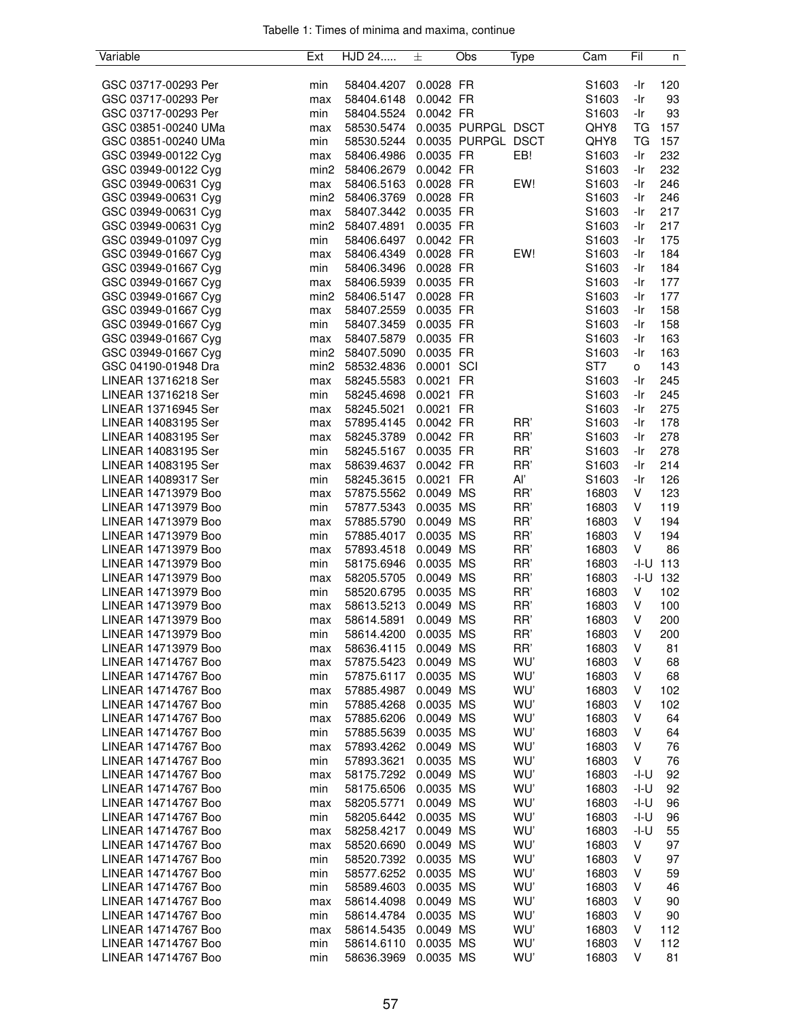| Variable            | Ext              | HJD 24     | 土          | Obs                | Type | Cam               | Fil     | n            |
|---------------------|------------------|------------|------------|--------------------|------|-------------------|---------|--------------|
|                     |                  |            |            |                    |      |                   |         |              |
| GSC 03717-00293 Per | min              | 58404.4207 | 0.0028 FR  |                    |      | S1603             | -Ir     | 120          |
| GSC 03717-00293 Per | max              | 58404.6148 | 0.0042 FR  |                    |      | S1603             | -Ir     | 93           |
| GSC 03717-00293 Per | min              | 58404.5524 | 0.0042 FR  |                    |      | S1603             | -Ir     | 93           |
| GSC 03851-00240 UMa | max              | 58530.5474 |            | 0.0035 PURPGL DSCT |      | QHY8              | TG      | 157          |
| GSC 03851-00240 UMa | min              | 58530.5244 |            | 0.0035 PURPGL DSCT |      | QHY8              | TG      | 157          |
| GSC 03949-00122 Cyg | max              | 58406.4986 | 0.0035 FR  |                    | EB!  | S1603             | -Ir     | 232          |
| GSC 03949-00122 Cyg | min <sub>2</sub> | 58406.2679 | 0.0042 FR  |                    |      | S <sub>1603</sub> | -Ir     | 232          |
| GSC 03949-00631 Cyg | max              | 58406.5163 | 0.0028 FR  |                    | EW!  | S1603             | -Ir     | 246          |
| GSC 03949-00631 Cyg | min <sub>2</sub> | 58406.3769 | 0.0028 FR  |                    |      | S1603             | -Ir     | 246          |
| GSC 03949-00631 Cyg | max              | 58407.3442 | 0.0035 FR  |                    |      | S1603             | -Ir     | 217          |
| GSC 03949-00631 Cyg | min <sub>2</sub> | 58407.4891 | 0.0035 FR  |                    |      | S1603             | -Ir     | 217          |
| GSC 03949-01097 Cyg | min              | 58406.6497 | 0.0042 FR  |                    |      | S1603             | -Ir     | 175          |
| GSC 03949-01667 Cyg | max              | 58406.4349 | 0.0028 FR  |                    | EW!  | S1603             | -Ir     | 184          |
| GSC 03949-01667 Cyg | min              | 58406.3496 | 0.0028 FR  |                    |      | S1603             | -Ir     | 184          |
| GSC 03949-01667 Cyg | max              | 58406.5939 | 0.0035 FR  |                    |      | S1603             | -Ir     | 177          |
| GSC 03949-01667 Cyg | min2             | 58406.5147 | 0.0028 FR  |                    |      | S <sub>1603</sub> | -Ir     | 177          |
| GSC 03949-01667 Cyg | max              | 58407.2559 | 0.0035 FR  |                    |      | S1603             | -Ir     | 158          |
| GSC 03949-01667 Cyg | min              | 58407.3459 | 0.0035 FR  |                    |      | S1603             | -Ir     | 158          |
| GSC 03949-01667 Cyg | max              | 58407.5879 | 0.0035 FR  |                    |      | S1603             | -Ir     | 163          |
| GSC 03949-01667 Cyg | min <sub>2</sub> | 58407.5090 | 0.0035 FR  |                    |      | S1603             | -Ir     | 163          |
| GSC 04190-01948 Dra | min <sub>2</sub> | 58532.4836 | 0.0001 SCI |                    |      | ST7               | $\circ$ | 143          |
|                     |                  |            | 0.0021 FR  |                    |      | S1603             | -Ir     | 245          |
| LINEAR 13716218 Ser | max              | 58245.5583 |            |                    |      |                   |         |              |
| LINEAR 13716218 Ser | min              | 58245.4698 | 0.0021     | <b>FR</b>          |      | S1603             | -Ir     | 245          |
| LINEAR 13716945 Ser | max              | 58245.5021 | 0.0021     | <b>FR</b>          |      | S <sub>1603</sub> | -Ir     | 275          |
| LINEAR 14083195 Ser | max              | 57895.4145 | 0.0042 FR  |                    | RR'  | S1603             | -Ir     | 178          |
| LINEAR 14083195 Ser | max              | 58245.3789 | 0.0042 FR  |                    | RR'  | S1603             | -Ir     | 278          |
| LINEAR 14083195 Ser | min              | 58245.5167 | 0.0035 FR  |                    | RR'  | S1603             | -Ir     | 278          |
| LINEAR 14083195 Ser | max              | 58639.4637 | 0.0042 FR  |                    | RR'  | S <sub>1603</sub> | -Ir     | 214          |
| LINEAR 14089317 Ser | min              | 58245.3615 | 0.0021 FR  |                    | Al'  | S <sub>1603</sub> | -Ir     | 126          |
| LINEAR 14713979 Boo | max              | 57875.5562 | 0.0049 MS  |                    | RR'  | 16803             | V       | 123          |
| LINEAR 14713979 Boo | min              | 57877.5343 | 0.0035 MS  |                    | RR'  | 16803             | V       | 119          |
| LINEAR 14713979 Boo | max              | 57885.5790 | 0.0049 MS  |                    | RR'  | 16803             | V       | 194          |
| LINEAR 14713979 Boo | min              | 57885.4017 | 0.0035 MS  |                    | RR'  | 16803             | V       | 194          |
| LINEAR 14713979 Boo | max              | 57893.4518 | 0.0049 MS  |                    | RR'  | 16803             | V       | 86           |
| LINEAR 14713979 Boo | min              | 58175.6946 | 0.0035 MS  |                    | RR'  | 16803             |         | $-1 - U$ 113 |
| LINEAR 14713979 Boo | max              | 58205.5705 | 0.0049 MS  |                    | RR'  | 16803             |         | $-1 - U$ 132 |
| LINEAR 14713979 Boo | min              | 58520.6795 | 0.0035 MS  |                    | RR'  | 16803             | V       | 102          |
| LINEAR 14713979 Boo | max              | 58613.5213 | 0.0049 MS  |                    | RR'  | 16803             | V       | 100          |
| LINEAR 14713979 Boo | max              | 58614.5891 | 0.0049 MS  |                    | RR'  | 16803             | $\vee$  | 200          |
| LINEAR 14713979 Boo | min              | 58614.4200 | 0.0035 MS  |                    | RR'  | 16803             | V       | 200          |
| LINEAR 14713979 Boo | max              | 58636.4115 | 0.0049 MS  |                    | RR'  | 16803             | V       | 81           |
| LINEAR 14714767 Boo | max              | 57875.5423 | 0.0049 MS  |                    | WU'  | 16803             | V       | 68           |
| LINEAR 14714767 Boo | min              | 57875.6117 | 0.0035 MS  |                    | WU'  | 16803             | V       | 68           |
| LINEAR 14714767 Boo | max              | 57885.4987 | 0.0049 MS  |                    | WU'  | 16803             | V       | 102          |
| LINEAR 14714767 Boo | min              | 57885.4268 | 0.0035 MS  |                    | WU'  | 16803             | V       | 102          |
| LINEAR 14714767 Boo | max              | 57885.6206 | 0.0049 MS  |                    | WU'  | 16803             | V       | 64           |
| LINEAR 14714767 Boo | min              | 57885.5639 | 0.0035 MS  |                    | WU'  | 16803             | V       | 64           |
| LINEAR 14714767 Boo | max              | 57893.4262 | 0.0049 MS  |                    | WU'  | 16803             | V       | 76           |
| LINEAR 14714767 Boo | min              | 57893.3621 | 0.0035 MS  |                    | WU'  | 16803             | V       | 76           |
| LINEAR 14714767 Boo | max              | 58175.7292 | 0.0049 MS  |                    | WU'  | 16803             | -I-U    | 92           |
| LINEAR 14714767 Boo | min              | 58175.6506 | 0.0035 MS  |                    | WU'  | 16803             | -I-U    | 92           |
| LINEAR 14714767 Boo | max              | 58205.5771 | 0.0049 MS  |                    | WU'  | 16803             | -I-U    | 96           |
| LINEAR 14714767 Boo | min              | 58205.6442 | 0.0035 MS  |                    | WU'  | 16803             | -I-U    | 96           |
| LINEAR 14714767 Boo | max              | 58258.4217 | 0.0049 MS  |                    | WU'  | 16803             | -I-U    | 55           |
| LINEAR 14714767 Boo | max              | 58520.6690 | 0.0049 MS  |                    | WU'  | 16803             | V       | 97           |
| LINEAR 14714767 Boo | min              | 58520.7392 | 0.0035 MS  |                    | WU'  | 16803             | V       | 97           |
| LINEAR 14714767 Boo |                  |            |            |                    | WU'  |                   | V       |              |
| LINEAR 14714767 Boo | min              | 58577.6252 | 0.0035 MS  |                    | WU'  | 16803             | V       | 59<br>46     |
|                     | min              | 58589.4603 | 0.0035 MS  |                    |      | 16803             | V       |              |
| LINEAR 14714767 Boo | max              | 58614.4098 | 0.0049 MS  |                    | WU'  | 16803             |         | 90           |
| LINEAR 14714767 Boo | min              | 58614.4784 | 0.0035 MS  |                    | WU'  | 16803             | V       | 90           |
| LINEAR 14714767 Boo | max              | 58614.5435 | 0.0049 MS  |                    | WU'  | 16803             | V       | 112          |
| LINEAR 14714767 Boo | min              | 58614.6110 | 0.0035 MS  |                    | WU'  | 16803             | V       | 112          |
| LINEAR 14714767 Boo | min              | 58636.3969 | 0.0035 MS  |                    | WU'  | 16803             | V       | 81           |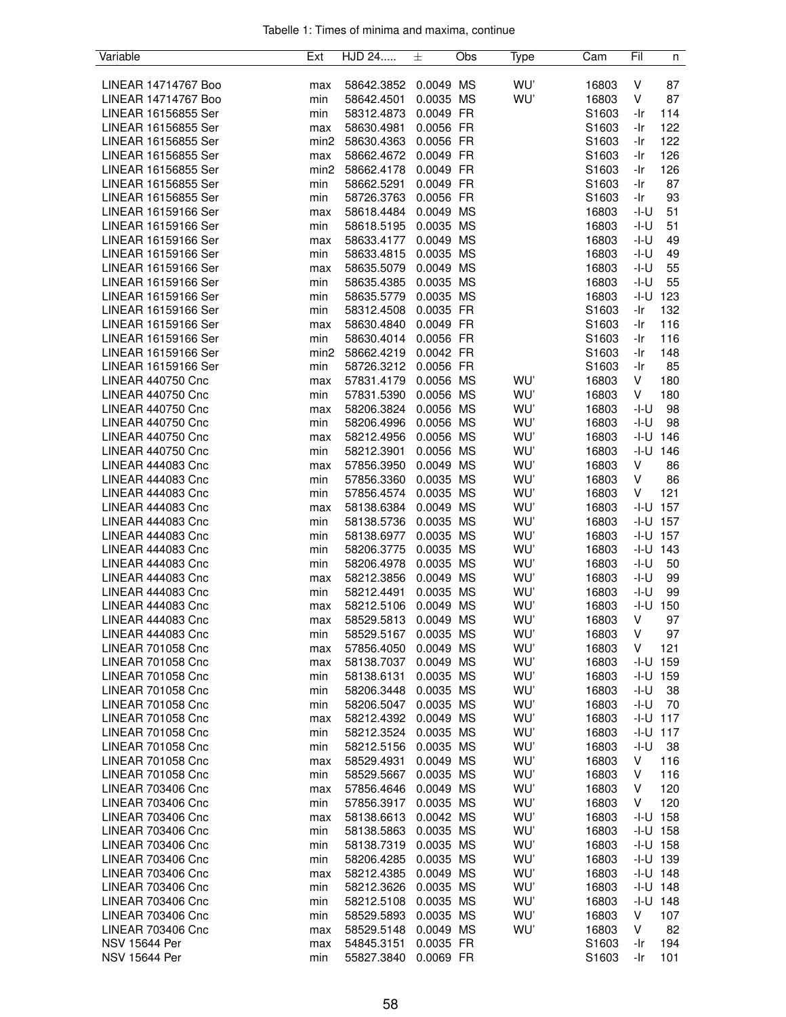| Variable                                   | Ext              | HJD 24                   | 土                      | Obs | Type | Cam               | Fil          | n            |
|--------------------------------------------|------------------|--------------------------|------------------------|-----|------|-------------------|--------------|--------------|
|                                            |                  |                          |                        |     |      |                   |              |              |
| LINEAR 14714767 Boo                        | max              | 58642.3852               | 0.0049 MS              |     | WU'  | 16803             | V            | 87           |
| LINEAR 14714767 Boo                        | min              | 58642.4501               | 0.0035 MS              |     | WU'  | 16803             | V            | 87           |
| LINEAR 16156855 Ser                        | min              | 58312.4873               | 0.0049 FR              |     |      | S1603             | -Ir          | 114          |
| LINEAR 16156855 Ser                        | max              | 58630.4981               | 0.0056 FR              |     |      | S <sub>1603</sub> | -Ir          | 122          |
| LINEAR 16156855 Ser                        | min <sub>2</sub> | 58630.4363               | 0.0056 FR              |     |      | S1603             | -Ir          | 122          |
| LINEAR 16156855 Ser                        | max              | 58662.4672               | 0.0049 FR              |     |      | S1603             | -Ir          | 126          |
| LINEAR 16156855 Ser                        | min <sub>2</sub> | 58662.4178               | 0.0049 FR              |     |      | S1603             | -Ir          | 126          |
| LINEAR 16156855 Ser                        | min              | 58662.5291               | 0.0049 FR              |     |      | S1603             | -Ir          | 87           |
| LINEAR 16156855 Ser                        | min              | 58726.3763               | 0.0056 FR              |     |      | S1603             | -Ir          | 93           |
| LINEAR 16159166 Ser<br>LINEAR 16159166 Ser | max              | 58618.4484               | 0.0049 MS              |     |      | 16803             | $-I-U$       | 51           |
| LINEAR 16159166 Ser                        | min              | 58618.5195               | 0.0035 MS<br>0.0049 MS |     |      | 16803<br>16803    | -I-U<br>-l-U | 51<br>49     |
| LINEAR 16159166 Ser                        | max<br>min       | 58633.4177<br>58633.4815 | 0.0035 MS              |     |      | 16803             | -I-U         | 49           |
| LINEAR 16159166 Ser                        | max              | 58635.5079               | 0.0049 MS              |     |      | 16803             | -I-U         | 55           |
| LINEAR 16159166 Ser                        | min              | 58635.4385               | 0.0035 MS              |     |      | 16803             | -I-U         | 55           |
| LINEAR 16159166 Ser                        | min              | 58635.5779               | 0.0035 MS              |     |      | 16803             | -I-U         | 123          |
| LINEAR 16159166 Ser                        | min              | 58312.4508               | 0.0035 FR              |     |      | S1603             | -Ir          | 132          |
| LINEAR 16159166 Ser                        | max              | 58630.4840               | 0.0049 FR              |     |      | S <sub>1603</sub> | -Ir          | 116          |
| LINEAR 16159166 Ser                        | min              | 58630.4014               | 0.0056 FR              |     |      | S1603             | -Ir          | 116          |
| LINEAR 16159166 Ser                        | min <sub>2</sub> | 58662.4219               | 0.0042 FR              |     |      | S1603             | -Ir          | 148          |
| LINEAR 16159166 Ser                        | min              | 58726.3212               | 0.0056 FR              |     |      | S1603             | -Ir          | 85           |
| <b>LINEAR 440750 Cnc</b>                   | max              | 57831.4179               | 0.0056 MS              |     | WU'  | 16803             | V            | 180          |
| LINEAR 440750 Cnc                          | min              | 57831.5390               | 0.0056 MS              |     | WU'  | 16803             | V            | 180          |
| LINEAR 440750 Cnc                          | max              | 58206.3824               | 0.0056 MS              |     | WU'  | 16803             | -I-U         | 98           |
| LINEAR 440750 Cnc                          | min              | 58206.4996               | 0.0056 MS              |     | WU'  | 16803             | -I-U         | 98           |
| <b>LINEAR 440750 Cnc</b>                   | max              | 58212.4956               | 0.0056 MS              |     | WU'  | 16803             | -I-U         | 146          |
| <b>LINEAR 440750 Cnc</b>                   | min              | 58212.3901               | 0.0056 MS              |     | WU'  | 16803             | -I-U         | 146          |
| LINEAR 444083 Cnc                          | max              | 57856.3950               | 0.0049 MS              |     | WU'  | 16803             | V            | 86           |
| LINEAR 444083 Cnc                          | min              | 57856.3360               | 0.0035 MS              |     | WU'  | 16803             | V            | 86           |
| LINEAR 444083 Cnc                          | min              | 57856.4574               | 0.0035 MS              |     | WU'  | 16803             | V            | 121          |
| LINEAR 444083 Cnc                          | max              | 58138.6384               | 0.0049 MS              |     | WU'  | 16803             | $-I-U$       | 157          |
| LINEAR 444083 Cnc                          | min              | 58138.5736               | 0.0035 MS              |     | WU'  | 16803             |              | $-1 - U$ 157 |
| LINEAR 444083 Cnc                          | min              | 58138.6977               | 0.0035 MS              |     | WU'  | 16803             |              | $-1 - U$ 157 |
| LINEAR 444083 Cnc                          | min              | 58206.3775               | 0.0035 MS              |     | WU'  | 16803             | -I-U         | 143          |
| LINEAR 444083 Cnc                          | min              | 58206.4978               | 0.0035 MS              |     | WU'  | 16803             | -I-U         | 50           |
| LINEAR 444083 Cnc                          | max              | 58212.3856               | 0.0049 MS              |     | WU'  | 16803             | -I-U         | 99           |
| LINEAR 444083 Cnc                          | min              | 58212.4491               | 0.0035 MS              |     | WU'  | 16803             | -I-U         | 99           |
| LINEAR 444083 Cnc                          | max              | 58212.5106               | 0.0049                 | MS  | WU'  | 16803             | -I-U         | 150          |
| LINEAR 444083 Cnc                          | max              | 58529.5813               | 0.0049 MS              |     | WU'  | 16803             | V            | 97           |
| LINEAR 444083 Cnc                          | min              | 58529.5167               | 0.0035 MS              |     | WU'  | 16803             | V            | 97           |
| LINEAR 701058 Cnc                          | max              | 57856.4050               | 0.0049 MS              |     | WU'  | 16803             | V            | 121          |
| LINEAR 701058 Cnc                          | max              | 58138.7037               | 0.0049 MS              |     | WU'  | 16803             | -I-U         | 159          |
| LINEAR 701058 Cnc                          | min              | 58138.6131               | 0.0035 MS              |     | WU'  | 16803             | -I-U         | 159          |
| LINEAR 701058 Cnc                          | min              | 58206.3448               | 0.0035 MS              |     | WU'  | 16803             | -I-U         | 38           |
| LINEAR 701058 Cnc                          | min              | 58206.5047               | 0.0035 MS              |     | WU'  | 16803             | -I-U         | 70           |
| LINEAR 701058 Cnc                          | max              | 58212.4392               | 0.0049 MS              |     | WU'  | 16803             |              | $-1 - U$ 117 |
| LINEAR 701058 Cnc                          | min              | 58212.3524               | 0.0035 MS              |     | WU'  | 16803             |              | $-I-U$ 117   |
| LINEAR 701058 Cnc                          | min              | 58212.5156               | 0.0035 MS              |     | WU'  | 16803             | $-I-U$       | 38           |
| LINEAR 701058 Cnc                          | max              | 58529.4931               | 0.0049 MS              |     | WU'  | 16803             | V            | 116          |
| LINEAR 701058 Cnc                          | min              | 58529.5667               | 0.0035 MS              |     | WU'  | 16803             | V            | 116          |
| LINEAR 703406 Cnc                          | max              | 57856.4646               | 0.0049 MS              |     | WU'  | 16803             | V            | 120          |
| LINEAR 703406 Cnc                          | min              | 57856.3917               | 0.0035 MS              |     | WU'  | 16803             | V            | 120          |
| LINEAR 703406 Cnc                          | max              | 58138.6613               | 0.0042 MS              |     | WU'  | 16803             | -I-U         | 158          |
| <b>LINEAR 703406 Cnc</b>                   | min              | 58138.5863               | 0.0035 MS              |     | WU'  | 16803             |              | $-1 - U$ 158 |
| <b>LINEAR 703406 Cnc</b>                   | min              | 58138.7319               | 0.0035 MS              |     | WU'  | 16803             |              | $-1 - U$ 158 |
| LINEAR 703406 Cnc                          | min              | 58206.4285               | 0.0035 MS              |     | WU'  | 16803             |              | $-1 - U$ 139 |
| LINEAR 703406 Cnc                          | max              | 58212.4385               | 0.0049 MS              |     | WU'  | 16803             |              | $-1 - U$ 148 |
| LINEAR 703406 Cnc                          | min              | 58212.3626               | 0.0035 MS              |     | WU'  | 16803             |              | $-I-U$ 148   |
| <b>LINEAR 703406 Cnc</b>                   | min              | 58212.5108               | 0.0035 MS              |     | WU'  | 16803             | -I-U         | 148          |
| LINEAR 703406 Cnc                          | min              | 58529.5893               | 0.0035 MS              |     | WU'  | 16803             | V            | 107          |
| LINEAR 703406 Cnc                          | max              | 58529.5148               | 0.0049 MS              |     | WU'  | 16803             | V            | 82           |
| <b>NSV 15644 Per</b>                       | max              | 54845.3151               | 0.0035 FR              |     |      | S1603             | -Ir          | 194          |
| <b>NSV 15644 Per</b>                       | min              | 55827.3840               | 0.0069 FR              |     |      | S1603             | -Ir          | 101          |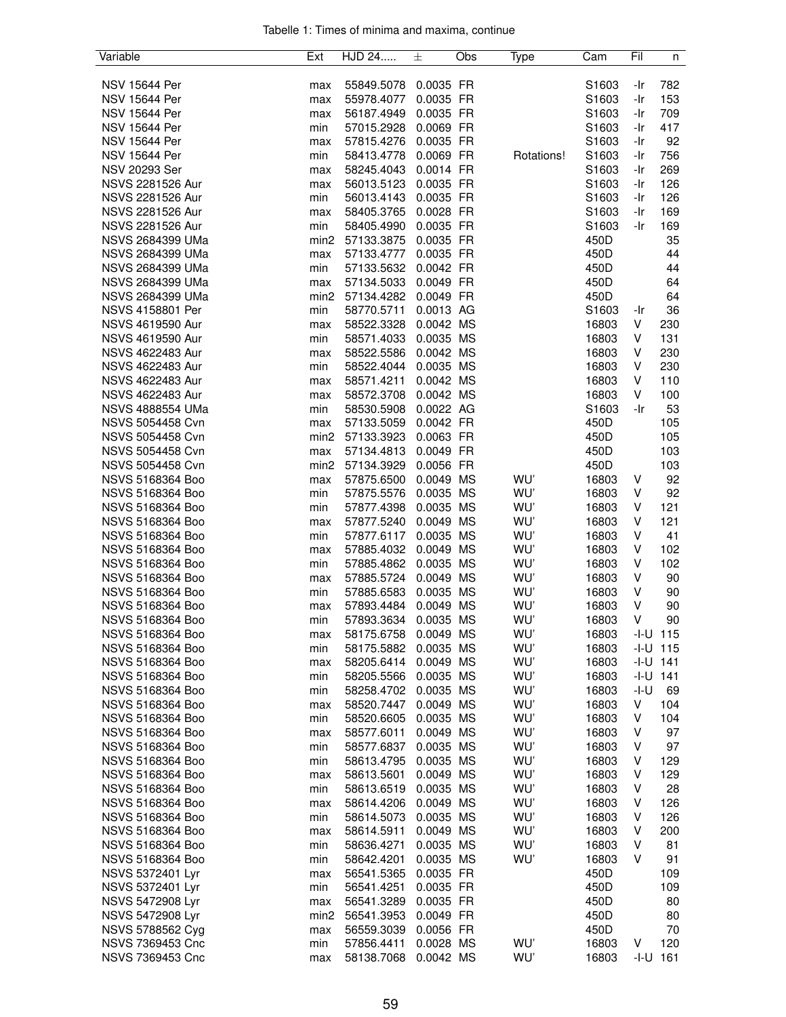| Variable                | Ext                     | HJD 24     | 士                      | Obs | Type       | Cam               | Fil  | n            |
|-------------------------|-------------------------|------------|------------------------|-----|------------|-------------------|------|--------------|
|                         |                         |            |                        |     |            |                   |      |              |
| <b>NSV 15644 Per</b>    | max                     | 55849.5078 | 0.0035 FR              |     |            | S1603             | -Ir  | 782          |
| <b>NSV 15644 Per</b>    | max                     | 55978.4077 | 0.0035 FR              |     |            | S1603             | -Ir  | 153          |
| <b>NSV 15644 Per</b>    | max                     | 56187.4949 | 0.0035 FR              |     |            | S1603             | -Ir  | 709          |
| <b>NSV 15644 Per</b>    | min                     | 57015.2928 | 0.0069 FR              |     |            | S1603             | -Ir  | 417          |
| <b>NSV 15644 Per</b>    | max                     | 57815.4276 | 0.0035 FR              |     |            | S1603             | -Ir  | 92           |
| <b>NSV 15644 Per</b>    | min                     | 58413.4778 | 0.0069 FR              |     | Rotations! | S1603             | -Ir  | 756          |
| NSV 20293 Ser           | max                     | 58245.4043 | 0.0014 FR              |     |            | S <sub>1603</sub> | -Ir  | 269          |
| NSVS 2281526 Aur        | max                     | 56013.5123 | 0.0035 FR              |     |            | S1603             | -Ir  | 126          |
| NSVS 2281526 Aur        | min                     | 56013.4143 | 0.0035 FR              |     |            | S1603             | -Ir  | 126          |
| NSVS 2281526 Aur        | max                     | 58405.3765 | 0.0028 FR              |     |            | S1603             | -Ir  | 169          |
| NSVS 2281526 Aur        | min                     | 58405.4990 | 0.0035 FR              |     |            | S1603             | -Ir  | 169          |
| NSVS 2684399 UMa        | min <sub>2</sub>        | 57133.3875 | 0.0035 FR              |     |            | 450D              |      | 35           |
| NSVS 2684399 UMa        | max                     | 57133.4777 | 0.0035 FR              |     |            | 450D              |      | 44           |
| <b>NSVS 2684399 UMa</b> | min                     | 57133.5632 | 0.0042 FR              |     |            | 450D              |      | 44           |
| <b>NSVS 2684399 UMa</b> | max                     | 57134.5033 | 0.0049 FR              |     |            | 450D              |      | 64           |
| <b>NSVS 2684399 UMa</b> | min <sub>2</sub>        | 57134.4282 | 0.0049 FR              |     |            | 450D              |      | 64           |
| NSVS 4158801 Per        | min                     | 58770.5711 | 0.0013 AG              |     |            | S <sub>1603</sub> | -Ir  | 36           |
| NSVS 4619590 Aur        | max                     | 58522.3328 | 0.0042 MS              |     |            | 16803             | V    | 230          |
| NSVS 4619590 Aur        | min                     | 58571.4033 | 0.0035 MS              |     |            | 16803             | V    | 131          |
| NSVS 4622483 Aur        | max                     | 58522.5586 | 0.0042 MS              |     |            | 16803             | V    | 230          |
| NSVS 4622483 Aur        | min                     | 58522.4044 | 0.0035 MS              |     |            | 16803             | V    | 230          |
| NSVS 4622483 Aur        | max                     | 58571.4211 | 0.0042 MS              |     |            | 16803             | V    | 110          |
| NSVS 4622483 Aur        |                         | 58572.3708 | 0.0042 MS              |     |            | 16803             | V    | 100          |
| <b>NSVS 4888554 UMa</b> | max<br>min              | 58530.5908 | 0.0022 AG              |     |            | S1603             | -Ir  | 53           |
| NSVS 5054458 Cvn        |                         | 57133.5059 | 0.0042 FR              |     |            | 450D              |      | 105          |
| NSVS 5054458 Cvn        | max<br>min <sub>2</sub> |            |                        |     |            | 450D              |      | 105          |
| NSVS 5054458 Cvn        |                         | 57133.3923 | 0.0063 FR<br>0.0049 FR |     |            |                   |      |              |
|                         | max                     | 57134.4813 |                        |     |            | 450D              |      | 103          |
| NSVS 5054458 Cvn        | min <sub>2</sub>        | 57134.3929 | 0.0056 FR              |     |            | 450D              |      | 103          |
| NSVS 5168364 Boo        | max                     | 57875.6500 | 0.0049 MS              |     | WU'        | 16803             | V    | 92           |
| NSVS 5168364 Boo        | min                     | 57875.5576 | 0.0035 MS              |     | WU'        | 16803             | V    | 92           |
| NSVS 5168364 Boo        | min                     | 57877.4398 | 0.0035 MS              |     | WU'        | 16803             | V    | 121          |
| NSVS 5168364 Boo        | max                     | 57877.5240 | 0.0049 MS              |     | WU'        | 16803             | V    | 121          |
| NSVS 5168364 Boo        | min                     | 57877.6117 | 0.0035 MS              |     | WU'        | 16803             | V    | 41           |
| NSVS 5168364 Boo        | max                     | 57885.4032 | 0.0049 MS              |     | WU'        | 16803             | V    | 102          |
| NSVS 5168364 Boo        | min                     | 57885.4862 | 0.0035 MS              |     | WU'        | 16803             | V    | 102          |
| NSVS 5168364 Boo        | max                     | 57885.5724 | 0.0049 MS              |     | WU'        | 16803             | ٧    | 90           |
| NSVS 5168364 Boo        | min                     | 57885.6583 | 0.0035 MS              |     | WU'        | 16803             | V    | 90           |
| NSVS 5168364 Boo        | max                     | 57893.4484 | 0.0049 MS              |     | WU'        | 16803             | V    | 90           |
| <b>NSVS 5168364 Boo</b> | min                     | 57893.3634 | 0.0035 MS              |     | WU'        | 16803             | V    | 90           |
| NSVS 5168364 Boo        | max                     | 58175.6758 | 0.0049 MS              |     | WU'        | 16803             |      | $-1 - U$ 115 |
| NSVS 5168364 Boo        | min                     | 58175.5882 | 0.0035 MS              |     | WU'        | 16803             |      | $-1 - U$ 115 |
| NSVS 5168364 Boo        | max                     | 58205.6414 | 0.0049 MS              |     | WU'        | 16803             |      | $-1-U$ 141   |
| NSVS 5168364 Boo        | min                     | 58205.5566 | 0.0035 MS              |     | WU'        | 16803             |      | $-1-U$ 141   |
| NSVS 5168364 Boo        | min                     | 58258.4702 | 0.0035 MS              |     | WU'        | 16803             | -I-U | 69           |
| NSVS 5168364 Boo        | max                     | 58520.7447 | 0.0049 MS              |     | WU'        | 16803             | V    | 104          |
| NSVS 5168364 Boo        | min                     | 58520.6605 | 0.0035 MS              |     | WU'        | 16803             | V    | 104          |
| <b>NSVS 5168364 Boo</b> | max                     | 58577.6011 | 0.0049 MS              |     | WU'        | 16803             | V    | 97           |
| NSVS 5168364 Boo        | min                     | 58577.6837 | 0.0035 MS              |     | WU'        | 16803             | V    | 97           |
| NSVS 5168364 Boo        | min                     | 58613.4795 | 0.0035 MS              |     | WU'        | 16803             | V    | 129          |
| NSVS 5168364 Boo        | max                     | 58613.5601 | 0.0049 MS              |     | WU'        | 16803             | V    | 129          |
| NSVS 5168364 Boo        | min                     | 58613.6519 | 0.0035 MS              |     | WU'        | 16803             | V    | 28           |
| NSVS 5168364 Boo        | max                     | 58614.4206 | 0.0049 MS              |     | WU'        | 16803             | V    | 126          |
| NSVS 5168364 Boo        | min                     | 58614.5073 | 0.0035 MS              |     | WU'        | 16803             | V    | 126          |
| NSVS 5168364 Boo        | max                     | 58614.5911 | 0.0049 MS              |     | WU'        | 16803             | V    | 200          |
| NSVS 5168364 Boo        | min                     | 58636.4271 | 0.0035 MS              |     | WU'        | 16803             | V    | 81           |
| NSVS 5168364 Boo        | min                     | 58642.4201 | 0.0035 MS              |     | WU'        | 16803             | v    | 91           |
| NSVS 5372401 Lyr        | max                     | 56541.5365 | 0.0035 FR              |     |            | 450D              |      | 109          |
| NSVS 5372401 Lyr        | min                     | 56541.4251 | 0.0035 FR              |     |            | 450D              |      | 109          |
| NSVS 5472908 Lyr        | max                     | 56541.3289 | 0.0035 FR              |     |            | 450D              |      | 80           |
| NSVS 5472908 Lyr        | min <sub>2</sub>        | 56541.3953 | 0.0049 FR              |     |            | 450D              |      | 80           |
| NSVS 5788562 Cyg        | max                     | 56559.3039 | 0.0056 FR              |     |            | 450D              |      | 70           |
| NSVS 7369453 Cnc        | min                     | 57856.4411 | 0.0028 MS              |     | WU'        | 16803             | V    | 120          |
| NSVS 7369453 Cnc        | max                     | 58138.7068 | 0.0042 MS              |     | WU'        | 16803             | -I-U | 161          |
|                         |                         |            |                        |     |            |                   |      |              |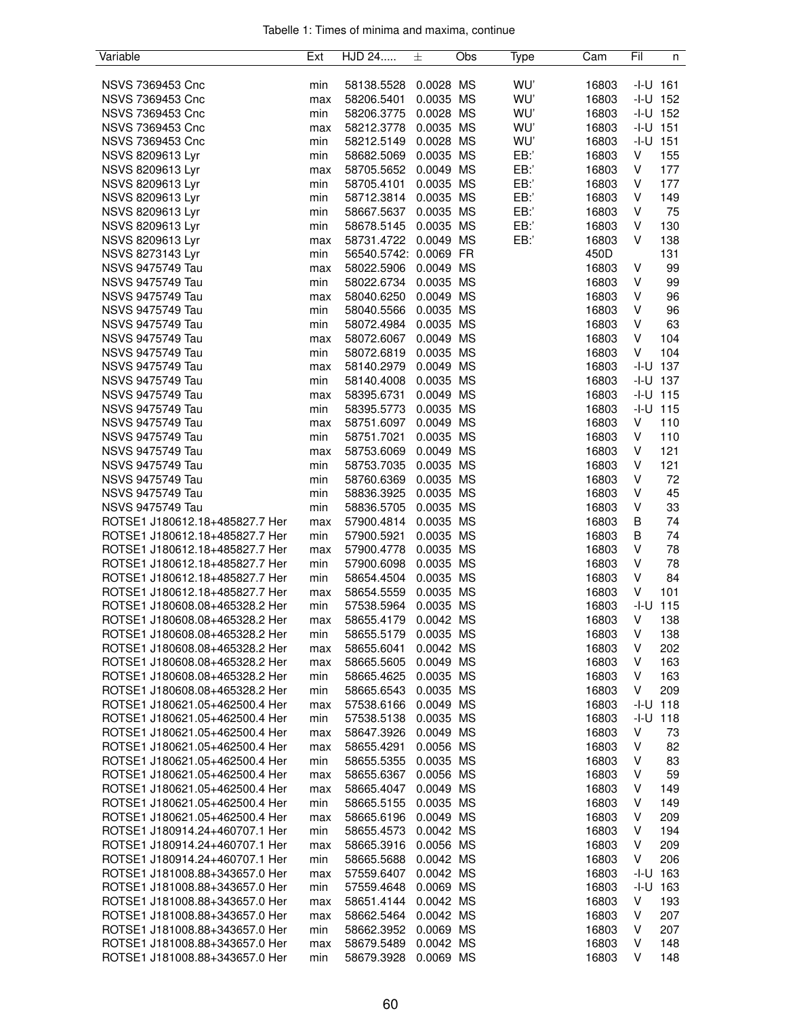| Variable                       | Ext | HJD 24                | 士         | Obs | Type | Cam   | Fil    | n            |
|--------------------------------|-----|-----------------------|-----------|-----|------|-------|--------|--------------|
|                                |     |                       |           |     |      |       |        |              |
| NSVS 7369453 Cnc               | min | 58138.5528            | 0.0028 MS |     | WU'  | 16803 |        | $-1 - U$ 161 |
| NSVS 7369453 Cnc               | max | 58206.5401            | 0.0035 MS |     | WU'  | 16803 |        | $-I-U$ 152   |
| NSVS 7369453 Cnc               | min | 58206.3775            | 0.0028 MS |     | WU'  | 16803 |        | $-1 - U$ 152 |
| NSVS 7369453 Cnc               | max | 58212.3778            | 0.0035 MS |     | WU'  | 16803 |        | $-1 - U$ 151 |
| NSVS 7369453 Cnc               | min | 58212.5149            | 0.0028 MS |     | WU'  | 16803 | $-I-U$ | 151          |
| NSVS 8209613 Lyr               | min | 58682.5069            | 0.0035 MS |     | EB:  | 16803 | V      | 155          |
| NSVS 8209613 Lyr               | max | 58705.5652            | 0.0049 MS |     | EB:  | 16803 | V      | 177          |
| NSVS 8209613 Lyr               | min | 58705.4101            | 0.0035 MS |     | EB:' | 16803 | V      | 177          |
| NSVS 8209613 Lyr               | min | 58712.3814            | 0.0035 MS |     | EB:  | 16803 | V      | 149          |
| NSVS 8209613 Lyr               | min | 58667.5637            | 0.0035 MS |     | EB:  | 16803 | V      | 75           |
|                                |     | 58678.5145            | 0.0035 MS |     | EB:' | 16803 | V      | 130          |
| NSVS 8209613 Lyr               | min |                       |           |     |      | 16803 | V      |              |
| NSVS 8209613 Lyr               | max | 58731.4722            | 0.0049 MS |     | EB:  |       |        | 138          |
| NSVS 8273143 Lyr               | min | 56540.5742: 0.0069 FR |           |     |      | 450D  |        | 131          |
| NSVS 9475749 Tau               | max | 58022.5906            | 0.0049 MS |     |      | 16803 | V      | 99           |
| NSVS 9475749 Tau               | min | 58022.6734            | 0.0035 MS |     |      | 16803 | V      | 99           |
| <b>NSVS 9475749 Tau</b>        | max | 58040.6250            | 0.0049 MS |     |      | 16803 | V      | 96           |
| <b>NSVS 9475749 Tau</b>        | min | 58040.5566            | 0.0035 MS |     |      | 16803 | V      | 96           |
| <b>NSVS 9475749 Tau</b>        | min | 58072.4984            | 0.0035 MS |     |      | 16803 | V      | 63           |
| <b>NSVS 9475749 Tau</b>        | max | 58072.6067            | 0.0049 MS |     |      | 16803 | V      | 104          |
| <b>NSVS 9475749 Tau</b>        | min | 58072.6819            | 0.0035 MS |     |      | 16803 | V      | 104          |
| NSVS 9475749 Tau               | max | 58140.2979            | 0.0049 MS |     |      | 16803 | -I-U   | 137          |
| <b>NSVS 9475749 Tau</b>        | min | 58140.4008            | 0.0035 MS |     |      | 16803 |        | $-1 - U$ 137 |
| NSVS 9475749 Tau               | max | 58395.6731            | 0.0049 MS |     |      | 16803 | $-I-U$ | 115          |
| NSVS 9475749 Tau               | min | 58395.5773            | 0.0035 MS |     |      | 16803 | -I-U   | 115          |
| NSVS 9475749 Tau               | max | 58751.6097            | 0.0049 MS |     |      | 16803 | V      | 110          |
| <b>NSVS 9475749 Tau</b>        | min | 58751.7021            | 0.0035 MS |     |      | 16803 | V      | 110          |
| <b>NSVS 9475749 Tau</b>        | max | 58753.6069            | 0.0049 MS |     |      | 16803 | V      | 121          |
| <b>NSVS 9475749 Tau</b>        | min | 58753.7035            | 0.0035 MS |     |      | 16803 | V      | 121          |
| NSVS 9475749 Tau               | min | 58760.6369            | 0.0035 MS |     |      | 16803 | V      | 72           |
| <b>NSVS 9475749 Tau</b>        | min | 58836.3925            | 0.0035 MS |     |      | 16803 | V      | 45           |
| NSVS 9475749 Tau               | min | 58836.5705            | 0.0035 MS |     |      | 16803 | V      | 33           |
|                                |     |                       |           |     |      |       |        | 74           |
| ROTSE1 J180612.18+485827.7 Her | max | 57900.4814            | 0.0035 MS |     |      | 16803 | В<br>B | 74           |
| ROTSE1 J180612.18+485827.7 Her | min | 57900.5921            | 0.0035 MS |     |      | 16803 |        |              |
| ROTSE1 J180612.18+485827.7 Her | max | 57900.4778            | 0.0035 MS |     |      | 16803 | V      | 78           |
| ROTSE1 J180612.18+485827.7 Her | min | 57900.6098            | 0.0035 MS |     |      | 16803 | V      | 78           |
| ROTSE1 J180612.18+485827.7 Her | min | 58654.4504            | 0.0035 MS |     |      | 16803 | V      | 84           |
| ROTSE1 J180612.18+485827.7 Her | max | 58654.5559            | 0.0035 MS |     |      | 16803 | V      | 101          |
| ROTSE1 J180608.08+465328.2 Her | min | 57538.5964            | 0.0035 MS |     |      | 16803 | $-I-U$ | 115          |
| ROTSE1 J180608.08+465328.2 Her | max | 58655.4179            | 0.0042 MS |     |      | 16803 | V      | 138          |
| ROTSE1 J180608.08+465328.2 Her | min | 58655.5179            | 0.0035 MS |     |      | 16803 | V      | 138          |
| ROTSE1 J180608.08+465328.2 Her | max | 58655.6041            | 0.0042 MS |     |      | 16803 | V      | 202          |
| ROTSE1 J180608.08+465328.2 Her | max | 58665.5605            | 0.0049 MS |     |      | 16803 | V      | 163          |
| ROTSE1 J180608.08+465328.2 Her | min | 58665.4625            | 0.0035 MS |     |      | 16803 | V      | 163          |
| ROTSE1 J180608.08+465328.2 Her | min | 58665.6543            | 0.0035 MS |     |      | 16803 | V      | 209          |
| ROTSE1 J180621.05+462500.4 Her | max | 57538.6166            | 0.0049 MS |     |      | 16803 | -I-U   | 118          |
| ROTSE1 J180621.05+462500.4 Her | min | 57538.5138            | 0.0035 MS |     |      | 16803 | -I-U   | 118          |
| ROTSE1 J180621.05+462500.4 Her | max | 58647.3926            | 0.0049 MS |     |      | 16803 | V      | 73           |
| ROTSE1 J180621.05+462500.4 Her | max | 58655.4291            | 0.0056 MS |     |      | 16803 | V      | 82           |
| ROTSE1 J180621.05+462500.4 Her | min | 58655.5355            | 0.0035 MS |     |      | 16803 | V      | 83           |
| ROTSE1 J180621.05+462500.4 Her | max | 58655.6367            | 0.0056 MS |     |      | 16803 | V      | 59           |
| ROTSE1 J180621.05+462500.4 Her | max | 58665.4047            | 0.0049 MS |     |      | 16803 | V      | 149          |
| ROTSE1 J180621.05+462500.4 Her | min | 58665.5155            | 0.0035 MS |     |      | 16803 | V      | 149          |
| ROTSE1 J180621.05+462500.4 Her | max | 58665.6196            | 0.0049 MS |     |      | 16803 | V      | 209          |
|                                |     |                       |           |     |      |       | V      |              |
| ROTSE1 J180914.24+460707.1 Her | min | 58655.4573            | 0.0042 MS |     |      | 16803 |        | 194          |
| ROTSE1 J180914.24+460707.1 Her | max | 58665.3916            | 0.0056 MS |     |      | 16803 | V      | 209          |
| ROTSE1 J180914.24+460707.1 Her | min | 58665.5688            | 0.0042 MS |     |      | 16803 | V      | 206          |
| ROTSE1 J181008.88+343657.0 Her | max | 57559.6407            | 0.0042 MS |     |      | 16803 |        | $-1 - U$ 163 |
| ROTSE1 J181008.88+343657.0 Her | min | 57559.4648            | 0.0069 MS |     |      | 16803 | -I-U   | 163          |
| ROTSE1 J181008.88+343657.0 Her | max | 58651.4144            | 0.0042 MS |     |      | 16803 | V      | 193          |
| ROTSE1 J181008.88+343657.0 Her | max | 58662.5464            | 0.0042 MS |     |      | 16803 | V      | 207          |
| ROTSE1 J181008.88+343657.0 Her | min | 58662.3952            | 0.0069 MS |     |      | 16803 | V      | 207          |
| ROTSE1 J181008.88+343657.0 Her | max | 58679.5489            | 0.0042 MS |     |      | 16803 | V      | 148          |
| ROTSE1 J181008.88+343657.0 Her | min | 58679.3928            | 0.0069 MS |     |      | 16803 | V      | 148          |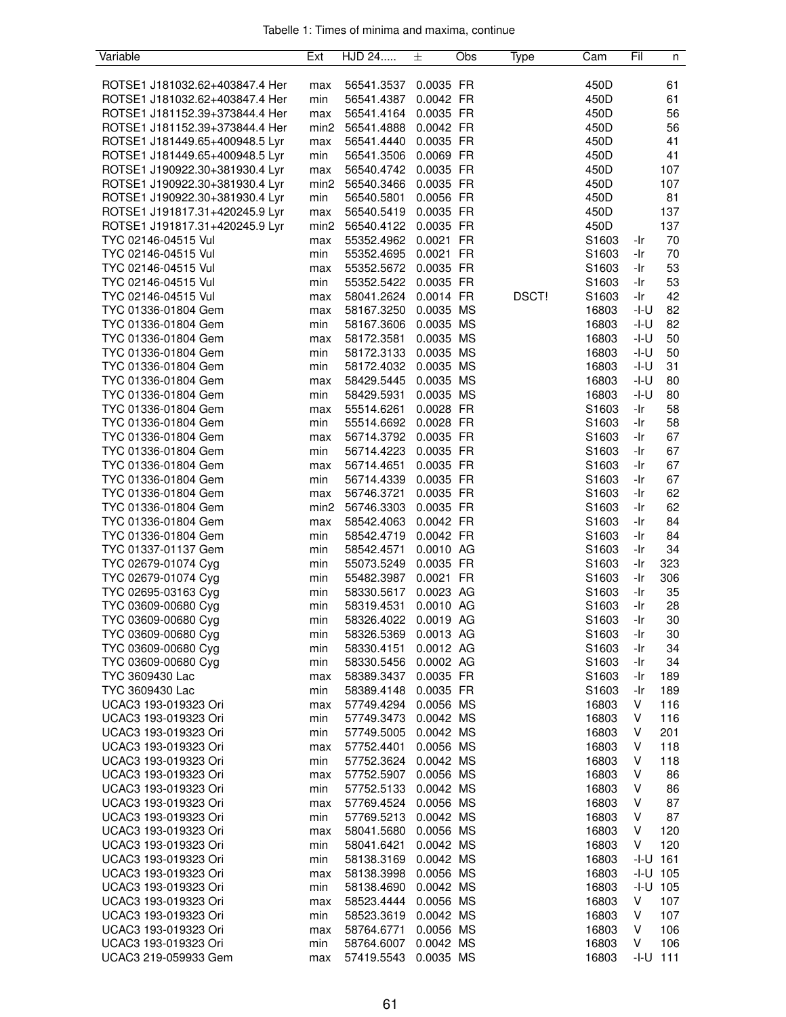| Variable                                   | Ext              | HJD 24                   | 士                      | Obs | Type  | Cam               | Fil          | n        |
|--------------------------------------------|------------------|--------------------------|------------------------|-----|-------|-------------------|--------------|----------|
|                                            |                  |                          |                        |     |       |                   |              |          |
| ROTSE1 J181032.62+403847.4 Her             | max              | 56541.3537               | 0.0035 FR              |     |       | 450D              |              | 61       |
| ROTSE1 J181032.62+403847.4 Her             | min              | 56541.4387               | 0.0042 FR              |     |       | 450D              |              | 61       |
| ROTSE1 J181152.39+373844.4 Her             | max              | 56541.4164               | 0.0035 FR              |     |       | 450D              |              | 56       |
| ROTSE1 J181152.39+373844.4 Her             | min <sub>2</sub> | 56541.4888               | 0.0042 FR              |     |       | 450D              |              | 56       |
| ROTSE1 J181449.65+400948.5 Lyr             | max              | 56541.4440               | 0.0035 FR              |     |       | 450D              |              | 41       |
| ROTSE1 J181449.65+400948.5 Lyr             | min              | 56541.3506               | 0.0069 FR              |     |       | 450D              |              | 41       |
| ROTSE1 J190922.30+381930.4 Lyr             | max              | 56540.4742               | 0.0035 FR              |     |       | 450D              |              | 107      |
| ROTSE1 J190922.30+381930.4 Lyr             | min <sub>2</sub> | 56540.3466               | 0.0035 FR              |     |       | 450D              |              | 107      |
| ROTSE1 J190922.30+381930.4 Lyr             | min              | 56540.5801               | 0.0056 FR              |     |       | 450D              |              | 81       |
| ROTSE1 J191817.31+420245.9 Lyr             | max              | 56540.5419               | 0.0035 FR              |     |       | 450D              |              | 137      |
| ROTSE1 J191817.31+420245.9 Lyr             | min <sub>2</sub> | 56540.4122               | 0.0035 FR<br>0.0021 FR |     |       | 450D              |              | 137      |
| TYC 02146-04515 Vul<br>TYC 02146-04515 Vul | max<br>min       | 55352.4962<br>55352.4695 | 0.0021 FR              |     |       | S1603<br>S1603    | -Ir<br>-Ir   | 70<br>70 |
| TYC 02146-04515 Vul                        | max              | 55352.5672               | 0.0035 FR              |     |       | S1603             | -Ir          | 53       |
| TYC 02146-04515 Vul                        | min              | 55352.5422               | 0.0035 FR              |     |       | S1603             | -Ir          | 53       |
| TYC 02146-04515 Vul                        | max              | 58041.2624               | 0.0014 FR              |     | DSCT! | S1603             | -Ir          | 42       |
| TYC 01336-01804 Gem                        | max              | 58167.3250               | 0.0035 MS              |     |       | 16803             | -I-U         | 82       |
| TYC 01336-01804 Gem                        | min              | 58167.3606               | 0.0035 MS              |     |       | 16803             | $-I-U$       | 82       |
| TYC 01336-01804 Gem                        | max              | 58172.3581               | 0.0035 MS              |     |       | 16803             | -I-U         | 50       |
| TYC 01336-01804 Gem                        | min              | 58172.3133               | 0.0035 MS              |     |       | 16803             | -I-U         | 50       |
| TYC 01336-01804 Gem                        | min              | 58172.4032               | 0.0035 MS              |     |       | 16803             | -I-U         | 31       |
| TYC 01336-01804 Gem                        | max              | 58429.5445               | 0.0035 MS              |     |       | 16803             | -I-U         | 80       |
| TYC 01336-01804 Gem                        | min              | 58429.5931               | 0.0035 MS              |     |       | 16803             | -I-U         | 80       |
| TYC 01336-01804 Gem                        | max              | 55514.6261               | 0.0028 FR              |     |       | S <sub>1603</sub> | -Ir          | 58       |
| TYC 01336-01804 Gem                        | min              | 55514.6692               | 0.0028 FR              |     |       | S1603             | -Ir          | 58       |
| TYC 01336-01804 Gem                        | max              | 56714.3792               | 0.0035 FR              |     |       | S1603             | -Ir          | 67       |
| TYC 01336-01804 Gem                        | min              | 56714.4223               | 0.0035 FR              |     |       | S1603             | -Ir          | 67       |
| TYC 01336-01804 Gem                        | max              | 56714.4651               | 0.0035 FR              |     |       | S1603             | -Ir          | 67       |
| TYC 01336-01804 Gem                        | min              | 56714.4339               | 0.0035 FR              |     |       | S1603             | -Ir          | 67       |
| TYC 01336-01804 Gem                        | max              | 56746.3721               | 0.0035 FR              |     |       | S1603             | -Ir          | 62       |
| TYC 01336-01804 Gem                        | min <sub>2</sub> | 56746.3303               | 0.0035 FR              |     |       | S1603             | -Ir          | 62       |
| TYC 01336-01804 Gem                        | max              | 58542.4063               | 0.0042 FR              |     |       | S1603             | -Ir          | 84       |
| TYC 01336-01804 Gem                        | min              | 58542.4719               | 0.0042 FR              |     |       | S1603             | -Ir          | 84       |
| TYC 01337-01137 Gem                        | min              | 58542.4571               | 0.0010 AG              |     |       | S1603             | -Ir          | 34       |
| TYC 02679-01074 Cyg                        | min              | 55073.5249               | 0.0035 FR              |     |       | S1603             | -Ir          | 323      |
| TYC 02679-01074 Cyg                        | min              | 55482.3987               | 0.0021 FR              |     |       | S1603             | -Ir          | 306      |
| TYC 02695-03163 Cyg                        | min              | 58330.5617               | 0.0023 AG<br>0.0010 AG |     |       | S1603             | -Ir          | 35       |
| TYC 03609-00680 Cyg<br>TYC 03609-00680 Cyg | min<br>min       | 58319.4531<br>58326.4022 | 0.0019 AG              |     |       | S1603<br>S1603    | -Ir<br>-Ir   | 28<br>30 |
| TYC 03609-00680 Cyg                        | min              | 58326.5369               | 0.0013 AG              |     |       | S1603             | -Ir          | 30       |
| TYC 03609-00680 Cyg                        | min              | 58330.4151               | 0.0012 AG              |     |       | S1603             | -Ir          | 34       |
| TYC 03609-00680 Cyg                        | min              | 58330.5456               | 0.0002 AG              |     |       | S1603             | -Ir          | 34       |
| TYC 3609430 Lac                            | max              | 58389.3437               | 0.0035 FR              |     |       | S1603             | -Ir          | 189      |
| TYC 3609430 Lac                            | min              | 58389.4148               | 0.0035 FR              |     |       | S1603             | -Ir          | 189      |
| UCAC3 193-019323 Ori                       | max              | 57749.4294               | 0.0056 MS              |     |       | 16803             | V            | 116      |
| UCAC3 193-019323 Ori                       | min              | 57749.3473               | 0.0042 MS              |     |       | 16803             | V            | 116      |
| UCAC3 193-019323 Ori                       | min              | 57749.5005               | 0.0042 MS              |     |       | 16803             | V            | 201      |
| UCAC3 193-019323 Ori                       | max              | 57752.4401               | 0.0056 MS              |     |       | 16803             | V            | 118      |
| UCAC3 193-019323 Ori                       | min              | 57752.3624               | 0.0042 MS              |     |       | 16803             | V            | 118      |
| UCAC3 193-019323 Ori                       | max              | 57752.5907               | 0.0056 MS              |     |       | 16803             | V            | 86       |
| UCAC3 193-019323 Ori                       | min              | 57752.5133               | 0.0042 MS              |     |       | 16803             | V            | 86       |
| UCAC3 193-019323 Ori                       | max              | 57769.4524               | 0.0056 MS              |     |       | 16803             | V            | 87       |
| UCAC3 193-019323 Ori                       | min              | 57769.5213               | 0.0042 MS              |     |       | 16803             | V            | 87       |
| UCAC3 193-019323 Ori                       | max              | 58041.5680               | 0.0056 MS              |     |       | 16803             | V            | 120      |
| UCAC3 193-019323 Ori                       | min              | 58041.6421               | 0.0042 MS              |     |       | 16803             | V            | 120      |
| UCAC3 193-019323 Ori                       | min              | 58138.3169               | 0.0042 MS              |     |       | 16803             | -I-U         | 161      |
| UCAC3 193-019323 Ori                       | max              | 58138.3998               | 0.0056 MS              |     |       | 16803             | $-1 - U$ 105 |          |
| UCAC3 193-019323 Ori                       | min              | 58138.4690               | 0.0042 MS              |     |       | 16803             | $-1 - U$ 105 |          |
| UCAC3 193-019323 Ori                       | max              | 58523.4444               | 0.0056 MS              |     |       | 16803             | V            | 107      |
| UCAC3 193-019323 Ori                       | min              | 58523.3619               | 0.0042 MS              |     |       | 16803             | V            | 107      |
| UCAC3 193-019323 Ori                       | max              | 58764.6771               | 0.0056 MS              |     |       | 16803             | V            | 106      |
| UCAC3 193-019323 Ori                       | min              | 58764.6007               | 0.0042 MS              |     |       | 16803             | V            | 106      |
| UCAC3 219-059933 Gem                       | max              | 57419.5543               | 0.0035 MS              |     |       | 16803             | -I-U         | 111      |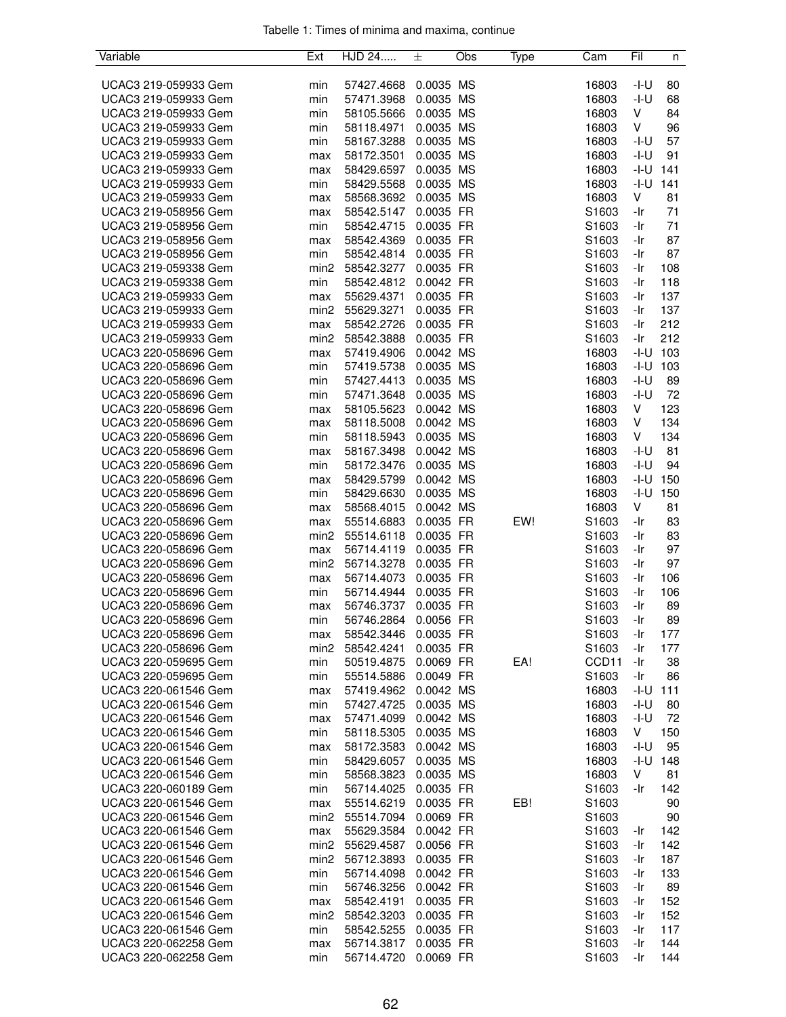| Variable             | Ext              | HJD 24     | 士         | Obs | Type | Cam               | Fil    | n   |
|----------------------|------------------|------------|-----------|-----|------|-------------------|--------|-----|
|                      |                  |            |           |     |      |                   |        |     |
| UCAC3 219-059933 Gem | min              | 57427.4668 | 0.0035 MS |     |      | 16803             | -I-U   | 80  |
| UCAC3 219-059933 Gem | min              | 57471.3968 | 0.0035 MS |     |      | 16803             | -I-U   | 68  |
| UCAC3 219-059933 Gem | min              | 58105.5666 | 0.0035 MS |     |      | 16803             | V      | 84  |
| UCAC3 219-059933 Gem | min              | 58118.4971 | 0.0035 MS |     |      | 16803             | V      | 96  |
| UCAC3 219-059933 Gem | min              | 58167.3288 | 0.0035 MS |     |      | 16803             | -I-U   | 57  |
| UCAC3 219-059933 Gem | max              | 58172.3501 | 0.0035 MS |     |      | 16803             | $-I-U$ | 91  |
| UCAC3 219-059933 Gem | max              | 58429.6597 | 0.0035 MS |     |      | 16803             | -I-U   | 141 |
| UCAC3 219-059933 Gem | min              | 58429.5568 | 0.0035 MS |     |      | 16803             | $-I-U$ | 141 |
| UCAC3 219-059933 Gem | max              | 58568.3692 | 0.0035 MS |     |      | 16803             | V      | 81  |
| UCAC3 219-058956 Gem | max              | 58542.5147 | 0.0035 FR |     |      | S1603             | -Ir    | 71  |
| UCAC3 219-058956 Gem | min              | 58542.4715 | 0.0035 FR |     |      | S1603             | -Ir    | 71  |
| UCAC3 219-058956 Gem | max              | 58542.4369 | 0.0035 FR |     |      | S1603             | -Ir    | 87  |
| UCAC3 219-058956 Gem | min              | 58542.4814 | 0.0035 FR |     |      | S1603             | -Ir    | 87  |
| UCAC3 219-059338 Gem | min <sub>2</sub> | 58542.3277 | 0.0035 FR |     |      | S1603             | -Ir    | 108 |
| UCAC3 219-059338 Gem | min              | 58542.4812 | 0.0042 FR |     |      | S1603             | -Ir    | 118 |
| UCAC3 219-059933 Gem | max              | 55629.4371 | 0.0035 FR |     |      | S1603             | -Ir    | 137 |
| UCAC3 219-059933 Gem | min <sub>2</sub> | 55629.3271 | 0.0035 FR |     |      | S1603             | -Ir    | 137 |
| UCAC3 219-059933 Gem | max              | 58542.2726 | 0.0035 FR |     |      | S1603             | -Ir    | 212 |
| UCAC3 219-059933 Gem | min <sub>2</sub> | 58542.3888 | 0.0035 FR |     |      | S1603             | -Ir    | 212 |
| UCAC3 220-058696 Gem | max              | 57419.4906 | 0.0042 MS |     |      | 16803             | $-I-U$ | 103 |
| UCAC3 220-058696 Gem | min              | 57419.5738 | 0.0035 MS |     |      | 16803             | -I-U   | 103 |
| UCAC3 220-058696 Gem |                  |            | 0.0035 MS |     |      | 16803             | $-I-U$ | 89  |
|                      | min              | 57427.4413 |           |     |      |                   |        |     |
| UCAC3 220-058696 Gem | min              | 57471.3648 | 0.0035 MS |     |      | 16803             | $-I-U$ | 72  |
| UCAC3 220-058696 Gem | max              | 58105.5623 | 0.0042 MS |     |      | 16803             | V      | 123 |
| UCAC3 220-058696 Gem | max              | 58118.5008 | 0.0042 MS |     |      | 16803             | V      | 134 |
| UCAC3 220-058696 Gem | min              | 58118.5943 | 0.0035 MS |     |      | 16803             | V      | 134 |
| UCAC3 220-058696 Gem | max              | 58167.3498 | 0.0042 MS |     |      | 16803             | $-I-U$ | 81  |
| UCAC3 220-058696 Gem | min              | 58172.3476 | 0.0035 MS |     |      | 16803             | $-I-U$ | 94  |
| UCAC3 220-058696 Gem | max              | 58429.5799 | 0.0042 MS |     |      | 16803             | -I-U   | 150 |
| UCAC3 220-058696 Gem | min              | 58429.6630 | 0.0035 MS |     |      | 16803             | -I-U   | 150 |
| UCAC3 220-058696 Gem | max              | 58568.4015 | 0.0042 MS |     |      | 16803             | V      | 81  |
| UCAC3 220-058696 Gem | max              | 55514.6883 | 0.0035 FR |     | EW!  | S1603             | -Ir    | 83  |
| UCAC3 220-058696 Gem | min <sub>2</sub> | 55514.6118 | 0.0035 FR |     |      | S1603             | -Ir    | 83  |
| UCAC3 220-058696 Gem | max              | 56714.4119 | 0.0035 FR |     |      | S1603             | -Ir    | 97  |
| UCAC3 220-058696 Gem | min <sub>2</sub> | 56714.3278 | 0.0035 FR |     |      | S1603             | -Ir    | 97  |
| UCAC3 220-058696 Gem | max              | 56714.4073 | 0.0035 FR |     |      | S1603             | -Ir    | 106 |
| UCAC3 220-058696 Gem | min              | 56714.4944 | 0.0035 FR |     |      | S1603             | -Ir    | 106 |
| UCAC3 220-058696 Gem | max              | 56746.3737 | 0.0035 FR |     |      | S1603             | -Ir    | 89  |
| UCAC3 220-058696 Gem | min              | 56746.2864 | 0.0056 FR |     |      | S1603             | -Ir    | 89  |
| UCAC3 220-058696 Gem | max              | 58542.3446 | 0.0035 FR |     |      | S1603             | -Ir    | 177 |
| UCAC3 220-058696 Gem | min2             | 58542.4241 | 0.0035 FR |     |      | S1603             | -Ir    | 177 |
| UCAC3 220-059695 Gem | min              | 50519.4875 | 0.0069 FR |     | EA!  | CCD <sub>11</sub> | -Ir    | 38  |
| UCAC3 220-059695 Gem | min              | 55514.5886 | 0.0049 FR |     |      | S1603             | -Ir    | 86  |
| UCAC3 220-061546 Gem | max              | 57419.4962 | 0.0042 MS |     |      | 16803             | -I-U   | 111 |
| UCAC3 220-061546 Gem | min              | 57427.4725 | 0.0035 MS |     |      | 16803             | -I-U   | 80  |
| UCAC3 220-061546 Gem | max              | 57471.4099 | 0.0042 MS |     |      | 16803             | $-I-U$ | 72  |
| UCAC3 220-061546 Gem | min              | 58118.5305 | 0.0035 MS |     |      | 16803             | V      | 150 |
| UCAC3 220-061546 Gem | max              | 58172.3583 | 0.0042 MS |     |      | 16803             | $-I-U$ | 95  |
| UCAC3 220-061546 Gem | min              | 58429.6057 | 0.0035 MS |     |      | 16803             | -I-U   | 148 |
| UCAC3 220-061546 Gem | min              | 58568.3823 | 0.0035 MS |     |      | 16803             | V      | 81  |
| UCAC3 220-060189 Gem | min              | 56714.4025 | 0.0035 FR |     |      | S1603             | -Ir    | 142 |
| UCAC3 220-061546 Gem | max              | 55514.6219 | 0.0035 FR |     | EB!  | S1603             |        | 90  |
| UCAC3 220-061546 Gem | min <sub>2</sub> | 55514.7094 | 0.0069 FR |     |      | S1603             |        | 90  |
| UCAC3 220-061546 Gem | max              | 55629.3584 | 0.0042 FR |     |      | S1603             | -Ir    | 142 |
| UCAC3 220-061546 Gem | min <sub>2</sub> | 55629.4587 | 0.0056 FR |     |      | S1603             | -Ir    | 142 |
| UCAC3 220-061546 Gem | min <sub>2</sub> | 56712.3893 | 0.0035 FR |     |      | S1603             | -Ir    | 187 |
| UCAC3 220-061546 Gem | min              | 56714.4098 | 0.0042 FR |     |      | S1603             | -Ir    | 133 |
| UCAC3 220-061546 Gem | min              | 56746.3256 | 0.0042 FR |     |      | S1603             | -Ir    | 89  |
| UCAC3 220-061546 Gem | max              | 58542.4191 | 0.0035 FR |     |      | S <sub>1603</sub> | -Ir    | 152 |
| UCAC3 220-061546 Gem | min <sub>2</sub> | 58542.3203 | 0.0035 FR |     |      | S1603             | -Ir    | 152 |
| UCAC3 220-061546 Gem | min              | 58542.5255 | 0.0035 FR |     |      | S1603             | -Ir    | 117 |
| UCAC3 220-062258 Gem | max              | 56714.3817 | 0.0035 FR |     |      | S1603             | -Ir    | 144 |
| UCAC3 220-062258 Gem | min              | 56714.4720 | 0.0069 FR |     |      | S1603             | -Ir    | 144 |
|                      |                  |            |           |     |      |                   |        |     |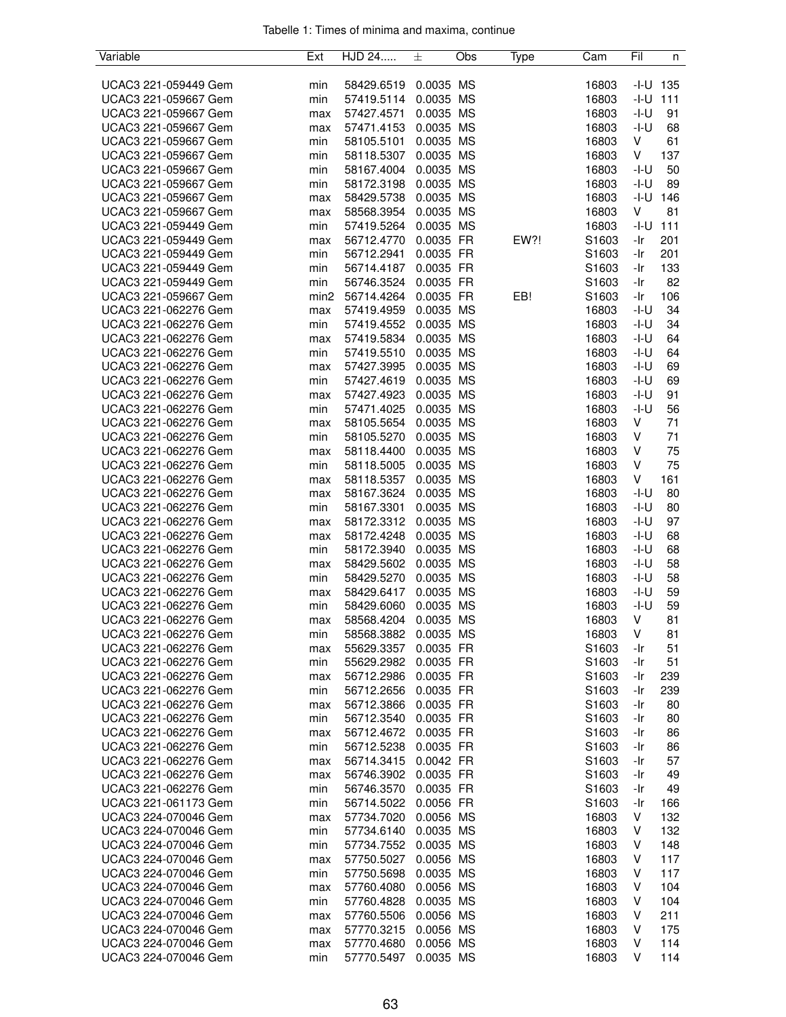| Variable             | Ext              | HJD 24     | 士         | Obs | Type | Cam               | Fil    | n   |
|----------------------|------------------|------------|-----------|-----|------|-------------------|--------|-----|
|                      |                  |            |           |     |      |                   |        |     |
| UCAC3 221-059449 Gem | min              | 58429.6519 | 0.0035 MS |     |      | 16803             | -I-U   | 135 |
| UCAC3 221-059667 Gem | min              | 57419.5114 | 0.0035 MS |     |      | 16803             | -I-U   | 111 |
| UCAC3 221-059667 Gem | max              | 57427.4571 | 0.0035 MS |     |      | 16803             | $-I-U$ | 91  |
| UCAC3 221-059667 Gem | max              | 57471.4153 | 0.0035 MS |     |      | 16803             | -I-U   | 68  |
| UCAC3 221-059667 Gem | min              | 58105.5101 | 0.0035 MS |     |      | 16803             | V      | 61  |
| UCAC3 221-059667 Gem | min              | 58118.5307 | 0.0035 MS |     |      | 16803             | V      | 137 |
| UCAC3 221-059667 Gem | min              | 58167.4004 | 0.0035 MS |     |      | 16803             | -I-U   | 50  |
| UCAC3 221-059667 Gem | min              | 58172.3198 | 0.0035 MS |     |      | 16803             | -I-U   | 89  |
| UCAC3 221-059667 Gem | max              | 58429.5738 | 0.0035 MS |     |      | 16803             | $-I-U$ | 146 |
| UCAC3 221-059667 Gem | max              | 58568.3954 | 0.0035 MS |     |      | 16803             | V      | 81  |
| UCAC3 221-059449 Gem | min              | 57419.5264 | 0.0035 MS |     |      | 16803             | $-I-U$ | 111 |
| UCAC3 221-059449 Gem | max              | 56712.4770 | 0.0035 FR |     | EW?! | S1603             | -Ir    | 201 |
| UCAC3 221-059449 Gem | min              | 56712.2941 | 0.0035 FR |     |      | S1603             | -Ir    | 201 |
| UCAC3 221-059449 Gem | min              | 56714.4187 | 0.0035 FR |     |      | S1603             | -Ir    | 133 |
| UCAC3 221-059449 Gem | min              | 56746.3524 | 0.0035 FR |     |      | S1603             | -Ir    | 82  |
| UCAC3 221-059667 Gem | min <sub>2</sub> | 56714.4264 | 0.0035 FR |     | EB!  | S1603             | -Ir    | 106 |
| UCAC3 221-062276 Gem | max              | 57419.4959 | 0.0035 MS |     |      | 16803             | -I-U   | 34  |
| UCAC3 221-062276 Gem | min              | 57419.4552 | 0.0035 MS |     |      | 16803             | -I-U   | 34  |
| UCAC3 221-062276 Gem | max              | 57419.5834 | 0.0035 MS |     |      | 16803             | $-I-U$ | 64  |
| UCAC3 221-062276 Gem | min              | 57419.5510 | 0.0035 MS |     |      | 16803             | -I-U   | 64  |
| UCAC3 221-062276 Gem | max              | 57427.3995 | 0.0035 MS |     |      | 16803             | -I-U   | 69  |
| UCAC3 221-062276 Gem | min              | 57427.4619 | 0.0035 MS |     |      | 16803             | -I-U   | 69  |
| UCAC3 221-062276 Gem | max              | 57427.4923 | 0.0035 MS |     |      | 16803             | -I-U   | 91  |
| UCAC3 221-062276 Gem | min              | 57471.4025 | 0.0035 MS |     |      | 16803             | -I-U   | 56  |
| UCAC3 221-062276 Gem | max              | 58105.5654 | 0.0035 MS |     |      | 16803             | V      | 71  |
| UCAC3 221-062276 Gem | min              | 58105.5270 | 0.0035 MS |     |      | 16803             | V      | 71  |
| UCAC3 221-062276 Gem | max              | 58118.4400 | 0.0035 MS |     |      | 16803             | V      | 75  |
| UCAC3 221-062276 Gem | min              | 58118.5005 | 0.0035 MS |     |      | 16803             | V      | 75  |
| UCAC3 221-062276 Gem | max              | 58118.5357 | 0.0035 MS |     |      | 16803             | V      | 161 |
| UCAC3 221-062276 Gem | max              | 58167.3624 | 0.0035 MS |     |      | 16803             | -I-U   | 80  |
| UCAC3 221-062276 Gem | min              | 58167.3301 | 0.0035 MS |     |      | 16803             | $-I-U$ | 80  |
| UCAC3 221-062276 Gem | max              | 58172.3312 | 0.0035 MS |     |      | 16803             | -I-U   | 97  |
| UCAC3 221-062276 Gem | max              | 58172.4248 | 0.0035 MS |     |      | 16803             | -I-U   | 68  |
| UCAC3 221-062276 Gem | min              | 58172.3940 | 0.0035 MS |     |      | 16803             | -I-U   | 68  |
| UCAC3 221-062276 Gem | max              | 58429.5602 | 0.0035 MS |     |      | 16803             | $-I-U$ | 58  |
| UCAC3 221-062276 Gem | min              | 58429.5270 | 0.0035 MS |     |      | 16803             | -I-U   | 58  |
| UCAC3 221-062276 Gem | max              | 58429.6417 | 0.0035 MS |     |      | 16803             | -I-U   | 59  |
| UCAC3 221-062276 Gem | min              | 58429.6060 | 0.0035 MS |     |      | 16803             | -I-U   | 59  |
| UCAC3 221-062276 Gem | max              | 58568.4204 | 0.0035 MS |     |      | 16803             | V      | 81  |
| UCAC3 221-062276 Gem | min              | 58568.3882 | 0.0035 MS |     |      | 16803             | V      | 81  |
| UCAC3 221-062276 Gem | max              | 55629.3357 | 0.0035 FR |     |      | S1603             | -Ir    | 51  |
| UCAC3 221-062276 Gem | min              | 55629.2982 | 0.0035 FR |     |      | S <sub>1603</sub> | -Ir    | 51  |
| UCAC3 221-062276 Gem | max              | 56712.2986 | 0.0035 FR |     |      | S1603             | -Ir    | 239 |
| UCAC3 221-062276 Gem | min              | 56712.2656 | 0.0035 FR |     |      | S1603             | -Ir    | 239 |
| UCAC3 221-062276 Gem | max              | 56712.3866 | 0.0035 FR |     |      | S1603             | -Ir    | 80  |
| UCAC3 221-062276 Gem | min              | 56712.3540 | 0.0035 FR |     |      | S1603             | -Ir    | 80  |
| UCAC3 221-062276 Gem | max              | 56712.4672 | 0.0035 FR |     |      | S <sub>1603</sub> | -Ir    | 86  |
| UCAC3 221-062276 Gem | min              | 56712.5238 | 0.0035 FR |     |      | S <sub>1603</sub> | -Ir    | 86  |
| UCAC3 221-062276 Gem | max              | 56714.3415 | 0.0042 FR |     |      | S1603             | -Ir    | 57  |
| UCAC3 221-062276 Gem | max              | 56746.3902 | 0.0035 FR |     |      | S1603             | -Ir    | 49  |
| UCAC3 221-062276 Gem | min              | 56746.3570 | 0.0035 FR |     |      | S1603             | -Ir    | 49  |
| UCAC3 221-061173 Gem | min              | 56714.5022 | 0.0056 FR |     |      | S1603             | -Ir    | 166 |
| UCAC3 224-070046 Gem | max              | 57734.7020 | 0.0056 MS |     |      | 16803             | V      | 132 |
| UCAC3 224-070046 Gem | min              | 57734.6140 | 0.0035 MS |     |      | 16803             | V      | 132 |
| UCAC3 224-070046 Gem | min              | 57734.7552 | 0.0035 MS |     |      | 16803             | V      | 148 |
| UCAC3 224-070046 Gem | max              | 57750.5027 | 0.0056 MS |     |      | 16803             | V      | 117 |
| UCAC3 224-070046 Gem | min              | 57750.5698 | 0.0035 MS |     |      | 16803             | V      | 117 |
| UCAC3 224-070046 Gem | max              | 57760.4080 | 0.0056 MS |     |      | 16803             | V      | 104 |
| UCAC3 224-070046 Gem | min              | 57760.4828 | 0.0035 MS |     |      | 16803             | V      | 104 |
| UCAC3 224-070046 Gem | max              | 57760.5506 | 0.0056 MS |     |      | 16803             | V      | 211 |
| UCAC3 224-070046 Gem | max              | 57770.3215 | 0.0056 MS |     |      | 16803             | V      | 175 |
| UCAC3 224-070046 Gem | max              | 57770.4680 | 0.0056 MS |     |      | 16803             | V      | 114 |
| UCAC3 224-070046 Gem | min              | 57770.5497 | 0.0035 MS |     |      | 16803             | V      | 114 |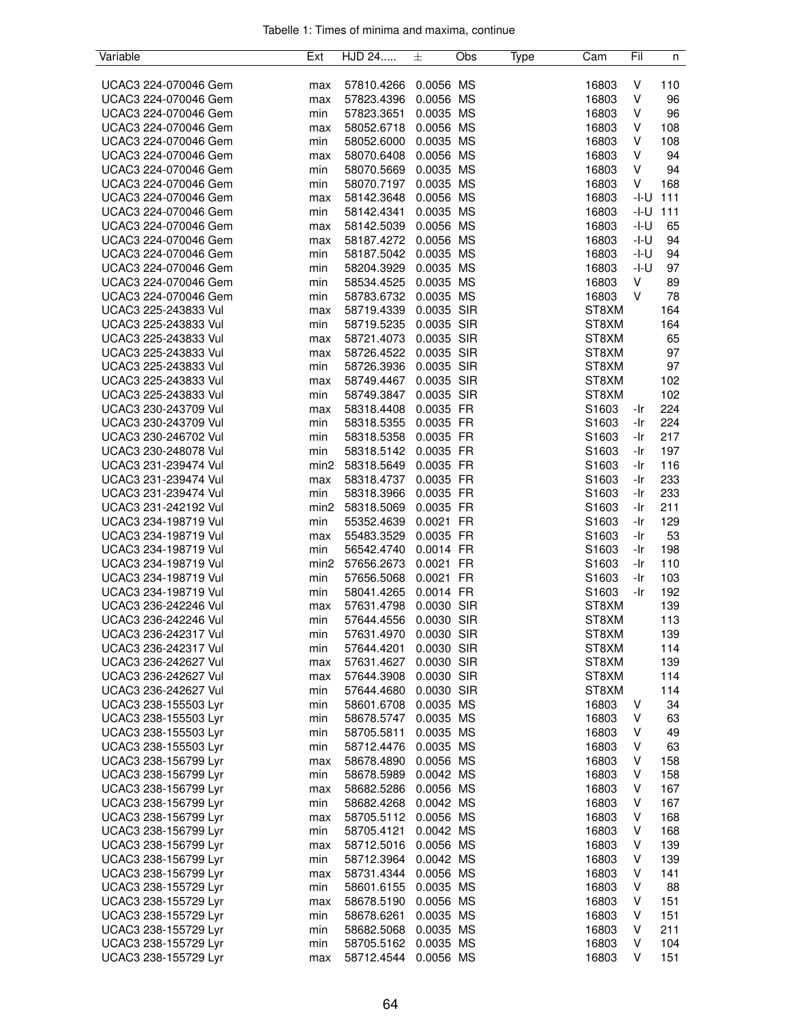| Variable                                     | Ext              | HJD 24                   | 土                        | Obs | Type | Cam               | Fil        | n          |
|----------------------------------------------|------------------|--------------------------|--------------------------|-----|------|-------------------|------------|------------|
|                                              |                  |                          |                          |     |      |                   |            |            |
| UCAC3 224-070046 Gem                         | max              | 57810.4266               | 0.0056 MS                |     |      | 16803             | V          | 110        |
| UCAC3 224-070046 Gem                         | max              | 57823.4396               | 0.0056 MS                |     |      | 16803             | V          | 96         |
| UCAC3 224-070046 Gem                         | min              | 57823.3651               | 0.0035 MS                |     |      | 16803             | V          | 96         |
| UCAC3 224-070046 Gem                         | max              | 58052.6718               | 0.0056 MS                |     |      | 16803             | V          | 108        |
| UCAC3 224-070046 Gem                         | min              | 58052.6000               | 0.0035 MS                |     |      | 16803             | V          | 108        |
| UCAC3 224-070046 Gem                         | max              | 58070.6408               | 0.0056 MS                |     |      | 16803             | V          | 94         |
| UCAC3 224-070046 Gem                         | min              | 58070.5669               | 0.0035 MS                |     |      | 16803             | V          | 94         |
| UCAC3 224-070046 Gem                         | min              | 58070.7197               | 0.0035 MS                |     |      | 16803             | V          | 168        |
| UCAC3 224-070046 Gem                         | max              | 58142.3648               | 0.0056 MS                |     |      | 16803             | $-I-U$     | 111        |
| UCAC3 224-070046 Gem                         | min              | 58142.4341               | 0.0035 MS                |     |      | 16803             | $-I-U$     | 111        |
| UCAC3 224-070046 Gem                         | max              | 58142.5039               | 0.0056 MS                |     |      | 16803             | $-I-U$     | 65         |
| UCAC3 224-070046 Gem                         | max              | 58187.4272               | 0.0056 MS                |     |      | 16803             | -I-U       | 94         |
| UCAC3 224-070046 Gem                         | min              | 58187.5042               | 0.0035 MS                |     |      | 16803             | -I-U       | 94         |
| UCAC3 224-070046 Gem                         | min              | 58204.3929               | 0.0035 MS                |     |      | 16803             | -I-U       | 97         |
| UCAC3 224-070046 Gem                         | min              | 58534.4525               | 0.0035 MS                |     |      | 16803             | V          | 89         |
| UCAC3 224-070046 Gem                         | min              | 58783.6732               | 0.0035 MS                |     |      | 16803             | V          | 78         |
| UCAC3 225-243833 Vul                         | max              | 58719.4339               | 0.0035 SIR               |     |      | ST8XM             |            | 164        |
| UCAC3 225-243833 Vul                         | min              | 58719.5235               | 0.0035 SIR               |     |      | ST8XM             |            | 164        |
| UCAC3 225-243833 Vul                         | max              | 58721.4073               | 0.0035 SIR               |     |      | ST8XM             |            | 65         |
| UCAC3 225-243833 Vul                         | max              | 58726.4522               | 0.0035 SIR               |     |      | ST8XM             |            | 97         |
| UCAC3 225-243833 Vul                         | min              | 58726.3936               | 0.0035 SIR<br>0.0035 SIR |     |      | ST8XM<br>ST8XM    |            | 97         |
| UCAC3 225-243833 Vul                         | max              | 58749.4467               |                          |     |      |                   |            | 102        |
| UCAC3 225-243833 Vul                         | min              | 58749.3847               | 0.0035 SIR<br>0.0035 FR  |     |      | ST8XM             |            | 102        |
| UCAC3 230-243709 Vul<br>UCAC3 230-243709 Vul | max              | 58318.4408               |                          |     |      | S <sub>1603</sub> | -Ir        | 224        |
| UCAC3 230-246702 Vul                         | min              | 58318.5355               | 0.0035 FR<br>0.0035 FR   |     |      | S1603<br>S1603    | -Ir<br>-Ir | 224<br>217 |
| UCAC3 230-248078 Vul                         | min<br>min       | 58318.5358<br>58318.5142 | 0.0035 FR                |     |      | S1603             | -Ir        | 197        |
| UCAC3 231-239474 Vul                         | min2             | 58318.5649               | 0.0035 FR                |     |      | S1603             | -Ir        | 116        |
| UCAC3 231-239474 Vul                         | max              | 58318.4737               | 0.0035 FR                |     |      | S1603             | -Ir        | 233        |
| UCAC3 231-239474 Vul                         | min              | 58318.3966               | 0.0035 FR                |     |      | S <sub>1603</sub> | -Ir        | 233        |
| UCAC3 231-242192 Vul                         | min <sub>2</sub> | 58318.5069               | 0.0035 FR                |     |      | S1603             | -Ir        | 211        |
| UCAC3 234-198719 Vul                         | min              | 55352.4639               | 0.0021 FR                |     |      | S1603             | -Ir        | 129        |
| UCAC3 234-198719 Vul                         | max              | 55483.3529               | 0.0035 FR                |     |      | S1603             | -Ir        | 53         |
| UCAC3 234-198719 Vul                         | min              | 56542.4740               | 0.0014 FR                |     |      | S1603             | -Ir        | 198        |
| UCAC3 234-198719 Vul                         | min <sub>2</sub> | 57656.2673               | 0.0021 FR                |     |      | S1603             | -Ir        | 110        |
| UCAC3 234-198719 Vul                         | min              | 57656.5068               | 0.0021 FR                |     |      | S1603             | -Ir        | 103        |
| UCAC3 234-198719 Vul                         | min              | 58041.4265               | 0.0014 FR                |     |      | S1603             | -Ir        | 192        |
| UCAC3 236-242246 Vul                         | max              | 57631.4798               | 0.0030 SIR               |     |      | ST8XM             |            | 139        |
| UCAC3 236-242246 Vul                         | min              | 57644.4556               | 0.0030 SIR               |     |      | ST8XM             |            | 113        |
| UCAC3 236-242317 Vul                         | min              | 57631.4970               | 0.0030 SIR               |     |      | ST8XM             |            | 139        |
| UCAC3 236-242317 Vul                         | min              | 57644.4201               | 0.0030 SIR               |     |      | ST8XM             |            | 114        |
| UCAC3 236-242627 Vul                         | max              | 57631.4627               | 0.0030 SIR               |     |      | ST8XM             |            | 139        |
| UCAC3 236-242627 Vul                         | max              | 57644.3908               | 0.0030 SIR               |     |      | ST8XM             |            | 114        |
| UCAC3 236-242627 Vul                         | min              | 57644.4680               | 0.0030 SIR               |     |      | ST8XM             |            | 114        |
| UCAC3 238-155503 Lyr                         | min              | 58601.6708               | 0.0035 MS                |     |      | 16803             | V          | 34         |
| UCAC3 238-155503 Lyr                         | min              | 58678.5747               | 0.0035 MS                |     |      | 16803             | V          | 63         |
| UCAC3 238-155503 Lyr                         | min              | 58705.5811               | 0.0035 MS                |     |      | 16803             | V          | 49         |
| UCAC3 238-155503 Lyr                         | min              | 58712.4476               | 0.0035 MS                |     |      | 16803             | V          | 63         |
| UCAC3 238-156799 Lyr                         | max              | 58678.4890               | 0.0056 MS                |     |      | 16803             | V          | 158        |
| UCAC3 238-156799 Lyr                         | min              | 58678.5989               | 0.0042 MS                |     |      | 16803             | V          | 158        |
| UCAC3 238-156799 Lyr                         | max              | 58682.5286               | 0.0056 MS                |     |      | 16803             | V          | 167        |
| UCAC3 238-156799 Lyr                         | min              | 58682.4268               | 0.0042 MS                |     |      | 16803             | V          | 167        |
| UCAC3 238-156799 Lyr                         | max              | 58705.5112               | 0.0056 MS                |     |      | 16803             | V          | 168        |
| UCAC3 238-156799 Lyr                         | min              | 58705.4121               | 0.0042 MS                |     |      | 16803             | V          | 168        |
| UCAC3 238-156799 Lyr                         | max              | 58712.5016               | 0.0056 MS                |     |      | 16803             | V          | 139        |
| UCAC3 238-156799 Lyr                         | min              | 58712.3964               | 0.0042 MS                |     |      | 16803             | V          | 139        |
| UCAC3 238-156799 Lyr                         | max              | 58731.4344               | 0.0056 MS                |     |      | 16803             | V          | 141        |
| UCAC3 238-155729 Lyr                         | min              | 58601.6155               | 0.0035 MS                |     |      | 16803             | V          | 88         |
| UCAC3 238-155729 Lyr                         | max              | 58678.5190               | 0.0056 MS                |     |      | 16803             | V          | 151        |
| UCAC3 238-155729 Lyr                         | min              | 58678.6261               | 0.0035 MS                |     |      | 16803             | V          | 151        |
| UCAC3 238-155729 Lyr                         | min              | 58682.5068               | 0.0035 MS                |     |      | 16803             | V          | 211        |
| UCAC3 238-155729 Lyr                         | min              | 58705.5162               | 0.0035 MS                |     |      | 16803             | V          | 104        |
| UCAC3 238-155729 Lyr                         | max              | 58712.4544               | 0.0056 MS                |     |      | 16803             | V          | 151        |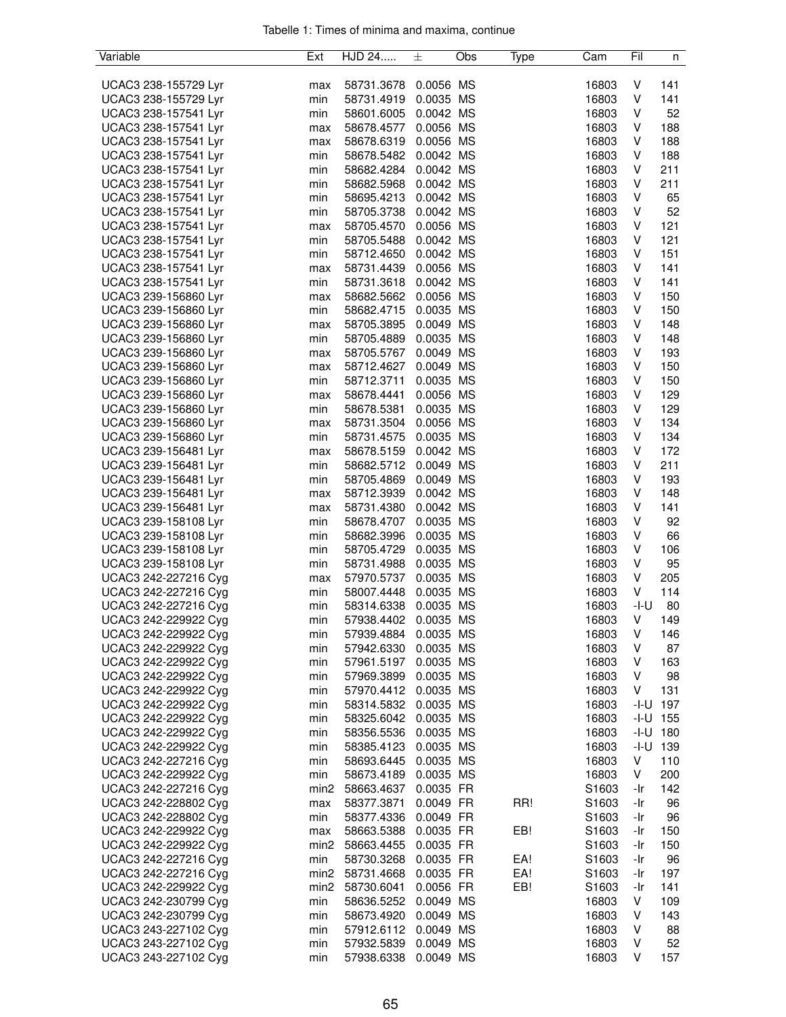| Variable             | Ext              | HJD 24               | 土         | Obs | Type | Cam   | Fil        | n          |
|----------------------|------------------|----------------------|-----------|-----|------|-------|------------|------------|
|                      |                  |                      |           |     |      |       |            |            |
| UCAC3 238-155729 Lyr | max              | 58731.3678           | 0.0056 MS |     |      | 16803 | V          | 141        |
| UCAC3 238-155729 Lyr | min              | 58731.4919           | 0.0035 MS |     |      | 16803 | V          | 141        |
| UCAC3 238-157541 Lyr | min              | 58601.6005           | 0.0042 MS |     |      | 16803 | V          | 52         |
| UCAC3 238-157541 Lyr | max              | 58678.4577           | 0.0056 MS |     |      | 16803 | V          | 188        |
| UCAC3 238-157541 Lyr | max              | 58678.6319           | 0.0056 MS |     |      | 16803 | V          | 188        |
| UCAC3 238-157541 Lyr | min              | 58678.5482           | 0.0042 MS |     |      | 16803 | V          | 188        |
| UCAC3 238-157541 Lyr | min              | 58682.4284           | 0.0042 MS |     |      | 16803 | V          | 211        |
| UCAC3 238-157541 Lyr | min              | 58682.5968           | 0.0042 MS |     |      | 16803 | V          | 211        |
| UCAC3 238-157541 Lyr | min              | 58695.4213           | 0.0042 MS |     |      | 16803 | V          | 65         |
| UCAC3 238-157541 Lyr | min              | 58705.3738           | 0.0042 MS |     |      | 16803 | V          | 52         |
| UCAC3 238-157541 Lyr | max              | 58705.4570           | 0.0056 MS |     |      | 16803 | V          | 121        |
| UCAC3 238-157541 Lyr | min              | 58705.5488           | 0.0042 MS |     |      | 16803 | V          | 121        |
| UCAC3 238-157541 Lyr | min              | 58712.4650           | 0.0042 MS |     |      | 16803 | V          | 151        |
| UCAC3 238-157541 Lyr | max              | 58731.4439           | 0.0056 MS |     |      | 16803 | V          | 141        |
| UCAC3 238-157541 Lyr | min              | 58731.3618           | 0.0042 MS |     |      | 16803 | V          | 141        |
| UCAC3 239-156860 Lyr | max              | 58682.5662 0.0056 MS |           |     |      | 16803 | V          | 150        |
| UCAC3 239-156860 Lyr | min              | 58682.4715           | 0.0035 MS |     |      | 16803 | V          | 150        |
| UCAC3 239-156860 Lyr | max              | 58705.3895           | 0.0049 MS |     |      | 16803 | V          | 148        |
| UCAC3 239-156860 Lyr | min              | 58705.4889           | 0.0035 MS |     |      | 16803 | V          | 148        |
| UCAC3 239-156860 Lyr | max              | 58705.5767           | 0.0049 MS |     |      | 16803 | V          | 193        |
| UCAC3 239-156860 Lyr | max              | 58712.4627           | 0.0049 MS |     |      | 16803 | V          | 150        |
| UCAC3 239-156860 Lyr | min              | 58712.3711           | 0.0035 MS |     |      | 16803 | V          | 150        |
|                      |                  | 58678.4441           |           |     |      |       |            |            |
| UCAC3 239-156860 Lyr | max              |                      | 0.0056 MS |     |      | 16803 | V          | 129        |
| UCAC3 239-156860 Lyr | min              | 58678.5381           | 0.0035 MS |     |      | 16803 | V          | 129        |
| UCAC3 239-156860 Lyr | max              | 58731.3504           | 0.0056 MS |     |      | 16803 | V          | 134        |
| UCAC3 239-156860 Lyr | min              | 58731.4575           | 0.0035 MS |     |      | 16803 | V          | 134        |
| UCAC3 239-156481 Lyr | max              | 58678.5159           | 0.0042 MS |     |      | 16803 | V          | 172        |
| UCAC3 239-156481 Lyr | min              | 58682.5712           | 0.0049 MS |     |      | 16803 | V          | 211        |
| UCAC3 239-156481 Lyr | min              | 58705.4869           | 0.0049 MS |     |      | 16803 | V          | 193        |
| UCAC3 239-156481 Lyr | max              | 58712.3939           | 0.0042 MS |     |      | 16803 | V          | 148        |
| UCAC3 239-156481 Lyr | max              | 58731.4380           | 0.0042 MS |     |      | 16803 | V          | 141        |
| UCAC3 239-158108 Lyr | min              | 58678.4707           | 0.0035 MS |     |      | 16803 | V          | 92         |
| UCAC3 239-158108 Lyr | min              | 58682.3996           | 0.0035 MS |     |      | 16803 | V          | 66         |
| UCAC3 239-158108 Lyr | min              | 58705.4729           | 0.0035 MS |     |      | 16803 | V          | 106        |
| UCAC3 239-158108 Lyr | min              | 58731.4988           | 0.0035 MS |     |      | 16803 | V          | 95         |
| UCAC3 242-227216 Cyg | max              | 57970.5737           | 0.0035 MS |     |      | 16803 | V          | 205        |
| UCAC3 242-227216 Cyg | min              | 58007.4448           | 0.0035 MS |     |      | 16803 | V          | 114        |
| UCAC3 242-227216 Cyg | min              | 58314.6338           | 0.0035 MS |     |      | 16803 | $-I-U$     | 80         |
| UCAC3 242-229922 Cyg | min              | 57938.4402           | 0.0035 MS |     |      | 16803 | V          | 149        |
| UCAC3 242-229922 Cyg | min              | 57939.4884           | 0.0035 MS |     |      | 16803 | V          | 146        |
| UCAC3 242-229922 Cyg | min              | 57942.6330           | 0.0035 MS |     |      | 16803 | V          | 87         |
| UCAC3 242-229922 Cyg | min              | 57961.5197           | 0.0035 MS |     |      | 16803 | V          | 163        |
| UCAC3 242-229922 Cyg | min              | 57969.3899           | 0.0035 MS |     |      | 16803 | V          | 98         |
| UCAC3 242-229922 Cyg | min              | 57970.4412 0.0035 MS |           |     |      | 16803 | V          | 131        |
| UCAC3 242-229922 Cyg | min              | 58314.5832 0.0035 MS |           |     |      | 16803 | $-I-U$ 197 |            |
| UCAC3 242-229922 Cyg | min              | 58325.6042           | 0.0035 MS |     |      | 16803 | $-I-U$ 155 |            |
| UCAC3 242-229922 Cyg | min              | 58356.5536           | 0.0035 MS |     |      | 16803 | $-I-U$ 180 |            |
| UCAC3 242-229922 Cyg | min              | 58385.4123           | 0.0035 MS |     |      | 16803 |            | $-I-U$ 139 |
| UCAC3 242-227216 Cyg | min              | 58693.6445           | 0.0035 MS |     |      | 16803 | V          | 110        |
| UCAC3 242-229922 Cyg | min              | 58673.4189           | 0.0035 MS |     |      | 16803 | V          | 200        |
| UCAC3 242-227216 Cyg | min <sub>2</sub> | 58663.4637           | 0.0035 FR |     |      | S1603 | -Ir        | 142        |
| UCAC3 242-228802 Cyg | max              | 58377.3871           | 0.0049 FR |     | RR!  | S1603 | -Ir        | 96         |
| UCAC3 242-228802 Cyg | min              | 58377.4336           | 0.0049 FR |     |      | S1603 | -Ir        | 96         |
| UCAC3 242-229922 Cyg | max              | 58663.5388           | 0.0035 FR |     | EB!  | S1603 | -Ir        | 150        |
| UCAC3 242-229922 Cyg | min2             | 58663.4455           | 0.0035 FR |     |      | S1603 | -Ir        | 150        |
| UCAC3 242-227216 Cyg | min              | 58730.3268           | 0.0035 FR |     | EA!  | S1603 | -Ir        | 96         |
| UCAC3 242-227216 Cyg | min2             | 58731.4668           | 0.0035 FR |     | EA!  | S1603 | -Ir        | 197        |
| UCAC3 242-229922 Cyg | min2             | 58730.6041           | 0.0056 FR |     | EB!  | S1603 | -Ir        | 141        |
| UCAC3 242-230799 Cyg | min              | 58636.5252           | 0.0049 MS |     |      | 16803 | V          | 109        |
| UCAC3 242-230799 Cyg | min              | 58673.4920           | 0.0049 MS |     |      | 16803 | V          | 143        |
| UCAC3 243-227102 Cyg |                  |                      | 0.0049 MS |     |      |       | V          |            |
|                      | min              | 57912.6112           |           |     |      | 16803 |            | 88         |
| UCAC3 243-227102 Cyg | min              | 57932.5839           | 0.0049 MS |     |      | 16803 | V          | 52         |
| UCAC3 243-227102 Cyg | min              | 57938.6338           | 0.0049 MS |     |      | 16803 | V          | 157        |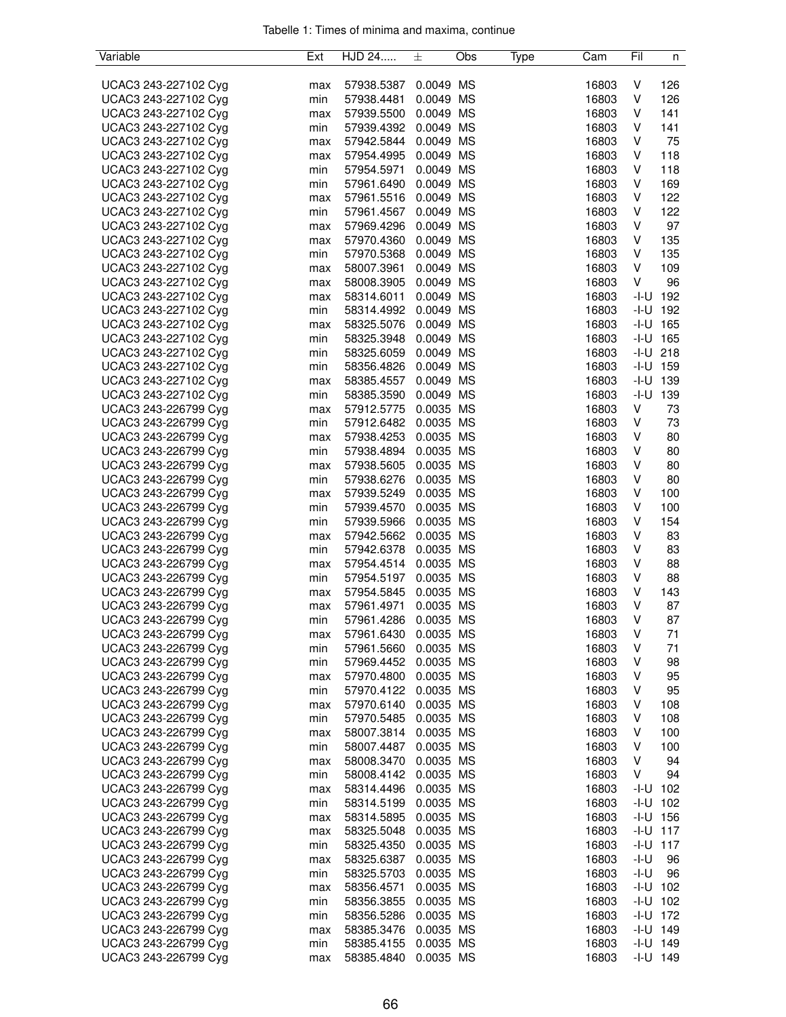| Variable             | Ext | HJD 24               | 土         | Obs | Type | Cam   | Fil  | n            |
|----------------------|-----|----------------------|-----------|-----|------|-------|------|--------------|
|                      |     |                      |           |     |      |       |      |              |
| UCAC3 243-227102 Cyg | max | 57938.5387           | 0.0049 MS |     |      | 16803 | V    | 126          |
| UCAC3 243-227102 Cyg | min | 57938.4481           | 0.0049 MS |     |      | 16803 | V    | 126          |
| UCAC3 243-227102 Cyg | max | 57939.5500           | 0.0049 MS |     |      | 16803 | V    | 141          |
| UCAC3 243-227102 Cyg | min | 57939.4392 0.0049 MS |           |     |      | 16803 | V    | 141          |
| UCAC3 243-227102 Cyg | max | 57942.5844           | 0.0049 MS |     |      | 16803 | V    | 75           |
| UCAC3 243-227102 Cyg | max | 57954.4995           | 0.0049 MS |     |      | 16803 | V    | 118          |
| UCAC3 243-227102 Cyg | min | 57954.5971           | 0.0049 MS |     |      | 16803 | V    | 118          |
| UCAC3 243-227102 Cyg | min | 57961.6490           | 0.0049 MS |     |      | 16803 | V    | 169          |
| UCAC3 243-227102 Cyg | max | 57961.5516           | 0.0049 MS |     |      | 16803 | V    | 122          |
| UCAC3 243-227102 Cyg | min | 57961.4567           | 0.0049 MS |     |      | 16803 | V    | 122          |
| UCAC3 243-227102 Cyg | max | 57969.4296           | 0.0049 MS |     |      | 16803 | V    | 97           |
| UCAC3 243-227102 Cyg | max | 57970.4360           | 0.0049 MS |     |      | 16803 | V    | 135          |
| UCAC3 243-227102 Cyg | min | 57970.5368           | 0.0049 MS |     |      | 16803 | V    | 135          |
| UCAC3 243-227102 Cyg | max | 58007.3961           | 0.0049 MS |     |      | 16803 | V    | 109          |
| UCAC3 243-227102 Cyg | max | 58008.3905           | 0.0049 MS |     |      | 16803 | V    | 96           |
| UCAC3 243-227102 Cyg | max | 58314.6011           | 0.0049 MS |     |      | 16803 |      | $-1 - U$ 192 |
| UCAC3 243-227102 Cyg | min | 58314.4992           | 0.0049 MS |     |      | 16803 |      | $-1 - U$ 192 |
| UCAC3 243-227102 Cyg | max | 58325.5076           | 0.0049 MS |     |      | 16803 |      | $-I-U$ 165   |
| UCAC3 243-227102 Cyg | min | 58325.3948           | 0.0049 MS |     |      | 16803 |      | $-I-U$ 165   |
| UCAC3 243-227102 Cyg | min | 58325.6059           | 0.0049 MS |     |      | 16803 |      | $-I-U$ 218   |
| UCAC3 243-227102 Cyg | min | 58356.4826           | 0.0049 MS |     |      | 16803 |      | $-I-U$ 159   |
| UCAC3 243-227102 Cyg | max | 58385.4557           | 0.0049 MS |     |      | 16803 |      | $-1 - U$ 139 |
| UCAC3 243-227102 Cyg | min | 58385.3590           | 0.0049 MS |     |      | 16803 | -I-U | 139          |
| UCAC3 243-226799 Cyg |     | 57912.5775           | 0.0035 MS |     |      | 16803 | V    |              |
| UCAC3 243-226799 Cyg | max |                      | 0.0035 MS |     |      | 16803 | V    | 73<br>73     |
| UCAC3 243-226799 Cyg | min | 57912.6482           | 0.0035 MS |     |      |       | V    | 80           |
|                      | max | 57938.4253           | 0.0035 MS |     |      | 16803 |      |              |
| UCAC3 243-226799 Cyg | min | 57938.4894           |           |     |      | 16803 | V    | 80           |
| UCAC3 243-226799 Cyg | max | 57938.5605           | 0.0035 MS |     |      | 16803 | V    | 80           |
| UCAC3 243-226799 Cyg | min | 57938.6276           | 0.0035 MS |     |      | 16803 | V    | 80           |
| UCAC3 243-226799 Cyg | max | 57939.5249           | 0.0035 MS |     |      | 16803 | V    | 100          |
| UCAC3 243-226799 Cyg | min | 57939.4570           | 0.0035 MS |     |      | 16803 | V    | 100          |
| UCAC3 243-226799 Cyg | min | 57939.5966           | 0.0035 MS |     |      | 16803 | V    | 154          |
| UCAC3 243-226799 Cyg | max | 57942.5662           | 0.0035 MS |     |      | 16803 | V    | 83           |
| UCAC3 243-226799 Cyg | min | 57942.6378           | 0.0035 MS |     |      | 16803 | V    | 83           |
| UCAC3 243-226799 Cyg | max | 57954.4514           | 0.0035 MS |     |      | 16803 | V    | 88           |
| UCAC3 243-226799 Cyg | min | 57954.5197           | 0.0035 MS |     |      | 16803 | V    | 88           |
| UCAC3 243-226799 Cyg | max | 57954.5845           | 0.0035 MS |     |      | 16803 | V    | 143          |
| UCAC3 243-226799 Cyg | max | 57961.4971           | 0.0035 MS |     |      | 16803 | V    | 87           |
| UCAC3 243-226799 Cyg | min | 57961.4286           | 0.0035 MS |     |      | 16803 | V    | 87           |
| UCAC3 243-226799 Cyg | max | 57961.6430           | 0.0035 MS |     |      | 16803 | V    | 71           |
| UCAC3 243-226799 Cyg | min | 57961.5660           | 0.0035 MS |     |      | 16803 | V    | 71           |
| UCAC3 243-226799 Cyg | min | 57969.4452           | 0.0035 MS |     |      | 16803 | V    | 98           |
| UCAC3 243-226799 Cyg | max | 57970.4800           | 0.0035 MS |     |      | 16803 | V    | 95           |
| UCAC3 243-226799 Cyg | min | 57970.4122 0.0035 MS |           |     |      | 16803 | V    | 95           |
| UCAC3 243-226799 Cyg | max | 57970.6140           | 0.0035 MS |     |      | 16803 | V    | 108          |
| UCAC3 243-226799 Cyg | min | 57970.5485           | 0.0035 MS |     |      | 16803 | V    | 108          |
| UCAC3 243-226799 Cyg | max | 58007.3814           | 0.0035 MS |     |      | 16803 | V    | 100          |
| UCAC3 243-226799 Cyg | min | 58007.4487           | 0.0035 MS |     |      | 16803 | V    | 100          |
| UCAC3 243-226799 Cyg | max | 58008.3470           | 0.0035 MS |     |      | 16803 | V    | 94           |
| UCAC3 243-226799 Cyg | min | 58008.4142 0.0035 MS |           |     |      | 16803 | V    | 94           |
| UCAC3 243-226799 Cyg | max | 58314.4496           | 0.0035 MS |     |      | 16803 |      | $-1 - U$ 102 |
| UCAC3 243-226799 Cyg | min | 58314.5199           | 0.0035 MS |     |      | 16803 |      | $-1 - U$ 102 |
| UCAC3 243-226799 Cyg | max | 58314.5895           | 0.0035 MS |     |      | 16803 |      | $-1 - U$ 156 |
| UCAC3 243-226799 Cyg | max | 58325.5048           | 0.0035 MS |     |      | 16803 |      | $-1 - U$ 117 |
| UCAC3 243-226799 Cyg | min | 58325.4350           | 0.0035 MS |     |      | 16803 |      | $-1 - U$ 117 |
| UCAC3 243-226799 Cyg | max | 58325.6387           | 0.0035 MS |     |      | 16803 | -I-U | 96           |
| UCAC3 243-226799 Cyg | min | 58325.5703           | 0.0035 MS |     |      | 16803 | -I-U | 96           |
| UCAC3 243-226799 Cyg | max | 58356.4571           | 0.0035 MS |     |      | 16803 |      | $-1 - U$ 102 |
| UCAC3 243-226799 Cyg | min | 58356.3855           | 0.0035 MS |     |      | 16803 |      | $-1 - U$ 102 |
| UCAC3 243-226799 Cyg | min | 58356.5286           | 0.0035 MS |     |      | 16803 |      | $-1 - U$ 172 |
| UCAC3 243-226799 Cyg | max | 58385.3476           | 0.0035 MS |     |      | 16803 |      | $-I-U$ 149   |
| UCAC3 243-226799 Cyg | min | 58385.4155           | 0.0035 MS |     |      | 16803 |      | $-1 - U$ 149 |
| UCAC3 243-226799 Cyg | max | 58385.4840           | 0.0035 MS |     |      | 16803 |      | $-I-U$ 149   |
|                      |     |                      |           |     |      |       |      |              |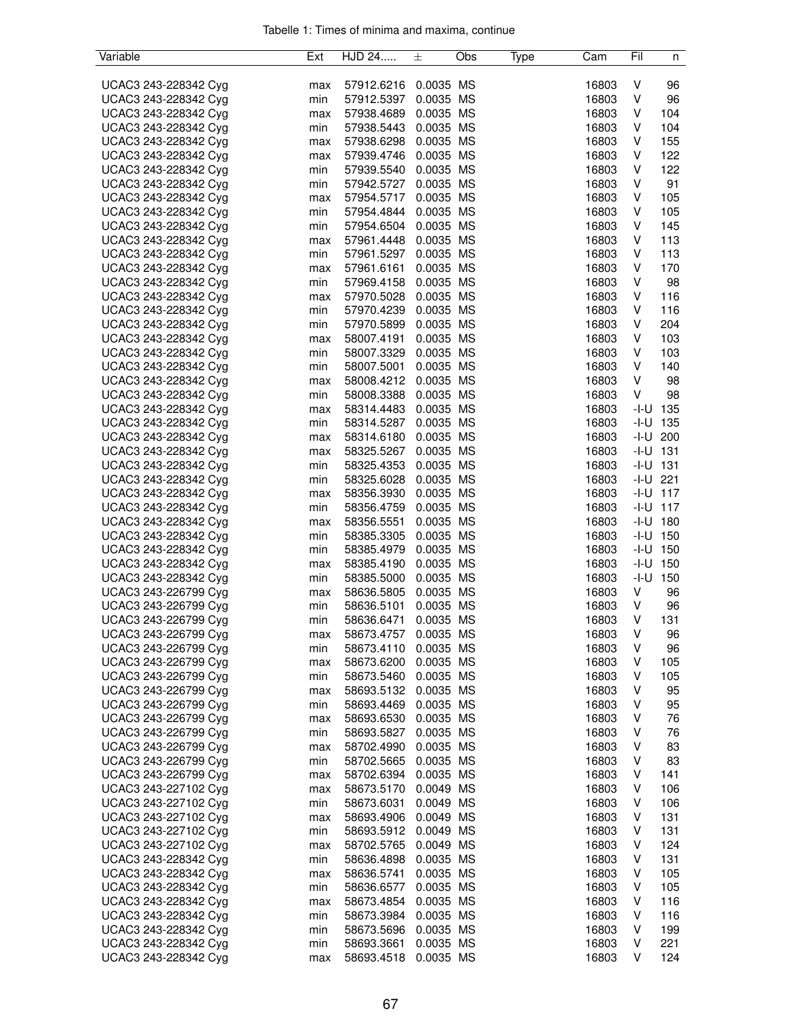| Variable             | Ext | HJD 24               | 土         | Obs | Type | Cam   | Fil | n            |
|----------------------|-----|----------------------|-----------|-----|------|-------|-----|--------------|
|                      |     |                      |           |     |      |       |     |              |
| UCAC3 243-228342 Cyg | max | 57912.6216           | 0.0035 MS |     |      | 16803 | V   | 96           |
| UCAC3 243-228342 Cyg | min | 57912.5397           | 0.0035 MS |     |      | 16803 | V   | 96           |
| UCAC3 243-228342 Cyg | max | 57938.4689           | 0.0035 MS |     |      | 16803 | V   | 104          |
| UCAC3 243-228342 Cyg | min | 57938.5443 0.0035 MS |           |     |      | 16803 | V   | 104          |
| UCAC3 243-228342 Cyg | max | 57938.6298           | 0.0035 MS |     |      | 16803 | V   | 155          |
| UCAC3 243-228342 Cyg | max | 57939.4746           | 0.0035 MS |     |      | 16803 | V   | 122          |
| UCAC3 243-228342 Cyg | min | 57939.5540           | 0.0035 MS |     |      | 16803 | V   | 122          |
| UCAC3 243-228342 Cyg | min | 57942.5727 0.0035 MS |           |     |      | 16803 | V   | 91           |
| UCAC3 243-228342 Cyg | max | 57954.5717 0.0035 MS |           |     |      | 16803 | V   | 105          |
| UCAC3 243-228342 Cyg | min | 57954.4844           | 0.0035 MS |     |      | 16803 | V   | 105          |
| UCAC3 243-228342 Cyg | min | 57954.6504           | 0.0035 MS |     |      | 16803 | V   | 145          |
| UCAC3 243-228342 Cyg | max | 57961.4448           | 0.0035 MS |     |      | 16803 | V   | 113          |
| UCAC3 243-228342 Cyg | min | 57961.5297           | 0.0035 MS |     |      | 16803 | V   | 113          |
| UCAC3 243-228342 Cyg | max | 57961.6161           | 0.0035 MS |     |      | 16803 | V   | 170          |
| UCAC3 243-228342 Cyg | min | 57969.4158           | 0.0035 MS |     |      | 16803 | V   | 98           |
| UCAC3 243-228342 Cyg | max | 57970.5028           | 0.0035 MS |     |      | 16803 | V   | 116          |
| UCAC3 243-228342 Cyg | min | 57970.4239           | 0.0035 MS |     |      | 16803 | V   | 116          |
| UCAC3 243-228342 Cyg | min | 57970.5899           | 0.0035 MS |     |      | 16803 | V   | 204          |
| UCAC3 243-228342 Cyg | max | 58007.4191           | 0.0035 MS |     |      | 16803 | V   | 103          |
| UCAC3 243-228342 Cyg | min | 58007.3329           | 0.0035 MS |     |      | 16803 | V   | 103          |
| UCAC3 243-228342 Cyg | min | 58007.5001           | 0.0035 MS |     |      | 16803 | V   | 140          |
| UCAC3 243-228342 Cyg | max | 58008.4212           | 0.0035 MS |     |      | 16803 | V   | 98           |
| UCAC3 243-228342 Cyg | min | 58008.3388           | 0.0035 MS |     |      | 16803 | V   | 98           |
|                      |     |                      | 0.0035 MS |     |      | 16803 |     | $-I-U$ 135   |
| UCAC3 243-228342 Cyg | max | 58314.4483           | 0.0035 MS |     |      | 16803 |     | $-I-U$ 135   |
| UCAC3 243-228342 Cyg | min | 58314.5287           | 0.0035 MS |     |      |       |     | $-I-U$ 200   |
| UCAC3 243-228342 Cyg | max | 58314.6180           |           |     |      | 16803 |     | $-I-U$ 131   |
| UCAC3 243-228342 Cyg | max | 58325.5267 0.0035 MS |           |     |      | 16803 |     |              |
| UCAC3 243-228342 Cyg | min | 58325.4353           | 0.0035 MS |     |      | 16803 |     | $-I-U$ 131   |
| UCAC3 243-228342 Cyg | min | 58325.6028           | 0.0035 MS |     |      | 16803 |     | $-I-U$ 221   |
| UCAC3 243-228342 Cyg | max | 58356.3930           | 0.0035 MS |     |      | 16803 |     | $-1 - U$ 117 |
| UCAC3 243-228342 Cyg | min | 58356.4759           | 0.0035 MS |     |      | 16803 |     | $-1 - U$ 117 |
| UCAC3 243-228342 Cyg | max | 58356.5551           | 0.0035 MS |     |      | 16803 |     | $-I-U$ 180   |
| UCAC3 243-228342 Cyg | min | 58385.3305           | 0.0035 MS |     |      | 16803 |     | $-I-U$ 150   |
| UCAC3 243-228342 Cyg | min | 58385.4979           | 0.0035 MS |     |      | 16803 |     | $-I-U$ 150   |
| UCAC3 243-228342 Cyg | max | 58385.4190           | 0.0035 MS |     |      | 16803 |     | $-1 - U$ 150 |
| UCAC3 243-228342 Cyg | min | 58385.5000           | 0.0035 MS |     |      | 16803 |     | $-I-U$ 150   |
| UCAC3 243-226799 Cyg | max | 58636.5805           | 0.0035 MS |     |      | 16803 | V   | 96           |
| UCAC3 243-226799 Cyg | min | 58636.5101           | 0.0035 MS |     |      | 16803 | V   | 96           |
| UCAC3 243-226799 Cyg | min | 58636.6471           | 0.0035 MS |     |      | 16803 | V   | 131          |
| UCAC3 243-226799 Cyg | max | 58673.4757           | 0.0035 MS |     |      | 16803 | V   | 96           |
| UCAC3 243-226799 Cyg | min | 58673.4110           | 0.0035 MS |     |      | 16803 | V   | 96           |
| UCAC3 243-226799 Cyg | max | 58673.6200           | 0.0035 MS |     |      | 16803 | V   | 105          |
| UCAC3 243-226799 Cyg | min | 58673.5460           | 0.0035 MS |     |      | 16803 | V   | 105          |
| UCAC3 243-226799 Cyg | max | 58693.5132 0.0035 MS |           |     |      | 16803 | V   | 95           |
| UCAC3 243-226799 Cyg | min | 58693.4469           | 0.0035 MS |     |      | 16803 | V   | 95           |
| UCAC3 243-226799 Cyg | max | 58693.6530           | 0.0035 MS |     |      | 16803 | V   | 76           |
| UCAC3 243-226799 Cyg | min | 58693.5827           | 0.0035 MS |     |      | 16803 | V   | 76           |
| UCAC3 243-226799 Cyg | max | 58702.4990           | 0.0035 MS |     |      | 16803 | V   | 83           |
| UCAC3 243-226799 Cyg | min | 58702.5665           | 0.0035 MS |     |      | 16803 | V   | 83           |
| UCAC3 243-226799 Cyg | max | 58702.6394           | 0.0035 MS |     |      | 16803 | V   | 141          |
| UCAC3 243-227102 Cyg | max | 58673.5170           | 0.0049 MS |     |      | 16803 | V   | 106          |
| UCAC3 243-227102 Cyg | min | 58673.6031           | 0.0049 MS |     |      | 16803 | V   | 106          |
| UCAC3 243-227102 Cyg | max | 58693.4906           | 0.0049 MS |     |      | 16803 | V   | 131          |
| UCAC3 243-227102 Cyg | min | 58693.5912           | 0.0049 MS |     |      | 16803 | V   | 131          |
| UCAC3 243-227102 Cyg | max | 58702.5765           | 0.0049 MS |     |      | 16803 | V   | 124          |
| UCAC3 243-228342 Cyg | min | 58636.4898           | 0.0035 MS |     |      | 16803 | V   | 131          |
| UCAC3 243-228342 Cyg | max | 58636.5741           | 0.0035 MS |     |      | 16803 | V   | 105          |
| UCAC3 243-228342 Cyg | min | 58636.6577           | 0.0035 MS |     |      | 16803 | V   | 105          |
| UCAC3 243-228342 Cyg | max | 58673.4854           | 0.0035 MS |     |      | 16803 | V   | 116          |
| UCAC3 243-228342 Cyg | min | 58673.3984           | 0.0035 MS |     |      | 16803 | V   | 116          |
| UCAC3 243-228342 Cyg | min | 58673.5696           | 0.0035 MS |     |      | 16803 | V   | 199          |
| UCAC3 243-228342 Cyg | min | 58693.3661           | 0.0035 MS |     |      | 16803 | V   | 221          |
| UCAC3 243-228342 Cyg | max | 58693.4518           | 0.0035 MS |     |      | 16803 | V   | 124          |
|                      |     |                      |           |     |      |       |     |              |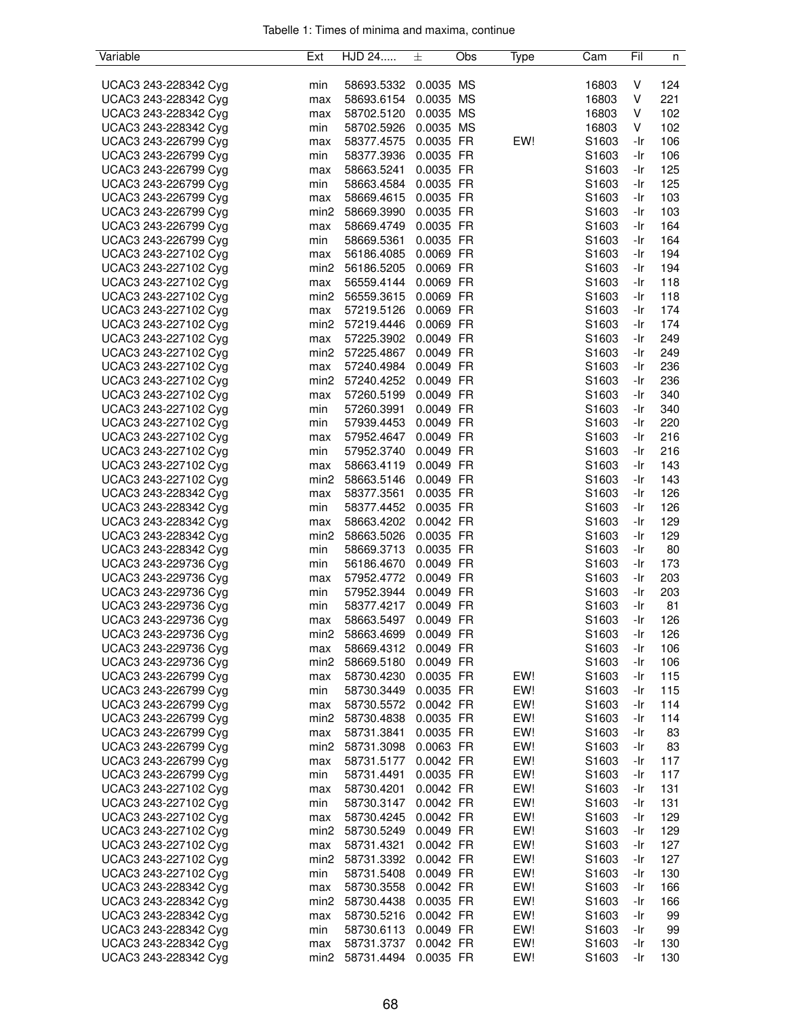| Variable             | Ext              | HJD 24               | 士         | Obs | Type | Cam               | Fil | n   |
|----------------------|------------------|----------------------|-----------|-----|------|-------------------|-----|-----|
|                      |                  |                      |           |     |      |                   |     |     |
| UCAC3 243-228342 Cyg | min              | 58693.5332           | 0.0035 MS |     |      | 16803             | V   | 124 |
| UCAC3 243-228342 Cyg | max              | 58693.6154           | 0.0035 MS |     |      | 16803             | V   | 221 |
| UCAC3 243-228342 Cyg | max              | 58702.5120           | 0.0035 MS |     |      | 16803             | V   | 102 |
| UCAC3 243-228342 Cyg | min              | 58702.5926           | 0.0035 MS |     |      | 16803             | V   | 102 |
| UCAC3 243-226799 Cyg | max              | 58377.4575 0.0035 FR |           |     | EW!  | S <sub>1603</sub> | -Ir | 106 |
| UCAC3 243-226799 Cyg | min              | 58377.3936           | 0.0035 FR |     |      | S <sub>1603</sub> | -Ir | 106 |
| UCAC3 243-226799 Cyg | max              | 58663.5241           | 0.0035 FR |     |      | S1603             | -Ir | 125 |
| UCAC3 243-226799 Cyg | min              | 58663.4584           | 0.0035 FR |     |      | S1603             | -Ir | 125 |
| UCAC3 243-226799 Cyg | max              | 58669.4615           | 0.0035 FR |     |      | S1603             | -Ir | 103 |
| UCAC3 243-226799 Cyg | min <sub>2</sub> | 58669.3990 0.0035 FR |           |     |      | S1603             | -Ir | 103 |
| UCAC3 243-226799 Cyg | max              | 58669.4749           | 0.0035 FR |     |      | S1603             | -Ir | 164 |
| UCAC3 243-226799 Cyg | min              | 58669.5361           | 0.0035 FR |     |      | S <sub>1603</sub> | -Ir | 164 |
| UCAC3 243-227102 Cyg | max              | 56186.4085           | 0.0069 FR |     |      | S1603             | -Ir | 194 |
| UCAC3 243-227102 Cyg | min <sub>2</sub> | 56186.5205           | 0.0069 FR |     |      | S1603             | -Ir | 194 |
| UCAC3 243-227102 Cyg | max              | 56559.4144           | 0.0069 FR |     |      | S1603             | -Ir | 118 |
| UCAC3 243-227102 Cyg | min2             | 56559.3615 0.0069 FR |           |     |      | S <sub>1603</sub> | -Ir | 118 |
| UCAC3 243-227102 Cyg | max              | 57219.5126           | 0.0069 FR |     |      | S <sub>1603</sub> | -Ir | 174 |
| UCAC3 243-227102 Cyg | min2             | 57219.4446           | 0.0069 FR |     |      | S <sub>1603</sub> | -Ir | 174 |
| UCAC3 243-227102 Cyg | max              | 57225.3902           | 0.0049 FR |     |      | S <sub>1603</sub> | -Ir | 249 |
| UCAC3 243-227102 Cyg | min2             | 57225.4867           | 0.0049 FR |     |      | S1603             | -Ir | 249 |
| UCAC3 243-227102 Cyg | max              | 57240.4984           | 0.0049 FR |     |      | S1603             | -Ir | 236 |
|                      | min2             |                      | 0.0049 FR |     |      | S1603             | -Ir | 236 |
| UCAC3 243-227102 Cyg |                  | 57240.4252           |           |     |      |                   |     |     |
| UCAC3 243-227102 Cyg | max              | 57260.5199           | 0.0049 FR |     |      | S1603             | -Ir | 340 |
| UCAC3 243-227102 Cyg | min              | 57260.3991           | 0.0049 FR |     |      | S <sub>1603</sub> | -Ir | 340 |
| UCAC3 243-227102 Cyg | min              | 57939.4453           | 0.0049 FR |     |      | S1603             | -Ir | 220 |
| UCAC3 243-227102 Cyg | max              | 57952.4647 0.0049 FR |           |     |      | S1603             | -Ir | 216 |
| UCAC3 243-227102 Cyg | min              | 57952.3740 0.0049 FR |           |     |      | S <sub>1603</sub> | -Ir | 216 |
| UCAC3 243-227102 Cyg | max              | 58663.4119           | 0.0049 FR |     |      | S1603             | -Ir | 143 |
| UCAC3 243-227102 Cyg | min2             | 58663.5146           | 0.0049 FR |     |      | S <sub>1603</sub> | -Ir | 143 |
| UCAC3 243-228342 Cyg | max              | 58377.3561           | 0.0035 FR |     |      | S1603             | -Ir | 126 |
| UCAC3 243-228342 Cyg | min              | 58377.4452           | 0.0035 FR |     |      | S1603             | -Ir | 126 |
| UCAC3 243-228342 Cyg | max              | 58663.4202 0.0042 FR |           |     |      | S1603             | -Ir | 129 |
| UCAC3 243-228342 Cyg | min <sub>2</sub> | 58663.5026           | 0.0035 FR |     |      | S1603             | -Ir | 129 |
| UCAC3 243-228342 Cyg | min              | 58669.3713           | 0.0035 FR |     |      | S1603             | -Ir | 80  |
| UCAC3 243-229736 Cyg | min              | 56186.4670           | 0.0049 FR |     |      | S <sub>1603</sub> | -Ir | 173 |
| UCAC3 243-229736 Cyg | max              | 57952.4772           | 0.0049 FR |     |      | S1603             | -Ir | 203 |
| UCAC3 243-229736 Cyg | min              | 57952.3944           | 0.0049 FR |     |      | S1603             | -Ir | 203 |
| UCAC3 243-229736 Cyg | min              | 58377.4217           | 0.0049 FR |     |      | S1603             | -Ir | 81  |
| UCAC3 243-229736 Cyg | max              | 58663.5497           | 0.0049 FR |     |      | S1603             | -Ir | 126 |
| UCAC3 243-229736 Cyg | min <sub>2</sub> | 58663.4699           | 0.0049 FR |     |      | S1603             | -Ir | 126 |
| UCAC3 243-229736 Cyg | max              | 58669.4312           | 0.0049 FR |     |      | S <sub>1603</sub> | -Ir | 106 |
| UCAC3 243-229736 Cyg | min <sub>2</sub> | 58669.5180           | 0.0049 FR |     |      | S1603             | -Ir | 106 |
| UCAC3 243-226799 Cyg | max              | 58730.4230           | 0.0035 FR |     | EW!  | S1603             | -Ir | 115 |
| UCAC3 243-226799 Cyg | min              | 58730.3449           | 0.0035 FR |     | EW!  | S <sub>1603</sub> | -Ir | 115 |
| UCAC3 243-226799 Cyg | max              | 58730.5572           | 0.0042 FR |     | EW!  | S <sub>1603</sub> | -Ir | 114 |
| UCAC3 243-226799 Cyg | min <sub>2</sub> | 58730.4838           | 0.0035 FR |     | EW!  | S1603             | -Ir | 114 |
| UCAC3 243-226799 Cyg | max              | 58731.3841           | 0.0035 FR |     | EW!  | S1603             | -Ir | 83  |
| UCAC3 243-226799 Cyg | min <sub>2</sub> | 58731.3098           | 0.0063 FR |     | EW!  | S1603             | -Ir | 83  |
| UCAC3 243-226799 Cyg | max              | 58731.5177           | 0.0042 FR |     | EW!  | S1603             | -Ir | 117 |
| UCAC3 243-226799 Cyg | min              | 58731.4491           | 0.0035 FR |     | EW!  | S1603             | -Ir | 117 |
| UCAC3 243-227102 Cyg | max              | 58730.4201           | 0.0042 FR |     | EW!  | S <sub>1603</sub> | -Ir | 131 |
| UCAC3 243-227102 Cyg | min              | 58730.3147           | 0.0042 FR |     | EW!  | S1603             | -Ir | 131 |
| UCAC3 243-227102 Cyg | max              | 58730.4245           | 0.0042 FR |     | EW!  | S1603             | -Ir | 129 |
| UCAC3 243-227102 Cyg | min <sub>2</sub> | 58730.5249           | 0.0049 FR |     | EW!  | S1603             | -Ir | 129 |
| UCAC3 243-227102 Cyg | max              | 58731.4321           | 0.0042 FR |     | EW!  | S1603             | -Ir | 127 |
| UCAC3 243-227102 Cyg | min <sub>2</sub> | 58731.3392           | 0.0042 FR |     | EW!  | S <sub>1603</sub> | -Ir | 127 |
| UCAC3 243-227102 Cyg | min              | 58731.5408           | 0.0049 FR |     | EW!  | S1603             | -Ir | 130 |
| UCAC3 243-228342 Cyg | max              | 58730.3558           | 0.0042 FR |     | EW!  | S <sub>1603</sub> | -Ir | 166 |
| UCAC3 243-228342 Cyg | min <sub>2</sub> | 58730.4438           | 0.0035 FR |     | EW!  | S1603             | -Ir | 166 |
| UCAC3 243-228342 Cyg | max              | 58730.5216           | 0.0042 FR |     | EW!  | S1603             | -Ir | 99  |
| UCAC3 243-228342 Cyg | min              | 58730.6113           | 0.0049 FR |     | EW!  | S1603             | -Ir | 99  |
| UCAC3 243-228342 Cyg | max              | 58731.3737           | 0.0042 FR |     | EW!  | S1603             | -Ir | 130 |
| UCAC3 243-228342 Cyg | min2             | 58731.4494           | 0.0035 FR |     | EW!  | S1603             | -Ir | 130 |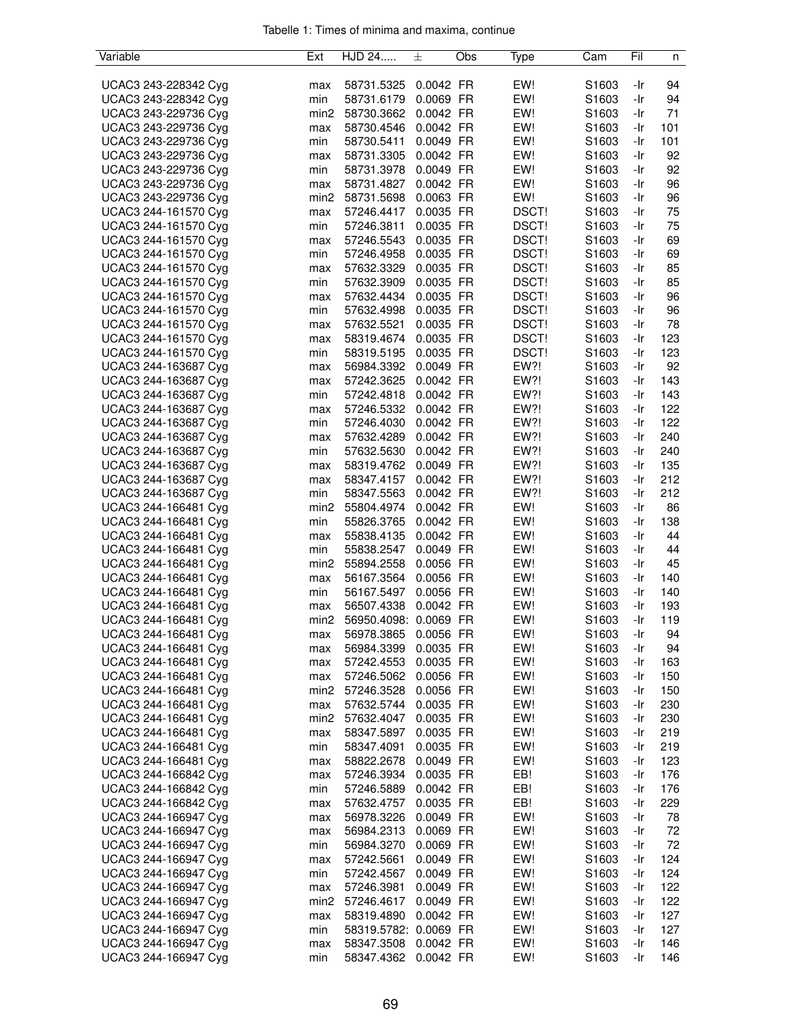| Variable             | Ext              | HJD 24                | 土         | Obs | Type         | Cam               | Fil | n   |
|----------------------|------------------|-----------------------|-----------|-----|--------------|-------------------|-----|-----|
|                      |                  |                       |           |     |              |                   |     |     |
| UCAC3 243-228342 Cyg | max              | 58731.5325            | 0.0042 FR |     | EW!          | S <sub>1603</sub> | -Ir | 94  |
| UCAC3 243-228342 Cyg | min              | 58731.6179            | 0.0069 FR |     | EW!          | S1603             | -Ir | 94  |
| UCAC3 243-229736 Cyg | min <sub>2</sub> | 58730.3662            | 0.0042 FR |     | EW!          | S1603             | -Ir | 71  |
| UCAC3 243-229736 Cyg | max              | 58730.4546            | 0.0042 FR |     | EW!          | S1603             | -Ir | 101 |
| UCAC3 243-229736 Cyg | min              | 58730.5411            | 0.0049 FR |     | EW!          | S1603             | -Ir | 101 |
| UCAC3 243-229736 Cyg | max              | 58731.3305            | 0.0042 FR |     | EW!          | S <sub>1603</sub> | -Ir | 92  |
| UCAC3 243-229736 Cyg | min              | 58731.3978            | 0.0049 FR |     | EW!          | S <sub>1603</sub> | -Ir | 92  |
| UCAC3 243-229736 Cyg | max              | 58731.4827            | 0.0042 FR |     | EW!          | S1603             | -Ir | 96  |
| UCAC3 243-229736 Cyg | min <sub>2</sub> | 58731.5698            | 0.0063 FR |     | EW!          | S1603             | -Ir | 96  |
| UCAC3 244-161570 Cyg | max              | 57246.4417            | 0.0035 FR |     | DSCT!        | S1603             | -Ir | 75  |
| UCAC3 244-161570 Cyg | min              | 57246.3811            | 0.0035 FR |     | DSCT!        | S1603             | -Ir | 75  |
| UCAC3 244-161570 Cyg | max              | 57246.5543            | 0.0035 FR |     | <b>DSCT!</b> | S1603             | -Ir | 69  |
| UCAC3 244-161570 Cyg | min              | 57246.4958            | 0.0035 FR |     | DSCT!        | S1603             | -Ir | 69  |
| UCAC3 244-161570 Cyg | max              | 57632.3329            | 0.0035 FR |     | DSCT!        | S1603             | -Ir | 85  |
| UCAC3 244-161570 Cyg | min              | 57632.3909            | 0.0035 FR |     | DSCT!        | S1603             | -Ir | 85  |
| UCAC3 244-161570 Cyg | max              | 57632.4434            | 0.0035 FR |     | DSCT!        | S1603             | -Ir | 96  |
| UCAC3 244-161570 Cyg | min              | 57632.4998            | 0.0035 FR |     | DSCT!        | S <sub>1603</sub> | -Ir | 96  |
| UCAC3 244-161570 Cyg | max              | 57632.5521            | 0.0035 FR |     | DSCT!        | S1603             | -Ir | 78  |
| UCAC3 244-161570 Cyg | max              | 58319.4674            | 0.0035 FR |     | DSCT!        | S1603             | -Ir | 123 |
| UCAC3 244-161570 Cyg | min              | 58319.5195            | 0.0035 FR |     | DSCT!        | S1603             | -Ir | 123 |
| UCAC3 244-163687 Cyg | max              | 56984.3392            | 0.0049 FR |     | EW?!         | S1603             | -Ir | 92  |
| UCAC3 244-163687 Cyg | max              | 57242.3625            | 0.0042 FR |     | EW?!         | S1603             | -Ir | 143 |
| UCAC3 244-163687 Cyg | min              | 57242.4818            | 0.0042 FR |     | EW?!         | S1603             | -Ir | 143 |
| UCAC3 244-163687 Cyg | max              | 57246.5332            | 0.0042 FR |     | EW?!         | S <sub>1603</sub> | -Ir | 122 |
| UCAC3 244-163687 Cyg | min              | 57246.4030            | 0.0042 FR |     | EW?!         | S1603             | -Ir | 122 |
| UCAC3 244-163687 Cyg |                  | 57632.4289            | 0.0042 FR |     | EW?!         | S1603             | -Ir | 240 |
| UCAC3 244-163687 Cyg | max<br>min       | 57632.5630            | 0.0042 FR |     | EW?!         | S1603             | -Ir | 240 |
| UCAC3 244-163687 Cyg |                  | 58319.4762            | 0.0049 FR |     | EW?!         | S1603             | -Ir | 135 |
| UCAC3 244-163687 Cyg | max              |                       |           |     |              |                   |     |     |
|                      | max              | 58347.4157            | 0.0042 FR |     | EW?!         | S1603             | -Ir | 212 |
| UCAC3 244-163687 Cyg | min              | 58347.5563            | 0.0042 FR |     | EW?!         | S <sub>1603</sub> | -Ir | 212 |
| UCAC3 244-166481 Cyg | min <sub>2</sub> | 55804.4974            | 0.0042 FR |     | EW!          | S1603             | -Ir | 86  |
| UCAC3 244-166481 Cyg | min              | 55826.3765            | 0.0042 FR |     | EW!          | S1603             | -Ir | 138 |
| UCAC3 244-166481 Cyg | max              | 55838.4135            | 0.0042 FR |     | EW!          | S1603             | -Ir | 44  |
| UCAC3 244-166481 Cyg | min              | 55838.2547            | 0.0049 FR |     | EW!          | S1603             | -Ir | 44  |
| UCAC3 244-166481 Cyg | min <sub>2</sub> | 55894.2558            | 0.0056 FR |     | EW!          | S1603             | -Ir | 45  |
| UCAC3 244-166481 Cyg | max              | 56167.3564            | 0.0056 FR |     | EW!          | S1603             | -Ir | 140 |
| UCAC3 244-166481 Cyg | min              | 56167.5497            | 0.0056 FR |     | EW!          | S1603             | -Ir | 140 |
| UCAC3 244-166481 Cyg | max              | 56507.4338            | 0.0042 FR |     | EW!          | S1603             | -Ir | 193 |
| UCAC3 244-166481 Cyg | min <sub>2</sub> | 56950.4098: 0.0069 FR |           |     | EW!          | S1603             | -Ir | 119 |
| UCAC3 244-166481 Cyg | max              | 56978.3865            | 0.0056 FR |     | EW!          | S1603             | -Ir | 94  |
| UCAC3 244-166481 Cyg | max              | 56984.3399            | 0.0035 FR |     | EW!          | S <sub>1603</sub> | -Ir | 94  |
| UCAC3 244-166481 Cyg | max              | 57242.4553            | 0.0035 FR |     | EW!          | S1603             | -Ir | 163 |
| UCAC3 244-166481 Cyg | max              | 57246.5062 0.0056 FR  |           |     | EW!          | S1603             | -Ir | 150 |
| UCAC3 244-166481 Cyg | min <sub>2</sub> | 57246.3528            | 0.0056 FR |     | EW!          | S <sub>1603</sub> | -Ir | 150 |
| UCAC3 244-166481 Cyg | max              | 57632.5744            | 0.0035 FR |     | EW!          | S1603             | -Ir | 230 |
| UCAC3 244-166481 Cyg | min2             | 57632.4047            | 0.0035 FR |     | EW!          | S1603             | -Ir | 230 |
| UCAC3 244-166481 Cyg | max              | 58347.5897            | 0.0035 FR |     | EW!          | S1603             | -Ir | 219 |
| UCAC3 244-166481 Cyg | min              | 58347.4091            | 0.0035 FR |     | EW!          | S1603             | -Ir | 219 |
| UCAC3 244-166481 Cyg | max              | 58822.2678            | 0.0049 FR |     | EW!          | S1603             | -Ir | 123 |
| UCAC3 244-166842 Cyg | max              | 57246.3934            | 0.0035 FR |     | EB!          | S1603             | -Ir | 176 |
| UCAC3 244-166842 Cyg | min              | 57246.5889            | 0.0042 FR |     | EB!          | S1603             | -Ir | 176 |
| UCAC3 244-166842 Cyg | max              | 57632.4757            | 0.0035 FR |     | EB!          | S1603             | -Ir | 229 |
| UCAC3 244-166947 Cyg | max              | 56978.3226            | 0.0049 FR |     | EW!          | S1603             | -Ir | 78  |
| UCAC3 244-166947 Cyg | max              | 56984.2313            | 0.0069 FR |     | EW!          | S1603             | -Ir | 72  |
| UCAC3 244-166947 Cyg | min              | 56984.3270            | 0.0069 FR |     | EW!          | S1603             | -Ir | 72  |
| UCAC3 244-166947 Cyg | max              | 57242.5661            | 0.0049 FR |     | EW!          | S1603             | -Ir | 124 |
| UCAC3 244-166947 Cyg | min              | 57242.4567            | 0.0049 FR |     | EW!          | S1603             | -Ir | 124 |
| UCAC3 244-166947 Cyg | max              | 57246.3981            | 0.0049 FR |     | EW!          | S1603             | -Ir | 122 |
| UCAC3 244-166947 Cyg | min2             | 57246.4617            | 0.0049 FR |     | EW!          | S <sub>1603</sub> | -Ir | 122 |
| UCAC3 244-166947 Cyg | max              | 58319.4890            | 0.0042 FR |     | EW!          | S1603             | -Ir | 127 |
| UCAC3 244-166947 Cyg | min              | 58319.5782: 0.0069 FR |           |     | EW!          | S1603             | -Ir | 127 |
| UCAC3 244-166947 Cyg | max              | 58347.3508            | 0.0042 FR |     | EW!          | S1603             | -Ir | 146 |
| UCAC3 244-166947 Cyg | min              | 58347.4362            | 0.0042 FR |     | EW!          | S1603             | -Ir | 146 |
|                      |                  |                       |           |     |              |                   |     |     |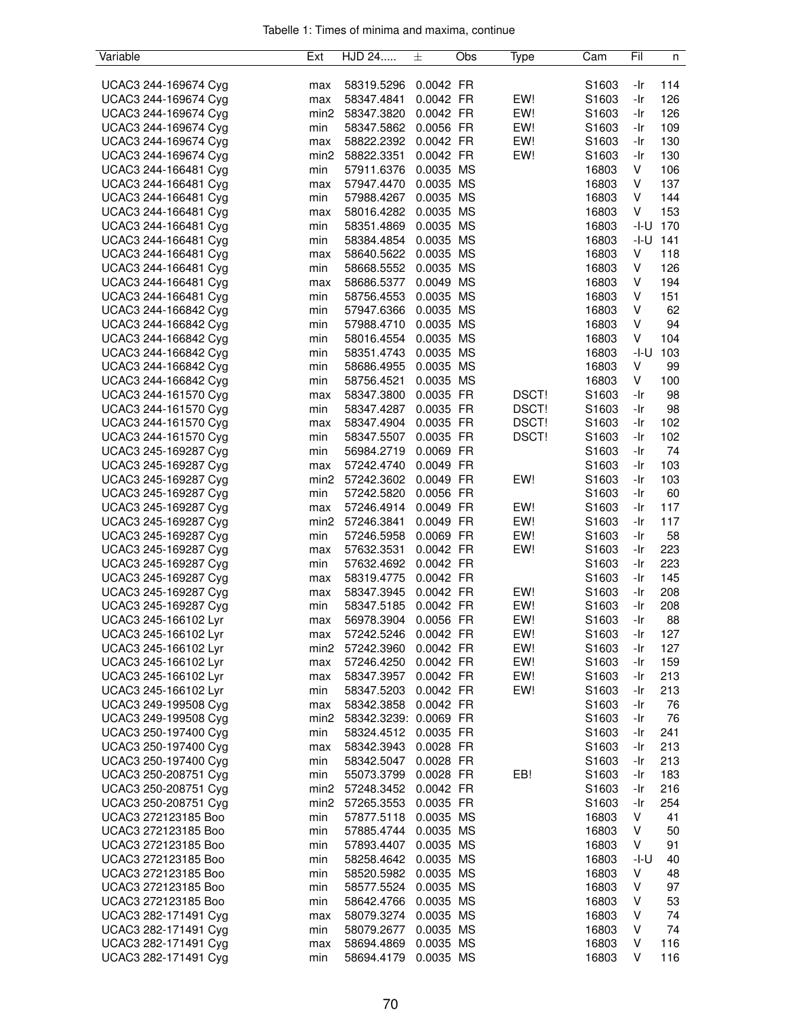| Variable             | Ext              | HJD 24                | 士         | Obs | Type  | Cam   | Fil    | n            |
|----------------------|------------------|-----------------------|-----------|-----|-------|-------|--------|--------------|
|                      |                  |                       |           |     |       |       |        |              |
| UCAC3 244-169674 Cyg | max              | 58319.5296            | 0.0042 FR |     |       | S1603 | -Ir    | 114          |
| UCAC3 244-169674 Cyg | max              | 58347.4841            | 0.0042 FR |     | EW!   | S1603 | -Ir    | 126          |
| UCAC3 244-169674 Cyg | min2             | 58347.3820            | 0.0042 FR |     | EW!   | S1603 | -Ir    | 126          |
| UCAC3 244-169674 Cyg | min              | 58347.5862 0.0056 FR  |           |     | EW!   | S1603 | -Ir    | 109          |
| UCAC3 244-169674 Cyg | max              | 58822.2392            | 0.0042 FR |     | EW!   | S1603 | -Ir    | 130          |
| UCAC3 244-169674 Cyg | min2             | 58822.3351            | 0.0042 FR |     | EW!   | S1603 | -Ir    | 130          |
|                      |                  |                       |           |     |       |       |        |              |
| UCAC3 244-166481 Cyg | min              | 57911.6376            | 0.0035 MS |     |       | 16803 | V      | 106          |
| UCAC3 244-166481 Cyg | max              | 57947.4470            | 0.0035 MS |     |       | 16803 | V      | 137          |
| UCAC3 244-166481 Cyg | min              | 57988.4267            | 0.0035 MS |     |       | 16803 | V      | 144          |
| UCAC3 244-166481 Cyg | max              | 58016.4282            | 0.0035 MS |     |       | 16803 | V      | 153          |
| UCAC3 244-166481 Cyg | min              | 58351.4869            | 0.0035 MS |     |       | 16803 |        | $-1 - U$ 170 |
| UCAC3 244-166481 Cyg | min              | 58384.4854            | 0.0035 MS |     |       | 16803 | -I-U   | 141          |
| UCAC3 244-166481 Cyg | max              | 58640.5622            | 0.0035 MS |     |       | 16803 | V      | 118          |
| UCAC3 244-166481 Cyg | min              | 58668.5552            | 0.0035 MS |     |       | 16803 | V      | 126          |
| UCAC3 244-166481 Cyg | max              | 58686.5377            | 0.0049 MS |     |       | 16803 | V      | 194          |
| UCAC3 244-166481 Cyg | min              | 58756.4553            | 0.0035 MS |     |       | 16803 | V      | 151          |
| UCAC3 244-166842 Cyg | min              | 57947.6366            | 0.0035 MS |     |       | 16803 | V      | 62           |
| UCAC3 244-166842 Cyg | min              | 57988.4710            | 0.0035 MS |     |       | 16803 | V      | 94           |
| UCAC3 244-166842 Cyg | min              | 58016.4554            | 0.0035 MS |     |       | 16803 | V      | 104          |
| UCAC3 244-166842 Cyg | min              | 58351.4743            | 0.0035 MS |     |       | 16803 | $-I-U$ | 103          |
|                      |                  |                       |           |     |       |       |        |              |
| UCAC3 244-166842 Cyg | min              | 58686.4955            | 0.0035 MS |     |       | 16803 | V      | 99           |
| UCAC3 244-166842 Cyg | min              | 58756.4521            | 0.0035 MS |     |       | 16803 | V      | 100          |
| UCAC3 244-161570 Cyg | max              | 58347.3800            | 0.0035 FR |     | DSCT! | S1603 | -Ir    | 98           |
| UCAC3 244-161570 Cyg | min              | 58347.4287            | 0.0035 FR |     | DSCT! | S1603 | -Ir    | 98           |
| UCAC3 244-161570 Cyg | max              | 58347.4904            | 0.0035 FR |     | DSCT! | S1603 | -Ir    | 102          |
| UCAC3 244-161570 Cyg | min              | 58347.5507            | 0.0035 FR |     | DSCT! | S1603 | -Ir    | 102          |
| UCAC3 245-169287 Cyg | min              | 56984.2719            | 0.0069 FR |     |       | S1603 | -Ir    | 74           |
| UCAC3 245-169287 Cyg | max              | 57242.4740            | 0.0049 FR |     |       | S1603 | -Ir    | 103          |
| UCAC3 245-169287 Cyg | min2             | 57242.3602            | 0.0049 FR |     | EW!   | S1603 | -Ir    | 103          |
| UCAC3 245-169287 Cyg | min              | 57242.5820            | 0.0056 FR |     |       | S1603 | -Ir    | 60           |
| UCAC3 245-169287 Cyg | max              | 57246.4914            | 0.0049 FR |     | EW!   | S1603 | -Ir    | 117          |
| UCAC3 245-169287 Cyg | min2             | 57246.3841            | 0.0049 FR |     | EW!   | S1603 | -Ir    | 117          |
| UCAC3 245-169287 Cyg | min              | 57246.5958            | 0.0069 FR |     | EW!   | S1603 | -Ir    | 58           |
| UCAC3 245-169287 Cyg | max              | 57632.3531            | 0.0042 FR |     | EW!   | S1603 | -Ir    | 223          |
| UCAC3 245-169287 Cyg | min              | 57632.4692            | 0.0042 FR |     |       | S1603 | -Ir    | 223          |
|                      |                  |                       |           |     |       |       |        |              |
| UCAC3 245-169287 Cyg | max              | 58319.4775            | 0.0042 FR |     |       | S1603 | -Ir    | 145          |
| UCAC3 245-169287 Cyg | max              | 58347.3945            | 0.0042 FR |     | EW!   | S1603 | -Ir    | 208          |
| UCAC3 245-169287 Cyg | min              | 58347.5185            | 0.0042 FR |     | EW!   | S1603 | -Ir    | 208          |
| UCAC3 245-166102 Lyr | max              | 56978.3904            | 0.0056 FR |     | EW!   | S1603 | -Ir    | 88           |
| UCAC3 245-166102 Lyr | max              | 57242.5246            | 0.0042 FR |     | EW!   | S1603 | -Ir    | 127          |
| UCAC3 245-166102 Lyr | min2             | 57242.3960            | 0.0042 FR |     | EW!   | S1603 | -Ir    | 127          |
| UCAC3 245-166102 Lyr | max              | 57246.4250            | 0.0042 FR |     | EW!   | S1603 | -Ir    | 159          |
| UCAC3 245-166102 Lyr | max              | 58347.3957            | 0.0042 FR |     | EW!   | S1603 | -Ir    | 213          |
| UCAC3 245-166102 Lyr | min              | 58347.5203 0.0042 FR  |           |     | EW!   | S1603 | -Ir    | 213          |
| UCAC3 249-199508 Cyg | max              | 58342.3858            | 0.0042 FR |     |       | S1603 | -Ir    | 76           |
| UCAC3 249-199508 Cyg | min <sub>2</sub> | 58342.3239: 0.0069 FR |           |     |       | S1603 | -Ir    | 76           |
| UCAC3 250-197400 Cyg | min              | 58324.4512 0.0035 FR  |           |     |       | S1603 | -Ir    | 241          |
| UCAC3 250-197400 Cyg | max              | 58342.3943            | 0.0028 FR |     |       | S1603 | -Ir    | 213          |
| UCAC3 250-197400 Cyg | min              | 58342.5047            | 0.0028 FR |     |       | S1603 | -Ir    | 213          |
| UCAC3 250-208751 Cyg |                  | 55073.3799            | 0.0028 FR |     | EB!   |       | -Ir    | 183          |
|                      | min              |                       |           |     |       | S1603 |        |              |
| UCAC3 250-208751 Cyg | min2             | 57248.3452            | 0.0042 FR |     |       | S1603 | -Ir    | 216          |
| UCAC3 250-208751 Cyg | min2             | 57265.3553            | 0.0035 FR |     |       | S1603 | -Ir    | 254          |
| UCAC3 272123185 Boo  | min              | 57877.5118            | 0.0035 MS |     |       | 16803 | V      | 41           |
| UCAC3 272123185 Boo  | min              | 57885.4744            | 0.0035 MS |     |       | 16803 | V      | 50           |
| UCAC3 272123185 Boo  | min              | 57893.4407            | 0.0035 MS |     |       | 16803 | V      | 91           |
| UCAC3 272123185 Boo  | min              | 58258.4642 0.0035 MS  |           |     |       | 16803 | -I-U   | 40           |
| UCAC3 272123185 Boo  | min              | 58520.5982            | 0.0035 MS |     |       | 16803 | V      | 48           |
| UCAC3 272123185 Boo  | min              | 58577.5524            | 0.0035 MS |     |       | 16803 | V      | 97           |
| UCAC3 272123185 Boo  | min              | 58642.4766            | 0.0035 MS |     |       | 16803 | V      | 53           |
| UCAC3 282-171491 Cyg | max              | 58079.3274            | 0.0035 MS |     |       | 16803 | V      | 74           |
| UCAC3 282-171491 Cyg | min              | 58079.2677            | 0.0035 MS |     |       | 16803 | V      | 74           |
| UCAC3 282-171491 Cyg | max              | 58694.4869            | 0.0035 MS |     |       | 16803 | V      | 116          |
| UCAC3 282-171491 Cyg | min              | 58694.4179            | 0.0035 MS |     |       | 16803 | V      | 116          |
|                      |                  |                       |           |     |       |       |        |              |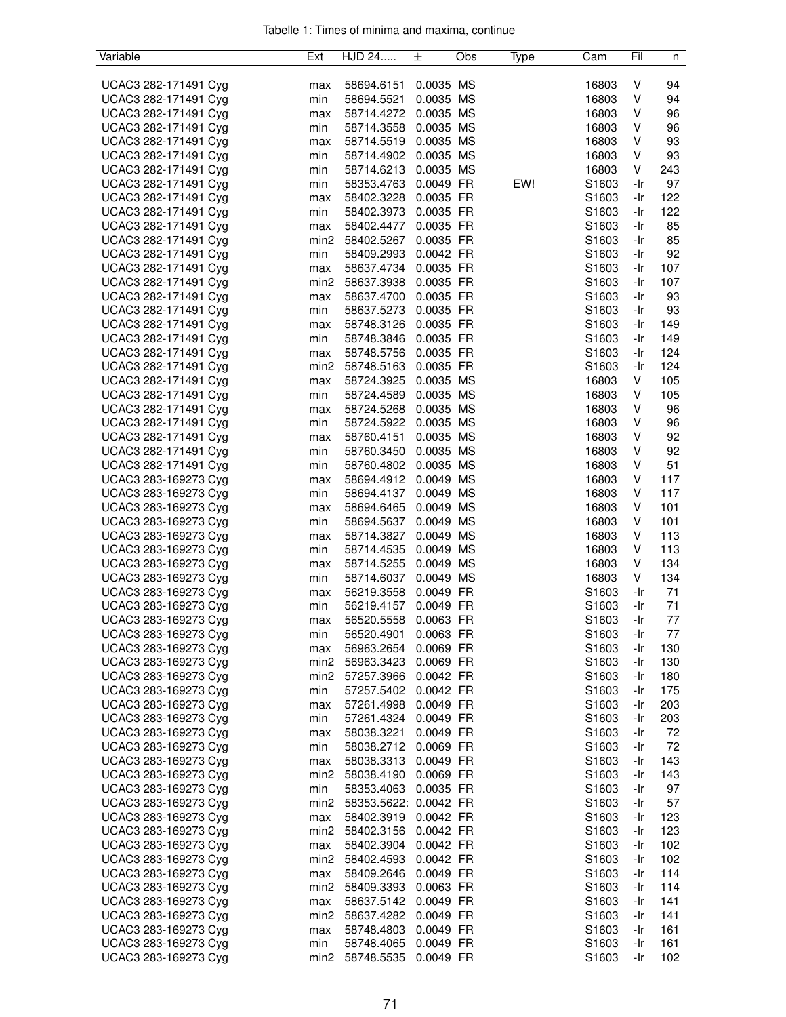| Variable                                     | Ext              | HJD 24                                       | 土         | Obs | Type | Cam               | Fil        | n          |
|----------------------------------------------|------------------|----------------------------------------------|-----------|-----|------|-------------------|------------|------------|
|                                              |                  |                                              |           |     |      |                   |            |            |
| UCAC3 282-171491 Cyg                         | max              | 58694.6151                                   | 0.0035 MS |     |      | 16803             | V          | 94         |
| UCAC3 282-171491 Cyg                         | min              | 58694.5521                                   | 0.0035 MS |     |      | 16803             | V          | 94         |
| UCAC3 282-171491 Cyg                         | max              | 58714.4272 0.0035 MS                         |           |     |      | 16803             | V          | 96         |
| UCAC3 282-171491 Cyg                         | min              | 58714.3558 0.0035 MS                         |           |     |      | 16803             | V          | 96         |
| UCAC3 282-171491 Cyg                         | max              | 58714.5519                                   | 0.0035 MS |     |      | 16803             | V          | 93         |
| UCAC3 282-171491 Cyg                         | min              | 58714.4902 0.0035 MS                         |           |     |      | 16803             | V          | 93         |
| UCAC3 282-171491 Cyg                         | min              | 58714.6213                                   | 0.0035 MS |     |      | 16803             | V          | 243        |
| UCAC3 282-171491 Cyg                         | min              | 58353.4763                                   | 0.0049 FR |     | EW!  | S1603             | -Ir        | 97         |
| UCAC3 282-171491 Cyg                         | max              | 58402.3228 0.0035 FR                         |           |     |      | S1603             | -Ir        | 122        |
| UCAC3 282-171491 Cyg                         | min              | 58402.3973                                   | 0.0035 FR |     |      | S1603             | -Ir        | 122        |
| UCAC3 282-171491 Cyg                         | max              | 58402.4477                                   | 0.0035 FR |     |      | S1603             | -Ir        | 85         |
| UCAC3 282-171491 Cyg                         | min2             | 58402.5267                                   | 0.0035 FR |     |      | S1603             | -Ir        | 85         |
| UCAC3 282-171491 Cyg                         | min              | 58409.2993                                   | 0.0042 FR |     |      | S1603             | -Ir        | 92         |
| UCAC3 282-171491 Cyg                         | max              | 58637.4734                                   | 0.0035 FR |     |      | S1603             | -Ir        | 107        |
| UCAC3 282-171491 Cyg                         | min <sub>2</sub> | 58637.3938 0.0035 FR                         |           |     |      | S1603             | -Ir        | 107        |
| UCAC3 282-171491 Cyg                         | max              | 58637.4700 0.0035 FR                         |           |     |      | S1603             | -Ir        | 93         |
| UCAC3 282-171491 Cyg                         | min              | 58637.5273                                   | 0.0035 FR |     |      | S1603             | -Ir        | 93         |
| UCAC3 282-171491 Cyg                         | max              | 58748.3126                                   | 0.0035 FR |     |      | S1603             | -Ir        | 149        |
| UCAC3 282-171491 Cyg                         | min              | 58748.3846                                   | 0.0035 FR |     |      | S1603             | -Ir        | 149        |
| UCAC3 282-171491 Cyg                         | max              | 58748.5756                                   | 0.0035 FR |     |      | S1603             | -Ir        | 124        |
| UCAC3 282-171491 Cyg                         | min <sub>2</sub> | 58748.5163                                   | 0.0035 FR |     |      | S1603             | -Ir        | 124        |
| UCAC3 282-171491 Cyg                         | max              | 58724.3925                                   | 0.0035 MS |     |      | 16803             | V          | 105        |
| UCAC3 282-171491 Cyg                         | min              | 58724.4589                                   | 0.0035 MS |     |      | 16803             | V          | 105        |
| UCAC3 282-171491 Cyg                         | max              | 58724.5268                                   | 0.0035 MS |     |      | 16803             | V          | 96         |
| UCAC3 282-171491 Cyg                         | min              | 58724.5922                                   | 0.0035 MS |     |      | 16803             | V          | 96         |
| UCAC3 282-171491 Cyg                         | max              | 58760.4151                                   | 0.0035 MS |     |      | 16803             | V          | 92         |
| UCAC3 282-171491 Cyg                         | min              | 58760.3450 0.0035 MS                         |           |     |      | 16803             | V          | 92         |
| UCAC3 282-171491 Cyg                         | min              | 58760.4802                                   | 0.0035 MS |     |      | 16803             | V          | 51         |
| UCAC3 283-169273 Cyg                         | max              | 58694.4912 0.0049 MS                         |           |     |      | 16803             | V          | 117        |
| UCAC3 283-169273 Cyg                         | min              | 58694.4137                                   | 0.0049 MS |     |      | 16803             | V          | 117        |
| UCAC3 283-169273 Cyg                         | max              | 58694.6465                                   | 0.0049 MS |     |      | 16803             | V          | 101        |
| UCAC3 283-169273 Cyg                         | min              | 58694.5637                                   | 0.0049 MS |     |      | 16803             | V          | 101        |
| UCAC3 283-169273 Cyg                         | max              | 58714.3827                                   | 0.0049 MS |     |      | 16803             | V          | 113        |
| UCAC3 283-169273 Cyg                         | min              | 58714.4535                                   | 0.0049 MS |     |      | 16803             | V          | 113        |
| UCAC3 283-169273 Cyg                         | max              | 58714.5255                                   | 0.0049 MS |     |      | 16803             | V          | 134        |
| UCAC3 283-169273 Cyg                         | min              | 58714.6037                                   | 0.0049 MS |     |      | 16803             | V          | 134        |
| UCAC3 283-169273 Cyg                         | max              | 56219.3558                                   | 0.0049 FR |     |      | S1603             | -Ir        | 71         |
| UCAC3 283-169273 Cyg                         | min              | 56219.4157                                   | 0.0049 FR |     |      | S1603             | -Ir        | 71         |
| UCAC3 283-169273 Cyg                         | max              | 56520.5558                                   | 0.0063 FR |     |      | S1603             | -Ir        | 77         |
| UCAC3 283-169273 Cyg                         | min              | 56520.4901                                   | 0.0063 FR |     |      | S1603             | -Ir        | 77         |
| UCAC3 283-169273 Cyg                         | max              | 56963.2654                                   | 0.0069 FR |     |      | S <sub>1603</sub> | -Ir        | 130        |
| UCAC3 283-169273 Cyg                         | min2             | 56963.3423                                   | 0.0069 FR |     |      | S <sub>1603</sub> | -Ir        | 130        |
| UCAC3 283-169273 Cyg                         | min2             | 57257.3966 0.0042 FR<br>57257.5402 0.0042 FR |           |     |      | S <sub>1603</sub> | -Ir        | 180        |
| UCAC3 283-169273 Cyg                         | min              |                                              | 0.0049 FR |     |      | S <sub>1603</sub> | -Ir        | 175        |
| UCAC3 283-169273 Cyg                         | max              | 57261.4998                                   |           |     |      | S1603             | -Ir        | 203        |
| UCAC3 283-169273 Cyg                         | min              | 57261.4324 0.0049 FR                         | 0.0049 FR |     |      | S <sub>1603</sub> | -Ir        | 203        |
| UCAC3 283-169273 Cyg<br>UCAC3 283-169273 Cyg | max<br>min       | 58038.3221<br>58038.2712 0.0069 FR           |           |     |      | S1603<br>S1603    | -Ir<br>-Ir | 72<br>72   |
| UCAC3 283-169273 Cyg                         |                  | 58038.3313                                   | 0.0049 FR |     |      | S1603             | -Ir        | 143        |
| UCAC3 283-169273 Cyg                         | max<br>min2      | 58038.4190                                   | 0.0069 FR |     |      | S1603             | -Ir        | 143        |
|                                              |                  | 58353.4063                                   |           |     |      |                   |            |            |
| UCAC3 283-169273 Cyg                         | min<br>min2      |                                              | 0.0035 FR |     |      | S1603             | -Ir        | 97         |
| UCAC3 283-169273 Cyg<br>UCAC3 283-169273 Cyg |                  | 58353.5622: 0.0042 FR<br>58402.3919          | 0.0042 FR |     |      | S1603<br>S1603    | -Ir<br>-Ir | 57<br>123  |
| UCAC3 283-169273 Cyg                         | max              |                                              | 0.0042 FR |     |      | S1603             | -Ir        |            |
| UCAC3 283-169273 Cyg                         | min2             | 58402.3156<br>58402.3904 0.0042 FR           |           |     |      | S <sub>1603</sub> | -Ir        | 123<br>102 |
| UCAC3 283-169273 Cyg                         | max<br>min2      | 58402.4593 0.0042 FR                         |           |     |      | S1603             | -Ir        | 102        |
| UCAC3 283-169273 Cyg                         | max              | 58409.2646 0.0049 FR                         |           |     |      | S1603             | -Ir        | 114        |
| UCAC3 283-169273 Cyg                         | min2             | 58409.3393 0.0063 FR                         |           |     |      | S1603             | -Ir        | 114        |
| UCAC3 283-169273 Cyg                         | max              | 58637.5142 0.0049 FR                         |           |     |      | S <sub>1603</sub> | -Ir        | 141        |
| UCAC3 283-169273 Cyg                         | min2             | 58637.4282 0.0049 FR                         |           |     |      | S1603             | -Ir        | 141        |
| UCAC3 283-169273 Cyg                         | max              | 58748.4803                                   | 0.0049 FR |     |      | S1603             | -Ir        | 161        |
| UCAC3 283-169273 Cyg                         | min              | 58748.4065                                   | 0.0049 FR |     |      | S1603             | -Ir        | 161        |
| UCAC3 283-169273 Cyg                         | min2             | 58748.5535                                   | 0.0049 FR |     |      | S1603             | -Ir        | 102        |
|                                              |                  |                                              |           |     |      |                   |            |            |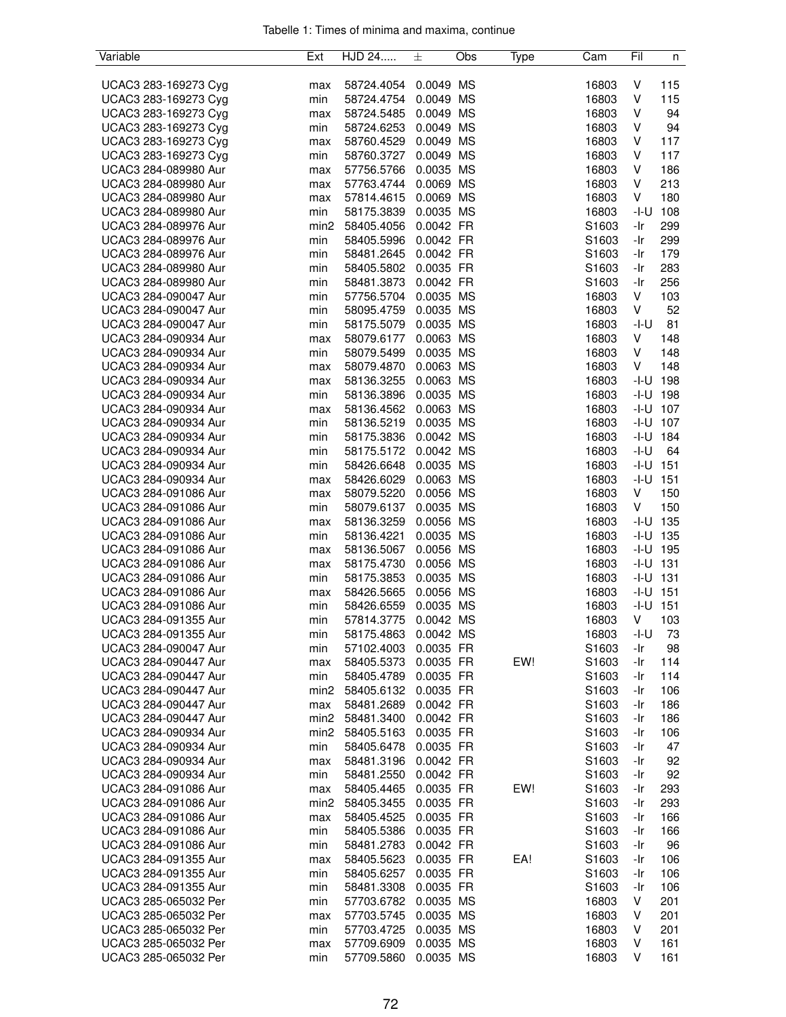| Variable             | Ext  | HJD 24     | 土         | Obs | Type | Cam   | Fil    | n            |
|----------------------|------|------------|-----------|-----|------|-------|--------|--------------|
|                      |      |            |           |     |      |       |        |              |
| UCAC3 283-169273 Cyg | max  | 58724.4054 | 0.0049 MS |     |      | 16803 | V      | 115          |
| UCAC3 283-169273 Cyg | min  | 58724.4754 | 0.0049 MS |     |      | 16803 | V      | 115          |
| UCAC3 283-169273 Cyg | max  | 58724.5485 | 0.0049 MS |     |      | 16803 | V      | 94           |
| UCAC3 283-169273 Cyg | min  | 58724.6253 | 0.0049 MS |     |      | 16803 | V      | 94           |
| UCAC3 283-169273 Cyg | max  | 58760.4529 | 0.0049 MS |     |      | 16803 | V      | 117          |
| UCAC3 283-169273 Cyg | min  | 58760.3727 | 0.0049 MS |     |      | 16803 | V      | 117          |
| UCAC3 284-089980 Aur | max  | 57756.5766 | 0.0035 MS |     |      | 16803 | V      | 186          |
| UCAC3 284-089980 Aur | max  | 57763.4744 | 0.0069 MS |     |      | 16803 | V      | 213          |
| UCAC3 284-089980 Aur | max  | 57814.4615 | 0.0069 MS |     |      | 16803 | V      | 180          |
| UCAC3 284-089980 Aur | min  | 58175.3839 | 0.0035 MS |     |      | 16803 | $-I-U$ | 108          |
| UCAC3 284-089976 Aur | min2 | 58405.4056 | 0.0042 FR |     |      | S1603 | -Ir    | 299          |
| UCAC3 284-089976 Aur | min  | 58405.5996 | 0.0042 FR |     |      | S1603 | -Ir    | 299          |
| UCAC3 284-089976 Aur | min  | 58481.2645 | 0.0042 FR |     |      | S1603 | -Ir    | 179          |
| UCAC3 284-089980 Aur | min  | 58405.5802 | 0.0035 FR |     |      | S1603 | -Ir    | 283          |
| UCAC3 284-089980 Aur | min  | 58481.3873 | 0.0042 FR |     |      | S1603 | -Ir    | 256          |
| UCAC3 284-090047 Aur | min  | 57756.5704 | 0.0035 MS |     |      | 16803 | V      | 103          |
| UCAC3 284-090047 Aur | min  | 58095.4759 | 0.0035 MS |     |      | 16803 | V      | 52           |
| UCAC3 284-090047 Aur | min  | 58175.5079 | 0.0035 MS |     |      | 16803 | -I-U   | 81           |
| UCAC3 284-090934 Aur | max  | 58079.6177 | 0.0063 MS |     |      | 16803 | V      | 148          |
| UCAC3 284-090934 Aur | min  | 58079.5499 | 0.0035 MS |     |      | 16803 | V      | 148          |
| UCAC3 284-090934 Aur | max  | 58079.4870 | 0.0063 MS |     |      | 16803 | V      | 148          |
| UCAC3 284-090934 Aur | max  | 58136.3255 | 0.0063 MS |     |      | 16803 |        | $-I-U$ 198   |
| UCAC3 284-090934 Aur | min  | 58136.3896 | 0.0035 MS |     |      | 16803 |        | $-I-U$ 198   |
| UCAC3 284-090934 Aur | max  | 58136.4562 | 0.0063 MS |     |      | 16803 |        | $-I-U$ 107   |
| UCAC3 284-090934 Aur |      | 58136.5219 | 0.0035 MS |     |      | 16803 |        | $-I-U$ 107   |
| UCAC3 284-090934 Aur | min  |            | 0.0042 MS |     |      | 16803 | -I-U   | 184          |
|                      | min  | 58175.3836 | 0.0042 MS |     |      | 16803 | $-I-U$ | 64           |
| UCAC3 284-090934 Aur | min  | 58175.5172 |           |     |      |       |        | $-I-U$ 151   |
| UCAC3 284-090934 Aur | min  | 58426.6648 | 0.0035 MS |     |      | 16803 |        |              |
| UCAC3 284-090934 Aur | max  | 58426.6029 | 0.0063 MS |     |      | 16803 |        | $-I-U$ 151   |
| UCAC3 284-091086 Aur | max  | 58079.5220 | 0.0056 MS |     |      | 16803 | V      | 150          |
| UCAC3 284-091086 Aur | min  | 58079.6137 | 0.0035 MS |     |      | 16803 | V      | 150          |
| UCAC3 284-091086 Aur | max  | 58136.3259 | 0.0056 MS |     |      | 16803 |        | $-I-U$ 135   |
| UCAC3 284-091086 Aur | min  | 58136.4221 | 0.0035 MS |     |      | 16803 |        | $-I-U$ 135   |
| UCAC3 284-091086 Aur | max  | 58136.5067 | 0.0056 MS |     |      | 16803 |        | $-I-U$ 195   |
| UCAC3 284-091086 Aur | max  | 58175.4730 | 0.0056 MS |     |      | 16803 |        | $-1 - U$ 131 |
| UCAC3 284-091086 Aur | min  | 58175.3853 | 0.0035 MS |     |      | 16803 |        | $-1 - U$ 131 |
| UCAC3 284-091086 Aur | max  | 58426.5665 | 0.0056 MS |     |      | 16803 |        | $-I-U$ 151   |
| UCAC3 284-091086 Aur | min  | 58426.6559 | 0.0035 MS |     |      | 16803 | $-I-U$ | 151          |
| UCAC3 284-091355 Aur | min  | 57814.3775 | 0.0042 MS |     |      | 16803 | V      | 103          |
| UCAC3 284-091355 Aur | min  | 58175.4863 | 0.0042 MS |     |      | 16803 | $-I-U$ | 73           |
| UCAC3 284-090047 Aur | min  | 57102.4003 | 0.0035 FR |     |      | S1603 | -Ir    | 98           |
| UCAC3 284-090447 Aur | max  | 58405.5373 | 0.0035 FR |     | EW!  | S1603 | -Ir    | 114          |
| UCAC3 284-090447 Aur | min  | 58405.4789 | 0.0035 FR |     |      | S1603 | -Ir    | 114          |
| UCAC3 284-090447 Aur | min2 | 58405.6132 | 0.0035 FR |     |      | S1603 | -Ir    | 106          |
| UCAC3 284-090447 Aur | max  | 58481.2689 | 0.0042 FR |     |      | S1603 | -Ir    | 186          |
| UCAC3 284-090447 Aur | min2 | 58481.3400 | 0.0042 FR |     |      | S1603 | -Ir    | 186          |
| UCAC3 284-090934 Aur | min2 | 58405.5163 | 0.0035 FR |     |      | S1603 | -Ir    | 106          |
| UCAC3 284-090934 Aur | min  | 58405.6478 | 0.0035 FR |     |      | S1603 | -Ir    | 47           |
| UCAC3 284-090934 Aur | max  | 58481.3196 | 0.0042 FR |     |      | S1603 | -Ir    | 92           |
| UCAC3 284-090934 Aur | min  | 58481.2550 | 0.0042 FR |     |      | S1603 | -Ir    | 92           |
| UCAC3 284-091086 Aur | max  | 58405.4465 | 0.0035 FR |     | EW!  | S1603 | -Ir    | 293          |
| UCAC3 284-091086 Aur | min2 | 58405.3455 | 0.0035 FR |     |      | S1603 | -Ir    | 293          |
| UCAC3 284-091086 Aur | max  | 58405.4525 | 0.0035 FR |     |      | S1603 | -Ir    | 166          |
| UCAC3 284-091086 Aur | min  | 58405.5386 | 0.0035 FR |     |      | S1603 | -Ir    | 166          |
| UCAC3 284-091086 Aur | min  | 58481.2783 | 0.0042 FR |     |      | S1603 | -Ir    | 96           |
| UCAC3 284-091355 Aur | max  | 58405.5623 | 0.0035 FR |     | EA!  | S1603 | -Ir    | 106          |
| UCAC3 284-091355 Aur | min  | 58405.6257 | 0.0035 FR |     |      | S1603 | -Ir    | 106          |
| UCAC3 284-091355 Aur | min  | 58481.3308 | 0.0035 FR |     |      | S1603 | -Ir    | 106          |
| UCAC3 285-065032 Per | min  | 57703.6782 | 0.0035 MS |     |      | 16803 | V      | 201          |
| UCAC3 285-065032 Per | max  | 57703.5745 | 0.0035 MS |     |      | 16803 | V      | 201          |
| UCAC3 285-065032 Per | min  | 57703.4725 | 0.0035 MS |     |      | 16803 | V      | 201          |
| UCAC3 285-065032 Per | max  | 57709.6909 | 0.0035 MS |     |      | 16803 | V      | 161          |
| UCAC3 285-065032 Per | min  | 57709.5860 | 0.0035 MS |     |      | 16803 | V      | 161          |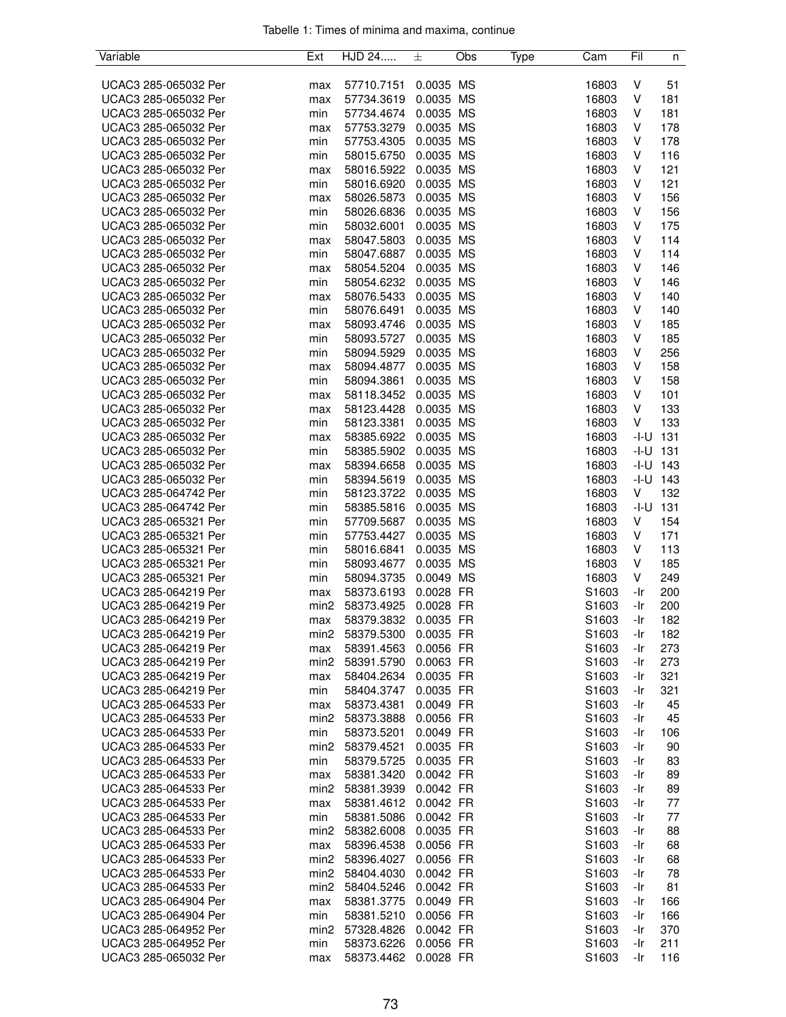| Variable             | Ext              | HJD 24     | 土         | Obs | Type | Cam   | Fil          | n          |
|----------------------|------------------|------------|-----------|-----|------|-------|--------------|------------|
|                      |                  |            |           |     |      |       |              |            |
| UCAC3 285-065032 Per | max              | 57710.7151 | 0.0035 MS |     |      | 16803 | V            | 51         |
| UCAC3 285-065032 Per | max              | 57734.3619 | 0.0035 MS |     |      | 16803 | V            | 181        |
| UCAC3 285-065032 Per | min              | 57734.4674 | 0.0035 MS |     |      | 16803 | V            | 181        |
| UCAC3 285-065032 Per | max              | 57753.3279 | 0.0035 MS |     |      | 16803 | V            | 178        |
| UCAC3 285-065032 Per | min              | 57753.4305 | 0.0035 MS |     |      | 16803 | V            | 178        |
| UCAC3 285-065032 Per | min              | 58015.6750 | 0.0035 MS |     |      | 16803 | V            | 116        |
| UCAC3 285-065032 Per | max              | 58016.5922 | 0.0035 MS |     |      | 16803 | V            | 121        |
| UCAC3 285-065032 Per | min              | 58016.6920 | 0.0035 MS |     |      | 16803 | V            | 121        |
| UCAC3 285-065032 Per | max              | 58026.5873 | 0.0035 MS |     |      | 16803 | V            | 156        |
| UCAC3 285-065032 Per | min              | 58026.6836 | 0.0035 MS |     |      | 16803 | V            | 156        |
| UCAC3 285-065032 Per | min              | 58032.6001 | 0.0035 MS |     |      | 16803 | V            | 175        |
| UCAC3 285-065032 Per | max              | 58047.5803 | 0.0035 MS |     |      | 16803 | V            | 114        |
| UCAC3 285-065032 Per | min              | 58047.6887 | 0.0035 MS |     |      | 16803 | V            | 114        |
| UCAC3 285-065032 Per | max              | 58054.5204 | 0.0035 MS |     |      | 16803 | V            | 146        |
| UCAC3 285-065032 Per | min              | 58054.6232 | 0.0035 MS |     |      | 16803 | V            | 146        |
| UCAC3 285-065032 Per | max              | 58076.5433 | 0.0035 MS |     |      | 16803 | V            | 140        |
| UCAC3 285-065032 Per | min              | 58076.6491 | 0.0035 MS |     |      | 16803 | V            | 140        |
| UCAC3 285-065032 Per | max              | 58093.4746 | 0.0035 MS |     |      | 16803 | V            | 185        |
| UCAC3 285-065032 Per | min              | 58093.5727 | 0.0035 MS |     |      | 16803 | V            | 185        |
| UCAC3 285-065032 Per | min              | 58094.5929 | 0.0035 MS |     |      | 16803 | V            | 256        |
| UCAC3 285-065032 Per | max              | 58094.4877 | 0.0035 MS |     |      | 16803 | V            | 158        |
| UCAC3 285-065032 Per | min              | 58094.3861 | 0.0035 MS |     |      | 16803 | V            | 158        |
| UCAC3 285-065032 Per | max              | 58118.3452 | 0.0035 MS |     |      | 16803 | V            | 101        |
| UCAC3 285-065032 Per | max              | 58123.4428 | 0.0035 MS |     |      | 16803 | V            | 133        |
| UCAC3 285-065032 Per | min              | 58123.3381 | 0.0035 MS |     |      | 16803 | V            | 133        |
| UCAC3 285-065032 Per | max              | 58385.6922 | 0.0035 MS |     |      | 16803 | $-I-U$ 131   |            |
| UCAC3 285-065032 Per | min              | 58385.5902 | 0.0035 MS |     |      | 16803 | -I-U         | 131        |
| UCAC3 285-065032 Per | max              | 58394.6658 | 0.0035 MS |     |      | 16803 | $-I-U$ 143   |            |
| UCAC3 285-065032 Per | min              | 58394.5619 | 0.0035 MS |     |      | 16803 |              | $-I-U$ 143 |
| UCAC3 285-064742 Per | min              | 58123.3722 | 0.0035 MS |     |      | 16803 | V            | 132        |
| UCAC3 285-064742 Per | min              | 58385.5816 | 0.0035 MS |     |      | 16803 | $-1 - U$ 131 |            |
| UCAC3 285-065321 Per | min              | 57709.5687 | 0.0035 MS |     |      | 16803 | V            | 154        |
| UCAC3 285-065321 Per | min              | 57753.4427 | 0.0035 MS |     |      | 16803 | V            | 171        |
| UCAC3 285-065321 Per | min              | 58016.6841 | 0.0035 MS |     |      | 16803 | V            | 113        |
| UCAC3 285-065321 Per | min              | 58093.4677 | 0.0035 MS |     |      | 16803 | V            | 185        |
| UCAC3 285-065321 Per | min              | 58094.3735 | 0.0049 MS |     |      | 16803 | V            | 249        |
| UCAC3 285-064219 Per | max              | 58373.6193 | 0.0028 FR |     |      | S1603 | -Ir          | 200        |
| UCAC3 285-064219 Per | min2             | 58373.4925 | 0.0028 FR |     |      | S1603 | -Ir          | 200        |
| UCAC3 285-064219 Per | max              | 58379.3832 | 0.0035 FR |     |      | S1603 | -Ir          | 182        |
| UCAC3 285-064219 Per | min2             | 58379.5300 | 0.0035 FR |     |      | S1603 | -Ir          | 182        |
| UCAC3 285-064219 Per | max              | 58391.4563 | 0.0056 FR |     |      | S1603 | -Ir          | 273        |
| UCAC3 285-064219 Per | min2             | 58391.5790 | 0.0063 FR |     |      | S1603 | -Ir          | 273        |
| UCAC3 285-064219 Per | max              | 58404.2634 | 0.0035 FR |     |      | S1603 | -Ir          | 321        |
| UCAC3 285-064219 Per | min              | 58404.3747 | 0.0035 FR |     |      | S1603 | -Ir          | 321        |
| UCAC3 285-064533 Per | max              | 58373.4381 | 0.0049 FR |     |      | S1603 | -Ir          | 45         |
| UCAC3 285-064533 Per | min2             | 58373.3888 | 0.0056 FR |     |      | S1603 | -Ir          | 45         |
| UCAC3 285-064533 Per | min              | 58373.5201 | 0.0049 FR |     |      | S1603 | -Ir          | 106        |
| UCAC3 285-064533 Per | min2             | 58379.4521 | 0.0035 FR |     |      | S1603 | -Ir          | 90         |
| UCAC3 285-064533 Per | min              | 58379.5725 | 0.0035 FR |     |      | S1603 | -Ir          | 83         |
| UCAC3 285-064533 Per | max              | 58381.3420 | 0.0042 FR |     |      | S1603 | -Ir          | 89         |
| UCAC3 285-064533 Per | min <sub>2</sub> | 58381.3939 | 0.0042 FR |     |      | S1603 | -Ir          | 89         |
| UCAC3 285-064533 Per | max              | 58381.4612 | 0.0042 FR |     |      | S1603 | -Ir          | 77         |
| UCAC3 285-064533 Per | min              | 58381.5086 | 0.0042 FR |     |      | S1603 | -Ir          | 77         |
| UCAC3 285-064533 Per | min2             | 58382.6008 | 0.0035 FR |     |      | S1603 | -Ir          | 88         |
| UCAC3 285-064533 Per | max              | 58396.4538 | 0.0056 FR |     |      | S1603 | -Ir          | 68         |
| UCAC3 285-064533 Per | min2             | 58396.4027 | 0.0056 FR |     |      | S1603 | -Ir          | 68         |
| UCAC3 285-064533 Per | min <sub>2</sub> | 58404.4030 | 0.0042 FR |     |      | S1603 | -Ir          | 78         |
| UCAC3 285-064533 Per | min2             | 58404.5246 | 0.0042 FR |     |      | S1603 | -Ir          | 81         |
| UCAC3 285-064904 Per | max              | 58381.3775 | 0.0049 FR |     |      | S1603 | -Ir          | 166        |
| UCAC3 285-064904 Per | min              | 58381.5210 | 0.0056 FR |     |      | S1603 | -Ir          | 166        |
| UCAC3 285-064952 Per | min2             | 57328.4826 | 0.0042 FR |     |      | S1603 | -Ir          | 370        |
| UCAC3 285-064952 Per | min              | 58373.6226 | 0.0056 FR |     |      | S1603 | -Ir          | 211        |
| UCAC3 285-065032 Per | max              | 58373.4462 | 0.0028 FR |     |      | S1603 | -Ir          | 116        |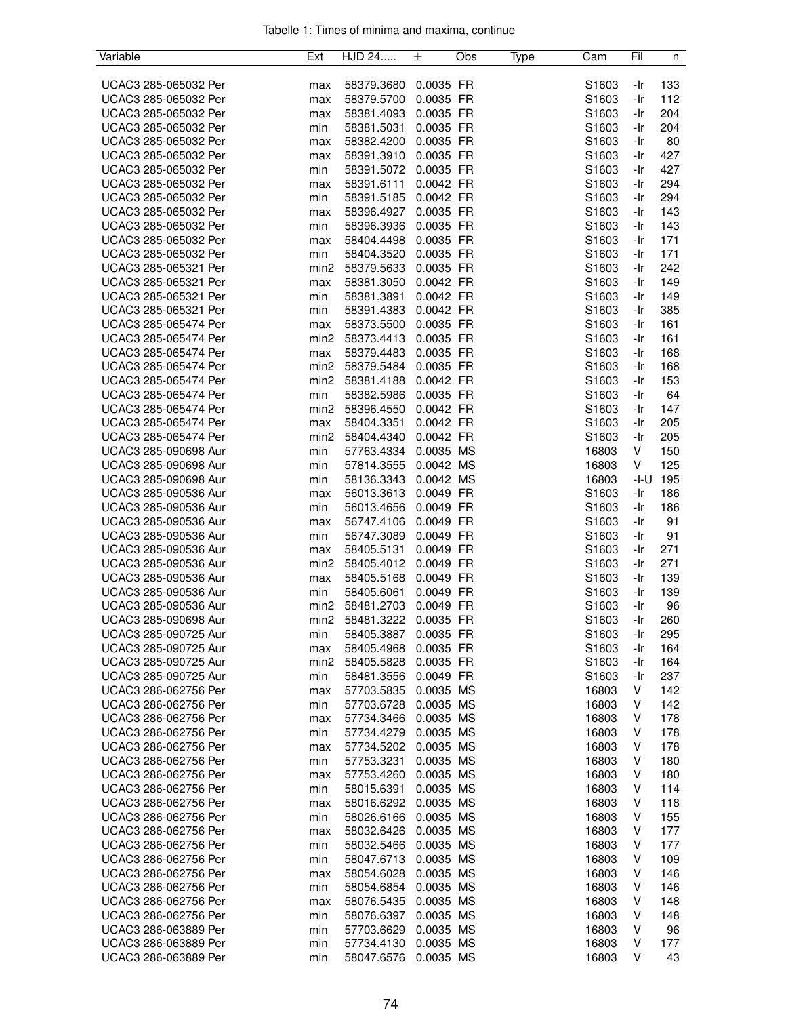| Variable             | Ext              | HJD 24     | 士         | Obs | Type | Cam               | Fil          | n   |
|----------------------|------------------|------------|-----------|-----|------|-------------------|--------------|-----|
|                      |                  |            |           |     |      |                   |              |     |
| UCAC3 285-065032 Per | max              | 58379.3680 | 0.0035 FR |     |      | S1603             | -Ir          | 133 |
| UCAC3 285-065032 Per | max              | 58379.5700 | 0.0035 FR |     |      | S1603             | -Ir          | 112 |
| UCAC3 285-065032 Per | max              | 58381.4093 | 0.0035 FR |     |      | S1603             | -Ir          | 204 |
| UCAC3 285-065032 Per | min              | 58381.5031 | 0.0035 FR |     |      | S1603             | -Ir          | 204 |
| UCAC3 285-065032 Per | max              | 58382.4200 | 0.0035 FR |     |      | S1603             | -Ir          | 80  |
| UCAC3 285-065032 Per | max              | 58391.3910 | 0.0035 FR |     |      | S1603             | -Ir          | 427 |
| UCAC3 285-065032 Per | min              | 58391.5072 | 0.0035 FR |     |      | S <sub>1603</sub> | -Ir          | 427 |
| UCAC3 285-065032 Per | max              | 58391.6111 | 0.0042 FR |     |      | S1603             | -Ir          | 294 |
| UCAC3 285-065032 Per | min              | 58391.5185 | 0.0042 FR |     |      | S1603             | -Ir          | 294 |
| UCAC3 285-065032 Per | max              | 58396.4927 | 0.0035 FR |     |      | S1603             | $-Ir$        | 143 |
| UCAC3 285-065032 Per | min              | 58396.3936 | 0.0035 FR |     |      | S1603             | -Ir          | 143 |
| UCAC3 285-065032 Per | max              | 58404.4498 | 0.0035 FR |     |      | S1603             | -Ir          | 171 |
| UCAC3 285-065032 Per | min              | 58404.3520 | 0.0035 FR |     |      | S1603             | -Ir          | 171 |
| UCAC3 285-065321 Per | min <sub>2</sub> | 58379.5633 | 0.0035 FR |     |      | S1603             | -Ir          | 242 |
|                      |                  |            |           |     |      |                   |              |     |
| UCAC3 285-065321 Per | max              | 58381.3050 | 0.0042 FR |     |      | S1603             | -Ir<br>$-Ir$ | 149 |
| UCAC3 285-065321 Per | min              | 58381.3891 | 0.0042 FR |     |      | S1603             |              | 149 |
| UCAC3 285-065321 Per | min              | 58391.4383 | 0.0042 FR |     |      | S1603             | -Ir          | 385 |
| UCAC3 285-065474 Per | max              | 58373.5500 | 0.0035 FR |     |      | S1603             | -Ir          | 161 |
| UCAC3 285-065474 Per | min <sub>2</sub> | 58373.4413 | 0.0035 FR |     |      | S1603             | -Ir          | 161 |
| UCAC3 285-065474 Per | max              | 58379.4483 | 0.0035 FR |     |      | S1603             | $-Ir$        | 168 |
| UCAC3 285-065474 Per | min <sub>2</sub> | 58379.5484 | 0.0035 FR |     |      | S1603             | -Ir          | 168 |
| UCAC3 285-065474 Per | min2             | 58381.4188 | 0.0042 FR |     |      | S1603             | -Ir          | 153 |
| UCAC3 285-065474 Per | min              | 58382.5986 | 0.0035 FR |     |      | S1603             | -Ir          | 64  |
| UCAC3 285-065474 Per | min2             | 58396.4550 | 0.0042 FR |     |      | S1603             | -Ir          | 147 |
| UCAC3 285-065474 Per | max              | 58404.3351 | 0.0042 FR |     |      | S1603             | -Ir          | 205 |
| UCAC3 285-065474 Per | min2             | 58404.4340 | 0.0042 FR |     |      | S1603             | -Ir          | 205 |
| UCAC3 285-090698 Aur | min              | 57763.4334 | 0.0035 MS |     |      | 16803             | V            | 150 |
| UCAC3 285-090698 Aur | min              | 57814.3555 | 0.0042 MS |     |      | 16803             | V            | 125 |
| UCAC3 285-090698 Aur | min              | 58136.3343 | 0.0042 MS |     |      | 16803             | -I-U         | 195 |
| UCAC3 285-090536 Aur | max              | 56013.3613 | 0.0049 FR |     |      | S <sub>1603</sub> | -Ir          | 186 |
| UCAC3 285-090536 Aur | min              | 56013.4656 | 0.0049 FR |     |      | S1603             | -Ir          | 186 |
| UCAC3 285-090536 Aur | max              | 56747.4106 | 0.0049 FR |     |      | S1603             | -Ir          | 91  |
| UCAC3 285-090536 Aur | min              | 56747.3089 | 0.0049 FR |     |      | S1603             | -Ir          | 91  |
| UCAC3 285-090536 Aur | max              | 58405.5131 | 0.0049 FR |     |      | S1603             | -Ir          | 271 |
| UCAC3 285-090536 Aur | min <sub>2</sub> | 58405.4012 | 0.0049 FR |     |      | S1603             | -Ir          | 271 |
| UCAC3 285-090536 Aur | max              | 58405.5168 | 0.0049 FR |     |      | S1603             | -Ir          | 139 |
| UCAC3 285-090536 Aur | min              | 58405.6061 | 0.0049 FR |     |      | S1603             | -Ir          | 139 |
| UCAC3 285-090536 Aur | min <sub>2</sub> | 58481.2703 | 0.0049 FR |     |      | S1603             | -Ir          | 96  |
| UCAC3 285-090698 Aur | min <sub>2</sub> | 58481.3222 | 0.0035 FR |     |      | S <sub>1603</sub> | -Ir          | 260 |
| UCAC3 285-090725 Aur |                  |            |           |     |      |                   |              |     |
|                      | min              | 58405.3887 | 0.0035 FR |     |      | S1603             | -Ir          | 295 |
| UCAC3 285-090725 Aur | max              | 58405.4968 | 0.0035 FR |     |      | S1603             | -Ir          | 164 |
| UCAC3 285-090725 Aur | min2             | 58405.5828 | 0.0035 FR |     |      | S <sub>1603</sub> | -Ir          | 164 |
| UCAC3 285-090725 Aur | min              | 58481.3556 | 0.0049 FR |     |      | S1603             | -Ir          | 237 |
| UCAC3 286-062756 Per | max              | 57703.5835 | 0.0035 MS |     |      | 16803             | V            | 142 |
| UCAC3 286-062756 Per | min              | 57703.6728 | 0.0035 MS |     |      | 16803             | V            | 142 |
| UCAC3 286-062756 Per | max              | 57734.3466 | 0.0035 MS |     |      | 16803             | V            | 178 |
| UCAC3 286-062756 Per | min              | 57734.4279 | 0.0035 MS |     |      | 16803             | V            | 178 |
| UCAC3 286-062756 Per | max              | 57734.5202 | 0.0035 MS |     |      | 16803             | V            | 178 |
| UCAC3 286-062756 Per | min              | 57753.3231 | 0.0035 MS |     |      | 16803             | V            | 180 |
| UCAC3 286-062756 Per | max              | 57753.4260 | 0.0035 MS |     |      | 16803             | V            | 180 |
| UCAC3 286-062756 Per | min              | 58015.6391 | 0.0035 MS |     |      | 16803             | V            | 114 |
| UCAC3 286-062756 Per | max              | 58016.6292 | 0.0035 MS |     |      | 16803             | V            | 118 |
| UCAC3 286-062756 Per | min              | 58026.6166 | 0.0035 MS |     |      | 16803             | V            | 155 |
| UCAC3 286-062756 Per | max              | 58032.6426 | 0.0035 MS |     |      | 16803             | V            | 177 |
| UCAC3 286-062756 Per | min              | 58032.5466 | 0.0035 MS |     |      | 16803             | V            | 177 |
| UCAC3 286-062756 Per | min              | 58047.6713 | 0.0035 MS |     |      | 16803             | V            | 109 |
| UCAC3 286-062756 Per | max              | 58054.6028 | 0.0035 MS |     |      | 16803             | V            | 146 |
| UCAC3 286-062756 Per | min              | 58054.6854 | 0.0035 MS |     |      | 16803             | V            | 146 |
| UCAC3 286-062756 Per | max              | 58076.5435 | 0.0035 MS |     |      | 16803             | V            | 148 |
| UCAC3 286-062756 Per | min              | 58076.6397 | 0.0035 MS |     |      | 16803             | V            | 148 |
| UCAC3 286-063889 Per | min              | 57703.6629 | 0.0035 MS |     |      | 16803             | V            | 96  |
| UCAC3 286-063889 Per | min              | 57734.4130 | 0.0035 MS |     |      | 16803             | V            | 177 |
| UCAC3 286-063889 Per | min              | 58047.6576 | 0.0035 MS |     |      | 16803             | V            | 43  |
|                      |                  |            |           |     |      |                   |              |     |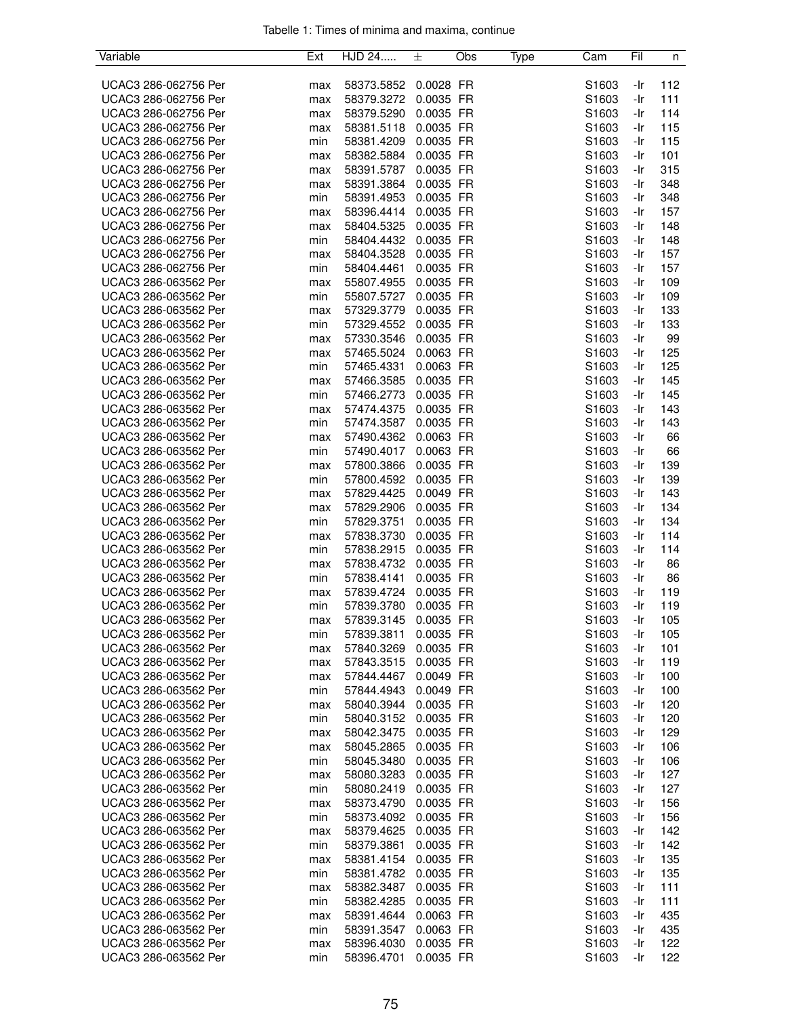| Variable             | Ext | HJD 24     | 士         | Obs | Type | Cam   | Fil | n   |
|----------------------|-----|------------|-----------|-----|------|-------|-----|-----|
|                      |     |            |           |     |      |       |     |     |
| UCAC3 286-062756 Per | max | 58373.5852 | 0.0028 FR |     |      | S1603 | -Ir | 112 |
| UCAC3 286-062756 Per | max | 58379.3272 | 0.0035 FR |     |      | S1603 | -Ir | 111 |
| UCAC3 286-062756 Per | max | 58379.5290 | 0.0035 FR |     |      | S1603 | -Ir | 114 |
| UCAC3 286-062756 Per | max | 58381.5118 | 0.0035 FR |     |      | S1603 | -Ir | 115 |
| UCAC3 286-062756 Per | min | 58381.4209 | 0.0035 FR |     |      | S1603 | -Ir | 115 |
| UCAC3 286-062756 Per | max | 58382.5884 | 0.0035 FR |     |      | S1603 | -Ir | 101 |
| UCAC3 286-062756 Per | max | 58391.5787 | 0.0035 FR |     |      | S1603 | -Ir | 315 |
| UCAC3 286-062756 Per |     | 58391.3864 | 0.0035 FR |     |      | S1603 | -Ir | 348 |
| UCAC3 286-062756 Per | max |            | 0.0035 FR |     |      | S1603 | -Ir | 348 |
|                      | min | 58391.4953 |           |     |      |       |     |     |
| UCAC3 286-062756 Per | max | 58396.4414 | 0.0035 FR |     |      | S1603 | -Ir | 157 |
| UCAC3 286-062756 Per | max | 58404.5325 | 0.0035 FR |     |      | S1603 | -Ir | 148 |
| UCAC3 286-062756 Per | min | 58404.4432 | 0.0035 FR |     |      | S1603 | -Ir | 148 |
| UCAC3 286-062756 Per | max | 58404.3528 | 0.0035 FR |     |      | S1603 | -Ir | 157 |
| UCAC3 286-062756 Per | min | 58404.4461 | 0.0035 FR |     |      | S1603 | -Ir | 157 |
| UCAC3 286-063562 Per | max | 55807.4955 | 0.0035 FR |     |      | S1603 | -Ir | 109 |
| UCAC3 286-063562 Per | min | 55807.5727 | 0.0035 FR |     |      | S1603 | -Ir | 109 |
| UCAC3 286-063562 Per | max | 57329.3779 | 0.0035 FR |     |      | S1603 | -Ir | 133 |
| UCAC3 286-063562 Per | min | 57329.4552 | 0.0035 FR |     |      | S1603 | -Ir | 133 |
| UCAC3 286-063562 Per | max | 57330.3546 | 0.0035 FR |     |      | S1603 | -Ir | 99  |
| UCAC3 286-063562 Per | max | 57465.5024 | 0.0063 FR |     |      | S1603 | -Ir | 125 |
| UCAC3 286-063562 Per | min | 57465.4331 | 0.0063 FR |     |      | S1603 | -Ir | 125 |
| UCAC3 286-063562 Per | max | 57466.3585 | 0.0035 FR |     |      | S1603 | -Ir | 145 |
| UCAC3 286-063562 Per | min | 57466.2773 | 0.0035 FR |     |      | S1603 | -Ir | 145 |
|                      |     | 57474.4375 |           |     |      |       |     |     |
| UCAC3 286-063562 Per | max |            | 0.0035 FR |     |      | S1603 | -Ir | 143 |
| UCAC3 286-063562 Per | min | 57474.3587 | 0.0035 FR |     |      | S1603 | -Ir | 143 |
| UCAC3 286-063562 Per | max | 57490.4362 | 0.0063 FR |     |      | S1603 | -Ir | 66  |
| UCAC3 286-063562 Per | min | 57490.4017 | 0.0063 FR |     |      | S1603 | -Ir | 66  |
| UCAC3 286-063562 Per | max | 57800.3866 | 0.0035 FR |     |      | S1603 | -Ir | 139 |
| UCAC3 286-063562 Per | min | 57800.4592 | 0.0035 FR |     |      | S1603 | -Ir | 139 |
| UCAC3 286-063562 Per | max | 57829.4425 | 0.0049 FR |     |      | S1603 | -Ir | 143 |
| UCAC3 286-063562 Per | max | 57829.2906 | 0.0035 FR |     |      | S1603 | -Ir | 134 |
| UCAC3 286-063562 Per | min | 57829.3751 | 0.0035 FR |     |      | S1603 | -Ir | 134 |
| UCAC3 286-063562 Per | max | 57838.3730 | 0.0035 FR |     |      | S1603 | -Ir | 114 |
| UCAC3 286-063562 Per | min | 57838.2915 | 0.0035 FR |     |      | S1603 | -Ir | 114 |
| UCAC3 286-063562 Per | max | 57838.4732 | 0.0035 FR |     |      | S1603 | -Ir | 86  |
| UCAC3 286-063562 Per | min | 57838.4141 | 0.0035 FR |     |      | S1603 | -Ir | 86  |
| UCAC3 286-063562 Per | max | 57839.4724 | 0.0035 FR |     |      | S1603 | -Ir | 119 |
| UCAC3 286-063562 Per | min | 57839.3780 | 0.0035 FR |     |      | S1603 | -Ir | 119 |
| UCAC3 286-063562 Per | max | 57839.3145 | 0.0035 FR |     |      | S1603 | -Ir | 105 |
| UCAC3 286-063562 Per |     | 57839.3811 | 0.0035 FR |     |      | S1603 |     | 105 |
|                      | mın |            |           |     |      |       | -Ir |     |
| UCAC3 286-063562 Per | max | 57840.3269 | 0.0035 FR |     |      | S1603 | -Ir | 101 |
| UCAC3 286-063562 Per | max | 57843.3515 | 0.0035 FR |     |      | S1603 | -Ir | 119 |
| UCAC3 286-063562 Per | max | 57844.4467 | 0.0049 FR |     |      | S1603 | -Ir | 100 |
| UCAC3 286-063562 Per | min | 57844.4943 | 0.0049 FR |     |      | S1603 | -Ir | 100 |
| UCAC3 286-063562 Per | max | 58040.3944 | 0.0035 FR |     |      | S1603 | -Ir | 120 |
| UCAC3 286-063562 Per | min | 58040.3152 | 0.0035 FR |     |      | S1603 | -Ir | 120 |
| UCAC3 286-063562 Per | max | 58042.3475 | 0.0035 FR |     |      | S1603 | -Ir | 129 |
| UCAC3 286-063562 Per | max | 58045.2865 | 0.0035 FR |     |      | S1603 | -Ir | 106 |
| UCAC3 286-063562 Per | min | 58045.3480 | 0.0035 FR |     |      | S1603 | -Ir | 106 |
| UCAC3 286-063562 Per | max | 58080.3283 | 0.0035 FR |     |      | S1603 | -Ir | 127 |
| UCAC3 286-063562 Per | min | 58080.2419 | 0.0035 FR |     |      | S1603 | -Ir | 127 |
| UCAC3 286-063562 Per | max | 58373.4790 | 0.0035 FR |     |      | S1603 | -Ir | 156 |
| UCAC3 286-063562 Per | min | 58373.4092 | 0.0035 FR |     |      | S1603 | -Ir | 156 |
| UCAC3 286-063562 Per | max | 58379.4625 | 0.0035 FR |     |      | S1603 | -Ir | 142 |
| UCAC3 286-063562 Per | min | 58379.3861 | 0.0035 FR |     |      | S1603 | -Ir | 142 |
| UCAC3 286-063562 Per | max | 58381.4154 | 0.0035 FR |     |      | S1603 | -Ir | 135 |
| UCAC3 286-063562 Per | min | 58381.4782 | 0.0035 FR |     |      | S1603 | -Ir | 135 |
| UCAC3 286-063562 Per | max | 58382.3487 | 0.0035 FR |     |      | S1603 | -Ir | 111 |
| UCAC3 286-063562 Per | min | 58382.4285 | 0.0035 FR |     |      | S1603 | -Ir | 111 |
|                      |     |            | 0.0063 FR |     |      | S1603 | -Ir |     |
| UCAC3 286-063562 Per | max | 58391.4644 |           |     |      |       |     | 435 |
| UCAC3 286-063562 Per | min | 58391.3547 | 0.0063 FR |     |      | S1603 | -Ir | 435 |
| UCAC3 286-063562 Per | max | 58396.4030 | 0.0035 FR |     |      | S1603 | -Ir | 122 |
| UCAC3 286-063562 Per | min | 58396.4701 | 0.0035 FR |     |      | S1603 | -Ir | 122 |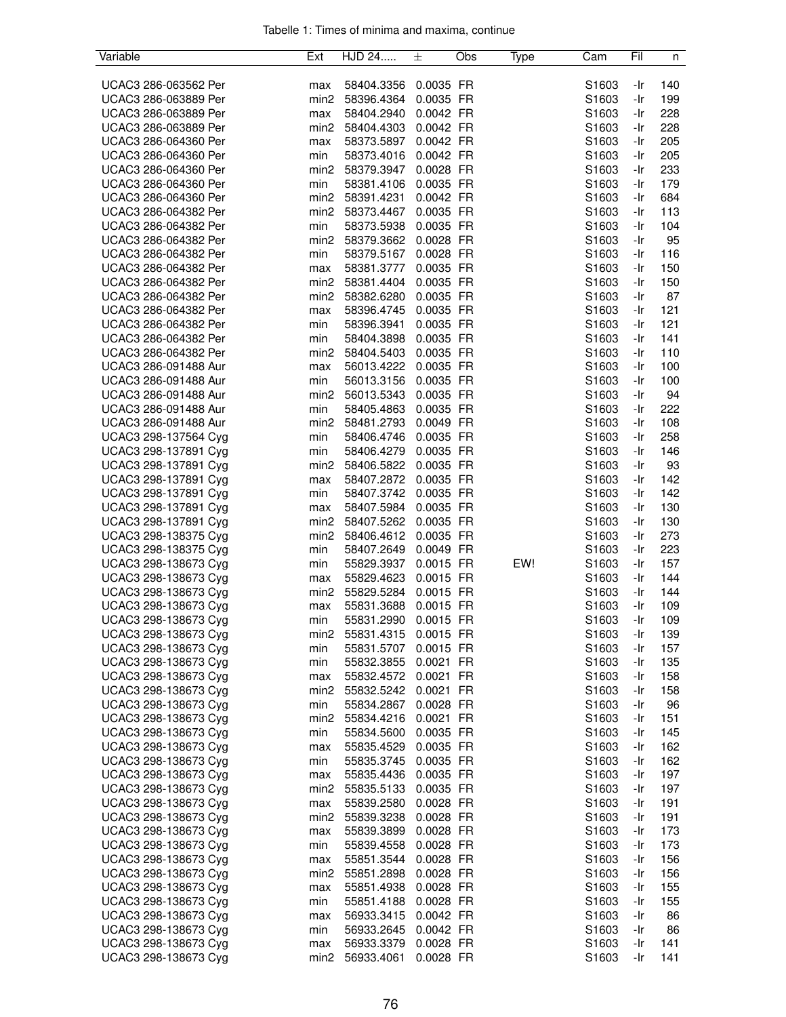| Variable             | Ext              | HJD 24               | 士         | Obs | Type | Cam               | Fil | n   |
|----------------------|------------------|----------------------|-----------|-----|------|-------------------|-----|-----|
|                      |                  |                      |           |     |      |                   |     |     |
| UCAC3 286-063562 Per | max              | 58404.3356           | 0.0035 FR |     |      | S1603             | -Ir | 140 |
| UCAC3 286-063889 Per | min <sub>2</sub> | 58396.4364           | 0.0035 FR |     |      | S1603             | -Ir | 199 |
| UCAC3 286-063889 Per | max              | 58404.2940           | 0.0042 FR |     |      | S1603             | -Ir | 228 |
| UCAC3 286-063889 Per | min <sub>2</sub> | 58404.4303 0.0042 FR |           |     |      | S1603             | -Ir | 228 |
| UCAC3 286-064360 Per | max              | 58373.5897           | 0.0042 FR |     |      | S1603             | -Ir | 205 |
| UCAC3 286-064360 Per | min              | 58373.4016           | 0.0042 FR |     |      | S1603             | -Ir | 205 |
| UCAC3 286-064360 Per | min2             | 58379.3947           | 0.0028 FR |     |      |                   | -Ir | 233 |
|                      |                  |                      |           |     |      | S1603             |     |     |
| UCAC3 286-064360 Per | min              | 58381.4106           | 0.0035 FR |     |      | S1603             | -Ir | 179 |
| UCAC3 286-064360 Per | min2             | 58391.4231           | 0.0042 FR |     |      | S1603             | -Ir | 684 |
| UCAC3 286-064382 Per | min2             | 58373.4467           | 0.0035 FR |     |      | S1603             | -Ir | 113 |
| UCAC3 286-064382 Per | min              | 58373.5938           | 0.0035 FR |     |      | S1603             | -Ir | 104 |
| UCAC3 286-064382 Per | min2             | 58379.3662           | 0.0028 FR |     |      | S1603             | -Ir | 95  |
| UCAC3 286-064382 Per | min              | 58379.5167           | 0.0028 FR |     |      | S1603             | -Ir | 116 |
| UCAC3 286-064382 Per | max              | 58381.3777           | 0.0035 FR |     |      | S1603             | -Ir | 150 |
| UCAC3 286-064382 Per | min2             | 58381.4404           | 0.0035 FR |     |      | S1603             | -Ir | 150 |
| UCAC3 286-064382 Per | min2             | 58382.6280           | 0.0035 FR |     |      | S1603             | -Ir | 87  |
| UCAC3 286-064382 Per | max              | 58396.4745           | 0.0035 FR |     |      | S1603             | -Ir | 121 |
| UCAC3 286-064382 Per | min              | 58396.3941           | 0.0035 FR |     |      | S <sub>1603</sub> | -Ir | 121 |
|                      |                  |                      |           |     |      |                   |     |     |
| UCAC3 286-064382 Per | min              | 58404.3898           | 0.0035 FR |     |      | S1603             | -Ir | 141 |
| UCAC3 286-064382 Per | min2             | 58404.5403           | 0.0035 FR |     |      | S1603             | -Ir | 110 |
| UCAC3 286-091488 Aur | max              | 56013.4222 0.0035 FR |           |     |      | S1603             | -Ir | 100 |
| UCAC3 286-091488 Aur | min              | 56013.3156           | 0.0035 FR |     |      | S1603             | -Ir | 100 |
| UCAC3 286-091488 Aur | min2             | 56013.5343           | 0.0035 FR |     |      | S1603             | -Ir | 94  |
| UCAC3 286-091488 Aur | min              | 58405.4863           | 0.0035 FR |     |      | S1603             | -Ir | 222 |
| UCAC3 286-091488 Aur | min2             | 58481.2793           | 0.0049 FR |     |      | S1603             | -Ir | 108 |
| UCAC3 298-137564 Cyg | min              | 58406.4746           | 0.0035 FR |     |      | S1603             | -Ir | 258 |
| UCAC3 298-137891 Cyg | min              | 58406.4279           | 0.0035 FR |     |      | S1603             | -Ir | 146 |
| UCAC3 298-137891 Cyg | min <sub>2</sub> | 58406.5822 0.0035 FR |           |     |      | S1603             | -Ir | 93  |
| UCAC3 298-137891 Cyg | max              | 58407.2872           | 0.0035 FR |     |      | S1603             | -Ir | 142 |
| UCAC3 298-137891 Cyg |                  | 58407.3742           | 0.0035 FR |     |      |                   | -Ir | 142 |
|                      | min              |                      |           |     |      | S1603             |     |     |
| UCAC3 298-137891 Cyg | max              | 58407.5984           | 0.0035 FR |     |      | S1603             | -Ir | 130 |
| UCAC3 298-137891 Cyg | min2             | 58407.5262           | 0.0035 FR |     |      | S1603             | -Ir | 130 |
| UCAC3 298-138375 Cyg | min2             | 58406.4612 0.0035 FR |           |     |      | S1603             | -Ir | 273 |
| UCAC3 298-138375 Cyg | min              | 58407.2649           | 0.0049 FR |     |      | S1603             | -Ir | 223 |
| UCAC3 298-138673 Cyg | min              | 55829.3937           | 0.0015 FR |     | EW!  | S1603             | -Ir | 157 |
| UCAC3 298-138673 Cyg | max              | 55829.4623           | 0.0015 FR |     |      | S1603             | -Ir | 144 |
| UCAC3 298-138673 Cyg | min <sub>2</sub> | 55829.5284           | 0.0015 FR |     |      | S1603             | -Ir | 144 |
| UCAC3 298-138673 Cyg | max              | 55831.3688           | 0.0015 FR |     |      | S1603             | -Ir | 109 |
| UCAC3 298-138673 Cyg | min              | 55831.2990           | 0.0015 FR |     |      | S1603             | -Ir | 109 |
| UCAC3 298-138673 Cyg | min2             | 55831.4315           | 0.0015 FR |     |      | S1603             | -Ir | 139 |
| UCAC3 298-138673 Cyg | min              | 55831.5707           | 0.0015 FR |     |      | S1603             | -Ir | 157 |
| UCAC3 298-138673 Cyg | min              | 55832.3855           | 0.0021 FR |     |      | S1603             | -Ir | 135 |
| UCAC3 298-138673 Cyg |                  | 55832.4572 0.0021 FR |           |     |      | S1603             | -Ir | 158 |
|                      | max              |                      |           |     |      |                   |     |     |
| UCAC3 298-138673 Cyg | min2             | 55832.5242 0.0021 FR |           |     |      | S1603             | -Ir | 158 |
| UCAC3 298-138673 Cyg | min              | 55834.2867           | 0.0028 FR |     |      | S1603             | -Ir | 96  |
| UCAC3 298-138673 Cyg | min2             | 55834.4216           | 0.0021 FR |     |      | S1603             | -Ir | 151 |
| UCAC3 298-138673 Cyg | min              | 55834.5600           | 0.0035 FR |     |      | S1603             | -Ir | 145 |
| UCAC3 298-138673 Cyg | max              | 55835.4529           | 0.0035 FR |     |      | S1603             | -Ir | 162 |
| UCAC3 298-138673 Cyg | min              | 55835.3745           | 0.0035 FR |     |      | S1603             | -Ir | 162 |
| UCAC3 298-138673 Cyg | max              | 55835.4436           | 0.0035 FR |     |      | S1603             | -Ir | 197 |
| UCAC3 298-138673 Cyg | min <sub>2</sub> | 55835.5133           | 0.0035 FR |     |      | S1603             | -Ir | 197 |
| UCAC3 298-138673 Cyg | max              | 55839.2580           | 0.0028 FR |     |      | S1603             | -Ir | 191 |
| UCAC3 298-138673 Cyg | min <sub>2</sub> | 55839.3238           | 0.0028 FR |     |      | S1603             | -Ir | 191 |
| UCAC3 298-138673 Cyg |                  | 55839.3899           | 0.0028 FR |     |      | S <sub>1603</sub> | -Ir | 173 |
|                      | max              |                      |           |     |      |                   | -Ir |     |
| UCAC3 298-138673 Cyg | min              | 55839.4558           | 0.0028 FR |     |      | S1603             |     | 173 |
| UCAC3 298-138673 Cyg | max              | 55851.3544           | 0.0028 FR |     |      | S1603             | -Ir | 156 |
| UCAC3 298-138673 Cyg | min <sub>2</sub> | 55851.2898           | 0.0028 FR |     |      | S1603             | -Ir | 156 |
| UCAC3 298-138673 Cyg | max              | 55851.4938           | 0.0028 FR |     |      | S1603             | -Ir | 155 |
| UCAC3 298-138673 Cyg | min              | 55851.4188           | 0.0028 FR |     |      | S1603             | -Ir | 155 |
| UCAC3 298-138673 Cyg | max              | 56933.3415           | 0.0042 FR |     |      | S1603             | -Ir | 86  |
| UCAC3 298-138673 Cyg | min              | 56933.2645           | 0.0042 FR |     |      | S1603             | -Ir | 86  |
| UCAC3 298-138673 Cyg | max              | 56933.3379           | 0.0028 FR |     |      | S1603             | -Ir | 141 |
| UCAC3 298-138673 Cyg | min <sub>2</sub> | 56933.4061           | 0.0028 FR |     |      | S1603             | -Ir | 141 |
|                      |                  |                      |           |     |      |                   |     |     |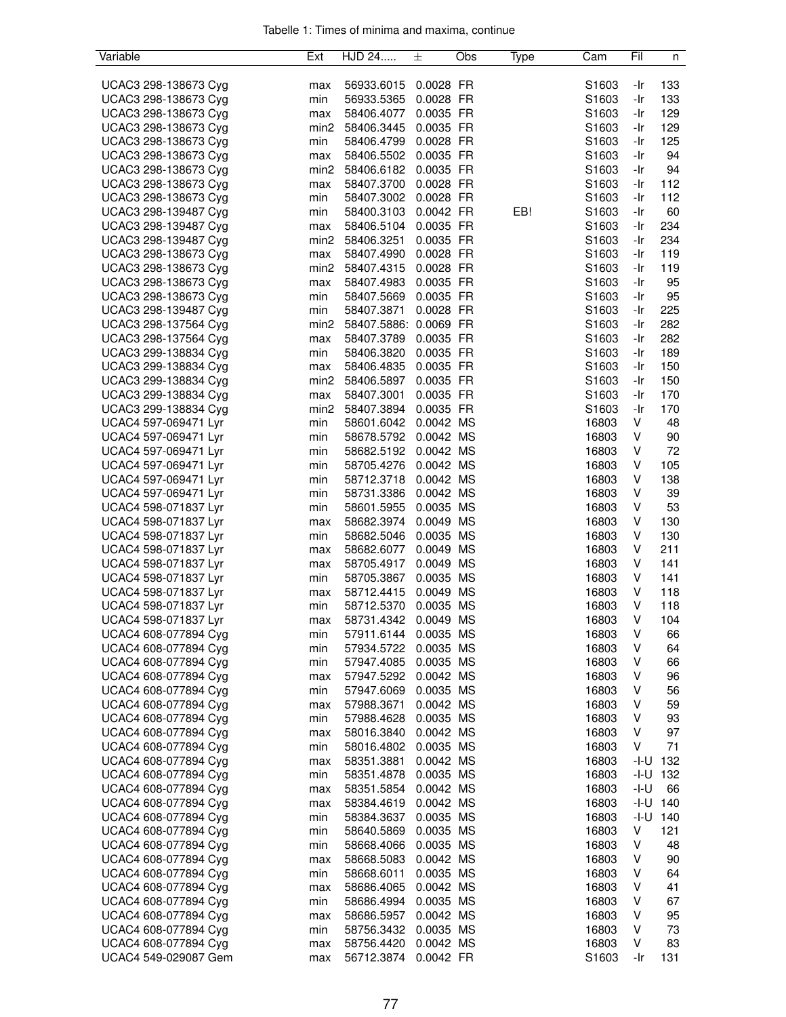| Variable             | Ext              | HJD 24                | 士         | Obs | Type | Cam               | Fil    | n   |
|----------------------|------------------|-----------------------|-----------|-----|------|-------------------|--------|-----|
|                      |                  |                       |           |     |      |                   |        |     |
| UCAC3 298-138673 Cyg | max              | 56933.6015            | 0.0028 FR |     |      | S <sub>1603</sub> | -Ir    | 133 |
| UCAC3 298-138673 Cyg | min              | 56933.5365            | 0.0028 FR |     |      | S <sub>1603</sub> | -Ir    | 133 |
| UCAC3 298-138673 Cyg | max              | 58406.4077            | 0.0035 FR |     |      | S1603             | -Ir    | 129 |
| UCAC3 298-138673 Cyg | min <sub>2</sub> | 58406.3445            | 0.0035 FR |     |      | S1603             | -Ir    | 129 |
| UCAC3 298-138673 Cyg | min              | 58406.4799 0.0028 FR  |           |     |      | S <sub>1603</sub> | -Ir    | 125 |
| UCAC3 298-138673 Cyg | max              | 58406.5502 0.0035 FR  |           |     |      | S1603             | -Ir    | 94  |
| UCAC3 298-138673 Cyg | min <sub>2</sub> | 58406.6182 0.0035 FR  |           |     |      | S1603             | -Ir    | 94  |
| UCAC3 298-138673 Cyg | max              | 58407.3700            | 0.0028 FR |     |      | S1603             | -Ir    | 112 |
| UCAC3 298-138673 Cyg | min              | 58407.3002 0.0028 FR  |           |     |      | S1603             | -Ir    | 112 |
| UCAC3 298-139487 Cyg | min              | 58400.3103            | 0.0042 FR |     | EB!  | S1603             | -Ir    | 60  |
| UCAC3 298-139487 Cyg | max              | 58406.5104            | 0.0035 FR |     |      | S1603             | -Ir    | 234 |
| UCAC3 298-139487 Cyg | min <sub>2</sub> | 58406.3251            | 0.0035 FR |     |      | S1603             | -Ir    | 234 |
| UCAC3 298-138673 Cyg | max              | 58407.4990            | 0.0028 FR |     |      | S1603             | -Ir    | 119 |
|                      |                  |                       |           |     |      |                   |        |     |
| UCAC3 298-138673 Cyg | min <sub>2</sub> | 58407.4315            | 0.0028 FR |     |      | S1603             | -Ir    | 119 |
| UCAC3 298-138673 Cyg | max              | 58407.4983            | 0.0035 FR |     |      | S1603             | -Ir    | 95  |
| UCAC3 298-138673 Cyg | min              | 58407.5669 0.0035 FR  |           |     |      | S1603             | -Ir    | 95  |
| UCAC3 298-139487 Cyg | min              | 58407.3871            | 0.0028 FR |     |      | S <sub>1603</sub> | -Ir    | 225 |
| UCAC3 298-137564 Cyg | min2             | 58407.5886: 0.0069 FR |           |     |      | S1603             | -Ir    | 282 |
| UCAC3 298-137564 Cyg | max              | 58407.3789            | 0.0035 FR |     |      | S <sub>1603</sub> | -Ir    | 282 |
| UCAC3 299-138834 Cyg | min              | 58406.3820            | 0.0035 FR |     |      | S1603             | -Ir    | 189 |
| UCAC3 299-138834 Cyg | max              | 58406.4835            | 0.0035 FR |     |      | S1603             | -Ir    | 150 |
| UCAC3 299-138834 Cyg | min2             | 58406.5897            | 0.0035 FR |     |      | S1603             | -Ir    | 150 |
| UCAC3 299-138834 Cyg | max              | 58407.3001            | 0.0035 FR |     |      | S1603             | -Ir    | 170 |
| UCAC3 299-138834 Cyg | min <sub>2</sub> | 58407.3894            | 0.0035 FR |     |      | S1603             | -Ir    | 170 |
| UCAC4 597-069471 Lyr | min              | 58601.6042            | 0.0042 MS |     |      | 16803             | V      | 48  |
| UCAC4 597-069471 Lyr | min              | 58678.5792 0.0042 MS  |           |     |      | 16803             | V      | 90  |
| UCAC4 597-069471 Lyr | min              | 58682.5192 0.0042 MS  |           |     |      | 16803             | V      | 72  |
| UCAC4 597-069471 Lyr | min              | 58705.4276 0.0042 MS  |           |     |      | 16803             | V      | 105 |
| UCAC4 597-069471 Lyr | min              | 58712.3718            | 0.0042 MS |     |      | 16803             | V      | 138 |
| UCAC4 597-069471 Lyr | min              | 58731.3386 0.0042 MS  |           |     |      | 16803             | V      | 39  |
| UCAC4 598-071837 Lyr | min              | 58601.5955            | 0.0035 MS |     |      | 16803             | V      | 53  |
|                      |                  |                       |           |     |      |                   |        |     |
| UCAC4 598-071837 Lyr | max              | 58682.3974            | 0.0049 MS |     |      | 16803             | V      | 130 |
| UCAC4 598-071837 Lyr | min              | 58682.5046            | 0.0035 MS |     |      | 16803             | V      | 130 |
| UCAC4 598-071837 Lyr | max              | 58682.6077            | 0.0049 MS |     |      | 16803             | V      | 211 |
| UCAC4 598-071837 Lyr | max              | 58705.4917            | 0.0049 MS |     |      | 16803             | V      | 141 |
| UCAC4 598-071837 Lyr | min              | 58705.3867            | 0.0035 MS |     |      | 16803             | V      | 141 |
| UCAC4 598-071837 Lyr | max              | 58712.4415            | 0.0049 MS |     |      | 16803             | V      | 118 |
| UCAC4 598-071837 Lyr | min              | 58712.5370            | 0.0035 MS |     |      | 16803             | V      | 118 |
| UCAC4 598-071837 Lyr | max              | 58731.4342            | 0.0049 MS |     |      | 16803             | V      | 104 |
| UCAC4 608-077894 Cyg | min              | 57911.6144            | 0.0035 MS |     |      | 16803             | V      | 66  |
| UCAC4 608-077894 Cyg | min              | 57934.5722            | 0.0035 MS |     |      | 16803             | V      | 64  |
| UCAC4 608-077894 Cyg | min              | 57947.4085            | 0.0035 MS |     |      | 16803             | V      | 66  |
| UCAC4 608-077894 Cyg | max              | 57947.5292            | 0.0042 MS |     |      | 16803             | V      | 96  |
| UCAC4 608-077894 Cyg | min              | 57947.6069            | 0.0035 MS |     |      | 16803             | V      | 56  |
| UCAC4 608-077894 Cyg | max              | 57988.3671            | 0.0042 MS |     |      | 16803             | V      | 59  |
| UCAC4 608-077894 Cyg | min              | 57988.4628            | 0.0035 MS |     |      | 16803             | V      | 93  |
| UCAC4 608-077894 Cyg | max              | 58016.3840            | 0.0042 MS |     |      | 16803             | V      | 97  |
| UCAC4 608-077894 Cyg | min              | 58016.4802            | 0.0035 MS |     |      | 16803             | V      | 71  |
| UCAC4 608-077894 Cyg | max              | 58351.3881            | 0.0042 MS |     |      | 16803             | -I-U   | 132 |
| UCAC4 608-077894 Cyg | min              | 58351.4878            | 0.0035 MS |     |      | 16803             | -I-U   | 132 |
| UCAC4 608-077894 Cyg | max              | 58351.5854            | 0.0042 MS |     |      | 16803             | $-I-U$ | 66  |
| UCAC4 608-077894 Cyg | max              | 58384.4619            | 0.0042 MS |     |      | 16803             | $-I-U$ | 140 |
| UCAC4 608-077894 Cyg | min              | 58384.3637            | 0.0035 MS |     |      | 16803             | -I-U   | 140 |
| UCAC4 608-077894 Cyg | min              | 58640.5869            | 0.0035 MS |     |      | 16803             | ٧      | 121 |
| UCAC4 608-077894 Cyg | min              | 58668.4066            | 0.0035 MS |     |      | 16803             | V      | 48  |
| UCAC4 608-077894 Cyg |                  | 58668.5083            | 0.0042 MS |     |      | 16803             | V      | 90  |
|                      | max              |                       |           |     |      |                   |        |     |
| UCAC4 608-077894 Cyg | min              | 58668.6011            | 0.0035 MS |     |      | 16803             | V      | 64  |
| UCAC4 608-077894 Cyg | max              | 58686.4065            | 0.0042 MS |     |      | 16803             | V      | 41  |
| UCAC4 608-077894 Cyg | min              | 58686.4994            | 0.0035 MS |     |      | 16803             | V      | 67  |
| UCAC4 608-077894 Cyg | max              | 58686.5957            | 0.0042 MS |     |      | 16803             | ٧      | 95  |
| UCAC4 608-077894 Cyg | min              | 58756.3432            | 0.0035 MS |     |      | 16803             | V      | 73  |
| UCAC4 608-077894 Cyg | max              | 58756.4420            | 0.0042 MS |     |      | 16803             | V      | 83  |
| UCAC4 549-029087 Gem | max              | 56712.3874            | 0.0042 FR |     |      | S1603             | -Ir    | 131 |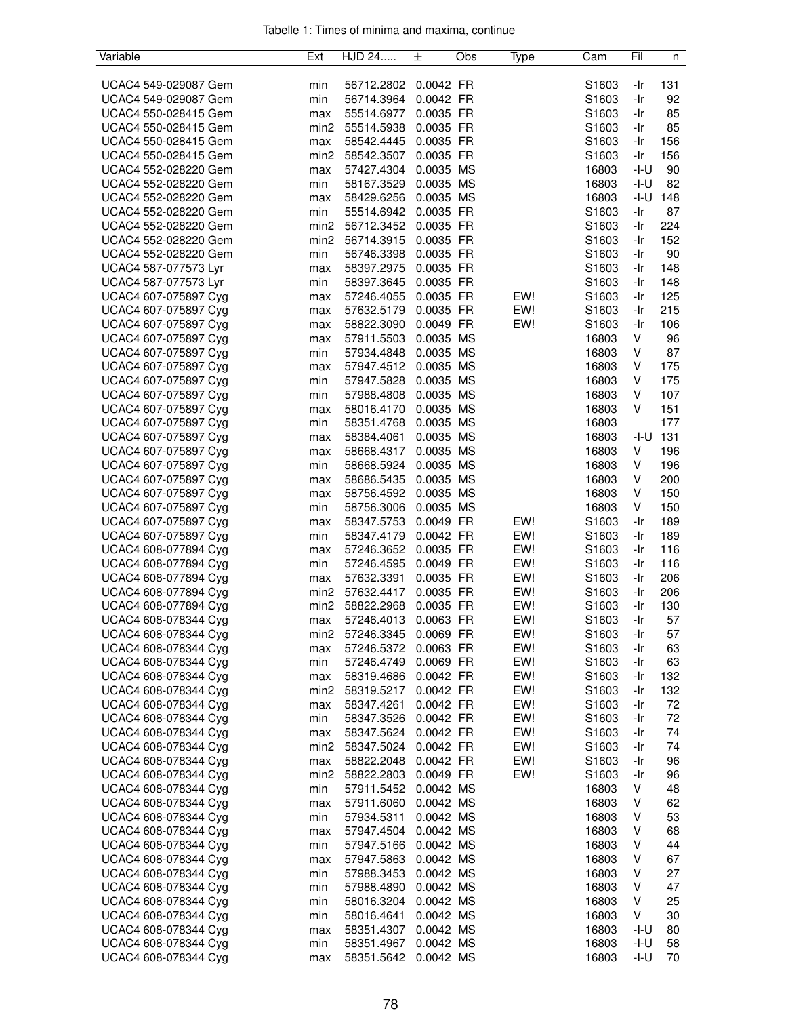| Variable             | Ext              | HJD 24     | 士         | Obs | Type | Cam   | Fil    | n   |
|----------------------|------------------|------------|-----------|-----|------|-------|--------|-----|
|                      |                  |            |           |     |      |       |        |     |
| UCAC4 549-029087 Gem | min              | 56712.2802 | 0.0042 FR |     |      | S1603 | -Ir    | 131 |
| UCAC4 549-029087 Gem | min              | 56714.3964 | 0.0042 FR |     |      | S1603 | -Ir    | 92  |
| UCAC4 550-028415 Gem | max              | 55514.6977 | 0.0035 FR |     |      | S1603 | -Ir    | 85  |
| UCAC4 550-028415 Gem | min <sub>2</sub> | 55514.5938 | 0.0035 FR |     |      | S1603 | -Ir    | 85  |
| UCAC4 550-028415 Gem | max              | 58542.4445 | 0.0035 FR |     |      | S1603 | -Ir    | 156 |
| UCAC4 550-028415 Gem | min2             | 58542.3507 | 0.0035 FR |     |      | S1603 | -Ir    | 156 |
| UCAC4 552-028220 Gem | max              | 57427.4304 | 0.0035 MS |     |      | 16803 | $-I-U$ | 90  |
| UCAC4 552-028220 Gem | min              | 58167.3529 | 0.0035 MS |     |      | 16803 | -I-U   | 82  |
| UCAC4 552-028220 Gem | max              | 58429.6256 | 0.0035 MS |     |      | 16803 | -I-U   | 148 |
| UCAC4 552-028220 Gem | min              | 55514.6942 | 0.0035 FR |     |      | S1603 | -Ir    | 87  |
| UCAC4 552-028220 Gem | min2             | 56712.3452 | 0.0035 FR |     |      | S1603 | -Ir    | 224 |
| UCAC4 552-028220 Gem | min2             | 56714.3915 | 0.0035 FR |     |      | S1603 | -Ir    | 152 |
| UCAC4 552-028220 Gem | min              | 56746.3398 | 0.0035 FR |     |      | S1603 | -Ir    | 90  |
| UCAC4 587-077573 Lyr | max              | 58397.2975 | 0.0035 FR |     |      | S1603 | -Ir    | 148 |
| UCAC4 587-077573 Lyr | min              | 58397.3645 | 0.0035 FR |     |      | S1603 | -Ir    | 148 |
| UCAC4 607-075897 Cyg |                  | 57246.4055 | 0.0035 FR |     | EW!  | S1603 | -Ir    | 125 |
| UCAC4 607-075897 Cyg | max              |            | 0.0035 FR |     | EW!  |       | -Ir    | 215 |
|                      | max              | 57632.5179 |           |     |      | S1603 |        |     |
| UCAC4 607-075897 Cyg | max              | 58822.3090 | 0.0049 FR |     | EW!  | S1603 | -Ir    | 106 |
| UCAC4 607-075897 Cyg | max              | 57911.5503 | 0.0035 MS |     |      | 16803 | V      | 96  |
| UCAC4 607-075897 Cyg | min              | 57934.4848 | 0.0035 MS |     |      | 16803 | V      | 87  |
| UCAC4 607-075897 Cyg | max              | 57947.4512 | 0.0035 MS |     |      | 16803 | V      | 175 |
| UCAC4 607-075897 Cyg | min              | 57947.5828 | 0.0035 MS |     |      | 16803 | V      | 175 |
| UCAC4 607-075897 Cyg | min              | 57988.4808 | 0.0035 MS |     |      | 16803 | V      | 107 |
| UCAC4 607-075897 Cyg | max              | 58016.4170 | 0.0035 MS |     |      | 16803 | V      | 151 |
| UCAC4 607-075897 Cyg | min              | 58351.4768 | 0.0035 MS |     |      | 16803 |        | 177 |
| UCAC4 607-075897 Cyg | max              | 58384.4061 | 0.0035 MS |     |      | 16803 | -I-U   | 131 |
| UCAC4 607-075897 Cyg | max              | 58668.4317 | 0.0035 MS |     |      | 16803 | V      | 196 |
| UCAC4 607-075897 Cyg | min              | 58668.5924 | 0.0035 MS |     |      | 16803 | V      | 196 |
| UCAC4 607-075897 Cyg | max              | 58686.5435 | 0.0035 MS |     |      | 16803 | V      | 200 |
| UCAC4 607-075897 Cyg | max              | 58756.4592 | 0.0035 MS |     |      | 16803 | V      | 150 |
| UCAC4 607-075897 Cyg | min              | 58756.3006 | 0.0035 MS |     |      | 16803 | V      | 150 |
| UCAC4 607-075897 Cyg | max              | 58347.5753 | 0.0049 FR |     | EW!  | S1603 | -Ir    | 189 |
| UCAC4 607-075897 Cyg | min              | 58347.4179 | 0.0042 FR |     | EW!  | S1603 | -Ir    | 189 |
| UCAC4 608-077894 Cyg | max              | 57246.3652 | 0.0035 FR |     | EW!  | S1603 | -Ir    | 116 |
| UCAC4 608-077894 Cyg | min              | 57246.4595 | 0.0049 FR |     | EW!  | S1603 | -Ir    | 116 |
| UCAC4 608-077894 Cyg | max              | 57632.3391 | 0.0035 FR |     | EW!  | S1603 | -Ir    | 206 |
| UCAC4 608-077894 Cyg | min <sub>2</sub> | 57632.4417 | 0.0035 FR |     | EW!  | S1603 | -Ir    | 206 |
| UCAC4 608-077894 Cyg | min2             | 58822.2968 | 0.0035 FR |     | EW!  | S1603 | -Ir    | 130 |
| UCAC4 608-078344 Cyg | max              | 57246.4013 | 0.0063 FR |     | EW!  | S1603 | -Ir    | 57  |
| UCAC4 608-078344 Cyg | min2             | 57246.3345 | 0.0069 FR |     | EW!  | S1603 | -Ir    | 57  |
| UCAC4 608-078344 Cyg | max              | 57246.5372 | 0.0063 FR |     | EW!  | S1603 | -Ir    | 63  |
| UCAC4 608-078344 Cyg | min              | 57246.4749 | 0.0069 FR |     | EW!  | S1603 | -Ir    | 63  |
|                      |                  |            |           |     |      |       |        |     |
| UCAC4 608-078344 Cyg | max              | 58319.4686 | 0.0042 FR |     | EW!  | S1603 | -Ir    | 132 |
| UCAC4 608-078344 Cyg | min2             | 58319.5217 | 0.0042 FR |     | EW!  | S1603 | -Ir    | 132 |
| UCAC4 608-078344 Cyg | max              | 58347.4261 | 0.0042 FR |     | EW!  | S1603 | -Ir    | 72  |
| UCAC4 608-078344 Cyg | min              | 58347.3526 | 0.0042 FR |     | EW!  | S1603 | -Ir    | 72  |
| UCAC4 608-078344 Cyg | max              | 58347.5624 | 0.0042 FR |     | EW!  | S1603 | -Ir    | 74  |
| UCAC4 608-078344 Cyg | min2             | 58347.5024 | 0.0042 FR |     | EW!  | S1603 | -Ir    | 74  |
| UCAC4 608-078344 Cyg | max              | 58822.2048 | 0.0042 FR |     | EW!  | S1603 | -Ir    | 96  |
| UCAC4 608-078344 Cyg | min2             | 58822.2803 | 0.0049 FR |     | EW!  | S1603 | -Ir    | 96  |
| UCAC4 608-078344 Cyg | min              | 57911.5452 | 0.0042 MS |     |      | 16803 | V      | 48  |
| UCAC4 608-078344 Cyg | max              | 57911.6060 | 0.0042 MS |     |      | 16803 | V      | 62  |
| UCAC4 608-078344 Cyg | min              | 57934.5311 | 0.0042 MS |     |      | 16803 | V      | 53  |
| UCAC4 608-078344 Cyg | max              | 57947.4504 | 0.0042 MS |     |      | 16803 | V      | 68  |
| UCAC4 608-078344 Cyg | min              | 57947.5166 | 0.0042 MS |     |      | 16803 | V      | 44  |
| UCAC4 608-078344 Cyg | max              | 57947.5863 | 0.0042 MS |     |      | 16803 | V      | 67  |
| UCAC4 608-078344 Cyg | min              | 57988.3453 | 0.0042 MS |     |      | 16803 | V      | 27  |
| UCAC4 608-078344 Cyg | min              | 57988.4890 | 0.0042 MS |     |      | 16803 | V      | 47  |
| UCAC4 608-078344 Cyg | min              | 58016.3204 | 0.0042 MS |     |      | 16803 | V      | 25  |
| UCAC4 608-078344 Cyg | min              | 58016.4641 | 0.0042 MS |     |      | 16803 | V      | 30  |
| UCAC4 608-078344 Cyg | max              | 58351.4307 | 0.0042 MS |     |      | 16803 | $-I-U$ | 80  |
| UCAC4 608-078344 Cyg | min              | 58351.4967 | 0.0042 MS |     |      | 16803 | $-I-U$ | 58  |
| UCAC4 608-078344 Cyg | max              | 58351.5642 | 0.0042 MS |     |      | 16803 | $-I-U$ | 70  |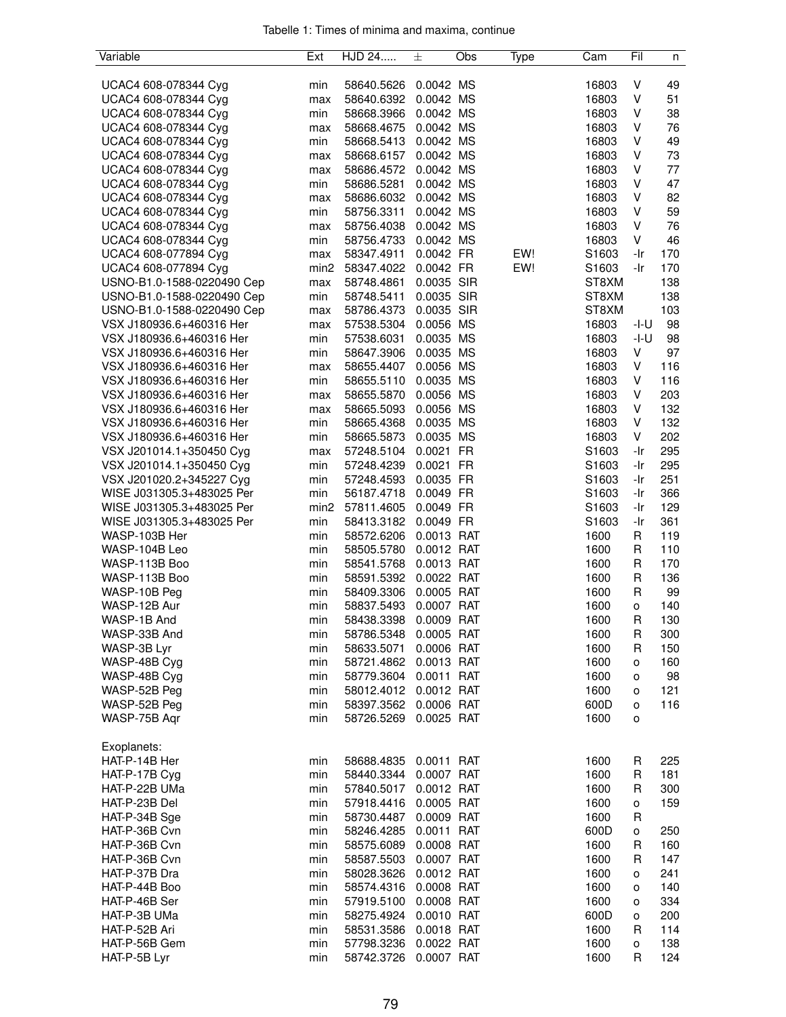| Variable                                   | Ext              | HJD 24                             | 士          | Obs | Type | Cam                       | Fil      | n          |
|--------------------------------------------|------------------|------------------------------------|------------|-----|------|---------------------------|----------|------------|
|                                            |                  |                                    |            |     |      |                           |          |            |
| UCAC4 608-078344 Cyg                       | min              | 58640.5626                         | 0.0042 MS  |     |      | 16803                     | V        | 49         |
| UCAC4 608-078344 Cyg                       | max              | 58640.6392                         | 0.0042 MS  |     |      | 16803                     | V        | 51         |
| UCAC4 608-078344 Cyg                       | min              | 58668.3966                         | 0.0042 MS  |     |      | 16803                     | V        | 38         |
| UCAC4 608-078344 Cyg                       | max              | 58668.4675                         | 0.0042 MS  |     |      | 16803                     | V        | 76         |
| UCAC4 608-078344 Cyg                       | min              | 58668.5413                         | 0.0042 MS  |     |      | 16803                     | V        | 49         |
| UCAC4 608-078344 Cyg                       | max              | 58668.6157                         | 0.0042 MS  |     |      | 16803                     | V        | 73         |
| UCAC4 608-078344 Cyg                       | max              | 58686.4572                         | 0.0042 MS  |     |      | 16803                     | V        | 77         |
| UCAC4 608-078344 Cyg                       | min              | 58686.5281                         | 0.0042 MS  |     |      | 16803                     | V        | 47         |
| UCAC4 608-078344 Cyg                       | max              | 58686.6032 0.0042 MS               |            |     |      | 16803                     | V        | 82         |
| UCAC4 608-078344 Cyg                       | min              | 58756.3311                         | 0.0042 MS  |     |      | 16803                     | V        | 59         |
| UCAC4 608-078344 Cyg                       | max              | 58756.4038                         | 0.0042 MS  |     |      | 16803                     | V        | 76         |
| UCAC4 608-078344 Cyg                       | min              | 58756.4733                         | 0.0042 MS  |     |      | 16803                     | V        | 46         |
| UCAC4 608-077894 Cyg                       | max              | 58347.4911                         | 0.0042 FR  |     | EW!  | S1603                     | -Ir      | 170        |
| UCAC4 608-077894 Cyg                       | min <sub>2</sub> | 58347.4022                         | 0.0042 FR  |     | EW!  | S1603                     | -Ir      | 170        |
| USNO-B1.0-1588-0220490 Cep                 | max              | 58748.4861                         | 0.0035 SIR |     |      | ST8XM                     |          | 138        |
| USNO-B1.0-1588-0220490 Cep                 | min              | 58748.5411                         | 0.0035 SIR |     |      | ST8XM                     |          | 138        |
| USNO-B1.0-1588-0220490 Cep                 | max              | 58786.4373                         | 0.0035 SIR |     |      | ST8XM                     |          | 103        |
| VSX J180936.6+460316 Her                   | max              | 57538.5304                         | 0.0056 MS  |     |      | 16803                     | -I-U     | 98         |
| VSX J180936.6+460316 Her                   | min              | 57538.6031                         | 0.0035 MS  |     |      | 16803                     | -I-U     | 98         |
| VSX J180936.6+460316 Her                   | min              | 58647.3906                         | 0.0035 MS  |     |      | 16803                     | V        | 97         |
| VSX J180936.6+460316 Her                   | max              | 58655.4407                         | 0.0056 MS  |     |      | 16803                     | V        | 116        |
| VSX J180936.6+460316 Her                   | min              | 58655.5110                         | 0.0035 MS  |     |      | 16803                     | V        | 116        |
| VSX J180936.6+460316 Her                   | max              | 58655.5870                         | 0.0056 MS  |     |      | 16803                     | V        | 203        |
| VSX J180936.6+460316 Her                   | max              | 58665.5093                         | 0.0056 MS  |     |      | 16803                     | V        | 132        |
| VSX J180936.6+460316 Her                   | min              | 58665.4368                         | 0.0035 MS  |     |      | 16803                     | V        | 132        |
| VSX J180936.6+460316 Her                   | min              | 58665.5873                         | 0.0035 MS  |     |      | 16803                     | V        | 202        |
| VSX J201014.1+350450 Cyg                   | max              | 57248.5104 0.0021 FR               |            |     |      | S1603                     | -Ir      | 295        |
| VSX J201014.1+350450 Cyg                   | min              | 57248.4239                         | 0.0021 FR  |     |      | S <sub>1603</sub>         | -Ir      | 295        |
| VSX J201020.2+345227 Cyg                   | min              | 57248.4593                         | 0.0035 FR  |     |      | S1603                     | -Ir      | 251        |
| WISE J031305.3+483025 Per                  | min              | 56187.4718                         | 0.0049 FR  |     |      | S1603                     | -Ir      | 366        |
| WISE J031305.3+483025 Per                  | min2             | 57811.4605<br>58413.3182 0.0049 FR | 0.0049 FR  |     |      | S1603                     | -Ir      | 129        |
| WISE J031305.3+483025 Per<br>WASP-103B Her | min              | 58572.6206 0.0013 RAT              |            |     |      | S <sub>1603</sub><br>1600 | -Ir<br>R | 361<br>119 |
| WASP-104B Leo                              | min<br>min       | 58505.5780                         | 0.0012 RAT |     |      | 1600                      | R        | 110        |
| WASP-113B Boo                              | min              | 58541.5768                         | 0.0013 RAT |     |      | 1600                      | R        | 170        |
| WASP-113B Boo                              | min              | 58591.5392                         | 0.0022 RAT |     |      | 1600                      | R        | 136        |
| WASP-10B Peg                               | min              | 58409.3306                         | 0.0005 RAT |     |      | 1600                      | R        | 99         |
| WASP-12B Aur                               | min              | 58837.5493                         | 0.0007 RAT |     |      | 1600                      | o        | 140        |
| WASP-1B And                                | min              | 58438.3398                         | 0.0009 RAT |     |      | 1600                      | R        | 130        |
| WASP-33B And                               | min              | 58786.5348                         | 0.0005 RAT |     |      | 1600                      | R        | 300        |
| WASP-3B Lyr                                | min              | 58633.5071                         | 0.0006 RAT |     |      | 1600                      | R        | 150        |
| WASP-48B Cyg                               | min              | 58721.4862 0.0013 RAT              |            |     |      | 1600                      | о        | 160        |
| WASP-48B Cyg                               | min              | 58779.3604  0.0011  RAT            |            |     |      | 1600                      | о        | 98         |
| WASP-52B Peg                               | min              | 58012.4012 0.0012 RAT              |            |     |      | 1600                      | о        | 121        |
| WASP-52B Peg                               | min              | 58397.3562 0.0006 RAT              |            |     |      | 600D                      | O        | 116        |
| WASP-75B Aqr                               | min              | 58726.5269                         | 0.0025 RAT |     |      | 1600                      | о        |            |
|                                            |                  |                                    |            |     |      |                           |          |            |
| Exoplanets:                                |                  |                                    |            |     |      |                           |          |            |
| HAT-P-14B Her                              | min              | 58688.4835  0.0011  RAT            |            |     |      | 1600                      | R        | 225        |
| HAT-P-17B Cyg                              | min              | 58440.3344 0.0007 RAT              |            |     |      | 1600                      | R        | 181        |
| HAT-P-22B UMa                              | min              | 57840.5017 0.0012 RAT              |            |     |      | 1600                      | R        | 300        |
| HAT-P-23B Del                              | min              | 57918.4416                         | 0.0005 RAT |     |      | 1600                      | o        | 159        |
| HAT-P-34B Sge                              | min              | 58730.4487 0.0009 RAT              |            |     |      | 1600                      | R        |            |
| HAT-P-36B Cvn                              | min              | 58246.4285                         | 0.0011 RAT |     |      | 600D                      | 0        | 250        |
| HAT-P-36B Cvn                              | min              | 58575.6089                         | 0.0008 RAT |     |      | 1600                      | R        | 160        |
| HAT-P-36B Cvn                              | min              | 58587.5503 0.0007 RAT              |            |     |      | 1600                      | R        | 147        |
| HAT-P-37B Dra                              | min              | 58028.3626  0.0012  RAT            |            |     |      | 1600                      | о        | 241        |
| HAT-P-44B Boo                              | min              | 58574.4316                         | 0.0008 RAT |     |      | 1600                      | о        | 140        |
| HAT-P-46B Ser                              | min              | 57919.5100                         | 0.0008 RAT |     |      | 1600                      | о        | 334        |
| HAT-P-3B UMa                               | min              | 58275.4924                         | 0.0010 RAT |     |      | 600D                      | о        | 200        |
| HAT-P-52B Ari                              | min              | 58531.3586                         | 0.0018 RAT |     |      | 1600                      | R        | 114        |
| HAT-P-56B Gem                              | min              | 57798.3236 0.0022 RAT              |            |     |      | 1600                      | o        | 138        |
| HAT-P-5B Lyr                               | min              | 58742.3726 0.0007 RAT              |            |     |      | 1600                      | R        | 124        |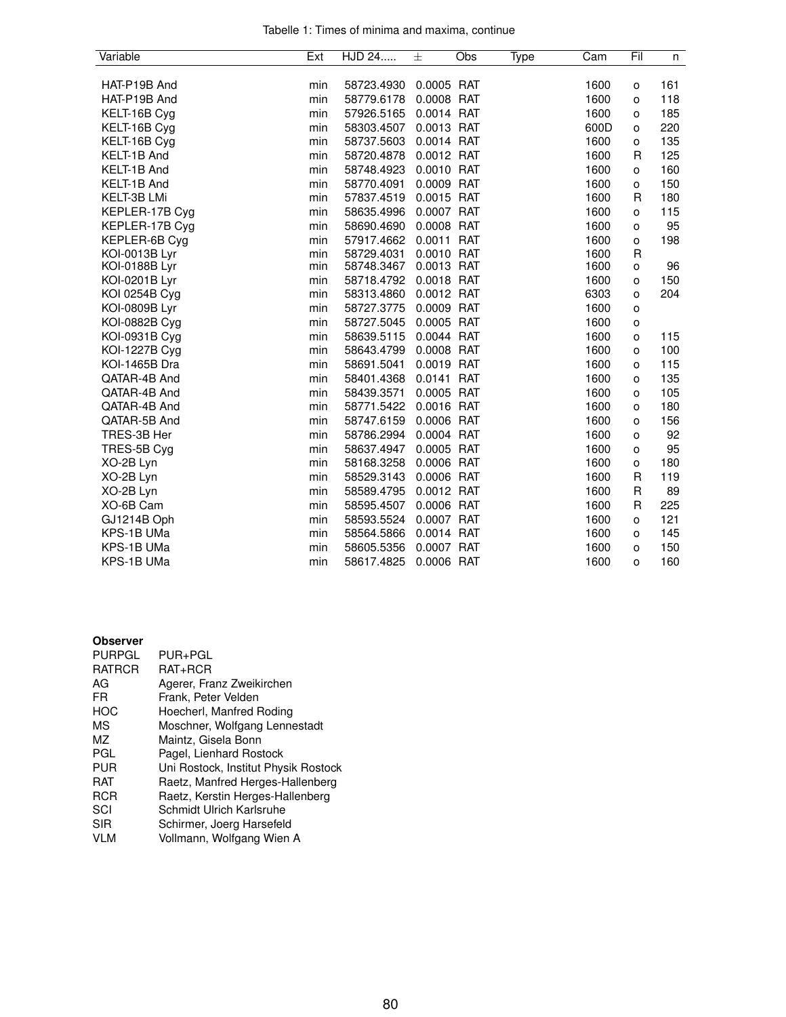| Tabelle 1: Times of minima and maxima, continue |  |  |  |
|-------------------------------------------------|--|--|--|
|                                                 |  |  |  |

| Variable             | Ext | HJD 24     | 士          | Obs | Type | Cam  | Fil          | n   |
|----------------------|-----|------------|------------|-----|------|------|--------------|-----|
|                      |     |            |            |     |      |      |              |     |
| HAT-P19B And         | min | 58723.4930 | 0.0005 RAT |     |      | 1600 | $\circ$      | 161 |
| HAT-P19B And         | min | 58779.6178 | 0.0008 RAT |     |      | 1600 | о            | 118 |
| KELT-16B Cyg         | min | 57926.5165 | 0.0014 RAT |     |      | 1600 | o            | 185 |
| KELT-16B Cyg         | min | 58303.4507 | 0.0013 RAT |     |      | 600D | o            | 220 |
| KELT-16B Cyg         | min | 58737.5603 | 0.0014 RAT |     |      | 1600 | o            | 135 |
| KELT-1B And          | min | 58720.4878 | 0.0012 RAT |     |      | 1600 | R            | 125 |
| KELT-1B And          | min | 58748.4923 | 0.0010 RAT |     |      | 1600 | o            | 160 |
| KELT-1B And          | min | 58770.4091 | 0.0009 RAT |     |      | 1600 | o            | 150 |
| <b>KELT-3B LMi</b>   | min | 57837.4519 | 0.0015 RAT |     |      | 1600 | R            | 180 |
| KEPLER-17B Cyg       | min | 58635.4996 | 0.0007 RAT |     |      | 1600 | o            | 115 |
| KEPLER-17B Cyg       | min | 58690.4690 | 0.0008 RAT |     |      | 1600 | o            | 95  |
| KEPLER-6B Cyg        | min | 57917.4662 | 0.0011 RAT |     |      | 1600 | o            | 198 |
| KOI-0013B Lyr        | min | 58729.4031 | 0.0010 RAT |     |      | 1600 | R            |     |
| KOI-0188B Lyr        | min | 58748.3467 | 0.0013 RAT |     |      | 1600 | o            | 96  |
| KOI-0201B Lyr        | min | 58718.4792 | 0.0018 RAT |     |      | 1600 | о            | 150 |
| KOI 0254B Cyg        | min | 58313.4860 | 0.0012 RAT |     |      | 6303 | o            | 204 |
| KOI-0809B Lyr        | min | 58727.3775 | 0.0009 RAT |     |      | 1600 | $\mathsf{o}$ |     |
| KOI-0882B Cyg        | min | 58727.5045 | 0.0005 RAT |     |      | 1600 | O            |     |
| KOI-0931B Cyg        | min | 58639.5115 | 0.0044 RAT |     |      | 1600 | O            | 115 |
| <b>KOI-1227B Cyg</b> | min | 58643.4799 | 0.0008 RAT |     |      | 1600 | O            | 100 |
| KOI-1465B Dra        | min | 58691.5041 | 0.0019 RAT |     |      | 1600 | о            | 115 |
| QATAR-4B And         | min | 58401.4368 | 0.0141 RAT |     |      | 1600 | o            | 135 |
| QATAR-4B And         | min | 58439.3571 | 0.0005 RAT |     |      | 1600 | o            | 105 |
| QATAR-4B And         | min | 58771.5422 | 0.0016 RAT |     |      | 1600 | o            | 180 |
| QATAR-5B And         | min | 58747.6159 | 0.0006 RAT |     |      | 1600 | o            | 156 |
| TRES-3B Her          | min | 58786.2994 | 0.0004 RAT |     |      | 1600 | O            | 92  |
| TRES-5B Cyg          | min | 58637.4947 | 0.0005 RAT |     |      | 1600 | o            | 95  |
| XO-2B Lyn            | min | 58168.3258 | 0.0006 RAT |     |      | 1600 | $\mathsf{o}$ | 180 |
| XO-2B Lyn            | min | 58529.3143 | 0.0006 RAT |     |      | 1600 | R            | 119 |
| XO-2B Lyn            | min | 58589.4795 | 0.0012 RAT |     |      | 1600 | R            | 89  |
| XO-6B Cam            | min | 58595.4507 | 0.0006 RAT |     |      | 1600 | R            | 225 |
| GJ1214B Oph          | min | 58593.5524 | 0.0007 RAT |     |      | 1600 | o            | 121 |
| KPS-1B UMa           | min | 58564.5866 | 0.0014 RAT |     |      | 1600 | o            | 145 |
| KPS-1B UMa           | min | 58605.5356 | 0.0007 RAT |     |      | 1600 | o            | 150 |
| KPS-1B UMa           | min | 58617.4825 | 0.0006 RAT |     |      | 1600 | O            | 160 |

## **Observer**

| <b>PURPGL</b> | PUR+PGL                              |
|---------------|--------------------------------------|
| <b>RATRCR</b> | RAT+RCR                              |
| AG            | Agerer, Franz Zweikirchen            |
| FR            | Frank, Peter Velden                  |
| HOC           | Hoecherl, Manfred Roding             |
| ΜS            | Moschner, Wolfgang Lennestadt        |
| ΜZ            | Maintz, Gisela Bonn                  |
| PGL           | Pagel, Lienhard Rostock              |
| PUR           | Uni Rostock, Institut Physik Rostock |
| RAT           | Raetz, Manfred Herges-Hallenberg     |
| <b>RCR</b>    | Raetz, Kerstin Herges-Hallenberg     |
| SCI           | Schmidt Ulrich Karlsruhe             |
| <b>SIR</b>    | Schirmer, Joerg Harsefeld            |
| <b>VLM</b>    | Vollmann, Wolfgang Wien A            |